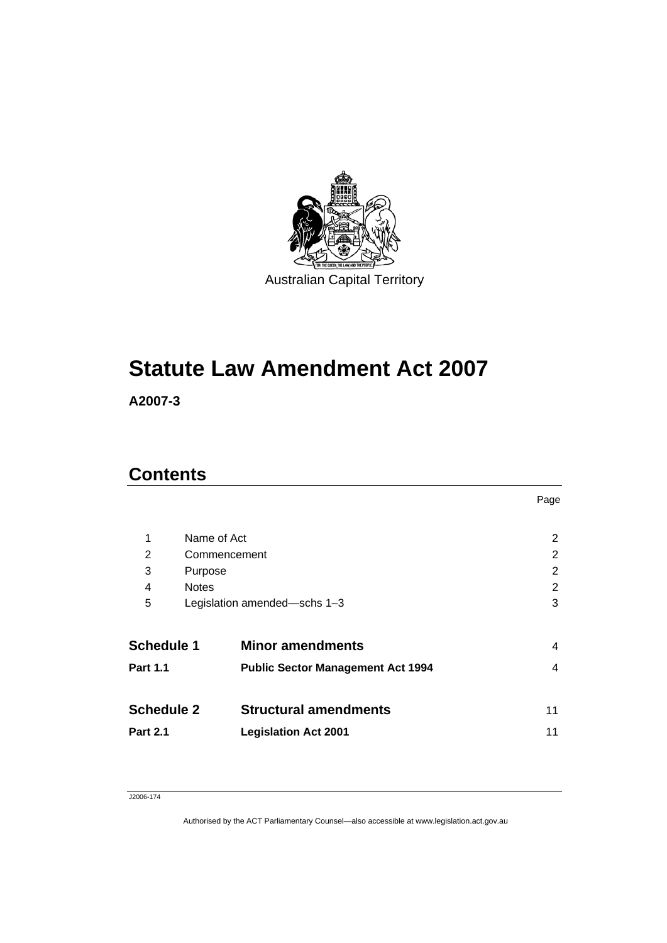

# **Statute Law Amendment Act 2007**

**A2007-3** 

### **Contents**

| Name of Act<br>1  |                              | 2                                        |    |
|-------------------|------------------------------|------------------------------------------|----|
| 2                 | Commencement                 |                                          | 2  |
| 3                 | Purpose                      |                                          | 2  |
| 4                 | <b>Notes</b>                 |                                          | 2  |
| 5                 | Legislation amended-schs 1-3 |                                          | 3  |
| <b>Schedule 1</b> |                              | <b>Minor amendments</b>                  | 4  |
| <b>Part 1.1</b>   |                              | <b>Public Sector Management Act 1994</b> | 4  |
| <b>Schedule 2</b> |                              | <b>Structural amendments</b>             | 11 |
| <b>Part 2.1</b>   |                              | <b>Legislation Act 2001</b>              | 11 |
|                   |                              |                                          |    |

Page

#### J2006-174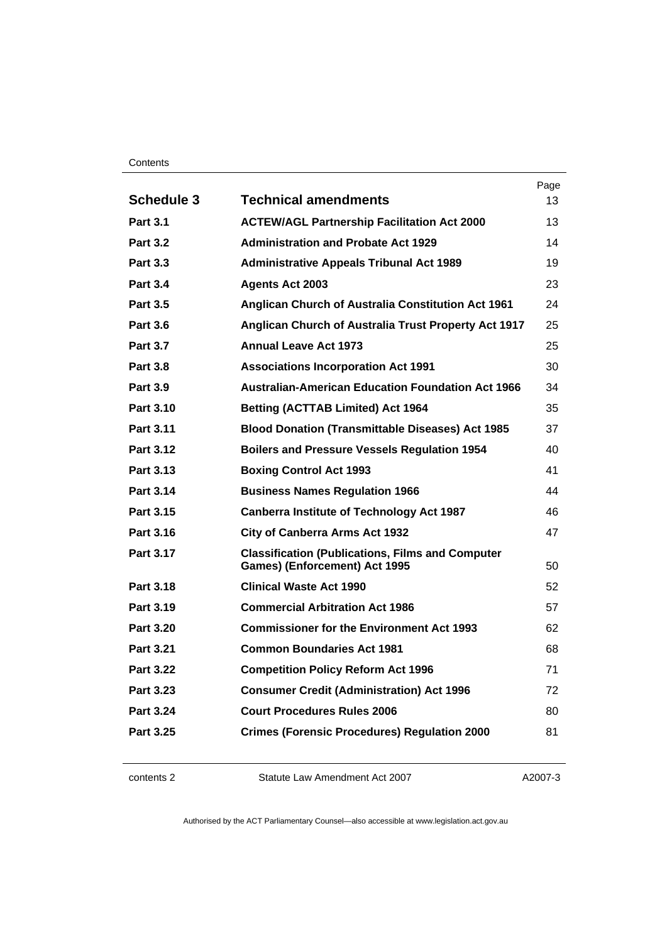#### **Contents**

|                   |                                                                                                 | Page |
|-------------------|-------------------------------------------------------------------------------------------------|------|
| <b>Schedule 3</b> | <b>Technical amendments</b>                                                                     | 13   |
| <b>Part 3.1</b>   | <b>ACTEW/AGL Partnership Facilitation Act 2000</b>                                              | 13   |
| <b>Part 3.2</b>   | <b>Administration and Probate Act 1929</b>                                                      | 14   |
| <b>Part 3.3</b>   | <b>Administrative Appeals Tribunal Act 1989</b>                                                 | 19   |
| <b>Part 3.4</b>   | <b>Agents Act 2003</b>                                                                          | 23   |
| <b>Part 3.5</b>   | <b>Anglican Church of Australia Constitution Act 1961</b>                                       | 24   |
| <b>Part 3.6</b>   | Anglican Church of Australia Trust Property Act 1917                                            | 25   |
| <b>Part 3.7</b>   | <b>Annual Leave Act 1973</b>                                                                    | 25   |
| <b>Part 3.8</b>   | <b>Associations Incorporation Act 1991</b>                                                      | 30   |
| <b>Part 3.9</b>   | <b>Australian-American Education Foundation Act 1966</b>                                        | 34   |
| Part 3.10         | <b>Betting (ACTTAB Limited) Act 1964</b>                                                        | 35   |
| Part 3.11         | <b>Blood Donation (Transmittable Diseases) Act 1985</b>                                         | 37   |
| <b>Part 3.12</b>  | <b>Boilers and Pressure Vessels Regulation 1954</b>                                             | 40   |
| Part 3.13         | <b>Boxing Control Act 1993</b>                                                                  | 41   |
| Part 3.14         | <b>Business Names Regulation 1966</b>                                                           | 44   |
| Part 3.15         | Canberra Institute of Technology Act 1987                                                       | 46   |
| Part 3.16         | <b>City of Canberra Arms Act 1932</b>                                                           | 47   |
| Part 3.17         | <b>Classification (Publications, Films and Computer</b><br><b>Games) (Enforcement) Act 1995</b> | 50   |
| Part 3.18         | <b>Clinical Waste Act 1990</b>                                                                  | 52   |
| Part 3.19         | <b>Commercial Arbitration Act 1986</b>                                                          | 57   |
| <b>Part 3.20</b>  | <b>Commissioner for the Environment Act 1993</b>                                                | 62   |
| <b>Part 3.21</b>  | <b>Common Boundaries Act 1981</b>                                                               | 68   |
| <b>Part 3.22</b>  | <b>Competition Policy Reform Act 1996</b>                                                       | 71   |
| Part 3.23         | <b>Consumer Credit (Administration) Act 1996</b>                                                | 72   |
| <b>Part 3.24</b>  | <b>Court Procedures Rules 2006</b>                                                              | 80   |
| Part 3.25         | <b>Crimes (Forensic Procedures) Regulation 2000</b>                                             | 81   |
|                   |                                                                                                 |      |

contents 2 Statute Law Amendment Act 2007

A2007-3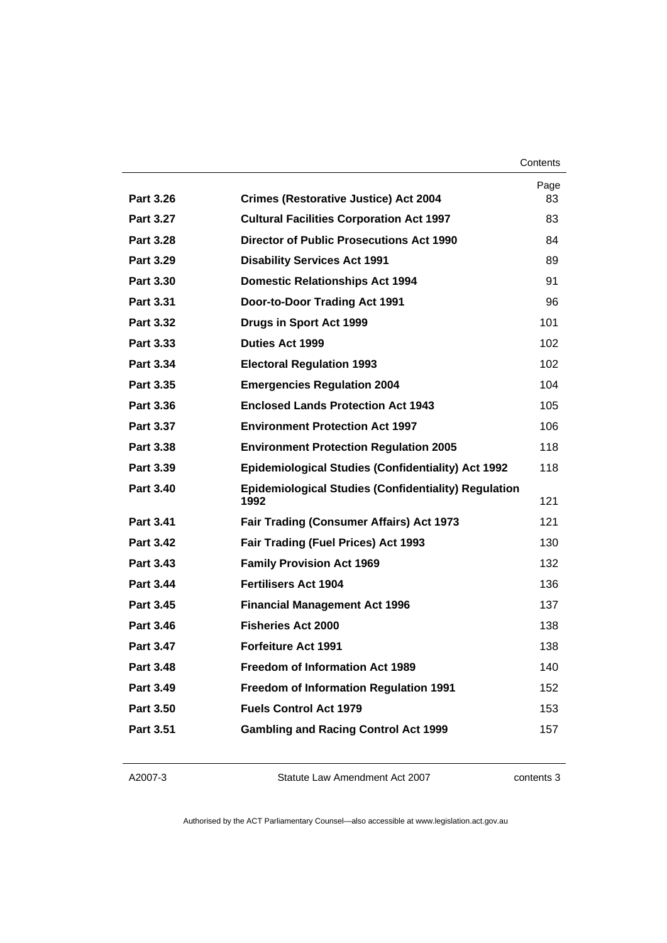| Contents |
|----------|
|----------|

|                  |                                                                     | Page |
|------------------|---------------------------------------------------------------------|------|
| Part 3.26        | <b>Crimes (Restorative Justice) Act 2004</b>                        | 83   |
| Part 3.27        | <b>Cultural Facilities Corporation Act 1997</b>                     | 83   |
| <b>Part 3.28</b> | <b>Director of Public Prosecutions Act 1990</b>                     | 84   |
| Part 3.29        | <b>Disability Services Act 1991</b>                                 | 89   |
| <b>Part 3.30</b> | <b>Domestic Relationships Act 1994</b>                              | 91   |
| Part 3.31        | Door-to-Door Trading Act 1991                                       | 96   |
| Part 3.32        | Drugs in Sport Act 1999                                             | 101  |
| Part 3.33        | <b>Duties Act 1999</b>                                              | 102  |
| Part 3.34        | <b>Electoral Regulation 1993</b>                                    | 102  |
| Part 3.35        | <b>Emergencies Regulation 2004</b>                                  | 104  |
| Part 3.36        | <b>Enclosed Lands Protection Act 1943</b>                           | 105  |
| Part 3.37        | <b>Environment Protection Act 1997</b>                              | 106  |
| Part 3.38        | <b>Environment Protection Regulation 2005</b>                       | 118  |
| Part 3.39        | <b>Epidemiological Studies (Confidentiality) Act 1992</b>           | 118  |
| Part 3.40        | <b>Epidemiological Studies (Confidentiality) Regulation</b><br>1992 | 121  |
| <b>Part 3.41</b> | <b>Fair Trading (Consumer Affairs) Act 1973</b>                     | 121  |
| <b>Part 3.42</b> | <b>Fair Trading (Fuel Prices) Act 1993</b>                          | 130  |
| Part 3.43        | <b>Family Provision Act 1969</b>                                    | 132  |
| <b>Part 3.44</b> | <b>Fertilisers Act 1904</b>                                         | 136  |
| Part 3.45        | <b>Financial Management Act 1996</b>                                | 137  |
| Part 3.46        | <b>Fisheries Act 2000</b>                                           | 138  |
| <b>Part 3.47</b> | <b>Forfeiture Act 1991</b>                                          | 138  |
| <b>Part 3.48</b> | <b>Freedom of Information Act 1989</b>                              | 140  |
| Part 3.49        | <b>Freedom of Information Regulation 1991</b>                       | 152  |
| Part 3.50        | <b>Fuels Control Act 1979</b>                                       | 153  |
| <b>Part 3.51</b> | <b>Gambling and Racing Control Act 1999</b>                         | 157  |
|                  |                                                                     |      |

A2007-3

Statute Law Amendment Act 2007

contents 3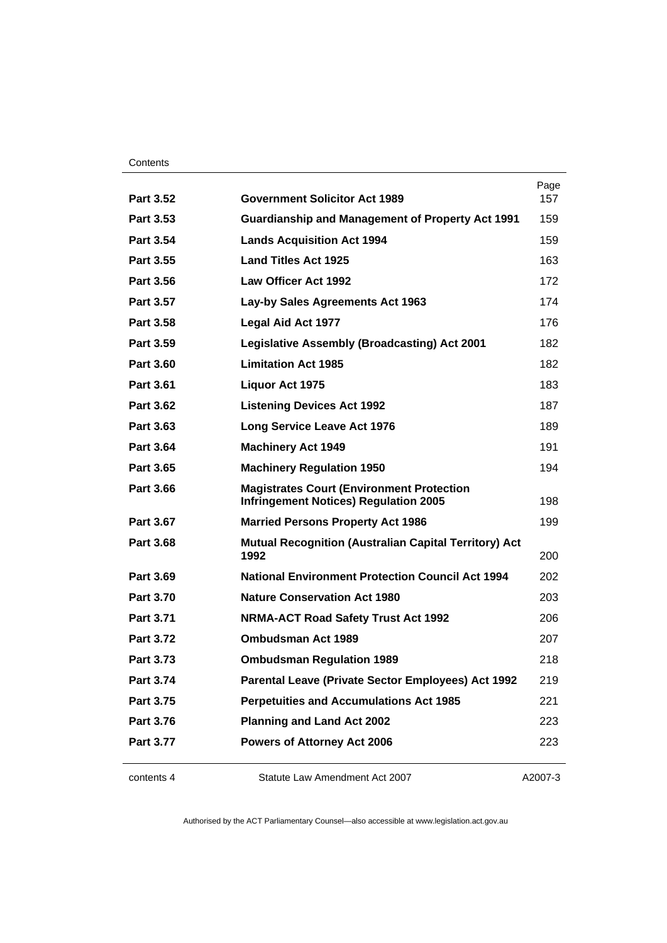#### **Contents**

| Part 3.52        | <b>Government Solicitor Act 1989</b>                                 | Page<br>157 |
|------------------|----------------------------------------------------------------------|-------------|
| <b>Part 3.53</b> | <b>Guardianship and Management of Property Act 1991</b>              | 159         |
| Part 3.54        | <b>Lands Acquisition Act 1994</b>                                    | 159         |
| Part 3.55        | <b>Land Titles Act 1925</b>                                          | 163         |
| Part 3.56        | Law Officer Act 1992                                                 | 172         |
| Part 3.57        | Lay-by Sales Agreements Act 1963                                     | 174         |
| Part 3.58        | <b>Legal Aid Act 1977</b>                                            | 176         |
| Part 3.59        | <b>Legislative Assembly (Broadcasting) Act 2001</b>                  | 182         |
| <b>Part 3.60</b> | <b>Limitation Act 1985</b>                                           | 182         |
| <b>Part 3.61</b> | Liquor Act 1975                                                      | 183         |
| <b>Part 3.62</b> | <b>Listening Devices Act 1992</b>                                    | 187         |
| Part 3.63        | <b>Long Service Leave Act 1976</b>                                   | 189         |
| Part 3.64        | <b>Machinery Act 1949</b>                                            | 191         |
| Part 3.65        | <b>Machinery Regulation 1950</b>                                     | 194         |
| <b>Part 3.66</b> | <b>Magistrates Court (Environment Protection</b>                     |             |
|                  | <b>Infringement Notices) Regulation 2005</b>                         | 198         |
| <b>Part 3.67</b> | <b>Married Persons Property Act 1986</b>                             | 199         |
| <b>Part 3.68</b> | <b>Mutual Recognition (Australian Capital Territory) Act</b><br>1992 | 200         |
| <b>Part 3.69</b> | <b>National Environment Protection Council Act 1994</b>              | 202         |
| <b>Part 3.70</b> | <b>Nature Conservation Act 1980</b>                                  | 203         |
| Part 3.71        | <b>NRMA-ACT Road Safety Trust Act 1992</b>                           | 206         |
| <b>Part 3.72</b> | <b>Ombudsman Act 1989</b>                                            | 207         |
| Part 3.73        | <b>Ombudsman Regulation 1989</b>                                     | 218         |
| Part 3.74        | Parental Leave (Private Sector Employees) Act 1992                   | 219         |
| <b>Part 3.75</b> | <b>Perpetuities and Accumulations Act 1985</b>                       | 221         |
| <b>Part 3.76</b> | <b>Planning and Land Act 2002</b>                                    | 223         |
| <b>Part 3.77</b> | <b>Powers of Attorney Act 2006</b>                                   | 223         |
|                  |                                                                      |             |

contents 4 Statute Law Amendment Act 2007

A2007-3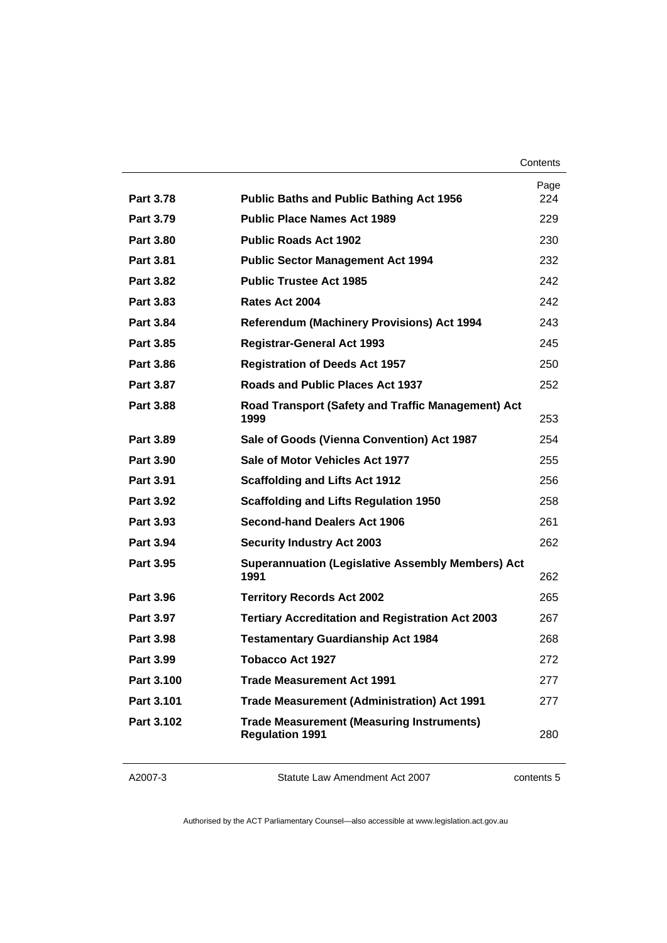|                  |                                                                            | Page |
|------------------|----------------------------------------------------------------------------|------|
| <b>Part 3.78</b> | <b>Public Baths and Public Bathing Act 1956</b>                            | 224  |
| Part 3.79        | <b>Public Place Names Act 1989</b>                                         | 229  |
| <b>Part 3.80</b> | <b>Public Roads Act 1902</b>                                               | 230  |
| <b>Part 3.81</b> | <b>Public Sector Management Act 1994</b>                                   | 232  |
| <b>Part 3.82</b> | <b>Public Trustee Act 1985</b>                                             | 242  |
| Part 3.83        | Rates Act 2004                                                             | 242  |
| Part 3.84        | <b>Referendum (Machinery Provisions) Act 1994</b>                          | 243  |
| Part 3.85        | <b>Registrar-General Act 1993</b>                                          | 245  |
| <b>Part 3.86</b> | <b>Registration of Deeds Act 1957</b>                                      | 250  |
| <b>Part 3.87</b> | Roads and Public Places Act 1937                                           | 252  |
| <b>Part 3.88</b> | Road Transport (Safety and Traffic Management) Act<br>1999                 | 253  |
| Part 3.89        | Sale of Goods (Vienna Convention) Act 1987                                 | 254  |
| Part 3.90        | Sale of Motor Vehicles Act 1977                                            | 255  |
| <b>Part 3.91</b> | <b>Scaffolding and Lifts Act 1912</b>                                      | 256  |
| Part 3.92        | <b>Scaffolding and Lifts Regulation 1950</b>                               | 258  |
| Part 3.93        | Second-hand Dealers Act 1906                                               | 261  |
| <b>Part 3.94</b> | <b>Security Industry Act 2003</b>                                          | 262  |
| Part 3.95        | <b>Superannuation (Legislative Assembly Members) Act</b><br>1991           | 262  |
| Part 3.96        | <b>Territory Records Act 2002</b>                                          | 265  |
| Part 3.97        | <b>Tertiary Accreditation and Registration Act 2003</b>                    | 267  |
| Part 3.98        | <b>Testamentary Guardianship Act 1984</b>                                  | 268  |
| Part 3.99        | Tobacco Act 1927                                                           | 272  |
| Part 3.100       | <b>Trade Measurement Act 1991</b>                                          | 277  |
| Part 3.101       | <b>Trade Measurement (Administration) Act 1991</b>                         | 277  |
| Part 3.102       | <b>Trade Measurement (Measuring Instruments)</b><br><b>Regulation 1991</b> | 280  |
|                  |                                                                            |      |

Statute Law Amendment Act 2007

contents 5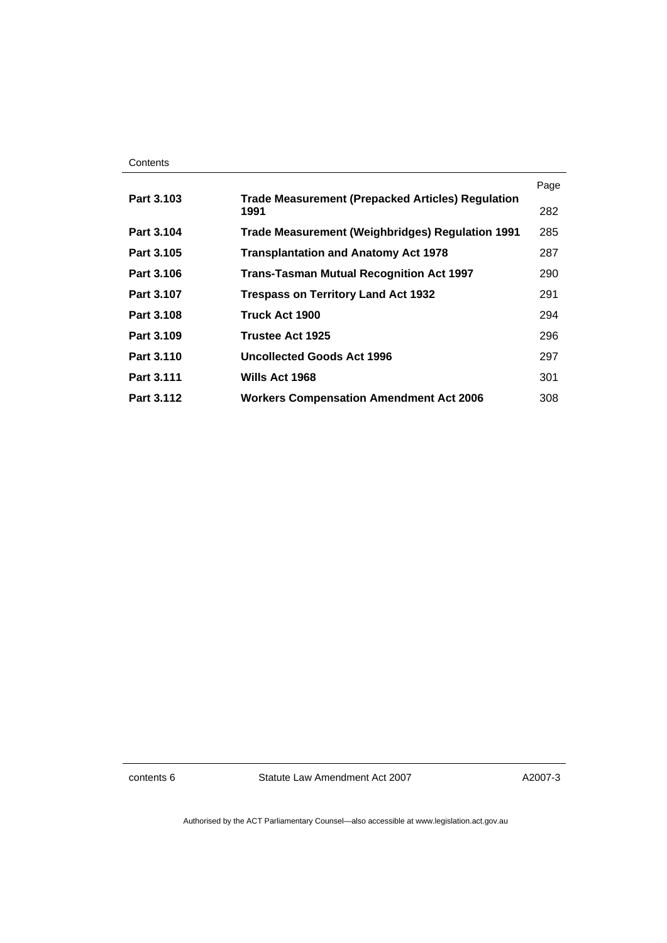| Contents |
|----------|
|----------|

|            |                                                                  | Page |
|------------|------------------------------------------------------------------|------|
| Part 3.103 | <b>Trade Measurement (Prepacked Articles) Regulation</b><br>1991 | 282  |
| Part 3.104 | Trade Measurement (Weighbridges) Regulation 1991                 | 285  |
| Part 3.105 | <b>Transplantation and Anatomy Act 1978</b>                      | 287  |
| Part 3.106 | <b>Trans-Tasman Mutual Recognition Act 1997</b>                  | 290  |
| Part 3.107 | <b>Trespass on Territory Land Act 1932</b>                       | 291  |
| Part 3.108 | <b>Truck Act 1900</b>                                            | 294  |
| Part 3.109 | Trustee Act 1925                                                 | 296  |
| Part 3.110 | <b>Uncollected Goods Act 1996</b>                                | 297  |
| Part 3.111 | Wills Act 1968                                                   | 301  |
| Part 3.112 | <b>Workers Compensation Amendment Act 2006</b>                   | 308  |

contents 6 Statute Law Amendment Act 2007

A2007-3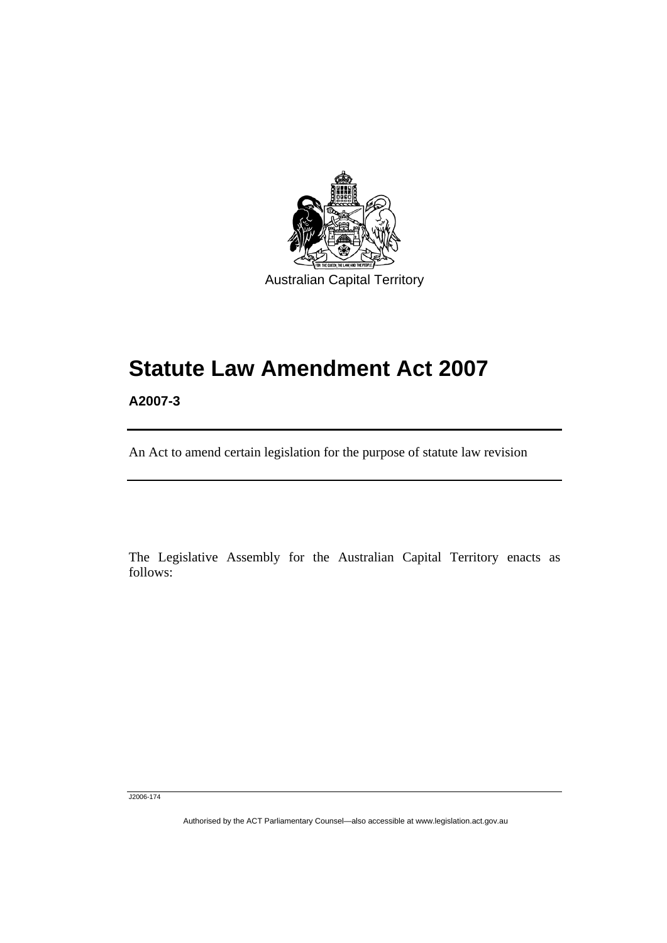

# **Statute Law Amendment Act 2007**

**A2007-3** 

ׅ֚֡֡֡֡֬֝

An Act to amend certain legislation for the purpose of statute law revision

The Legislative Assembly for the Australian Capital Territory enacts as follows:

J2006-174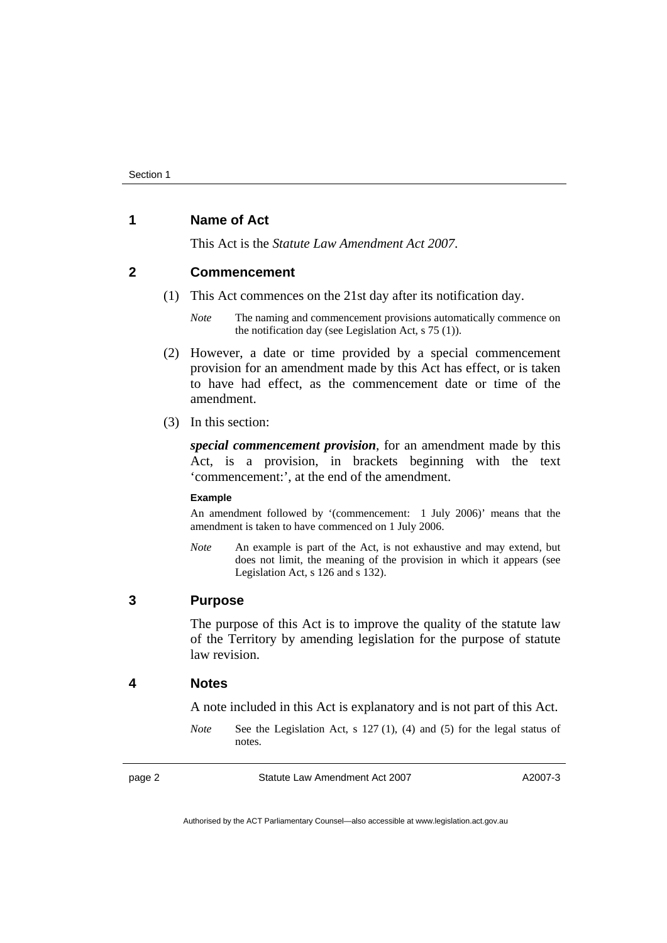#### **1 Name of Act**

This Act is the *Statute Law Amendment Act 2007*.

#### **2 Commencement**

(1) This Act commences on the 21st day after its notification day.

*Note* The naming and commencement provisions automatically commence on the notification day (see Legislation Act, s 75 (1)).

- (2) However, a date or time provided by a special commencement provision for an amendment made by this Act has effect, or is taken to have had effect, as the commencement date or time of the amendment.
- (3) In this section:

*special commencement provision*, for an amendment made by this Act, is a provision, in brackets beginning with the text 'commencement:', at the end of the amendment.

#### **Example**

An amendment followed by '(commencement: 1 July 2006)' means that the amendment is taken to have commenced on 1 July 2006.

*Note* An example is part of the Act, is not exhaustive and may extend, but does not limit, the meaning of the provision in which it appears (see Legislation Act, s 126 and s 132).

#### **3 Purpose**

The purpose of this Act is to improve the quality of the statute law of the Territory by amending legislation for the purpose of statute law revision.

#### **4 Notes**

A note included in this Act is explanatory and is not part of this Act.

*Note* See the Legislation Act, s 127 (1), (4) and (5) for the legal status of notes.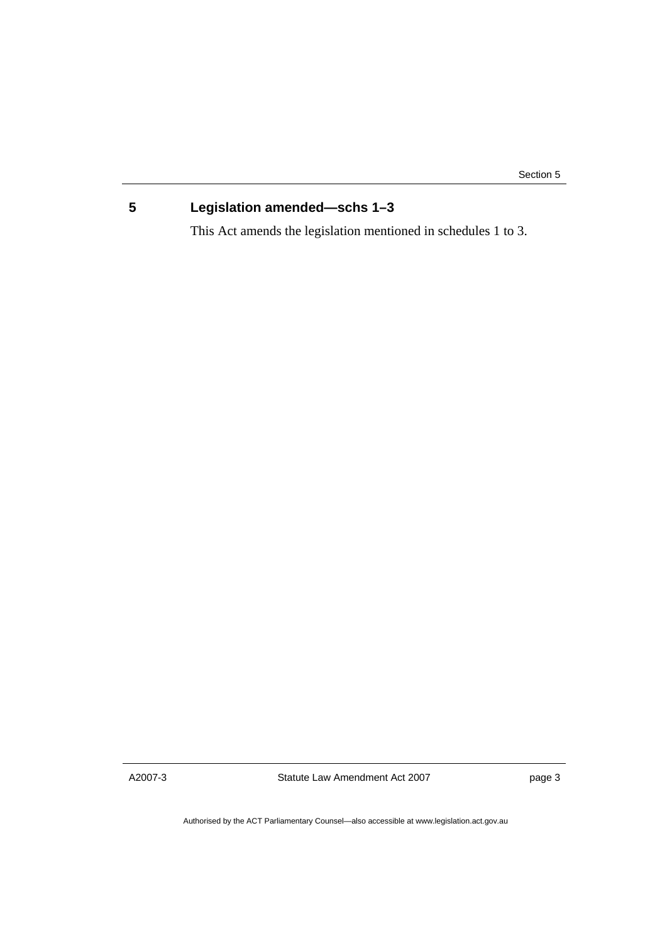Section 5

### **5 Legislation amended—schs 1–3**

This Act amends the legislation mentioned in schedules 1 to 3.

A2007-3

Statute Law Amendment Act 2007

page 3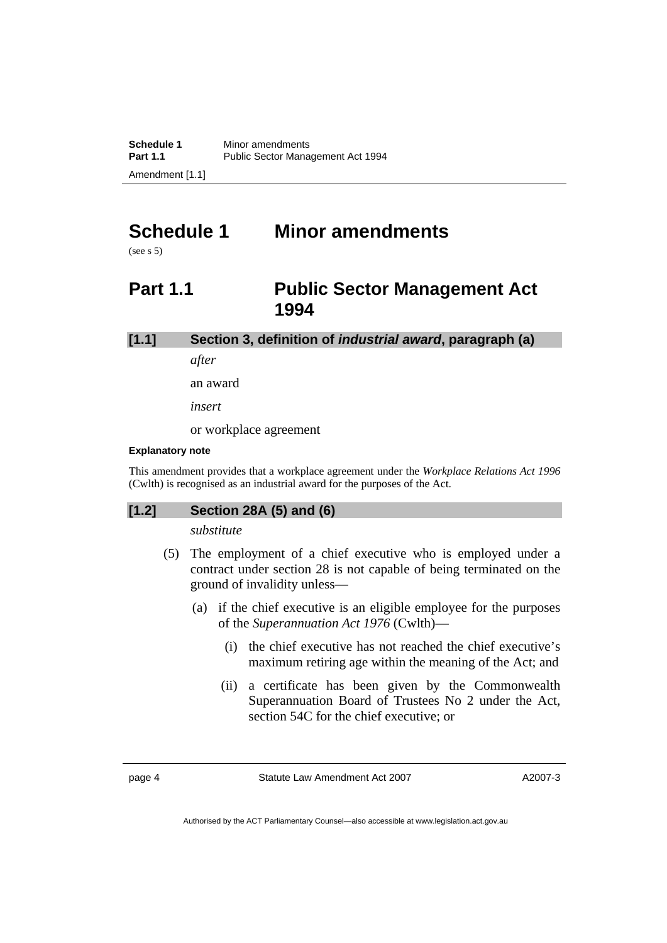## **Schedule 1 Minor amendments**

(see s 5)

### **Part 1.1 Public Sector Management Act 1994**

**[1.1] Section 3, definition of** *industrial award***, paragraph (a)** 

*after* 

an award

*insert* 

or workplace agreement

#### **Explanatory note**

This amendment provides that a workplace agreement under the *Workplace Relations Act 1996* (Cwlth) is recognised as an industrial award for the purposes of the Act.

#### **[1.2] Section 28A (5) and (6)**

*substitute* 

- (5) The employment of a chief executive who is employed under a contract under section 28 is not capable of being terminated on the ground of invalidity unless—
	- (a) if the chief executive is an eligible employee for the purposes of the *Superannuation Act 1976* (Cwlth)—
		- (i) the chief executive has not reached the chief executive's maximum retiring age within the meaning of the Act; and
		- (ii) a certificate has been given by the Commonwealth Superannuation Board of Trustees No 2 under the Act, section 54C for the chief executive; or

page 4 Statute Law Amendment Act 2007

A2007-3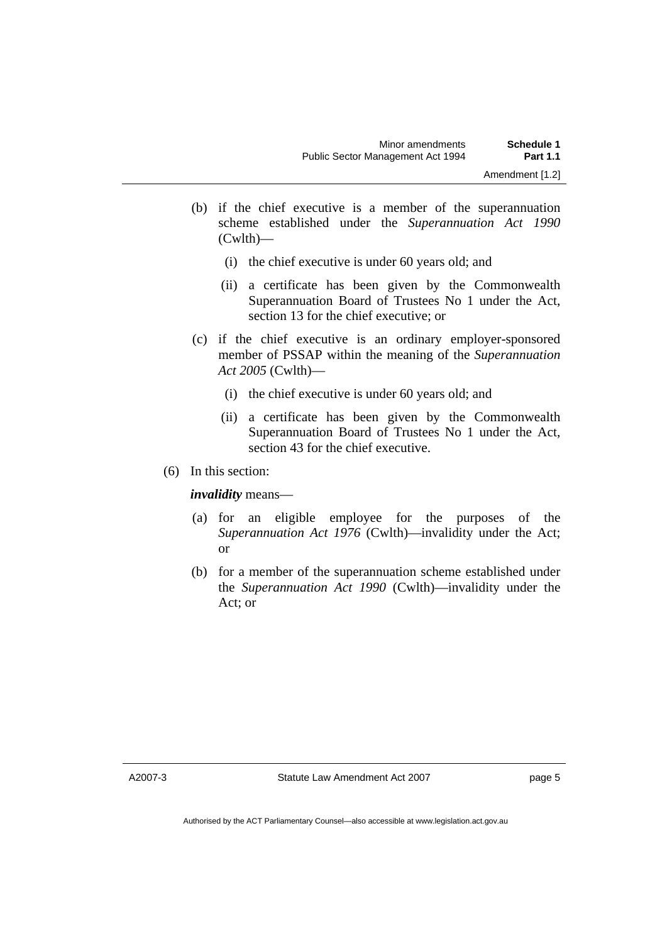- (b) if the chief executive is a member of the superannuation scheme established under the *Superannuation Act 1990* (Cwlth)—
	- (i) the chief executive is under 60 years old; and
	- (ii) a certificate has been given by the Commonwealth Superannuation Board of Trustees No 1 under the Act, section 13 for the chief executive; or
- (c) if the chief executive is an ordinary employer-sponsored member of PSSAP within the meaning of the *Superannuation Act 2005* (Cwlth)—
	- (i) the chief executive is under 60 years old; and
	- (ii) a certificate has been given by the Commonwealth Superannuation Board of Trustees No 1 under the Act, section 43 for the chief executive.
- (6) In this section:

*invalidity* means—

- (a) for an eligible employee for the purposes of the *Superannuation Act 1976* (Cwlth)—invalidity under the Act; or
- (b) for a member of the superannuation scheme established under the *Superannuation Act 1990* (Cwlth)—invalidity under the Act; or

A2007-3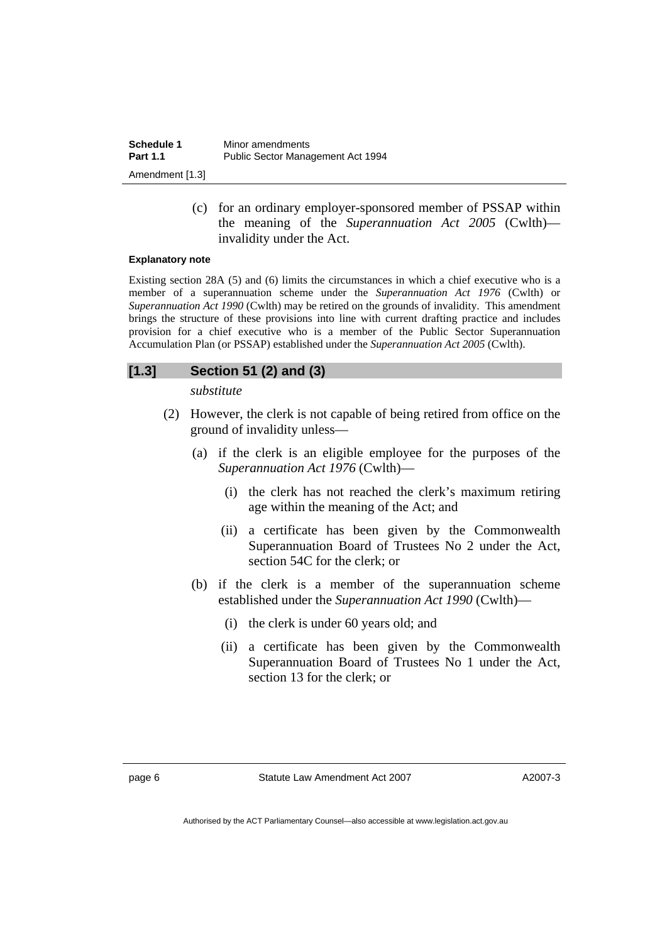| Schedule 1      | Minor amendments                  |
|-----------------|-----------------------------------|
| <b>Part 1.1</b> | Public Sector Management Act 1994 |
| Amendment [1.3] |                                   |

 (c) for an ordinary employer-sponsored member of PSSAP within the meaning of the *Superannuation Act 2005* (Cwlth) invalidity under the Act.

#### **Explanatory note**

Existing section 28A (5) and (6) limits the circumstances in which a chief executive who is a member of a superannuation scheme under the *Superannuation Act 1976* (Cwlth) or *Superannuation Act 1990* (Cwlth) may be retired on the grounds of invalidity. This amendment brings the structure of these provisions into line with current drafting practice and includes provision for a chief executive who is a member of the Public Sector Superannuation Accumulation Plan (or PSSAP) established under the *Superannuation Act 2005* (Cwlth).

#### **[1.3] Section 51 (2) and (3)**

*substitute* 

- (2) However, the clerk is not capable of being retired from office on the ground of invalidity unless—
	- (a) if the clerk is an eligible employee for the purposes of the *Superannuation Act 1976* (Cwlth)—
		- (i) the clerk has not reached the clerk's maximum retiring age within the meaning of the Act; and
		- (ii) a certificate has been given by the Commonwealth Superannuation Board of Trustees No 2 under the Act, section 54C for the clerk; or
	- (b) if the clerk is a member of the superannuation scheme established under the *Superannuation Act 1990* (Cwlth)—
		- (i) the clerk is under 60 years old; and
		- (ii) a certificate has been given by the Commonwealth Superannuation Board of Trustees No 1 under the Act, section 13 for the clerk; or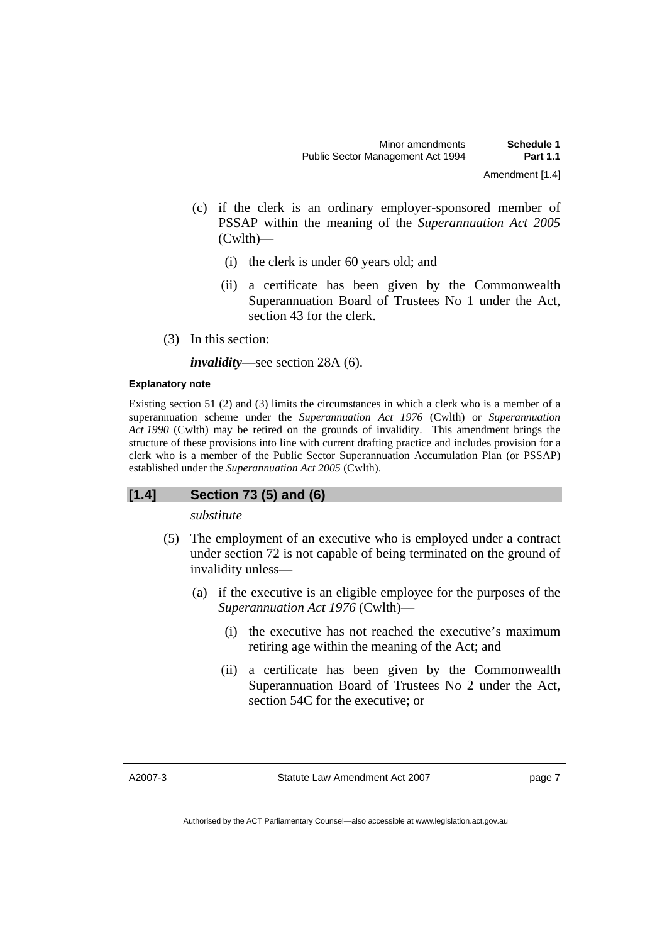- (c) if the clerk is an ordinary employer-sponsored member of PSSAP within the meaning of the *Superannuation Act 2005* (Cwlth)—
	- (i) the clerk is under 60 years old; and
	- (ii) a certificate has been given by the Commonwealth Superannuation Board of Trustees No 1 under the Act, section 43 for the clerk.
- (3) In this section:

*invalidity*—see section 28A (6).

#### **Explanatory note**

Existing section 51 (2) and (3) limits the circumstances in which a clerk who is a member of a superannuation scheme under the *Superannuation Act 1976* (Cwlth) or *Superannuation Act 1990* (Cwlth) may be retired on the grounds of invalidity. This amendment brings the structure of these provisions into line with current drafting practice and includes provision for a clerk who is a member of the Public Sector Superannuation Accumulation Plan (or PSSAP) established under the *Superannuation Act 2005* (Cwlth).

#### **[1.4] Section 73 (5) and (6)**

*substitute* 

- (5) The employment of an executive who is employed under a contract under section 72 is not capable of being terminated on the ground of invalidity unless—
	- (a) if the executive is an eligible employee for the purposes of the *Superannuation Act 1976* (Cwlth)—
		- (i) the executive has not reached the executive's maximum retiring age within the meaning of the Act; and
		- (ii) a certificate has been given by the Commonwealth Superannuation Board of Trustees No 2 under the Act, section 54C for the executive; or

A2007-3

Statute Law Amendment Act 2007

page 7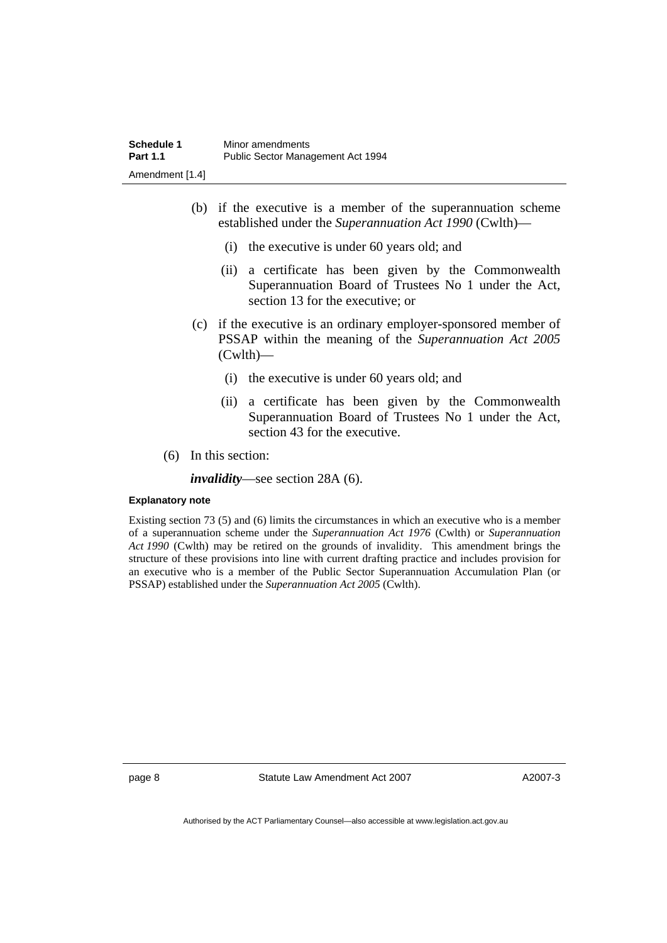- (b) if the executive is a member of the superannuation scheme established under the *Superannuation Act 1990* (Cwlth)—
	- (i) the executive is under 60 years old; and
	- (ii) a certificate has been given by the Commonwealth Superannuation Board of Trustees No 1 under the Act, section 13 for the executive; or
- (c) if the executive is an ordinary employer-sponsored member of PSSAP within the meaning of the *Superannuation Act 2005* (Cwlth)—
	- (i) the executive is under 60 years old; and
	- (ii) a certificate has been given by the Commonwealth Superannuation Board of Trustees No 1 under the Act, section 43 for the executive.
- (6) In this section:

*invalidity*—see section 28A (6).

#### **Explanatory note**

Existing section 73 (5) and (6) limits the circumstances in which an executive who is a member of a superannuation scheme under the *Superannuation Act 1976* (Cwlth) or *Superannuation Act 1990* (Cwlth) may be retired on the grounds of invalidity. This amendment brings the structure of these provisions into line with current drafting practice and includes provision for an executive who is a member of the Public Sector Superannuation Accumulation Plan (or PSSAP) established under the *Superannuation Act 2005* (Cwlth).

page 8 Statute Law Amendment Act 2007

A2007-3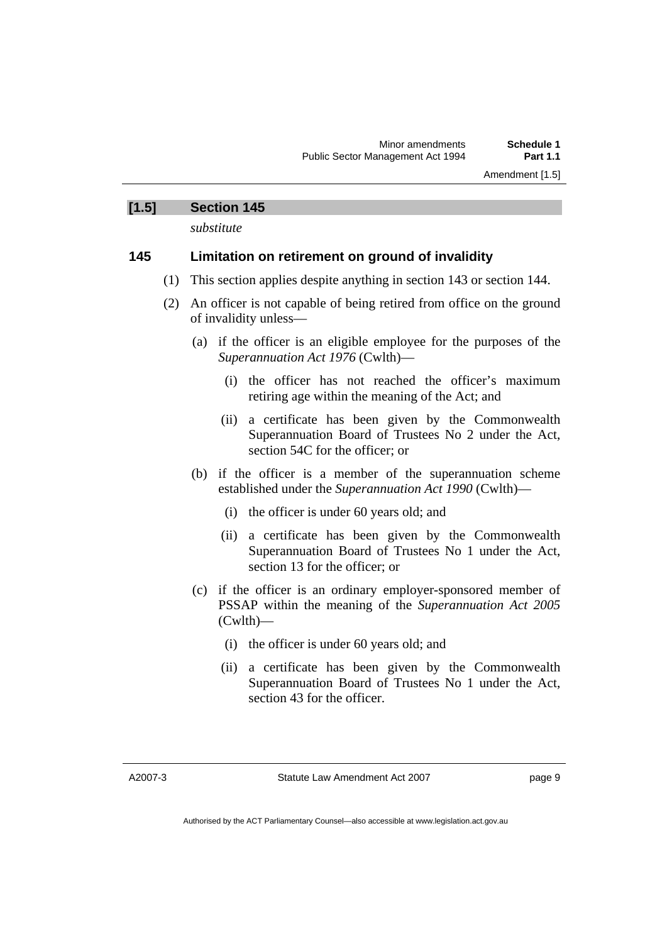Amendment [1.5]

#### **[1.5] Section 145**

*substitute* 

#### **145 Limitation on retirement on ground of invalidity**

- (1) This section applies despite anything in section 143 or section 144.
- (2) An officer is not capable of being retired from office on the ground of invalidity unless—
	- (a) if the officer is an eligible employee for the purposes of the *Superannuation Act 1976* (Cwlth)—
		- (i) the officer has not reached the officer's maximum retiring age within the meaning of the Act; and
		- (ii) a certificate has been given by the Commonwealth Superannuation Board of Trustees No 2 under the Act, section 54C for the officer: or
	- (b) if the officer is a member of the superannuation scheme established under the *Superannuation Act 1990* (Cwlth)—
		- (i) the officer is under 60 years old; and
		- (ii) a certificate has been given by the Commonwealth Superannuation Board of Trustees No 1 under the Act, section 13 for the officer; or
	- (c) if the officer is an ordinary employer-sponsored member of PSSAP within the meaning of the *Superannuation Act 2005* (Cwlth)—
		- (i) the officer is under 60 years old; and
		- (ii) a certificate has been given by the Commonwealth Superannuation Board of Trustees No 1 under the Act, section 43 for the officer.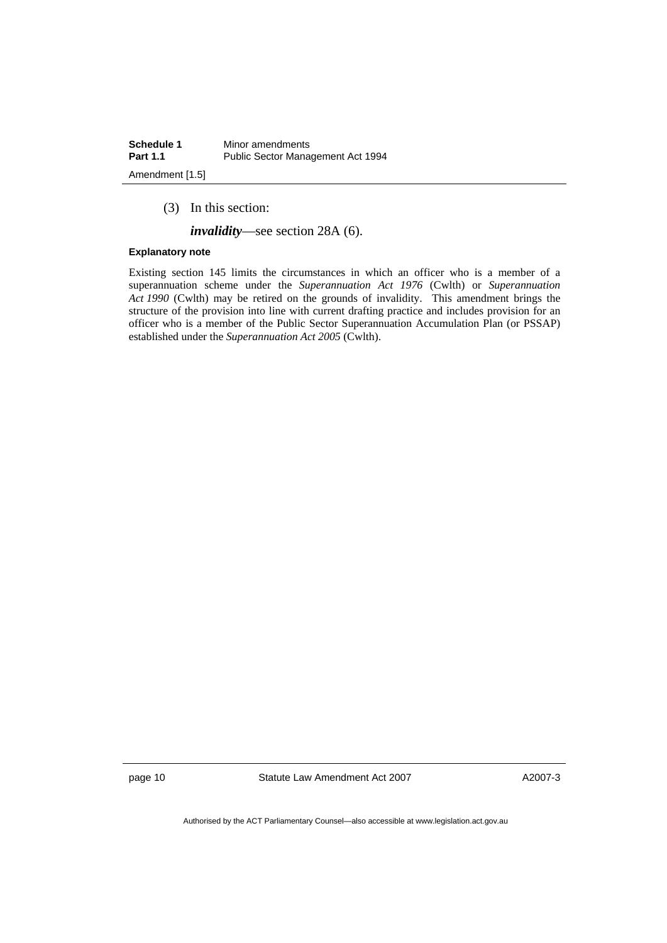| Schedule 1      | Minor amendments                  |
|-----------------|-----------------------------------|
| <b>Part 1.1</b> | Public Sector Management Act 1994 |
| Amendment [1.5] |                                   |

(3) In this section:

*invalidity*—see section 28A (6).

#### **Explanatory note**

Existing section 145 limits the circumstances in which an officer who is a member of a superannuation scheme under the *Superannuation Act 1976* (Cwlth) or *Superannuation Act 1990* (Cwlth) may be retired on the grounds of invalidity. This amendment brings the structure of the provision into line with current drafting practice and includes provision for an officer who is a member of the Public Sector Superannuation Accumulation Plan (or PSSAP) established under the *Superannuation Act 2005* (Cwlth).

page 10 Statute Law Amendment Act 2007

A2007-3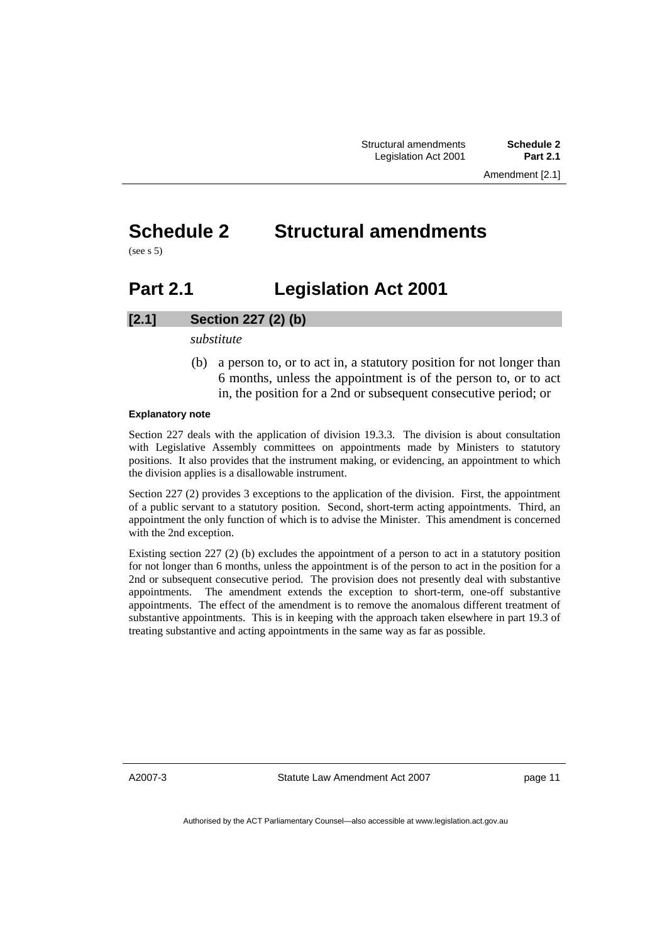## **Schedule 2 Structural amendments**

(see s 5)

## **Part 2.1 Legislation Act 2001**

#### **[2.1] Section 227 (2) (b)**

*substitute* 

 (b) a person to, or to act in, a statutory position for not longer than 6 months, unless the appointment is of the person to, or to act in, the position for a 2nd or subsequent consecutive period; or

#### **Explanatory note**

Section 227 deals with the application of division 19.3.3. The division is about consultation with Legislative Assembly committees on appointments made by Ministers to statutory positions. It also provides that the instrument making, or evidencing, an appointment to which the division applies is a disallowable instrument.

Section 227 (2) provides 3 exceptions to the application of the division. First, the appointment of a public servant to a statutory position. Second, short-term acting appointments. Third, an appointment the only function of which is to advise the Minister. This amendment is concerned with the 2nd exception.

Existing section 227 (2) (b) excludes the appointment of a person to act in a statutory position for not longer than 6 months, unless the appointment is of the person to act in the position for a 2nd or subsequent consecutive period. The provision does not presently deal with substantive appointments. The amendment extends the exception to short-term, one-off substantive appointments. The effect of the amendment is to remove the anomalous different treatment of substantive appointments. This is in keeping with the approach taken elsewhere in part 19.3 of treating substantive and acting appointments in the same way as far as possible.

A2007-3

Statute Law Amendment Act 2007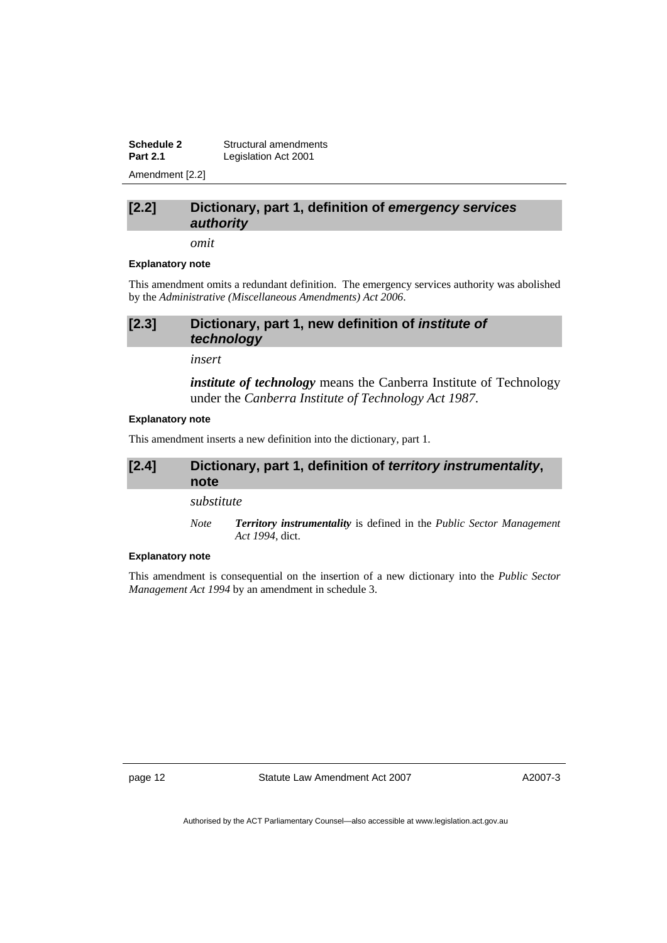**Schedule 2 Structural amendments**<br>**Part 2.1 Legislation Act 2001** Legislation Act 2001 Amendment [2.2]

#### **[2.2] Dictionary, part 1, definition of** *emergency services authority*

*omit* 

#### **Explanatory note**

This amendment omits a redundant definition. The emergency services authority was abolished by the *Administrative (Miscellaneous Amendments) Act 2006*.

#### **[2.3] Dictionary, part 1, new definition of** *institute of technology*

*insert* 

*institute of technology* means the Canberra Institute of Technology under the *Canberra Institute of Technology Act 1987*.

#### **Explanatory note**

This amendment inserts a new definition into the dictionary, part 1.

#### **[2.4] Dictionary, part 1, definition of** *territory instrumentality***, note**

*substitute* 

*Note Territory instrumentality* is defined in the *Public Sector Management Act 1994*, dict.

#### **Explanatory note**

This amendment is consequential on the insertion of a new dictionary into the *Public Sector Management Act 1994* by an amendment in schedule 3.

page 12 Statute Law Amendment Act 2007

A2007-3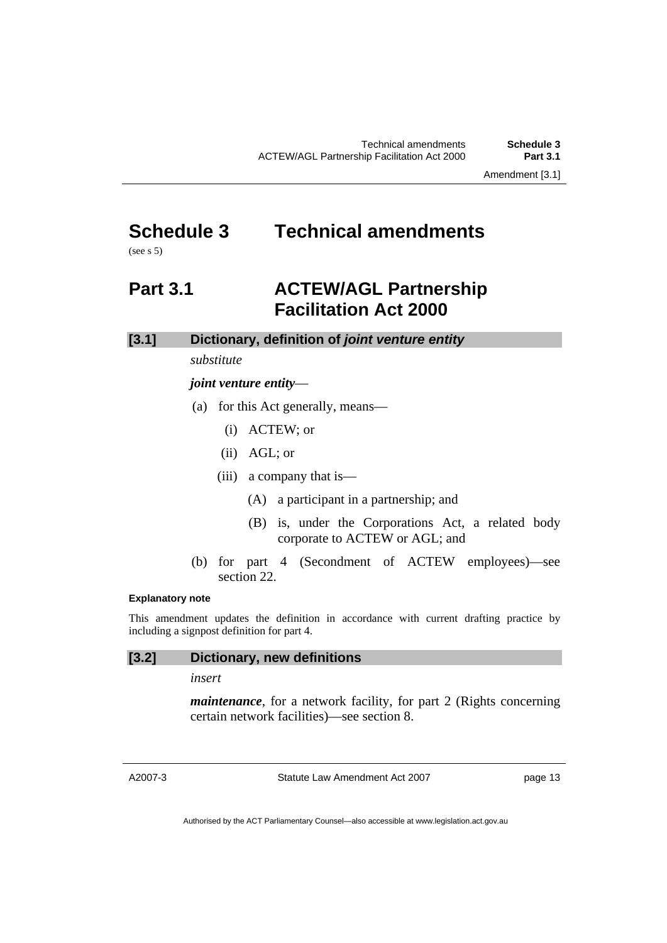Amendment [3.1]

## **Schedule 3 Technical amendments**

(see s 5)

### **Part 3.1 ACTEW/AGL Partnership Facilitation Act 2000**

#### **[3.1] Dictionary, definition of** *joint venture entity*

*substitute* 

#### *joint venture entity*—

- (a) for this Act generally, means—
	- (i) ACTEW; or
	- (ii) AGL; or
	- (iii) a company that is—
		- (A) a participant in a partnership; and
		- (B) is, under the Corporations Act, a related body corporate to ACTEW or AGL; and
- (b) for part 4 (Secondment of ACTEW employees)—see section 22.

#### **Explanatory note**

This amendment updates the definition in accordance with current drafting practice by including a signpost definition for part 4.

### **[3.2] Dictionary, new definitions**

*insert* 

*maintenance*, for a network facility, for part 2 (Rights concerning certain network facilities)—see section 8.

A2007-3

Statute Law Amendment Act 2007

page 13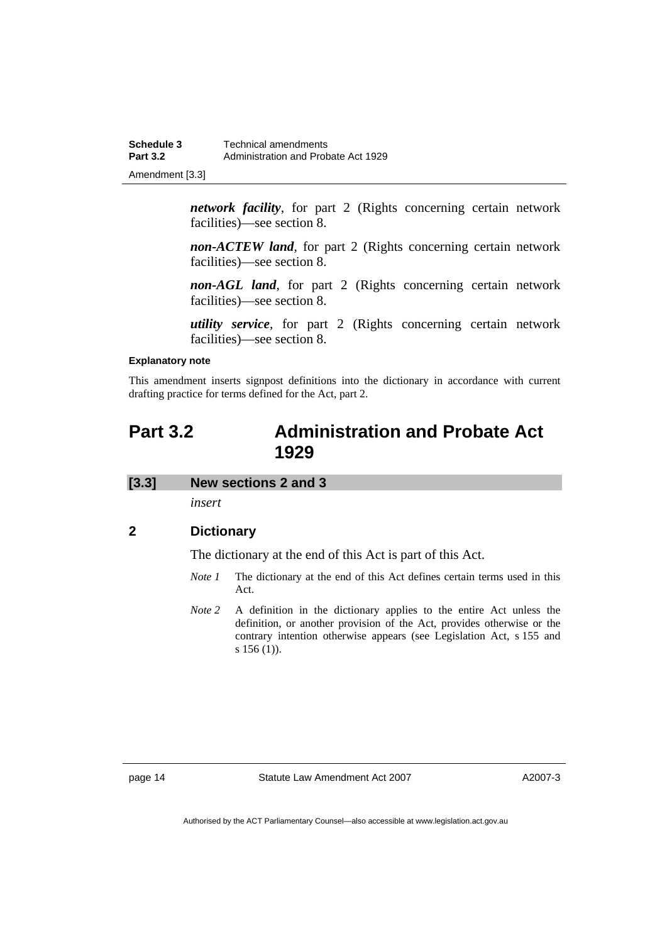| Schedule 3      | Technical amendments                |
|-----------------|-------------------------------------|
| <b>Part 3.2</b> | Administration and Probate Act 1929 |
| Amendment [3.3] |                                     |

*network facility*, for part 2 (Rights concerning certain network facilities)—see section 8.

*non-ACTEW land*, for part 2 (Rights concerning certain network facilities)—see section 8.

*non-AGL land*, for part 2 (Rights concerning certain network facilities)—see section 8.

*utility service*, for part 2 (Rights concerning certain network facilities)—see section 8.

#### **Explanatory note**

This amendment inserts signpost definitions into the dictionary in accordance with current drafting practice for terms defined for the Act, part 2.

### **Part 3.2 Administration and Probate Act 1929**

#### **[3.3] New sections 2 and 3**

*insert* 

#### **2 Dictionary**

The dictionary at the end of this Act is part of this Act.

- *Note 1* The dictionary at the end of this Act defines certain terms used in this Act.
- *Note 2* A definition in the dictionary applies to the entire Act unless the definition, or another provision of the Act, provides otherwise or the contrary intention otherwise appears (see Legislation Act, s 155 and s 156 (1)).

page 14 Statute Law Amendment Act 2007

A2007-3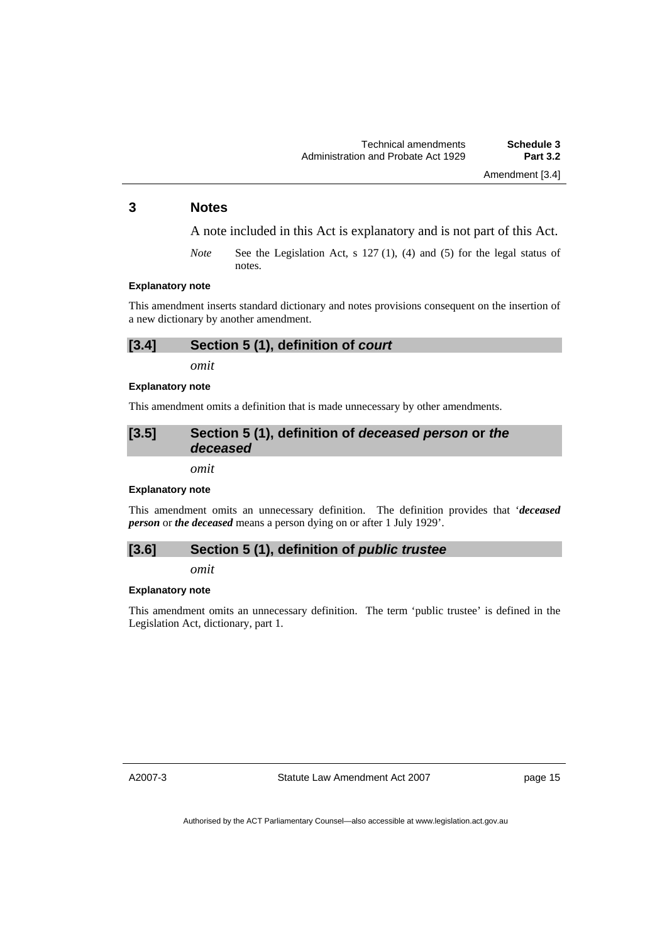Amendment [3.4]

#### **3 Notes**

A note included in this Act is explanatory and is not part of this Act.

*Note* See the Legislation Act, s 127 (1), (4) and (5) for the legal status of notes.

#### **Explanatory note**

This amendment inserts standard dictionary and notes provisions consequent on the insertion of a new dictionary by another amendment.

#### **[3.4] Section 5 (1), definition of** *court*

*omit* 

*omit* 

#### **Explanatory note**

This amendment omits a definition that is made unnecessary by other amendments.

#### **[3.5] Section 5 (1), definition of** *deceased person* **or** *the deceased*

**Explanatory note** 

This amendment omits an unnecessary definition. The definition provides that '*deceased person* or *the deceased* means a person dying on or after 1 July 1929'.

#### **[3.6] Section 5 (1), definition of** *public trustee*

*omit* 

#### **Explanatory note**

This amendment omits an unnecessary definition. The term 'public trustee' is defined in the Legislation Act, dictionary, part 1.

A2007-3

Statute Law Amendment Act 2007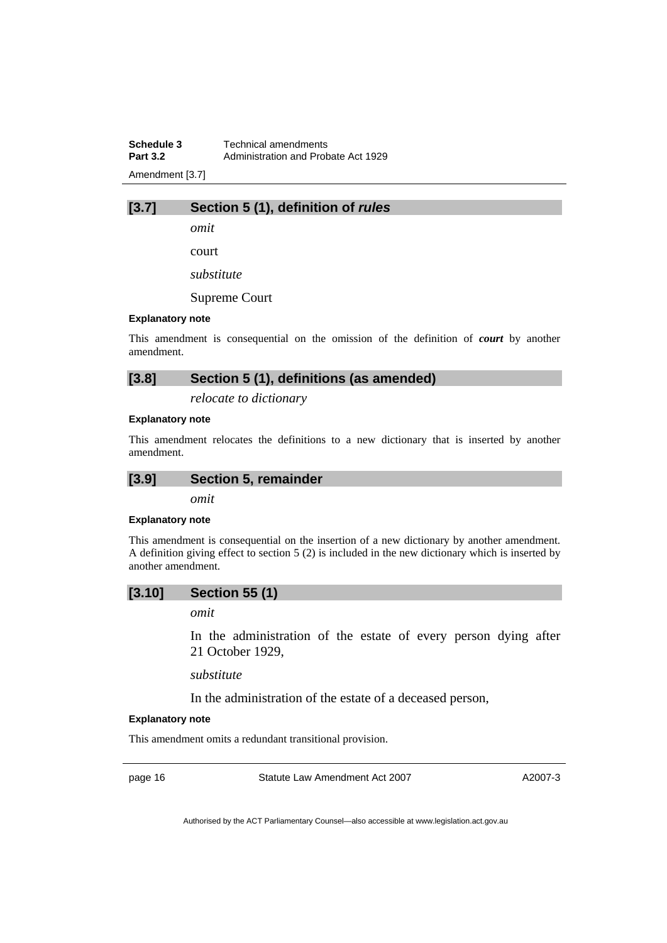**Schedule 3 Technical amendments**<br>**Part 3.2 Administration and Prob Part 3.2** Administration and Probate Act 1929 Amendment [3.7]

#### **[3.7] Section 5 (1), definition of** *rules*

*omit* 

court

*substitute* 

Supreme Court

#### **Explanatory note**

This amendment is consequential on the omission of the definition of *court* by another amendment.

#### **[3.8] Section 5 (1), definitions (as amended)**

*relocate to dictionary* 

#### **Explanatory note**

This amendment relocates the definitions to a new dictionary that is inserted by another amendment.

*omit* 

#### **Explanatory note**

This amendment is consequential on the insertion of a new dictionary by another amendment. A definition giving effect to section 5 (2) is included in the new dictionary which is inserted by another amendment.

#### **[3.10] Section 55 (1)**

*omit* 

In the administration of the estate of every person dying after 21 October 1929,

*substitute* 

In the administration of the estate of a deceased person,

#### **Explanatory note**

This amendment omits a redundant transitional provision.

page 16 Statute Law Amendment Act 2007

A2007-3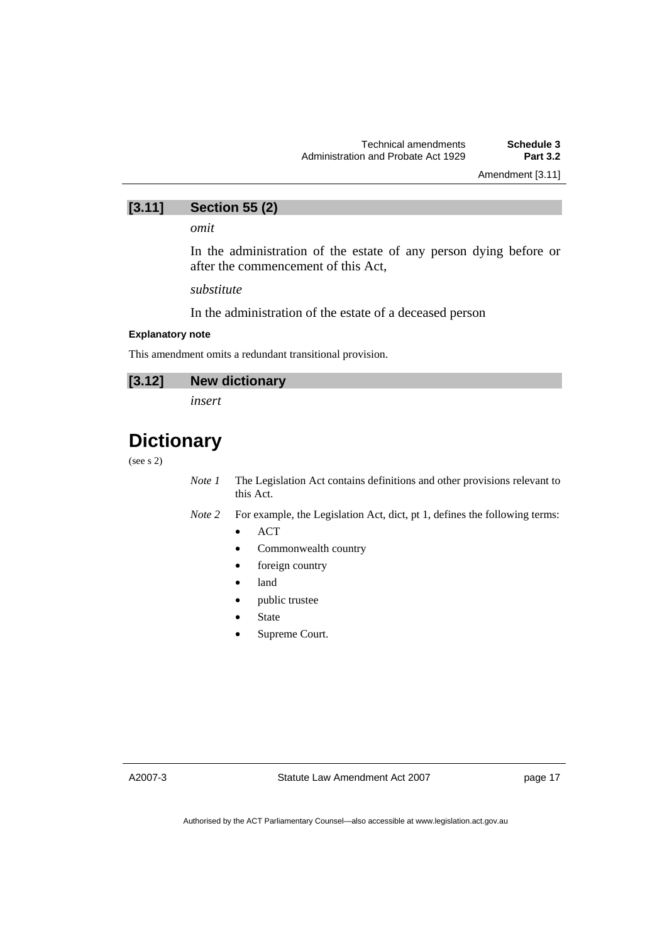Amendment [3.11]

## **[3.11] Section 55 (2)**

*omit* 

In the administration of the estate of any person dying before or after the commencement of this Act,

*substitute* 

In the administration of the estate of a deceased person

#### **Explanatory note**

This amendment omits a redundant transitional provision.

#### **[3.12] New dictionary**

*insert* 

## **Dictionary**

(see s 2)

*Note 1* The Legislation Act contains definitions and other provisions relevant to this Act.

*Note 2* For example, the Legislation Act, dict, pt 1, defines the following terms:

- ACT
- Commonwealth country
- foreign country
- land
- public trustee
- **State**
- Supreme Court.

A2007-3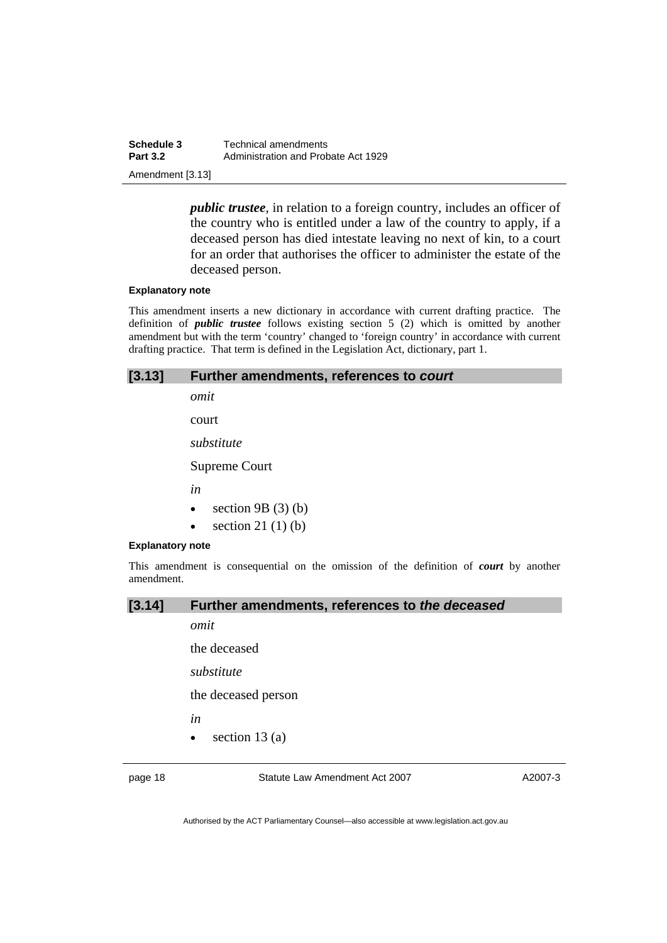| Schedule 3       | Technical amendments                |
|------------------|-------------------------------------|
| <b>Part 3.2</b>  | Administration and Probate Act 1929 |
| Amendment [3.13] |                                     |

*public trustee*, in relation to a foreign country, includes an officer of the country who is entitled under a law of the country to apply, if a deceased person has died intestate leaving no next of kin, to a court for an order that authorises the officer to administer the estate of the deceased person.

#### **Explanatory note**

This amendment inserts a new dictionary in accordance with current drafting practice. The definition of *public trustee* follows existing section 5 (2) which is omitted by another amendment but with the term 'country' changed to 'foreign country' in accordance with current drafting practice. That term is defined in the Legislation Act, dictionary, part 1.

#### **[3.13] Further amendments, references to** *court*

*omit* 

court

*substitute* 

Supreme Court

*in* 

- section  $9B(3)(b)$
- section  $21(1)(b)$

#### **Explanatory note**

This amendment is consequential on the omission of the definition of *court* by another amendment.

#### **[3.14] Further amendments, references to** *the deceased*

*omit* 

the deceased

*substitute* 

the deceased person

*in* 

section  $13(a)$ 

page 18 Statute Law Amendment Act 2007

A2007-3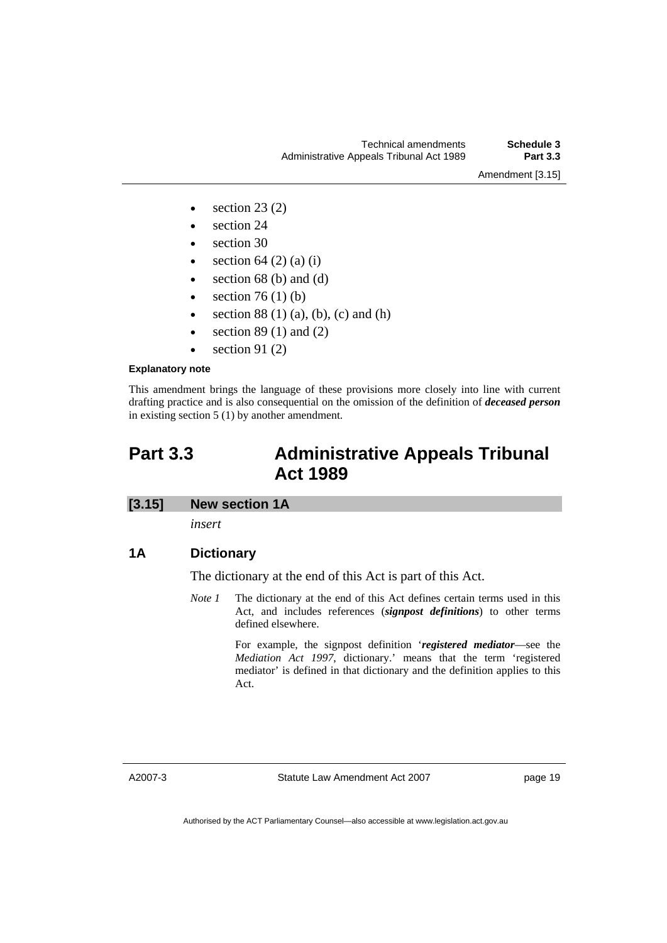- section  $23(2)$
- section 24
- section 30
- section  $64$  (2) (a) (i)
- section  $68$  (b) and (d)
- section  $76 (1) (b)$
- section  $88(1)(a)$ , (b), (c) and (h)
- section  $89(1)$  and  $(2)$
- section 91 $(2)$

#### **Explanatory note**

This amendment brings the language of these provisions more closely into line with current drafting practice and is also consequential on the omission of the definition of *deceased person* in existing section 5 (1) by another amendment.

### **Part 3.3 Administrative Appeals Tribunal Act 1989**

#### **[3.15] New section 1A**

*insert* 

#### **1A Dictionary**

The dictionary at the end of this Act is part of this Act.

*Note 1* The dictionary at the end of this Act defines certain terms used in this Act, and includes references (*signpost definitions*) to other terms defined elsewhere.

> For example, the signpost definition '*registered mediator*—see the *Mediation Act 1997*, dictionary.' means that the term 'registered mediator' is defined in that dictionary and the definition applies to this Act.

A2007-3

Statute Law Amendment Act 2007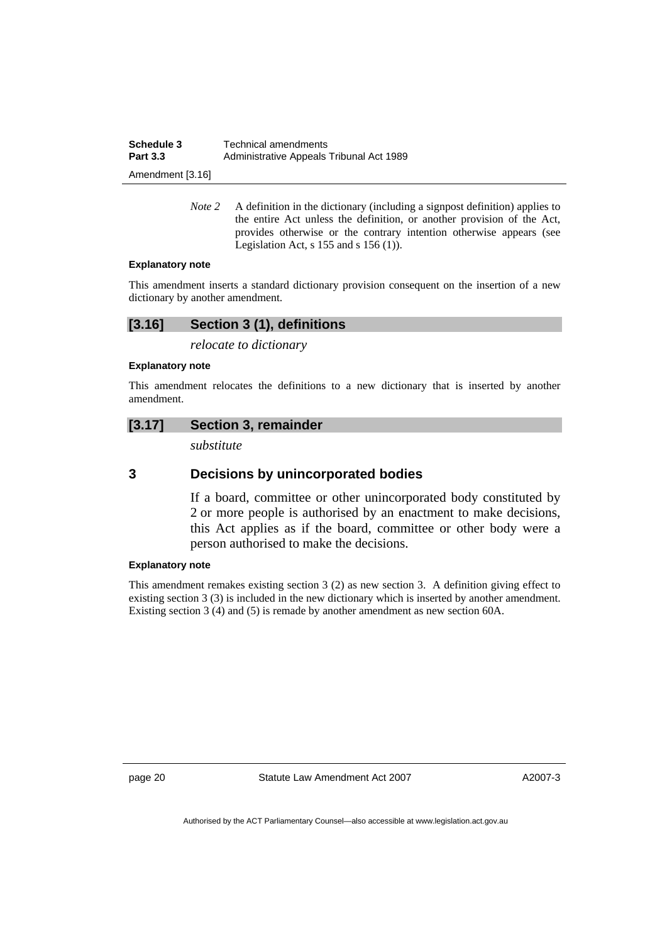| Schedule 3       | <b>Technical amendments</b>              |
|------------------|------------------------------------------|
| <b>Part 3.3</b>  | Administrative Appeals Tribunal Act 1989 |
| Amendment [3.16] |                                          |

*Note 2* A definition in the dictionary (including a signpost definition) applies to the entire Act unless the definition, or another provision of the Act, provides otherwise or the contrary intention otherwise appears (see Legislation Act,  $s$  155 and  $s$  156 (1)).

#### **Explanatory note**

This amendment inserts a standard dictionary provision consequent on the insertion of a new dictionary by another amendment.

#### **[3.16] Section 3 (1), definitions**

*relocate to dictionary* 

#### **Explanatory note**

This amendment relocates the definitions to a new dictionary that is inserted by another amendment.

#### **[3.17] Section 3, remainder**

*substitute* 

#### **3 Decisions by unincorporated bodies**

If a board, committee or other unincorporated body constituted by 2 or more people is authorised by an enactment to make decisions, this Act applies as if the board, committee or other body were a person authorised to make the decisions.

#### **Explanatory note**

This amendment remakes existing section 3 (2) as new section 3. A definition giving effect to existing section 3 (3) is included in the new dictionary which is inserted by another amendment. Existing section 3 (4) and (5) is remade by another amendment as new section 60A.

page 20 Statute Law Amendment Act 2007

A2007-3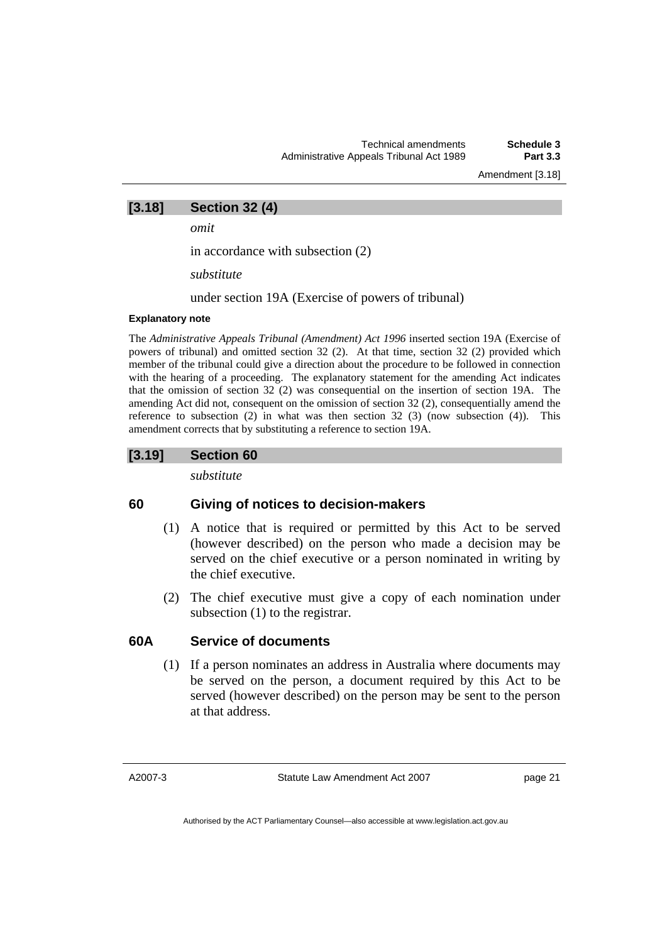#### **[3.18] Section 32 (4)**

*omit* 

in accordance with subsection (2)

*substitute* 

under section 19A (Exercise of powers of tribunal)

#### **Explanatory note**

The *Administrative Appeals Tribunal (Amendment) Act 1996* inserted section 19A (Exercise of powers of tribunal) and omitted section 32 (2). At that time, section 32 (2) provided which member of the tribunal could give a direction about the procedure to be followed in connection with the hearing of a proceeding. The explanatory statement for the amending Act indicates that the omission of section 32 (2) was consequential on the insertion of section 19A. The amending Act did not, consequent on the omission of section 32 (2), consequentially amend the reference to subsection  $(2)$  in what was then section  $(3)$   $(3)$  (now subsection  $(4)$ ). This amendment corrects that by substituting a reference to section 19A.

#### **[3.19] Section 60**

*substitute* 

#### **60 Giving of notices to decision-makers**

- (1) A notice that is required or permitted by this Act to be served (however described) on the person who made a decision may be served on the chief executive or a person nominated in writing by the chief executive.
- (2) The chief executive must give a copy of each nomination under subsection (1) to the registrar.

#### **60A Service of documents**

 (1) If a person nominates an address in Australia where documents may be served on the person, a document required by this Act to be served (however described) on the person may be sent to the person at that address.

A2007-3

Statute Law Amendment Act 2007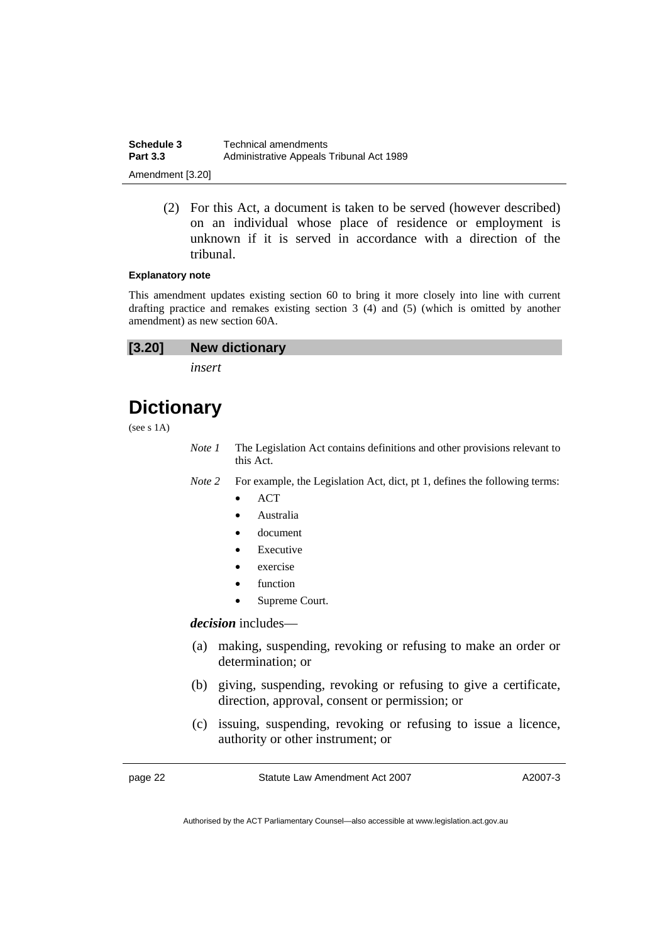| Schedule 3       | Technical amendments                     |
|------------------|------------------------------------------|
| <b>Part 3.3</b>  | Administrative Appeals Tribunal Act 1989 |
| Amendment [3.20] |                                          |

 (2) For this Act, a document is taken to be served (however described) on an individual whose place of residence or employment is unknown if it is served in accordance with a direction of the tribunal.

#### **Explanatory note**

This amendment updates existing section 60 to bring it more closely into line with current drafting practice and remakes existing section 3 (4) and (5) (which is omitted by another amendment) as new section 60A.

| [3.20]<br><b>New dictionary</b> |  |
|---------------------------------|--|
|---------------------------------|--|

*insert* 

## **Dictionary**

(see s 1A)

- *Note 1* The Legislation Act contains definitions and other provisions relevant to this Act.
- *Note 2* For example, the Legislation Act, dict, pt 1, defines the following terms:
	- ACT
	- Australia
	- document
	- **Executive**
	- exercise
	- **function**
	- Supreme Court.

#### *decision* includes—

- (a) making, suspending, revoking or refusing to make an order or determination; or
- (b) giving, suspending, revoking or refusing to give a certificate, direction, approval, consent or permission; or
- (c) issuing, suspending, revoking or refusing to issue a licence, authority or other instrument; or

page 22 Statute Law Amendment Act 2007

A2007-3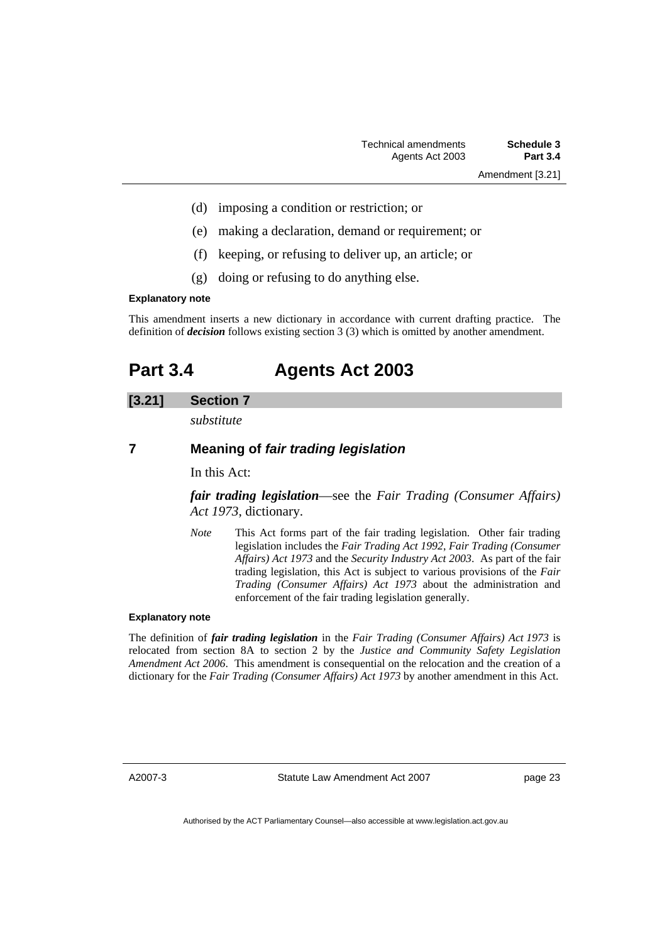- (d) imposing a condition or restriction; or
- (e) making a declaration, demand or requirement; or
- (f) keeping, or refusing to deliver up, an article; or
- (g) doing or refusing to do anything else.

#### **Explanatory note**

This amendment inserts a new dictionary in accordance with current drafting practice. The definition of *decision* follows existing section 3 (3) which is omitted by another amendment.

### **Part 3.4 Agents Act 2003**

#### **[3.21] Section 7**

*substitute* 

#### **7 Meaning of** *fair trading legislation*

In this Act:

*fair trading legislation*—see the *Fair Trading (Consumer Affairs) Act 1973*, dictionary.

*Note* This Act forms part of the fair trading legislation. Other fair trading legislation includes the *Fair Trading Act 1992*, *Fair Trading (Consumer Affairs) Act 1973* and the *Security Industry Act 2003*. As part of the fair trading legislation, this Act is subject to various provisions of the *Fair Trading (Consumer Affairs) Act 1973* about the administration and enforcement of the fair trading legislation generally.

#### **Explanatory note**

The definition of *fair trading legislation* in the *Fair Trading (Consumer Affairs) Act 1973* is relocated from section 8A to section 2 by the *Justice and Community Safety Legislation Amendment Act 2006*. This amendment is consequential on the relocation and the creation of a dictionary for the *Fair Trading (Consumer Affairs) Act 1973* by another amendment in this Act.

A2007-3

Statute Law Amendment Act 2007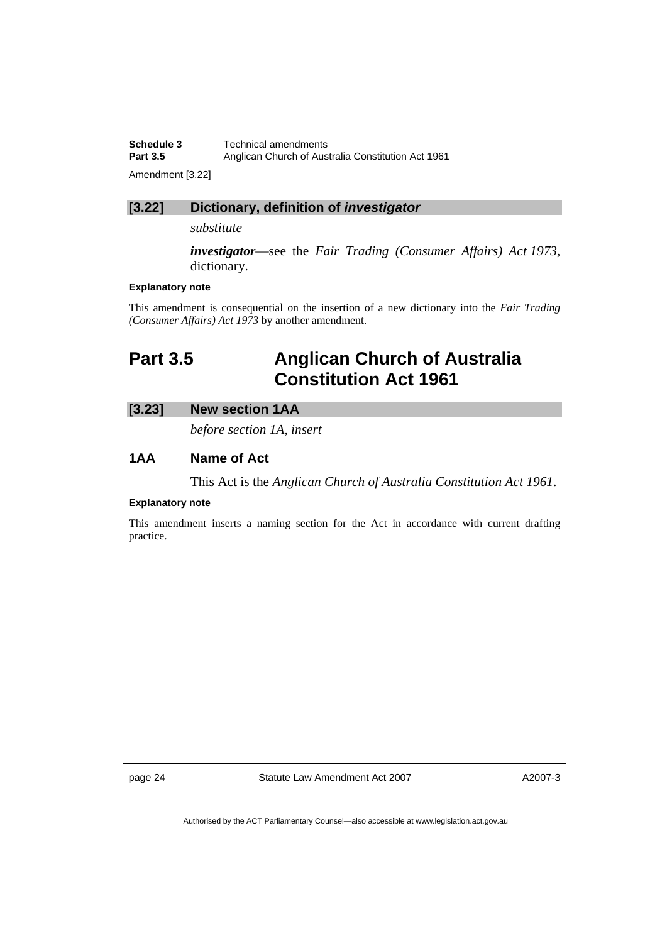| Schedule 3       | Technical amendments                               |
|------------------|----------------------------------------------------|
| <b>Part 3.5</b>  | Anglican Church of Australia Constitution Act 1961 |
| Amendment [3.22] |                                                    |

### **[3.22] Dictionary, definition of** *investigator*

*substitute* 

*investigator*—see the *Fair Trading (Consumer Affairs) Act 1973*, dictionary.

#### **Explanatory note**

This amendment is consequential on the insertion of a new dictionary into the *Fair Trading (Consumer Affairs) Act 1973* by another amendment.

## **Part 3.5 Anglican Church of Australia Constitution Act 1961**

#### **[3.23] New section 1AA**

*before section 1A, insert* 

#### **1AA Name of Act**

This Act is the *Anglican Church of Australia Constitution Act 1961*.

#### **Explanatory note**

This amendment inserts a naming section for the Act in accordance with current drafting practice.

page 24 Statute Law Amendment Act 2007

A2007-3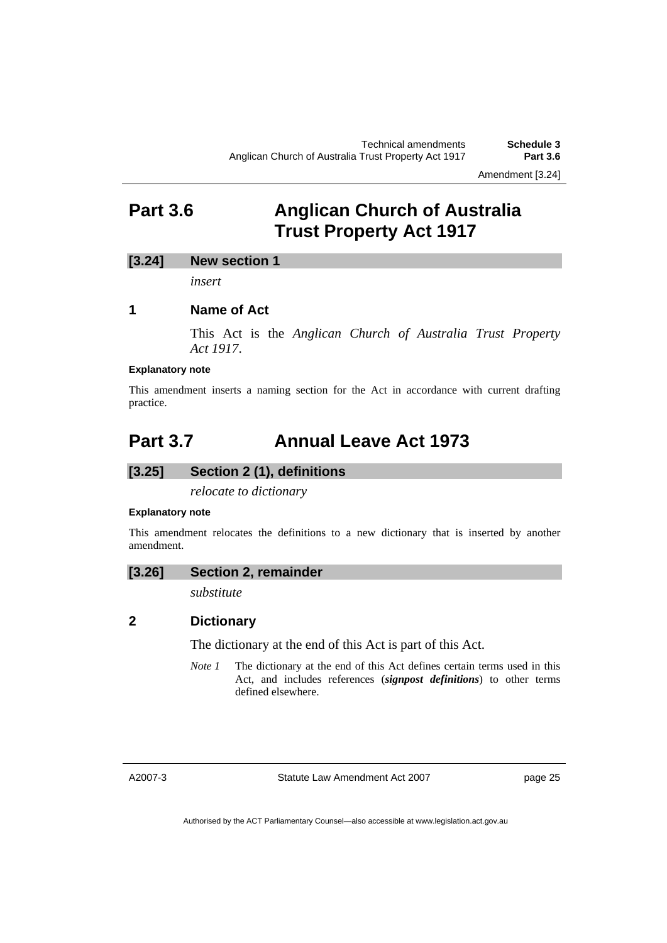### **Part 3.6 Anglican Church of Australia Trust Property Act 1917**

#### **[3.24] New section 1**

*insert* 

#### **1 Name of Act**

This Act is the *Anglican Church of Australia Trust Property Act 1917*.

#### **Explanatory note**

This amendment inserts a naming section for the Act in accordance with current drafting practice.

### **Part 3.7 Annual Leave Act 1973**

#### **[3.25] Section 2 (1), definitions**

*relocate to dictionary* 

#### **Explanatory note**

This amendment relocates the definitions to a new dictionary that is inserted by another amendment.

#### **[3.26] Section 2, remainder**

*substitute* 

#### **2 Dictionary**

The dictionary at the end of this Act is part of this Act.

*Note 1* The dictionary at the end of this Act defines certain terms used in this Act, and includes references (*signpost definitions*) to other terms defined elsewhere.

A2007-3

Statute Law Amendment Act 2007

page 25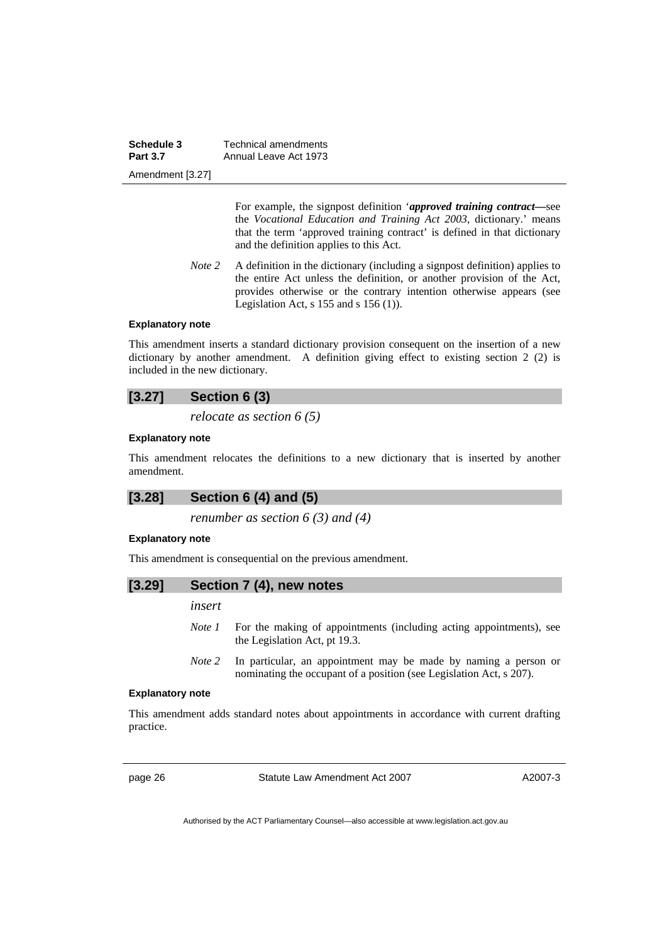| Schedule 3       | Technical amendments  |
|------------------|-----------------------|
| <b>Part 3.7</b>  | Annual Leave Act 1973 |
| Amendment [3.27] |                       |

 For example, the signpost definition '*approved training contract—*see the *Vocational Education and Training Act 2003,* dictionary.' means that the term 'approved training contract' is defined in that dictionary and the definition applies to this Act.

*Note 2* A definition in the dictionary (including a signpost definition) applies to the entire Act unless the definition, or another provision of the Act, provides otherwise or the contrary intention otherwise appears (see Legislation Act, s  $155$  and s  $156$  (1)).

#### **Explanatory note**

This amendment inserts a standard dictionary provision consequent on the insertion of a new dictionary by another amendment. A definition giving effect to existing section 2 (2) is included in the new dictionary.

#### **[3.27] Section 6 (3)**

*relocate as section 6 (5)* 

#### **Explanatory note**

This amendment relocates the definitions to a new dictionary that is inserted by another amendment.

#### **[3.28] Section 6 (4) and (5)**

*renumber as section 6 (3) and (4)* 

#### **Explanatory note**

This amendment is consequential on the previous amendment.

#### **[3.29] Section 7 (4), new notes**

*insert* 

- *Note 1* For the making of appointments (including acting appointments), see the Legislation Act, pt 19.3.
- *Note 2* In particular, an appointment may be made by naming a person or nominating the occupant of a position (see Legislation Act, s 207).

#### **Explanatory note**

This amendment adds standard notes about appointments in accordance with current drafting practice.

page 26 Statute Law Amendment Act 2007

A2007-3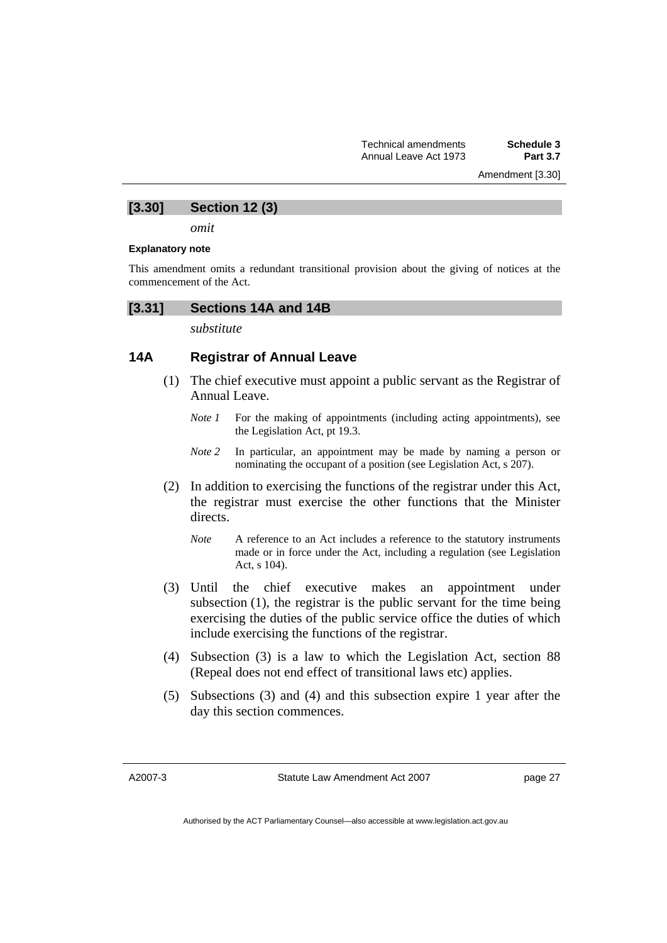Amendment [3.30]

#### **[3.30] Section 12 (3)**

*omit* 

#### **Explanatory note**

This amendment omits a redundant transitional provision about the giving of notices at the commencement of the Act.

#### **[3.31] Sections 14A and 14B**

*substitute* 

#### **14A Registrar of Annual Leave**

- (1) The chief executive must appoint a public servant as the Registrar of Annual Leave.
	- *Note 1* For the making of appointments (including acting appointments), see the Legislation Act, pt 19.3.
	- *Note 2* In particular, an appointment may be made by naming a person or nominating the occupant of a position (see Legislation Act, s 207).
- (2) In addition to exercising the functions of the registrar under this Act, the registrar must exercise the other functions that the Minister directs.
	- *Note* A reference to an Act includes a reference to the statutory instruments made or in force under the Act, including a regulation (see Legislation Act, s 104).
- (3) Until the chief executive makes an appointment under subsection (1), the registrar is the public servant for the time being exercising the duties of the public service office the duties of which include exercising the functions of the registrar.
- (4) Subsection (3) is a law to which the Legislation Act, section 88 (Repeal does not end effect of transitional laws etc) applies.
- (5) Subsections (3) and (4) and this subsection expire 1 year after the day this section commences.

A2007-3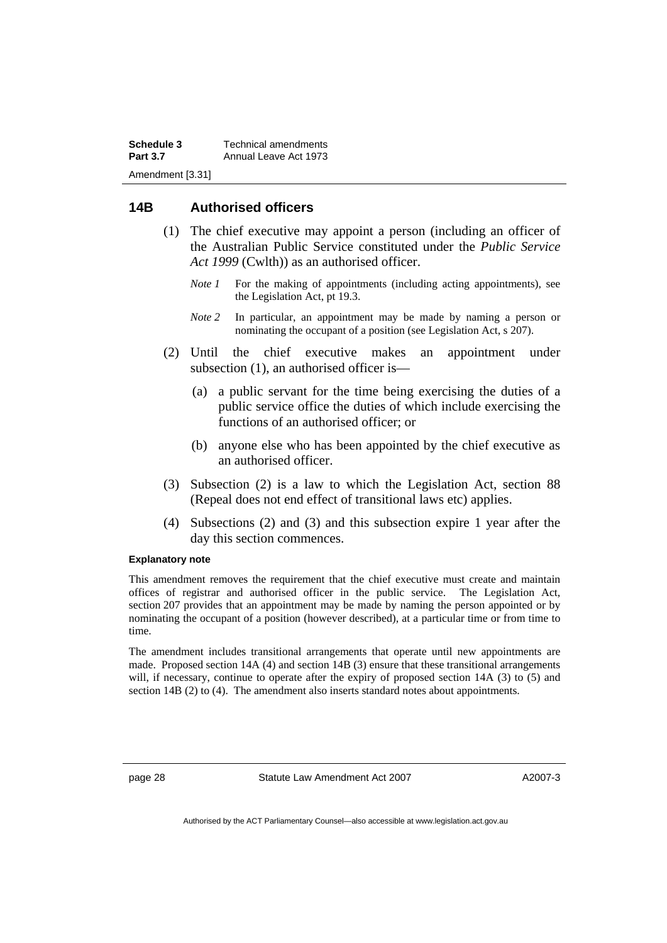**Schedule 3** Technical amendments **Part 3.7** Annual Leave Act 1973 Amendment [3.31]

#### **14B Authorised officers**

- (1) The chief executive may appoint a person (including an officer of the Australian Public Service constituted under the *Public Service Act 1999* (Cwlth)) as an authorised officer.
	- *Note 1* For the making of appointments (including acting appointments), see the Legislation Act, pt 19.3.
	- *Note* 2 In particular, an appointment may be made by naming a person or nominating the occupant of a position (see Legislation Act, s 207).
- (2) Until the chief executive makes an appointment under subsection (1), an authorised officer is—
	- (a) a public servant for the time being exercising the duties of a public service office the duties of which include exercising the functions of an authorised officer; or
	- (b) anyone else who has been appointed by the chief executive as an authorised officer.
- (3) Subsection (2) is a law to which the Legislation Act, section 88 (Repeal does not end effect of transitional laws etc) applies.
- (4) Subsections (2) and (3) and this subsection expire 1 year after the day this section commences.

#### **Explanatory note**

This amendment removes the requirement that the chief executive must create and maintain offices of registrar and authorised officer in the public service. The Legislation Act, section 207 provides that an appointment may be made by naming the person appointed or by nominating the occupant of a position (however described), at a particular time or from time to time.

The amendment includes transitional arrangements that operate until new appointments are made. Proposed section 14A (4) and section 14B (3) ensure that these transitional arrangements will, if necessary, continue to operate after the expiry of proposed section 14A (3) to (5) and section 14B (2) to (4). The amendment also inserts standard notes about appointments.

page 28 Statute Law Amendment Act 2007

A2007-3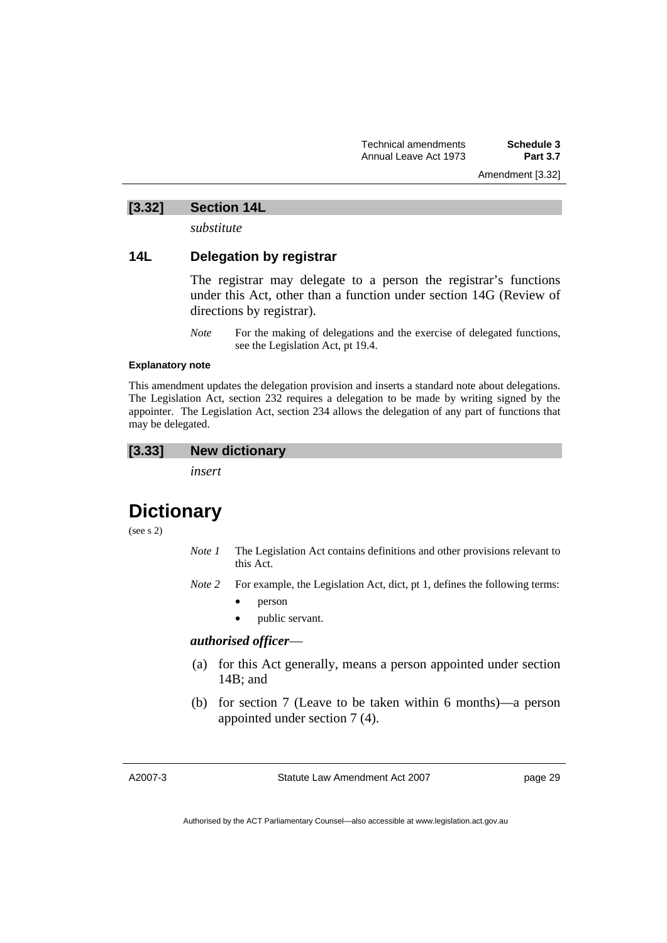Amendment [3.32]

### **[3.32] Section 14L**

*substitute* 

#### **14L Delegation by registrar**

The registrar may delegate to a person the registrar's functions under this Act, other than a function under section 14G (Review of directions by registrar).

*Note* For the making of delegations and the exercise of delegated functions, see the Legislation Act, pt 19.4.

#### **Explanatory note**

This amendment updates the delegation provision and inserts a standard note about delegations. The Legislation Act, section 232 requires a delegation to be made by writing signed by the appointer. The Legislation Act, section 234 allows the delegation of any part of functions that may be delegated.

#### **[3.33] New dictionary**

*insert* 

### **Dictionary**

(see s 2)

- *Note 1* The Legislation Act contains definitions and other provisions relevant to this Act.
- *Note 2* For example, the Legislation Act, dict, pt 1, defines the following terms:
	- person
	- public servant.

#### *authorised officer*—

- (a) for this Act generally, means a person appointed under section 14B; and
- (b) for section 7 (Leave to be taken within 6 months)—a person appointed under section 7 (4).

A2007-3

Statute Law Amendment Act 2007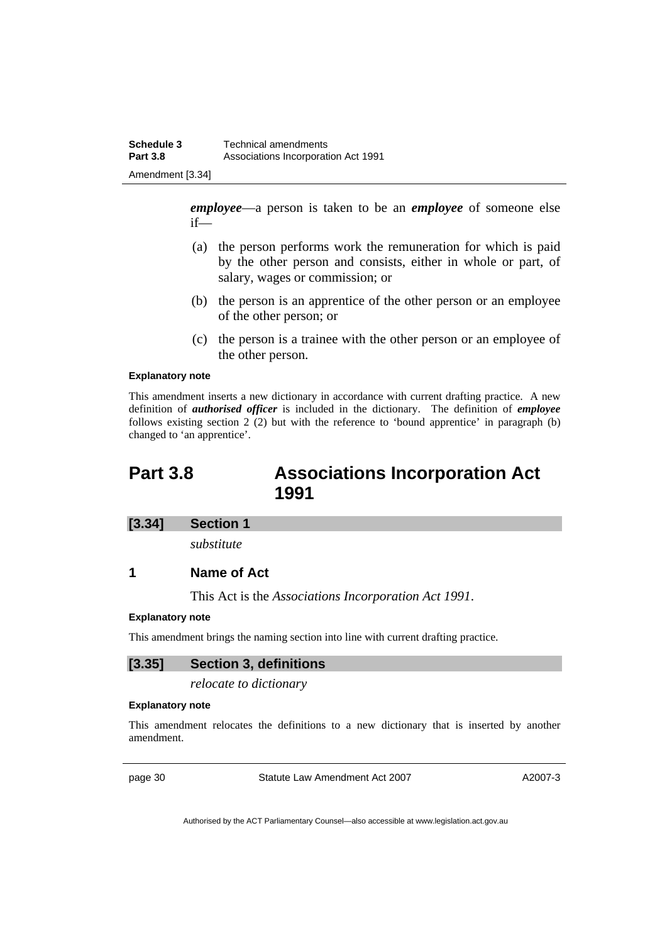*employee*—a person is taken to be an *employee* of someone else if—

- (a) the person performs work the remuneration for which is paid by the other person and consists, either in whole or part, of salary, wages or commission; or
- (b) the person is an apprentice of the other person or an employee of the other person; or
- (c) the person is a trainee with the other person or an employee of the other person.

#### **Explanatory note**

This amendment inserts a new dictionary in accordance with current drafting practice. A new definition of *authorised officer* is included in the dictionary. The definition of *employee* follows existing section 2 (2) but with the reference to 'bound apprentice' in paragraph (b) changed to 'an apprentice'.

### **Part 3.8 Associations Incorporation Act 1991**

#### **[3.34] Section 1**

*substitute* 

#### **1 Name of Act**

This Act is the *Associations Incorporation Act 1991*.

#### **Explanatory note**

This amendment brings the naming section into line with current drafting practice.

#### **[3.35] Section 3, definitions**

*relocate to dictionary* 

#### **Explanatory note**

This amendment relocates the definitions to a new dictionary that is inserted by another amendment.

page 30 Statute Law Amendment Act 2007

A2007-3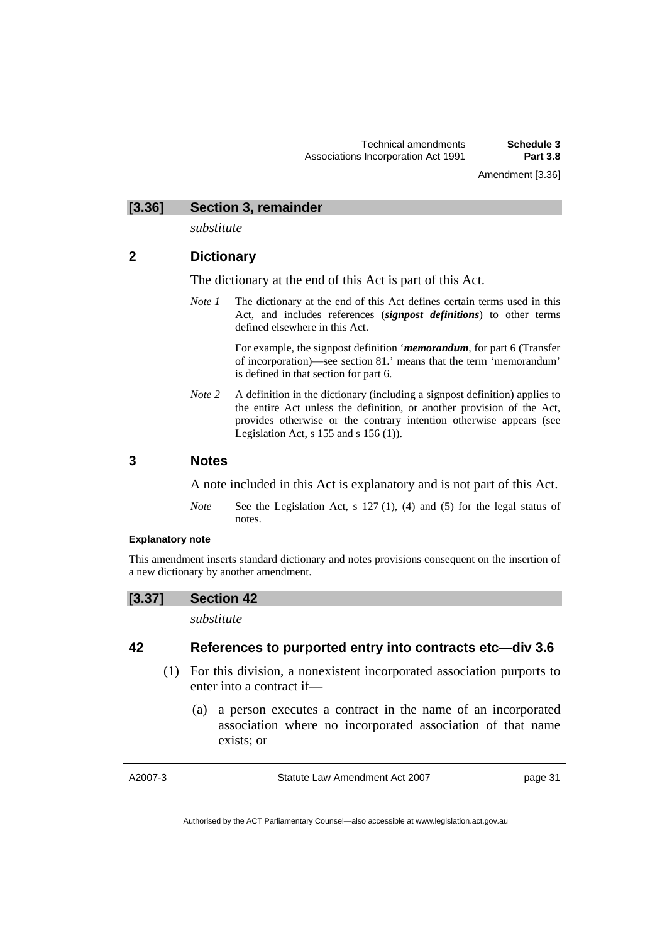Amendment [3.36]

# **[3.36] Section 3, remainder**

*substitute* 

## **2 Dictionary**

The dictionary at the end of this Act is part of this Act.

*Note 1* The dictionary at the end of this Act defines certain terms used in this Act, and includes references (*signpost definitions*) to other terms defined elsewhere in this Act.

> For example, the signpost definition '*memorandum*, for part 6 (Transfer of incorporation)—see section 81.' means that the term 'memorandum' is defined in that section for part 6.

*Note* 2 A definition in the dictionary (including a signpost definition) applies to the entire Act unless the definition, or another provision of the Act, provides otherwise or the contrary intention otherwise appears (see Legislation Act,  $s$  155 and  $s$  156 (1)).

## **3 Notes**

A note included in this Act is explanatory and is not part of this Act.

*Note* See the Legislation Act, s 127 (1), (4) and (5) for the legal status of notes.

## **Explanatory note**

This amendment inserts standard dictionary and notes provisions consequent on the insertion of a new dictionary by another amendment.

### **[3.37] Section 42**

*substitute* 

## **42 References to purported entry into contracts etc—div 3.6**

- (1) For this division, a nonexistent incorporated association purports to enter into a contract if—
	- (a) a person executes a contract in the name of an incorporated association where no incorporated association of that name exists; or

A2007-3

Statute Law Amendment Act 2007

page 31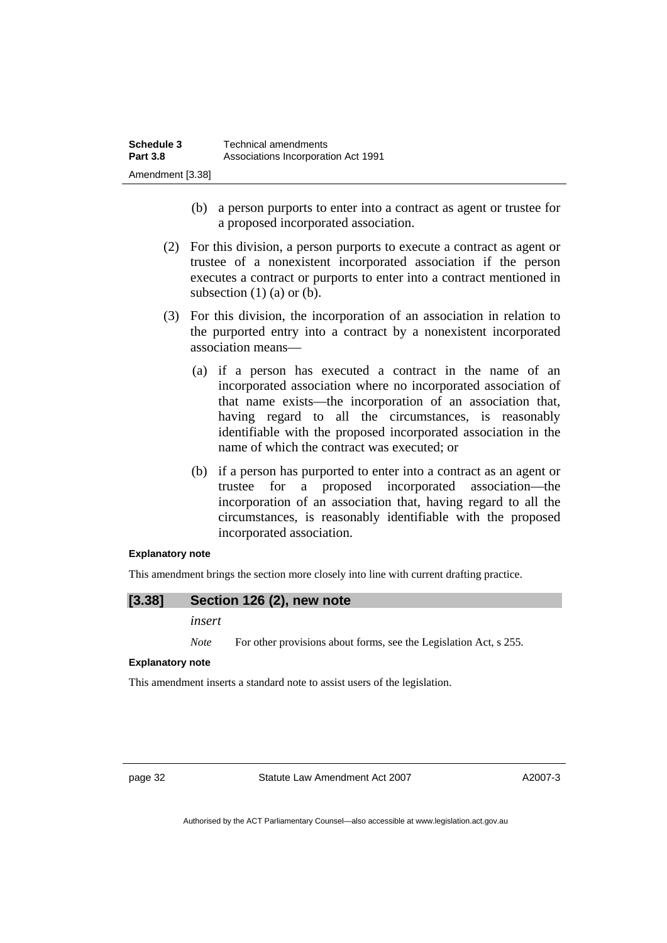- (b) a person purports to enter into a contract as agent or trustee for a proposed incorporated association.
- (2) For this division, a person purports to execute a contract as agent or trustee of a nonexistent incorporated association if the person executes a contract or purports to enter into a contract mentioned in subsection  $(1)$   $(a)$  or  $(b)$ .
- (3) For this division, the incorporation of an association in relation to the purported entry into a contract by a nonexistent incorporated association means—
	- (a) if a person has executed a contract in the name of an incorporated association where no incorporated association of that name exists—the incorporation of an association that, having regard to all the circumstances, is reasonably identifiable with the proposed incorporated association in the name of which the contract was executed; or
	- (b) if a person has purported to enter into a contract as an agent or trustee for a proposed incorporated association—the incorporation of an association that, having regard to all the circumstances, is reasonably identifiable with the proposed incorporated association.

#### **Explanatory note**

This amendment brings the section more closely into line with current drafting practice.

### **[3.38] Section 126 (2), new note**

*insert* 

*Note* For other provisions about forms, see the Legislation Act, s 255.

#### **Explanatory note**

This amendment inserts a standard note to assist users of the legislation.

page 32 Statute Law Amendment Act 2007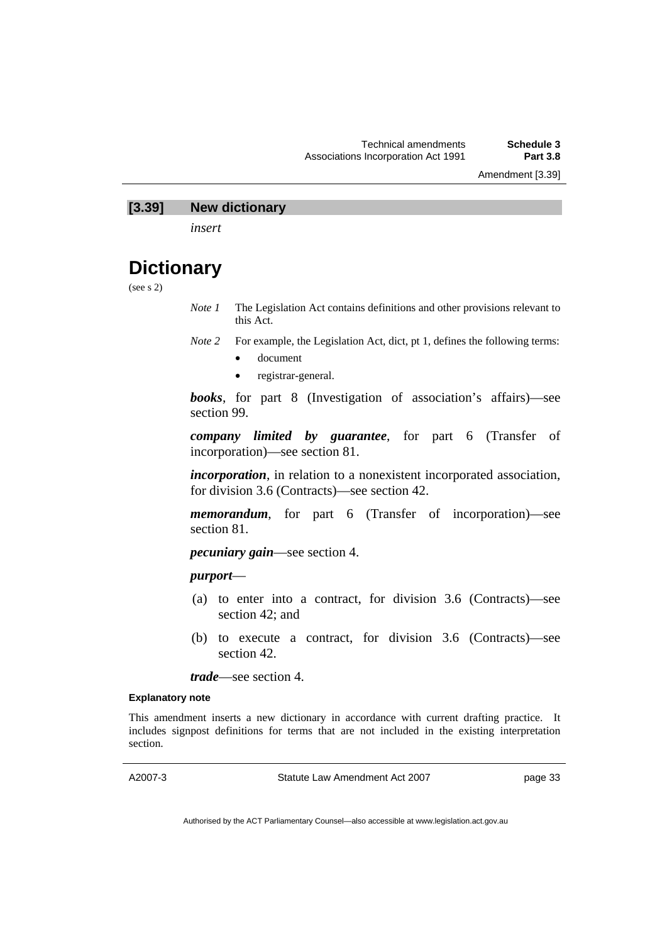Amendment [3.39]

## **[3.39] New dictionary**

*insert* 

# **Dictionary**

(see s 2)

*Note 1* The Legislation Act contains definitions and other provisions relevant to this Act.

- *Note 2* For example, the Legislation Act, dict, pt 1, defines the following terms:
	- document
	- registrar-general.

*books*, for part 8 (Investigation of association's affairs)—see section 99.

*company limited by guarantee*, for part 6 (Transfer of incorporation)—see section 81.

*incorporation*, in relation to a nonexistent incorporated association, for division 3.6 (Contracts)—see section 42.

*memorandum*, for part 6 (Transfer of incorporation)—see section 81.

*pecuniary gain*—see section 4.

## *purport*—

- (a) to enter into a contract, for division 3.6 (Contracts)—see section 42; and
- (b) to execute a contract, for division 3.6 (Contracts)—see section 42.

*trade*—see section 4.

#### **Explanatory note**

This amendment inserts a new dictionary in accordance with current drafting practice. It includes signpost definitions for terms that are not included in the existing interpretation section.

A2007-3

Statute Law Amendment Act 2007

page 33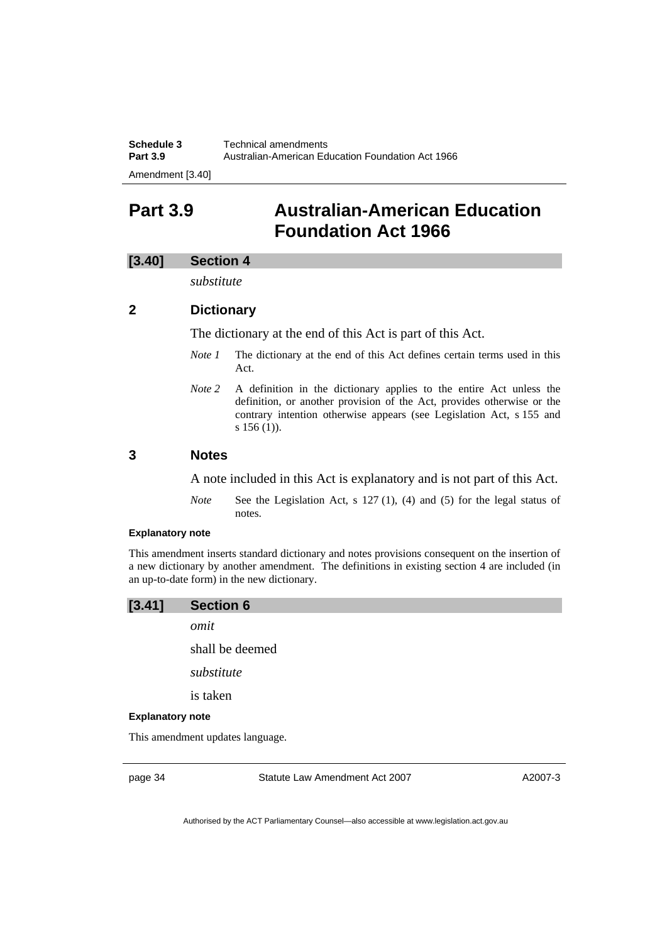| Schedule 3                                     | Technical amendments                              |
|------------------------------------------------|---------------------------------------------------|
| <b>Part 3.9</b>                                | Australian-American Education Foundation Act 1966 |
| $\Lambda$ as a solve a set $\Lambda$ $\Lambda$ |                                                   |

Amendment [3.40]

# **Part 3.9 Australian-American Education Foundation Act 1966**

## **[3.40] Section 4**

*substitute* 

## **2 Dictionary**

The dictionary at the end of this Act is part of this Act.

- *Note 1* The dictionary at the end of this Act defines certain terms used in this Act.
- *Note 2* A definition in the dictionary applies to the entire Act unless the definition, or another provision of the Act, provides otherwise or the contrary intention otherwise appears (see Legislation Act, s 155 and s 156 (1)).

## **3 Notes**

A note included in this Act is explanatory and is not part of this Act.

*Note* See the Legislation Act, s 127 (1), (4) and (5) for the legal status of notes.

### **Explanatory note**

This amendment inserts standard dictionary and notes provisions consequent on the insertion of a new dictionary by another amendment. The definitions in existing section 4 are included (in an up-to-date form) in the new dictionary.

# **[3.41] Section 6**

*omit* 

shall be deemed

*substitute* 

is taken

#### **Explanatory note**

This amendment updates language.

page 34 Statute Law Amendment Act 2007

A2007-3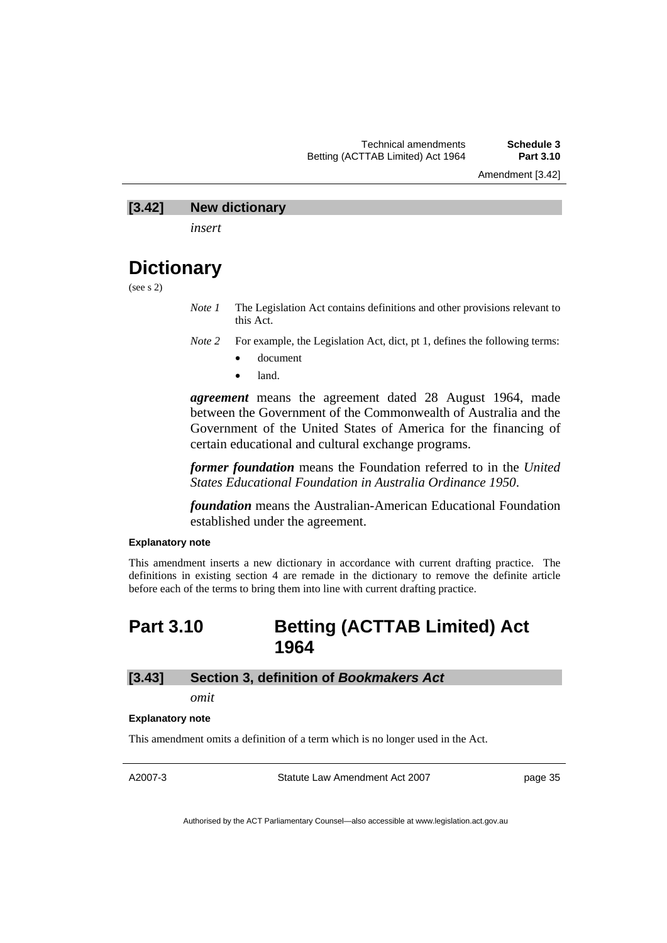Amendment [3.42]

### **[3.42] New dictionary**

*insert* 

# **Dictionary**

(see s 2)

*Note 1* The Legislation Act contains definitions and other provisions relevant to this Act.

- *Note 2* For example, the Legislation Act, dict, pt 1, defines the following terms:
	- document
	- land.

*agreement* means the agreement dated 28 August 1964, made between the Government of the Commonwealth of Australia and the Government of the United States of America for the financing of certain educational and cultural exchange programs.

*former foundation* means the Foundation referred to in the *United States Educational Foundation in Australia Ordinance 1950*.

*foundation* means the Australian-American Educational Foundation established under the agreement.

#### **Explanatory note**

This amendment inserts a new dictionary in accordance with current drafting practice. The definitions in existing section 4 are remade in the dictionary to remove the definite article before each of the terms to bring them into line with current drafting practice.

# **Part 3.10 Betting (ACTTAB Limited) Act 1964**

#### **[3.43] Section 3, definition of** *Bookmakers Act*

*omit* 

#### **Explanatory note**

This amendment omits a definition of a term which is no longer used in the Act.

A2007-3

Statute Law Amendment Act 2007

page 35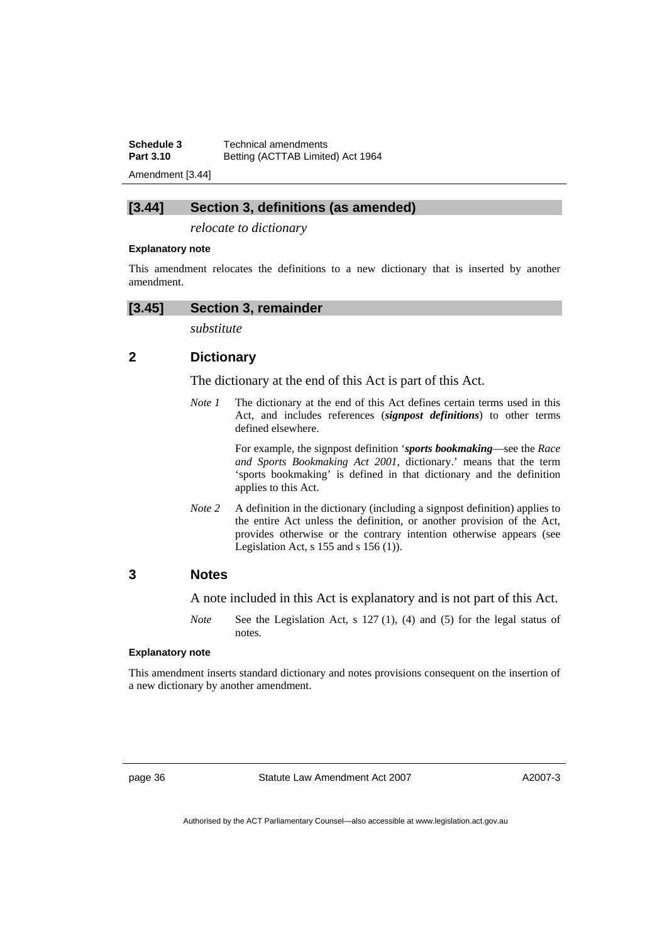**Schedule 3 Technical amendments**<br>**Part 3.10 Betting (ACTTAB Limite Part 3.10** Betting (ACTTAB Limited) Act 1964

Amendment [3.44]

### **[3.44] Section 3, definitions (as amended)**

*relocate to dictionary* 

#### **Explanatory note**

This amendment relocates the definitions to a new dictionary that is inserted by another amendment.

### **[3.45] Section 3, remainder**

*substitute* 

## **2 Dictionary**

The dictionary at the end of this Act is part of this Act.

*Note 1* The dictionary at the end of this Act defines certain terms used in this Act, and includes references (*signpost definitions*) to other terms defined elsewhere.

> For example, the signpost definition '*sports bookmaking*—see the *Race and Sports Bookmaking Act 2001*, dictionary.' means that the term 'sports bookmaking' is defined in that dictionary and the definition applies to this Act.

*Note 2* A definition in the dictionary (including a signpost definition) applies to the entire Act unless the definition, or another provision of the Act, provides otherwise or the contrary intention otherwise appears (see Legislation Act,  $s$  155 and  $s$  156 (1)).

## **3 Notes**

A note included in this Act is explanatory and is not part of this Act.

*Note* See the Legislation Act, s 127 (1), (4) and (5) for the legal status of notes.

#### **Explanatory note**

This amendment inserts standard dictionary and notes provisions consequent on the insertion of a new dictionary by another amendment.

page 36 Statute Law Amendment Act 2007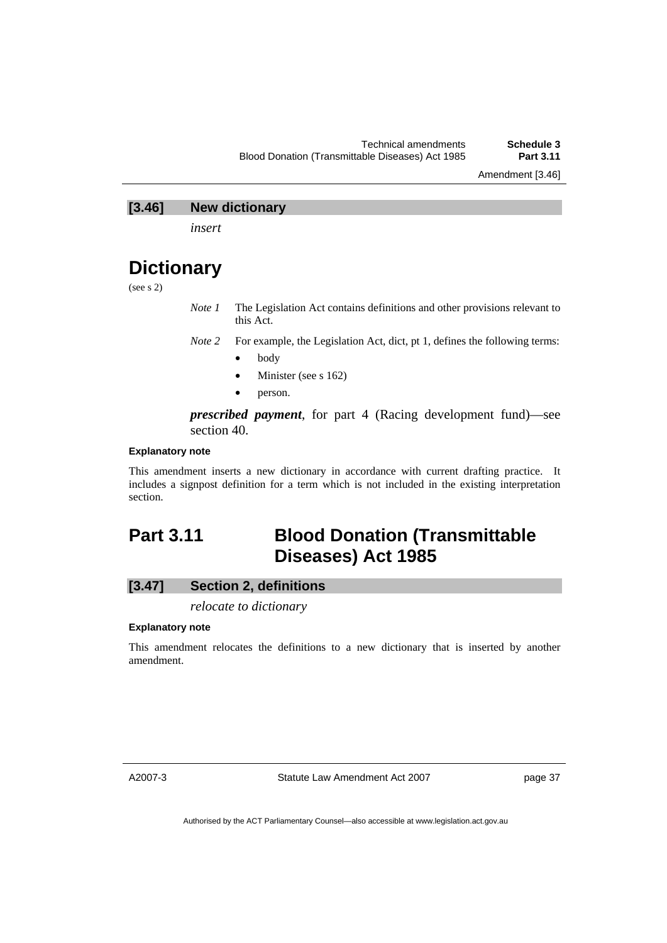Amendment [3.46]

## **[3.46] New dictionary**

*insert* 

# **Dictionary**

(see s 2)

*Note 1* The Legislation Act contains definitions and other provisions relevant to this Act.

*Note 2* For example, the Legislation Act, dict, pt 1, defines the following terms:

- body
- Minister (see s 162)
- person.

*prescribed payment*, for part 4 (Racing development fund)—see section 40.

### **Explanatory note**

This amendment inserts a new dictionary in accordance with current drafting practice. It includes a signpost definition for a term which is not included in the existing interpretation section.

# **Part 3.11 Blood Donation (Transmittable Diseases) Act 1985**

# **[3.47] Section 2, definitions**

*relocate to dictionary* 

#### **Explanatory note**

This amendment relocates the definitions to a new dictionary that is inserted by another amendment.

A2007-3

Statute Law Amendment Act 2007

page 37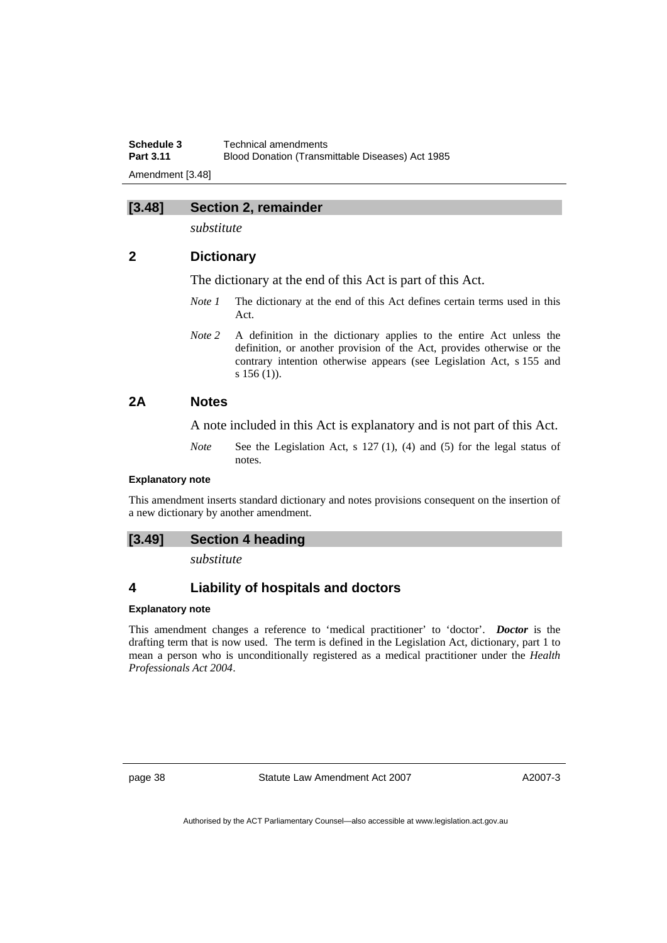**Schedule 3 Technical amendments**<br>**Part 3.11 Blood Donation (Transm Blood Donation (Transmittable Diseases) Act 1985** Amendment [3.48]

## **[3.48] Section 2, remainder**

*substitute* 

## **2 Dictionary**

The dictionary at the end of this Act is part of this Act.

- *Note 1* The dictionary at the end of this Act defines certain terms used in this Act.
- *Note 2* A definition in the dictionary applies to the entire Act unless the definition, or another provision of the Act, provides otherwise or the contrary intention otherwise appears (see Legislation Act, s 155 and s 156 (1)).

# **2A Notes**

A note included in this Act is explanatory and is not part of this Act.

*Note* See the Legislation Act, s 127 (1), (4) and (5) for the legal status of notes.

### **Explanatory note**

This amendment inserts standard dictionary and notes provisions consequent on the insertion of a new dictionary by another amendment.

#### **[3.49] Section 4 heading**

*substitute* 

## **4 Liability of hospitals and doctors**

#### **Explanatory note**

This amendment changes a reference to 'medical practitioner' to 'doctor'. *Doctor* is the drafting term that is now used. The term is defined in the Legislation Act, dictionary, part 1 to mean a person who is unconditionally registered as a medical practitioner under the *Health Professionals Act 2004*.

page 38 Statute Law Amendment Act 2007

A2007-3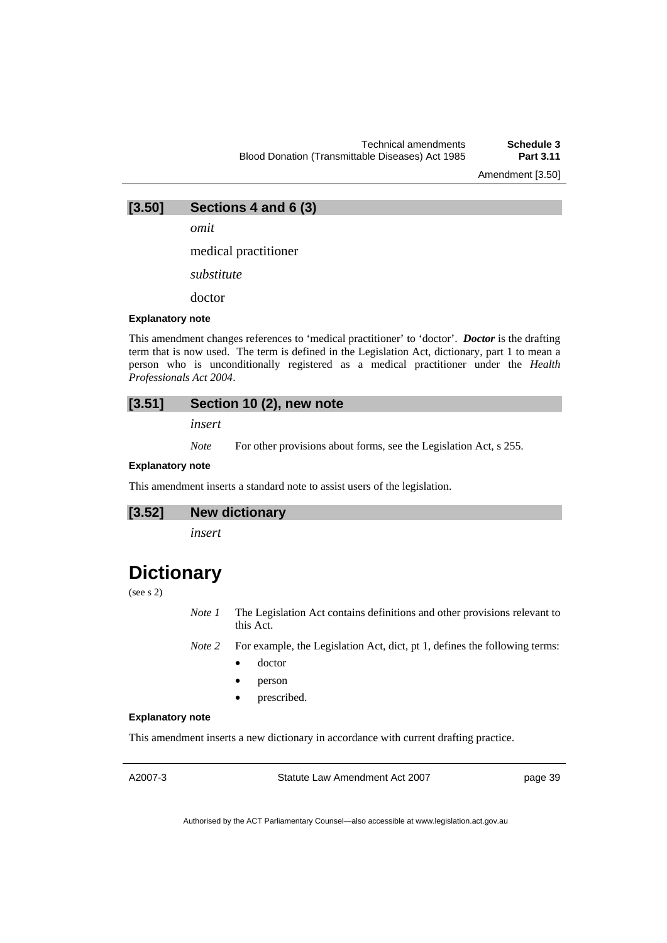Amendment [3.50]

**[3.50] Sections 4 and 6 (3)** 

*omit* 

medical practitioner

*substitute* 

doctor

#### **Explanatory note**

This amendment changes references to 'medical practitioner' to 'doctor'. *Doctor* is the drafting term that is now used. The term is defined in the Legislation Act, dictionary, part 1 to mean a person who is unconditionally registered as a medical practitioner under the *Health Professionals Act 2004*.

### **[3.51] Section 10 (2), new note**

*insert* 

*Note* For other provisions about forms, see the Legislation Act, s 255.

#### **Explanatory note**

This amendment inserts a standard note to assist users of the legislation.

**[3.52] New dictionary** 

*insert* 

# **Dictionary**

(see s 2)

*Note 1* The Legislation Act contains definitions and other provisions relevant to this Act.

*Note 2* For example, the Legislation Act, dict, pt 1, defines the following terms:

- doctor
- person
- prescribed.

### **Explanatory note**

This amendment inserts a new dictionary in accordance with current drafting practice.

A2007-3

Statute Law Amendment Act 2007

page 39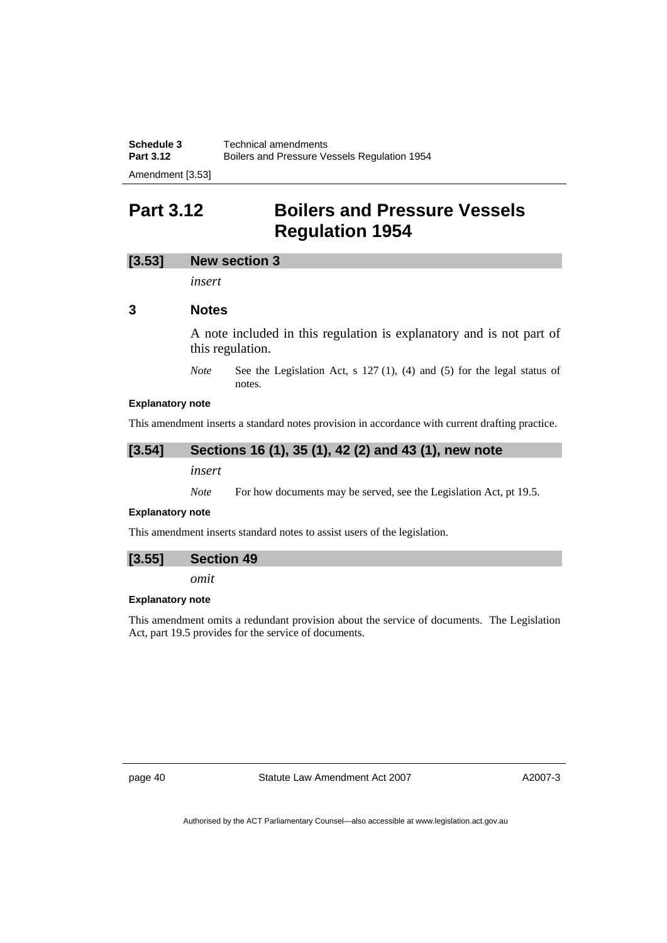**Schedule 3 Technical amendments**<br>**Part 3.12 Boilers and Pressure Ve Part 3.12** Boilers and Pressure Vessels Regulation 1954 Amendment [3.53]

# **Part 3.12 Boilers and Pressure Vessels Regulation 1954**

### **[3.53] New section 3**

*insert* 

### **3 Notes**

A note included in this regulation is explanatory and is not part of this regulation.

*Note* See the Legislation Act, s 127 (1), (4) and (5) for the legal status of notes.

#### **Explanatory note**

This amendment inserts a standard notes provision in accordance with current drafting practice.

## **[3.54] Sections 16 (1), 35 (1), 42 (2) and 43 (1), new note**

*insert* 

*Note* For how documents may be served, see the Legislation Act, pt 19.5.

#### **Explanatory note**

This amendment inserts standard notes to assist users of the legislation.

#### **[3.55] Section 49**

*omit* 

#### **Explanatory note**

This amendment omits a redundant provision about the service of documents. The Legislation Act, part 19.5 provides for the service of documents.

page 40 Statute Law Amendment Act 2007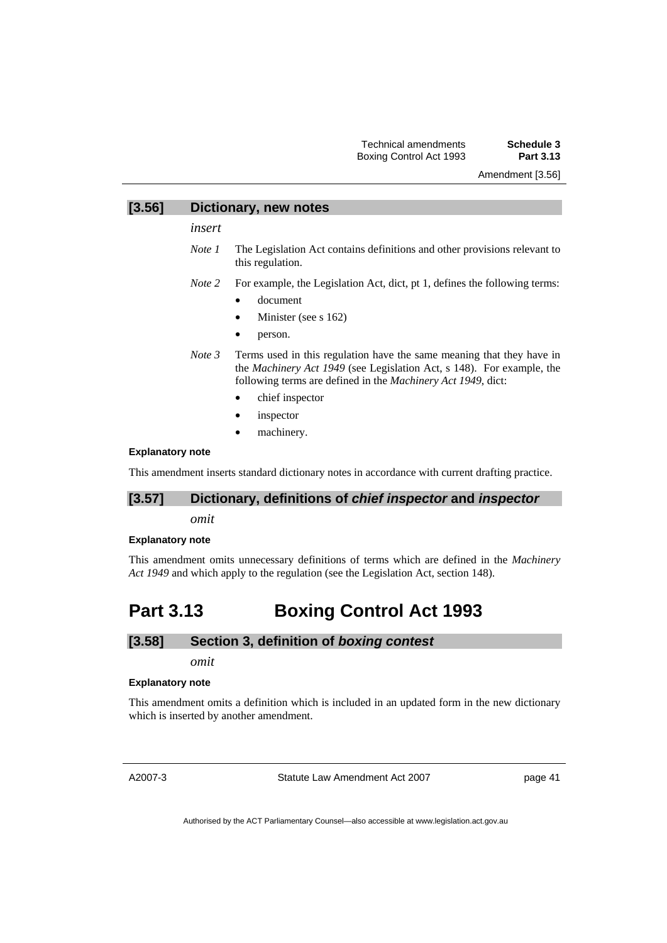Amendment [3.56]

### **[3.56] Dictionary, new notes**

*insert* 

- *Note 1* The Legislation Act contains definitions and other provisions relevant to this regulation.
- *Note 2* For example, the Legislation Act, dict, pt 1, defines the following terms:
	- document
	- Minister (see s 162)
	- person.
- *Note 3* Terms used in this regulation have the same meaning that they have in the *Machinery Act 1949* (see Legislation Act, s 148). For example, the following terms are defined in the *Machinery Act 1949*, dict:
	- chief inspector
	- *inspector*
	- machinery.

#### **Explanatory note**

This amendment inserts standard dictionary notes in accordance with current drafting practice.

## **[3.57] Dictionary, definitions of** *chief inspector* **and** *inspector*

*omit* 

#### **Explanatory note**

This amendment omits unnecessary definitions of terms which are defined in the *Machinery Act 1949* and which apply to the regulation (see the Legislation Act, section 148).

# **Part 3.13 Boxing Control Act 1993**

### **[3.58] Section 3, definition of** *boxing contest*

*omit* 

#### **Explanatory note**

This amendment omits a definition which is included in an updated form in the new dictionary which is inserted by another amendment.

A2007-3

Statute Law Amendment Act 2007

page 41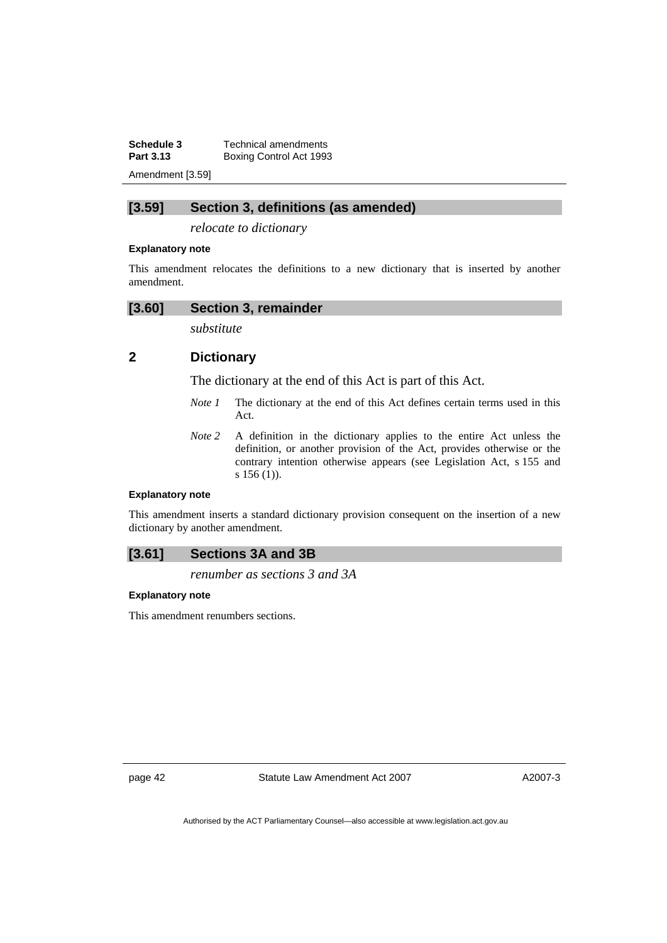**Schedule 3 Technical amendments**<br>**Part 3.13 Boxing Control Act 1993 Boxing Control Act 1993** Amendment [3.59]

## **[3.59] Section 3, definitions (as amended)**

*relocate to dictionary* 

#### **Explanatory note**

This amendment relocates the definitions to a new dictionary that is inserted by another amendment.

## **[3.60] Section 3, remainder**

*substitute* 

## **2 Dictionary**

The dictionary at the end of this Act is part of this Act.

- *Note 1* The dictionary at the end of this Act defines certain terms used in this Act.
- *Note* 2 A definition in the dictionary applies to the entire Act unless the definition, or another provision of the Act, provides otherwise or the contrary intention otherwise appears (see Legislation Act, s 155 and s 156 (1)).

#### **Explanatory note**

This amendment inserts a standard dictionary provision consequent on the insertion of a new dictionary by another amendment.

## **[3.61] Sections 3A and 3B**

*renumber as sections 3 and 3A* 

### **Explanatory note**

This amendment renumbers sections.

page 42 Statute Law Amendment Act 2007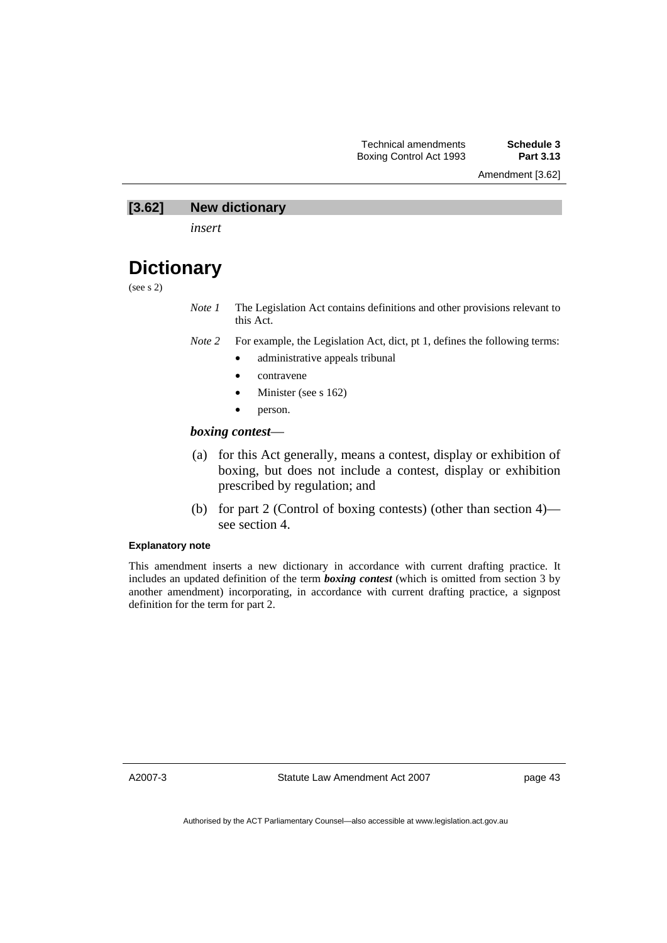Amendment [3.62]

## **[3.62] New dictionary**

*insert* 

# **Dictionary**

(see s 2)

*Note 1* The Legislation Act contains definitions and other provisions relevant to this Act.

- *Note 2* For example, the Legislation Act, dict, pt 1, defines the following terms:
	- administrative appeals tribunal
	- contravene
	- Minister (see s 162)
	- person.

### *boxing contest*—

- (a) for this Act generally, means a contest, display or exhibition of boxing, but does not include a contest, display or exhibition prescribed by regulation; and
- (b) for part 2 (Control of boxing contests) (other than section 4) see section 4.

### **Explanatory note**

This amendment inserts a new dictionary in accordance with current drafting practice. It includes an updated definition of the term *boxing contest* (which is omitted from section 3 by another amendment) incorporating, in accordance with current drafting practice, a signpost definition for the term for part 2.

A2007-3

Statute Law Amendment Act 2007

page 43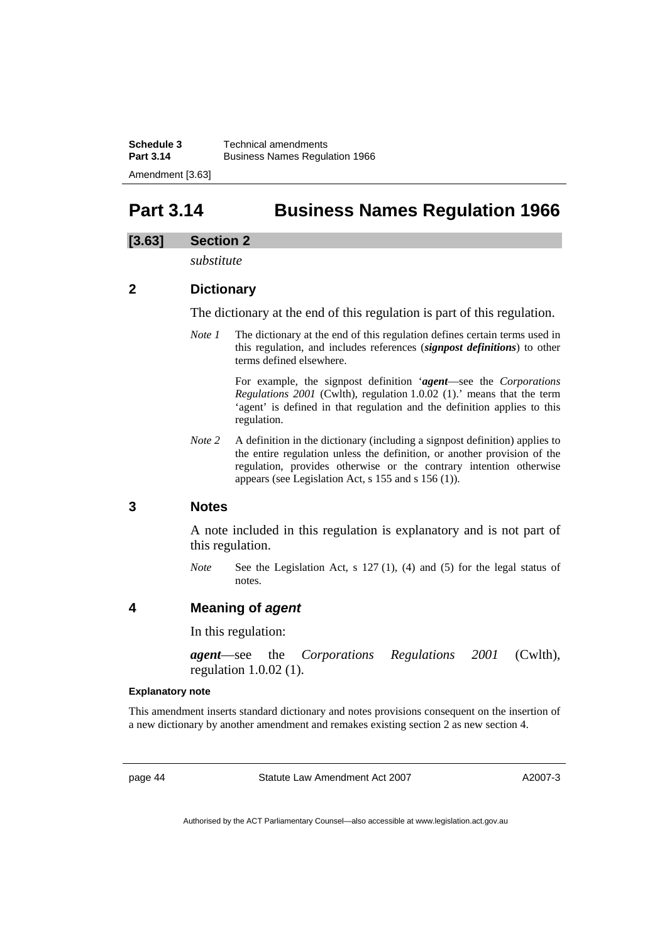# **Part 3.14 Business Names Regulation 1966**

## **[3.63] Section 2**

*substitute* 

# **2 Dictionary**

The dictionary at the end of this regulation is part of this regulation.

*Note 1* The dictionary at the end of this regulation defines certain terms used in this regulation, and includes references (*signpost definitions*) to other terms defined elsewhere.

> For example, the signpost definition '*agent*—see the *Corporations Regulations 2001* (Cwlth), regulation 1.0.02 (1).' means that the term 'agent' is defined in that regulation and the definition applies to this regulation.

*Note 2* A definition in the dictionary (including a signpost definition) applies to the entire regulation unless the definition, or another provision of the regulation, provides otherwise or the contrary intention otherwise appears (see Legislation Act, s 155 and s 156 (1)).

## **3 Notes**

A note included in this regulation is explanatory and is not part of this regulation.

*Note* See the Legislation Act, s 127 (1), (4) and (5) for the legal status of notes.

## **4 Meaning of** *agent*

In this regulation:

*agent*—see the *Corporations Regulations 2001* (Cwlth), regulation 1.0.02 (1).

#### **Explanatory note**

This amendment inserts standard dictionary and notes provisions consequent on the insertion of a new dictionary by another amendment and remakes existing section 2 as new section 4.

page 44 Statute Law Amendment Act 2007

A2007-3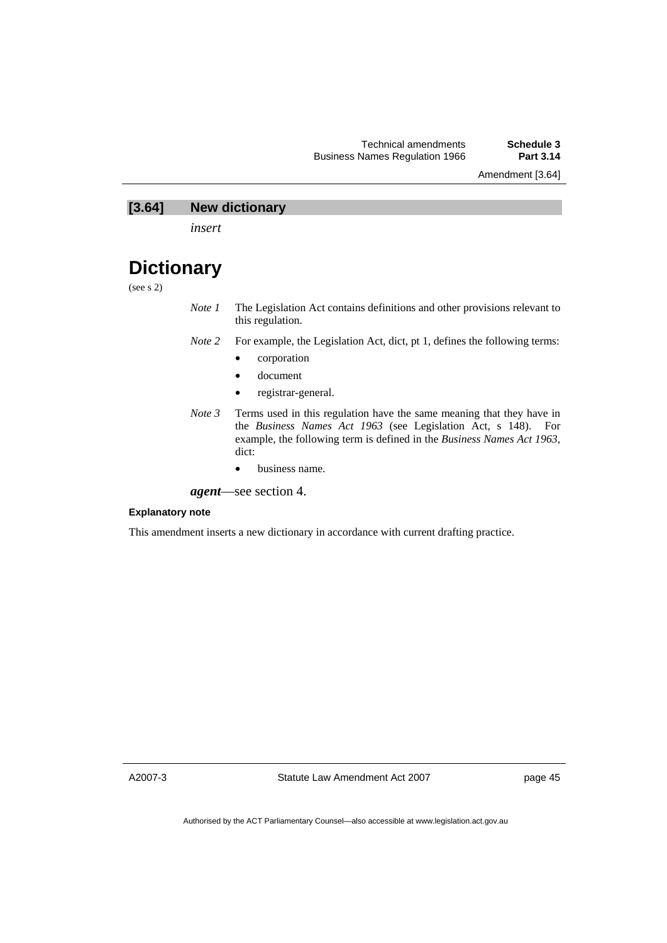Amendment [3.64]

## **[3.64] New dictionary**

*insert* 

# **Dictionary**

(see s 2)

- *Note 1* The Legislation Act contains definitions and other provisions relevant to this regulation.
- *Note 2* For example, the Legislation Act, dict, pt 1, defines the following terms:
	- corporation
	- document
	- registrar-general.
- *Note 3* Terms used in this regulation have the same meaning that they have in the *Business Names Act 1963* (see Legislation Act, s 148). For example, the following term is defined in the *Business Names Act 1963*, dict:
	- business name.
- *agent*—see section 4.

### **Explanatory note**

This amendment inserts a new dictionary in accordance with current drafting practice.

A2007-3

Statute Law Amendment Act 2007

page 45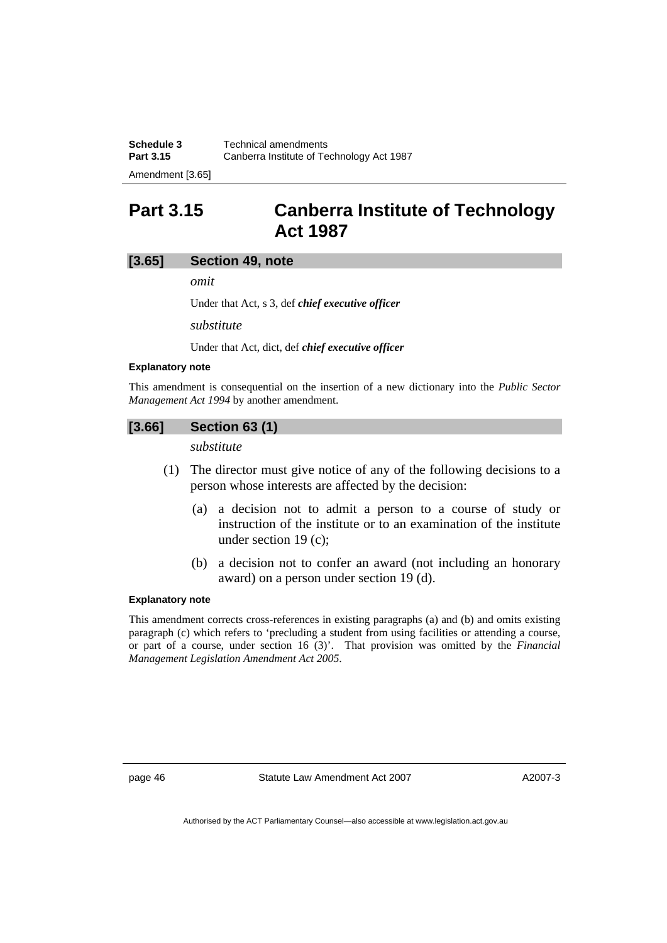| Schedule 3          | Technical amendments                      |
|---------------------|-------------------------------------------|
| <b>Part 3.15</b>    | Canberra Institute of Technology Act 1987 |
| $A = 1$ and $A = 1$ |                                           |

Amendment [3.65]

# **Part 3.15 Canberra Institute of Technology Act 1987**

### **[3.65] Section 49, note**

*omit* 

Under that Act, s 3, def *chief executive officer*

*substitute* 

Under that Act, dict, def *chief executive officer*

#### **Explanatory note**

This amendment is consequential on the insertion of a new dictionary into the *Public Sector Management Act 1994* by another amendment.

#### **[3.66] Section 63 (1)**

*substitute* 

- (1) The director must give notice of any of the following decisions to a person whose interests are affected by the decision:
	- (a) a decision not to admit a person to a course of study or instruction of the institute or to an examination of the institute under section 19 (c);
	- (b) a decision not to confer an award (not including an honorary award) on a person under section 19 (d).

## **Explanatory note**

This amendment corrects cross-references in existing paragraphs (a) and (b) and omits existing paragraph (c) which refers to 'precluding a student from using facilities or attending a course, or part of a course, under section 16 (3)'. That provision was omitted by the *Financial Management Legislation Amendment Act 2005*.

page 46 Statute Law Amendment Act 2007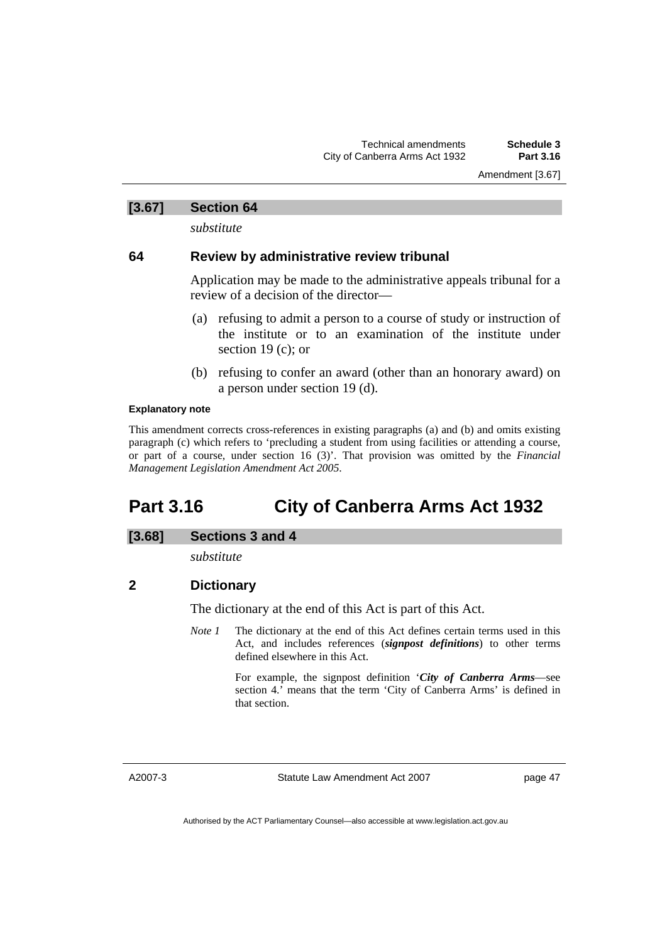Amendment [3.67]

## **[3.67] Section 64**

*substitute* 

## **64 Review by administrative review tribunal**

Application may be made to the administrative appeals tribunal for a review of a decision of the director—

- (a) refusing to admit a person to a course of study or instruction of the institute or to an examination of the institute under section 19 (c); or
- (b) refusing to confer an award (other than an honorary award) on a person under section 19 (d).

#### **Explanatory note**

This amendment corrects cross-references in existing paragraphs (a) and (b) and omits existing paragraph (c) which refers to 'precluding a student from using facilities or attending a course, or part of a course, under section 16 (3)'. That provision was omitted by the *Financial Management Legislation Amendment Act 2005*.

# **Part 3.16 City of Canberra Arms Act 1932**

## **[3.68] Sections 3 and 4**

*substitute* 

## **2 Dictionary**

The dictionary at the end of this Act is part of this Act.

*Note 1* The dictionary at the end of this Act defines certain terms used in this Act, and includes references (*signpost definitions*) to other terms defined elsewhere in this Act.

> For example, the signpost definition '*City of Canberra Arms*—see section 4.' means that the term 'City of Canberra Arms' is defined in that section.

A2007-3

Statute Law Amendment Act 2007

page 47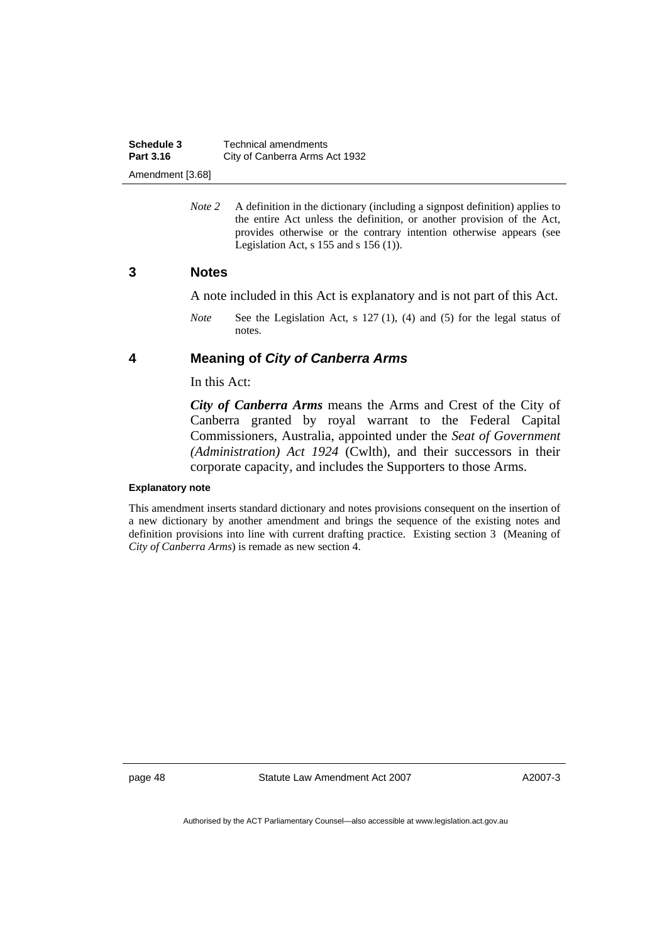*Note* 2 A definition in the dictionary (including a signpost definition) applies to the entire Act unless the definition, or another provision of the Act, provides otherwise or the contrary intention otherwise appears (see Legislation Act,  $s$  155 and  $s$  156 (1)).

## **3 Notes**

A note included in this Act is explanatory and is not part of this Act.

*Note* See the Legislation Act, s 127 (1), (4) and (5) for the legal status of notes.

## **4 Meaning of** *City of Canberra Arms*

In this Act:

*City of Canberra Arms* means the Arms and Crest of the City of Canberra granted by royal warrant to the Federal Capital Commissioners, Australia, appointed under the *Seat of Government (Administration) Act 1924* (Cwlth), and their successors in their corporate capacity, and includes the Supporters to those Arms.

#### **Explanatory note**

This amendment inserts standard dictionary and notes provisions consequent on the insertion of a new dictionary by another amendment and brings the sequence of the existing notes and definition provisions into line with current drafting practice. Existing section 3 (Meaning of *City of Canberra Arms*) is remade as new section 4.

page 48 Statute Law Amendment Act 2007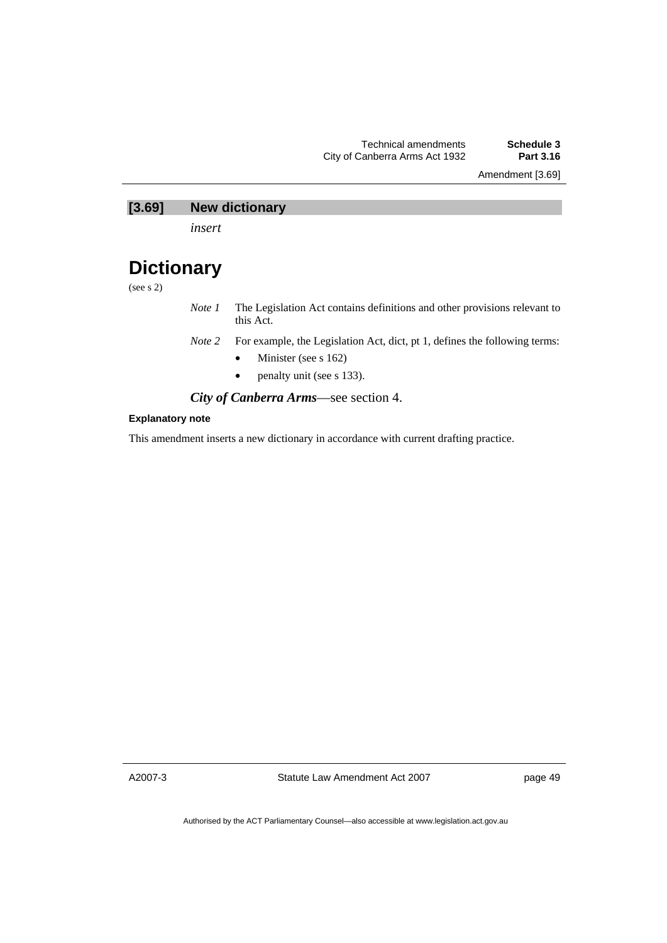Amendment [3.69]

# **[3.69] New dictionary**

*insert* 

# **Dictionary**

(see s 2)

- *Note 1* The Legislation Act contains definitions and other provisions relevant to this Act.
- *Note 2* For example, the Legislation Act, dict, pt 1, defines the following terms:
	- Minister (see s 162)
	- penalty unit (see s 133).

*City of Canberra Arms*—see section 4.

### **Explanatory note**

This amendment inserts a new dictionary in accordance with current drafting practice.

A2007-3

Statute Law Amendment Act 2007

page 49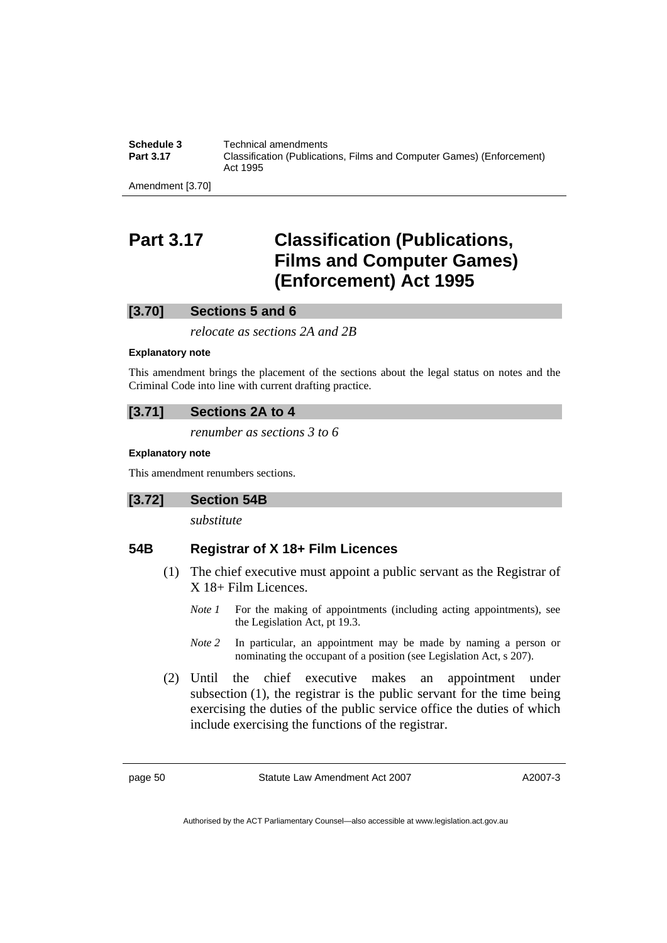**Schedule 3 Technical amendments**<br>**Part 3.17 Classification (Publication) Part 3.17** Classification (Publications, Films and Computer Games) (Enforcement) Act 1995

Amendment [3.70]

# **Part 3.17 Classification (Publications, Films and Computer Games) (Enforcement) Act 1995**

## **[3.70] Sections 5 and 6**

*relocate as sections 2A and 2B* 

#### **Explanatory note**

This amendment brings the placement of the sections about the legal status on notes and the Criminal Code into line with current drafting practice.

## **[3.71] Sections 2A to 4**

*renumber as sections 3 to 6* 

### **Explanatory note**

This amendment renumbers sections.

## **[3.72] Section 54B**

*substitute* 

## **54B Registrar of X 18+ Film Licences**

- (1) The chief executive must appoint a public servant as the Registrar of X 18+ Film Licences.
	- *Note 1* For the making of appointments (including acting appointments), see the Legislation Act, pt 19.3.
	- *Note 2* In particular, an appointment may be made by naming a person or nominating the occupant of a position (see Legislation Act, s 207).
- (2) Until the chief executive makes an appointment under subsection (1), the registrar is the public servant for the time being exercising the duties of the public service office the duties of which include exercising the functions of the registrar.

page 50 Statute Law Amendment Act 2007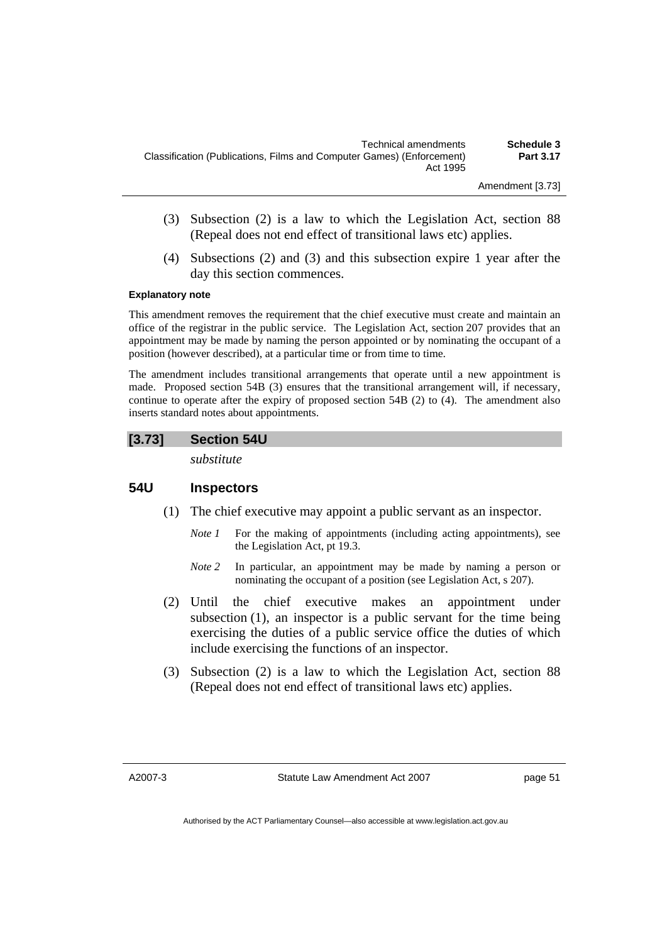- (3) Subsection (2) is a law to which the Legislation Act, section 88 (Repeal does not end effect of transitional laws etc) applies.
- (4) Subsections (2) and (3) and this subsection expire 1 year after the day this section commences.

#### **Explanatory note**

This amendment removes the requirement that the chief executive must create and maintain an office of the registrar in the public service. The Legislation Act, section 207 provides that an appointment may be made by naming the person appointed or by nominating the occupant of a position (however described), at a particular time or from time to time.

The amendment includes transitional arrangements that operate until a new appointment is made. Proposed section 54B (3) ensures that the transitional arrangement will, if necessary, continue to operate after the expiry of proposed section 54B (2) to (4). The amendment also inserts standard notes about appointments.

## **[3.73] Section 54U**

*substitute* 

## **54U Inspectors**

- (1) The chief executive may appoint a public servant as an inspector.
	- *Note 1* For the making of appointments (including acting appointments), see the Legislation Act, pt 19.3.
	- *Note 2* In particular, an appointment may be made by naming a person or nominating the occupant of a position (see Legislation Act, s 207).
- (2) Until the chief executive makes an appointment under subsection (1), an inspector is a public servant for the time being exercising the duties of a public service office the duties of which include exercising the functions of an inspector.
- (3) Subsection (2) is a law to which the Legislation Act, section 88 (Repeal does not end effect of transitional laws etc) applies.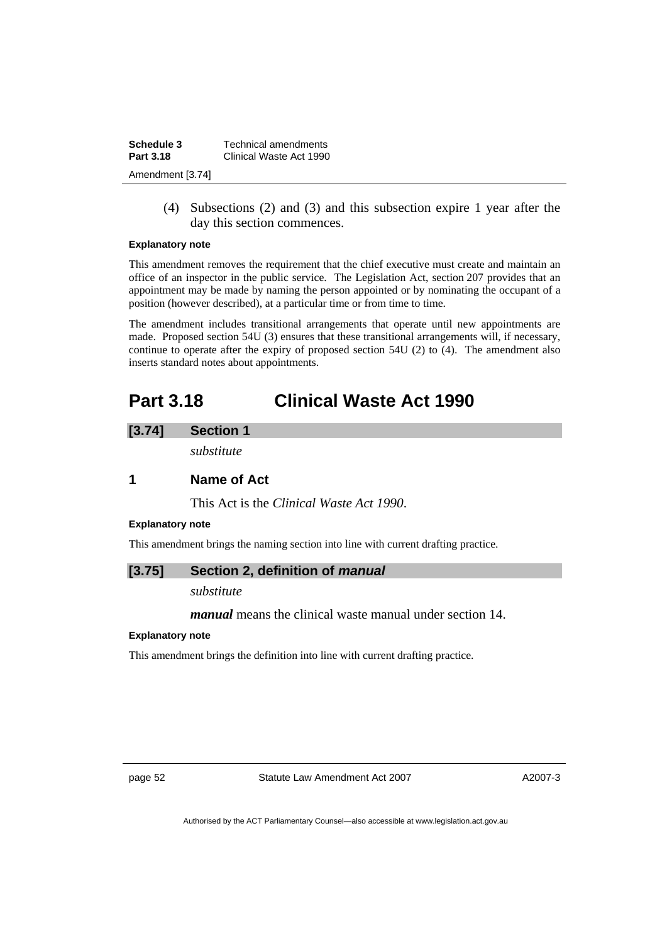| Schedule 3       | Technical amendments    |
|------------------|-------------------------|
| <b>Part 3.18</b> | Clinical Waste Act 1990 |
| Amendment [3.74] |                         |

 (4) Subsections (2) and (3) and this subsection expire 1 year after the day this section commences.

### **Explanatory note**

This amendment removes the requirement that the chief executive must create and maintain an office of an inspector in the public service. The Legislation Act, section 207 provides that an appointment may be made by naming the person appointed or by nominating the occupant of a position (however described), at a particular time or from time to time.

The amendment includes transitional arrangements that operate until new appointments are made. Proposed section 54U (3) ensures that these transitional arrangements will, if necessary, continue to operate after the expiry of proposed section 54U (2) to (4). The amendment also inserts standard notes about appointments.

# **Part 3.18 Clinical Waste Act 1990**

#### **[3.74] Section 1**

*substitute* 

# **1 Name of Act**

This Act is the *Clinical Waste Act 1990*.

#### **Explanatory note**

This amendment brings the naming section into line with current drafting practice.

## **[3.75] Section 2, definition of** *manual*

*substitute* 

*manual* means the clinical waste manual under section 14.

#### **Explanatory note**

This amendment brings the definition into line with current drafting practice.

page 52 Statute Law Amendment Act 2007

A2007-3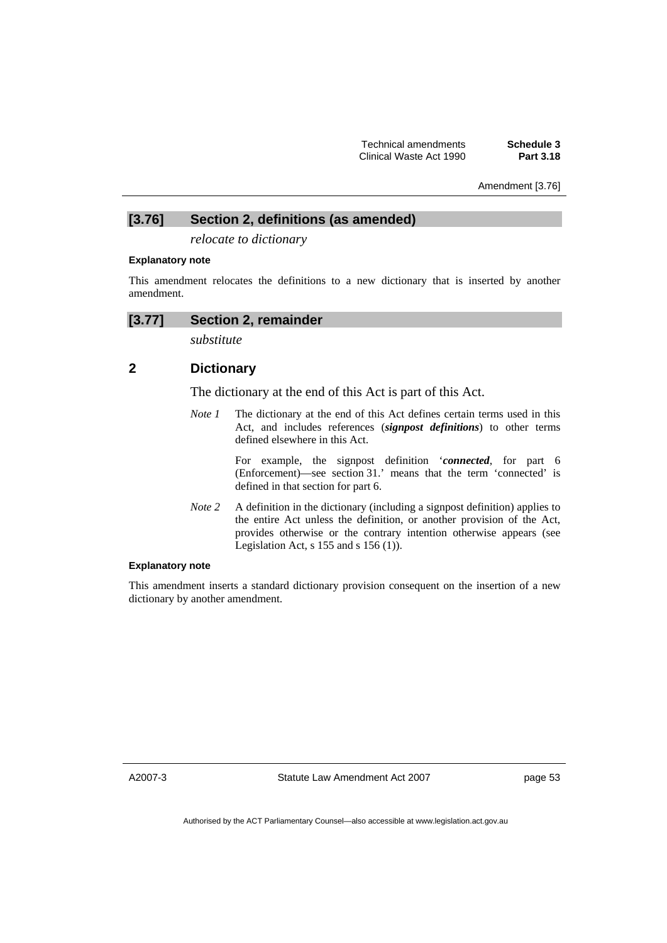Amendment [3.76]

# **[3.76] Section 2, definitions (as amended)**

*relocate to dictionary* 

### **Explanatory note**

This amendment relocates the definitions to a new dictionary that is inserted by another amendment.

# **[3.77] Section 2, remainder**

*substitute* 

# **2 Dictionary**

The dictionary at the end of this Act is part of this Act.

*Note 1* The dictionary at the end of this Act defines certain terms used in this Act, and includes references (*signpost definitions*) to other terms defined elsewhere in this Act.

> For example, the signpost definition '*connected*, for part 6 (Enforcement)—see section 31.' means that the term 'connected' is defined in that section for part 6.

*Note 2* A definition in the dictionary (including a signpost definition) applies to the entire Act unless the definition, or another provision of the Act, provides otherwise or the contrary intention otherwise appears (see Legislation Act, s  $155$  and s  $156$  (1)).

## **Explanatory note**

This amendment inserts a standard dictionary provision consequent on the insertion of a new dictionary by another amendment.

A2007-3

Statute Law Amendment Act 2007

page 53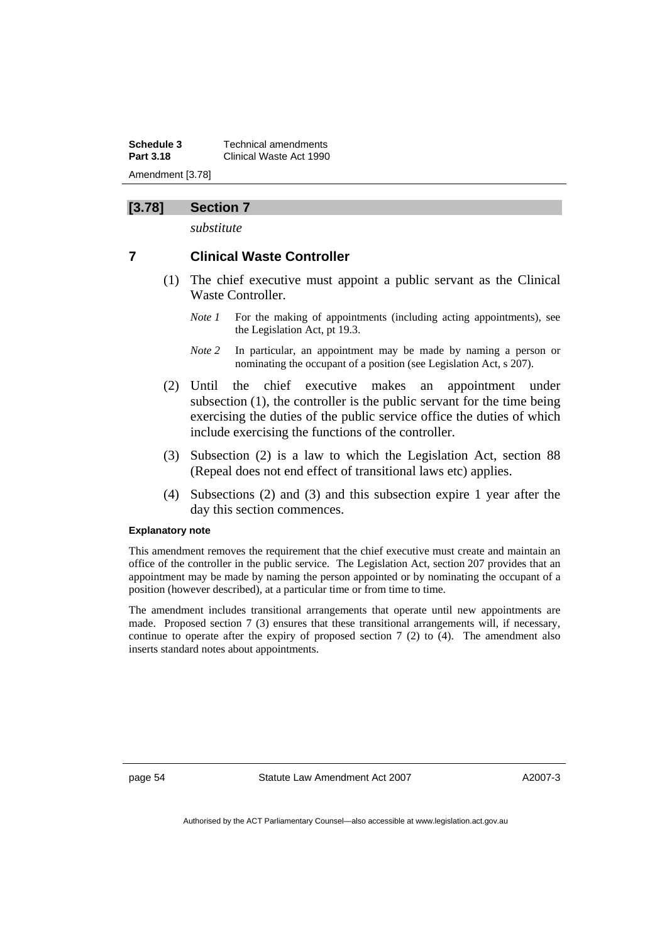**Schedule 3** Technical amendments **Part 3.18** Clinical Waste Act 1990 Amendment [3.78]

## **[3.78] Section 7**

*substitute* 

## **7 Clinical Waste Controller**

- (1) The chief executive must appoint a public servant as the Clinical Waste Controller.
	- *Note 1* For the making of appointments (including acting appointments), see the Legislation Act, pt 19.3.
	- *Note 2* In particular, an appointment may be made by naming a person or nominating the occupant of a position (see Legislation Act, s 207).
- (2) Until the chief executive makes an appointment under subsection (1), the controller is the public servant for the time being exercising the duties of the public service office the duties of which include exercising the functions of the controller.
- (3) Subsection (2) is a law to which the Legislation Act, section 88 (Repeal does not end effect of transitional laws etc) applies.
- (4) Subsections (2) and (3) and this subsection expire 1 year after the day this section commences.

#### **Explanatory note**

This amendment removes the requirement that the chief executive must create and maintain an office of the controller in the public service. The Legislation Act, section 207 provides that an appointment may be made by naming the person appointed or by nominating the occupant of a position (however described), at a particular time or from time to time.

The amendment includes transitional arrangements that operate until new appointments are made. Proposed section 7 (3) ensures that these transitional arrangements will, if necessary, continue to operate after the expiry of proposed section  $7(2)$  to  $(4)$ . The amendment also inserts standard notes about appointments.

page 54 Statute Law Amendment Act 2007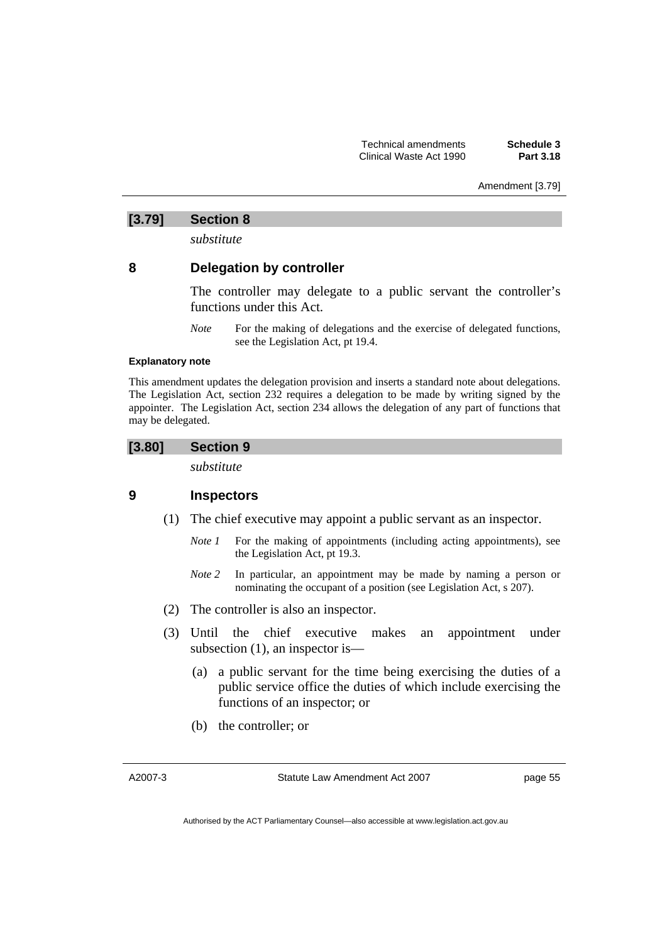Amendment [3.79]

## **[3.79] Section 8**

*substitute* 

## **8 Delegation by controller**

The controller may delegate to a public servant the controller's functions under this Act.

*Note* For the making of delegations and the exercise of delegated functions, see the Legislation Act, pt 19.4.

### **Explanatory note**

This amendment updates the delegation provision and inserts a standard note about delegations. The Legislation Act, section 232 requires a delegation to be made by writing signed by the appointer. The Legislation Act, section 234 allows the delegation of any part of functions that may be delegated.

## **[3.80] Section 9**

*substitute* 

## **9 Inspectors**

- (1) The chief executive may appoint a public servant as an inspector.
	- *Note 1* For the making of appointments (including acting appointments), see the Legislation Act, pt 19.3.
	- *Note 2* In particular, an appointment may be made by naming a person or nominating the occupant of a position (see Legislation Act, s 207).
- (2) The controller is also an inspector.
- (3) Until the chief executive makes an appointment under subsection (1), an inspector is—
	- (a) a public servant for the time being exercising the duties of a public service office the duties of which include exercising the functions of an inspector; or
	- (b) the controller; or

A2007-3

Statute Law Amendment Act 2007

page 55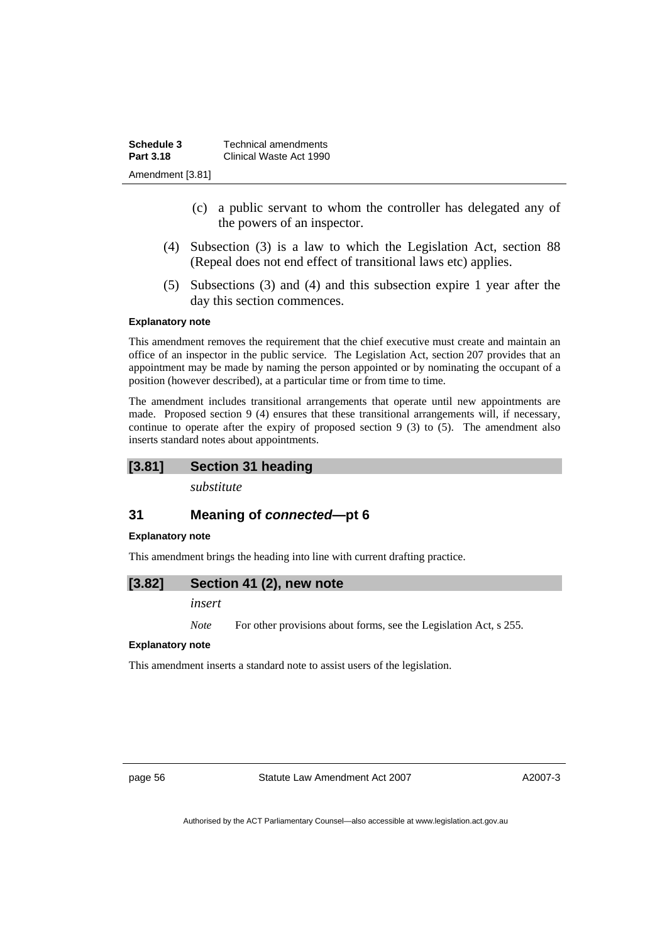| Schedule 3       | Technical amendments    |
|------------------|-------------------------|
| Part 3.18        | Clinical Waste Act 1990 |
| Amendment [3.81] |                         |

- (c) a public servant to whom the controller has delegated any of the powers of an inspector.
- (4) Subsection (3) is a law to which the Legislation Act, section 88 (Repeal does not end effect of transitional laws etc) applies.
- (5) Subsections (3) and (4) and this subsection expire 1 year after the day this section commences.

#### **Explanatory note**

This amendment removes the requirement that the chief executive must create and maintain an office of an inspector in the public service. The Legislation Act, section 207 provides that an appointment may be made by naming the person appointed or by nominating the occupant of a position (however described), at a particular time or from time to time.

The amendment includes transitional arrangements that operate until new appointments are made. Proposed section 9 (4) ensures that these transitional arrangements will, if necessary, continue to operate after the expiry of proposed section 9 (3) to (5). The amendment also inserts standard notes about appointments.

## **[3.81] Section 31 heading**

*substitute* 

## **31 Meaning of** *connected***—pt 6**

#### **Explanatory note**

This amendment brings the heading into line with current drafting practice.

#### **[3.82] Section 41 (2), new note**

*insert* 

*Note* For other provisions about forms, see the Legislation Act, s 255.

#### **Explanatory note**

This amendment inserts a standard note to assist users of the legislation.

page 56 Statute Law Amendment Act 2007

A2007-3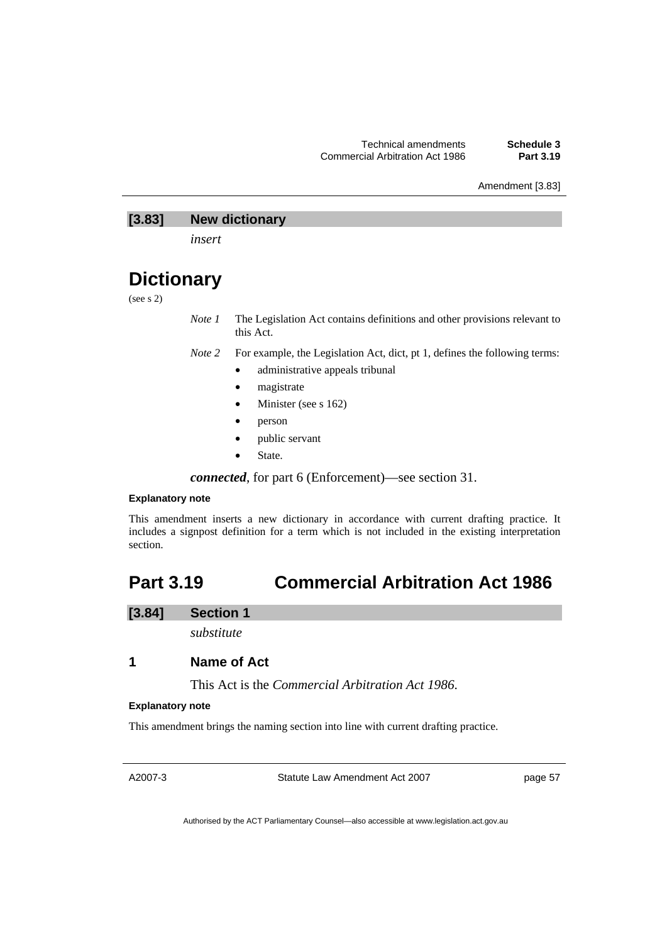Amendment [3.83]

# **[3.83] New dictionary**

*insert* 

# **Dictionary**

(see s 2)

*Note 1* The Legislation Act contains definitions and other provisions relevant to this Act.

- *Note 2* For example, the Legislation Act, dict, pt 1, defines the following terms:
	- administrative appeals tribunal
		- magistrate
		- Minister (see s 162)
		- person
		- public servant
		- State.

*connected*, for part 6 (Enforcement)—see section 31.

## **Explanatory note**

This amendment inserts a new dictionary in accordance with current drafting practice. It includes a signpost definition for a term which is not included in the existing interpretation section.

# **Part 3.19 Commercial Arbitration Act 1986**

## **[3.84] Section 1**

*substitute* 

# **1 Name of Act**

This Act is the *Commercial Arbitration Act 1986*.

#### **Explanatory note**

This amendment brings the naming section into line with current drafting practice.

A2007-3

Statute Law Amendment Act 2007

page 57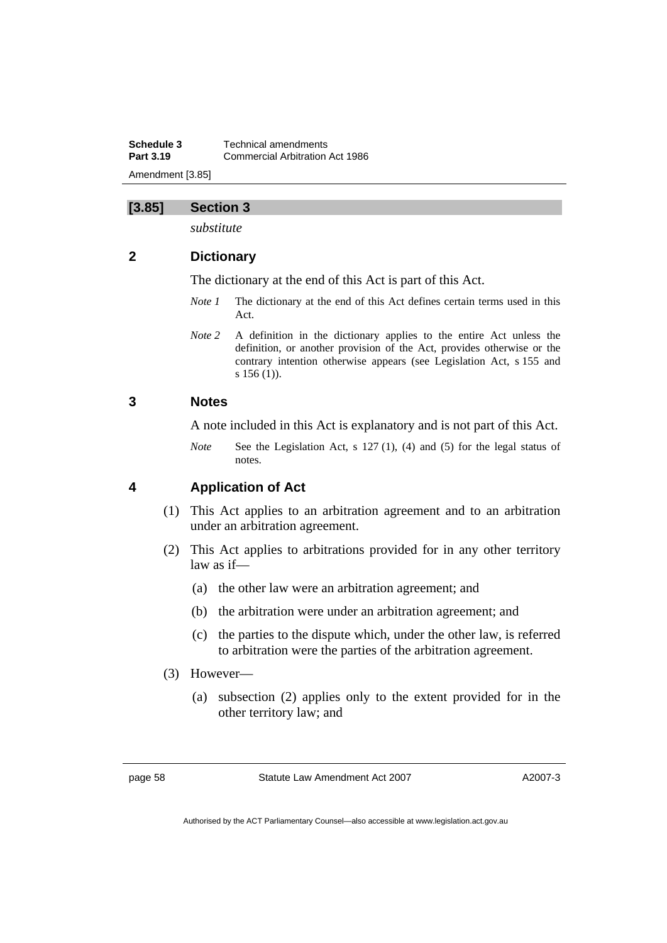**Schedule 3 Technical amendments**<br>**Part 3.19 Commercial Arbitration Part 3.19** Commercial Arbitration Act 1986 Amendment [3.85]

## **[3.85] Section 3**

*substitute* 

# **2 Dictionary**

The dictionary at the end of this Act is part of this Act.

- *Note 1* The dictionary at the end of this Act defines certain terms used in this Act.
- *Note 2* A definition in the dictionary applies to the entire Act unless the definition, or another provision of the Act, provides otherwise or the contrary intention otherwise appears (see Legislation Act, s 155 and s 156 (1)).

## **3 Notes**

A note included in this Act is explanatory and is not part of this Act.

*Note* See the Legislation Act, s 127 (1), (4) and (5) for the legal status of notes.

## **4 Application of Act**

- (1) This Act applies to an arbitration agreement and to an arbitration under an arbitration agreement.
- (2) This Act applies to arbitrations provided for in any other territory law as if—
	- (a) the other law were an arbitration agreement; and
	- (b) the arbitration were under an arbitration agreement; and
	- (c) the parties to the dispute which, under the other law, is referred to arbitration were the parties of the arbitration agreement.

## (3) However—

 (a) subsection (2) applies only to the extent provided for in the other territory law; and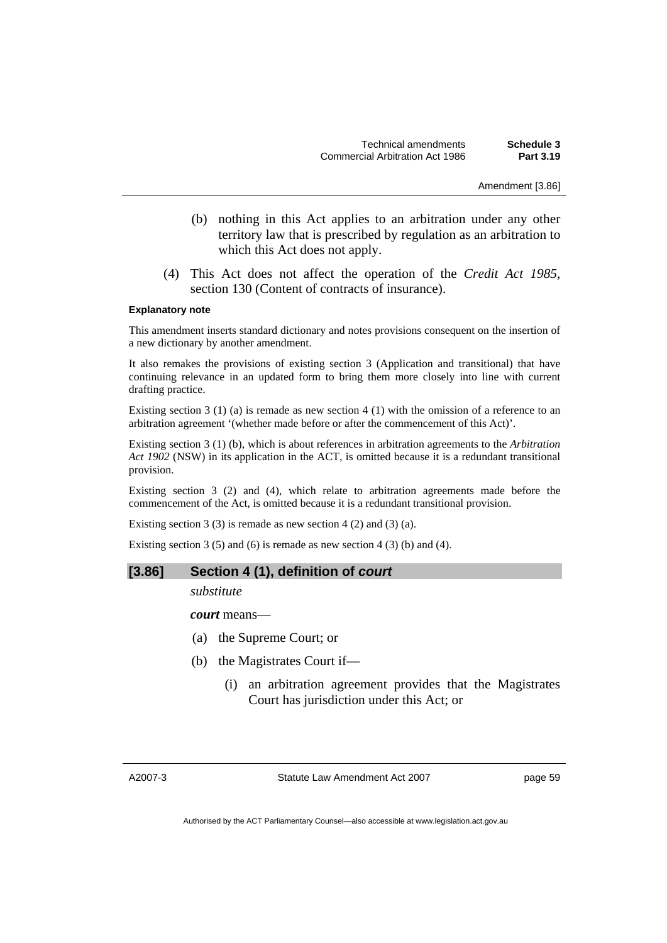Amendment [3.86]

- (b) nothing in this Act applies to an arbitration under any other territory law that is prescribed by regulation as an arbitration to which this Act does not apply.
- (4) This Act does not affect the operation of the *Credit Act 1985*, section 130 (Content of contracts of insurance).

#### **Explanatory note**

This amendment inserts standard dictionary and notes provisions consequent on the insertion of a new dictionary by another amendment.

It also remakes the provisions of existing section 3 (Application and transitional) that have continuing relevance in an updated form to bring them more closely into line with current drafting practice.

Existing section 3 (1) (a) is remade as new section 4 (1) with the omission of a reference to an arbitration agreement '(whether made before or after the commencement of this Act)'.

Existing section 3 (1) (b), which is about references in arbitration agreements to the *Arbitration Act 1902* (NSW) in its application in the ACT, is omitted because it is a redundant transitional provision.

Existing section 3 (2) and (4), which relate to arbitration agreements made before the commencement of the Act, is omitted because it is a redundant transitional provision.

Existing section 3 (3) is remade as new section 4 (2) and (3) (a).

Existing section 3 (5) and (6) is remade as new section 4 (3) (b) and (4).

#### **[3.86] Section 4 (1), definition of** *court*

*substitute* 

*court* means—

- (a) the Supreme Court; or
- (b) the Magistrates Court if—
	- (i) an arbitration agreement provides that the Magistrates Court has jurisdiction under this Act; or

A2007-3

Statute Law Amendment Act 2007

page 59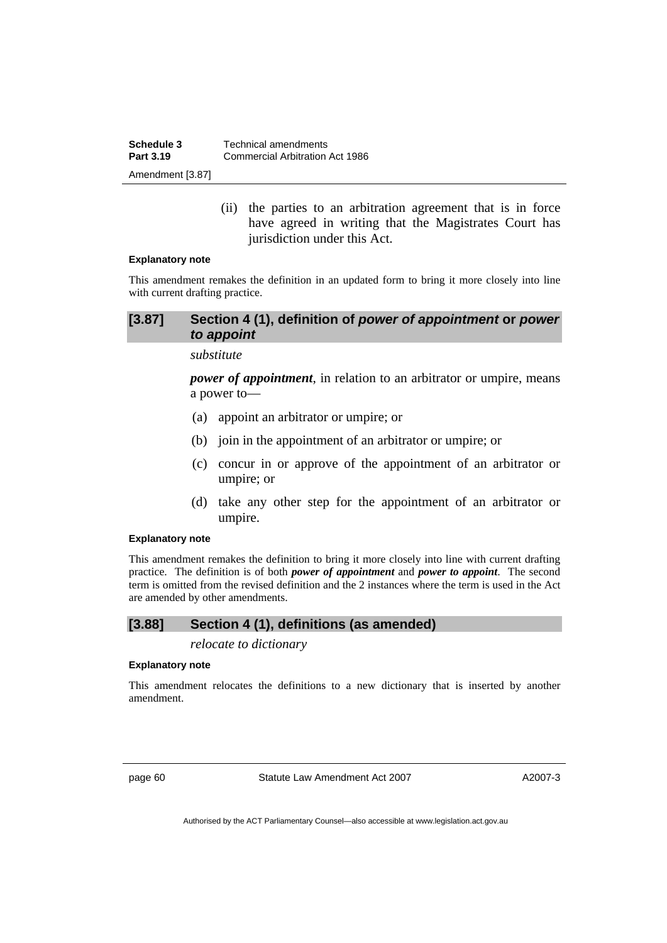| Schedule 3<br>Part 3.19 | Technical amendments<br>Commercial Arbitration Act 1986 |
|-------------------------|---------------------------------------------------------|
|                         |                                                         |
| Amendment [3.87]        |                                                         |

 (ii) the parties to an arbitration agreement that is in force have agreed in writing that the Magistrates Court has jurisdiction under this Act.

#### **Explanatory note**

This amendment remakes the definition in an updated form to bring it more closely into line with current drafting practice.

## **[3.87] Section 4 (1), definition of** *power of appointment* **or** *power to appoint*

#### *substitute*

*power of appointment*, in relation to an arbitrator or umpire, means a power to—

- (a) appoint an arbitrator or umpire; or
- (b) join in the appointment of an arbitrator or umpire; or
- (c) concur in or approve of the appointment of an arbitrator or umpire; or
- (d) take any other step for the appointment of an arbitrator or umpire.

## **Explanatory note**

This amendment remakes the definition to bring it more closely into line with current drafting practice. The definition is of both *power of appointment* and *power to appoint*. The second term is omitted from the revised definition and the 2 instances where the term is used in the Act are amended by other amendments.

## **[3.88] Section 4 (1), definitions (as amended)**

*relocate to dictionary* 

#### **Explanatory note**

This amendment relocates the definitions to a new dictionary that is inserted by another amendment.

page 60 Statute Law Amendment Act 2007

A2007-3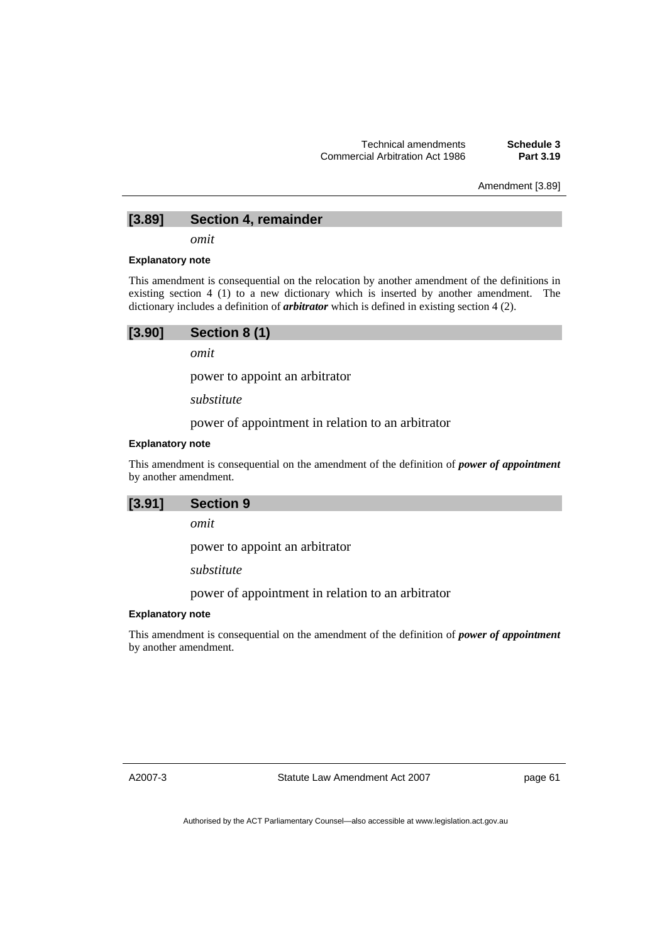Amendment [3.89]

## **[3.89] Section 4, remainder**

*omit* 

#### **Explanatory note**

This amendment is consequential on the relocation by another amendment of the definitions in existing section 4 (1) to a new dictionary which is inserted by another amendment. The dictionary includes a definition of *arbitrator* which is defined in existing section 4 (2).

| [3.90] | Section 8 (1) |
|--------|---------------|
|        |               |

*omit* 

power to appoint an arbitrator

*substitute* 

power of appointment in relation to an arbitrator

#### **Explanatory note**

This amendment is consequential on the amendment of the definition of *power of appointment* by another amendment.



*omit* 

power to appoint an arbitrator

*substitute* 

power of appointment in relation to an arbitrator

#### **Explanatory note**

This amendment is consequential on the amendment of the definition of *power of appointment* by another amendment.

A2007-3

Statute Law Amendment Act 2007

page 61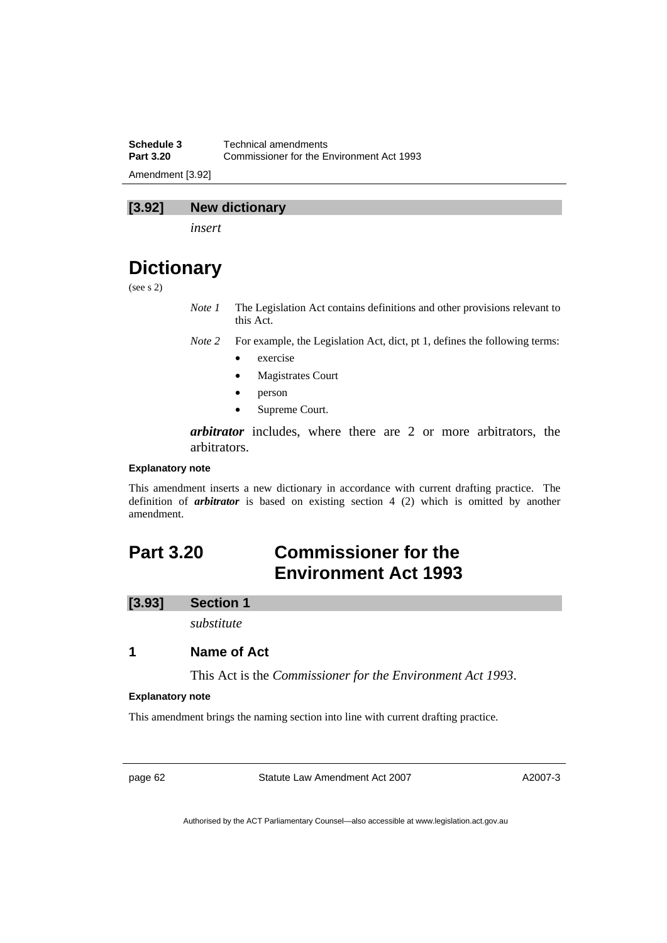**Schedule 3 Technical amendments**<br>**Part 3.20 Commissioner for the Fig. Part 3.20** Commissioner for the Environment Act 1993 Amendment [3.92]

## **[3.92] New dictionary**

*insert* 

# **Dictionary**

(see s 2)

*Note 1* The Legislation Act contains definitions and other provisions relevant to this Act.

*Note 2* For example, the Legislation Act, dict, pt 1, defines the following terms:

- exercise
- Magistrates Court
- person
- Supreme Court.

*arbitrator* includes, where there are 2 or more arbitrators, the arbitrators.

#### **Explanatory note**

This amendment inserts a new dictionary in accordance with current drafting practice. The definition of *arbitrator* is based on existing section 4 (2) which is omitted by another amendment.

# **Part 3.20 Commissioner for the Environment Act 1993**

#### **[3.93] Section 1**

*substitute* 

## **1 Name of Act**

This Act is the *Commissioner for the Environment Act 1993*.

#### **Explanatory note**

This amendment brings the naming section into line with current drafting practice.

page 62 Statute Law Amendment Act 2007

A2007-3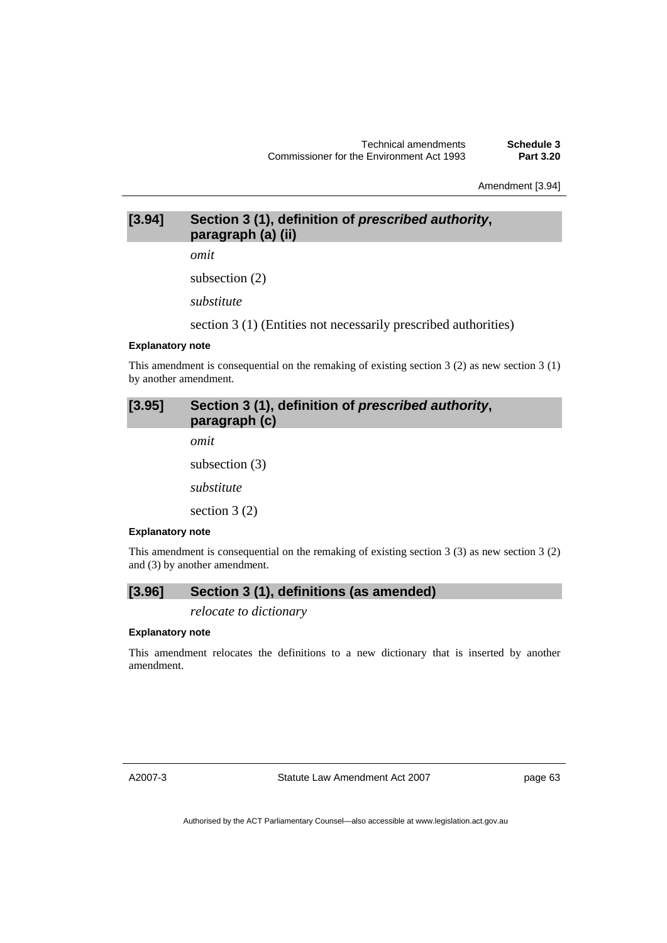Amendment [3.94]

# **[3.94] Section 3 (1), definition of** *prescribed authority***, paragraph (a) (ii)**

*omit* 

subsection (2)

*substitute* 

section 3 (1) (Entities not necessarily prescribed authorities)

#### **Explanatory note**

This amendment is consequential on the remaking of existing section 3 (2) as new section 3 (1) by another amendment.

# **[3.95] Section 3 (1), definition of** *prescribed authority***, paragraph (c)**

*omit* 

subsection (3)

*substitute* 

section 3 (2)

#### **Explanatory note**

This amendment is consequential on the remaking of existing section  $3(3)$  as new section  $3(2)$ and (3) by another amendment.

## **[3.96] Section 3 (1), definitions (as amended)**

*relocate to dictionary* 

#### **Explanatory note**

This amendment relocates the definitions to a new dictionary that is inserted by another amendment.

A2007-3

Statute Law Amendment Act 2007

page 63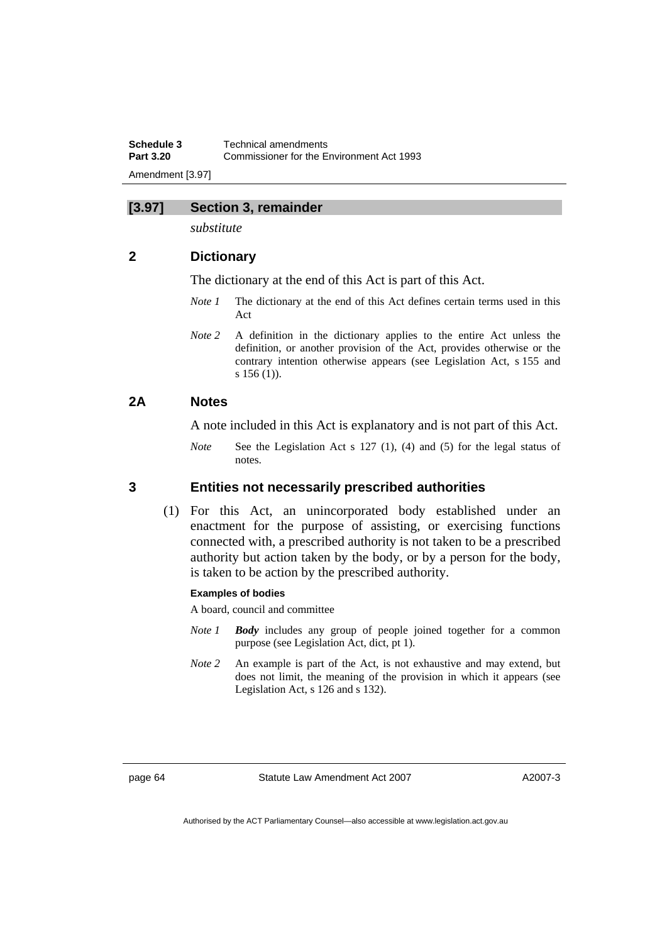**Schedule 3 Technical amendments**<br>**Part 3.20 Commissioner for the Fig. Part 3.20** Commissioner for the Environment Act 1993 Amendment [3.97]

## **[3.97] Section 3, remainder**

*substitute* 

## **2 Dictionary**

The dictionary at the end of this Act is part of this Act.

- *Note 1* The dictionary at the end of this Act defines certain terms used in this Act
- *Note 2* A definition in the dictionary applies to the entire Act unless the definition, or another provision of the Act, provides otherwise or the contrary intention otherwise appears (see Legislation Act, s 155 and s 156 (1)).

## **2A Notes**

A note included in this Act is explanatory and is not part of this Act.

*Note* See the Legislation Act s 127 (1), (4) and (5) for the legal status of notes.

## **3 Entities not necessarily prescribed authorities**

 (1) For this Act, an unincorporated body established under an enactment for the purpose of assisting, or exercising functions connected with, a prescribed authority is not taken to be a prescribed authority but action taken by the body, or by a person for the body, is taken to be action by the prescribed authority.

### **Examples of bodies**

A board, council and committee

- *Note 1 Body* includes any group of people joined together for a common purpose (see Legislation Act, dict, pt 1).
- *Note 2* An example is part of the Act, is not exhaustive and may extend, but does not limit, the meaning of the provision in which it appears (see Legislation Act, s 126 and s 132).

page 64 Statute Law Amendment Act 2007

A2007-3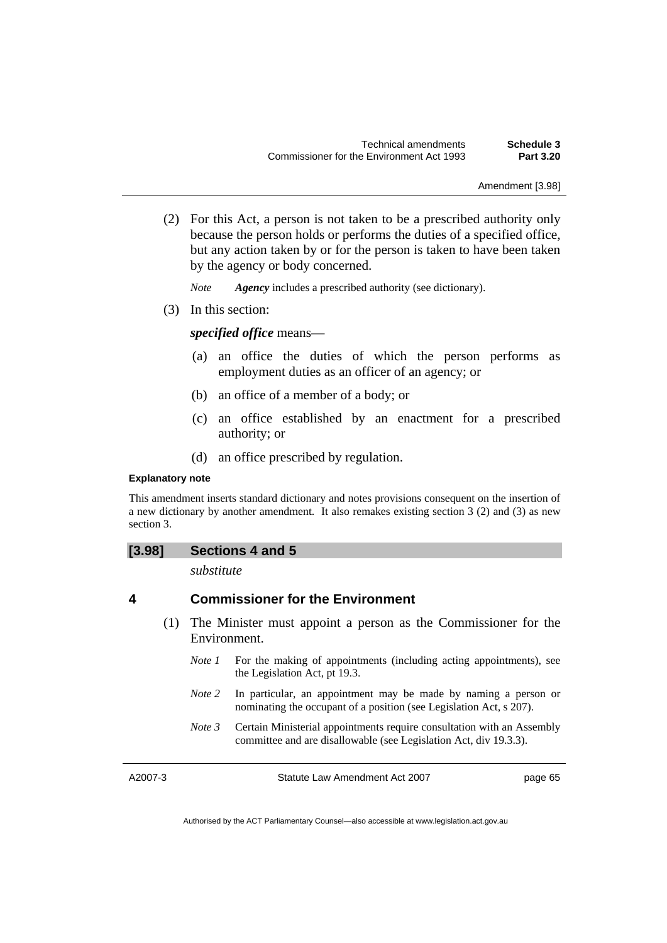Amendment [3.98]

 (2) For this Act, a person is not taken to be a prescribed authority only because the person holds or performs the duties of a specified office, but any action taken by or for the person is taken to have been taken by the agency or body concerned.

*Note Agency* includes a prescribed authority (see dictionary).

(3) In this section:

## *specified office* means—

- (a) an office the duties of which the person performs as employment duties as an officer of an agency; or
- (b) an office of a member of a body; or
- (c) an office established by an enactment for a prescribed authority; or
- (d) an office prescribed by regulation.

#### **Explanatory note**

This amendment inserts standard dictionary and notes provisions consequent on the insertion of a new dictionary by another amendment. It also remakes existing section 3 (2) and (3) as new section 3.

## **[3.98] Sections 4 and 5**

*substitute* 

## **4 Commissioner for the Environment**

- (1) The Minister must appoint a person as the Commissioner for the Environment.
	- *Note 1* For the making of appointments (including acting appointments), see the Legislation Act, pt 19.3.
	- *Note 2* In particular, an appointment may be made by naming a person or nominating the occupant of a position (see Legislation Act, s 207).
	- *Note 3* Certain Ministerial appointments require consultation with an Assembly committee and are disallowable (see Legislation Act, div 19.3.3).

A2007-3

Statute Law Amendment Act 2007

page 65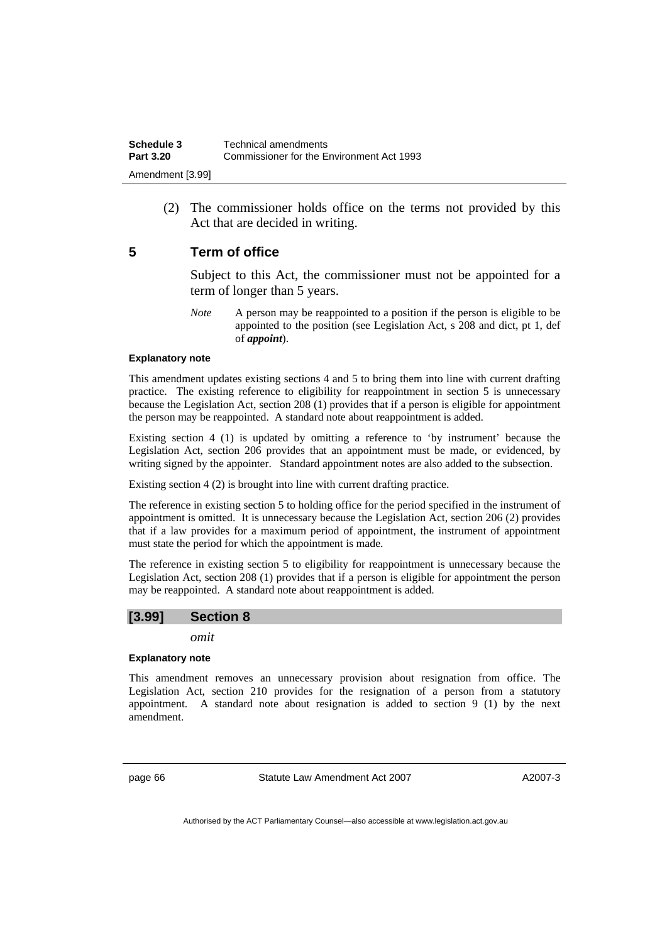(2) The commissioner holds office on the terms not provided by this Act that are decided in writing.

## **5 Term of office**

Subject to this Act, the commissioner must not be appointed for a term of longer than 5 years.

*Note* A person may be reappointed to a position if the person is eligible to be appointed to the position (see Legislation Act, s 208 and dict, pt 1, def of *appoint*).

#### **Explanatory note**

This amendment updates existing sections 4 and 5 to bring them into line with current drafting practice. The existing reference to eligibility for reappointment in section 5 is unnecessary because the Legislation Act, section 208 (1) provides that if a person is eligible for appointment the person may be reappointed. A standard note about reappointment is added.

Existing section 4 (1) is updated by omitting a reference to 'by instrument' because the Legislation Act, section 206 provides that an appointment must be made, or evidenced, by writing signed by the appointer. Standard appointment notes are also added to the subsection.

Existing section 4 (2) is brought into line with current drafting practice.

The reference in existing section 5 to holding office for the period specified in the instrument of appointment is omitted. It is unnecessary because the Legislation Act, section 206 (2) provides that if a law provides for a maximum period of appointment, the instrument of appointment must state the period for which the appointment is made.

The reference in existing section 5 to eligibility for reappointment is unnecessary because the Legislation Act, section 208 (1) provides that if a person is eligible for appointment the person may be reappointed. A standard note about reappointment is added.

## **[3.99] Section 8**

*omit* 

### **Explanatory note**

This amendment removes an unnecessary provision about resignation from office. The Legislation Act, section 210 provides for the resignation of a person from a statutory appointment. A standard note about resignation is added to section 9 (1) by the next amendment.

page 66 Statute Law Amendment Act 2007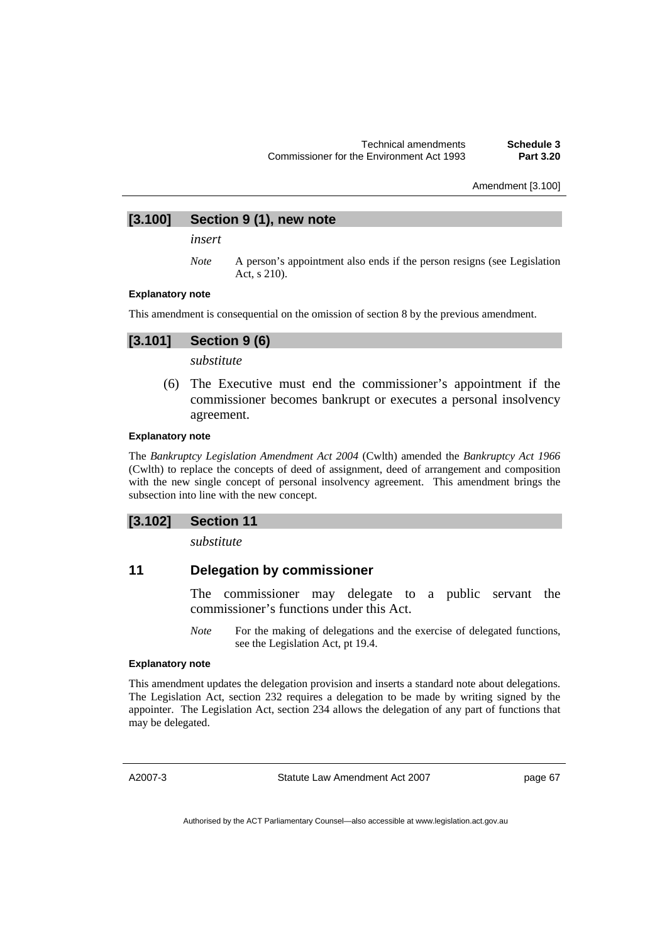Amendment [3.100]

## **[3.100] Section 9 (1), new note**

*insert* 

*Note* A person's appointment also ends if the person resigns (see Legislation Act, s 210).

#### **Explanatory note**

This amendment is consequential on the omission of section 8 by the previous amendment.

## **[3.101] Section 9 (6)**

*substitute* 

 (6) The Executive must end the commissioner's appointment if the commissioner becomes bankrupt or executes a personal insolvency agreement.

#### **Explanatory note**

The *Bankruptcy Legislation Amendment Act 2004* (Cwlth) amended the *Bankruptcy Act 1966*  (Cwlth) to replace the concepts of deed of assignment, deed of arrangement and composition with the new single concept of personal insolvency agreement. This amendment brings the subsection into line with the new concept.

### **[3.102] Section 11**

*substitute* 

## **11 Delegation by commissioner**

The commissioner may delegate to a public servant the commissioner's functions under this Act.

*Note* For the making of delegations and the exercise of delegated functions, see the Legislation Act, pt 19.4.

#### **Explanatory note**

This amendment updates the delegation provision and inserts a standard note about delegations. The Legislation Act, section 232 requires a delegation to be made by writing signed by the appointer. The Legislation Act, section 234 allows the delegation of any part of functions that may be delegated.

A2007-3

Statute Law Amendment Act 2007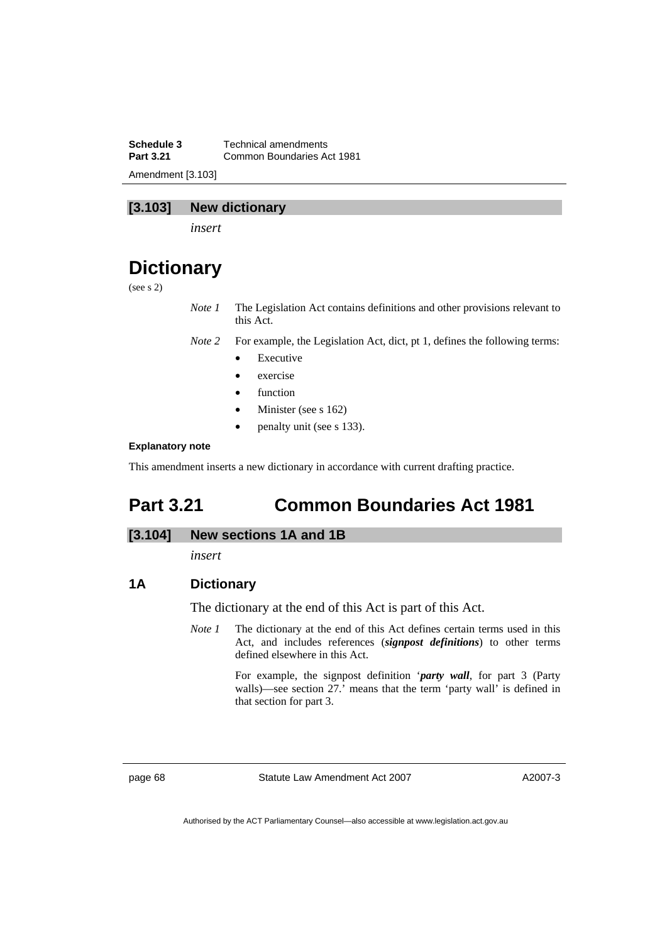**Schedule 3 Technical amendments**<br>**Part 3.21 Common Boundaries Adv Part 3.21** Common Boundaries Act 1981 Amendment [3.103]

## **[3.103] New dictionary**

*insert* 

# **Dictionary**

(see s 2)

*Note 1* The Legislation Act contains definitions and other provisions relevant to this Act.

*Note 2* For example, the Legislation Act, dict, pt 1, defines the following terms:

- **Executive**
- exercise
- function
- Minister (see s 162)
- penalty unit (see s 133).

#### **Explanatory note**

This amendment inserts a new dictionary in accordance with current drafting practice.

# **Part 3.21 Common Boundaries Act 1981**

### **[3.104] New sections 1A and 1B**

*insert* 

## **1A Dictionary**

The dictionary at the end of this Act is part of this Act.

*Note 1* The dictionary at the end of this Act defines certain terms used in this Act, and includes references (*signpost definitions*) to other terms defined elsewhere in this Act.

> For example, the signpost definition '*party wall*, for part 3 (Party walls)—see section 27.' means that the term 'party wall' is defined in that section for part 3.

page 68 Statute Law Amendment Act 2007

A2007-3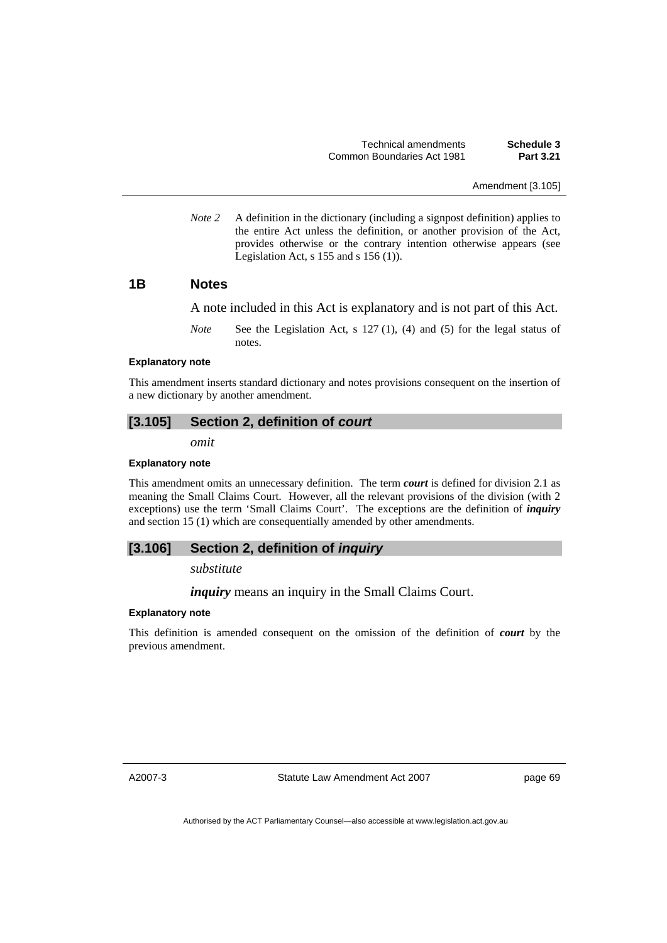Technical amendments **Schedule 3**  Common Boundaries Act 1981 **Part 3.21** 

Amendment [3.105]

*Note 2* A definition in the dictionary (including a signpost definition) applies to the entire Act unless the definition, or another provision of the Act, provides otherwise or the contrary intention otherwise appears (see Legislation Act,  $s$  155 and  $s$  156 (1)).

## **1B Notes**

A note included in this Act is explanatory and is not part of this Act.

*Note* See the Legislation Act, s 127 (1), (4) and (5) for the legal status of notes.

#### **Explanatory note**

This amendment inserts standard dictionary and notes provisions consequent on the insertion of a new dictionary by another amendment.

### **[3.105] Section 2, definition of** *court*

*omit* 

#### **Explanatory note**

This amendment omits an unnecessary definition. The term *court* is defined for division 2.1 as meaning the Small Claims Court. However, all the relevant provisions of the division (with 2 exceptions) use the term 'Small Claims Court'. The exceptions are the definition of *inquiry* and section 15 (1) which are consequentially amended by other amendments.

## **[3.106] Section 2, definition of** *inquiry*

*substitute* 

*inquiry* means an inquiry in the Small Claims Court.

#### **Explanatory note**

This definition is amended consequent on the omission of the definition of *court* by the previous amendment.

A2007-3

Statute Law Amendment Act 2007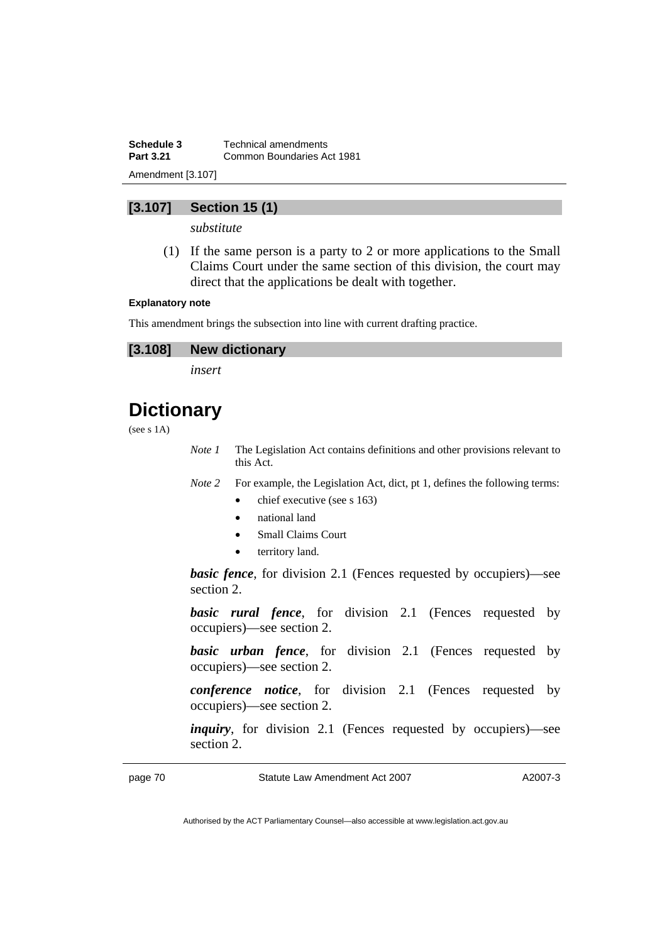**Schedule 3 Technical amendments**<br>**Part 3.21 Common Boundaries Adv Part 3.21** Common Boundaries Act 1981 Amendment [3.107]

## **[3.107] Section 15 (1)**

*substitute* 

 (1) If the same person is a party to 2 or more applications to the Small Claims Court under the same section of this division, the court may direct that the applications be dealt with together.

#### **Explanatory note**

This amendment brings the subsection into line with current drafting practice.

## **[3.108] New dictionary**

*insert* 

# **Dictionary**

(see s 1A)

*Note 1* The Legislation Act contains definitions and other provisions relevant to this Act.

*Note 2* For example, the Legislation Act, dict, pt 1, defines the following terms:

- chief executive (see s 163)
- national land
- Small Claims Court
- territory land.

*basic fence*, for division 2.1 (Fences requested by occupiers)—see section 2.

**basic rural fence**, for division 2.1 (Fences requested by occupiers)—see section 2.

**basic urban fence**, for division 2.1 (Fences requested by occupiers)—see section 2.

*conference notice*, for division 2.1 (Fences requested by occupiers)—see section 2.

*inquiry*, for division 2.1 (Fences requested by occupiers)—see section 2.

page 70 Statute Law Amendment Act 2007

A2007-3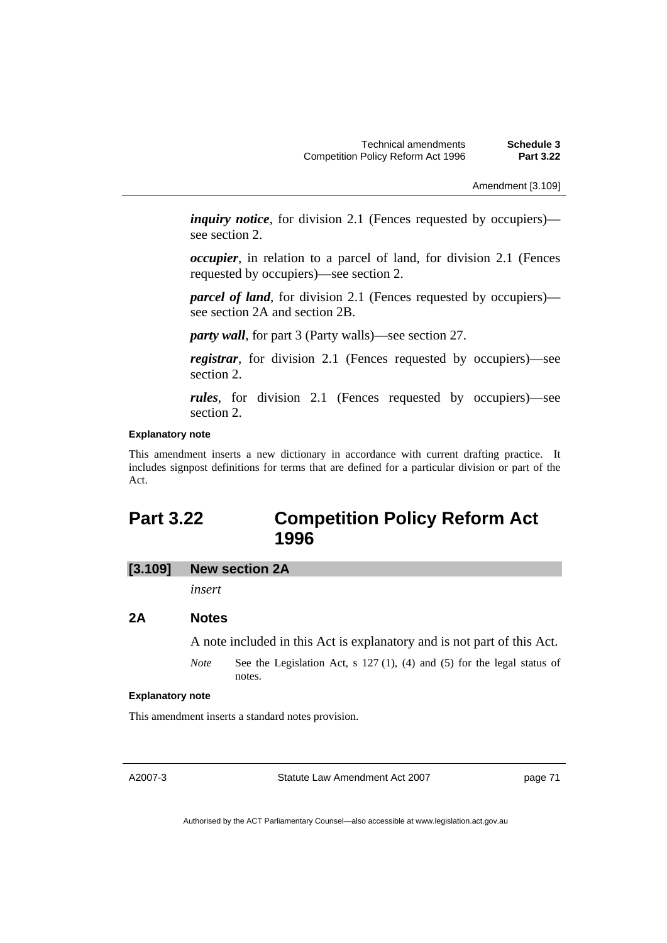Amendment [3.109]

*inquiry notice*, for division 2.1 (Fences requested by occupiers) see section 2.

*occupier*, in relation to a parcel of land, for division 2.1 (Fences requested by occupiers)—see section 2.

*parcel of land*, for division 2.1 (Fences requested by occupiers) see section 2A and section 2B.

*party wall*, for part 3 (Party walls)—see section 27.

*registrar*, for division 2.1 (Fences requested by occupiers)—see section 2.

*rules*, for division 2.1 (Fences requested by occupiers)—see section 2.

#### **Explanatory note**

This amendment inserts a new dictionary in accordance with current drafting practice. It includes signpost definitions for terms that are defined for a particular division or part of the Act.

## **Part 3.22 Competition Policy Reform Act 1996**

**[3.109] New section 2A** 

*insert* 

#### **2A Notes**

A note included in this Act is explanatory and is not part of this Act.

*Note* See the Legislation Act, s 127 (1), (4) and (5) for the legal status of notes.

#### **Explanatory note**

This amendment inserts a standard notes provision.

A2007-3

Statute Law Amendment Act 2007

page 71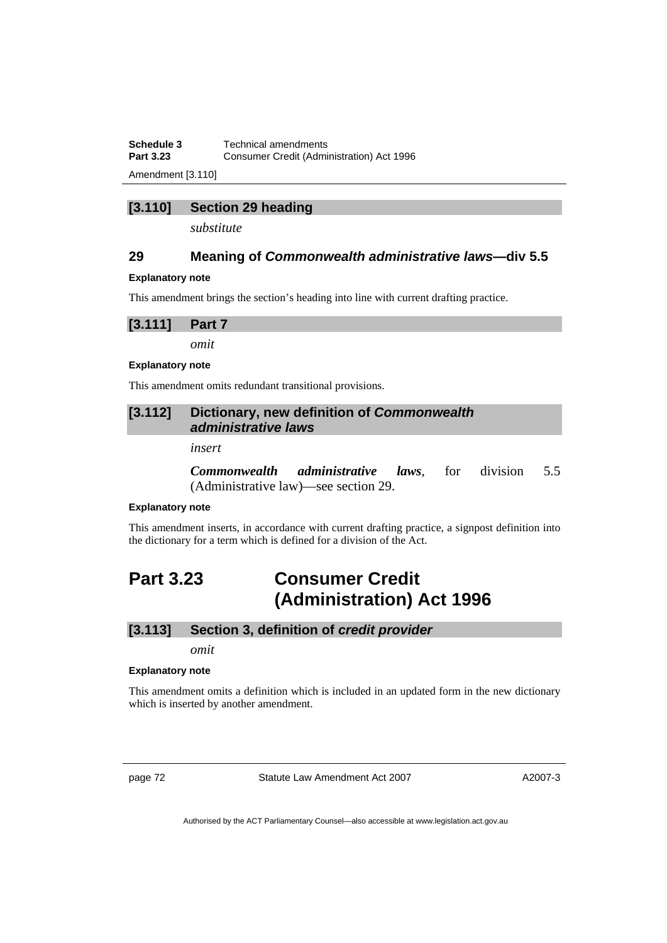**Schedule 3 Technical amendments**<br>**Part 3.23 Consumer Credit (Admi Part 3.23** Consumer Credit (Administration) Act 1996

Amendment [3.110]

## **[3.110] Section 29 heading**

*substitute* 

## **29 Meaning of** *Commonwealth administrative laws***—div 5.5**

#### **Explanatory note**

This amendment brings the section's heading into line with current drafting practice.

## **[3.111] Part 7**

*omit* 

#### **Explanatory note**

This amendment omits redundant transitional provisions.

## **[3.112] Dictionary, new definition of** *Commonwealth administrative laws*

*insert* 

*Commonwealth administrative laws*, for division 5.5 (Administrative law)—see section 29.

#### **Explanatory note**

This amendment inserts, in accordance with current drafting practice, a signpost definition into the dictionary for a term which is defined for a division of the Act.

# **Part 3.23 Consumer Credit (Administration) Act 1996**

#### **[3.113] Section 3, definition of** *credit provider*

*omit* 

#### **Explanatory note**

This amendment omits a definition which is included in an updated form in the new dictionary which is inserted by another amendment.

page 72 Statute Law Amendment Act 2007

A2007-3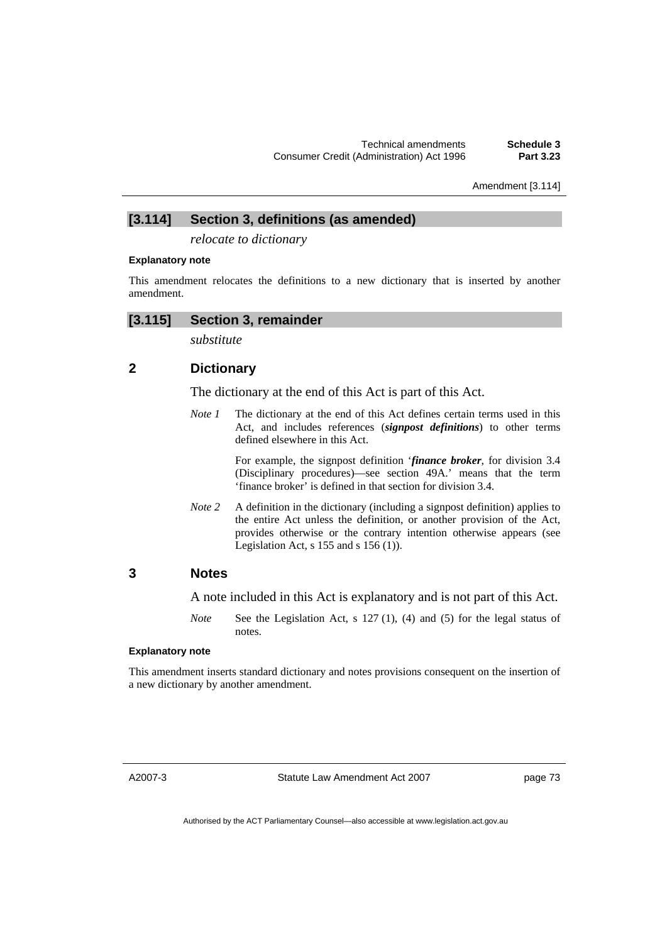Amendment [3.114]

## **[3.114] Section 3, definitions (as amended)**

*relocate to dictionary* 

#### **Explanatory note**

This amendment relocates the definitions to a new dictionary that is inserted by another amendment.

## **[3.115] Section 3, remainder**

*substitute* 

## **2 Dictionary**

The dictionary at the end of this Act is part of this Act.

*Note 1* The dictionary at the end of this Act defines certain terms used in this Act, and includes references (*signpost definitions*) to other terms defined elsewhere in this Act.

> For example, the signpost definition '*finance broker*, for division 3.4 (Disciplinary procedures)—see section 49A.' means that the term 'finance broker' is defined in that section for division 3.4.

*Note 2* A definition in the dictionary (including a signpost definition) applies to the entire Act unless the definition, or another provision of the Act, provides otherwise or the contrary intention otherwise appears (see Legislation Act, s  $155$  and s  $156$  (1)).

## **3 Notes**

A note included in this Act is explanatory and is not part of this Act.

*Note* See the Legislation Act, s 127 (1), (4) and (5) for the legal status of notes.

#### **Explanatory note**

This amendment inserts standard dictionary and notes provisions consequent on the insertion of a new dictionary by another amendment.

A2007-3

Statute Law Amendment Act 2007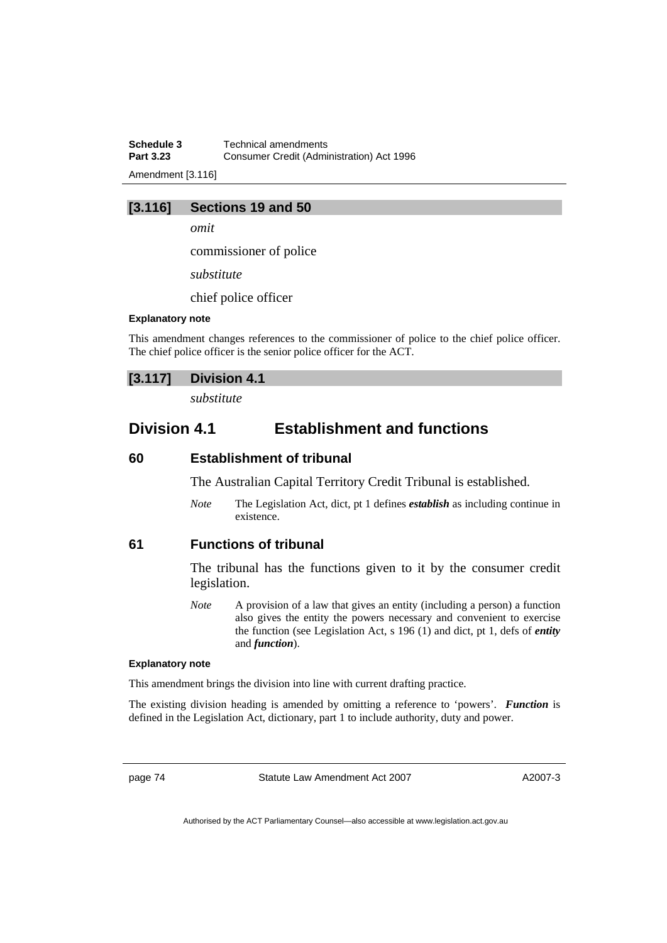**Schedule 3 Technical amendments**<br>**Part 3.23 Consumer Credit (Admi Part 3.23** Consumer Credit (Administration) Act 1996

Amendment [3.116]

## **[3.116] Sections 19 and 50**

*omit* 

commissioner of police

*substitute* 

chief police officer

#### **Explanatory note**

This amendment changes references to the commissioner of police to the chief police officer. The chief police officer is the senior police officer for the ACT.

## **[3.117] Division 4.1**

*substitute* 

## **Division 4.1 Establishment and functions**

### **60 Establishment of tribunal**

The Australian Capital Territory Credit Tribunal is established.

*Note* The Legislation Act, dict, pt 1 defines *establish* as including continue in existence.

### **61 Functions of tribunal**

The tribunal has the functions given to it by the consumer credit legislation.

*Note* A provision of a law that gives an entity (including a person) a function also gives the entity the powers necessary and convenient to exercise the function (see Legislation Act, s 196 (1) and dict, pt 1, defs of *entity* and *function*).

#### **Explanatory note**

This amendment brings the division into line with current drafting practice.

The existing division heading is amended by omitting a reference to 'powers'. *Function* is defined in the Legislation Act, dictionary, part 1 to include authority, duty and power.

page 74 Statute Law Amendment Act 2007

A2007-3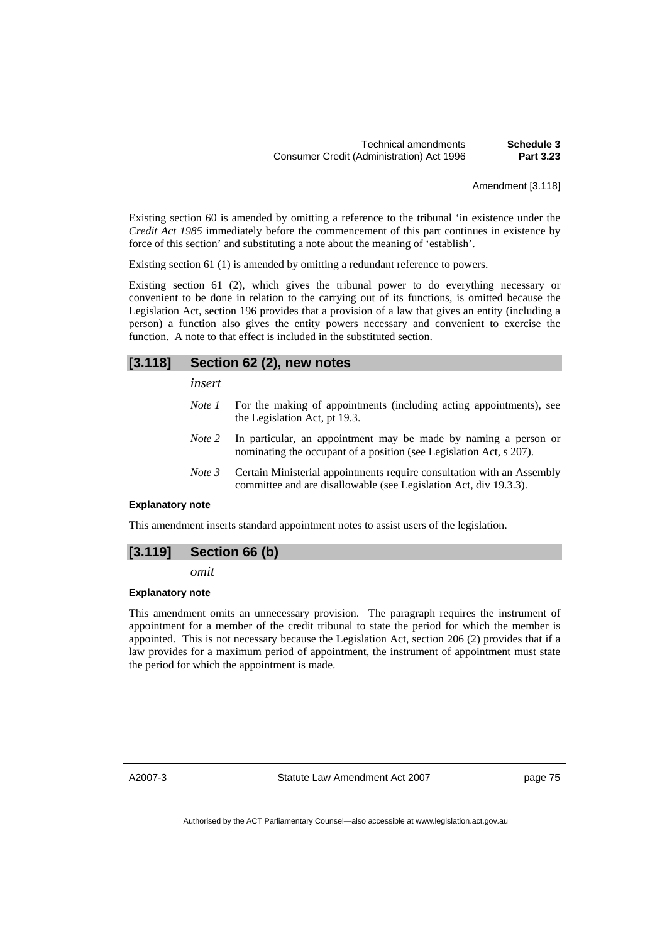Amendment [3.118]

Existing section 60 is amended by omitting a reference to the tribunal 'in existence under the *Credit Act 1985* immediately before the commencement of this part continues in existence by force of this section' and substituting a note about the meaning of 'establish'.

Existing section 61 (1) is amended by omitting a redundant reference to powers.

Existing section 61 (2), which gives the tribunal power to do everything necessary or convenient to be done in relation to the carrying out of its functions, is omitted because the Legislation Act, section 196 provides that a provision of a law that gives an entity (including a person) a function also gives the entity powers necessary and convenient to exercise the function. A note to that effect is included in the substituted section.

## **[3.118] Section 62 (2), new notes**

*insert* 

- *Note 1* For the making of appointments (including acting appointments), see the Legislation Act, pt 19.3.
- *Note 2* In particular, an appointment may be made by naming a person or nominating the occupant of a position (see Legislation Act, s 207).
- *Note 3* Certain Ministerial appointments require consultation with an Assembly committee and are disallowable (see Legislation Act, div 19.3.3).

#### **Explanatory note**

This amendment inserts standard appointment notes to assist users of the legislation.

## **[3.119] Section 66 (b)**

*omit* 

#### **Explanatory note**

This amendment omits an unnecessary provision. The paragraph requires the instrument of appointment for a member of the credit tribunal to state the period for which the member is appointed. This is not necessary because the Legislation Act, section 206 (2) provides that if a law provides for a maximum period of appointment, the instrument of appointment must state the period for which the appointment is made.

A2007-3

Statute Law Amendment Act 2007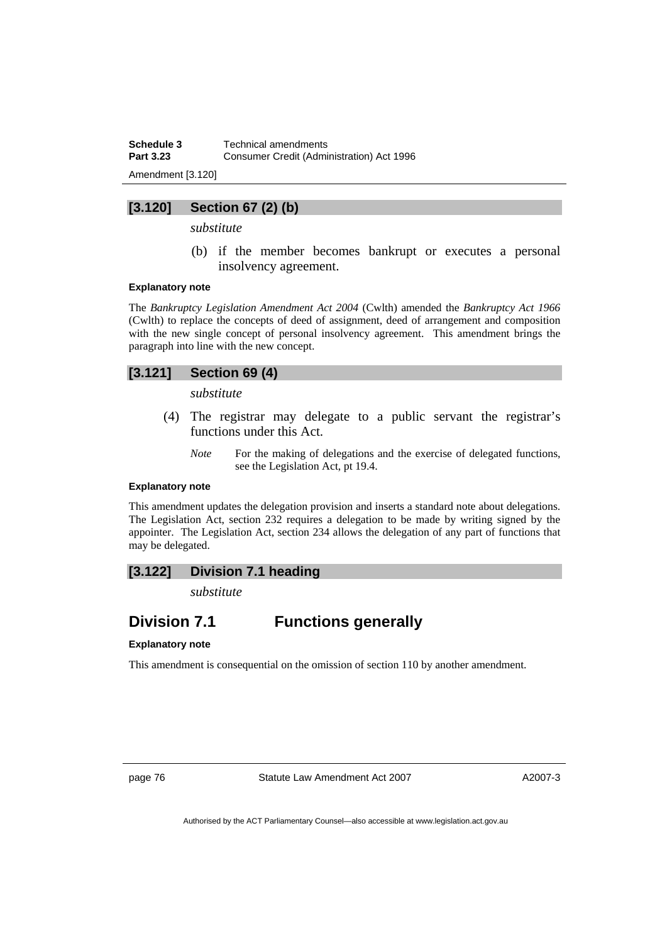**Schedule 3 Technical amendments**<br>**Part 3.23 Consumer Credit (Admin Part 3.23** Consumer Credit (Administration) Act 1996

Amendment [3.120]

## **[3.120] Section 67 (2) (b)**

*substitute* 

 (b) if the member becomes bankrupt or executes a personal insolvency agreement.

#### **Explanatory note**

The *Bankruptcy Legislation Amendment Act 2004* (Cwlth) amended the *Bankruptcy Act 1966*  (Cwlth) to replace the concepts of deed of assignment, deed of arrangement and composition with the new single concept of personal insolvency agreement. This amendment brings the paragraph into line with the new concept.

## **[3.121] Section 69 (4)**

*substitute* 

- (4) The registrar may delegate to a public servant the registrar's functions under this Act.
	- *Note* For the making of delegations and the exercise of delegated functions, see the Legislation Act, pt 19.4.

#### **Explanatory note**

This amendment updates the delegation provision and inserts a standard note about delegations. The Legislation Act, section 232 requires a delegation to be made by writing signed by the appointer. The Legislation Act, section 234 allows the delegation of any part of functions that may be delegated.

## **[3.122] Division 7.1 heading**

*substitute* 

## **Division 7.1 Functions generally**

#### **Explanatory note**

This amendment is consequential on the omission of section 110 by another amendment.

page 76 Statute Law Amendment Act 2007

A2007-3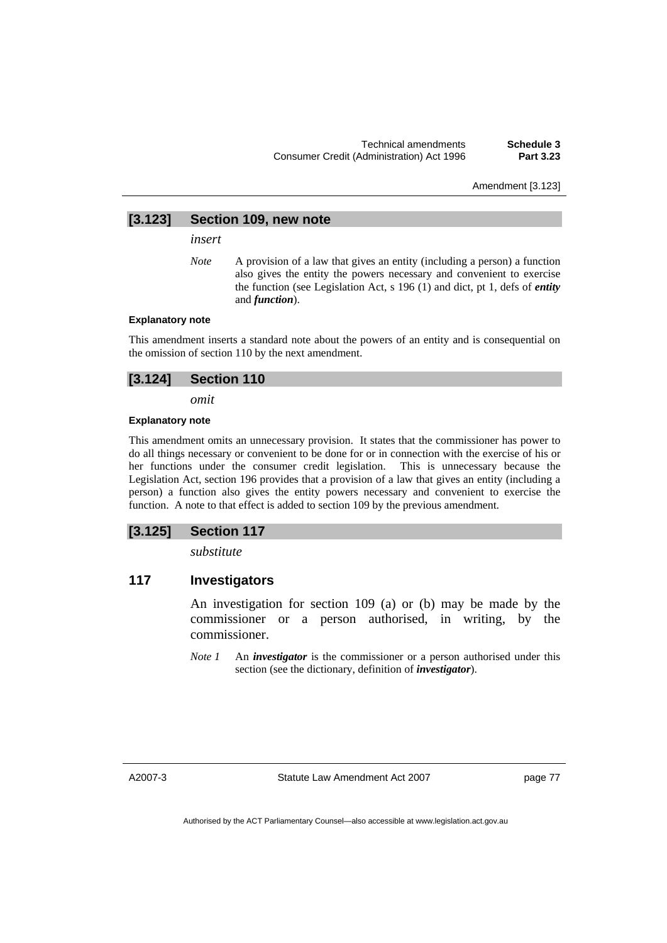Amendment [3.123]

## **[3.123] Section 109, new note**

*insert* 

*Note* A provision of a law that gives an entity (including a person) a function also gives the entity the powers necessary and convenient to exercise the function (see Legislation Act, s 196 (1) and dict, pt 1, defs of *entity* and *function*).

#### **Explanatory note**

This amendment inserts a standard note about the powers of an entity and is consequential on the omission of section 110 by the next amendment.

## **[3.124] Section 110**

*omit* 

#### **Explanatory note**

This amendment omits an unnecessary provision. It states that the commissioner has power to do all things necessary or convenient to be done for or in connection with the exercise of his or her functions under the consumer credit legislation. This is unnecessary because the Legislation Act, section 196 provides that a provision of a law that gives an entity (including a person) a function also gives the entity powers necessary and convenient to exercise the function. A note to that effect is added to section 109 by the previous amendment.

## **[3.125] Section 117**

*substitute* 

## **117 Investigators**

An investigation for section 109 (a) or (b) may be made by the commissioner or a person authorised, in writing, by the commissioner.

*Note 1* An *investigator* is the commissioner or a person authorised under this section (see the dictionary, definition of *investigator*).

A2007-3

Statute Law Amendment Act 2007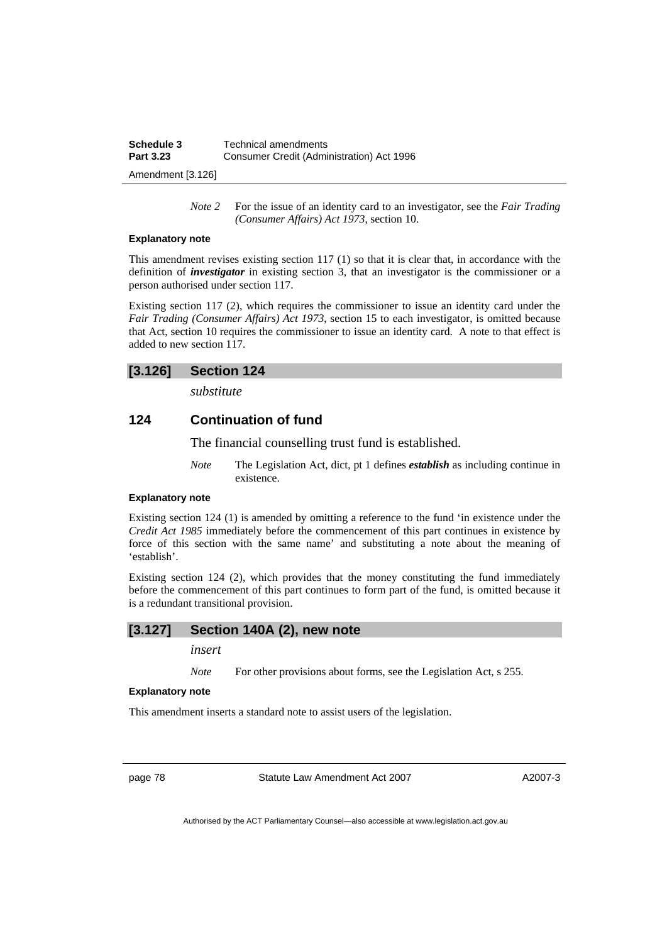| Schedule 3       | Technical amendments                      |
|------------------|-------------------------------------------|
| <b>Part 3.23</b> | Consumer Credit (Administration) Act 1996 |
|                  |                                           |

Amendment [3.126]

*Note 2* For the issue of an identity card to an investigator, see the *Fair Trading (Consumer Affairs) Act 1973*, section 10.

#### **Explanatory note**

This amendment revises existing section 117 (1) so that it is clear that, in accordance with the definition of *investigator* in existing section 3, that an investigator is the commissioner or a person authorised under section 117.

Existing section 117 (2), which requires the commissioner to issue an identity card under the *Fair Trading (Consumer Affairs) Act 1973*, section 15 to each investigator, is omitted because that Act, section 10 requires the commissioner to issue an identity card. A note to that effect is added to new section 117.

## **[3.126] Section 124**

*substitute* 

## **124 Continuation of fund**

The financial counselling trust fund is established.

*Note* The Legislation Act, dict, pt 1 defines *establish* as including continue in existence.

#### **Explanatory note**

Existing section 124 (1) is amended by omitting a reference to the fund 'in existence under the *Credit Act 1985* immediately before the commencement of this part continues in existence by force of this section with the same name' and substituting a note about the meaning of 'establish'.

Existing section 124 (2), which provides that the money constituting the fund immediately before the commencement of this part continues to form part of the fund, is omitted because it is a redundant transitional provision.

#### **[3.127] Section 140A (2), new note**

#### *insert*

*Note* For other provisions about forms, see the Legislation Act, s 255.

#### **Explanatory note**

This amendment inserts a standard note to assist users of the legislation.

page 78 Statute Law Amendment Act 2007

A2007-3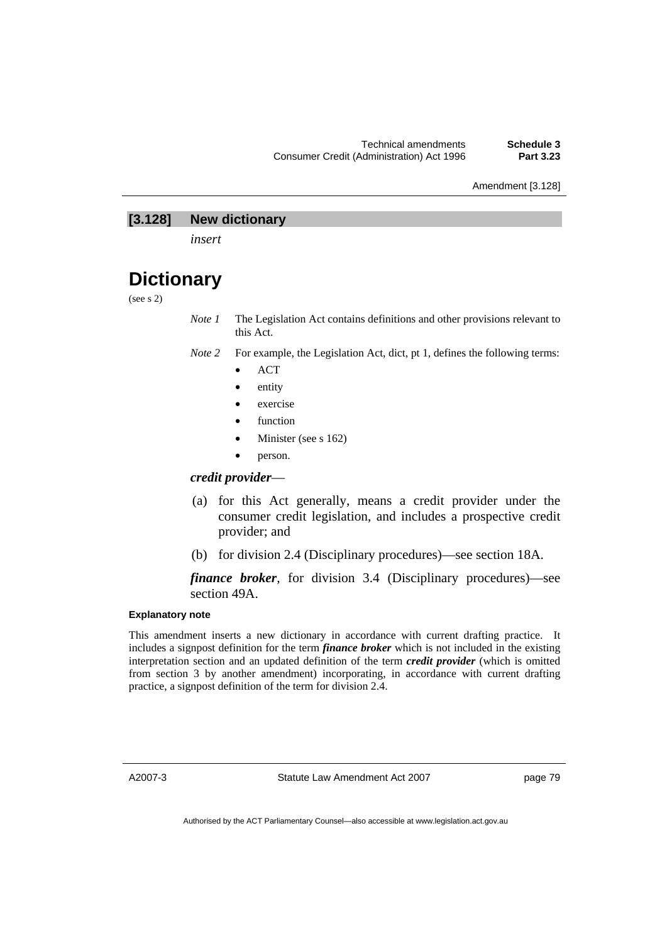Amendment [3.128]

## **[3.128] New dictionary**

*insert* 

# **Dictionary**

(see s 2)

*Note 1* The Legislation Act contains definitions and other provisions relevant to this Act.

- *Note 2* For example, the Legislation Act, dict, pt 1, defines the following terms:
	- ACT
	- entity
	- exercise
	- function
	- Minister (see s 162)
	- person.

## *credit provider*—

- (a) for this Act generally, means a credit provider under the consumer credit legislation, and includes a prospective credit provider; and
- (b) for division 2.4 (Disciplinary procedures)—see section 18A.

## *finance broker*, for division 3.4 (Disciplinary procedures)—see section 49A.

## **Explanatory note**

This amendment inserts a new dictionary in accordance with current drafting practice. It includes a signpost definition for the term *finance broker* which is not included in the existing interpretation section and an updated definition of the term *credit provider* (which is omitted from section 3 by another amendment) incorporating, in accordance with current drafting practice, a signpost definition of the term for division 2.4.

A2007-3

Statute Law Amendment Act 2007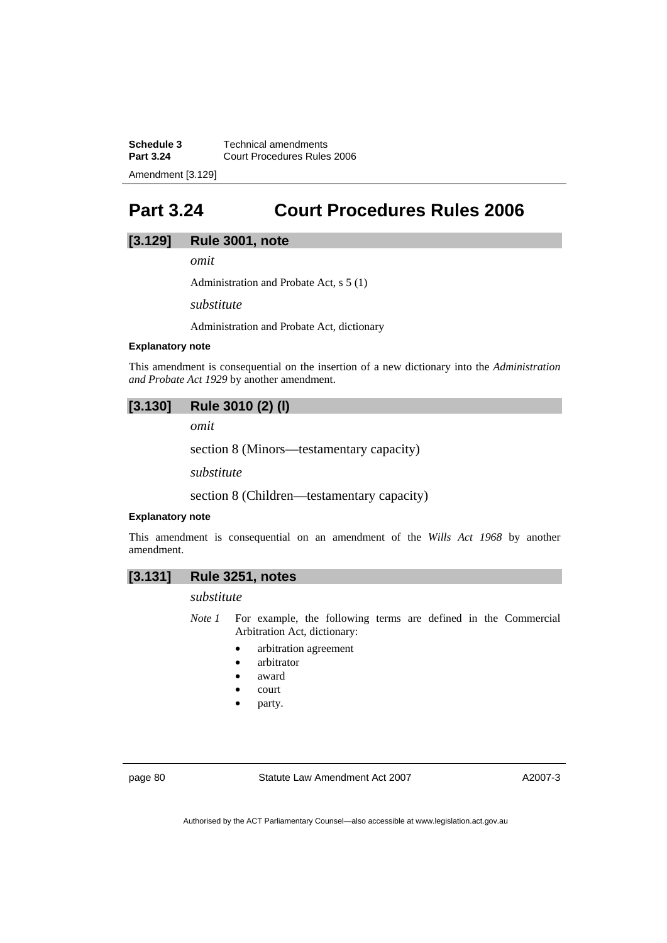**Schedule 3 Technical amendments**<br>**Part 3.24 Court Procedures Rules Part 3.24** Court Procedures Rules 2006

Amendment [3.129]

# **Part 3.24 Court Procedures Rules 2006**

## **[3.129] Rule 3001, note**

*omit* 

Administration and Probate Act, s 5 (1)

*substitute* 

Administration and Probate Act, dictionary

#### **Explanatory note**

This amendment is consequential on the insertion of a new dictionary into the *Administration and Probate Act 1929* by another amendment.

## **[3.130] Rule 3010 (2) (l)**

*omit* 

section 8 (Minors—testamentary capacity)

*substitute* 

section 8 (Children—testamentary capacity)

#### **Explanatory note**

This amendment is consequential on an amendment of the *Wills Act 1968* by another amendment.

## **[3.131] Rule 3251, notes**

### *substitute*

- *Note 1* For example, the following terms are defined in the Commercial Arbitration Act, dictionary:
	- arbitration agreement
	- arbitrator
	- award
	- court
	- party.

page 80 Statute Law Amendment Act 2007

A2007-3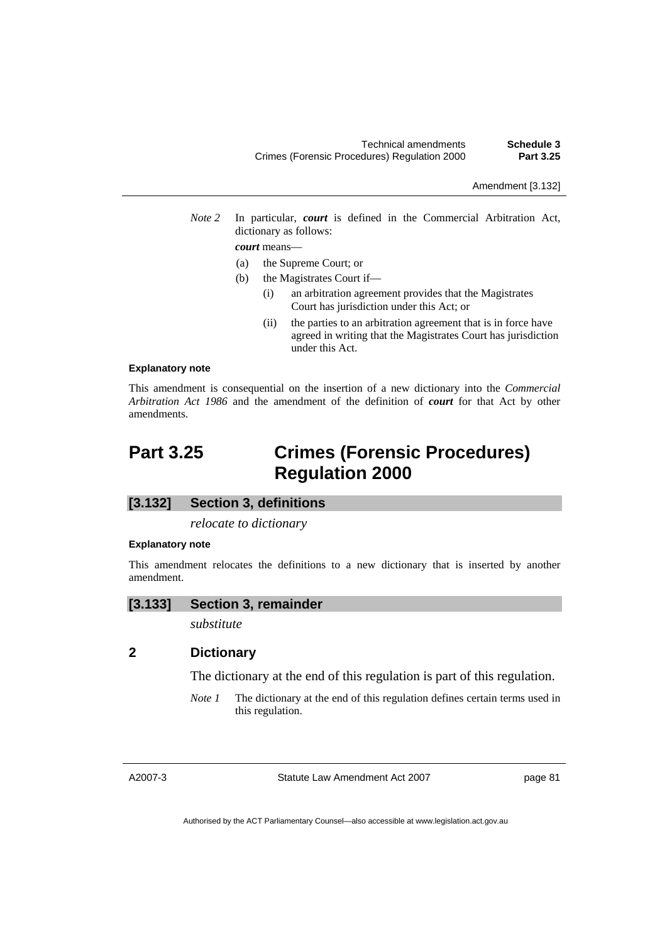*Note 2* In particular, *court* is defined in the Commercial Arbitration Act, dictionary as follows:

#### *court* means—

- (a) the Supreme Court; or
- (b) the Magistrates Court if—
	- (i) an arbitration agreement provides that the Magistrates Court has jurisdiction under this Act; or
	- (ii) the parties to an arbitration agreement that is in force have agreed in writing that the Magistrates Court has jurisdiction under this Act.

#### **Explanatory note**

This amendment is consequential on the insertion of a new dictionary into the *Commercial Arbitration Act 1986* and the amendment of the definition of *court* for that Act by other amendments.

# **Part 3.25 Crimes (Forensic Procedures) Regulation 2000**

#### **[3.132] Section 3, definitions**

*relocate to dictionary* 

#### **Explanatory note**

This amendment relocates the definitions to a new dictionary that is inserted by another amendment.

#### **[3.133] Section 3, remainder**

*substitute* 

## **2 Dictionary**

The dictionary at the end of this regulation is part of this regulation.

*Note 1* The dictionary at the end of this regulation defines certain terms used in this regulation.

A2007-3

Statute Law Amendment Act 2007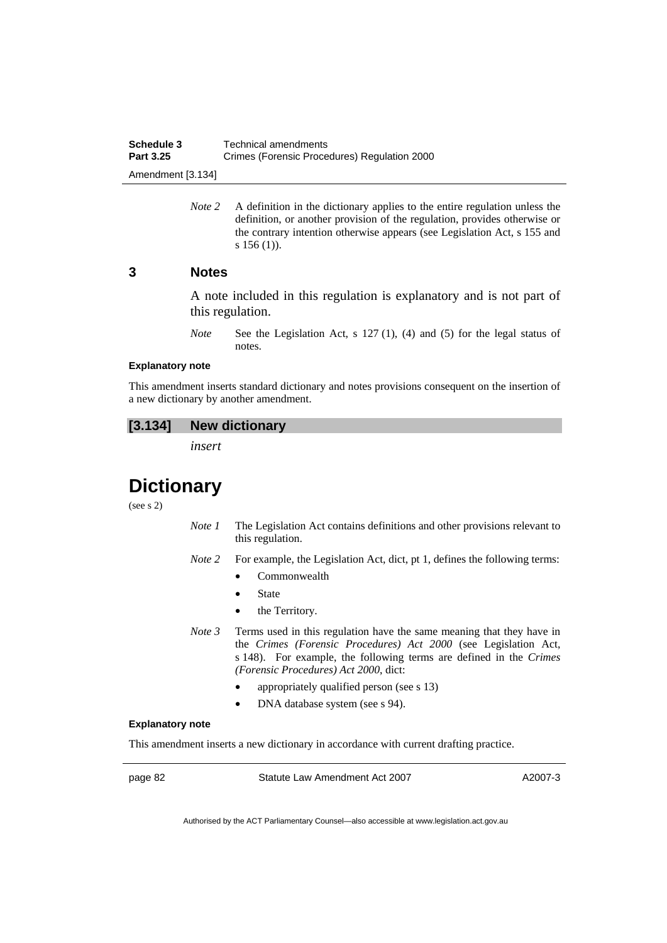*Note* 2 A definition in the dictionary applies to the entire regulation unless the definition, or another provision of the regulation, provides otherwise or the contrary intention otherwise appears (see Legislation Act, s 155 and s 156 (1)).

## **3 Notes**

A note included in this regulation is explanatory and is not part of this regulation.

*Note* See the Legislation Act, s 127 (1), (4) and (5) for the legal status of notes.

#### **Explanatory note**

This amendment inserts standard dictionary and notes provisions consequent on the insertion of a new dictionary by another amendment.

## **[3.134] New dictionary**

*insert* 

# **Dictionary**

(see s 2)

- *Note 1* The Legislation Act contains definitions and other provisions relevant to this regulation.
- *Note 2* For example, the Legislation Act, dict, pt 1, defines the following terms:
	- Commonwealth
	- **State**
	- the Territory.
- *Note 3* Terms used in this regulation have the same meaning that they have in the *Crimes (Forensic Procedures) Act 2000* (see Legislation Act, s 148). For example, the following terms are defined in the *Crimes (Forensic Procedures) Act 2000*, dict:
	- appropriately qualified person (see s 13)
	- DNA database system (see s 94).

#### **Explanatory note**

This amendment inserts a new dictionary in accordance with current drafting practice.

page 82 Statute Law Amendment Act 2007

A2007-3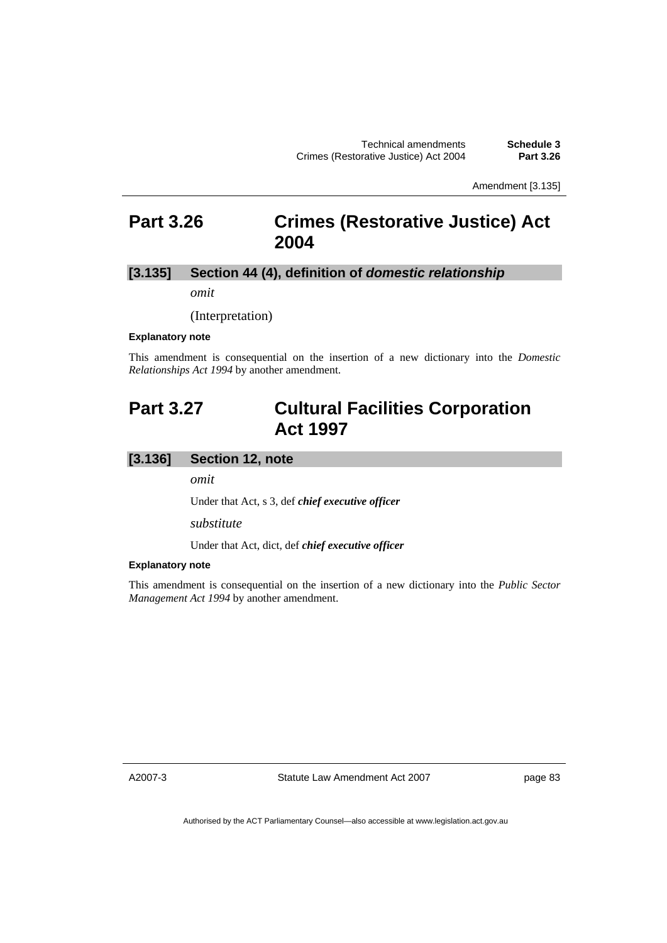Amendment [3.135]

## **Part 3.26 Crimes (Restorative Justice) Act 2004**

## **[3.135] Section 44 (4), definition of** *domestic relationship*

*omit* 

(Interpretation)

#### **Explanatory note**

This amendment is consequential on the insertion of a new dictionary into the *Domestic Relationships Act 1994* by another amendment.

## **Part 3.27 Cultural Facilities Corporation Act 1997**

## **[3.136] Section 12, note**

*omit* 

Under that Act, s 3, def *chief executive officer*

*substitute* 

Under that Act, dict, def *chief executive officer*

#### **Explanatory note**

This amendment is consequential on the insertion of a new dictionary into the *Public Sector Management Act 1994* by another amendment.

A2007-3

Statute Law Amendment Act 2007

page 83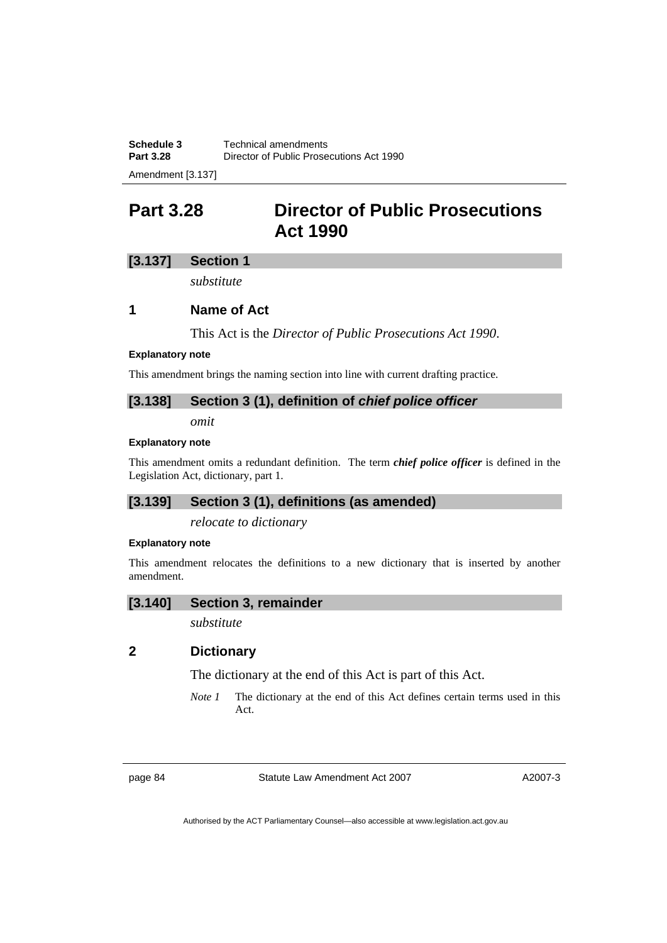Amendment [3.137]

# **Part 3.28 Director of Public Prosecutions Act 1990**

## **[3.137] Section 1**

*substitute* 

## **1 Name of Act**

This Act is the *Director of Public Prosecutions Act 1990*.

#### **Explanatory note**

This amendment brings the naming section into line with current drafting practice.

## **[3.138] Section 3 (1), definition of** *chief police officer*

*omit* 

#### **Explanatory note**

This amendment omits a redundant definition. The term *chief police officer* is defined in the Legislation Act, dictionary, part 1.

## **[3.139] Section 3 (1), definitions (as amended)**

*relocate to dictionary* 

#### **Explanatory note**

This amendment relocates the definitions to a new dictionary that is inserted by another amendment.

## **[3.140] Section 3, remainder**

*substitute* 

## **2 Dictionary**

The dictionary at the end of this Act is part of this Act.

*Note 1* The dictionary at the end of this Act defines certain terms used in this Act.

page 84 Statute Law Amendment Act 2007

A2007-3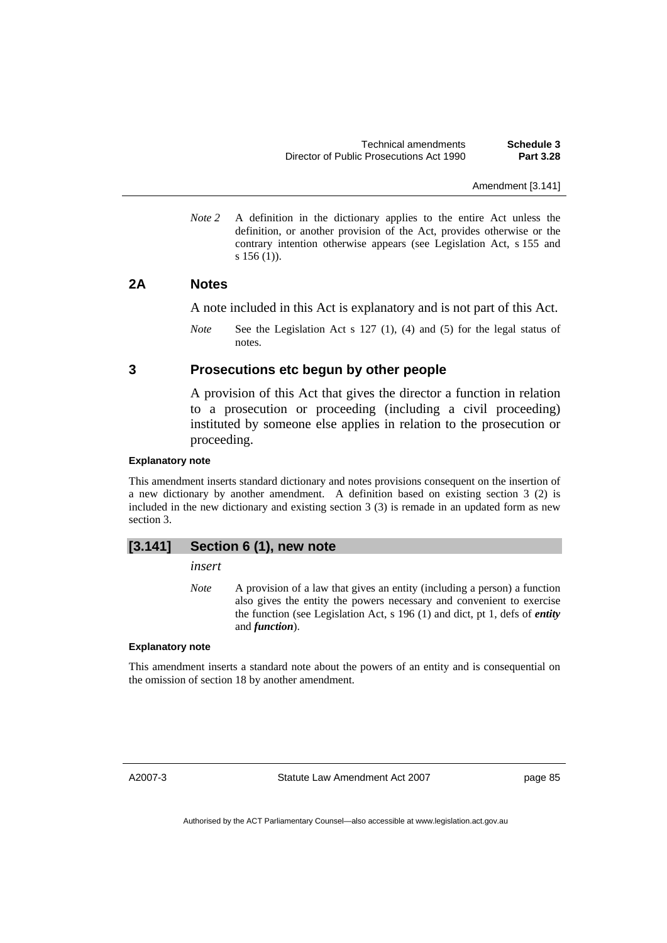Amendment [3.141]

*Note 2* A definition in the dictionary applies to the entire Act unless the definition, or another provision of the Act, provides otherwise or the contrary intention otherwise appears (see Legislation Act, s 155 and s 156 (1)).

## **2A Notes**

A note included in this Act is explanatory and is not part of this Act.

*Note* See the Legislation Act s 127 (1), (4) and (5) for the legal status of notes.

## **3 Prosecutions etc begun by other people**

A provision of this Act that gives the director a function in relation to a prosecution or proceeding (including a civil proceeding) instituted by someone else applies in relation to the prosecution or proceeding.

#### **Explanatory note**

This amendment inserts standard dictionary and notes provisions consequent on the insertion of a new dictionary by another amendment. A definition based on existing section 3 (2) is included in the new dictionary and existing section 3 (3) is remade in an updated form as new section 3.

## **[3.141] Section 6 (1), new note**

*insert* 

*Note* A provision of a law that gives an entity (including a person) a function also gives the entity the powers necessary and convenient to exercise the function (see Legislation Act, s 196 (1) and dict, pt 1, defs of *entity* and *function*).

#### **Explanatory note**

This amendment inserts a standard note about the powers of an entity and is consequential on the omission of section 18 by another amendment.

A2007-3

Statute Law Amendment Act 2007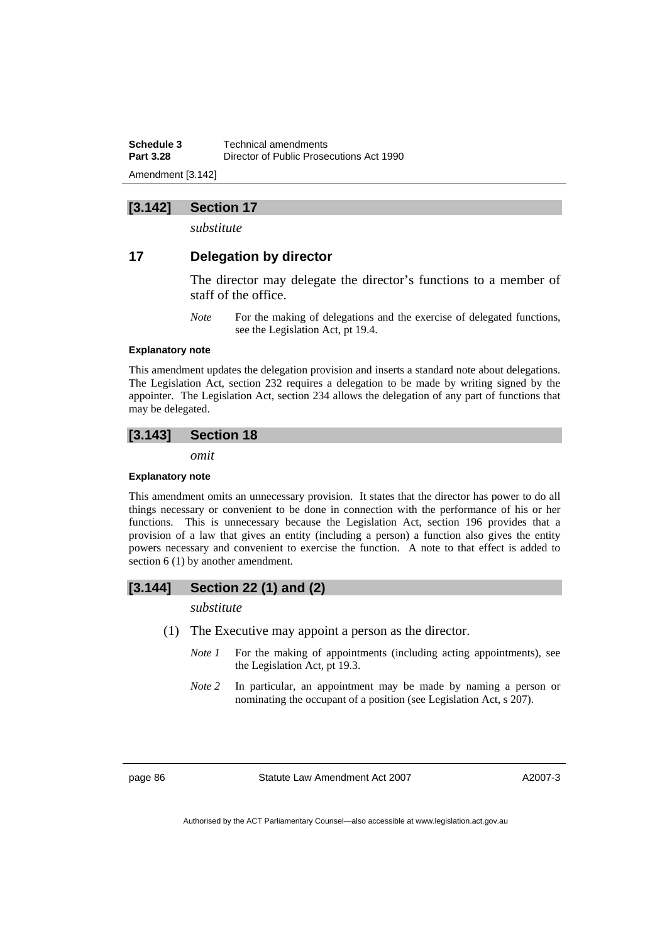**Schedule 3 Technical amendments**<br>**Part 3.28 Director of Public Prose Part 3.28** Director of Public Prosecutions Act 1990 Amendment [3.142]

## **[3.142] Section 17**

*substitute* 

## **17 Delegation by director**

The director may delegate the director's functions to a member of staff of the office.

*Note* For the making of delegations and the exercise of delegated functions, see the Legislation Act, pt 19.4.

#### **Explanatory note**

This amendment updates the delegation provision and inserts a standard note about delegations. The Legislation Act, section 232 requires a delegation to be made by writing signed by the appointer. The Legislation Act, section 234 allows the delegation of any part of functions that may be delegated.

## **[3.143] Section 18**

*omit* 

#### **Explanatory note**

This amendment omits an unnecessary provision. It states that the director has power to do all things necessary or convenient to be done in connection with the performance of his or her functions. This is unnecessary because the Legislation Act, section 196 provides that a provision of a law that gives an entity (including a person) a function also gives the entity powers necessary and convenient to exercise the function. A note to that effect is added to section 6 (1) by another amendment.

## **[3.144] Section 22 (1) and (2)**

*substitute* 

- (1) The Executive may appoint a person as the director.
	- *Note 1* For the making of appointments (including acting appointments), see the Legislation Act, pt 19.3.
	- *Note 2* In particular, an appointment may be made by naming a person or nominating the occupant of a position (see Legislation Act, s 207).

page 86 Statute Law Amendment Act 2007

A2007-3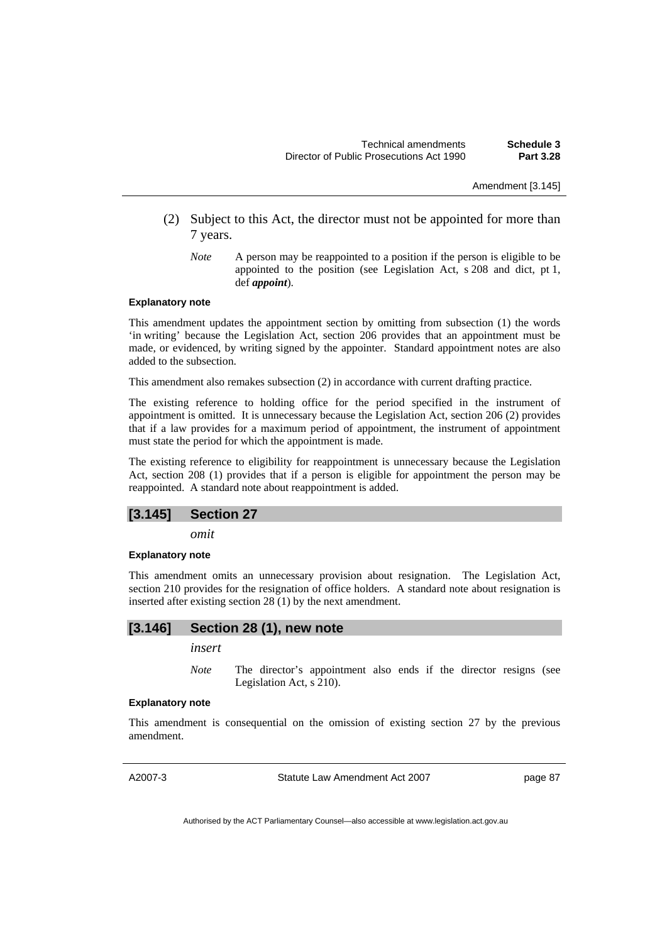Amendment [3.145]

- (2) Subject to this Act, the director must not be appointed for more than 7 years.
	- *Note* A person may be reappointed to a position if the person is eligible to be appointed to the position (see Legislation Act, s 208 and dict, pt 1, def *appoint*).

#### **Explanatory note**

This amendment updates the appointment section by omitting from subsection (1) the words 'in writing' because the Legislation Act, section 206 provides that an appointment must be made, or evidenced, by writing signed by the appointer. Standard appointment notes are also added to the subsection.

This amendment also remakes subsection (2) in accordance with current drafting practice.

The existing reference to holding office for the period specified in the instrument of appointment is omitted. It is unnecessary because the Legislation Act, section 206 (2) provides that if a law provides for a maximum period of appointment, the instrument of appointment must state the period for which the appointment is made.

The existing reference to eligibility for reappointment is unnecessary because the Legislation Act, section 208 (1) provides that if a person is eligible for appointment the person may be reappointed. A standard note about reappointment is added.

#### **[3.145] Section 27**

*omit* 

#### **Explanatory note**

This amendment omits an unnecessary provision about resignation. The Legislation Act, section 210 provides for the resignation of office holders. A standard note about resignation is inserted after existing section 28 (1) by the next amendment.

#### **[3.146] Section 28 (1), new note**

*insert* 

*Note* The director's appointment also ends if the director resigns (see Legislation Act, s 210).

#### **Explanatory note**

This amendment is consequential on the omission of existing section 27 by the previous amendment.

A2007-3

Statute Law Amendment Act 2007

page 87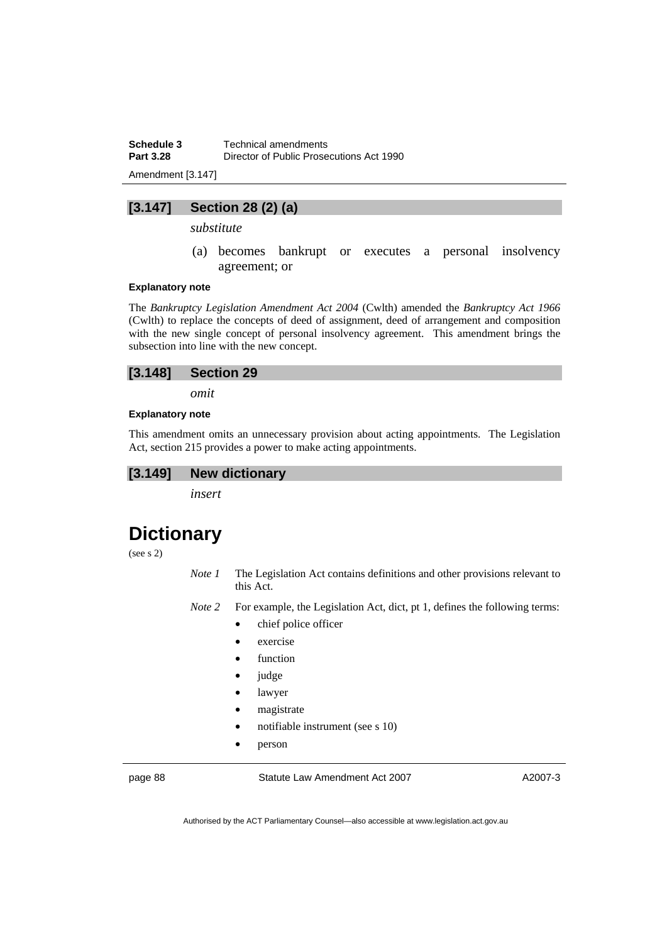**Schedule 3 Technical amendments**<br>**Part 3.28 Director of Public Prose Part 3.28** Director of Public Prosecutions Act 1990

Amendment [3.147]

## **[3.147] Section 28 (2) (a)**

*substitute* 

 (a) becomes bankrupt or executes a personal insolvency agreement; or

#### **Explanatory note**

The *Bankruptcy Legislation Amendment Act 2004* (Cwlth) amended the *Bankruptcy Act 1966*  (Cwlth) to replace the concepts of deed of assignment, deed of arrangement and composition with the new single concept of personal insolvency agreement. This amendment brings the subsection into line with the new concept.



*omit* 

#### **Explanatory note**

This amendment omits an unnecessary provision about acting appointments. The Legislation Act, section 215 provides a power to make acting appointments.

## **[3.149] New dictionary**

*insert* 

# **Dictionary**

(see s 2)

*Note 1* The Legislation Act contains definitions and other provisions relevant to this Act.

*Note 2* For example, the Legislation Act, dict, pt 1, defines the following terms:

- chief police officer
- exercise
- function
- judge
- lawyer
- magistrate
- notifiable instrument (see s 10)
- person

page 88 Statute Law Amendment Act 2007

A2007-3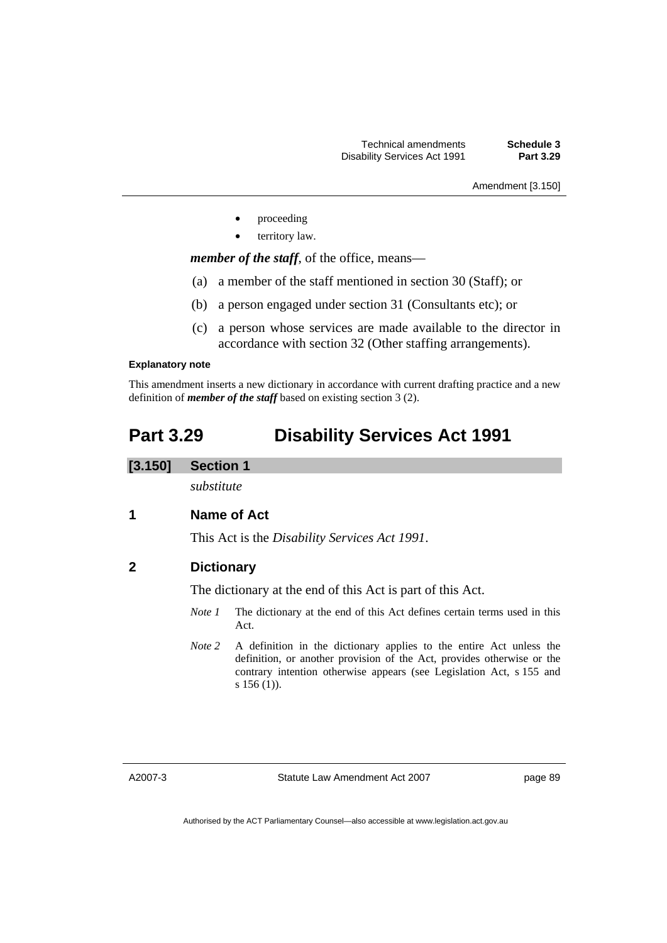Amendment [3.150]

- proceeding
- territory law.

*member of the staff*, of the office, means—

- (a) a member of the staff mentioned in section 30 (Staff); or
- (b) a person engaged under section 31 (Consultants etc); or
- (c) a person whose services are made available to the director in accordance with section 32 (Other staffing arrangements).

#### **Explanatory note**

This amendment inserts a new dictionary in accordance with current drafting practice and a new definition of *member of the staff* based on existing section 3 (2).

## **Part 3.29 Disability Services Act 1991**

#### **[3.150] Section 1**

*substitute* 

## **1 Name of Act**

This Act is the *Disability Services Act 1991*.

## **2 Dictionary**

The dictionary at the end of this Act is part of this Act.

- *Note 1* The dictionary at the end of this Act defines certain terms used in this Act.
- *Note 2* A definition in the dictionary applies to the entire Act unless the definition, or another provision of the Act, provides otherwise or the contrary intention otherwise appears (see Legislation Act, s 155 and s 156 (1)).

A2007-3

Statute Law Amendment Act 2007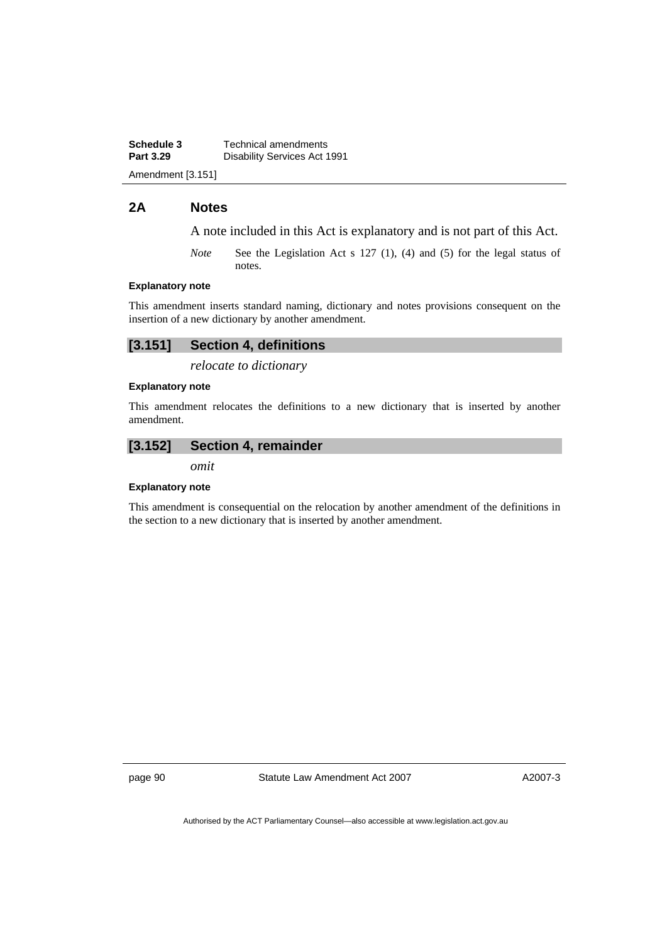**Schedule 3 Technical amendments**<br>**Part 3.29 Disability Services Act 1 Disability Services Act 1991** Amendment [3.151]

## **2A Notes**

A note included in this Act is explanatory and is not part of this Act.

*Note* See the Legislation Act s 127 (1), (4) and (5) for the legal status of notes.

#### **Explanatory note**

This amendment inserts standard naming, dictionary and notes provisions consequent on the insertion of a new dictionary by another amendment.

## **[3.151] Section 4, definitions**

*relocate to dictionary* 

#### **Explanatory note**

This amendment relocates the definitions to a new dictionary that is inserted by another amendment.

### **[3.152] Section 4, remainder**

*omit* 

#### **Explanatory note**

This amendment is consequential on the relocation by another amendment of the definitions in the section to a new dictionary that is inserted by another amendment.

page 90 Statute Law Amendment Act 2007

A2007-3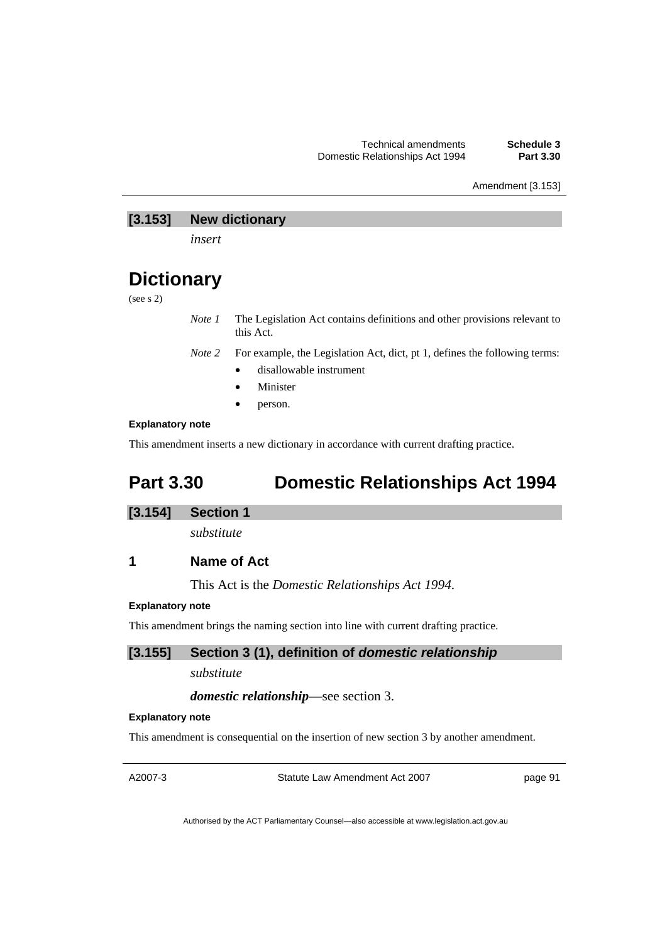Amendment [3.153]

## **[3.153] New dictionary**

*insert* 

# **Dictionary**

(see s 2)

*Note 1* The Legislation Act contains definitions and other provisions relevant to this Act.

*Note 2* For example, the Legislation Act, dict, pt 1, defines the following terms:

- disallowable instrument
- **Minister**
- person.

## **Explanatory note**

This amendment inserts a new dictionary in accordance with current drafting practice.

# **Part 3.30 Domestic Relationships Act 1994**

## **[3.154] Section 1**

*substitute* 

**1 Name of Act** 

This Act is the *Domestic Relationships Act 1994*.

## **Explanatory note**

This amendment brings the naming section into line with current drafting practice.

## **[3.155] Section 3 (1), definition of** *domestic relationship*

*substitute* 

## *domestic relationship*—see section 3.

#### **Explanatory note**

This amendment is consequential on the insertion of new section 3 by another amendment.

A2007-3

Statute Law Amendment Act 2007

page 91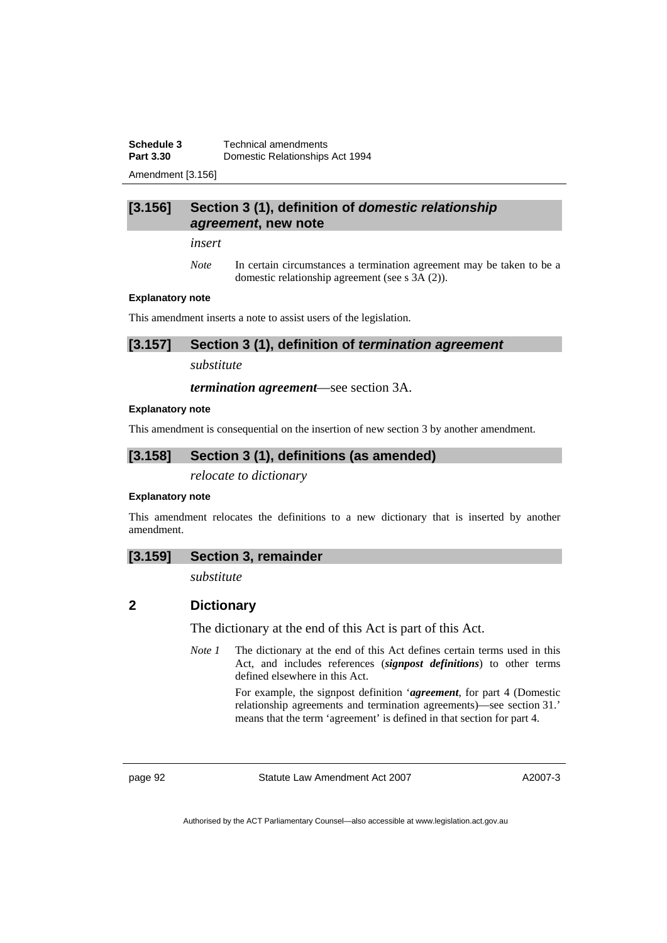**Schedule 3 Technical amendments**<br>**Part 3.30 Domestic Relationships Part 3.30** Domestic Relationships Act 1994

Amendment [3.156]

## **[3.156] Section 3 (1), definition of** *domestic relationship agreement***, new note**

*insert* 

*Note* In certain circumstances a termination agreement may be taken to be a domestic relationship agreement (see s 3A (2)).

#### **Explanatory note**

This amendment inserts a note to assist users of the legislation.

**[3.157] Section 3 (1), definition of** *termination agreement* 

*substitute* 

*termination agreement*—see section 3A.

#### **Explanatory note**

This amendment is consequential on the insertion of new section 3 by another amendment.

## **[3.158] Section 3 (1), definitions (as amended)**

*relocate to dictionary* 

#### **Explanatory note**

This amendment relocates the definitions to a new dictionary that is inserted by another amendment.

#### **[3.159] Section 3, remainder**

*substitute* 

## **2 Dictionary**

The dictionary at the end of this Act is part of this Act.

*Note 1* The dictionary at the end of this Act defines certain terms used in this Act, and includes references (*signpost definitions*) to other terms defined elsewhere in this Act.

> For example, the signpost definition '*agreement*, for part 4 (Domestic relationship agreements and termination agreements)—see section 31.' means that the term 'agreement' is defined in that section for part 4.

page 92 Statute Law Amendment Act 2007

A2007-3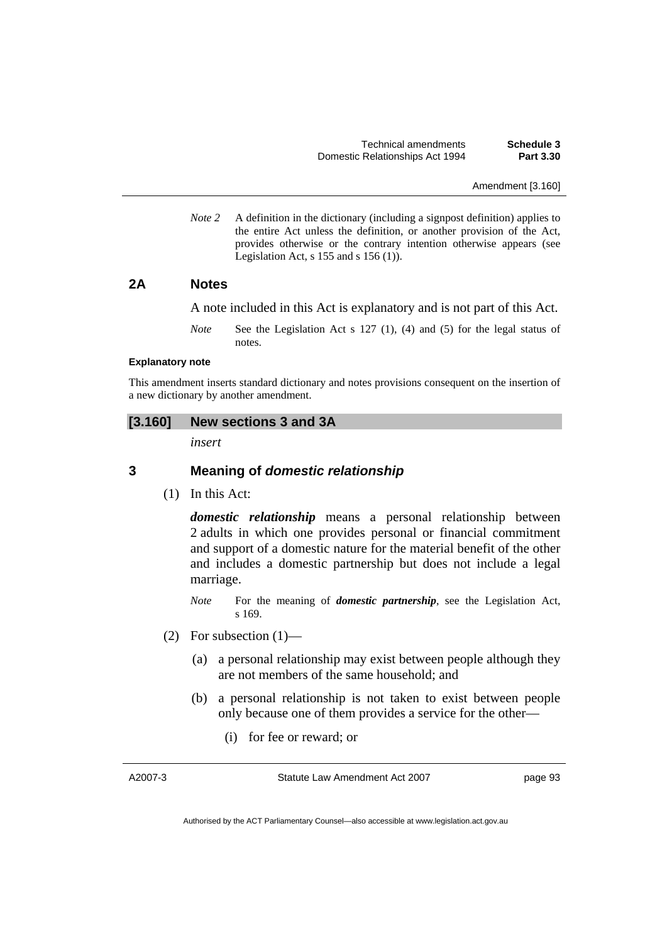Amendment [3.160]

*Note 2* A definition in the dictionary (including a signpost definition) applies to the entire Act unless the definition, or another provision of the Act, provides otherwise or the contrary intention otherwise appears (see Legislation Act,  $s$  155 and  $s$  156 (1)).

## **2A Notes**

A note included in this Act is explanatory and is not part of this Act.

*Note* See the Legislation Act s 127 (1), (4) and (5) for the legal status of notes.

#### **Explanatory note**

This amendment inserts standard dictionary and notes provisions consequent on the insertion of a new dictionary by another amendment.

### **[3.160] New sections 3 and 3A**

*insert* 

## **3 Meaning of** *domestic relationship*

(1) In this Act:

*domestic relationship* means a personal relationship between 2 adults in which one provides personal or financial commitment and support of a domestic nature for the material benefit of the other and includes a domestic partnership but does not include a legal marriage.

- *Note* For the meaning of *domestic partnership*, see the Legislation Act, s 169.
- (2) For subsection  $(1)$ 
	- (a) a personal relationship may exist between people although they are not members of the same household; and
	- (b) a personal relationship is not taken to exist between people only because one of them provides a service for the other—
		- (i) for fee or reward; or

A2007-3

Statute Law Amendment Act 2007

page 93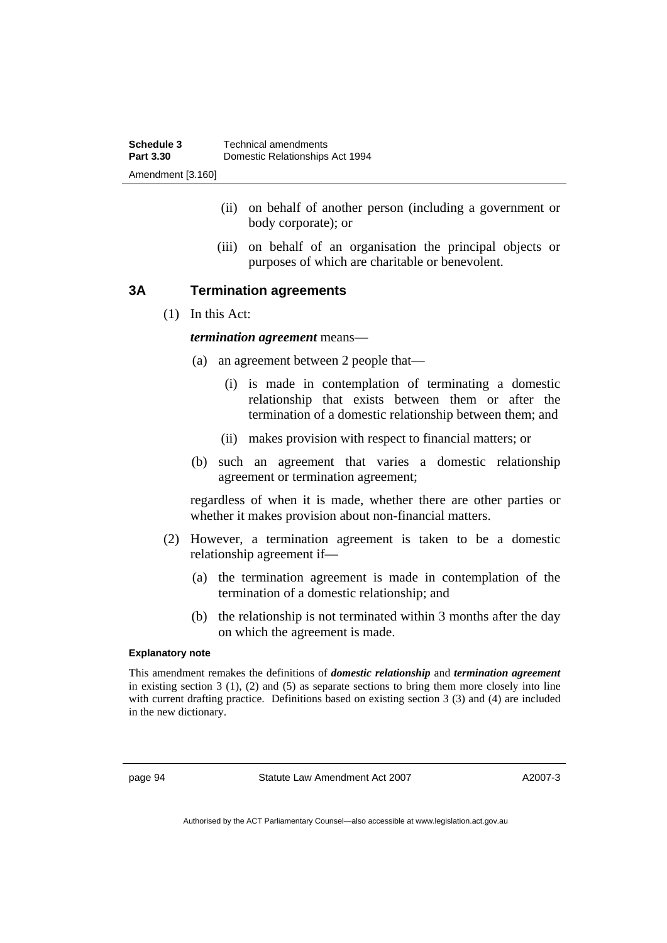- (ii) on behalf of another person (including a government or body corporate); or
- (iii) on behalf of an organisation the principal objects or purposes of which are charitable or benevolent.

## **3A Termination agreements**

(1) In this Act:

## *termination agreement* means—

- (a) an agreement between 2 people that—
	- (i) is made in contemplation of terminating a domestic relationship that exists between them or after the termination of a domestic relationship between them; and
	- (ii) makes provision with respect to financial matters; or
- (b) such an agreement that varies a domestic relationship agreement or termination agreement;

regardless of when it is made, whether there are other parties or whether it makes provision about non-financial matters.

- (2) However, a termination agreement is taken to be a domestic relationship agreement if—
	- (a) the termination agreement is made in contemplation of the termination of a domestic relationship; and
	- (b) the relationship is not terminated within 3 months after the day on which the agreement is made.

#### **Explanatory note**

This amendment remakes the definitions of *domestic relationship* and *termination agreement* in existing section 3 (1), (2) and (5) as separate sections to bring them more closely into line with current drafting practice. Definitions based on existing section 3 (3) and (4) are included in the new dictionary.

page 94 Statute Law Amendment Act 2007

A2007-3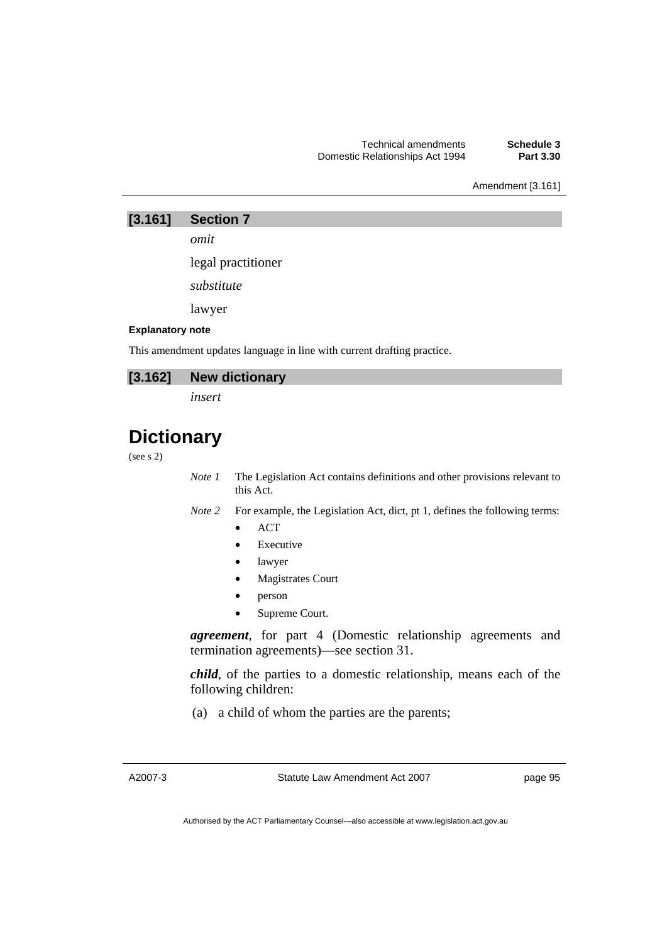Amendment [3.161]

**[3.161] Section 7** 

*omit* 

legal practitioner

*substitute* 

lawyer

### **Explanatory note**

This amendment updates language in line with current drafting practice.

## **[3.162] New dictionary**

*insert* 

# **Dictionary**

### (see s 2)

*Note 1* The Legislation Act contains definitions and other provisions relevant to this Act.

*Note 2* For example, the Legislation Act, dict, pt 1, defines the following terms:

- ACT
- **Executive**
- lawyer
- Magistrates Court
- person
- Supreme Court.

*agreement*, for part 4 (Domestic relationship agreements and termination agreements)—see section 31.

*child*, of the parties to a domestic relationship, means each of the following children:

(a) a child of whom the parties are the parents;

Statute Law Amendment Act 2007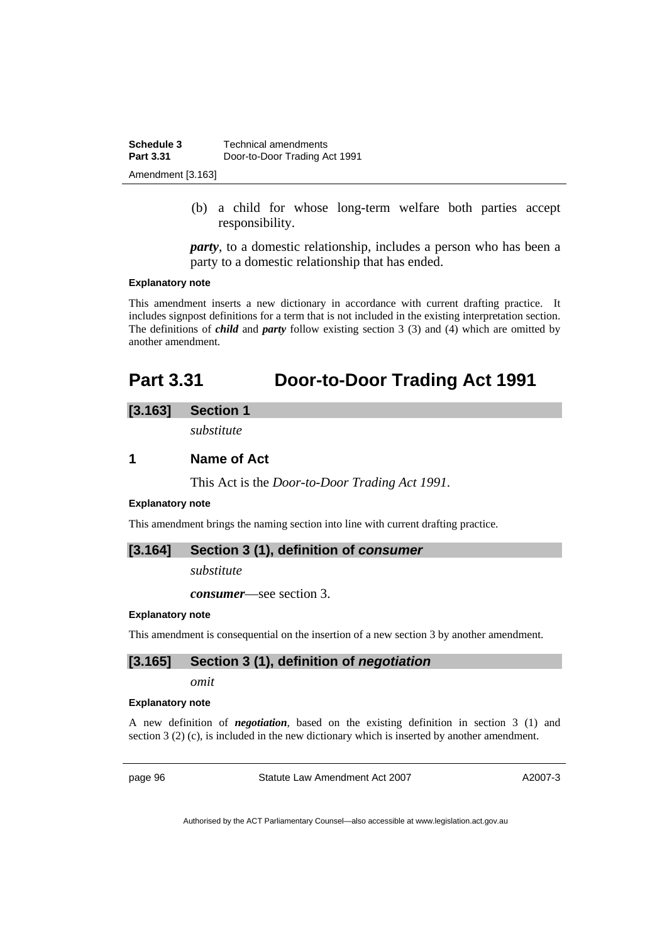| Schedule 3        | Technical amendments          |
|-------------------|-------------------------------|
| <b>Part 3.31</b>  | Door-to-Door Trading Act 1991 |
| Amendment [3.163] |                               |

 (b) a child for whose long-term welfare both parties accept responsibility.

*party*, to a domestic relationship, includes a person who has been a party to a domestic relationship that has ended.

#### **Explanatory note**

This amendment inserts a new dictionary in accordance with current drafting practice. It includes signpost definitions for a term that is not included in the existing interpretation section. The definitions of *child* and *party* follow existing section 3 (3) and (4) which are omitted by another amendment.

# **Part 3.31 Door-to-Door Trading Act 1991**

## **[3.163] Section 1**

*substitute* 

## **1 Name of Act**

This Act is the *Door-to-Door Trading Act 1991*.

#### **Explanatory note**

This amendment brings the naming section into line with current drafting practice.

### **[3.164] Section 3 (1), definition of** *consumer*

*substitute* 

*consumer*—see section 3.

#### **Explanatory note**

This amendment is consequential on the insertion of a new section 3 by another amendment.

#### **[3.165] Section 3 (1), definition of** *negotiation*

*omit* 

#### **Explanatory note**

A new definition of *negotiation*, based on the existing definition in section 3 (1) and section 3 (2) (c), is included in the new dictionary which is inserted by another amendment.

page 96 Statute Law Amendment Act 2007

A2007-3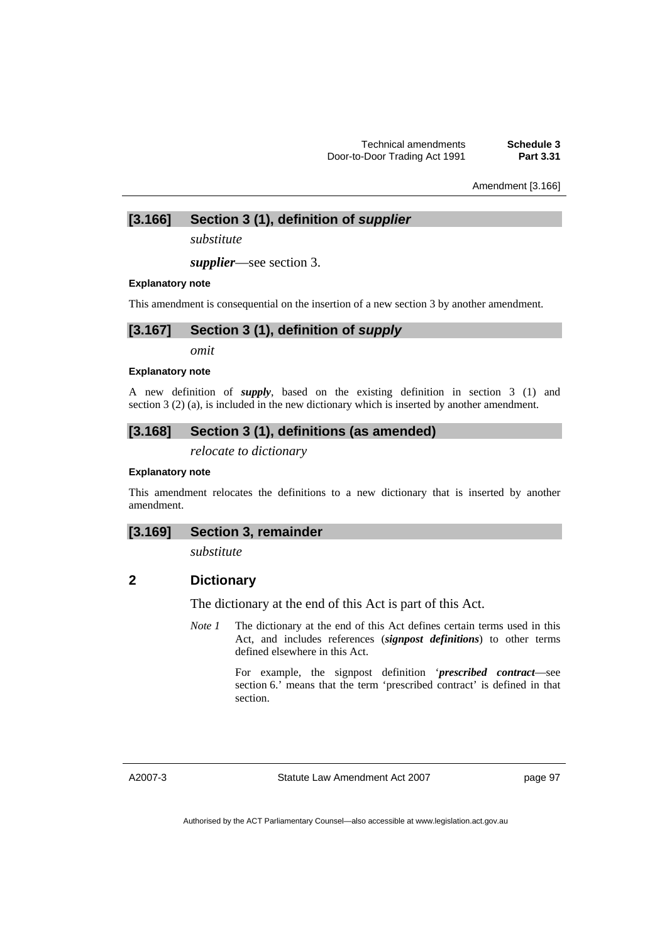Amendment [3.166]

**[3.166] Section 3 (1), definition of** *supplier* 

*substitute* 

*supplier*—see section 3.

#### **Explanatory note**

This amendment is consequential on the insertion of a new section 3 by another amendment.

## **[3.167] Section 3 (1), definition of** *supply*

*omit* 

#### **Explanatory note**

A new definition of *supply*, based on the existing definition in section 3 (1) and section 3 (2) (a), is included in the new dictionary which is inserted by another amendment.

## **[3.168] Section 3 (1), definitions (as amended)**

*relocate to dictionary* 

#### **Explanatory note**

This amendment relocates the definitions to a new dictionary that is inserted by another amendment.

## **[3.169] Section 3, remainder**

*substitute* 

# **2 Dictionary**

The dictionary at the end of this Act is part of this Act.

*Note 1* The dictionary at the end of this Act defines certain terms used in this Act, and includes references (*signpost definitions*) to other terms defined elsewhere in this Act.

> For example, the signpost definition '*prescribed contract*—see section 6.' means that the term 'prescribed contract' is defined in that section.

A2007-3

Statute Law Amendment Act 2007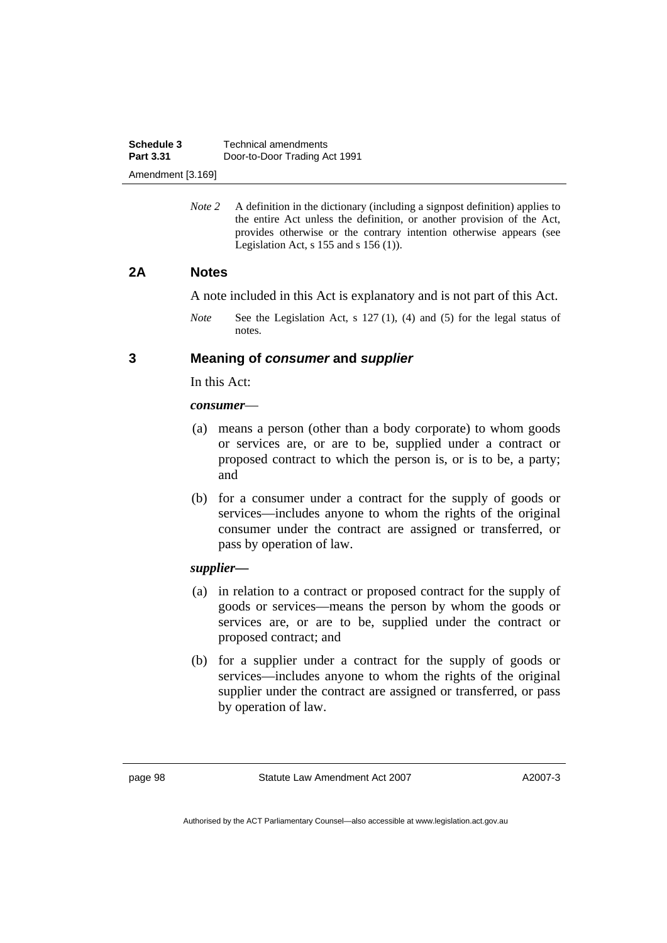*Note* 2 A definition in the dictionary (including a signpost definition) applies to the entire Act unless the definition, or another provision of the Act, provides otherwise or the contrary intention otherwise appears (see Legislation Act, s  $155$  and s  $156$  (1)).

## **2A Notes**

A note included in this Act is explanatory and is not part of this Act.

*Note* See the Legislation Act, s 127 (1), (4) and (5) for the legal status of notes.

## **3 Meaning of** *consumer* **and** *supplier*

In this Act:

## *consumer*—

- (a) means a person (other than a body corporate) to whom goods or services are, or are to be, supplied under a contract or proposed contract to which the person is, or is to be, a party; and
- (b) for a consumer under a contract for the supply of goods or services—includes anyone to whom the rights of the original consumer under the contract are assigned or transferred, or pass by operation of law.

## *supplier—*

- (a) in relation to a contract or proposed contract for the supply of goods or services—means the person by whom the goods or services are, or are to be, supplied under the contract or proposed contract; and
- (b) for a supplier under a contract for the supply of goods or services—includes anyone to whom the rights of the original supplier under the contract are assigned or transferred, or pass by operation of law.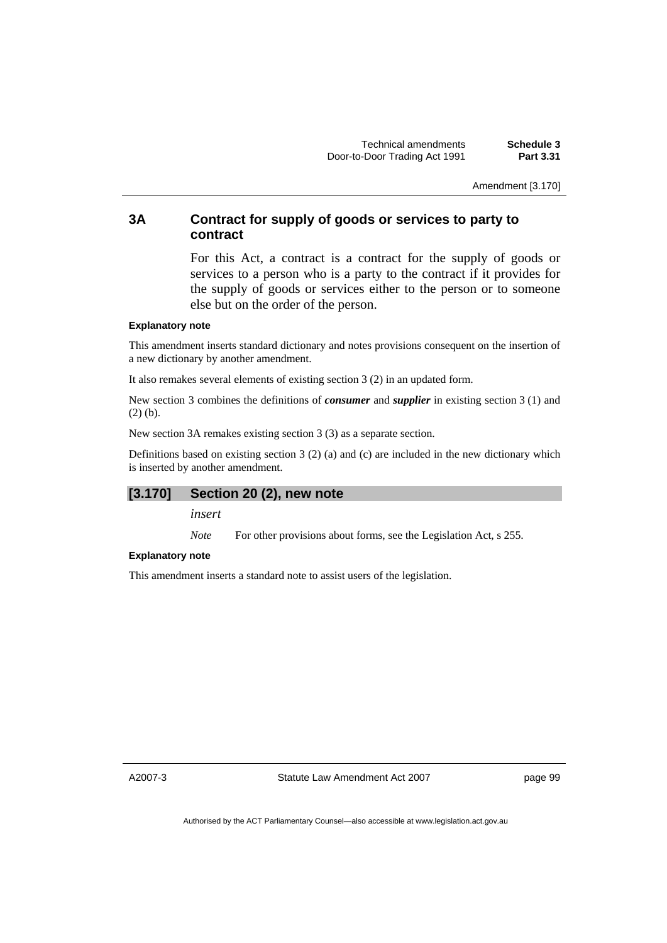Amendment [3.170]

## **3A Contract for supply of goods or services to party to contract**

For this Act, a contract is a contract for the supply of goods or services to a person who is a party to the contract if it provides for the supply of goods or services either to the person or to someone else but on the order of the person.

#### **Explanatory note**

This amendment inserts standard dictionary and notes provisions consequent on the insertion of a new dictionary by another amendment.

It also remakes several elements of existing section 3 (2) in an updated form.

New section 3 combines the definitions of *consumer* and *supplier* in existing section 3 (1) and (2) (b).

New section 3A remakes existing section 3 (3) as a separate section.

Definitions based on existing section  $3(2)$  (a) and (c) are included in the new dictionary which is inserted by another amendment.

## **[3.170] Section 20 (2), new note**

*insert* 

*Note* For other provisions about forms, see the Legislation Act, s 255.

#### **Explanatory note**

This amendment inserts a standard note to assist users of the legislation.

A2007-3

Statute Law Amendment Act 2007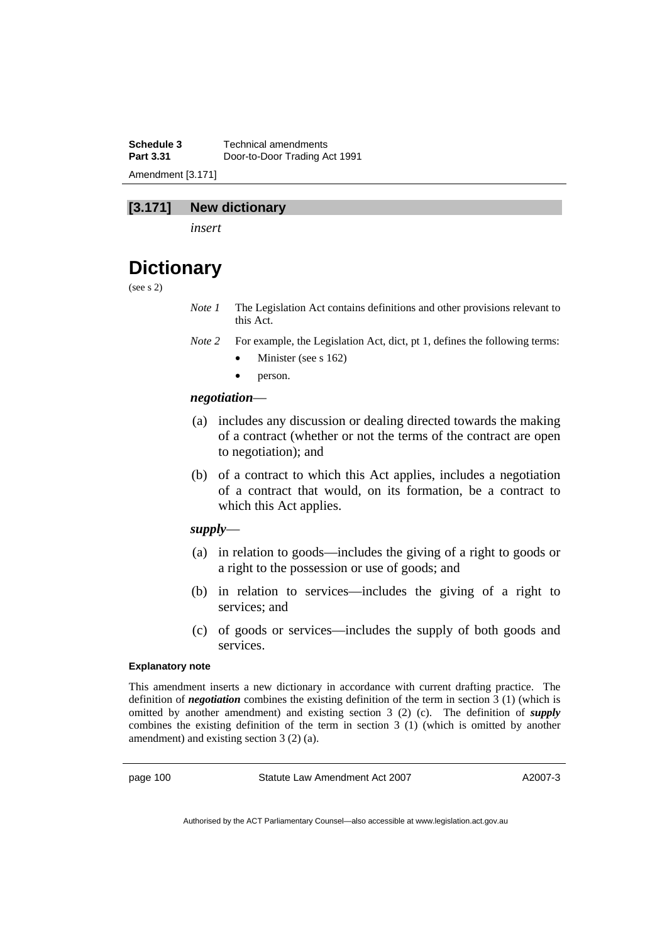**Schedule 3** Technical amendments **Part 3.31** Door-to-Door Trading Act 1991 Amendment [3.171]

## **[3.171] New dictionary**

*insert* 

# **Dictionary**

(see s 2)

- *Note 1* The Legislation Act contains definitions and other provisions relevant to this Act.
- *Note 2* For example, the Legislation Act, dict, pt 1, defines the following terms:
	- Minister (see s 162)
	- person.

#### *negotiation*—

- (a) includes any discussion or dealing directed towards the making of a contract (whether or not the terms of the contract are open to negotiation); and
- (b) of a contract to which this Act applies, includes a negotiation of a contract that would, on its formation, be a contract to which this Act applies.

## *supply*—

- (a) in relation to goods—includes the giving of a right to goods or a right to the possession or use of goods; and
- (b) in relation to services—includes the giving of a right to services; and
- (c) of goods or services—includes the supply of both goods and services.

#### **Explanatory note**

This amendment inserts a new dictionary in accordance with current drafting practice. The definition of *negotiation* combines the existing definition of the term in section 3 (1) (which is omitted by another amendment) and existing section 3 (2) (c). The definition of *supply* combines the existing definition of the term in section 3 (1) (which is omitted by another amendment) and existing section 3 (2) (a).

page 100 Statute Law Amendment Act 2007

A2007-3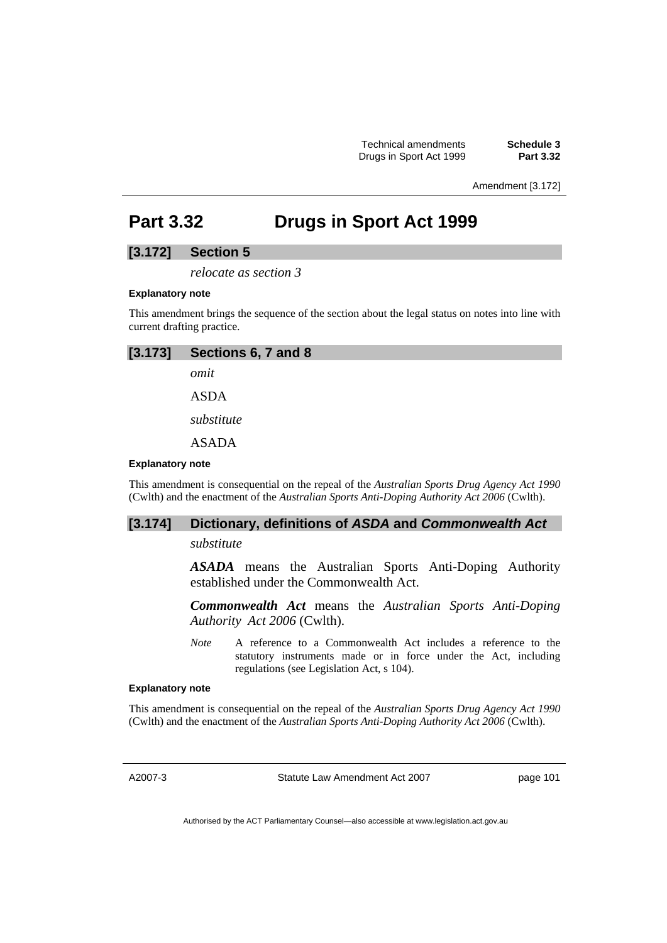Technical amendments **Schedule 3**  Drugs in Sport Act 1999 **Part 3.32** 

Amendment [3.172]

## **Part 3.32 Drugs in Sport Act 1999**

## **[3.172] Section 5**

*relocate as section 3* 

#### **Explanatory note**

This amendment brings the sequence of the section about the legal status on notes into line with current drafting practice.

| $[3.173]$ Sections 6, 7 and 8 |  |
|-------------------------------|--|
| omit                          |  |
| <b>ASDA</b>                   |  |
| substitute                    |  |
| <b>ASADA</b>                  |  |

#### **Explanatory note**

This amendment is consequential on the repeal of the *Australian Sports Drug Agency Act 1990* (Cwlth) and the enactment of the *Australian Sports Anti-Doping Authority Act 2006* (Cwlth).

## **[3.174] Dictionary, definitions of** *ASDA* **and** *Commonwealth Act*

## *substitute*

*ASADA* means the Australian Sports Anti-Doping Authority established under the Commonwealth Act.

*Commonwealth Act* means the *Australian Sports Anti-Doping Authority Act 2006* (Cwlth).

*Note* A reference to a Commonwealth Act includes a reference to the statutory instruments made or in force under the Act, including regulations (see Legislation Act, s 104).

#### **Explanatory note**

This amendment is consequential on the repeal of the *Australian Sports Drug Agency Act 1990* (Cwlth) and the enactment of the *Australian Sports Anti-Doping Authority Act 2006* (Cwlth).

A2007-3

Statute Law Amendment Act 2007

page 101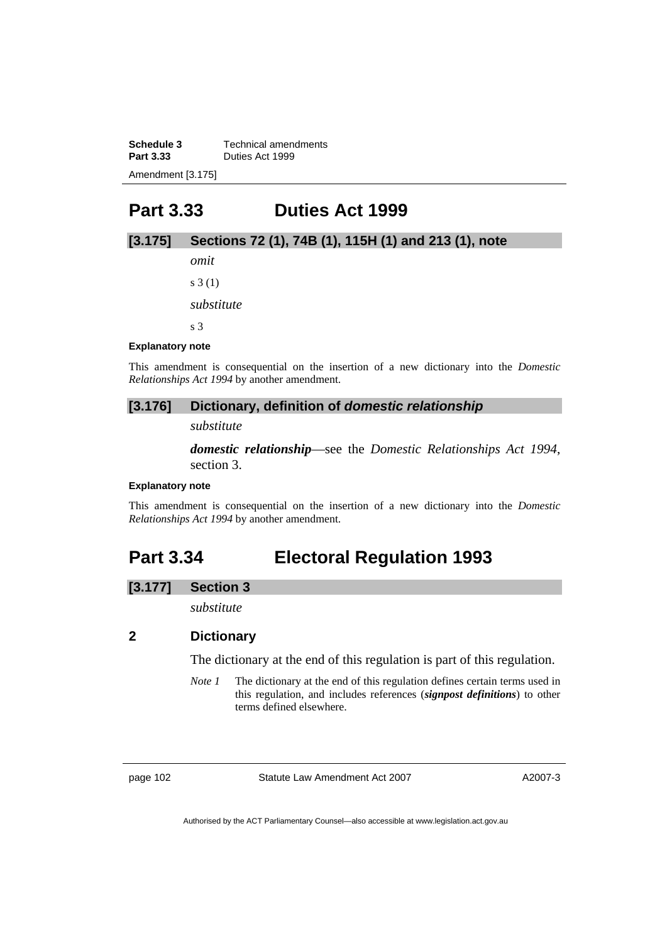**Schedule 3 Technical amendments**<br>**Part 3.33 Duties Act 1999 Part 3.33** Duties Act 1999 Amendment [3.175]

## **Part 3.33 Duties Act 1999**

## **[3.175] Sections 72 (1), 74B (1), 115H (1) and 213 (1), note**

*omit* 

s 3 (1)

*substitute* 

s 3

#### **Explanatory note**

This amendment is consequential on the insertion of a new dictionary into the *Domestic Relationships Act 1994* by another amendment.

### **[3.176] Dictionary, definition of** *domestic relationship*

*substitute* 

*domestic relationship*—see the *Domestic Relationships Act 1994*, section 3.

#### **Explanatory note**

This amendment is consequential on the insertion of a new dictionary into the *Domestic Relationships Act 1994* by another amendment.

## **Part 3.34 Electoral Regulation 1993**

#### **[3.177] Section 3**

*substitute* 

## **2 Dictionary**

The dictionary at the end of this regulation is part of this regulation.

*Note 1* The dictionary at the end of this regulation defines certain terms used in this regulation, and includes references (*signpost definitions*) to other terms defined elsewhere.

page 102 Statute Law Amendment Act 2007

A2007-3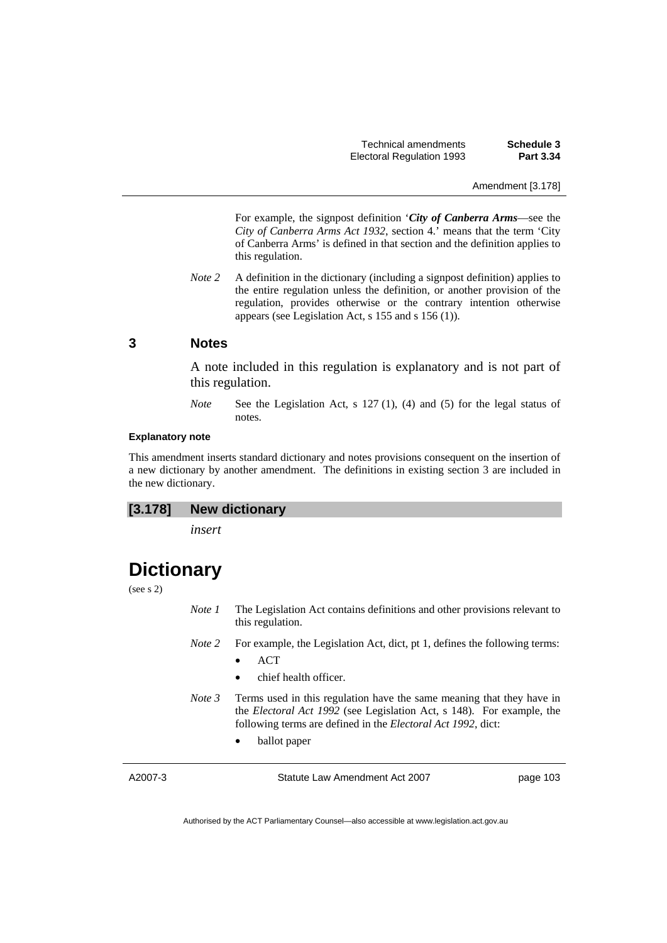Technical amendments **Schedule 3**  Electoral Regulation 1993 **Part 3.34** 

Amendment [3.178]

 For example, the signpost definition '*City of Canberra Arms*—see the *City of Canberra Arms Act 1932*, section 4.' means that the term 'City of Canberra Arms' is defined in that section and the definition applies to this regulation.

*Note 2* A definition in the dictionary (including a signpost definition) applies to the entire regulation unless the definition, or another provision of the regulation, provides otherwise or the contrary intention otherwise appears (see Legislation Act, s 155 and s 156 (1)).

#### **3 Notes**

A note included in this regulation is explanatory and is not part of this regulation.

*Note* See the Legislation Act, s 127 (1), (4) and (5) for the legal status of notes.

### **Explanatory note**

This amendment inserts standard dictionary and notes provisions consequent on the insertion of a new dictionary by another amendment. The definitions in existing section 3 are included in the new dictionary.

### **[3.178] New dictionary**

*insert* 

## **Dictionary**

(see s 2)

*Note 1* The Legislation Act contains definitions and other provisions relevant to this regulation.

*Note 2* For example, the Legislation Act, dict, pt 1, defines the following terms:

- ACT
- chief health officer.
- *Note 3* Terms used in this regulation have the same meaning that they have in the *Electoral Act 1992* (see Legislation Act, s 148). For example, the following terms are defined in the *Electoral Act 1992*, dict:
	- ballot paper

| Statute Law Amendment Act 2007<br>A2007-3 | page 103 |
|-------------------------------------------|----------|
|-------------------------------------------|----------|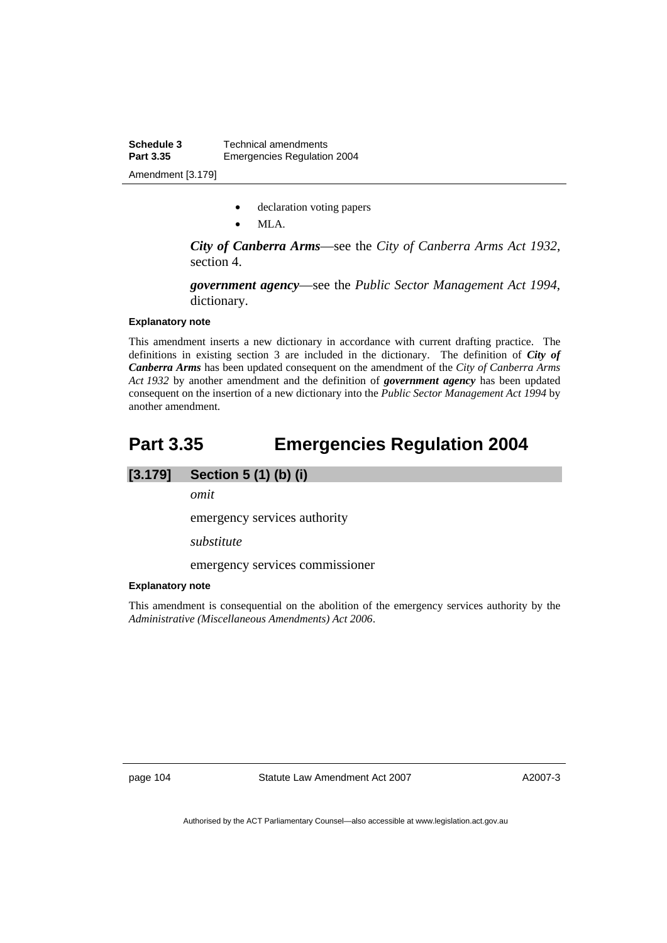- declaration voting papers
- MLA.

*City of Canberra Arms*—see the *City of Canberra Arms Act 1932*, section 4.

*government agency*—see the *Public Sector Management Act 1994*, dictionary.

#### **Explanatory note**

This amendment inserts a new dictionary in accordance with current drafting practice. The definitions in existing section 3 are included in the dictionary. The definition of *City of Canberra Arms* has been updated consequent on the amendment of the *City of Canberra Arms Act 1932* by another amendment and the definition of *government agency* has been updated consequent on the insertion of a new dictionary into the *Public Sector Management Act 1994* by another amendment.

## **Part 3.35 Emergencies Regulation 2004**

## **[3.179] Section 5 (1) (b) (i)**

*omit* 

emergency services authority

*substitute* 

emergency services commissioner

#### **Explanatory note**

This amendment is consequential on the abolition of the emergency services authority by the *Administrative (Miscellaneous Amendments) Act 2006*.

page 104 Statute Law Amendment Act 2007

A2007-3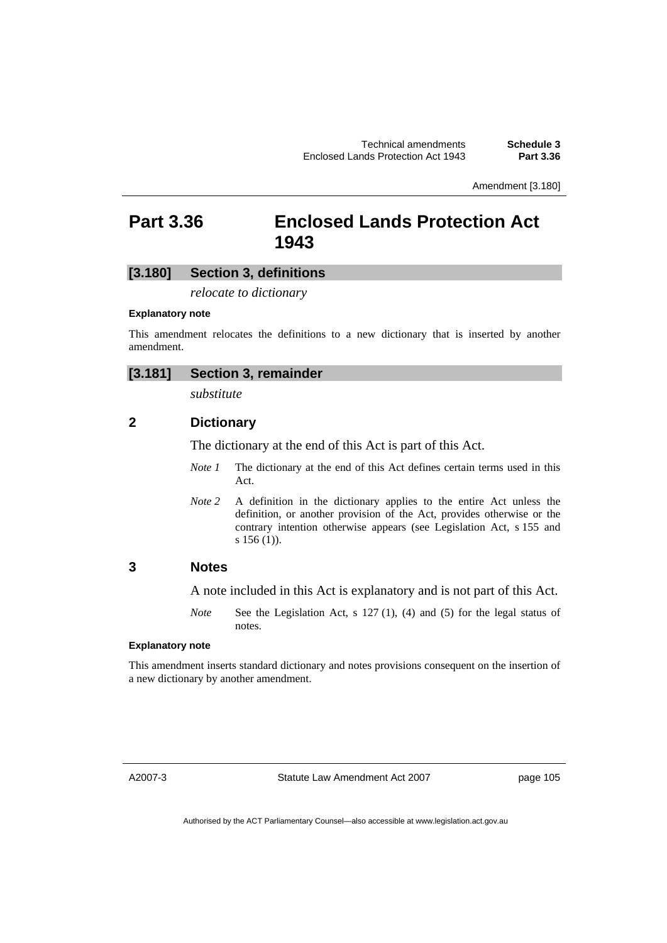Amendment [3.180]

## **Part 3.36 Enclosed Lands Protection Act 1943**

### **[3.180] Section 3, definitions**

*relocate to dictionary* 

#### **Explanatory note**

This amendment relocates the definitions to a new dictionary that is inserted by another amendment.

## **[3.181] Section 3, remainder**

*substitute* 

## **2 Dictionary**

The dictionary at the end of this Act is part of this Act.

- *Note 1* The dictionary at the end of this Act defines certain terms used in this Act.
- *Note 2* A definition in the dictionary applies to the entire Act unless the definition, or another provision of the Act, provides otherwise or the contrary intention otherwise appears (see Legislation Act, s 155 and s 156 (1)).

## **3 Notes**

A note included in this Act is explanatory and is not part of this Act.

*Note* See the Legislation Act, s 127 (1), (4) and (5) for the legal status of notes.

### **Explanatory note**

This amendment inserts standard dictionary and notes provisions consequent on the insertion of a new dictionary by another amendment.

A2007-3

Statute Law Amendment Act 2007

page 105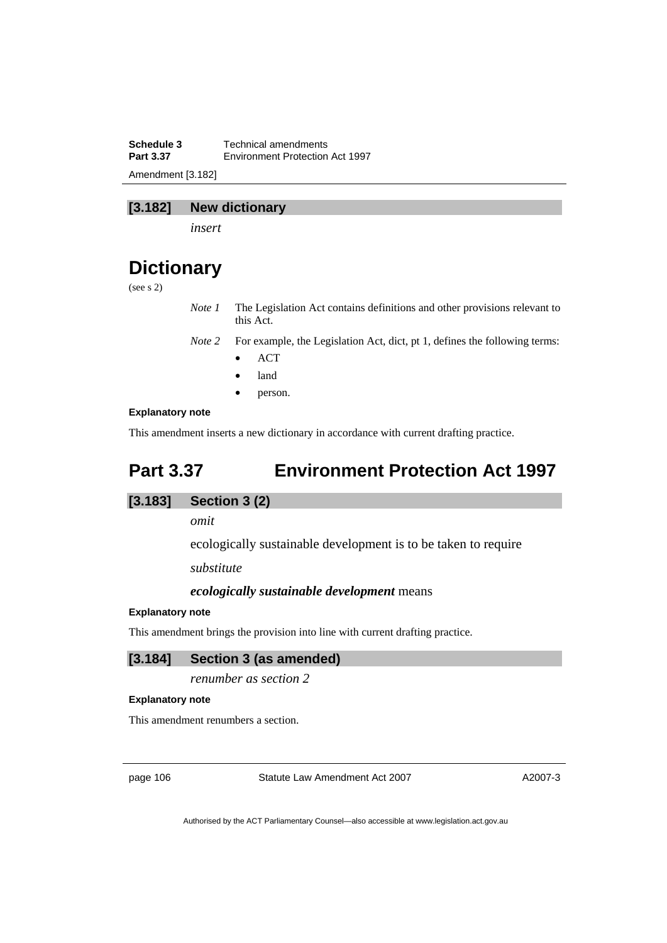**Schedule 3 Technical amendments**<br>**Part 3.37 Environment Protection Part 3.37** Environment Protection Act 1997 Amendment [3.182]

## **[3.182] New dictionary**

*insert* 

## **Dictionary**

(see s 2)

*Note 1* The Legislation Act contains definitions and other provisions relevant to this Act.

*Note 2* For example, the Legislation Act, dict, pt 1, defines the following terms:

- ACT
- land
- person.

### **Explanatory note**

This amendment inserts a new dictionary in accordance with current drafting practice.

## **Part 3.37 Environment Protection Act 1997**

## **[3.183] Section 3 (2)**

*omit* 

ecologically sustainable development is to be taken to require

*substitute* 

### *ecologically sustainable development* means

#### **Explanatory note**

This amendment brings the provision into line with current drafting practice.

### **[3.184] Section 3 (as amended)**

*renumber as section 2* 

#### **Explanatory note**

This amendment renumbers a section.

page 106 Statute Law Amendment Act 2007

A2007-3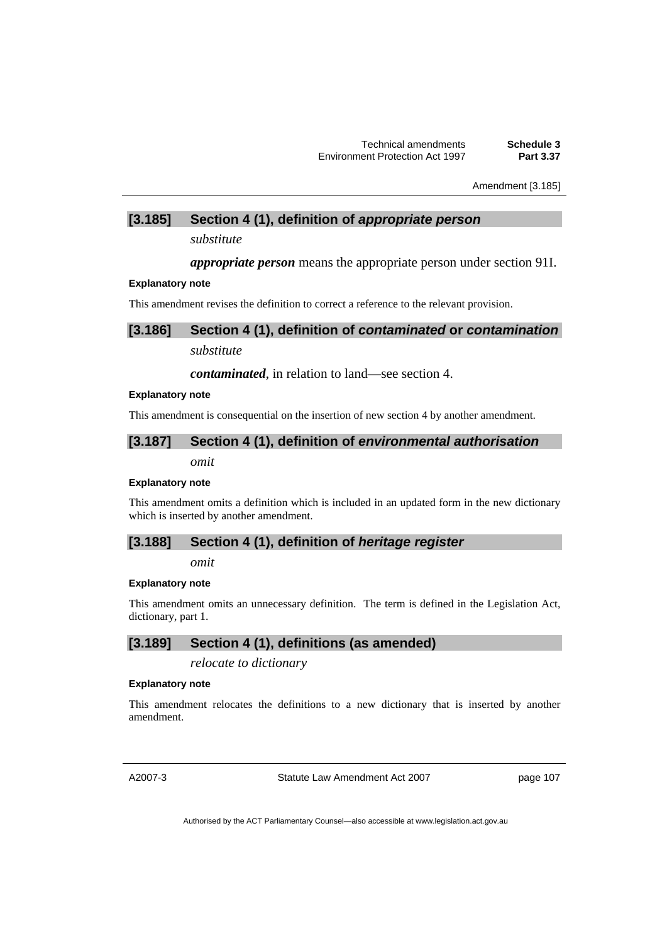Amendment [3.185]

## **[3.185] Section 4 (1), definition of** *appropriate person*

*substitute* 

*appropriate person* means the appropriate person under section 91I.

#### **Explanatory note**

This amendment revises the definition to correct a reference to the relevant provision.

## **[3.186] Section 4 (1), definition of** *contaminated* **or** *contamination*

*substitute* 

### *contaminated*, in relation to land—see section 4.

#### **Explanatory note**

This amendment is consequential on the insertion of new section 4 by another amendment.

## **[3.187] Section 4 (1), definition of** *environmental authorisation*

*omit* 

#### **Explanatory note**

This amendment omits a definition which is included in an updated form in the new dictionary which is inserted by another amendment.

### **[3.188] Section 4 (1), definition of** *heritage register*

*omit* 

## **Explanatory note**

This amendment omits an unnecessary definition. The term is defined in the Legislation Act, dictionary, part 1.

## **[3.189] Section 4 (1), definitions (as amended)**

*relocate to dictionary* 

#### **Explanatory note**

This amendment relocates the definitions to a new dictionary that is inserted by another amendment.

A2007-3

Statute Law Amendment Act 2007

page 107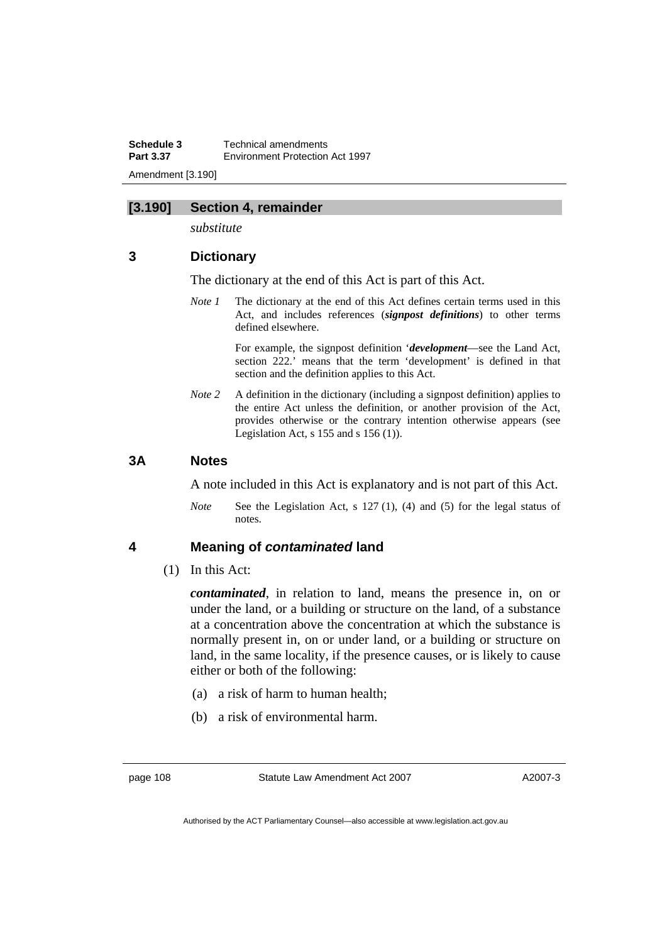**Schedule 3 Technical amendments**<br>**Part 3.37 Environment Protection Part 3.37** Environment Protection Act 1997 Amendment [3.190]

## **[3.190] Section 4, remainder**

*substitute* 

## **3 Dictionary**

The dictionary at the end of this Act is part of this Act.

*Note 1* The dictionary at the end of this Act defines certain terms used in this Act, and includes references (*signpost definitions*) to other terms defined elsewhere.

> For example, the signpost definition '*development*—see the Land Act, section 222.' means that the term 'development' is defined in that section and the definition applies to this Act.

*Note* 2 A definition in the dictionary (including a signpost definition) applies to the entire Act unless the definition, or another provision of the Act, provides otherwise or the contrary intention otherwise appears (see Legislation Act,  $s$  155 and  $s$  156 (1)).

## **3A Notes**

A note included in this Act is explanatory and is not part of this Act.

*Note* See the Legislation Act, s 127 (1), (4) and (5) for the legal status of notes.

### **4 Meaning of** *contaminated* **land**

(1) In this Act:

*contaminated*, in relation to land, means the presence in, on or under the land, or a building or structure on the land, of a substance at a concentration above the concentration at which the substance is normally present in, on or under land, or a building or structure on land, in the same locality, if the presence causes, or is likely to cause either or both of the following:

- (a) a risk of harm to human health;
- (b) a risk of environmental harm.

Authorised by the ACT Parliamentary Counsel—also accessible at www.legislation.act.gov.au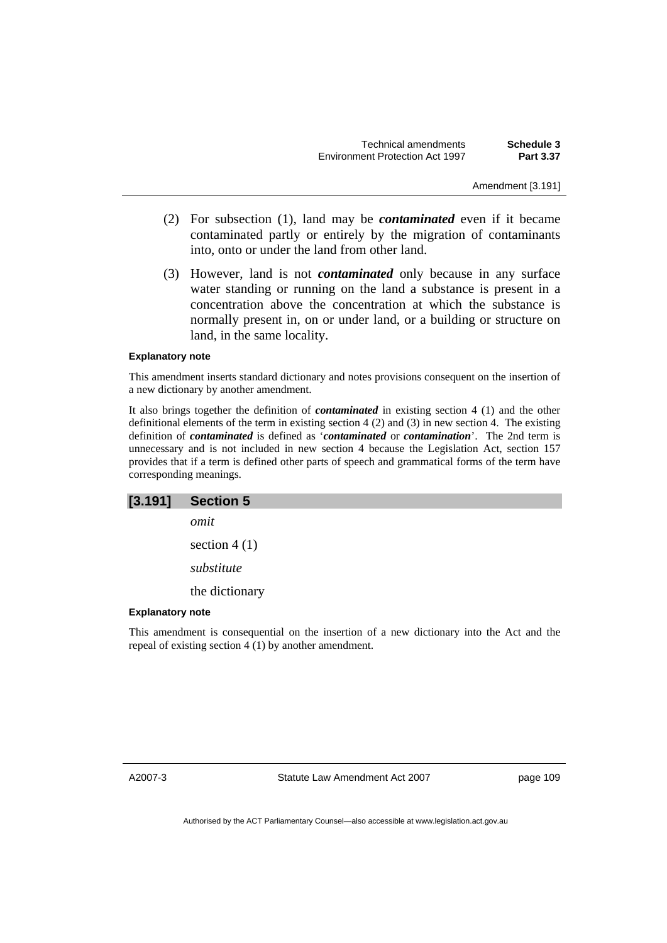Amendment [3.191]

- (2) For subsection (1), land may be *contaminated* even if it became contaminated partly or entirely by the migration of contaminants into, onto or under the land from other land.
- (3) However, land is not *contaminated* only because in any surface water standing or running on the land a substance is present in a concentration above the concentration at which the substance is normally present in, on or under land, or a building or structure on land, in the same locality.

#### **Explanatory note**

This amendment inserts standard dictionary and notes provisions consequent on the insertion of a new dictionary by another amendment.

It also brings together the definition of *contaminated* in existing section 4 (1) and the other definitional elements of the term in existing section 4 (2) and (3) in new section 4. The existing definition of *contaminated* is defined as '*contaminated* or *contamination*'. The 2nd term is unnecessary and is not included in new section 4 because the Legislation Act, section 157 provides that if a term is defined other parts of speech and grammatical forms of the term have corresponding meanings.

| [3.191]                 | <b>Section 5</b>                                                                          |
|-------------------------|-------------------------------------------------------------------------------------------|
|                         |                                                                                           |
|                         | omit                                                                                      |
|                         | section $4(1)$                                                                            |
|                         | substitute                                                                                |
|                         | the dictionary                                                                            |
| <b>Explanatory note</b> |                                                                                           |
|                         | This amendment is consequential on the insertion of a new dictionary into the Act and the |

the insertion of a new dictionary into the Act and the repeal of existing section  $\widehat{4(1)}$  by another amendment.

Statute Law Amendment Act 2007

page 109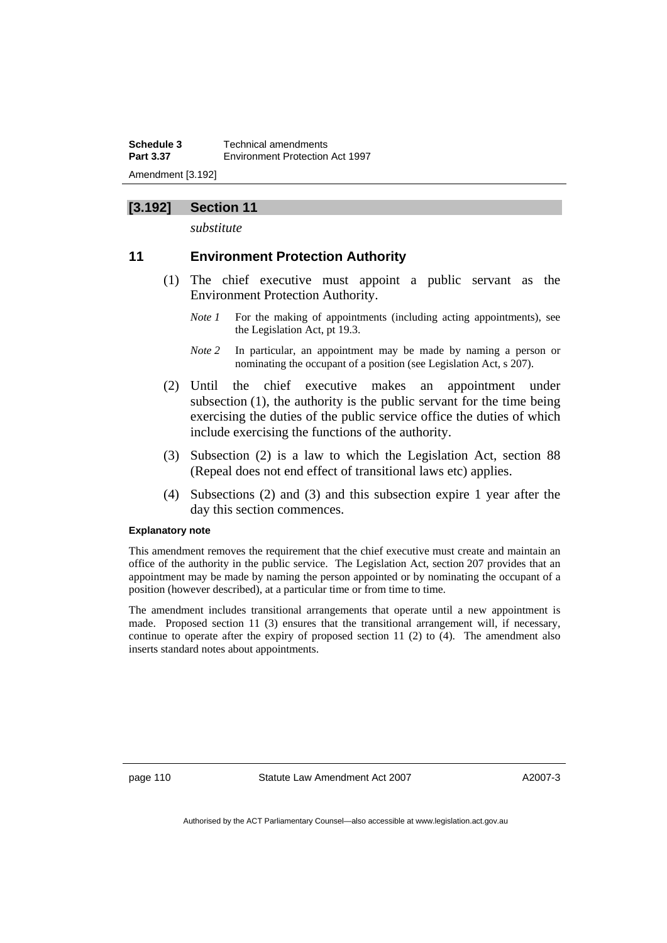**Schedule 3** Technical amendments **Part 3.37 Environment Protection Act 1997** Amendment [3.192]

## **[3.192] Section 11**

*substitute* 

## **11 Environment Protection Authority**

- (1) The chief executive must appoint a public servant as the Environment Protection Authority.
	- *Note 1* For the making of appointments (including acting appointments), see the Legislation Act, pt 19.3.
	- *Note 2* In particular, an appointment may be made by naming a person or nominating the occupant of a position (see Legislation Act, s 207).
- (2) Until the chief executive makes an appointment under subsection (1), the authority is the public servant for the time being exercising the duties of the public service office the duties of which include exercising the functions of the authority.
- (3) Subsection (2) is a law to which the Legislation Act, section 88 (Repeal does not end effect of transitional laws etc) applies.
- (4) Subsections (2) and (3) and this subsection expire 1 year after the day this section commences.

#### **Explanatory note**

This amendment removes the requirement that the chief executive must create and maintain an office of the authority in the public service. The Legislation Act, section 207 provides that an appointment may be made by naming the person appointed or by nominating the occupant of a position (however described), at a particular time or from time to time.

The amendment includes transitional arrangements that operate until a new appointment is made. Proposed section 11 (3) ensures that the transitional arrangement will, if necessary, continue to operate after the expiry of proposed section 11 (2) to (4). The amendment also inserts standard notes about appointments.

page 110 Statute Law Amendment Act 2007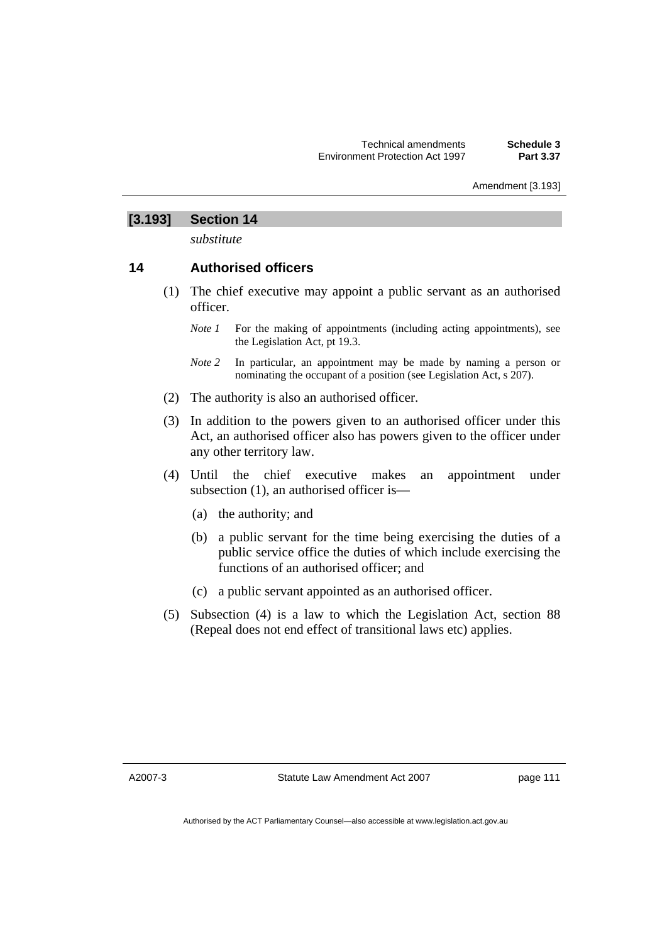#### Amendment [3.193]

## **[3.193] Section 14**

*substitute* 

## **14 Authorised officers**

- (1) The chief executive may appoint a public servant as an authorised officer.
	- *Note 1* For the making of appointments (including acting appointments), see the Legislation Act, pt 19.3.
	- *Note 2* In particular, an appointment may be made by naming a person or nominating the occupant of a position (see Legislation Act, s 207).
- (2) The authority is also an authorised officer.
- (3) In addition to the powers given to an authorised officer under this Act, an authorised officer also has powers given to the officer under any other territory law.
- (4) Until the chief executive makes an appointment under subsection (1), an authorised officer is—
	- (a) the authority; and
	- (b) a public servant for the time being exercising the duties of a public service office the duties of which include exercising the functions of an authorised officer; and
	- (c) a public servant appointed as an authorised officer.
- (5) Subsection (4) is a law to which the Legislation Act, section 88 (Repeal does not end effect of transitional laws etc) applies.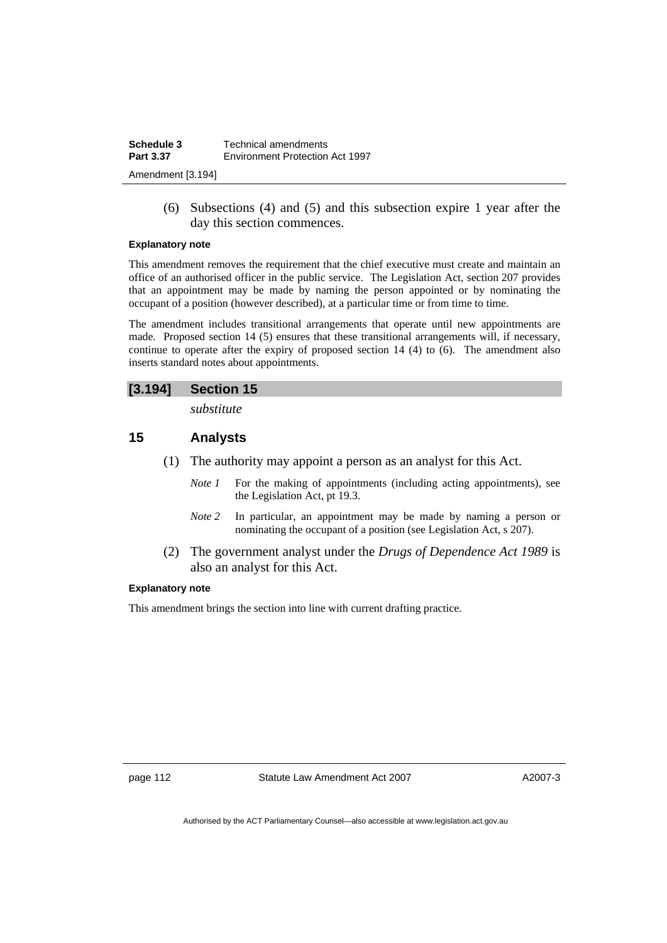| Schedule 3        | Technical amendments            |
|-------------------|---------------------------------|
| <b>Part 3.37</b>  | Environment Protection Act 1997 |
| Amendment [3.194] |                                 |

 (6) Subsections (4) and (5) and this subsection expire 1 year after the day this section commences.

#### **Explanatory note**

This amendment removes the requirement that the chief executive must create and maintain an office of an authorised officer in the public service. The Legislation Act, section 207 provides that an appointment may be made by naming the person appointed or by nominating the occupant of a position (however described), at a particular time or from time to time.

The amendment includes transitional arrangements that operate until new appointments are made. Proposed section 14 (5) ensures that these transitional arrangements will, if necessary, continue to operate after the expiry of proposed section 14 (4) to  $(6)$ . The amendment also inserts standard notes about appointments.

## **[3.194] Section 15**

*substitute* 

## **15 Analysts**

- (1) The authority may appoint a person as an analyst for this Act.
	- *Note 1* For the making of appointments (including acting appointments), see the Legislation Act, pt 19.3.
	- *Note 2* In particular, an appointment may be made by naming a person or nominating the occupant of a position (see Legislation Act, s 207).
- (2) The government analyst under the *Drugs of Dependence Act 1989* is also an analyst for this Act.

#### **Explanatory note**

This amendment brings the section into line with current drafting practice.

page 112 Statute Law Amendment Act 2007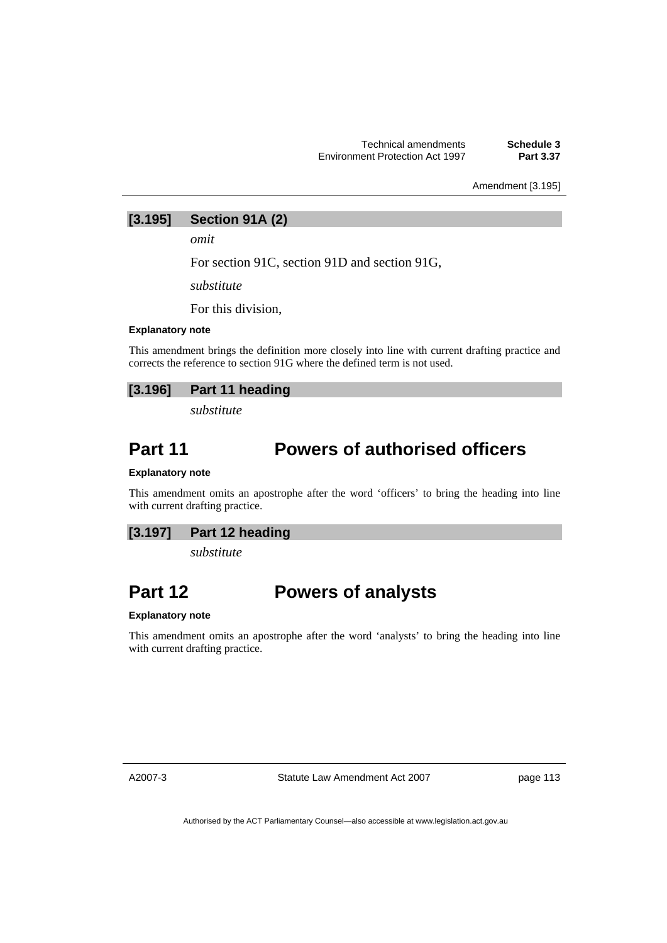Amendment [3.195]

## **[3.195] Section 91A (2)**

*omit* 

For section 91C, section 91D and section 91G,

*substitute* 

For this division,

#### **Explanatory note**

This amendment brings the definition more closely into line with current drafting practice and corrects the reference to section 91G where the defined term is not used.

## **[3.196] Part 11 heading**

*substitute* 

## **Part 11 Powers of authorised officers**

#### **Explanatory note**

This amendment omits an apostrophe after the word 'officers' to bring the heading into line with current drafting practice.

## **[3.197] Part 12 heading**

*substitute* 

## **Part 12 Powers of analysts**

#### **Explanatory note**

This amendment omits an apostrophe after the word 'analysts' to bring the heading into line with current drafting practice.

A2007-3

Statute Law Amendment Act 2007

page 113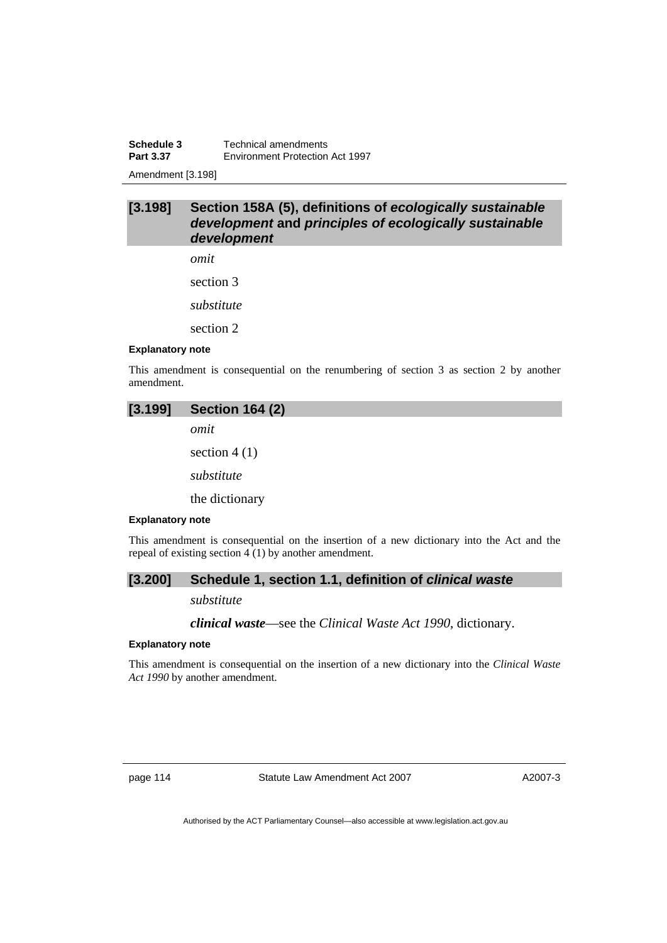**Schedule 3 Technical amendments**<br>**Part 3.37 Environment Protection Part 3.37** Environment Protection Act 1997

Amendment [3.198]

## **[3.198] Section 158A (5), definitions of** *ecologically sustainable development* **and** *principles of ecologically sustainable development*

*omit* 

section 3

*substitute* 

section 2

#### **Explanatory note**

This amendment is consequential on the renumbering of section 3 as section 2 by another amendment.

| [3.199]                 | <b>Section 164 (2)</b>                                                                                                                               |
|-------------------------|------------------------------------------------------------------------------------------------------------------------------------------------------|
|                         | omit                                                                                                                                                 |
|                         | section $4(1)$                                                                                                                                       |
|                         | substitute                                                                                                                                           |
|                         | the dictionary                                                                                                                                       |
| <b>Explanatory note</b> |                                                                                                                                                      |
|                         | This amendment is consequential on the insertion of a new dictionary into the Act and the<br>repeal of existing section $4(1)$ by another amendment. |

**[3.200] Schedule 1, section 1.1, definition of** *clinical waste* 

#### *substitute*

*clinical waste*—see the *Clinical Waste Act 1990*, dictionary.

#### **Explanatory note**

This amendment is consequential on the insertion of a new dictionary into the *Clinical Waste Act 1990* by another amendment.

page 114 Statute Law Amendment Act 2007

A2007-3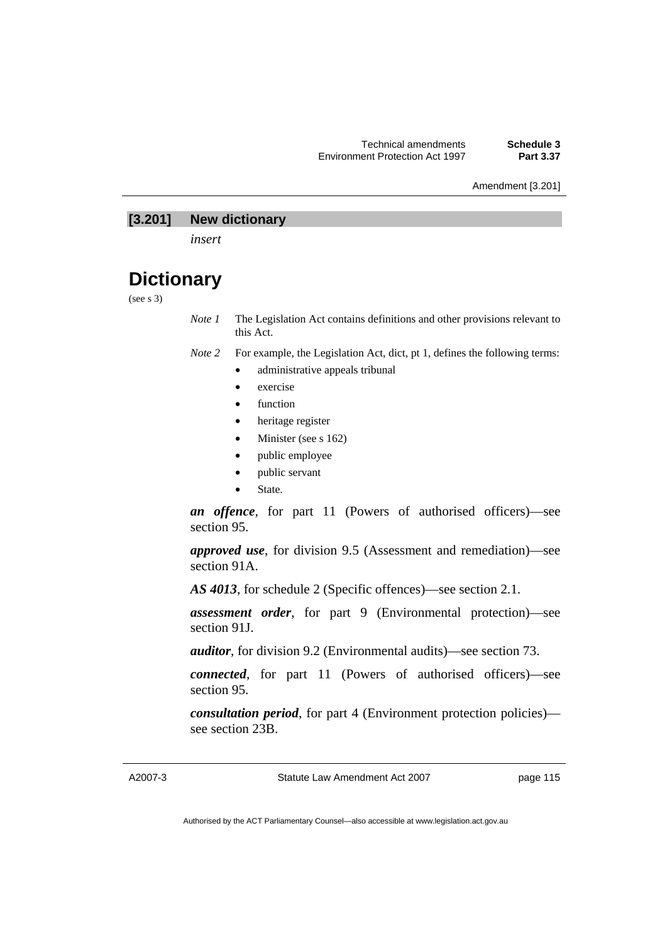Amendment [3.201]

## **[3.201] New dictionary**

*insert* 

## **Dictionary**

(see s 3)

*Note 1* The Legislation Act contains definitions and other provisions relevant to this Act.

- *Note 2* For example, the Legislation Act, dict, pt 1, defines the following terms:
	- administrative appeals tribunal
		- exercise
		- function
		- heritage register
		- Minister (see s 162)
		- public employee
		- public servant
		- State.

*an offence*, for part 11 (Powers of authorised officers)—see section 95.

*approved use*, for division 9.5 (Assessment and remediation)—see section 91A.

*AS 4013*, for schedule 2 (Specific offences)—see section 2.1.

*assessment order*, for part 9 (Environmental protection)—see section 91J.

*auditor*, for division 9.2 (Environmental audits)—see section 73.

*connected*, for part 11 (Powers of authorised officers)—see section 95.

*consultation period*, for part 4 (Environment protection policies) see section 23B.

Statute Law Amendment Act 2007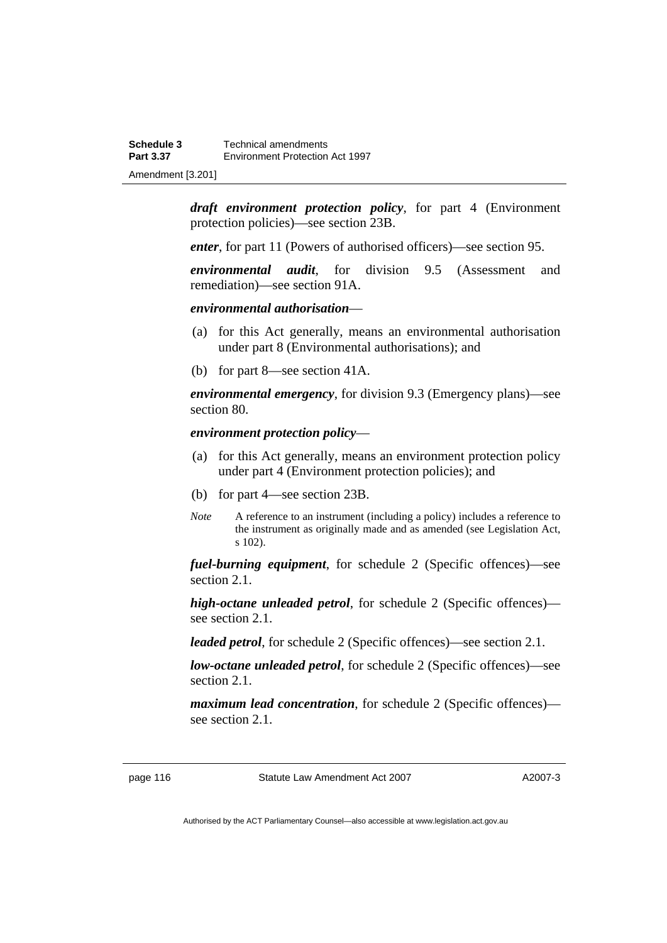*draft environment protection policy*, for part 4 (Environment protection policies)—see section 23B.

*enter*, for part 11 (Powers of authorised officers)—see section 95.

*environmental audit*, for division 9.5 (Assessment and remediation)—see section 91A.

#### *environmental authorisation*—

- (a) for this Act generally, means an environmental authorisation under part 8 (Environmental authorisations); and
- (b) for part 8—see section 41A.

*environmental emergency*, for division 9.3 (Emergency plans)—see section 80.

*environment protection policy*—

- (a) for this Act generally, means an environment protection policy under part 4 (Environment protection policies); and
- (b) for part 4—see section 23B.
- *Note* A reference to an instrument (including a policy) includes a reference to the instrument as originally made and as amended (see Legislation Act, s 102).

*fuel-burning equipment*, for schedule 2 (Specific offences)—see section 2.1.

*high-octane unleaded petrol*, for schedule 2 (Specific offences) see section 2.1.

*leaded petrol*, for schedule 2 (Specific offences)—see section 2.1.

*low-octane unleaded petrol*, for schedule 2 (Specific offences)—see section 2.1.

*maximum lead concentration*, for schedule 2 (Specific offences) see section 2.1.

page 116 Statute Law Amendment Act 2007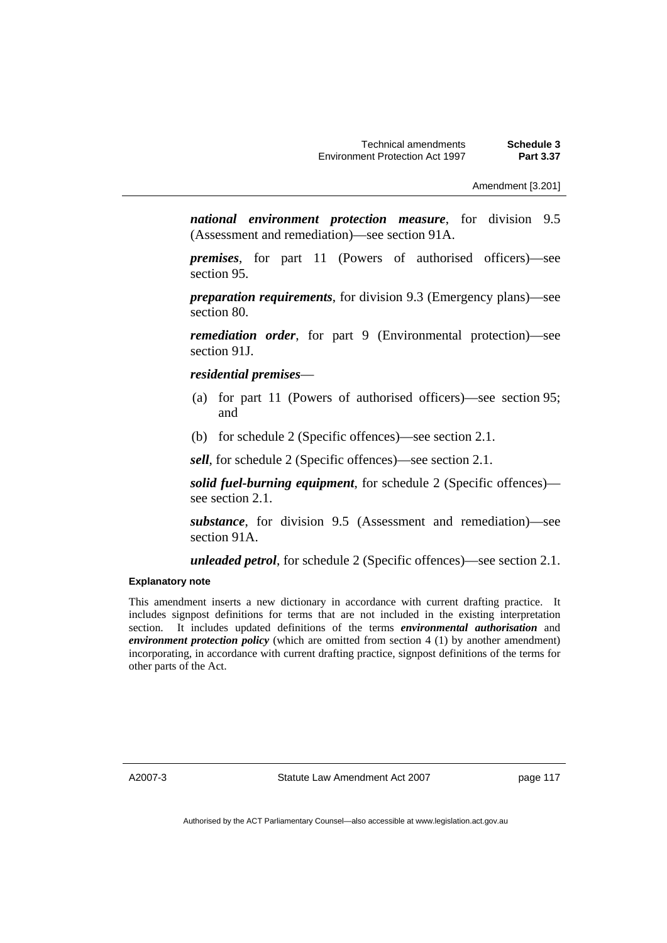*national environment protection measure*, for division 9.5 (Assessment and remediation)—see section 91A.

*premises*, for part 11 (Powers of authorised officers)—see section 95.

*preparation requirements*, for division 9.3 (Emergency plans)—see section 80.

*remediation order*, for part 9 (Environmental protection)—see section 91J.

*residential premises*—

- (a) for part 11 (Powers of authorised officers)—see section 95; and
- (b) for schedule 2 (Specific offences)—see section 2.1.

*sell*, for schedule 2 (Specific offences)—see section 2.1.

*solid fuel-burning equipment*, for schedule 2 (Specific offences) see section 2.1.

*substance*, for division 9.5 (Assessment and remediation)—see section 91A.

*unleaded petrol*, for schedule 2 (Specific offences)—see section 2.1.

#### **Explanatory note**

This amendment inserts a new dictionary in accordance with current drafting practice. It includes signpost definitions for terms that are not included in the existing interpretation section. It includes updated definitions of the terms *environmental authorisation* and *environment protection policy* (which are omitted from section 4 (1) by another amendment) incorporating, in accordance with current drafting practice, signpost definitions of the terms for other parts of the Act.

A2007-3

Statute Law Amendment Act 2007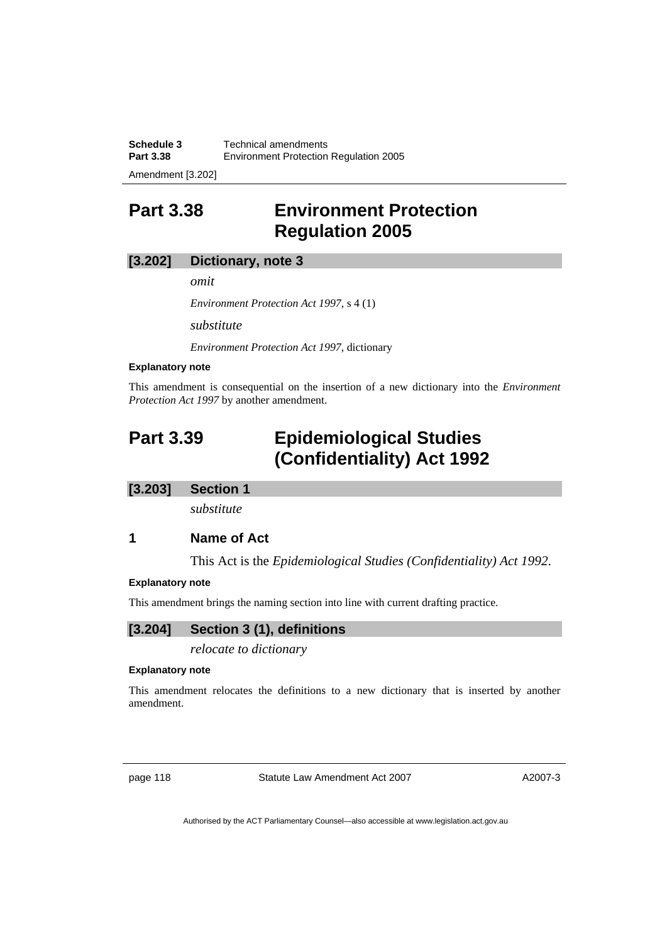**Schedule 3 Technical amendments**<br>**Part 3.38 Environment Protection Part 3.38** Environment Protection Regulation 2005

Amendment [3.202]

## **Part 3.38 Environment Protection Regulation 2005**

## **[3.202] Dictionary, note 3**

*omit* 

*Environment Protection Act 1997*, s 4 (1)

*substitute* 

*Environment Protection Act 1997*, dictionary

#### **Explanatory note**

This amendment is consequential on the insertion of a new dictionary into the *Environment Protection Act 1997* by another amendment.

## **Part 3.39 Epidemiological Studies (Confidentiality) Act 1992**

### **[3.203] Section 1**

*substitute* 

## **1 Name of Act**

This Act is the *Epidemiological Studies (Confidentiality) Act 1992*.

#### **Explanatory note**

This amendment brings the naming section into line with current drafting practice.

## **[3.204] Section 3 (1), definitions**

*relocate to dictionary* 

#### **Explanatory note**

This amendment relocates the definitions to a new dictionary that is inserted by another amendment.

page 118 Statute Law Amendment Act 2007

A2007-3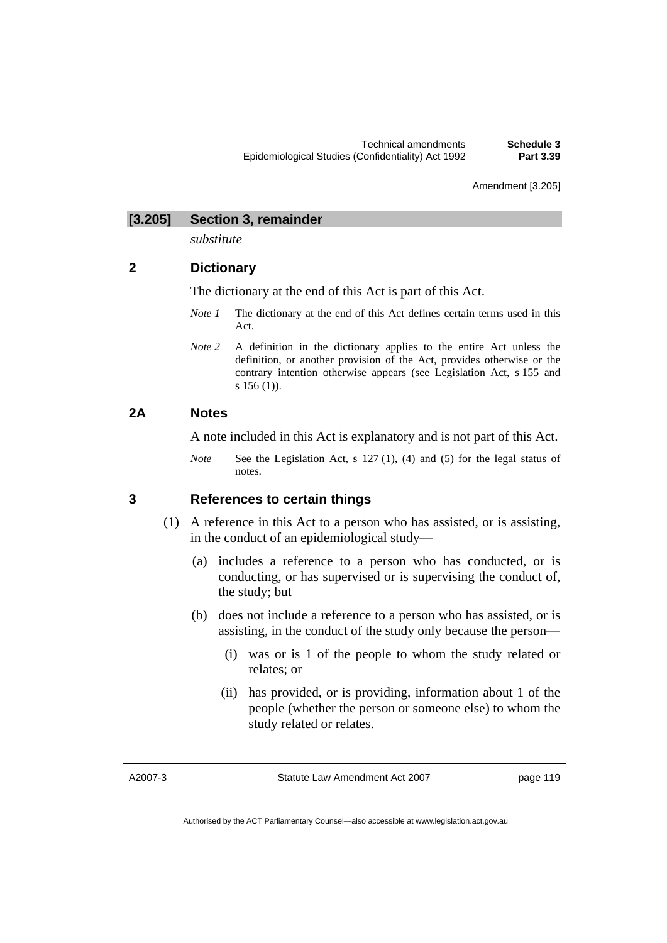Amendment [3.205]

## **[3.205] Section 3, remainder**

*substitute* 

## **2 Dictionary**

The dictionary at the end of this Act is part of this Act.

- *Note 1* The dictionary at the end of this Act defines certain terms used in this Act.
- *Note 2* A definition in the dictionary applies to the entire Act unless the definition, or another provision of the Act, provides otherwise or the contrary intention otherwise appears (see Legislation Act, s 155 and s 156 (1)).

## **2A Notes**

A note included in this Act is explanatory and is not part of this Act.

*Note* See the Legislation Act, s 127 (1), (4) and (5) for the legal status of notes.

## **3 References to certain things**

- (1) A reference in this Act to a person who has assisted, or is assisting, in the conduct of an epidemiological study—
	- (a) includes a reference to a person who has conducted, or is conducting, or has supervised or is supervising the conduct of, the study; but
	- (b) does not include a reference to a person who has assisted, or is assisting, in the conduct of the study only because the person—
		- (i) was or is 1 of the people to whom the study related or relates; or
		- (ii) has provided, or is providing, information about 1 of the people (whether the person or someone else) to whom the study related or relates.

A2007-3

Statute Law Amendment Act 2007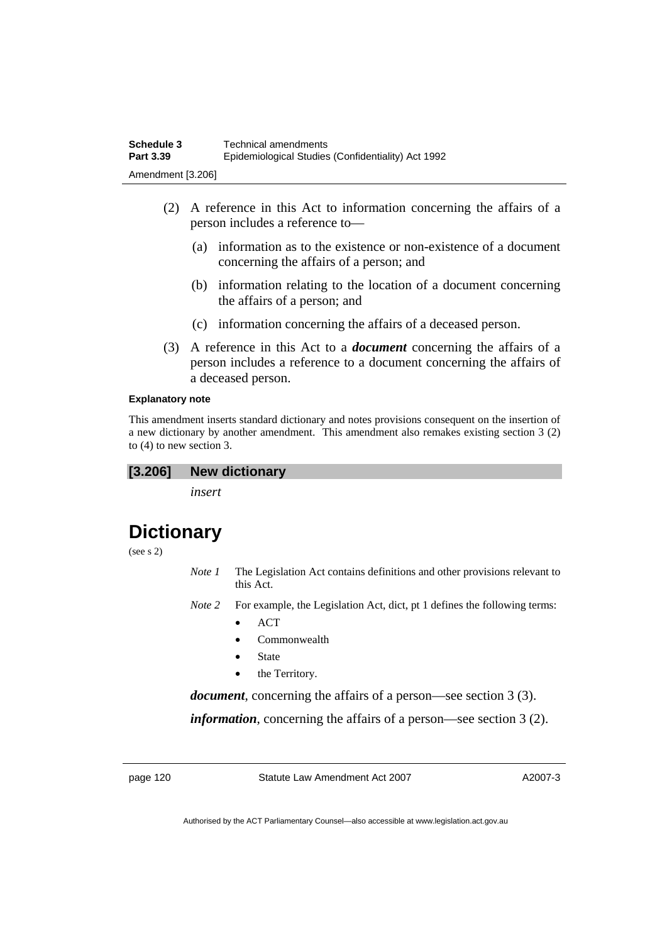- (2) A reference in this Act to information concerning the affairs of a person includes a reference to—
	- (a) information as to the existence or non-existence of a document concerning the affairs of a person; and
	- (b) information relating to the location of a document concerning the affairs of a person; and
	- (c) information concerning the affairs of a deceased person.
- (3) A reference in this Act to a *document* concerning the affairs of a person includes a reference to a document concerning the affairs of a deceased person.

#### **Explanatory note**

This amendment inserts standard dictionary and notes provisions consequent on the insertion of a new dictionary by another amendment. This amendment also remakes existing section 3 (2) to (4) to new section 3.

### **[3.206] New dictionary**

*insert* 

## **Dictionary**

(see s 2)

- *Note 1* The Legislation Act contains definitions and other provisions relevant to this Act.
- *Note 2* For example, the Legislation Act, dict, pt 1 defines the following terms:
	- ACT
	- Commonwealth
	- **State**
	- the Territory.

*document*, concerning the affairs of a person—see section 3 (3).

*information*, concerning the affairs of a person—see section 3 (2).

page 120 Statute Law Amendment Act 2007

A2007-3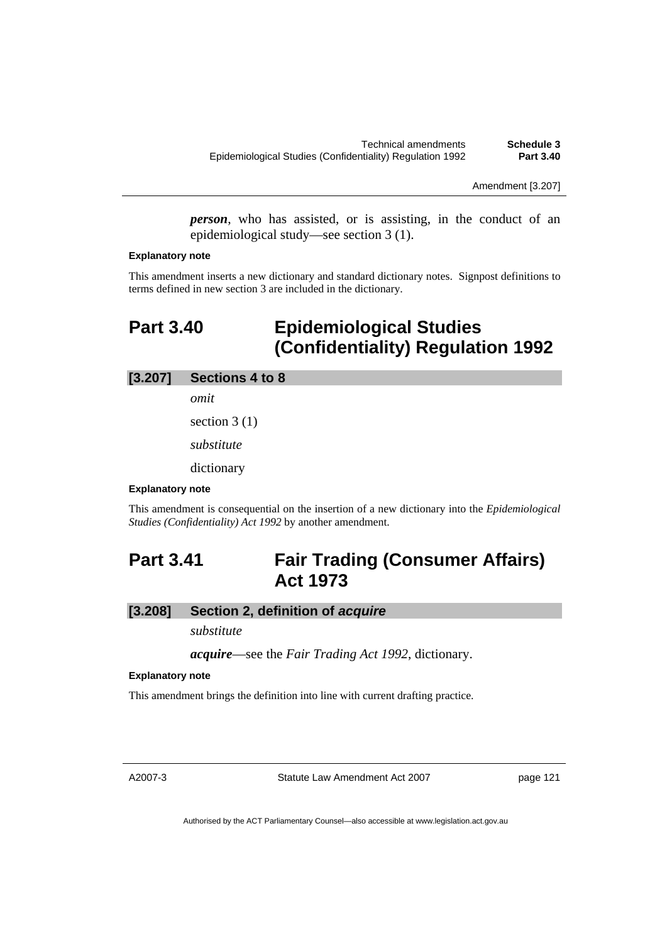Amendment [3.207]

*person*, who has assisted, or is assisting, in the conduct of an epidemiological study—see section 3 (1).

#### **Explanatory note**

This amendment inserts a new dictionary and standard dictionary notes. Signpost definitions to terms defined in new section 3 are included in the dictionary.

## **Part 3.40 Epidemiological Studies (Confidentiality) Regulation 1992**

### **[3.207] Sections 4 to 8**

*omit* 

section 3 (1)

*substitute* 

dictionary

### **Explanatory note**

This amendment is consequential on the insertion of a new dictionary into the *Epidemiological Studies (Confidentiality) Act 1992* by another amendment.

## **Part 3.41 Fair Trading (Consumer Affairs) Act 1973**

## **[3.208] Section 2, definition of** *acquire*

*substitute* 

*acquire*—see the *Fair Trading Act 1992*, dictionary.

#### **Explanatory note**

This amendment brings the definition into line with current drafting practice.

A2007-3

Statute Law Amendment Act 2007

page 121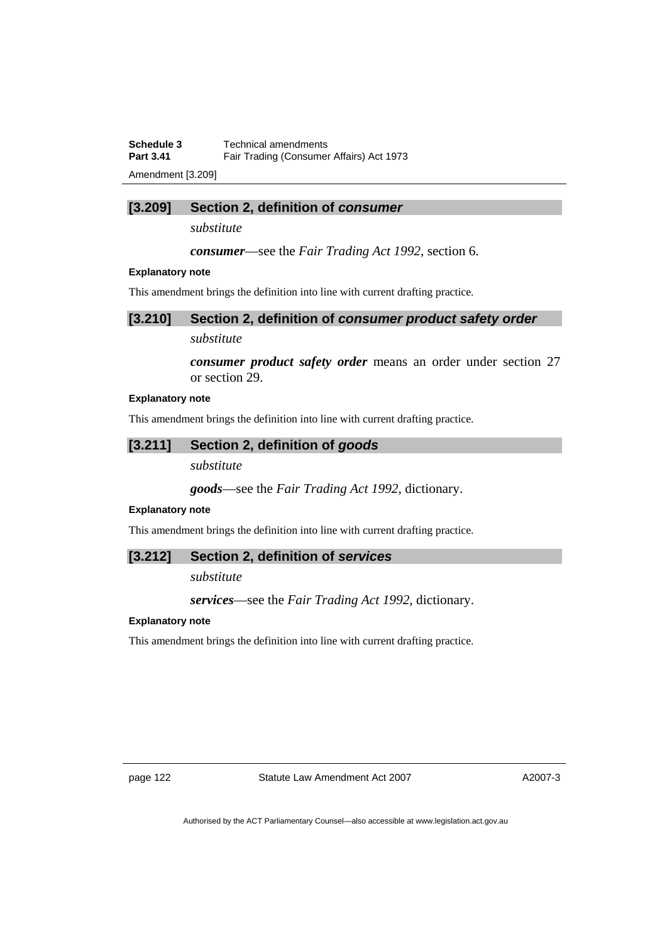**Schedule 3 Technical amendments**<br>**Part 3.41 Fair Trading Consumer Fair Trading (Consumer Affairs) Act 1973** 

Amendment [3.209]

## **[3.209] Section 2, definition of** *consumer*

*substitute* 

*consumer*—see the *Fair Trading Act 1992*, section 6.

#### **Explanatory note**

This amendment brings the definition into line with current drafting practice.

| [3.210] Section 2, definition of consumer product safety order |  |  |
|----------------------------------------------------------------|--|--|
|                                                                |  |  |

## *substitute*

*consumer product safety order* means an order under section 27 or section 29.

#### **Explanatory note**

This amendment brings the definition into line with current drafting practice.

### **[3.211] Section 2, definition of** *goods*

## *substitute*

*goods*—see the *Fair Trading Act 1992*, dictionary.

#### **Explanatory note**

This amendment brings the definition into line with current drafting practice.

#### **[3.212] Section 2, definition of** *services*

*substitute* 

*services*—see the *Fair Trading Act 1992*, dictionary.

## **Explanatory note**

This amendment brings the definition into line with current drafting practice.

page 122 Statute Law Amendment Act 2007

A2007-3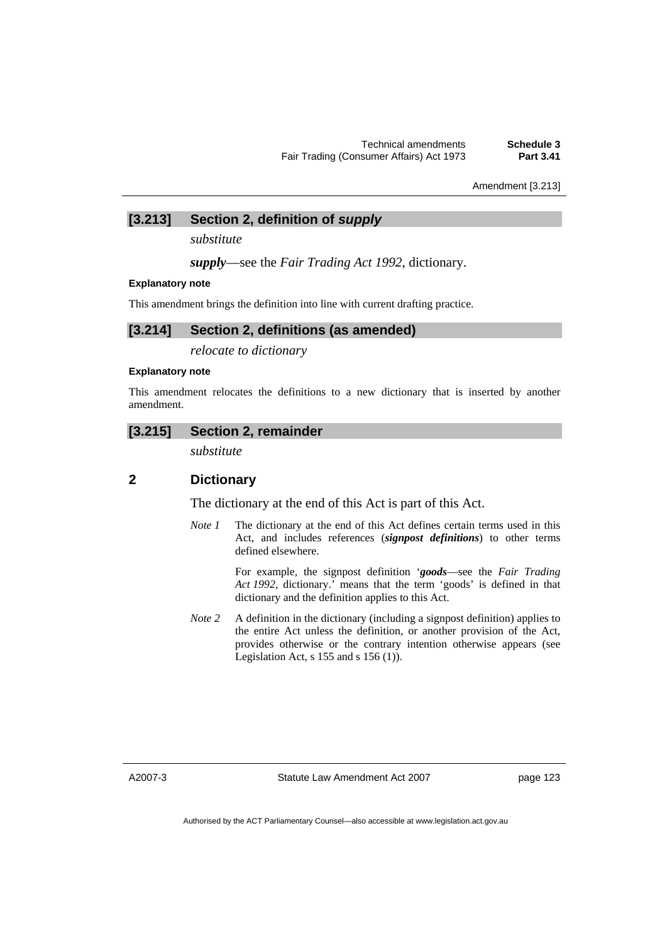Amendment [3.213]

## **[3.213] Section 2, definition of** *supply*

*substitute* 

*supply*—see the *Fair Trading Act 1992*, dictionary.

#### **Explanatory note**

This amendment brings the definition into line with current drafting practice.

## **[3.214] Section 2, definitions (as amended)**

*relocate to dictionary* 

#### **Explanatory note**

This amendment relocates the definitions to a new dictionary that is inserted by another amendment.

### **[3.215] Section 2, remainder**

*substitute* 

## **2 Dictionary**

The dictionary at the end of this Act is part of this Act.

*Note 1* The dictionary at the end of this Act defines certain terms used in this Act, and includes references (*signpost definitions*) to other terms defined elsewhere.

> For example, the signpost definition '*goods*—see the *Fair Trading Act 1992*, dictionary.' means that the term 'goods' is defined in that dictionary and the definition applies to this Act.

*Note 2* A definition in the dictionary (including a signpost definition) applies to the entire Act unless the definition, or another provision of the Act, provides otherwise or the contrary intention otherwise appears (see Legislation Act,  $s$  155 and  $s$  156 (1)).

A2007-3

Statute Law Amendment Act 2007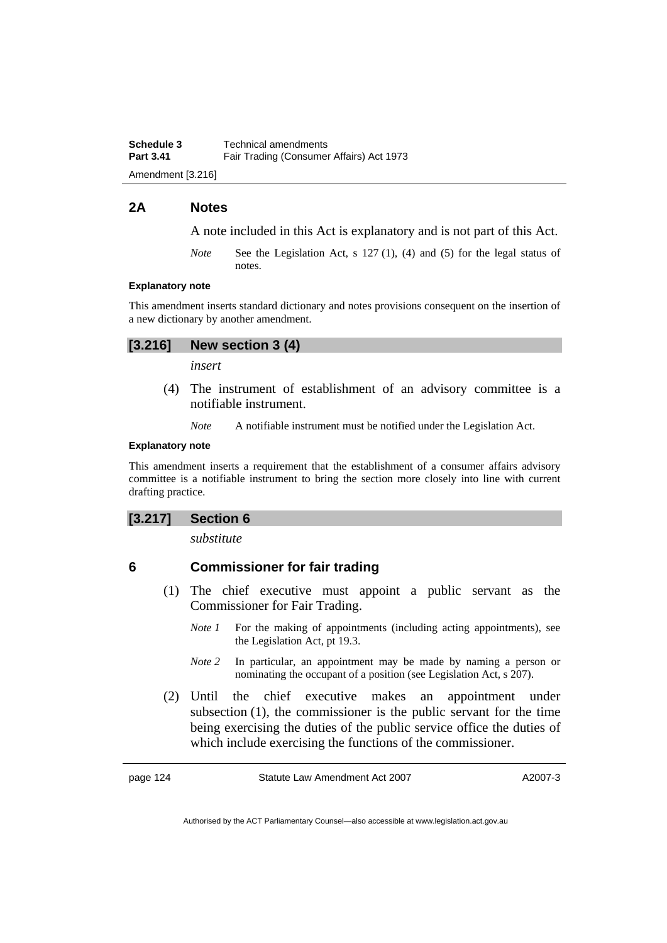**Schedule 3 Technical amendments**<br>**Part 3.41 Eair Trading Consumer** Fair Trading (Consumer Affairs) Act 1973 Amendment [3.216]

### **2A Notes**

A note included in this Act is explanatory and is not part of this Act.

*Note* See the Legislation Act, s 127 (1), (4) and (5) for the legal status of notes.

#### **Explanatory note**

This amendment inserts standard dictionary and notes provisions consequent on the insertion of a new dictionary by another amendment.

#### **[3.216] New section 3 (4)**

*insert* 

 (4) The instrument of establishment of an advisory committee is a notifiable instrument.

*Note* A notifiable instrument must be notified under the Legislation Act.

#### **Explanatory note**

This amendment inserts a requirement that the establishment of a consumer affairs advisory committee is a notifiable instrument to bring the section more closely into line with current drafting practice.

#### **[3.217] Section 6**

*substitute* 

#### **6 Commissioner for fair trading**

- (1) The chief executive must appoint a public servant as the Commissioner for Fair Trading.
	- *Note 1* For the making of appointments (including acting appointments), see the Legislation Act, pt 19.3.
	- *Note 2* In particular, an appointment may be made by naming a person or nominating the occupant of a position (see Legislation Act, s 207).
- (2) Until the chief executive makes an appointment under subsection (1), the commissioner is the public servant for the time being exercising the duties of the public service office the duties of which include exercising the functions of the commissioner.

page 124 Statute Law Amendment Act 2007

A2007-3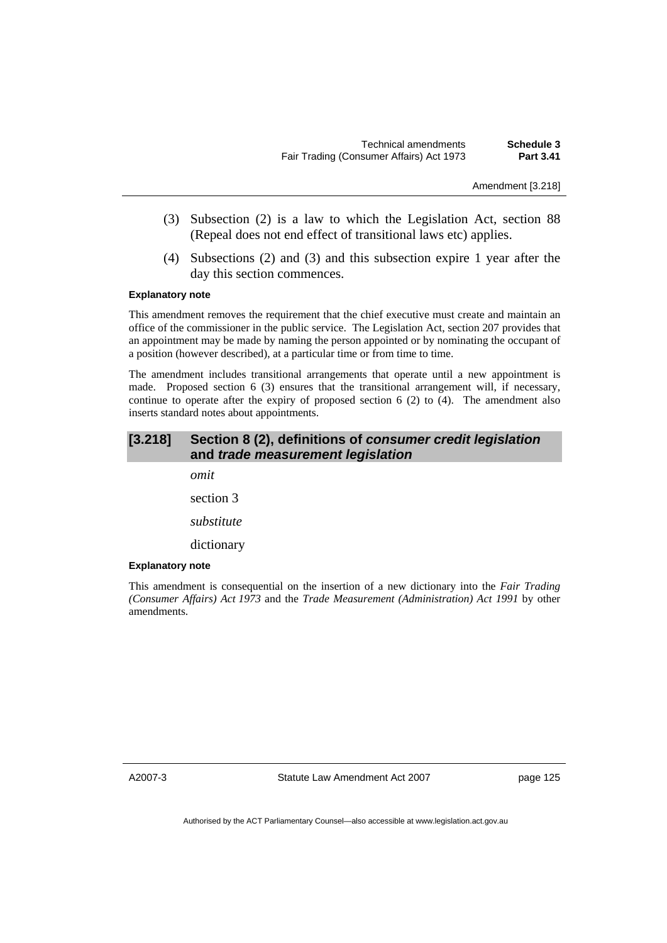Amendment [3.218]

- (3) Subsection (2) is a law to which the Legislation Act, section 88 (Repeal does not end effect of transitional laws etc) applies.
- (4) Subsections (2) and (3) and this subsection expire 1 year after the day this section commences.

#### **Explanatory note**

This amendment removes the requirement that the chief executive must create and maintain an office of the commissioner in the public service. The Legislation Act, section 207 provides that an appointment may be made by naming the person appointed or by nominating the occupant of a position (however described), at a particular time or from time to time.

The amendment includes transitional arrangements that operate until a new appointment is made. Proposed section 6 (3) ensures that the transitional arrangement will, if necessary, continue to operate after the expiry of proposed section  $6$  (2) to (4). The amendment also inserts standard notes about appointments.

## **[3.218] Section 8 (2), definitions of** *consumer credit legislation* **and** *trade measurement legislation*

*omit*  section 3 *substitute*  dictionary

#### **Explanatory note**

This amendment is consequential on the insertion of a new dictionary into the *Fair Trading (Consumer Affairs) Act 1973* and the *Trade Measurement (Administration) Act 1991* by other amendments.

A2007-3

Statute Law Amendment Act 2007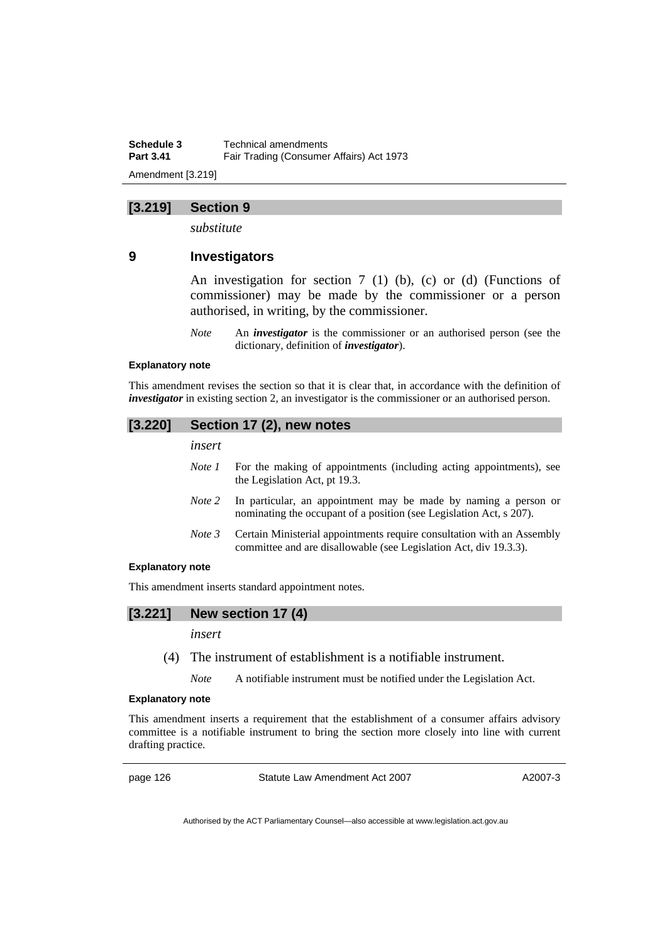**Schedule 3 Technical amendments**<br>**Part 3.41 Eair Trading Consumer Fair Trading (Consumer Affairs) Act 1973** Amendment [3.219]

### **[3.219] Section 9**

*substitute* 

## **9 Investigators**

An investigation for section 7 (1) (b), (c) or (d) (Functions of commissioner) may be made by the commissioner or a person authorised, in writing, by the commissioner.

*Note* An *investigator* is the commissioner or an authorised person (see the dictionary, definition of *investigator*).

#### **Explanatory note**

This amendment revises the section so that it is clear that, in accordance with the definition of *investigator* in existing section 2, an investigator is the commissioner or an authorised person.

| [3.220] | Section 17 (2), new notes |                                                                                                                                             |  |
|---------|---------------------------|---------------------------------------------------------------------------------------------------------------------------------------------|--|
|         | insert                    |                                                                                                                                             |  |
|         | Note 1                    | For the making of appointments (including acting appointments), see<br>the Legislation Act, pt 19.3.                                        |  |
|         | Note 2                    | In particular, an appointment may be made by naming a person or<br>nominating the occupant of a position (see Legislation Act, s 207).      |  |
|         | Note 3                    | Certain Ministerial appointments require consultation with an Assembly<br>committee and are disallowable (see Legislation Act, div 19.3.3). |  |
|         |                           |                                                                                                                                             |  |

#### **Explanatory note**

This amendment inserts standard appointment notes.

## **[3.221] New section 17 (4)**

### *insert*

(4) The instrument of establishment is a notifiable instrument.

*Note* A notifiable instrument must be notified under the Legislation Act.

#### **Explanatory note**

This amendment inserts a requirement that the establishment of a consumer affairs advisory committee is a notifiable instrument to bring the section more closely into line with current drafting practice.

page 126 Statute Law Amendment Act 2007

A2007-3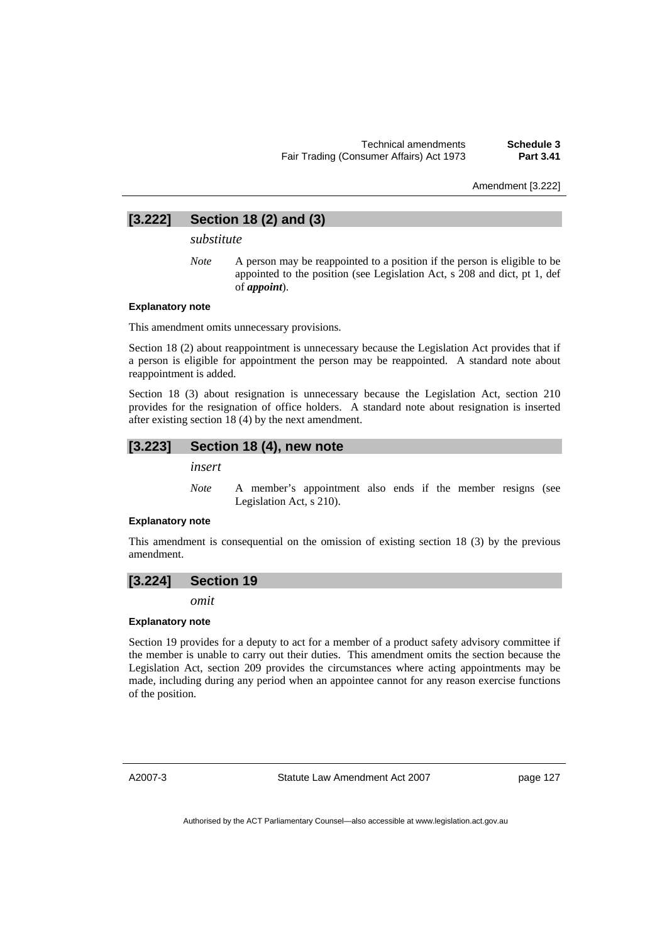Amendment [3.222]

## **[3.222] Section 18 (2) and (3)**

*substitute* 

*Note* A person may be reappointed to a position if the person is eligible to be appointed to the position (see Legislation Act, s 208 and dict, pt 1, def of *appoint*).

#### **Explanatory note**

This amendment omits unnecessary provisions.

Section 18 (2) about reappointment is unnecessary because the Legislation Act provides that if a person is eligible for appointment the person may be reappointed. A standard note about reappointment is added.

Section 18 (3) about resignation is unnecessary because the Legislation Act, section 210 provides for the resignation of office holders. A standard note about resignation is inserted after existing section 18 (4) by the next amendment.

### **[3.223] Section 18 (4), new note**

*insert* 

*Note* A member's appointment also ends if the member resigns (see Legislation Act, s 210).

#### **Explanatory note**

This amendment is consequential on the omission of existing section 18 (3) by the previous amendment.

#### **[3.224] Section 19**

*omit* 

#### **Explanatory note**

Section 19 provides for a deputy to act for a member of a product safety advisory committee if the member is unable to carry out their duties. This amendment omits the section because the Legislation Act, section 209 provides the circumstances where acting appointments may be made, including during any period when an appointee cannot for any reason exercise functions of the position.

A2007-3

Statute Law Amendment Act 2007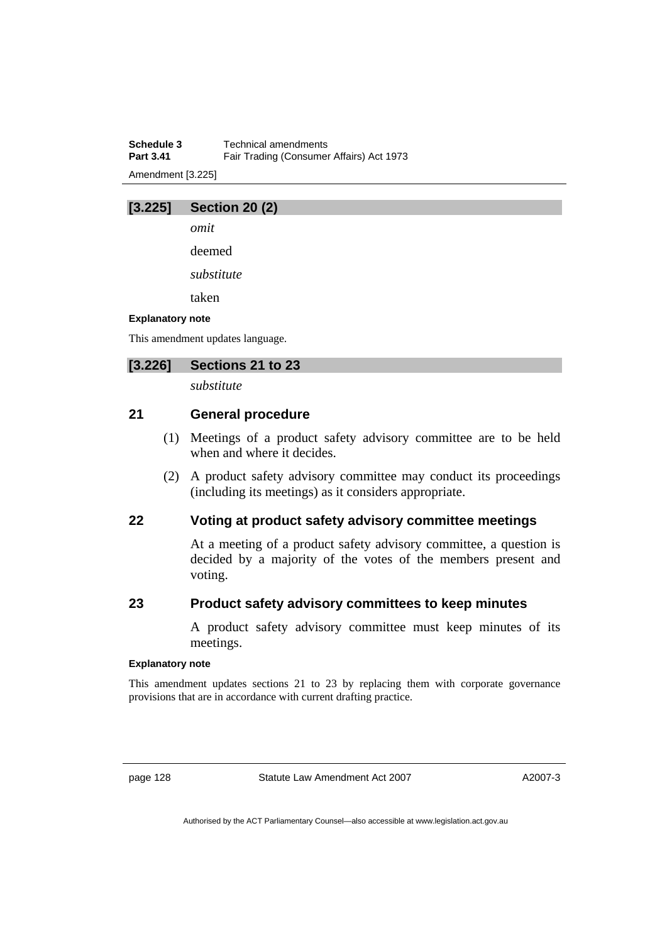**Schedule 3 Technical amendments**<br>**Part 3.41 Eair Trading Consumer Fair Trading (Consumer Affairs) Act 1973** Amendment [3.225]

## **[3.225] Section 20 (2)**

*omit* 

deemed

*substitute* 

taken

#### **Explanatory note**

This amendment updates language.

## **[3.226] Sections 21 to 23**

*substitute* 

## **21 General procedure**

- (1) Meetings of a product safety advisory committee are to be held when and where it decides.
- (2) A product safety advisory committee may conduct its proceedings (including its meetings) as it considers appropriate.

### **22 Voting at product safety advisory committee meetings**

At a meeting of a product safety advisory committee, a question is decided by a majority of the votes of the members present and voting.

## **23 Product safety advisory committees to keep minutes**

A product safety advisory committee must keep minutes of its meetings.

#### **Explanatory note**

This amendment updates sections 21 to 23 by replacing them with corporate governance provisions that are in accordance with current drafting practice.

page 128 Statute Law Amendment Act 2007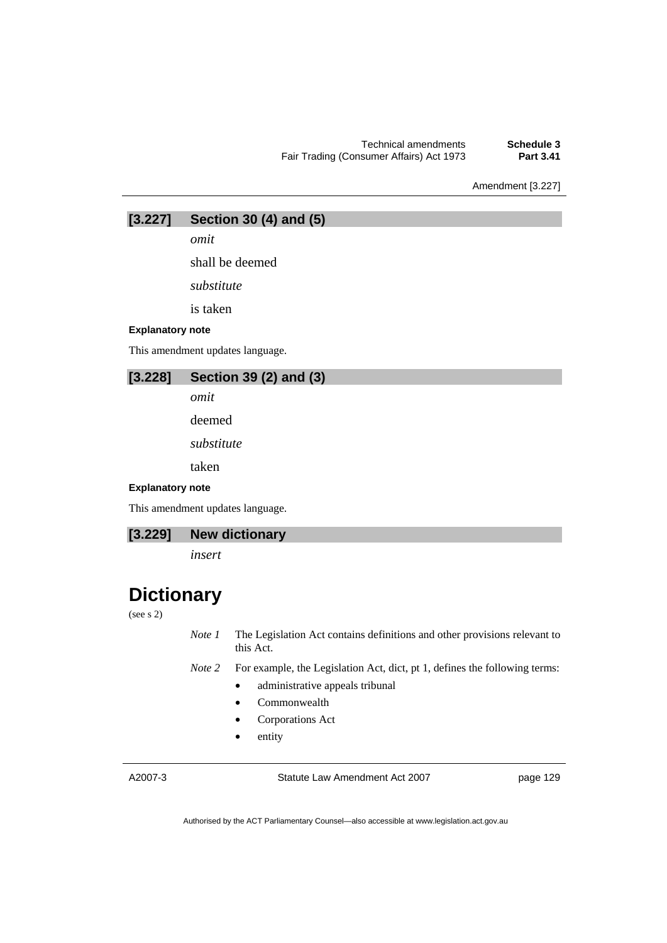Technical amendments **Schedule 3 Fair Trading (Consumer Affairs) Act 1973** 

Amendment [3.227]

**[3.227] Section 30 (4) and (5)** 

*omit* 

shall be deemed

*substitute* 

is taken

#### **Explanatory note**

This amendment updates language.

## **[3.228] Section 39 (2) and (3)**

*omit* 

deemed

*substitute* 

taken

#### **Explanatory note**

This amendment updates language.

## **[3.229] New dictionary**

*insert* 

## **Dictionary**

#### (see s 2)

*Note 1* The Legislation Act contains definitions and other provisions relevant to this Act.

*Note 2* For example, the Legislation Act, dict, pt 1, defines the following terms:

- administrative appeals tribunal
- Commonwealth
- Corporations Act
- entity

A2007-3

Statute Law Amendment Act 2007

page 129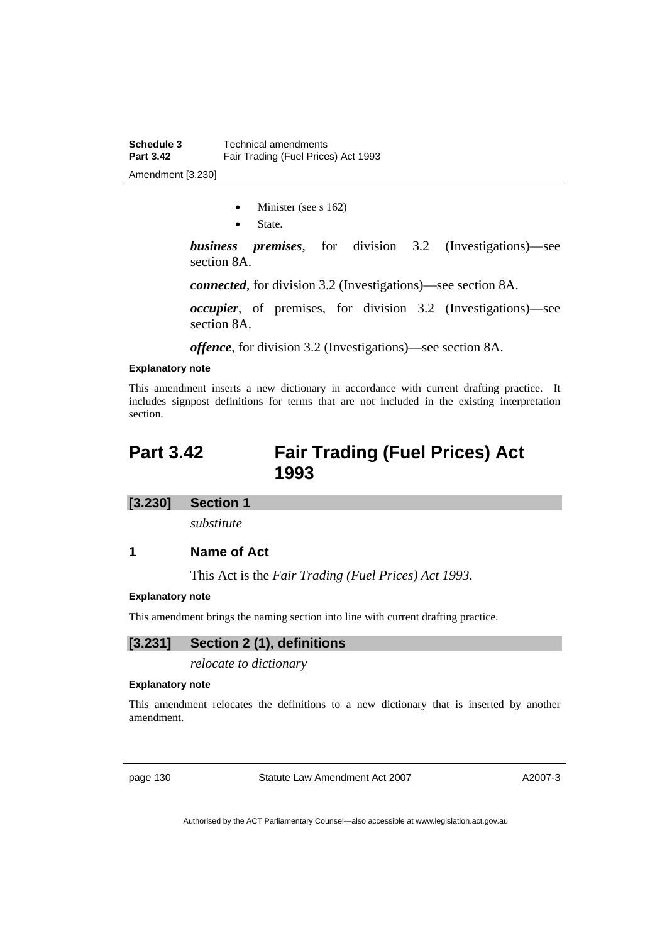- Minister (see s 162)
- State.

*business premises*, for division 3.2 (Investigations)—see section 8A.

*connected*, for division 3.2 (Investigations)—see section 8A.

*occupier*, of premises, for division 3.2 (Investigations)—see section 8A.

*offence*, for division 3.2 (Investigations)—see section 8A.

#### **Explanatory note**

This amendment inserts a new dictionary in accordance with current drafting practice. It includes signpost definitions for terms that are not included in the existing interpretation section.

## **Part 3.42 Fair Trading (Fuel Prices) Act 1993**

### **[3.230] Section 1**

*substitute* 

### **1 Name of Act**

This Act is the *Fair Trading (Fuel Prices) Act 1993*.

#### **Explanatory note**

This amendment brings the naming section into line with current drafting practice.

### **[3.231] Section 2 (1), definitions**

*relocate to dictionary* 

#### **Explanatory note**

This amendment relocates the definitions to a new dictionary that is inserted by another amendment.

page 130 Statute Law Amendment Act 2007

A2007-3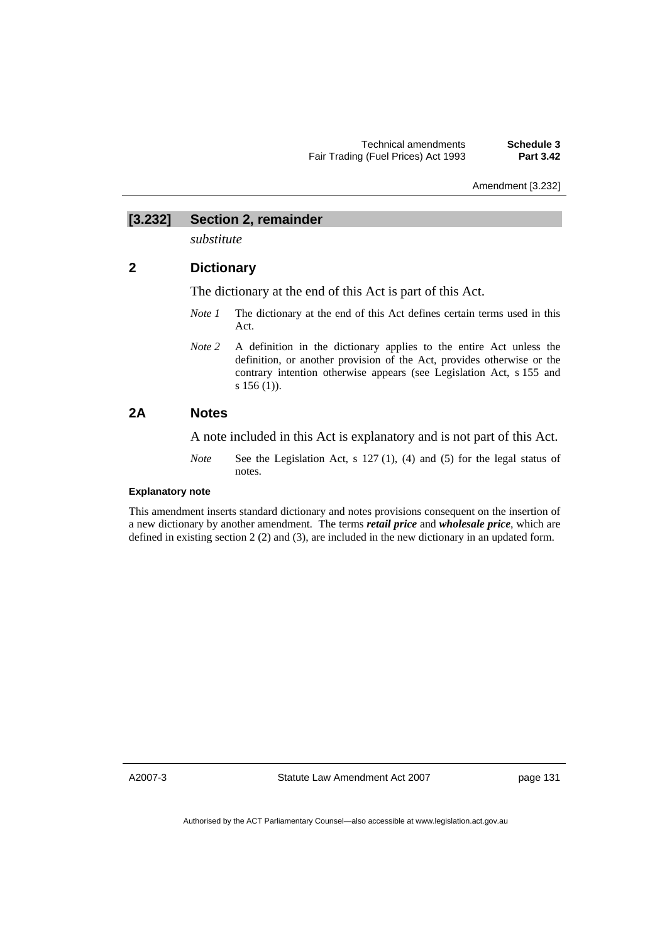Amendment [3.232]

## **[3.232] Section 2, remainder**

*substitute* 

## **2 Dictionary**

The dictionary at the end of this Act is part of this Act.

- *Note 1* The dictionary at the end of this Act defines certain terms used in this Act.
- *Note 2* A definition in the dictionary applies to the entire Act unless the definition, or another provision of the Act, provides otherwise or the contrary intention otherwise appears (see Legislation Act, s 155 and s 156 (1)).

## **2A Notes**

A note included in this Act is explanatory and is not part of this Act.

*Note* See the Legislation Act, s 127 (1), (4) and (5) for the legal status of notes.

### **Explanatory note**

This amendment inserts standard dictionary and notes provisions consequent on the insertion of a new dictionary by another amendment. The terms *retail price* and *wholesale price*, which are defined in existing section 2 (2) and (3), are included in the new dictionary in an updated form.

A2007-3

Statute Law Amendment Act 2007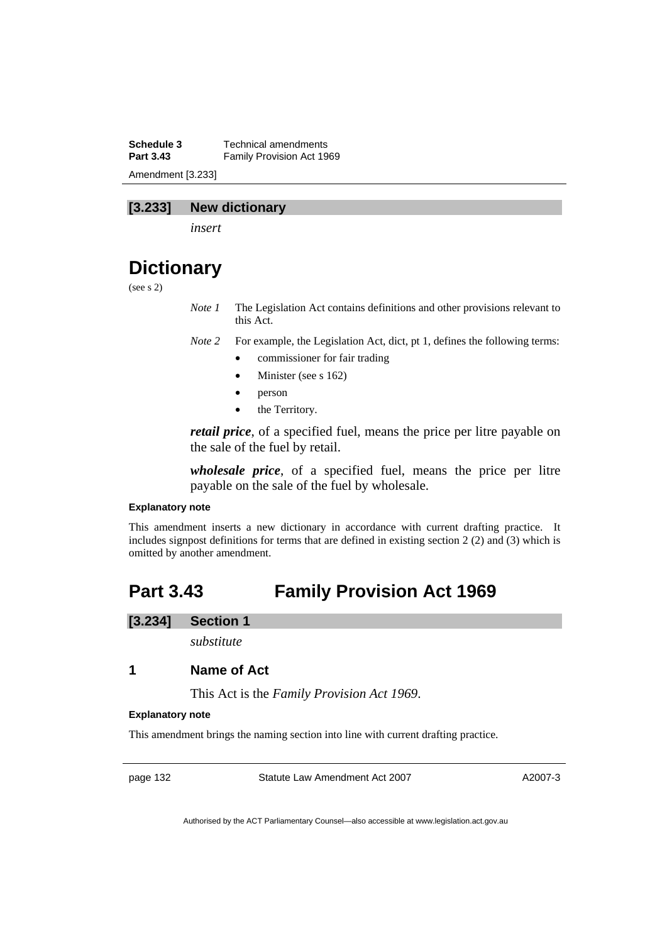**Schedule 3 Technical amendments**<br>**Part 3.43 Eamily Provision Act 19 Family Provision Act 1969** Amendment [3.233]

## **[3.233] New dictionary**

*insert* 

## **Dictionary**

(see s 2)

*Note 1* The Legislation Act contains definitions and other provisions relevant to this Act.

*Note 2* For example, the Legislation Act, dict, pt 1, defines the following terms:

- commissioner for fair trading
- Minister (see s 162)
- person
- the Territory.

*retail price*, of a specified fuel, means the price per litre payable on the sale of the fuel by retail.

*wholesale price*, of a specified fuel, means the price per litre payable on the sale of the fuel by wholesale.

#### **Explanatory note**

This amendment inserts a new dictionary in accordance with current drafting practice. It includes signpost definitions for terms that are defined in existing section 2 (2) and (3) which is omitted by another amendment.

## **Part 3.43 Family Provision Act 1969**

### **[3.234] Section 1**

*substitute* 

## **1 Name of Act**

This Act is the *Family Provision Act 1969*.

#### **Explanatory note**

This amendment brings the naming section into line with current drafting practice.

page 132 Statute Law Amendment Act 2007

A2007-3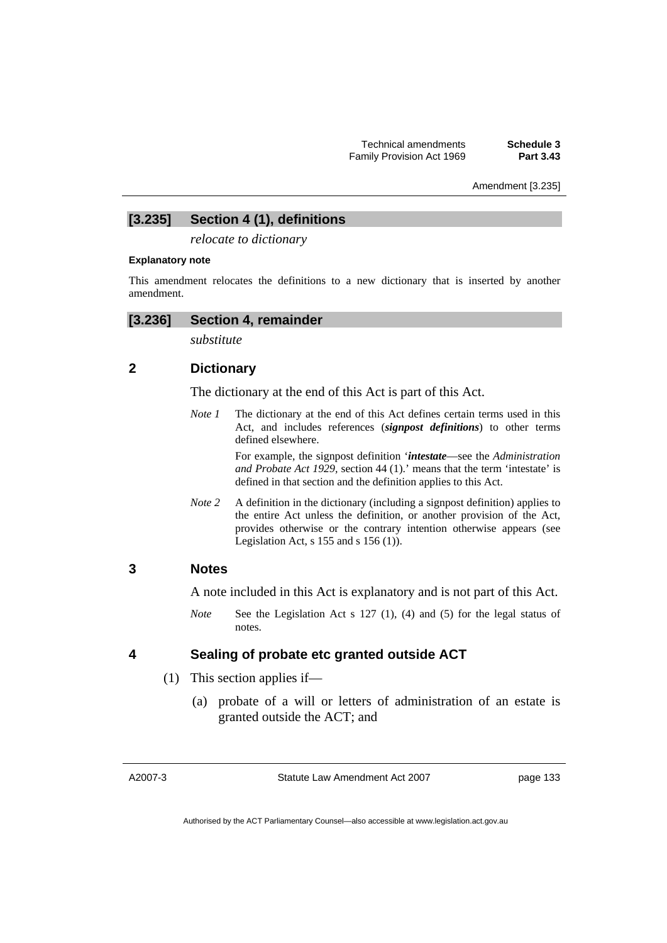Amendment [3.235]

# **[3.235] Section 4 (1), definitions**

*relocate to dictionary* 

### **Explanatory note**

This amendment relocates the definitions to a new dictionary that is inserted by another amendment.

## **[3.236] Section 4, remainder**

*substitute* 

## **2 Dictionary**

The dictionary at the end of this Act is part of this Act.

*Note 1* The dictionary at the end of this Act defines certain terms used in this Act, and includes references (*signpost definitions*) to other terms defined elsewhere.

> For example, the signpost definition '*intestate*—see the *Administration and Probate Act 1929,* section 44 (1).' means that the term 'intestate' is defined in that section and the definition applies to this Act.

*Note 2* A definition in the dictionary (including a signpost definition) applies to the entire Act unless the definition, or another provision of the Act, provides otherwise or the contrary intention otherwise appears (see Legislation Act,  $s$  155 and  $s$  156 (1)).

## **3 Notes**

A note included in this Act is explanatory and is not part of this Act.

*Note* See the Legislation Act s 127 (1), (4) and (5) for the legal status of notes.

## **4 Sealing of probate etc granted outside ACT**

- (1) This section applies if—
	- (a) probate of a will or letters of administration of an estate is granted outside the ACT; and

A2007-3

Statute Law Amendment Act 2007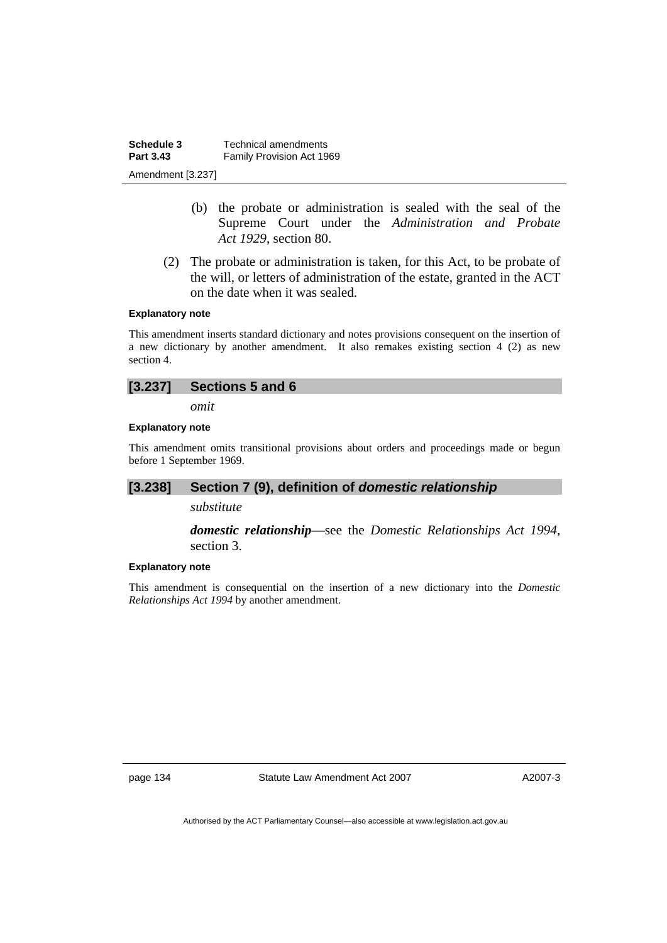**Schedule 3 Technical amendments**<br>**Part 3.43 Eamily Provision Act 19 Family Provision Act 1969** Amendment [3.237]

- (b) the probate or administration is sealed with the seal of the Supreme Court under the *Administration and Probate Act 1929*, section 80.
- (2) The probate or administration is taken, for this Act, to be probate of the will, or letters of administration of the estate, granted in the ACT on the date when it was sealed.

#### **Explanatory note**

This amendment inserts standard dictionary and notes provisions consequent on the insertion of a new dictionary by another amendment. It also remakes existing section 4 (2) as new section 4.

| [3.237] | Sections 5 and 6 |  |  |
|---------|------------------|--|--|
|         |                  |  |  |

*omit* 

#### **Explanatory note**

This amendment omits transitional provisions about orders and proceedings made or begun before 1 September 1969.

## **[3.238] Section 7 (9), definition of** *domestic relationship*

*substitute* 

*domestic relationship*—see the *Domestic Relationships Act 1994*, section 3.

### **Explanatory note**

This amendment is consequential on the insertion of a new dictionary into the *Domestic Relationships Act 1994* by another amendment.

page 134 Statute Law Amendment Act 2007

A2007-3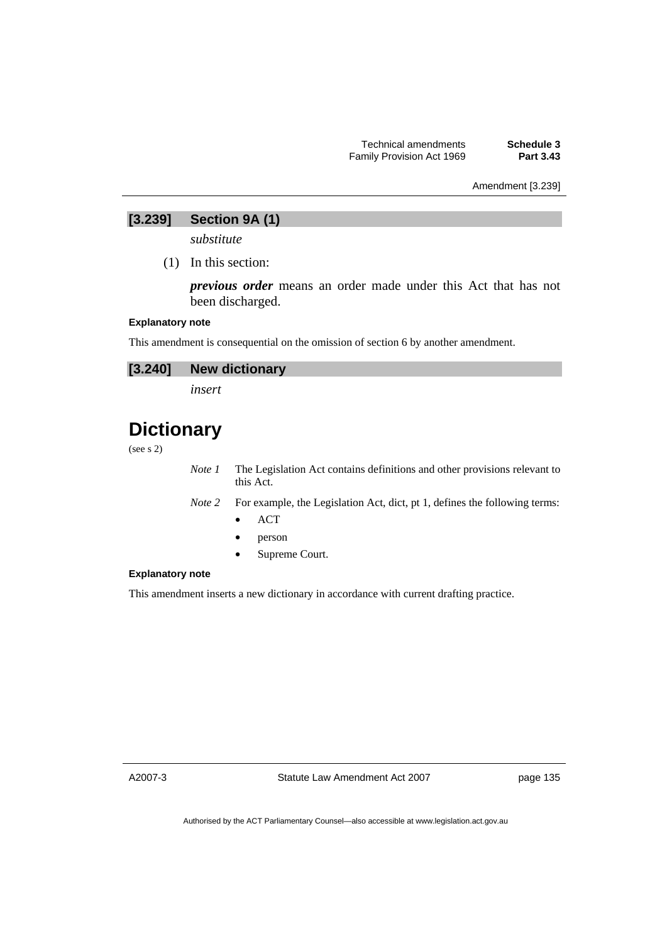## Amendment [3.239]

## **[3.239] Section 9A (1)**

*substitute* 

(1) In this section:

*previous order* means an order made under this Act that has not been discharged.

#### **Explanatory note**

This amendment is consequential on the omission of section 6 by another amendment.

| [3.240] New dictionary |
|------------------------|
|                        |

*insert* 

## **Dictionary**

(see s 2)

*Note 1* The Legislation Act contains definitions and other provisions relevant to this Act.

*Note 2* For example, the Legislation Act, dict, pt 1, defines the following terms:

- ACT
- person
- Supreme Court.

#### **Explanatory note**

This amendment inserts a new dictionary in accordance with current drafting practice.

A2007-3

Statute Law Amendment Act 2007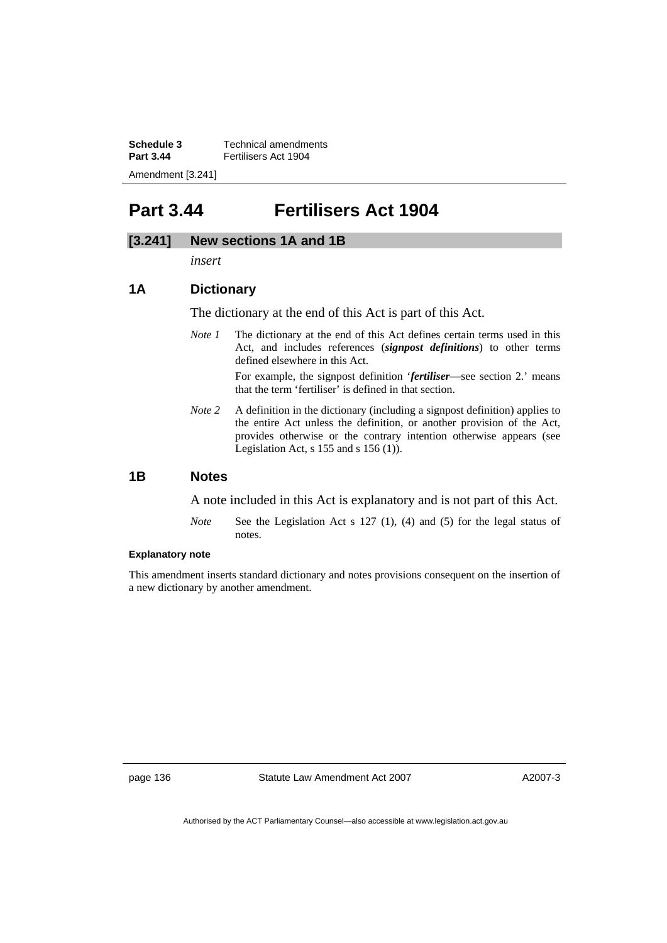**Schedule 3 Technical amendments**<br>**Part 3.44 Eertilisers Act 1904 Part 3.44** Fertilisers Act 1904 Amendment [3.241]

## **Part 3.44 Fertilisers Act 1904**

## **[3.241] New sections 1A and 1B**

*insert* 

## **1A Dictionary**

The dictionary at the end of this Act is part of this Act.

*Note 1* The dictionary at the end of this Act defines certain terms used in this Act, and includes references (*signpost definitions*) to other terms defined elsewhere in this Act.

> For example, the signpost definition '*fertiliser*—see section 2.' means that the term 'fertiliser' is defined in that section.

*Note 2* A definition in the dictionary (including a signpost definition) applies to the entire Act unless the definition, or another provision of the Act, provides otherwise or the contrary intention otherwise appears (see Legislation Act,  $s$  155 and  $s$  156 (1)).

## **1B Notes**

A note included in this Act is explanatory and is not part of this Act.

*Note* See the Legislation Act s 127 (1), (4) and (5) for the legal status of notes.

#### **Explanatory note**

This amendment inserts standard dictionary and notes provisions consequent on the insertion of a new dictionary by another amendment.

page 136 Statute Law Amendment Act 2007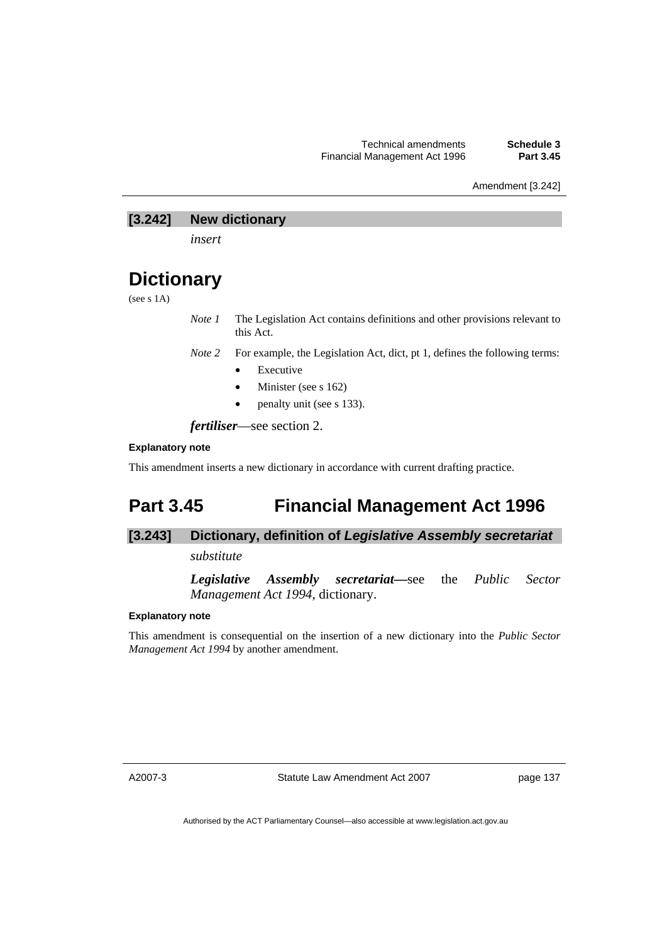Amendment [3.242]

## **[3.242] New dictionary**

*insert* 

## **Dictionary**

(see s 1A)

*Note 1* The Legislation Act contains definitions and other provisions relevant to this Act.

*Note 2* For example, the Legislation Act, dict, pt 1, defines the following terms:

- **Executive**
- Minister (see s 162)
- penalty unit (see s 133).

*fertiliser*—see section 2.

### **Explanatory note**

This amendment inserts a new dictionary in accordance with current drafting practice.

## **Part 3.45 Financial Management Act 1996**

## **[3.243] Dictionary, definition of** *Legislative Assembly secretariat*

*substitute* 

*Legislative Assembly secretariat***—**see the *Public Sector Management Act 1994*, dictionary.

#### **Explanatory note**

This amendment is consequential on the insertion of a new dictionary into the *Public Sector Management Act 1994* by another amendment.

A2007-3

Statute Law Amendment Act 2007

page 137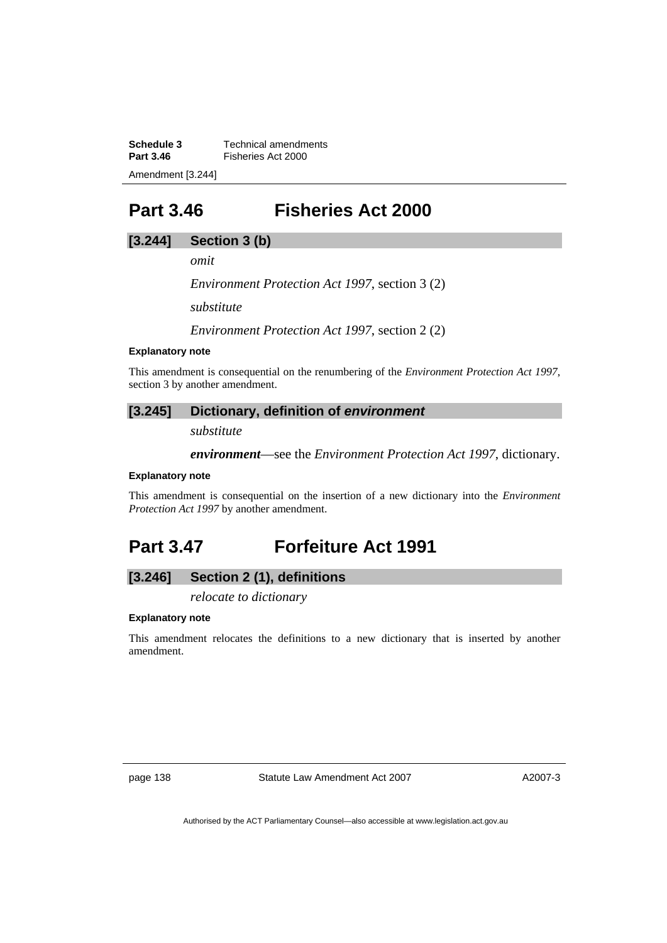**Schedule 3 Technical amendments**<br>**Part 3.46 Eisheries Act 2000 Fisheries Act 2000** Amendment [3.244]

## **Part 3.46 Fisheries Act 2000**

## **[3.244] Section 3 (b)**

*omit* 

*Environment Protection Act 1997*, section 3 (2)

*substitute* 

*Environment Protection Act 1997*, section 2 (2)

#### **Explanatory note**

This amendment is consequential on the renumbering of the *Environment Protection Act 1997*, section 3 by another amendment.

## **[3.245] Dictionary, definition of** *environment*

*substitute* 

*environment*—see the *Environment Protection Act 1997*, dictionary.

#### **Explanatory note**

This amendment is consequential on the insertion of a new dictionary into the *Environment Protection Act 1997* by another amendment.

## **Part 3.47 Forfeiture Act 1991**

## **[3.246] Section 2 (1), definitions**

*relocate to dictionary* 

#### **Explanatory note**

This amendment relocates the definitions to a new dictionary that is inserted by another amendment.

page 138 Statute Law Amendment Act 2007

A2007-3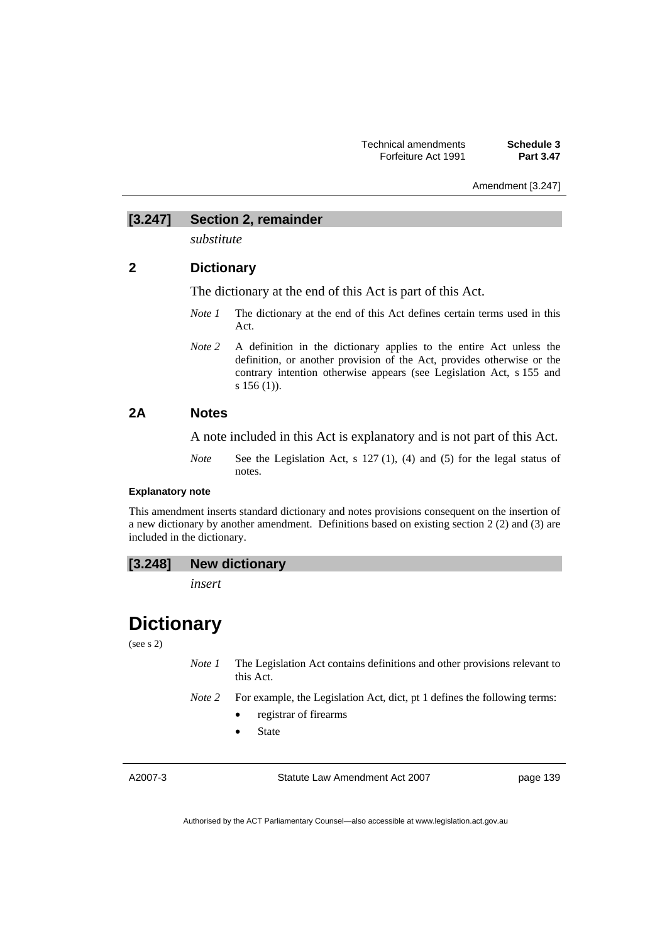Amendment [3.247]

### **[3.247] Section 2, remainder**

*substitute* 

# **2 Dictionary**

The dictionary at the end of this Act is part of this Act.

- *Note 1* The dictionary at the end of this Act defines certain terms used in this Act.
- *Note 2* A definition in the dictionary applies to the entire Act unless the definition, or another provision of the Act, provides otherwise or the contrary intention otherwise appears (see Legislation Act, s 155 and s 156 (1)).

# **2A Notes**

A note included in this Act is explanatory and is not part of this Act.

*Note* See the Legislation Act, s 127 (1), (4) and (5) for the legal status of notes.

# **Explanatory note**

This amendment inserts standard dictionary and notes provisions consequent on the insertion of a new dictionary by another amendment. Definitions based on existing section 2 (2) and (3) are included in the dictionary.

| [3.248]<br><b>New dictionary</b> |  |
|----------------------------------|--|
|----------------------------------|--|

*insert* 

# **Dictionary**

(see s 2)

- *Note 1* The Legislation Act contains definitions and other provisions relevant to this Act.
- *Note 2* For example, the Legislation Act, dict, pt 1 defines the following terms:
	- registrar of firearms
	- **State**

A2007-3

Statute Law Amendment Act 2007

page 139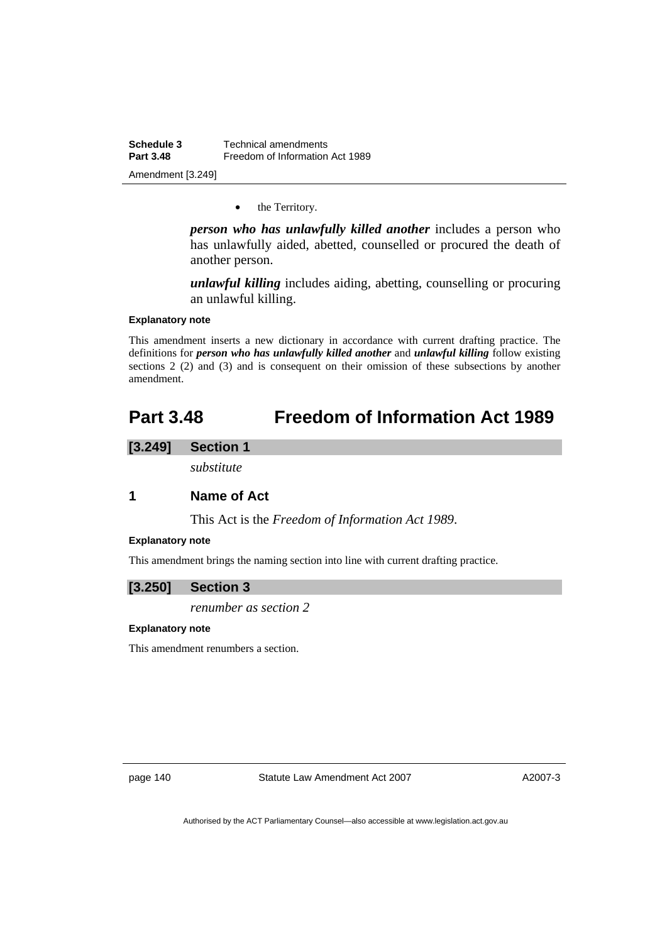**Schedule 3 Technical amendments**<br>**Part 3.48 Example 1 Freedom** of Information **Freedom of Information Act 1989** Amendment [3.249]

• the Territory.

*person who has unlawfully killed another* includes a person who has unlawfully aided, abetted, counselled or procured the death of another person.

*unlawful killing* includes aiding, abetting, counselling or procuring an unlawful killing.

#### **Explanatory note**

This amendment inserts a new dictionary in accordance with current drafting practice. The definitions for *person who has unlawfully killed another* and *unlawful killing* follow existing sections 2 (2) and (3) and is consequent on their omission of these subsections by another amendment.

# **Part 3.48 Freedom of Information Act 1989**

# **[3.249] Section 1**

*substitute* 

# **1 Name of Act**

This Act is the *Freedom of Information Act 1989*.

#### **Explanatory note**

This amendment brings the naming section into line with current drafting practice.

#### **[3.250] Section 3**

*renumber as section 2* 

#### **Explanatory note**

This amendment renumbers a section.

page 140 Statute Law Amendment Act 2007

A2007-3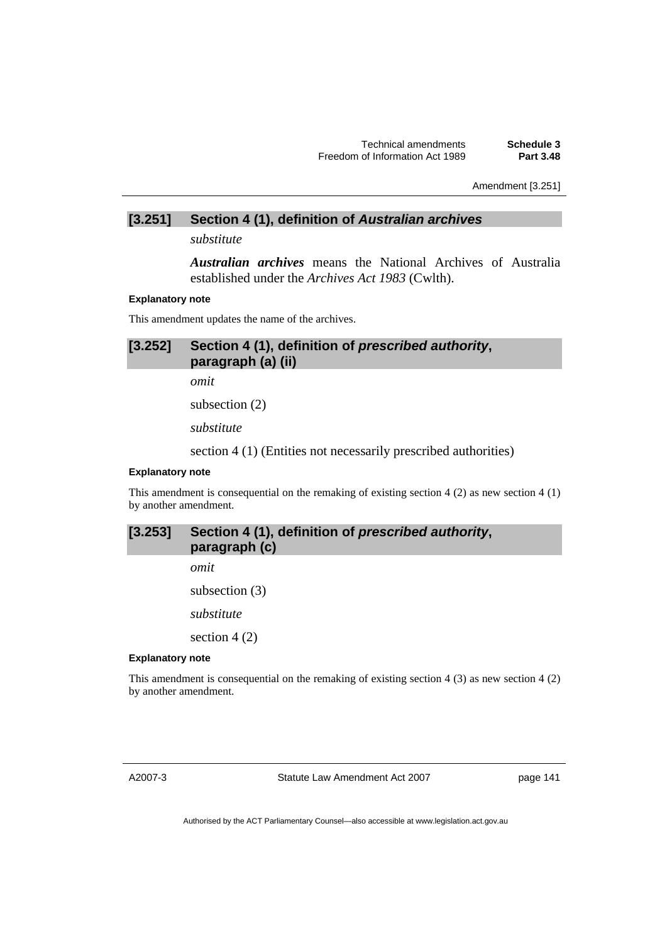Amendment [3.251]

### **[3.251] Section 4 (1), definition of** *Australian archives*

*substitute* 

*Australian archives* means the National Archives of Australia established under the *Archives Act 1983* (Cwlth).

#### **Explanatory note**

This amendment updates the name of the archives.

**[3.252] Section 4 (1), definition of** *prescribed authority***, paragraph (a) (ii)** 

*omit* 

subsection (2)

*substitute* 

section 4 (1) (Entities not necessarily prescribed authorities)

#### **Explanatory note**

This amendment is consequential on the remaking of existing section 4 (2) as new section 4 (1) by another amendment.

# **[3.253] Section 4 (1), definition of** *prescribed authority***, paragraph (c)**

*omit* 

subsection (3)

*substitute* 

section 4 (2)

#### **Explanatory note**

This amendment is consequential on the remaking of existing section 4 (3) as new section 4 (2) by another amendment.

A2007-3

Statute Law Amendment Act 2007

page 141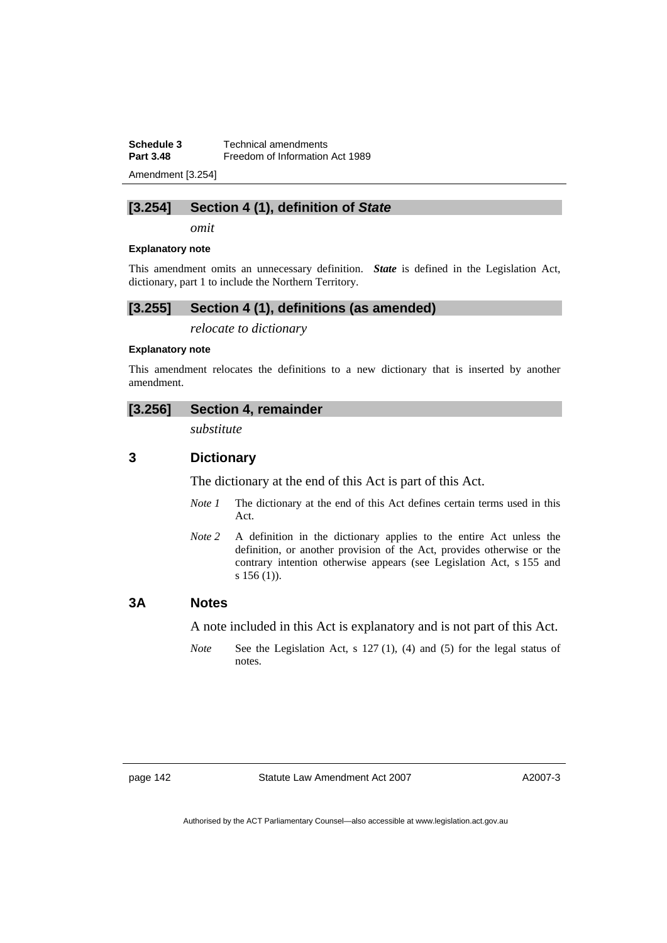**Schedule 3 Technical amendments**<br>**Part 3.48 Freedom of Information** Freedom of Information Act 1989

Amendment [3.254]

# **[3.254] Section 4 (1), definition of** *State*

*omit* 

#### **Explanatory note**

This amendment omits an unnecessary definition. *State* is defined in the Legislation Act, dictionary, part 1 to include the Northern Territory.

#### **[3.255] Section 4 (1), definitions (as amended)**

*relocate to dictionary* 

#### **Explanatory note**

This amendment relocates the definitions to a new dictionary that is inserted by another amendment.

#### **[3.256] Section 4, remainder**

*substitute* 

# **3 Dictionary**

The dictionary at the end of this Act is part of this Act.

- *Note 1* The dictionary at the end of this Act defines certain terms used in this Act.
- *Note 2* A definition in the dictionary applies to the entire Act unless the definition, or another provision of the Act, provides otherwise or the contrary intention otherwise appears (see Legislation Act, s 155 and s 156 (1)).

### **3A Notes**

A note included in this Act is explanatory and is not part of this Act.

*Note* See the Legislation Act, s 127 (1), (4) and (5) for the legal status of notes.

A2007-3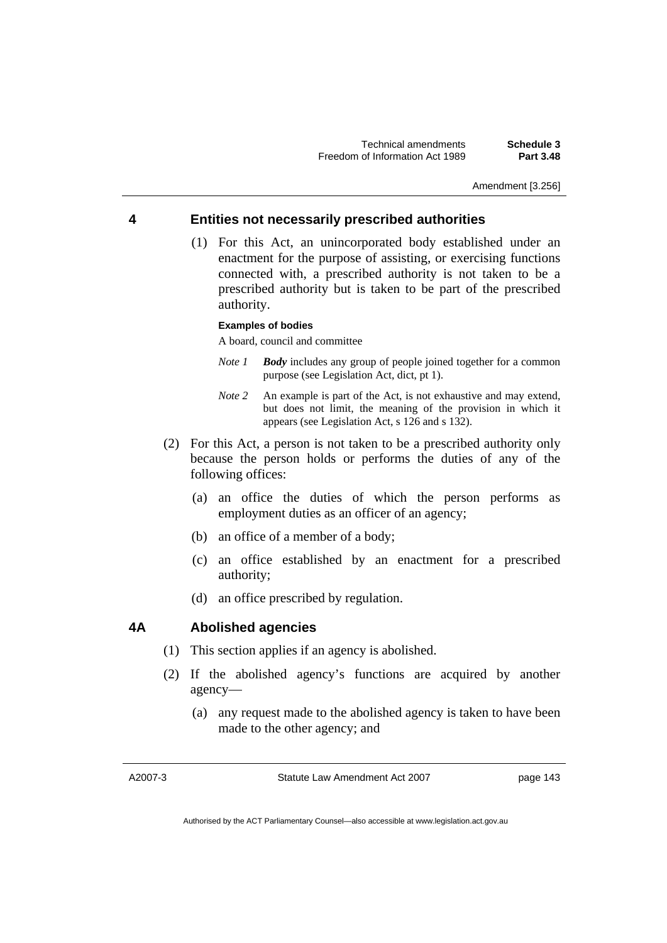Amendment [3.256]

# **4 Entities not necessarily prescribed authorities**

 (1) For this Act, an unincorporated body established under an enactment for the purpose of assisting, or exercising functions connected with, a prescribed authority is not taken to be a prescribed authority but is taken to be part of the prescribed authority.

#### **Examples of bodies**

A board, council and committee

- *Note 1 Body* includes any group of people joined together for a common purpose (see Legislation Act, dict, pt 1).
- *Note 2* An example is part of the Act, is not exhaustive and may extend, but does not limit, the meaning of the provision in which it appears (see Legislation Act, s 126 and s 132).
- (2) For this Act, a person is not taken to be a prescribed authority only because the person holds or performs the duties of any of the following offices:
	- (a) an office the duties of which the person performs as employment duties as an officer of an agency;
	- (b) an office of a member of a body;
	- (c) an office established by an enactment for a prescribed authority;
	- (d) an office prescribed by regulation.

# **4A Abolished agencies**

- (1) This section applies if an agency is abolished.
- (2) If the abolished agency's functions are acquired by another agency—
	- (a) any request made to the abolished agency is taken to have been made to the other agency; and

A2007-3

Statute Law Amendment Act 2007

page 143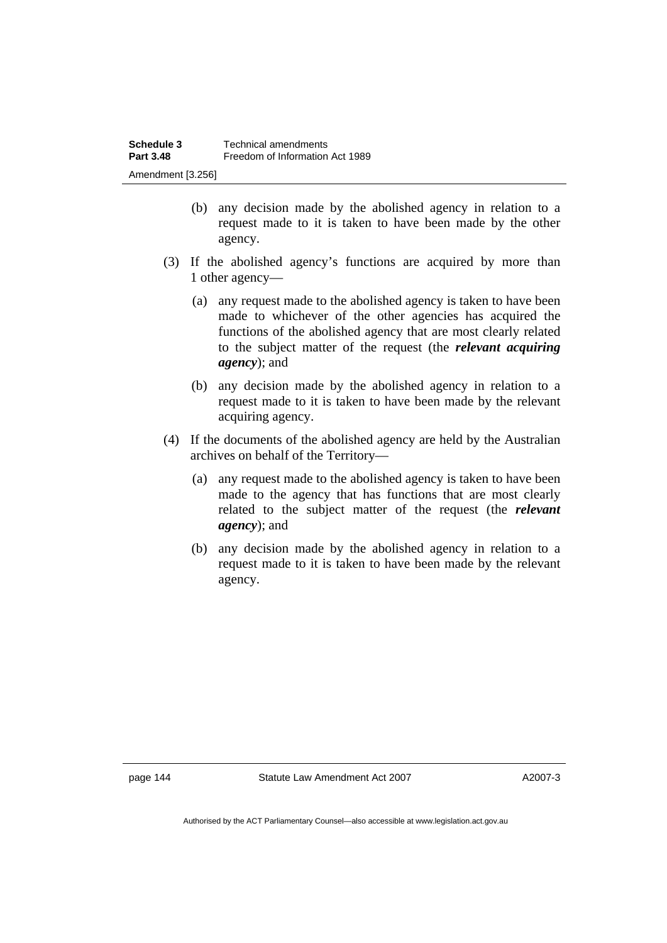- (b) any decision made by the abolished agency in relation to a request made to it is taken to have been made by the other agency.
- (3) If the abolished agency's functions are acquired by more than 1 other agency—
	- (a) any request made to the abolished agency is taken to have been made to whichever of the other agencies has acquired the functions of the abolished agency that are most clearly related to the subject matter of the request (the *relevant acquiring agency*); and
	- (b) any decision made by the abolished agency in relation to a request made to it is taken to have been made by the relevant acquiring agency.
- (4) If the documents of the abolished agency are held by the Australian archives on behalf of the Territory—
	- (a) any request made to the abolished agency is taken to have been made to the agency that has functions that are most clearly related to the subject matter of the request (the *relevant agency*); and
	- (b) any decision made by the abolished agency in relation to a request made to it is taken to have been made by the relevant agency.

page 144 Statute Law Amendment Act 2007

A2007-3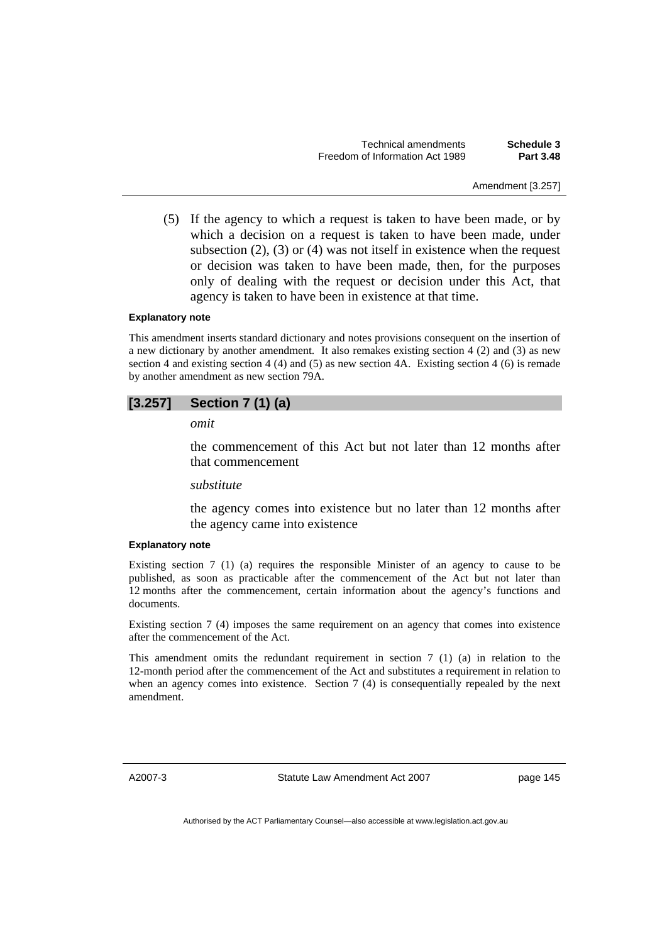Technical amendments **Schedule 3**  Freedom of Information Act 1989 **Part 3.48** 

Amendment [3.257]

 (5) If the agency to which a request is taken to have been made, or by which a decision on a request is taken to have been made, under subsection  $(2)$ ,  $(3)$  or  $(4)$  was not itself in existence when the request or decision was taken to have been made, then, for the purposes only of dealing with the request or decision under this Act, that agency is taken to have been in existence at that time.

#### **Explanatory note**

This amendment inserts standard dictionary and notes provisions consequent on the insertion of a new dictionary by another amendment. It also remakes existing section 4 (2) and (3) as new section 4 and existing section 4 (4) and (5) as new section 4A. Existing section 4 (6) is remade by another amendment as new section 79A.

#### **[3.257] Section 7 (1) (a)**

*omit* 

the commencement of this Act but not later than 12 months after that commencement

### *substitute*

the agency comes into existence but no later than 12 months after the agency came into existence

#### **Explanatory note**

Existing section 7 (1) (a) requires the responsible Minister of an agency to cause to be published, as soon as practicable after the commencement of the Act but not later than 12 months after the commencement, certain information about the agency's functions and documents.

Existing section 7 (4) imposes the same requirement on an agency that comes into existence after the commencement of the Act.

This amendment omits the redundant requirement in section 7 (1) (a) in relation to the 12-month period after the commencement of the Act and substitutes a requirement in relation to when an agency comes into existence. Section 7 (4) is consequentially repealed by the next amendment.

A2007-3

Statute Law Amendment Act 2007

page 145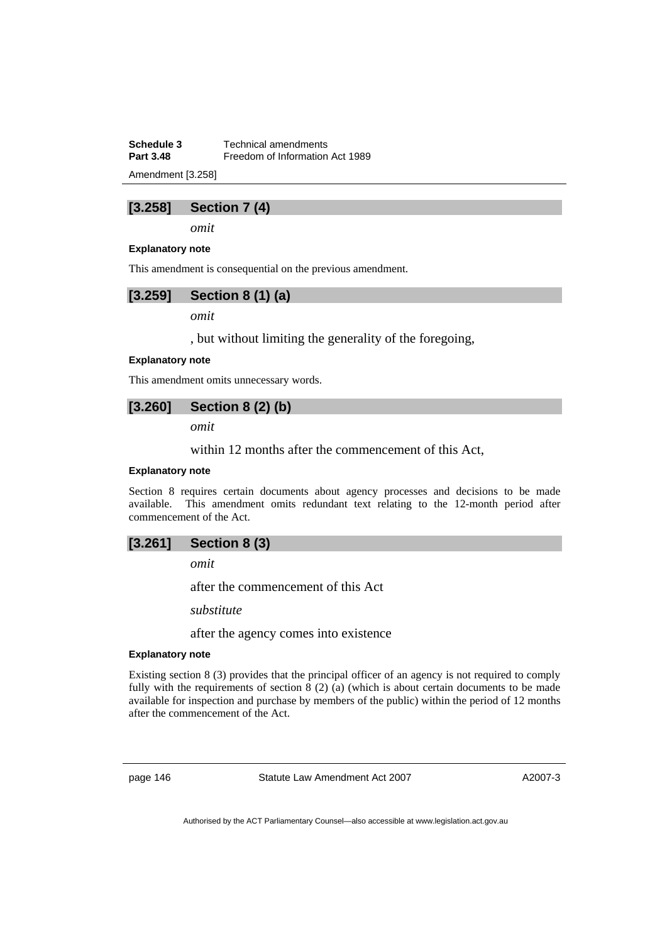**Schedule 3 Technical amendments**<br>**Part 3.48 Freedom of Information Freedom of Information Act 1989** 

Amendment [3.258]

# **[3.258] Section 7 (4)**

*omit* 

#### **Explanatory note**

This amendment is consequential on the previous amendment.



*omit* 

, but without limiting the generality of the foregoing,

#### **Explanatory note**

This amendment omits unnecessary words.

# **[3.260] Section 8 (2) (b)**

*omit* 

within 12 months after the commencement of this Act,

### **Explanatory note**

Section 8 requires certain documents about agency processes and decisions to be made available. This amendment omits redundant text relating to the 12-month period after commencement of the Act.

# **[3.261] Section 8 (3)**

*omit* 

after the commencement of this Act

*substitute* 

after the agency comes into existence

#### **Explanatory note**

Existing section 8 (3) provides that the principal officer of an agency is not required to comply fully with the requirements of section 8 (2) (a) (which is about certain documents to be made available for inspection and purchase by members of the public) within the period of 12 months after the commencement of the Act.

page 146 Statute Law Amendment Act 2007

A2007-3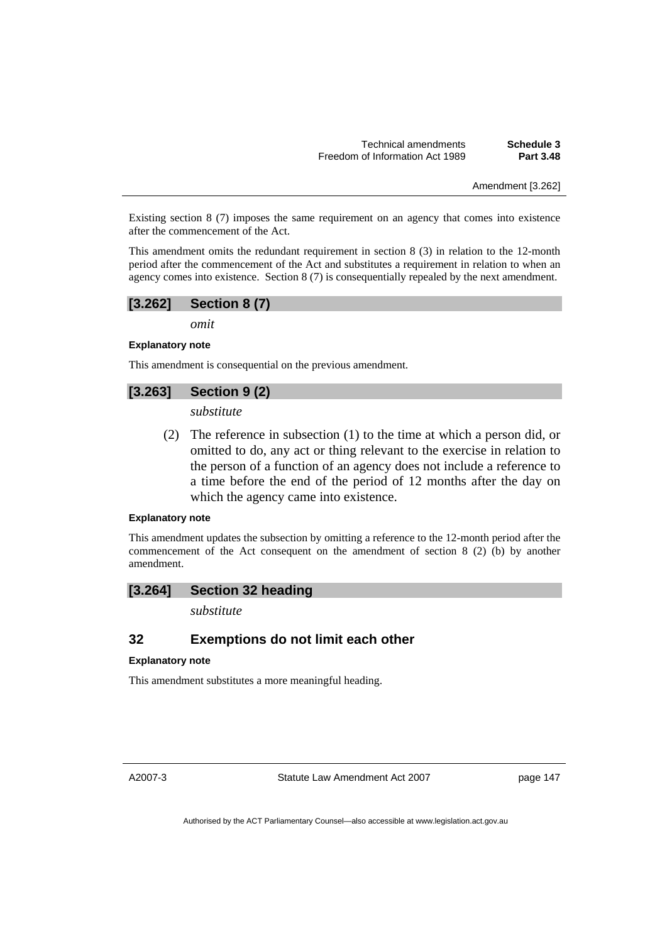Technical amendments **Schedule 3**  Freedom of Information Act 1989 **Part 3.48** 

Amendment [3.262]

Existing section 8 (7) imposes the same requirement on an agency that comes into existence after the commencement of the Act.

This amendment omits the redundant requirement in section 8 (3) in relation to the 12-month period after the commencement of the Act and substitutes a requirement in relation to when an agency comes into existence. Section 8 (7) is consequentially repealed by the next amendment.

### **[3.262] Section 8 (7)**

*omit* 

**Explanatory note** 

This amendment is consequential on the previous amendment.

# **[3.263] Section 9 (2)**

*substitute* 

 (2) The reference in subsection (1) to the time at which a person did, or omitted to do, any act or thing relevant to the exercise in relation to the person of a function of an agency does not include a reference to a time before the end of the period of 12 months after the day on which the agency came into existence.

#### **Explanatory note**

This amendment updates the subsection by omitting a reference to the 12-month period after the commencement of the Act consequent on the amendment of section 8 (2) (b) by another amendment.

#### **[3.264] Section 32 heading**

*substitute* 

# **32 Exemptions do not limit each other**

#### **Explanatory note**

This amendment substitutes a more meaningful heading.

A2007-3

Statute Law Amendment Act 2007

page 147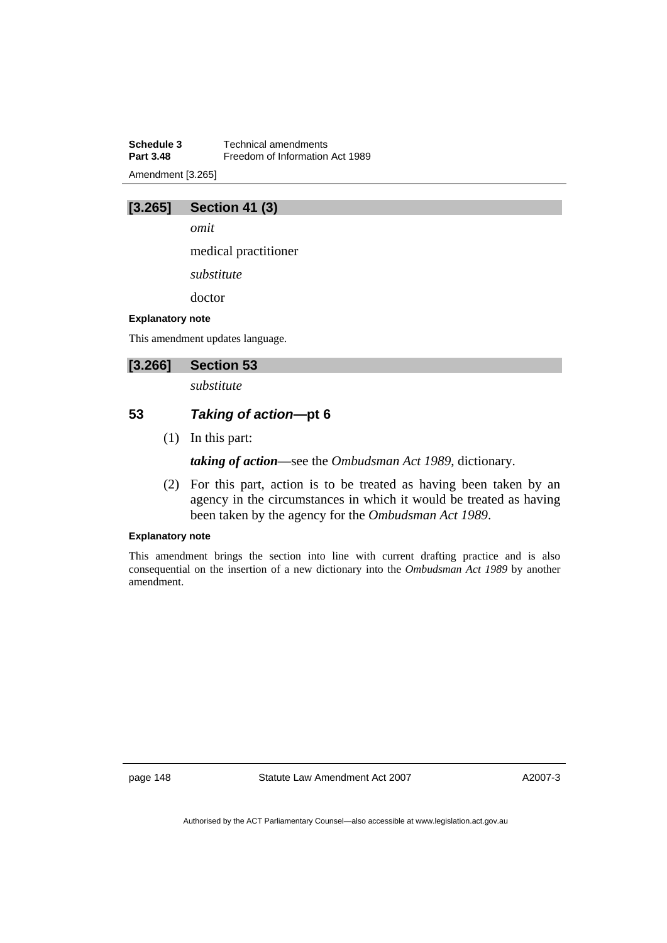**Schedule 3 Technical amendments**<br>**Part 3.48 Freedom of Information Freedom of Information Act 1989** Amendment [3.265]

# **[3.265] Section 41 (3)**

*omit* 

medical practitioner

*substitute* 

doctor

#### **Explanatory note**

This amendment updates language.

# **[3.266] Section 53**

*substitute* 

# **53** *Taking of action***—pt 6**

(1) In this part:

*taking of action*—see the *Ombudsman Act 1989*, dictionary.

 (2) For this part, action is to be treated as having been taken by an agency in the circumstances in which it would be treated as having been taken by the agency for the *Ombudsman Act 1989*.

# **Explanatory note**

This amendment brings the section into line with current drafting practice and is also consequential on the insertion of a new dictionary into the *Ombudsman Act 1989* by another amendment.

page 148 Statute Law Amendment Act 2007

A2007-3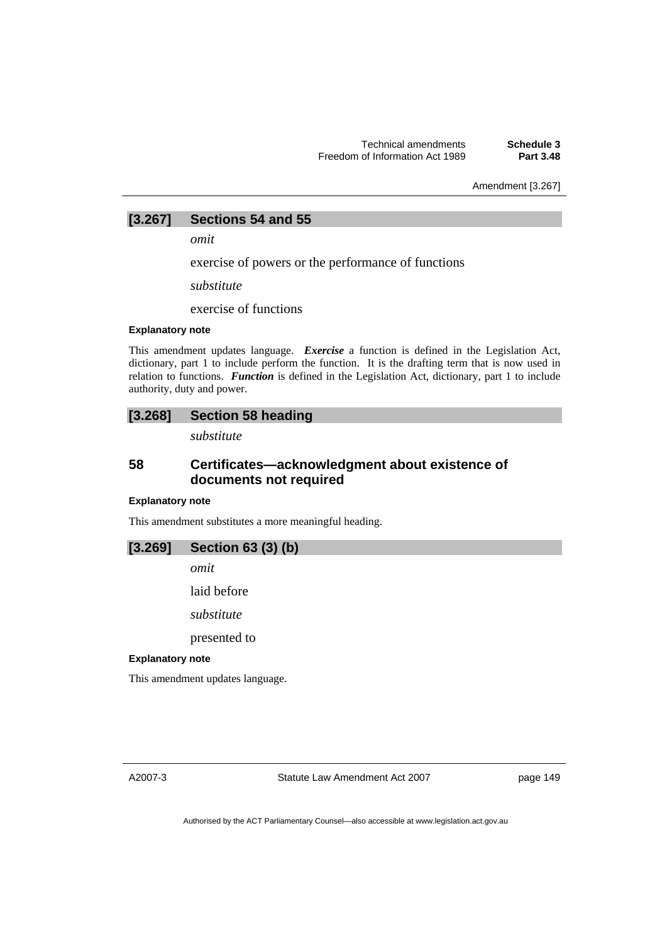Amendment [3.267]

# **[3.267] Sections 54 and 55**

*omit* 

exercise of powers or the performance of functions

*substitute* 

exercise of functions

#### **Explanatory note**

This amendment updates language. *Exercise* a function is defined in the Legislation Act, dictionary, part 1 to include perform the function. It is the drafting term that is now used in relation to functions. *Function* is defined in the Legislation Act, dictionary, part 1 to include authority, duty and power.

### **[3.268] Section 58 heading**

*substitute* 

# **58 Certificates—acknowledgment about existence of documents not required**

#### **Explanatory note**

This amendment substitutes a more meaningful heading.

### **[3.269] Section 63 (3) (b)**

*omit* 

laid before

*substitute* 

presented to

#### **Explanatory note**

This amendment updates language.

A2007-3

Statute Law Amendment Act 2007

page 149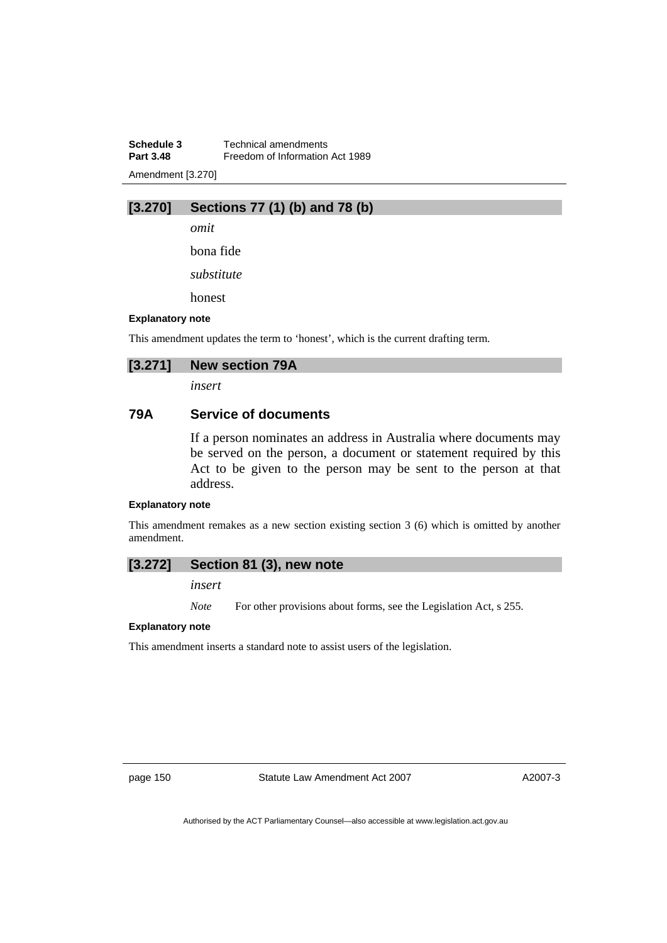**Schedule 3 Technical amendments**<br>**Part 3.48 Example 1 Freedom** of Information **Freedom of Information Act 1989** Amendment [3.270]

# **[3.270] Sections 77 (1) (b) and 78 (b)**

*omit* 

bona fide

*substitute* 

honest

#### **Explanatory note**

This amendment updates the term to 'honest', which is the current drafting term.

# **[3.271] New section 79A**

*insert* 

# **79A Service of documents**

If a person nominates an address in Australia where documents may be served on the person, a document or statement required by this Act to be given to the person may be sent to the person at that address.

#### **Explanatory note**

This amendment remakes as a new section existing section 3 (6) which is omitted by another amendment.

### **[3.272] Section 81 (3), new note**

*insert* 

*Note* For other provisions about forms, see the Legislation Act, s 255.

#### **Explanatory note**

This amendment inserts a standard note to assist users of the legislation.

page 150 Statute Law Amendment Act 2007

A2007-3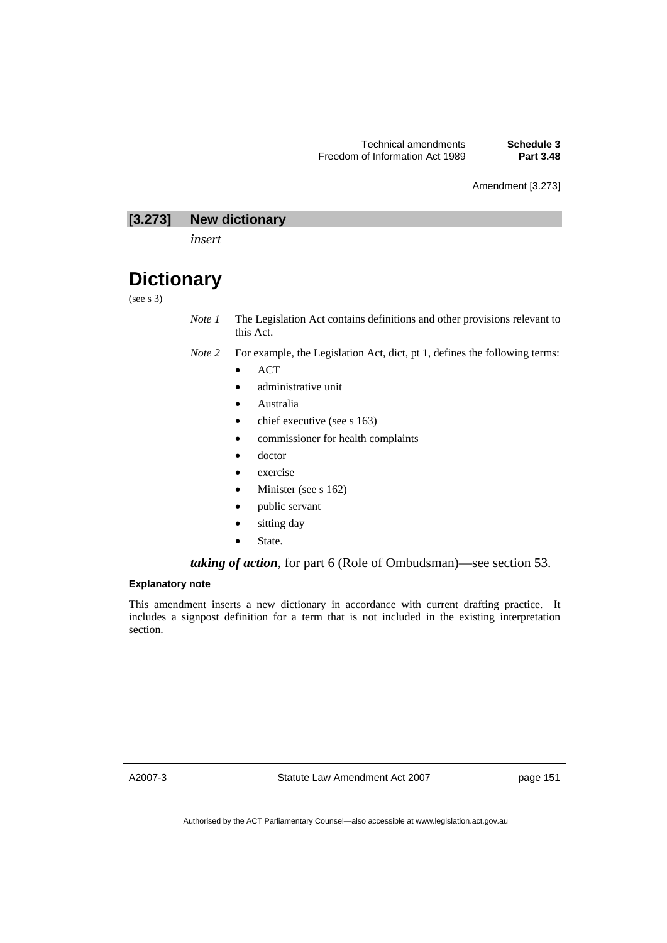Amendment [3.273]

# **[3.273] New dictionary**

*insert* 

# **Dictionary**

(see s 3)

*Note 1* The Legislation Act contains definitions and other provisions relevant to this Act.

- *Note 2* For example, the Legislation Act, dict, pt 1, defines the following terms:
	- ACT
	- administrative unit
	- Australia
	- chief executive (see s 163)
	- commissioner for health complaints
	- doctor
	- exercise
	- Minister (see s 162)
	- public servant
	- sitting day
	- State.

#### *taking of action*, for part 6 (Role of Ombudsman)—see section 53.

#### **Explanatory note**

This amendment inserts a new dictionary in accordance with current drafting practice. It includes a signpost definition for a term that is not included in the existing interpretation section.

A2007-3

Statute Law Amendment Act 2007

page 151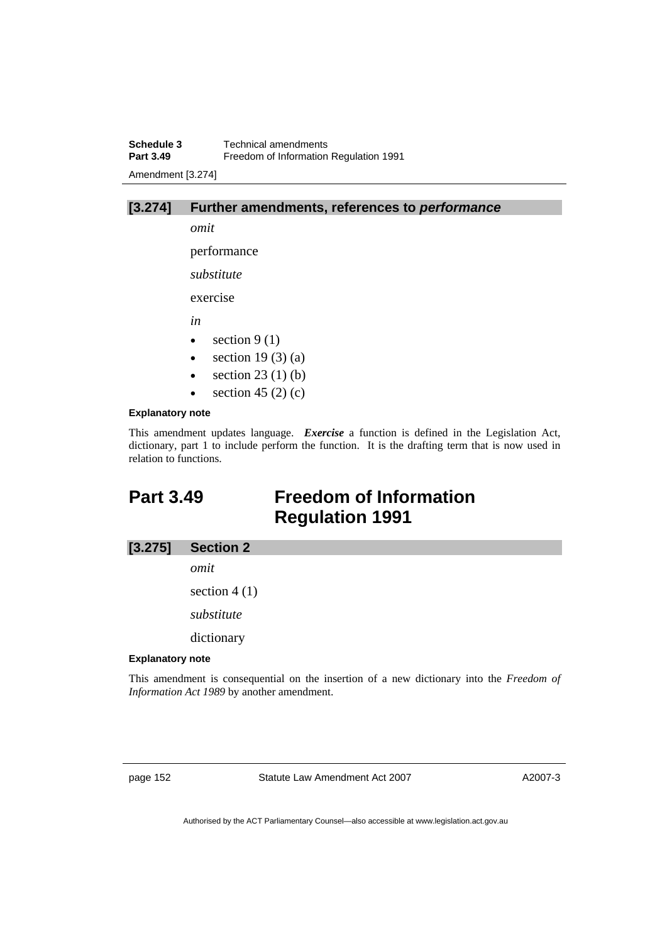**Schedule 3 Technical amendments**<br>**Part 3.49 Example 1 Freedom** of Information **Freedom of Information Regulation 1991** Amendment [3.274]



performance

*substitute* 

exercise

*in* 

- section  $9(1)$
- section  $19(3)(a)$
- section  $23(1)(b)$
- section 45 (2) (c)

#### **Explanatory note**

This amendment updates language. *Exercise* a function is defined in the Legislation Act, dictionary, part 1 to include perform the function. It is the drafting term that is now used in relation to functions.

# **Part 3.49 Freedom of Information Regulation 1991**

#### **[3.275] Section 2**

*omit* 

section 4 (1)

*substitute* 

dictionary

#### **Explanatory note**

This amendment is consequential on the insertion of a new dictionary into the *Freedom of Information Act 1989* by another amendment.

page 152 Statute Law Amendment Act 2007

A2007-3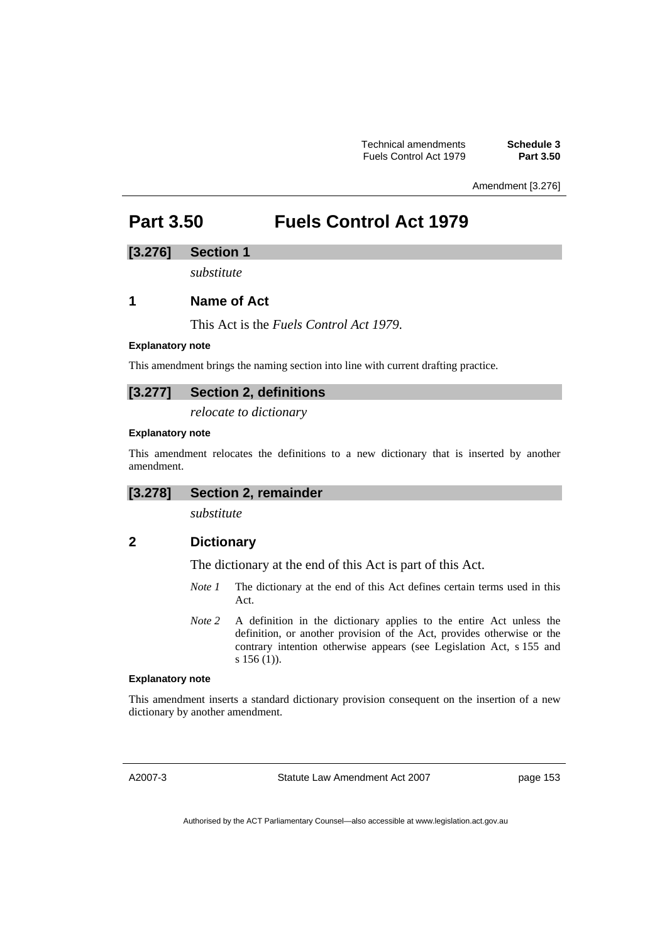Amendment [3.276]

# **Part 3.50 Fuels Control Act 1979**

# **[3.276] Section 1**

*substitute* 

# **1 Name of Act**

This Act is the *Fuels Control Act 1979*.

#### **Explanatory note**

This amendment brings the naming section into line with current drafting practice.

# **[3.277] Section 2, definitions**

*relocate to dictionary* 

#### **Explanatory note**

This amendment relocates the definitions to a new dictionary that is inserted by another amendment.

# **[3.278] Section 2, remainder**

*substitute* 

# **2 Dictionary**

The dictionary at the end of this Act is part of this Act.

- *Note 1* The dictionary at the end of this Act defines certain terms used in this Act.
- *Note 2* A definition in the dictionary applies to the entire Act unless the definition, or another provision of the Act, provides otherwise or the contrary intention otherwise appears (see Legislation Act, s 155 and s 156 (1)).

#### **Explanatory note**

This amendment inserts a standard dictionary provision consequent on the insertion of a new dictionary by another amendment.

A2007-3

Statute Law Amendment Act 2007

page 153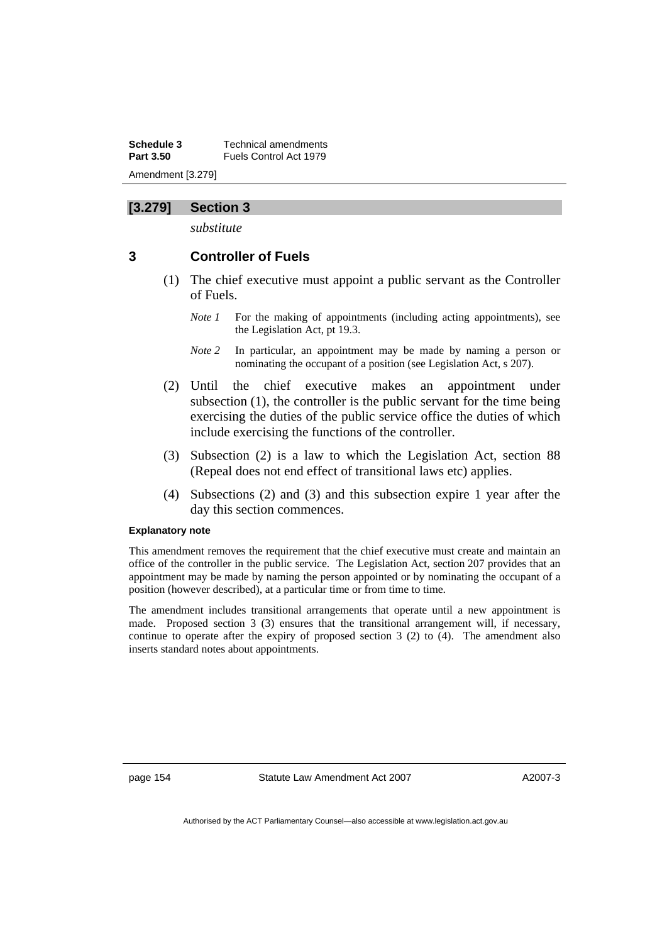**Schedule 3 Technical amendments**<br>**Part 3.50 ELIALS** Control Act 1979 **Part 3.50** Fuels Control Act 1979 Amendment [3.279]

# **[3.279] Section 3**

*substitute* 

# **3 Controller of Fuels**

- (1) The chief executive must appoint a public servant as the Controller of Fuels.
	- *Note 1* For the making of appointments (including acting appointments), see the Legislation Act, pt 19.3.
	- *Note 2* In particular, an appointment may be made by naming a person or nominating the occupant of a position (see Legislation Act, s 207).
- (2) Until the chief executive makes an appointment under subsection (1), the controller is the public servant for the time being exercising the duties of the public service office the duties of which include exercising the functions of the controller.
- (3) Subsection (2) is a law to which the Legislation Act, section 88 (Repeal does not end effect of transitional laws etc) applies.
- (4) Subsections (2) and (3) and this subsection expire 1 year after the day this section commences.

#### **Explanatory note**

This amendment removes the requirement that the chief executive must create and maintain an office of the controller in the public service. The Legislation Act, section 207 provides that an appointment may be made by naming the person appointed or by nominating the occupant of a position (however described), at a particular time or from time to time.

The amendment includes transitional arrangements that operate until a new appointment is made. Proposed section 3 (3) ensures that the transitional arrangement will, if necessary, continue to operate after the expiry of proposed section 3 (2) to (4). The amendment also inserts standard notes about appointments.

page 154 Statute Law Amendment Act 2007

A2007-3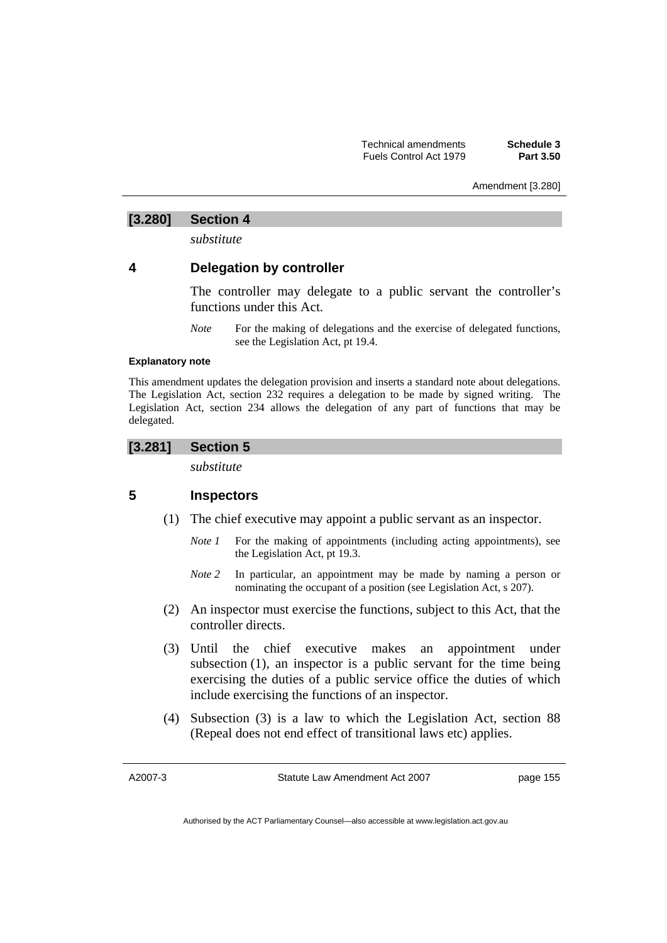Amendment [3.280]

# **[3.280] Section 4**

*substitute* 

# **4 Delegation by controller**

The controller may delegate to a public servant the controller's functions under this Act.

*Note* For the making of delegations and the exercise of delegated functions, see the Legislation Act, pt 19.4.

#### **Explanatory note**

This amendment updates the delegation provision and inserts a standard note about delegations. The Legislation Act, section 232 requires a delegation to be made by signed writing. The Legislation Act, section 234 allows the delegation of any part of functions that may be delegated.

# **[3.281] Section 5**

*substitute* 

# **5 Inspectors**

- (1) The chief executive may appoint a public servant as an inspector.
	- *Note 1* For the making of appointments (including acting appointments), see the Legislation Act, pt 19.3.
	- *Note 2* In particular, an appointment may be made by naming a person or nominating the occupant of a position (see Legislation Act, s 207).
- (2) An inspector must exercise the functions, subject to this Act, that the controller directs.
- (3) Until the chief executive makes an appointment under subsection (1), an inspector is a public servant for the time being exercising the duties of a public service office the duties of which include exercising the functions of an inspector.
- (4) Subsection (3) is a law to which the Legislation Act, section 88 (Repeal does not end effect of transitional laws etc) applies.

A2007-3

Statute Law Amendment Act 2007

page 155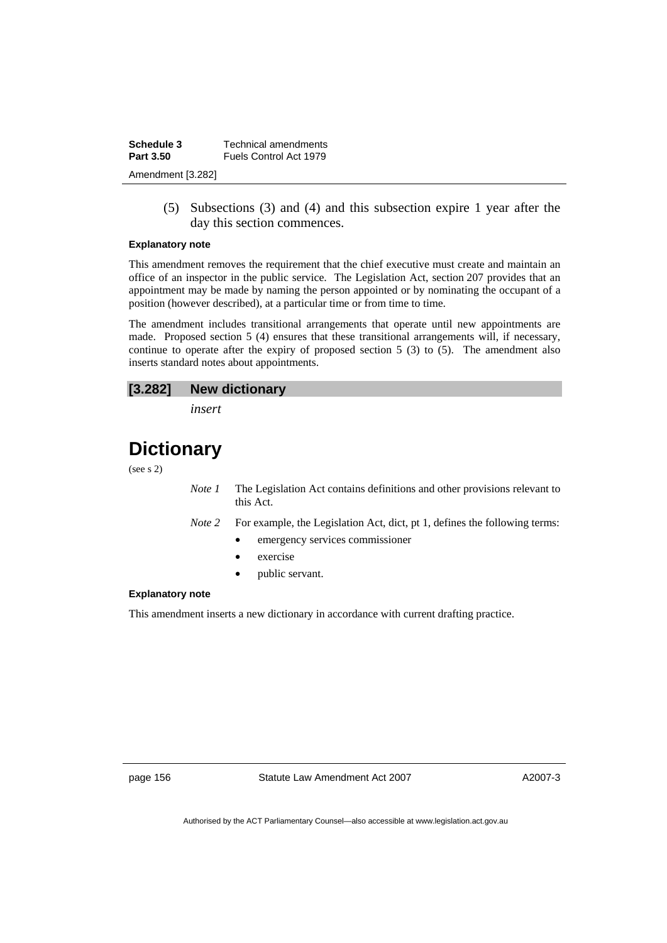| Schedule 3        | Technical amendments   |
|-------------------|------------------------|
| Part 3.50         | Fuels Control Act 1979 |
| Amendment [3.282] |                        |

 (5) Subsections (3) and (4) and this subsection expire 1 year after the day this section commences.

#### **Explanatory note**

This amendment removes the requirement that the chief executive must create and maintain an office of an inspector in the public service. The Legislation Act, section 207 provides that an appointment may be made by naming the person appointed or by nominating the occupant of a position (however described), at a particular time or from time to time.

The amendment includes transitional arrangements that operate until new appointments are made. Proposed section 5 (4) ensures that these transitional arrangements will, if necessary, continue to operate after the expiry of proposed section  $5(3)$  to  $(5)$ . The amendment also inserts standard notes about appointments.

#### **[3.282] New dictionary**

*insert* 

# **Dictionary**

(see s 2)

- *Note 1* The Legislation Act contains definitions and other provisions relevant to this Act.
- *Note 2* For example, the Legislation Act, dict, pt 1, defines the following terms:
	- emergency services commissioner
	- exercise
	- public servant.

### **Explanatory note**

This amendment inserts a new dictionary in accordance with current drafting practice.

page 156 Statute Law Amendment Act 2007

A2007-3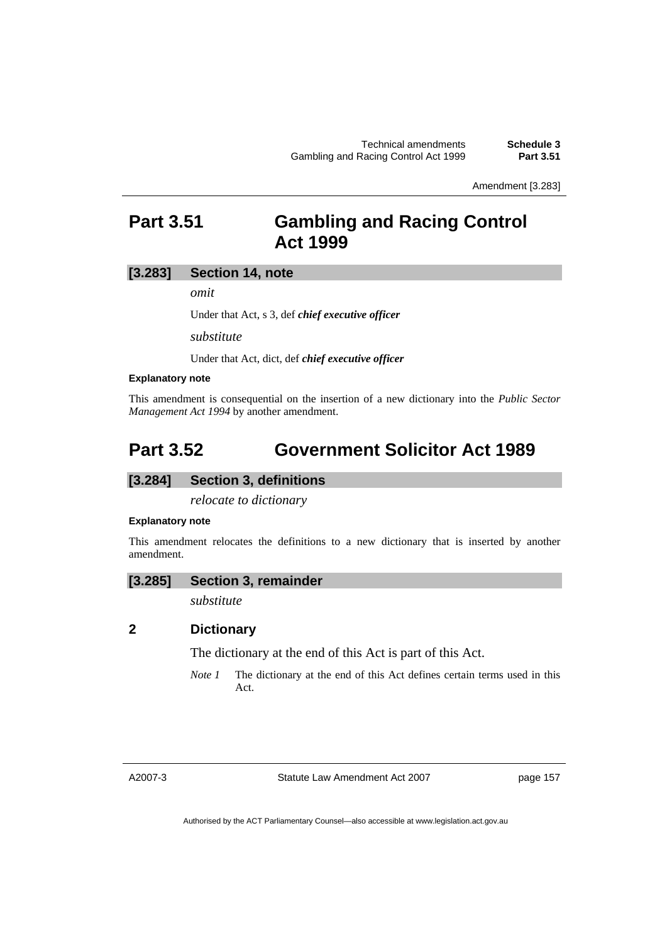Amendment [3.283]

# **Part 3.51 Gambling and Racing Control Act 1999**

# **[3.283] Section 14, note**

*omit* 

Under that Act, s 3, def *chief executive officer*

*substitute* 

Under that Act, dict, def *chief executive officer*

#### **Explanatory note**

This amendment is consequential on the insertion of a new dictionary into the *Public Sector Management Act 1994* by another amendment.

# **Part 3.52 Government Solicitor Act 1989**

# **[3.284] Section 3, definitions**

*relocate to dictionary* 

#### **Explanatory note**

This amendment relocates the definitions to a new dictionary that is inserted by another amendment.

### **[3.285] Section 3, remainder**

*substitute* 

### **2 Dictionary**

The dictionary at the end of this Act is part of this Act.

*Note 1* The dictionary at the end of this Act defines certain terms used in this Act.

A2007-3

Statute Law Amendment Act 2007

page 157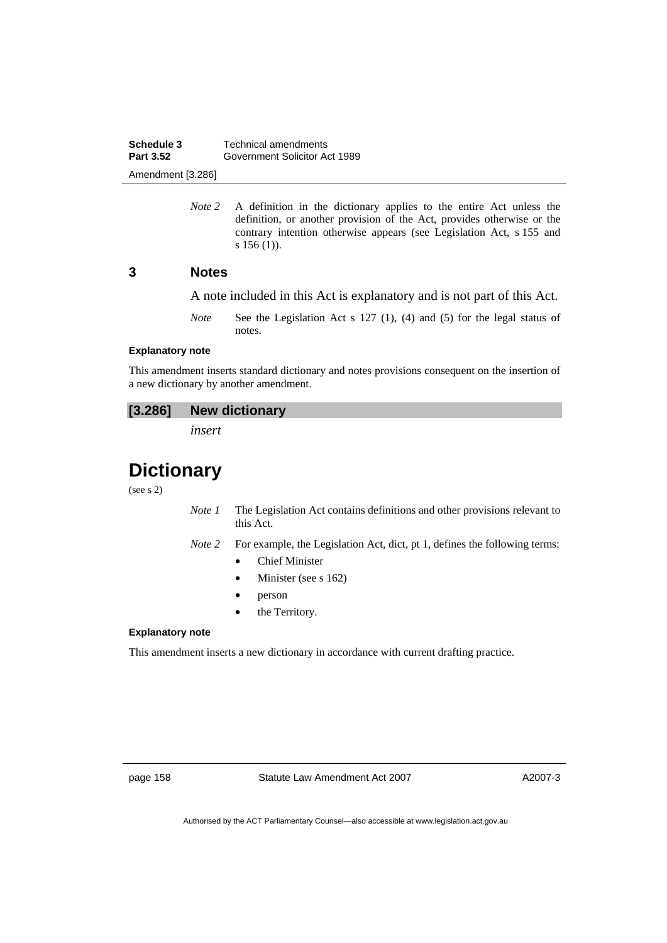**Schedule 3 Technical amendments**<br>**Part 3.52 Government Solicitor Ad Part 3.52** Government Solicitor Act 1989 Amendment [3.286]

> *Note 2* A definition in the dictionary applies to the entire Act unless the definition, or another provision of the Act, provides otherwise or the contrary intention otherwise appears (see Legislation Act, s 155 and s 156 (1)).

### **3 Notes**

A note included in this Act is explanatory and is not part of this Act.

*Note* See the Legislation Act s 127 (1), (4) and (5) for the legal status of notes.

#### **Explanatory note**

This amendment inserts standard dictionary and notes provisions consequent on the insertion of a new dictionary by another amendment.

# **[3.286] New dictionary**

*insert* 

# **Dictionary**

(see s 2)

- *Note 1* The Legislation Act contains definitions and other provisions relevant to this Act.
- *Note 2* For example, the Legislation Act, dict, pt 1, defines the following terms:
	- Chief Minister
	- Minister (see s 162)
	- person
	- the Territory.

#### **Explanatory note**

This amendment inserts a new dictionary in accordance with current drafting practice.

page 158 Statute Law Amendment Act 2007

A2007-3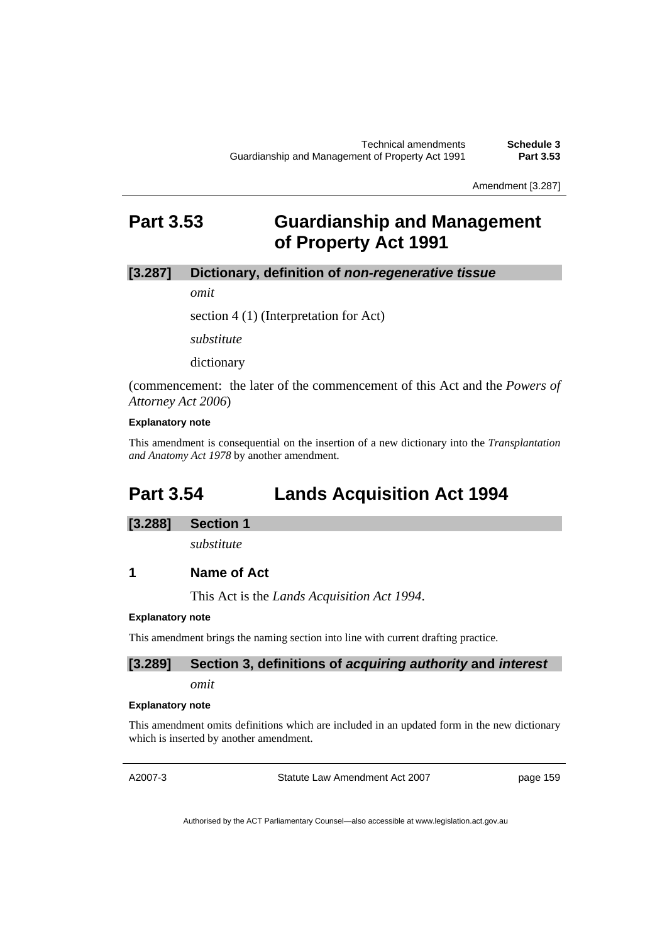Amendment [3.287]

# **Part 3.53 Guardianship and Management of Property Act 1991**

### **[3.287] Dictionary, definition of** *non-regenerative tissue*

*omit* 

section 4 (1) (Interpretation for Act)

*substitute* 

dictionary

(commencement: the later of the commencement of this Act and the *Powers of Attorney Act 2006*)

#### **Explanatory note**

This amendment is consequential on the insertion of a new dictionary into the *Transplantation and Anatomy Act 1978* by another amendment.

# **Part 3.54 Lands Acquisition Act 1994**

#### **[3.288] Section 1**

*substitute* 

### **1 Name of Act**

This Act is the *Lands Acquisition Act 1994*.

#### **Explanatory note**

This amendment brings the naming section into line with current drafting practice.

#### **[3.289] Section 3, definitions of** *acquiring authority* **and** *interest*

*omit* 

#### **Explanatory note**

This amendment omits definitions which are included in an updated form in the new dictionary which is inserted by another amendment.

A2007-3

Statute Law Amendment Act 2007

page 159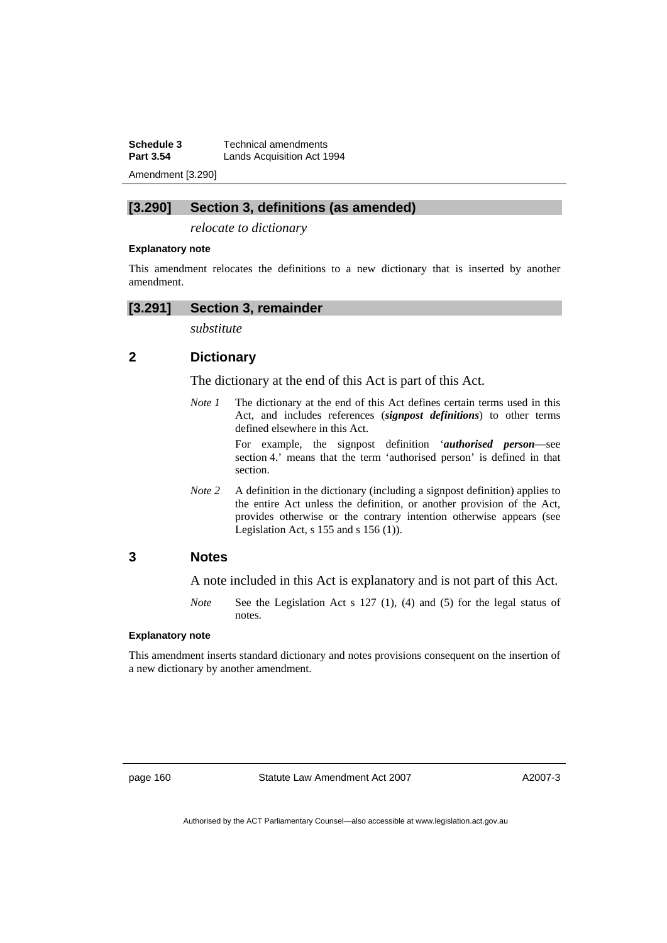**Schedule 3 Technical amendments**<br>**Part 3.54 Lands Acquisition Act 1 Lands Acquisition Act 1994** 

Amendment [3.290]

# **[3.290] Section 3, definitions (as amended)**

*relocate to dictionary* 

#### **Explanatory note**

This amendment relocates the definitions to a new dictionary that is inserted by another amendment.

#### **[3.291] Section 3, remainder**

*substitute* 

# **2 Dictionary**

The dictionary at the end of this Act is part of this Act.

*Note 1* The dictionary at the end of this Act defines certain terms used in this Act, and includes references (*signpost definitions*) to other terms defined elsewhere in this Act.

> For example, the signpost definition '*authorised person*—see section 4.' means that the term 'authorised person' is defined in that section.

*Note 2* A definition in the dictionary (including a signpost definition) applies to the entire Act unless the definition, or another provision of the Act, provides otherwise or the contrary intention otherwise appears (see Legislation Act,  $s$  155 and  $s$  156 (1)).

# **3 Notes**

A note included in this Act is explanatory and is not part of this Act.

*Note* See the Legislation Act s 127 (1), (4) and (5) for the legal status of notes.

#### **Explanatory note**

This amendment inserts standard dictionary and notes provisions consequent on the insertion of a new dictionary by another amendment.

page 160 Statute Law Amendment Act 2007

A2007-3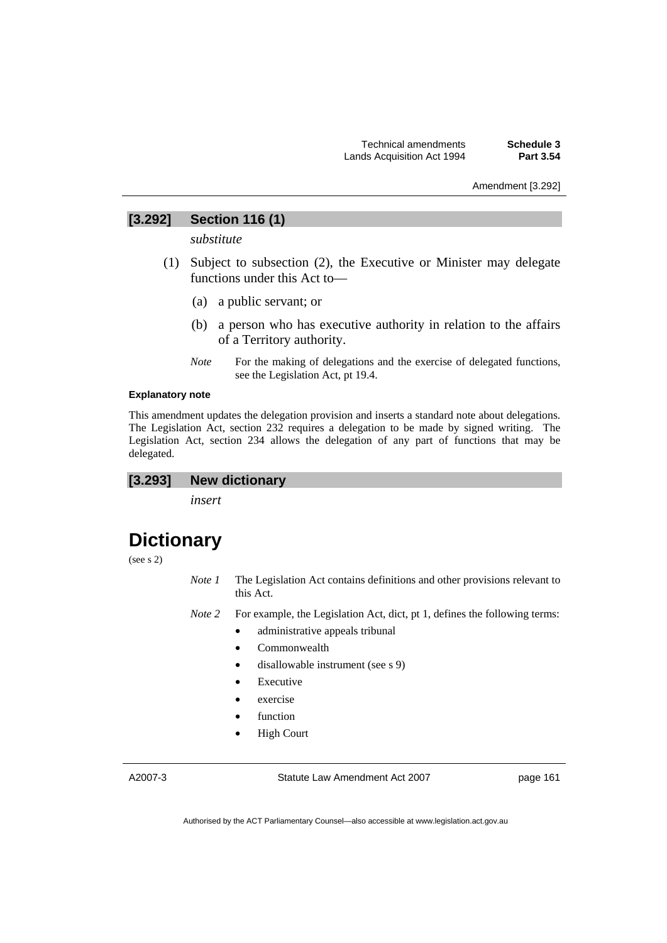Amendment [3.292]

# **[3.292] Section 116 (1)**

*substitute* 

- (1) Subject to subsection (2), the Executive or Minister may delegate functions under this Act to—
	- (a) a public servant; or
	- (b) a person who has executive authority in relation to the affairs of a Territory authority.
	- *Note* For the making of delegations and the exercise of delegated functions, see the Legislation Act, pt 19.4.

#### **Explanatory note**

This amendment updates the delegation provision and inserts a standard note about delegations. The Legislation Act, section 232 requires a delegation to be made by signed writing. The Legislation Act, section 234 allows the delegation of any part of functions that may be delegated.

### **[3.293] New dictionary**

*insert* 

# **Dictionary**

(see s 2)

- *Note 1* The Legislation Act contains definitions and other provisions relevant to this Act.
- *Note 2* For example, the Legislation Act, dict, pt 1, defines the following terms:
	- administrative appeals tribunal
	- Commonwealth
	- disallowable instrument (see s 9)
	- **Executive**
	- exercise
	- function
	- **High Court**

A2007-3

Statute Law Amendment Act 2007

page 161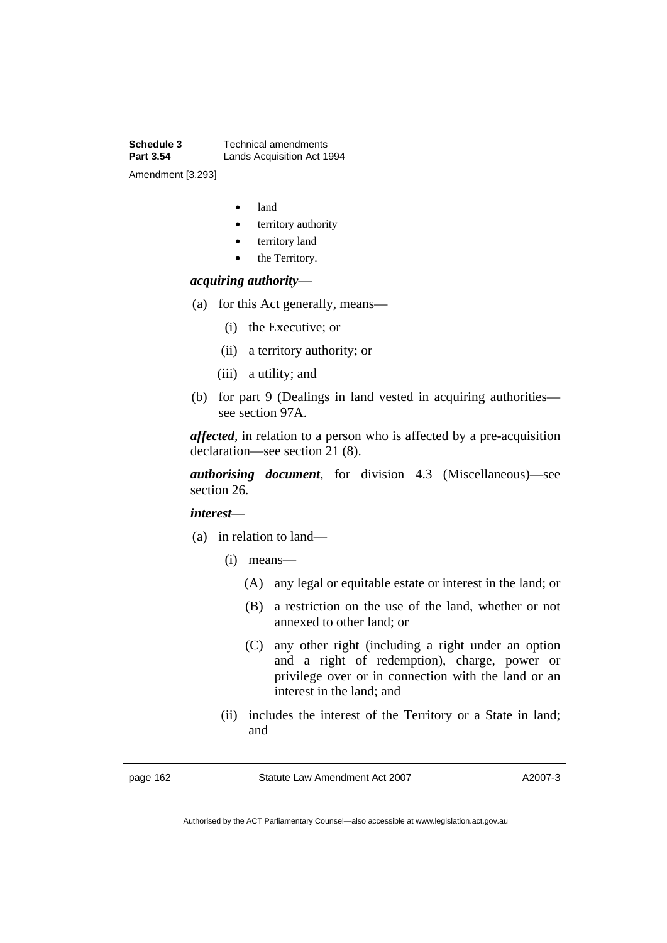**Schedule 3 Technical amendments**<br>**Part 3.54 Lands Acquisition Act 19 Lands Acquisition Act 1994** Amendment [3.293]

- land
- territory authority
- territory land
- the Territory.

#### *acquiring authority*—

- (a) for this Act generally, means—
	- (i) the Executive; or
	- (ii) a territory authority; or
	- (iii) a utility; and
- (b) for part 9 (Dealings in land vested in acquiring authorities see section 97A.

*affected*, in relation to a person who is affected by a pre-acquisition declaration—see section 21 (8).

*authorising document*, for division 4.3 (Miscellaneous)—see section 26.

#### *interest*—

- (a) in relation to land—
	- (i) means—
		- (A) any legal or equitable estate or interest in the land; or
		- (B) a restriction on the use of the land, whether or not annexed to other land; or
		- (C) any other right (including a right under an option and a right of redemption), charge, power or privilege over or in connection with the land or an interest in the land; and
	- (ii) includes the interest of the Territory or a State in land; and

page 162 Statute Law Amendment Act 2007

A2007-3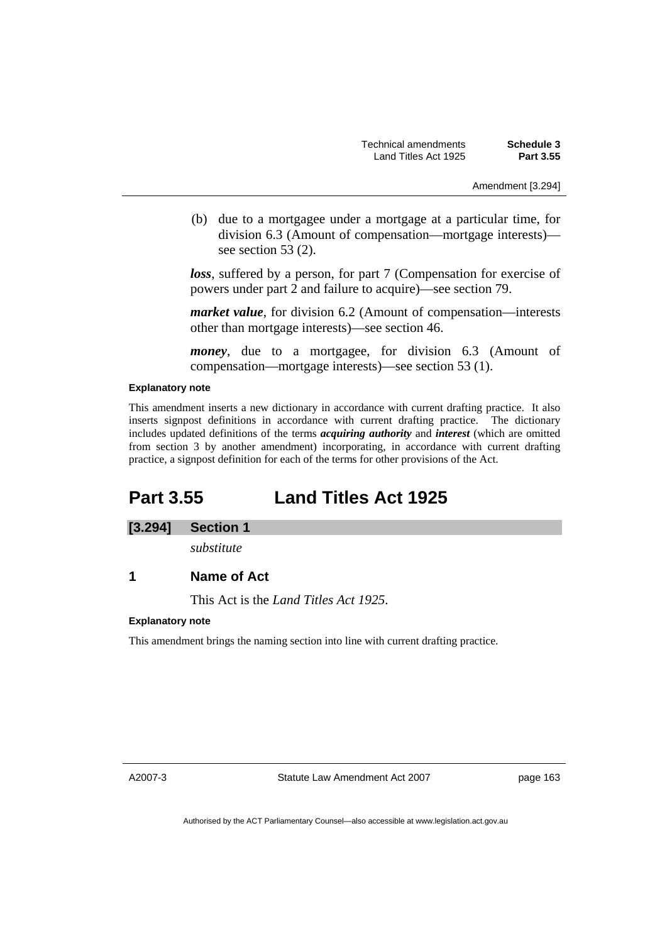(b) due to a mortgagee under a mortgage at a particular time, for division 6.3 (Amount of compensation—mortgage interests) see section 53 (2).

*loss*, suffered by a person, for part 7 (Compensation for exercise of powers under part 2 and failure to acquire)—see section 79.

*market value*, for division 6.2 (Amount of compensation—interests other than mortgage interests)—see section 46.

*money*, due to a mortgagee, for division 6.3 (Amount of compensation—mortgage interests)—see section 53 (1).

#### **Explanatory note**

This amendment inserts a new dictionary in accordance with current drafting practice. It also inserts signpost definitions in accordance with current drafting practice. The dictionary includes updated definitions of the terms *acquiring authority* and *interest* (which are omitted from section 3 by another amendment) incorporating, in accordance with current drafting practice, a signpost definition for each of the terms for other provisions of the Act.

# **Part 3.55 Land Titles Act 1925**

# **[3.294] Section 1**

*substitute* 

# **1 Name of Act**

This Act is the *Land Titles Act 1925*.

#### **Explanatory note**

This amendment brings the naming section into line with current drafting practice.

A2007-3

Statute Law Amendment Act 2007

page 163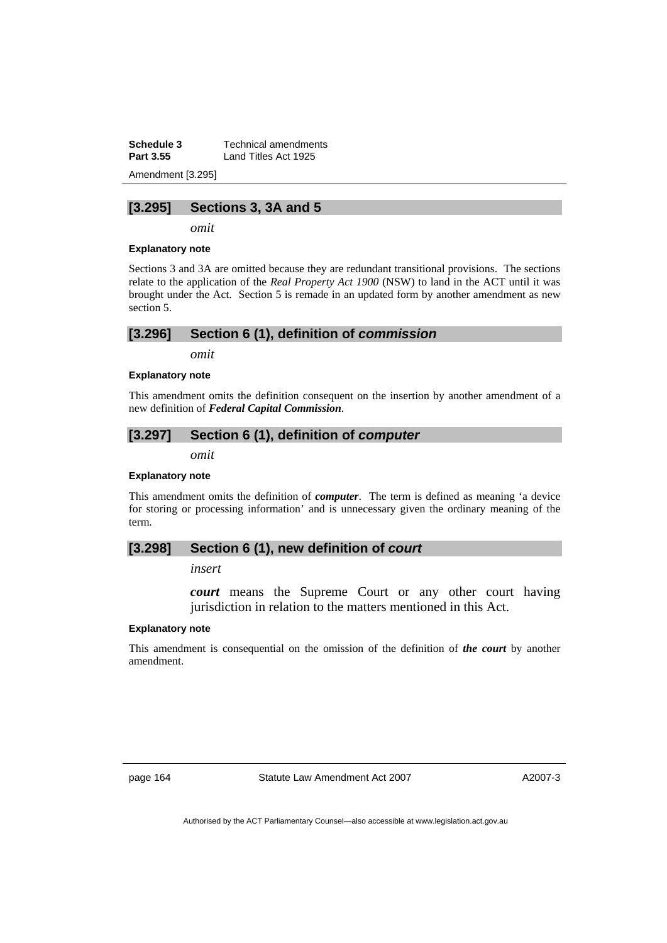**Schedule 3 Technical amendments**<br>**Part 3.55 Land Titles Act 1925** Land Titles Act 1925

Amendment [3.295]

### **[3.295] Sections 3, 3A and 5**

*omit* 

#### **Explanatory note**

Sections 3 and 3A are omitted because they are redundant transitional provisions. The sections relate to the application of the *Real Property Act 1900* (NSW) to land in the ACT until it was brought under the Act. Section 5 is remade in an updated form by another amendment as new section 5.

*omit* 

#### **Explanatory note**

This amendment omits the definition consequent on the insertion by another amendment of a new definition of *Federal Capital Commission*.

# **[3.297] Section 6 (1), definition of** *computer*

*omit* 

#### **Explanatory note**

This amendment omits the definition of *computer*. The term is defined as meaning 'a device for storing or processing information' and is unnecessary given the ordinary meaning of the term.

### **[3.298] Section 6 (1), new definition of** *court*

*insert* 

*court* means the Supreme Court or any other court having jurisdiction in relation to the matters mentioned in this Act.

#### **Explanatory note**

This amendment is consequential on the omission of the definition of *the court* by another amendment.

page 164 Statute Law Amendment Act 2007

A2007-3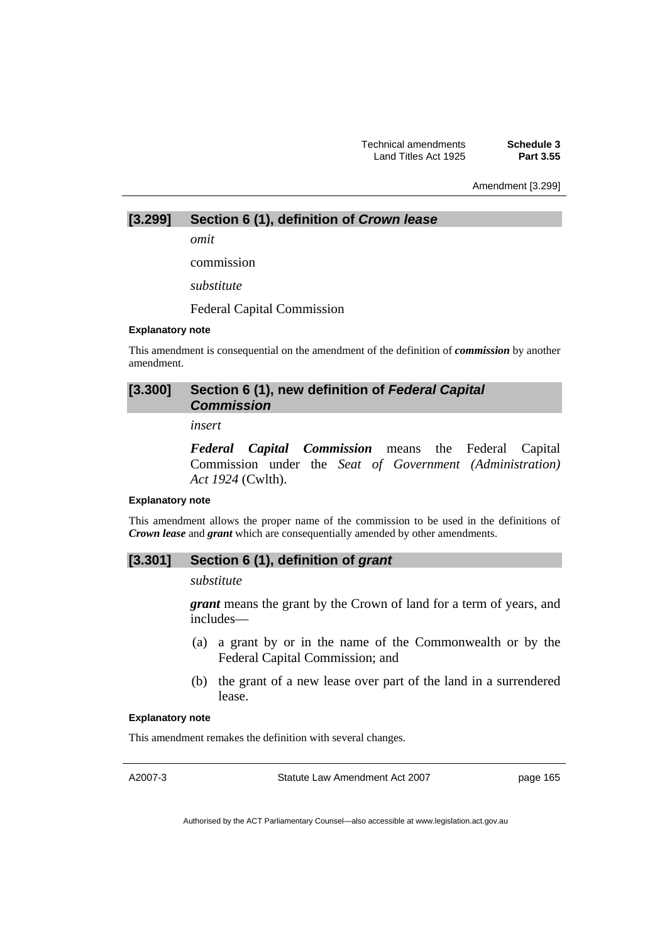Technical amendments **Schedule 3**  Land Titles Act 1925

Amendment [3.299]

# **[3.299] Section 6 (1), definition of** *Crown lease*

*omit* 

commission

*substitute* 

Federal Capital Commission

#### **Explanatory note**

This amendment is consequential on the amendment of the definition of *commission* by another amendment.

# [3.300] Section 6 (1), new definition of Federal Capital *Commission*

*insert* 

*Federal Capital Commission* means the Federal Capital Commission under the *Seat of Government (Administration) Act 1924* (Cwlth).

#### **Explanatory note**

This amendment allows the proper name of the commission to be used in the definitions of *Crown lease* and *grant* which are consequentially amended by other amendments.

#### **[3.301] Section 6 (1), definition of** *grant*

#### *substitute*

*grant* means the grant by the Crown of land for a term of years, and includes—

- (a) a grant by or in the name of the Commonwealth or by the Federal Capital Commission; and
- (b) the grant of a new lease over part of the land in a surrendered lease.

#### **Explanatory note**

This amendment remakes the definition with several changes.

A2007-3

Statute Law Amendment Act 2007

page 165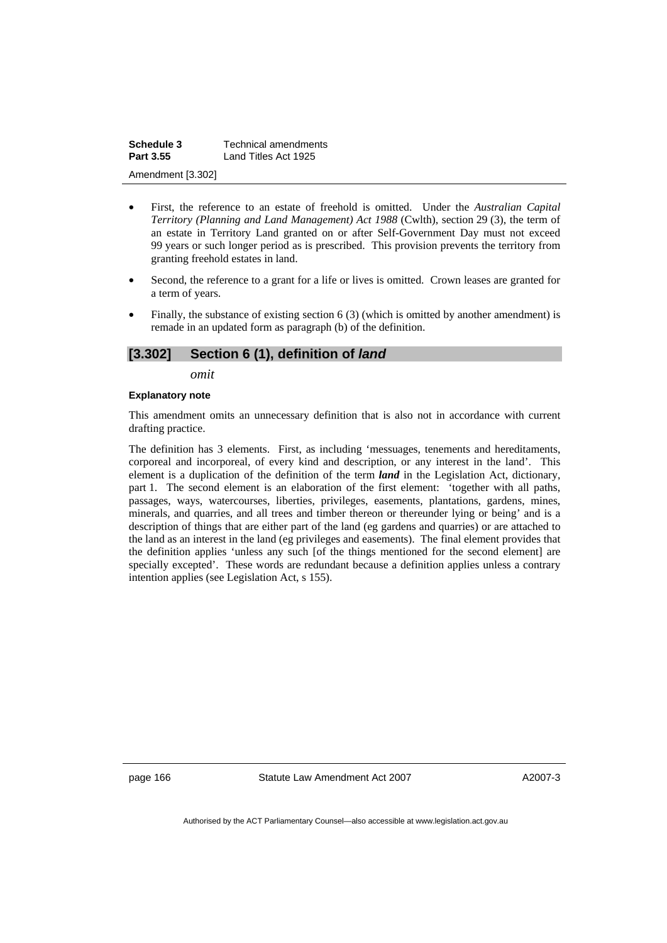| Schedule 3        | Technical amendments |
|-------------------|----------------------|
| Part 3.55         | Land Titles Act 1925 |
| Amendment [3.302] |                      |

- First, the reference to an estate of freehold is omitted. Under the *Australian Capital Territory (Planning and Land Management) Act 1988* (Cwlth), section 29 (3), the term of an estate in Territory Land granted on or after Self-Government Day must not exceed 99 years or such longer period as is prescribed. This provision prevents the territory from granting freehold estates in land.
- Second, the reference to a grant for a life or lives is omitted. Crown leases are granted for a term of years.
- Finally, the substance of existing section 6 (3) (which is omitted by another amendment) is remade in an updated form as paragraph (b) of the definition.

# **[3.302] Section 6 (1), definition of** *land*

*omit* 

#### **Explanatory note**

This amendment omits an unnecessary definition that is also not in accordance with current drafting practice.

The definition has 3 elements. First, as including 'messuages, tenements and hereditaments, corporeal and incorporeal, of every kind and description, or any interest in the land'. This element is a duplication of the definition of the term *land* in the Legislation Act, dictionary, part 1. The second element is an elaboration of the first element: 'together with all paths, passages, ways, watercourses, liberties, privileges, easements, plantations, gardens, mines, minerals, and quarries, and all trees and timber thereon or thereunder lying or being' and is a description of things that are either part of the land (eg gardens and quarries) or are attached to the land as an interest in the land (eg privileges and easements). The final element provides that the definition applies 'unless any such [of the things mentioned for the second element] are specially excepted'. These words are redundant because a definition applies unless a contrary intention applies (see Legislation Act, s 155).

page 166 Statute Law Amendment Act 2007

A2007-3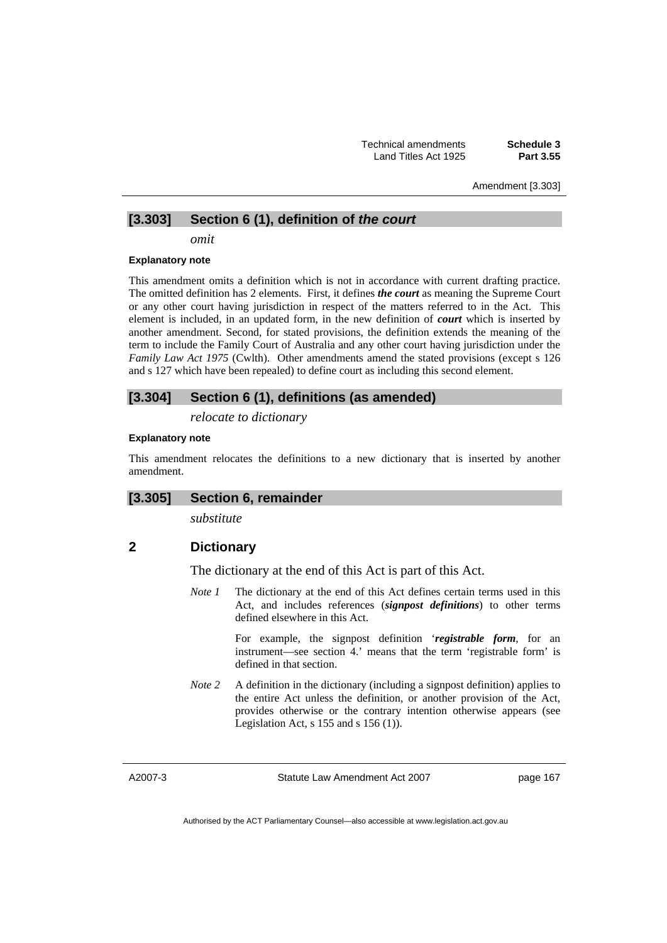Amendment [3.303]

# **[3.303] Section 6 (1), definition of** *the court*

*omit* 

#### **Explanatory note**

This amendment omits a definition which is not in accordance with current drafting practice. The omitted definition has 2 elements. First, it defines *the court* as meaning the Supreme Court or any other court having jurisdiction in respect of the matters referred to in the Act. This element is included, in an updated form, in the new definition of *court* which is inserted by another amendment. Second, for stated provisions, the definition extends the meaning of the term to include the Family Court of Australia and any other court having jurisdiction under the *Family Law Act 1975* (Cwlth). Other amendments amend the stated provisions (except s 126 and s 127 which have been repealed) to define court as including this second element.

# **[3.304] Section 6 (1), definitions (as amended)**

*relocate to dictionary* 

### **Explanatory note**

This amendment relocates the definitions to a new dictionary that is inserted by another amendment.

# **[3.305] Section 6, remainder**

*substitute* 

# **2 Dictionary**

The dictionary at the end of this Act is part of this Act.

*Note 1* The dictionary at the end of this Act defines certain terms used in this Act, and includes references (*signpost definitions*) to other terms defined elsewhere in this Act.

> For example, the signpost definition '*registrable form*, for an instrument—see section 4.' means that the term 'registrable form' is defined in that section.

*Note 2* A definition in the dictionary (including a signpost definition) applies to the entire Act unless the definition, or another provision of the Act, provides otherwise or the contrary intention otherwise appears (see Legislation Act,  $s$  155 and  $s$  156 (1)).

A2007-3

Statute Law Amendment Act 2007

page 167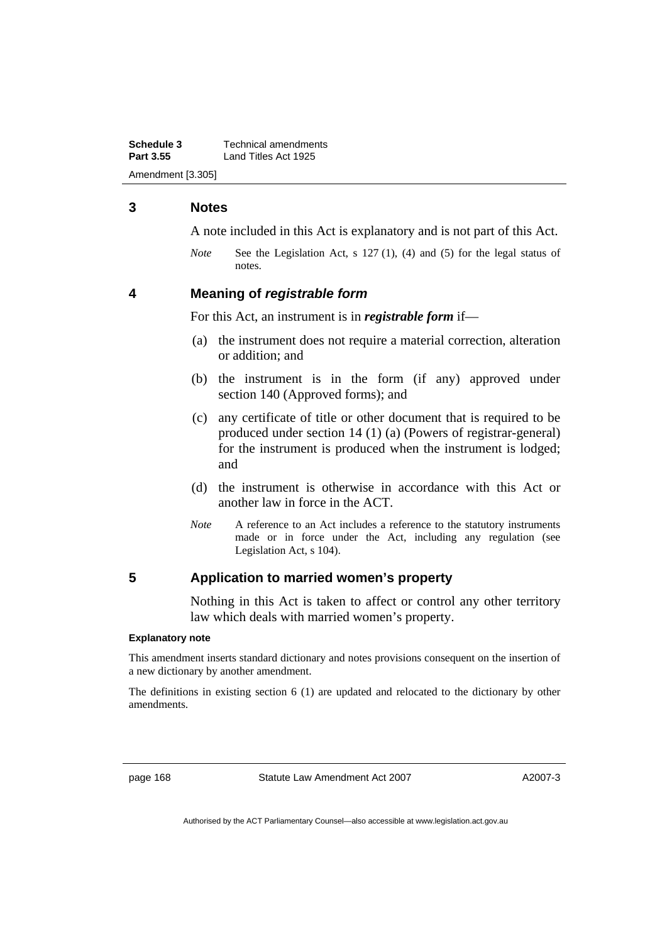**Schedule 3 Technical amendments**<br>**Part 3.55 Land Titles Act 1925 Part 3.55** Land Titles Act 1925 Amendment [3.305]

# **3 Notes**

A note included in this Act is explanatory and is not part of this Act.

*Note* See the Legislation Act, s 127 (1), (4) and (5) for the legal status of notes.

### **4 Meaning of** *registrable form*

For this Act, an instrument is in *registrable form* if—

- (a) the instrument does not require a material correction, alteration or addition; and
- (b) the instrument is in the form (if any) approved under section 140 (Approved forms); and
- (c) any certificate of title or other document that is required to be produced under section 14 (1) (a) (Powers of registrar-general) for the instrument is produced when the instrument is lodged; and
- (d) the instrument is otherwise in accordance with this Act or another law in force in the ACT.
- *Note* A reference to an Act includes a reference to the statutory instruments made or in force under the Act, including any regulation (see Legislation Act, s 104).

# **5 Application to married women's property**

Nothing in this Act is taken to affect or control any other territory law which deals with married women's property.

#### **Explanatory note**

This amendment inserts standard dictionary and notes provisions consequent on the insertion of a new dictionary by another amendment.

The definitions in existing section 6 (1) are updated and relocated to the dictionary by other amendments.

page 168 Statute Law Amendment Act 2007

A2007-3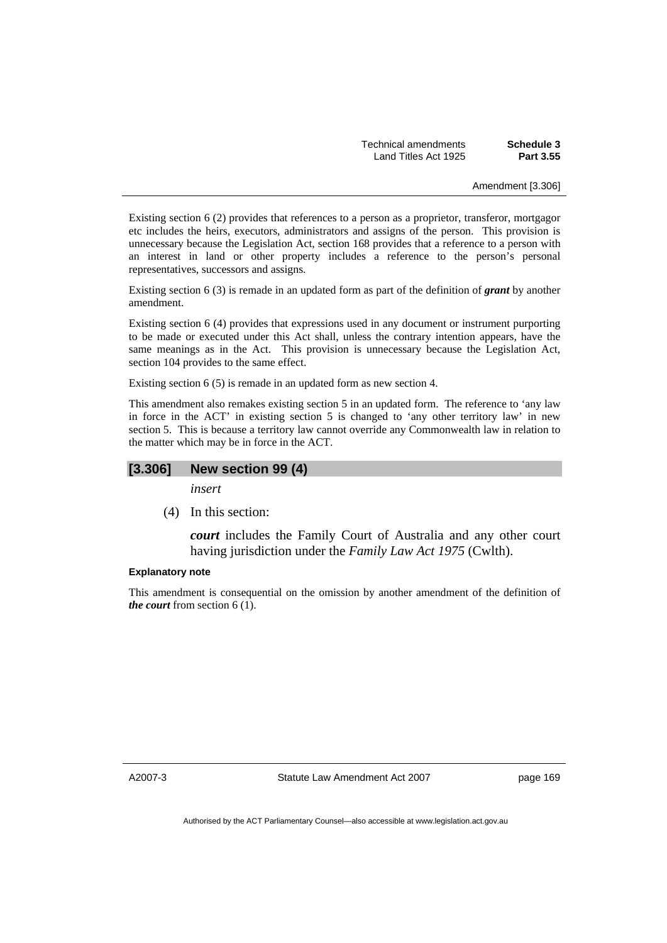| Schedule 3 | Technical amendments |
|------------|----------------------|
| Part 3.55  | Land Titles Act 1925 |

Amendment [3.306]

Existing section 6 (2) provides that references to a person as a proprietor, transferor, mortgagor etc includes the heirs, executors, administrators and assigns of the person. This provision is unnecessary because the Legislation Act, section 168 provides that a reference to a person with an interest in land or other property includes a reference to the person's personal representatives, successors and assigns.

Existing section 6 (3) is remade in an updated form as part of the definition of *grant* by another amendment.

Existing section 6 (4) provides that expressions used in any document or instrument purporting to be made or executed under this Act shall, unless the contrary intention appears, have the same meanings as in the Act. This provision is unnecessary because the Legislation Act, section 104 provides to the same effect.

Existing section 6 (5) is remade in an updated form as new section 4.

This amendment also remakes existing section 5 in an updated form. The reference to 'any law in force in the ACT' in existing section 5 is changed to 'any other territory law' in new section 5. This is because a territory law cannot override any Commonwealth law in relation to the matter which may be in force in the ACT.

# **[3.306] New section 99 (4)**

*insert* 

(4) In this section:

*court* includes the Family Court of Australia and any other court having jurisdiction under the *Family Law Act 1975* (Cwlth).

#### **Explanatory note**

This amendment is consequential on the omission by another amendment of the definition of *the court* from section 6 (1).

A2007-3

Statute Law Amendment Act 2007

page 169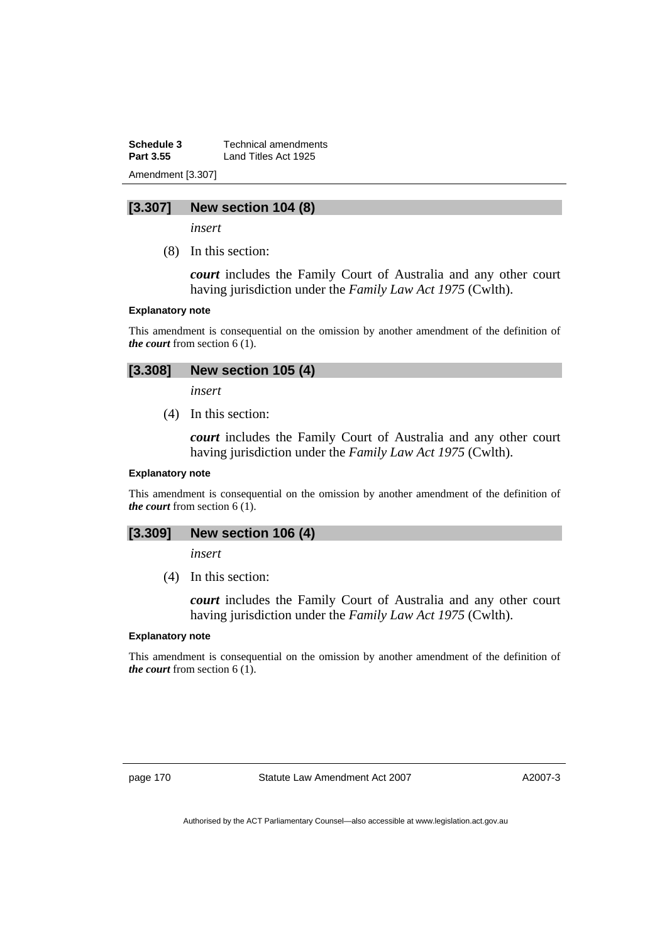**Schedule 3 Technical amendments**<br>**Part 3.55 Land Titles Act 1925** Land Titles Act 1925 Amendment [3.307]

# **[3.307] New section 104 (8)**

*insert* 

(8) In this section:

*court* includes the Family Court of Australia and any other court having jurisdiction under the *Family Law Act 1975* (Cwlth).

#### **Explanatory note**

This amendment is consequential on the omission by another amendment of the definition of *the court* from section 6 (1).

# **[3.308] New section 105 (4)**

*insert* 

(4) In this section:

*court* includes the Family Court of Australia and any other court having jurisdiction under the *Family Law Act 1975* (Cwlth).

#### **Explanatory note**

This amendment is consequential on the omission by another amendment of the definition of *the court* from section 6 (1).

### **[3.309] New section 106 (4)**

*insert* 

(4) In this section:

*court* includes the Family Court of Australia and any other court having jurisdiction under the *Family Law Act 1975* (Cwlth).

#### **Explanatory note**

This amendment is consequential on the omission by another amendment of the definition of *the court* from section 6 (1).

page 170 Statute Law Amendment Act 2007

A2007-3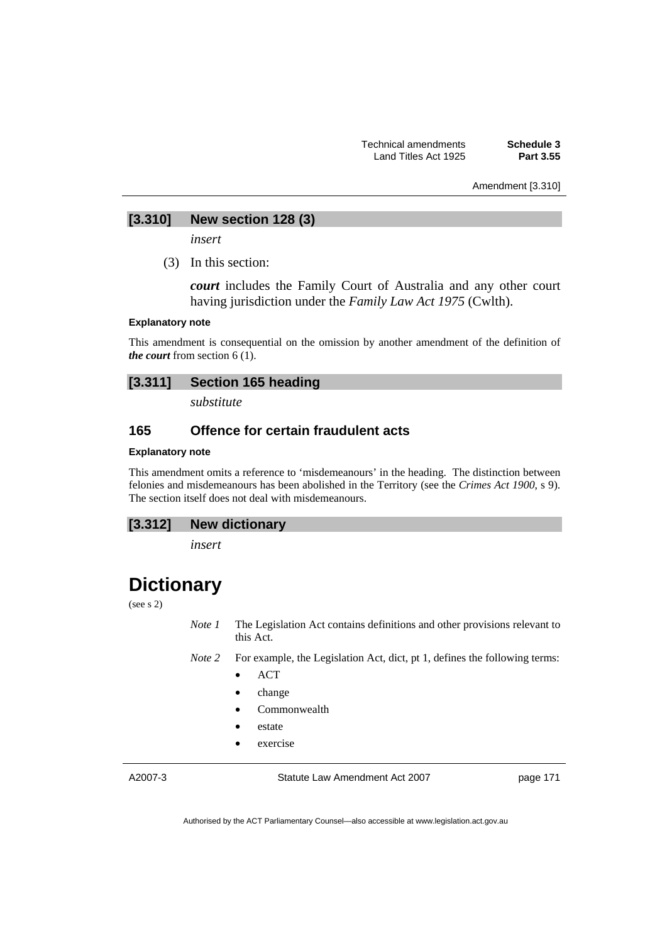Amendment [3.310]

# **[3.310] New section 128 (3)**

*insert* 

(3) In this section:

*court* includes the Family Court of Australia and any other court having jurisdiction under the *Family Law Act 1975* (Cwlth).

#### **Explanatory note**

This amendment is consequential on the omission by another amendment of the definition of *the court* from section 6 (1).

# **[3.311] Section 165 heading**

*substitute* 

# **165 Offence for certain fraudulent acts**

#### **Explanatory note**

This amendment omits a reference to 'misdemeanours' in the heading. The distinction between felonies and misdemeanours has been abolished in the Territory (see the *Crimes Act 1900*, s 9). The section itself does not deal with misdemeanours.

*insert* 

# **Dictionary**

(see s 2)

*Note 1* The Legislation Act contains definitions and other provisions relevant to this Act.

*Note 2* For example, the Legislation Act, dict, pt 1, defines the following terms:

- ACT
- change
- Commonwealth
- estate
- exercise

A2007-3

Statute Law Amendment Act 2007

page 171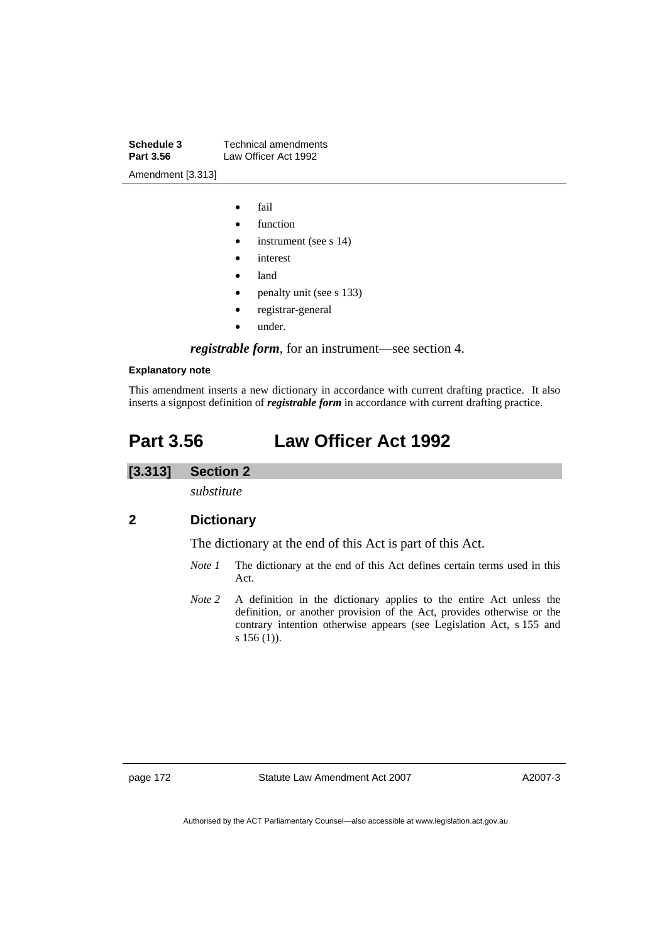**Schedule 3 Technical amendments**<br>**Part 3.56 Law Officer Act 1992** Law Officer Act 1992 Amendment [3.313]

- fail
- function
- instrument (see s 14)
- *interest*
- land
- penalty unit (see s 133)
- registrar-general
- under.

*registrable form*, for an instrument—see section 4.

#### **Explanatory note**

This amendment inserts a new dictionary in accordance with current drafting practice. It also inserts a signpost definition of *registrable form* in accordance with current drafting practice.

# **Part 3.56 Law Officer Act 1992**

# **[3.313] Section 2**

*substitute* 

# **2 Dictionary**

The dictionary at the end of this Act is part of this Act.

- *Note 1* The dictionary at the end of this Act defines certain terms used in this Act.
- *Note 2* A definition in the dictionary applies to the entire Act unless the definition, or another provision of the Act, provides otherwise or the contrary intention otherwise appears (see Legislation Act, s 155 and s 156 (1)).

page 172 Statute Law Amendment Act 2007

A2007-3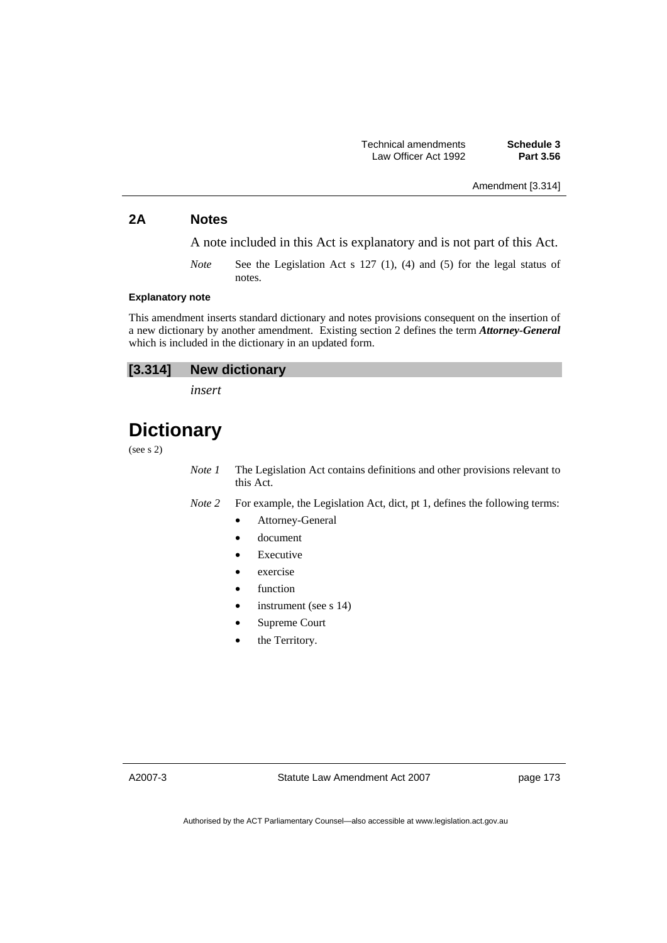# Amendment [3.314]

# **2A Notes**

A note included in this Act is explanatory and is not part of this Act.

*Note* See the Legislation Act s 127 (1), (4) and (5) for the legal status of notes.

#### **Explanatory note**

This amendment inserts standard dictionary and notes provisions consequent on the insertion of a new dictionary by another amendment. Existing section 2 defines the term *Attorney-General* which is included in the dictionary in an updated form.

| $[3.314]$ | <b>New dictionary</b> |
|-----------|-----------------------|
|-----------|-----------------------|

*insert* 

# **Dictionary**

(see s 2)

*Note 1* The Legislation Act contains definitions and other provisions relevant to this Act.

*Note 2* For example, the Legislation Act, dict, pt 1, defines the following terms:

- Attorney-General
- document
- **Executive**
- exercise
- function
- instrument (see s 14)
- Supreme Court
- the Territory.

A2007-3

Statute Law Amendment Act 2007

page 173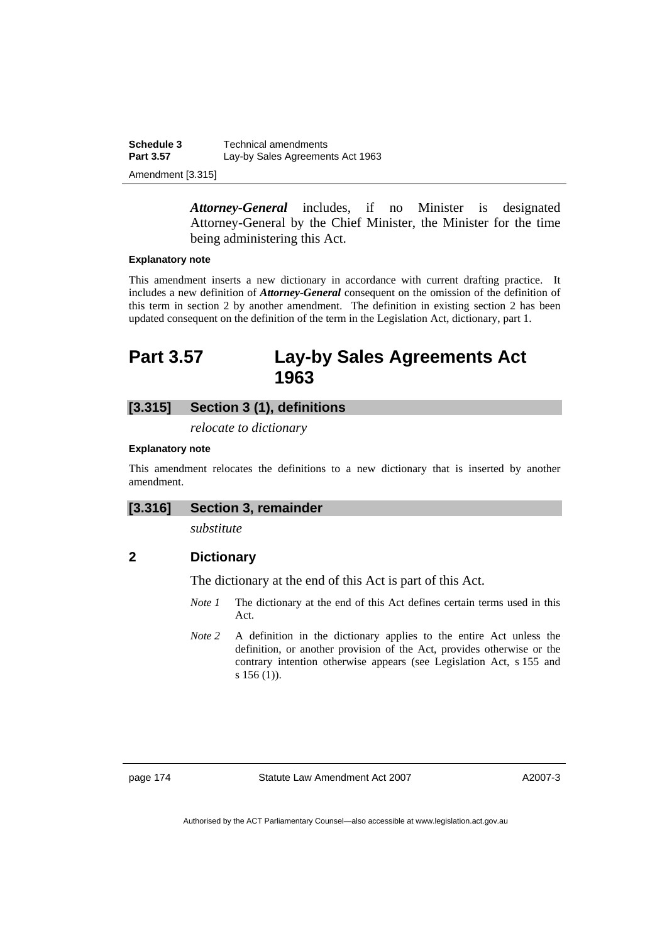**Schedule 3 Technical amendments**<br>**Part 3.57 Lay-by Sales Agreement** Lay-by Sales Agreements Act 1963 Amendment [3.315]

> *Attorney-General* includes, if no Minister is designated Attorney-General by the Chief Minister, the Minister for the time being administering this Act.

#### **Explanatory note**

This amendment inserts a new dictionary in accordance with current drafting practice. It includes a new definition of *Attorney-General* consequent on the omission of the definition of this term in section 2 by another amendment. The definition in existing section 2 has been updated consequent on the definition of the term in the Legislation Act, dictionary, part 1.

# **Part 3.57 Lay-by Sales Agreements Act 1963**

# **[3.315] Section 3 (1), definitions**

*relocate to dictionary* 

#### **Explanatory note**

This amendment relocates the definitions to a new dictionary that is inserted by another amendment.

### **[3.316] Section 3, remainder**

*substitute* 

# **2 Dictionary**

The dictionary at the end of this Act is part of this Act.

- *Note 1* The dictionary at the end of this Act defines certain terms used in this Act.
- *Note 2* A definition in the dictionary applies to the entire Act unless the definition, or another provision of the Act, provides otherwise or the contrary intention otherwise appears (see Legislation Act, s 155 and s 156 (1)).

page 174 Statute Law Amendment Act 2007

A2007-3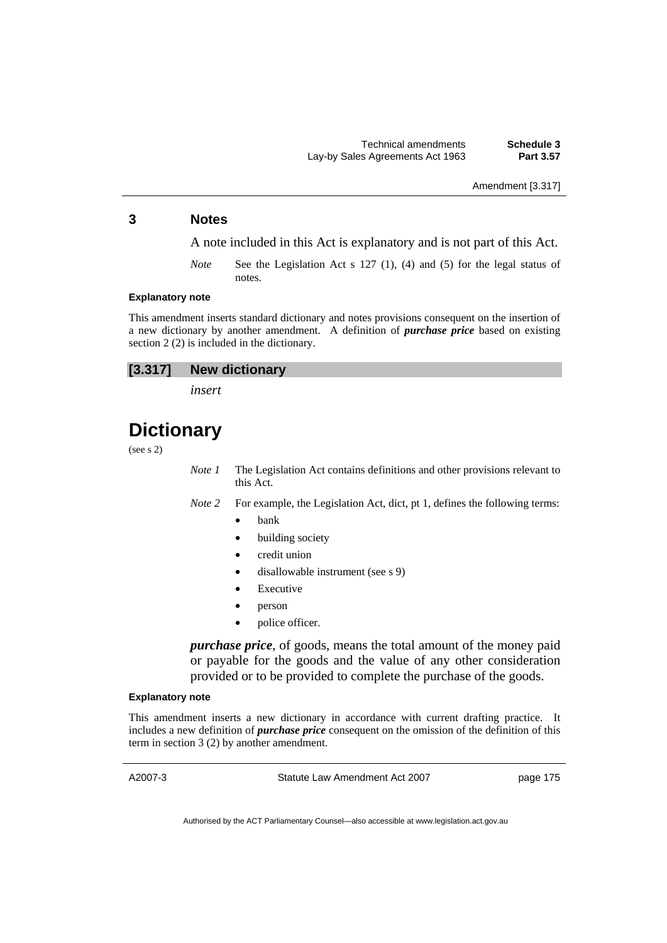Amendment [3.317]

# **3 Notes**

A note included in this Act is explanatory and is not part of this Act.

*Note* See the Legislation Act s 127 (1), (4) and (5) for the legal status of notes.

#### **Explanatory note**

This amendment inserts standard dictionary and notes provisions consequent on the insertion of a new dictionary by another amendment. A definition of *purchase price* based on existing section 2 (2) is included in the dictionary.

*insert* 

# **Dictionary**

(see s 2)

*Note 1* The Legislation Act contains definitions and other provisions relevant to this Act.

*Note 2* For example, the Legislation Act, dict, pt 1, defines the following terms:

- **bank**
- building society
- credit union
- disallowable instrument (see s 9)
- **Executive**
- person
- police officer.

*purchase price*, of goods, means the total amount of the money paid or payable for the goods and the value of any other consideration provided or to be provided to complete the purchase of the goods.

#### **Explanatory note**

This amendment inserts a new dictionary in accordance with current drafting practice. It includes a new definition of *purchase price* consequent on the omission of the definition of this term in section 3 (2) by another amendment.

A2007-3

Statute Law Amendment Act 2007

page 175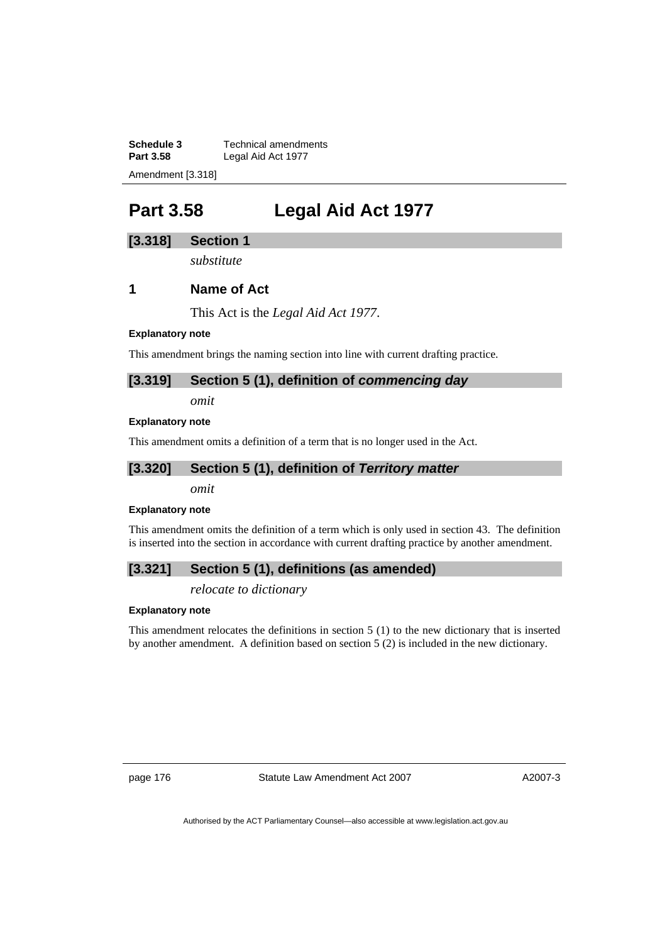**Schedule 3 Technical amendments**<br>**Part 3.58 Legal Aid Act 1977** Legal Aid Act 1977 Amendment [3.318]

# **Part 3.58 Legal Aid Act 1977**

# **[3.318] Section 1**

*substitute* 

# **1 Name of Act**

This Act is the *Legal Aid Act 1977*.

#### **Explanatory note**

This amendment brings the naming section into line with current drafting practice.

### **[3.319] Section 5 (1), definition of** *commencing day*

*omit* 

#### **Explanatory note**

This amendment omits a definition of a term that is no longer used in the Act.

#### **[3.320] Section 5 (1), definition of** *Territory matter*

*omit* 

#### **Explanatory note**

This amendment omits the definition of a term which is only used in section 43. The definition is inserted into the section in accordance with current drafting practice by another amendment.

# **[3.321] Section 5 (1), definitions (as amended)**

*relocate to dictionary* 

#### **Explanatory note**

This amendment relocates the definitions in section 5 (1) to the new dictionary that is inserted by another amendment. A definition based on section 5 (2) is included in the new dictionary.

page 176 Statute Law Amendment Act 2007

A2007-3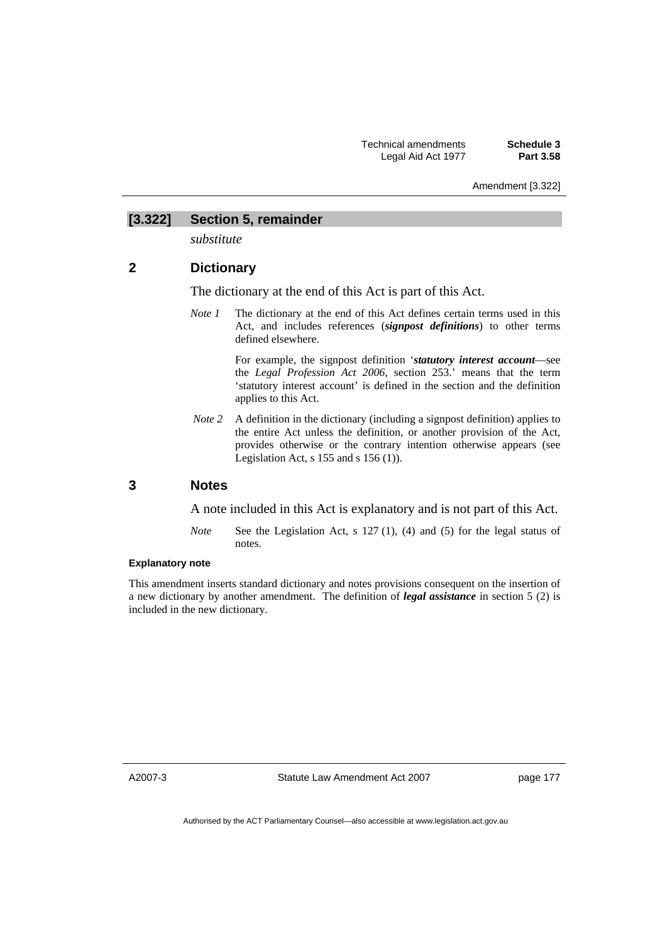Amendment [3.322]

### **[3.322] Section 5, remainder**

*substitute* 

# **2 Dictionary**

The dictionary at the end of this Act is part of this Act.

*Note 1* The dictionary at the end of this Act defines certain terms used in this Act, and includes references (*signpost definitions*) to other terms defined elsewhere.

> For example, the signpost definition '*statutory interest account*—see the *Legal Profession Act 2006*, section 253.' means that the term 'statutory interest account' is defined in the section and the definition applies to this Act.

*Note 2* A definition in the dictionary (including a signpost definition) applies to the entire Act unless the definition, or another provision of the Act, provides otherwise or the contrary intention otherwise appears (see Legislation Act, s 155 and s 156 (1)).

# **3 Notes**

A note included in this Act is explanatory and is not part of this Act.

*Note* See the Legislation Act, s 127 (1), (4) and (5) for the legal status of notes.

#### **Explanatory note**

This amendment inserts standard dictionary and notes provisions consequent on the insertion of a new dictionary by another amendment. The definition of *legal assistance* in section 5 (2) is included in the new dictionary.

A2007-3

Statute Law Amendment Act 2007

page 177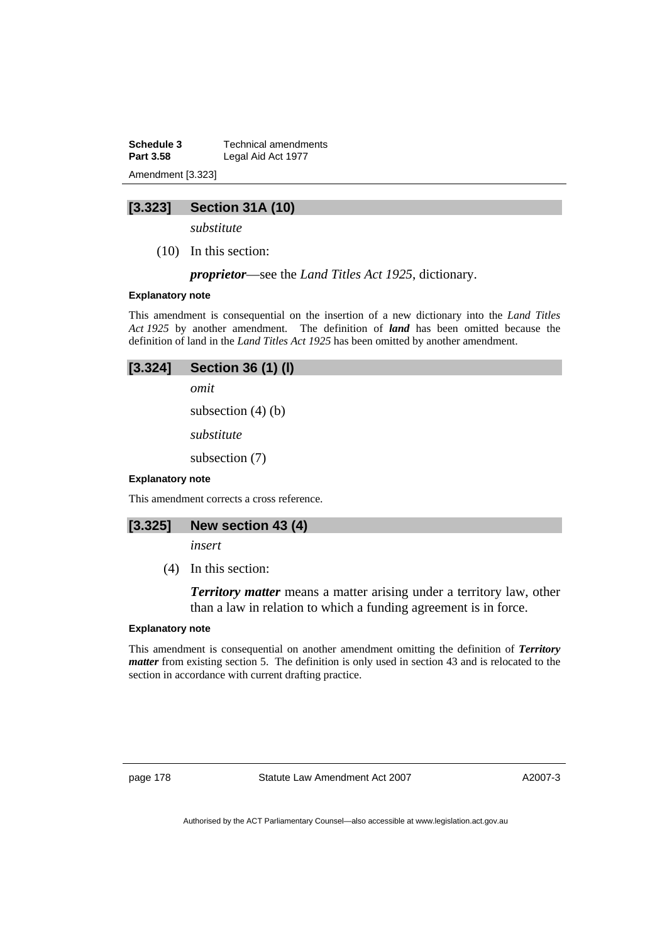**Schedule 3 Technical amendments**<br>**Part 3.58 Legal Aid Act 1977** Legal Aid Act 1977 Amendment [3.323]

# **[3.323] Section 31A (10)**

*substitute* 

(10) In this section:

*proprietor*—see the *Land Titles Act 1925*, dictionary.

#### **Explanatory note**

This amendment is consequential on the insertion of a new dictionary into the *Land Titles Act 1925* by another amendment. The definition of *land* has been omitted because the definition of land in the *Land Titles Act 1925* has been omitted by another amendment.

#### **[3.324] Section 36 (1) (l)**

*omit* 

subsection (4) (b)

*substitute* 

subsection (7)

#### **Explanatory note**

This amendment corrects a cross reference.

### **[3.325] New section 43 (4)**

*insert* 

(4) In this section:

*Territory matter* means a matter arising under a territory law, other than a law in relation to which a funding agreement is in force.

#### **Explanatory note**

This amendment is consequential on another amendment omitting the definition of *Territory matter* from existing section 5. The definition is only used in section 43 and is relocated to the section in accordance with current drafting practice.

page 178 Statute Law Amendment Act 2007

A2007-3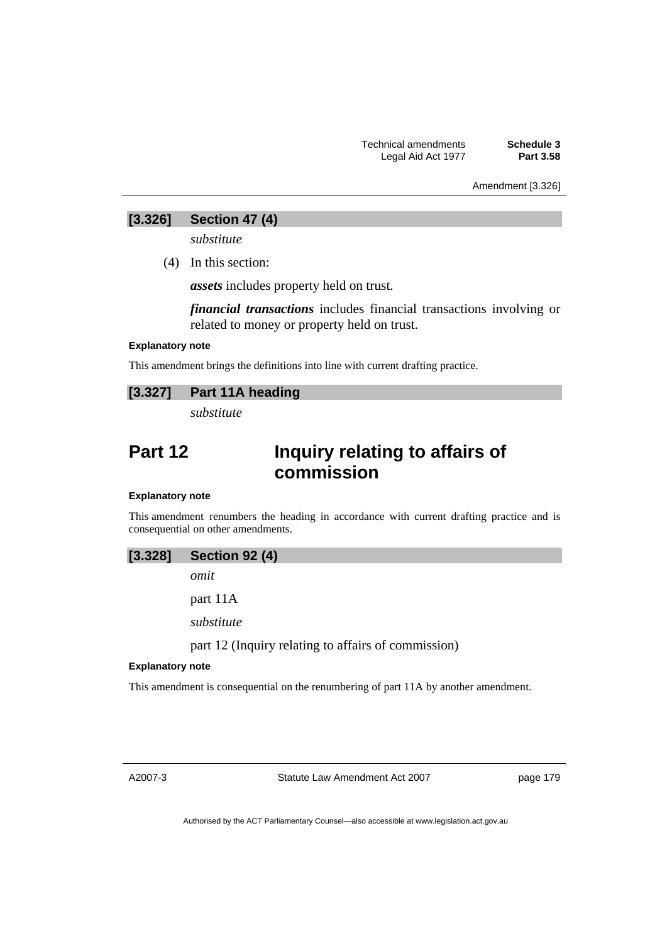Amendment [3.326]

# **[3.326] Section 47 (4)**

*substitute* 

(4) In this section:

*assets* includes property held on trust.

*financial transactions* includes financial transactions involving or related to money or property held on trust.

#### **Explanatory note**

This amendment brings the definitions into line with current drafting practice.

# **[3.327] Part 11A heading**

*substitute* 

# **Part 12 Inquiry relating to affairs of commission**

### **Explanatory note**

This amendment renumbers the heading in accordance with current drafting practice and is consequential on other amendments.

*omit* 

part 11A

*substitute* 

part 12 (Inquiry relating to affairs of commission)

#### **Explanatory note**

This amendment is consequential on the renumbering of part 11A by another amendment.

A2007-3

Statute Law Amendment Act 2007

page 179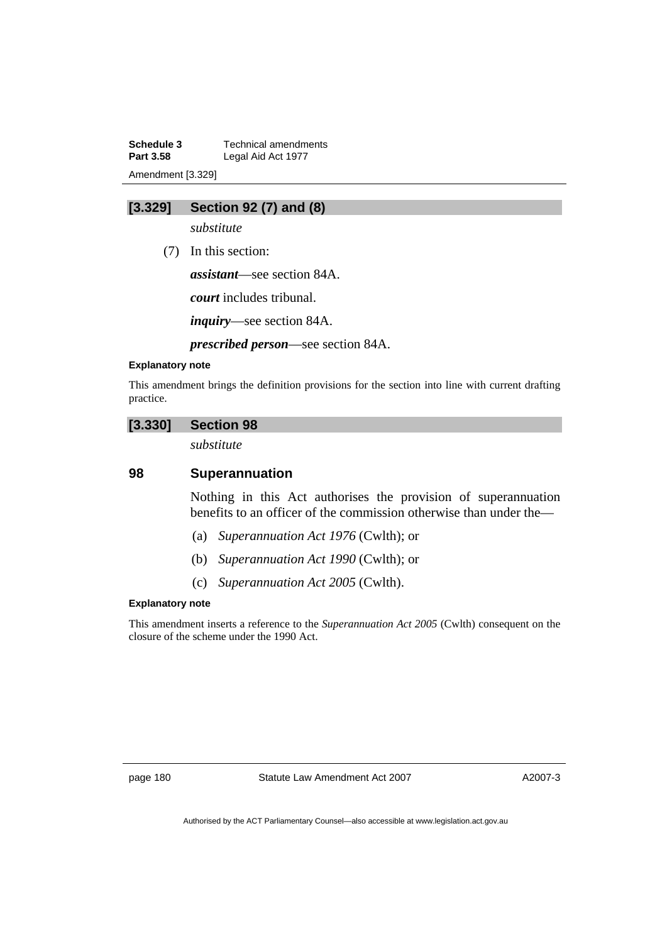**Schedule 3 Technical amendments**<br>**Part 3.58 Legal Aid Act 1977** Legal Aid Act 1977 Amendment [3.329]

# **[3.329] Section 92 (7) and (8)**

*substitute* 

(7) In this section:

*assistant*—see section 84A.

*court* includes tribunal.

*inquiry*—see section 84A.

*prescribed person*—see section 84A.

### **Explanatory note**

This amendment brings the definition provisions for the section into line with current drafting practice.

### **[3.330] Section 98**

*substitute* 

# **98 Superannuation**

Nothing in this Act authorises the provision of superannuation benefits to an officer of the commission otherwise than under the—

- (a) *Superannuation Act 1976* (Cwlth); or
- (b) *Superannuation Act 1990* (Cwlth); or
- (c) *Superannuation Act 2005* (Cwlth).

#### **Explanatory note**

This amendment inserts a reference to the *Superannuation Act 2005* (Cwlth) consequent on the closure of the scheme under the 1990 Act.

page 180 Statute Law Amendment Act 2007

A2007-3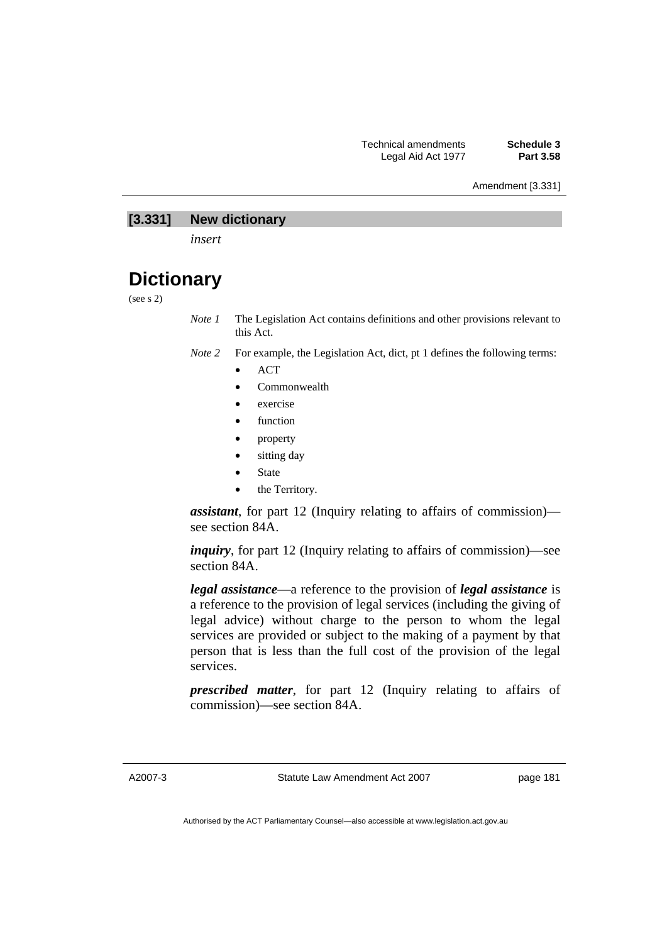#### Amendment [3.331]

# **[3.331] New dictionary**

*insert* 

# **Dictionary**

(see s 2)

*Note 1* The Legislation Act contains definitions and other provisions relevant to this Act.

- *Note 2* For example, the Legislation Act, dict, pt 1 defines the following terms:
	- ACT
	- Commonwealth
	- exercise
	- function
	- property
	- sitting day
	- **State**
	- the Territory.

*assistant*, for part 12 (Inquiry relating to affairs of commission) see section 84A.

*inquiry*, for part 12 (Inquiry relating to affairs of commission)—see section 84A.

*legal assistance*—a reference to the provision of *legal assistance* is a reference to the provision of legal services (including the giving of legal advice) without charge to the person to whom the legal services are provided or subject to the making of a payment by that person that is less than the full cost of the provision of the legal services.

*prescribed matter*, for part 12 (Inquiry relating to affairs of commission)—see section 84A.

A2007-3

Statute Law Amendment Act 2007

page 181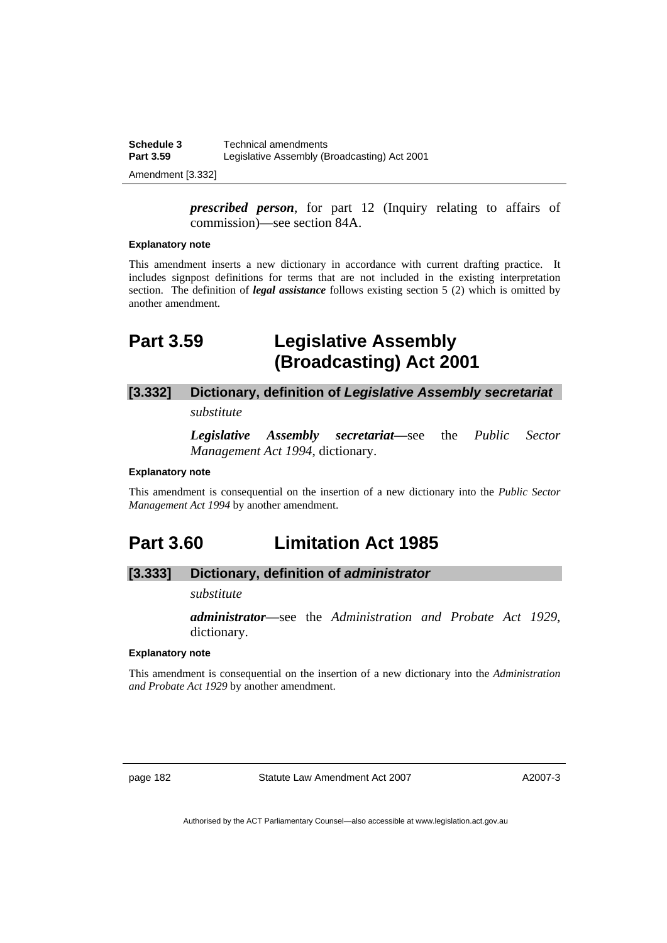| Schedule 3       | Technical amendments                         |
|------------------|----------------------------------------------|
| <b>Part 3.59</b> | Legislative Assembly (Broadcasting) Act 2001 |
|                  |                                              |

Amendment [3.332]

*prescribed person*, for part 12 (Inquiry relating to affairs of commission)—see section 84A.

#### **Explanatory note**

This amendment inserts a new dictionary in accordance with current drafting practice. It includes signpost definitions for terms that are not included in the existing interpretation section. The definition of *legal assistance* follows existing section 5 (2) which is omitted by another amendment.

# **Part 3.59 Legislative Assembly (Broadcasting) Act 2001**

# **[3.332] Dictionary, definition of** *Legislative Assembly secretariat*

*substitute* 

*Legislative Assembly secretariat***—**see the *Public Sector Management Act 1994*, dictionary.

#### **Explanatory note**

This amendment is consequential on the insertion of a new dictionary into the *Public Sector Management Act 1994* by another amendment.

# **Part 3.60 Limitation Act 1985**

# **[3.333] Dictionary, definition of** *administrator*

### *substitute*

*administrator*—see the *Administration and Probate Act 1929*, dictionary.

#### **Explanatory note**

This amendment is consequential on the insertion of a new dictionary into the *Administration and Probate Act 1929* by another amendment.

page 182 Statute Law Amendment Act 2007

A2007-3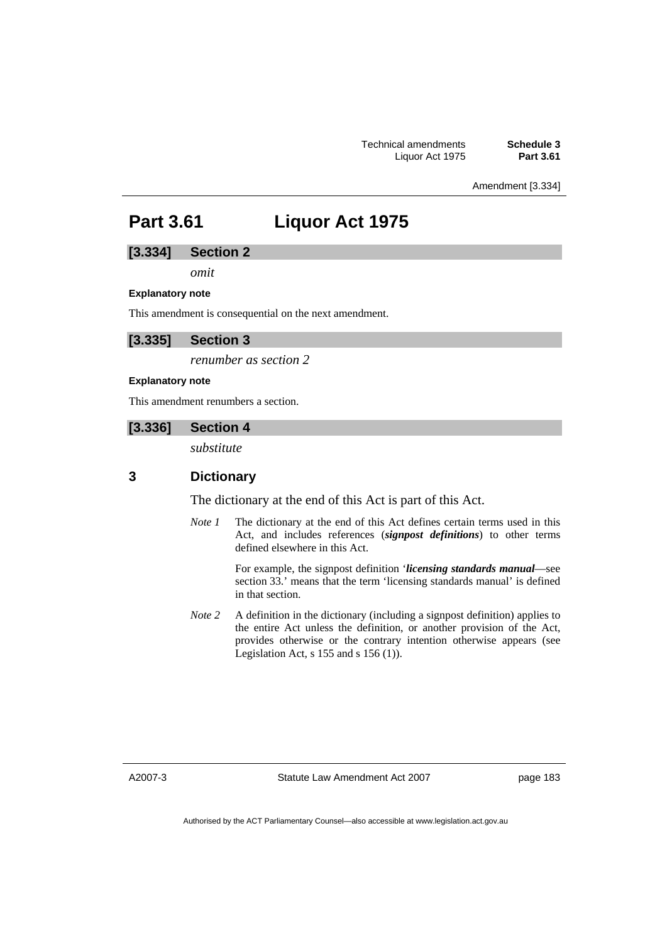Amendment [3.334]

# **Part 3.61 Liquor Act 1975**

# **[3.334] Section 2**

*omit* 

#### **Explanatory note**

This amendment is consequential on the next amendment.

# **[3.335] Section 3**

*renumber as section 2* 

#### **Explanatory note**

This amendment renumbers a section.

#### **[3.336] Section 4**

*substitute* 

# **3 Dictionary**

The dictionary at the end of this Act is part of this Act.

*Note 1* The dictionary at the end of this Act defines certain terms used in this Act, and includes references (*signpost definitions*) to other terms defined elsewhere in this Act.

> For example, the signpost definition '*licensing standards manual*—see section 33.' means that the term 'licensing standards manual' is defined in that section.

*Note* 2 A definition in the dictionary (including a signpost definition) applies to the entire Act unless the definition, or another provision of the Act, provides otherwise or the contrary intention otherwise appears (see Legislation Act,  $s$  155 and  $s$  156 (1)).

A2007-3

Statute Law Amendment Act 2007

page 183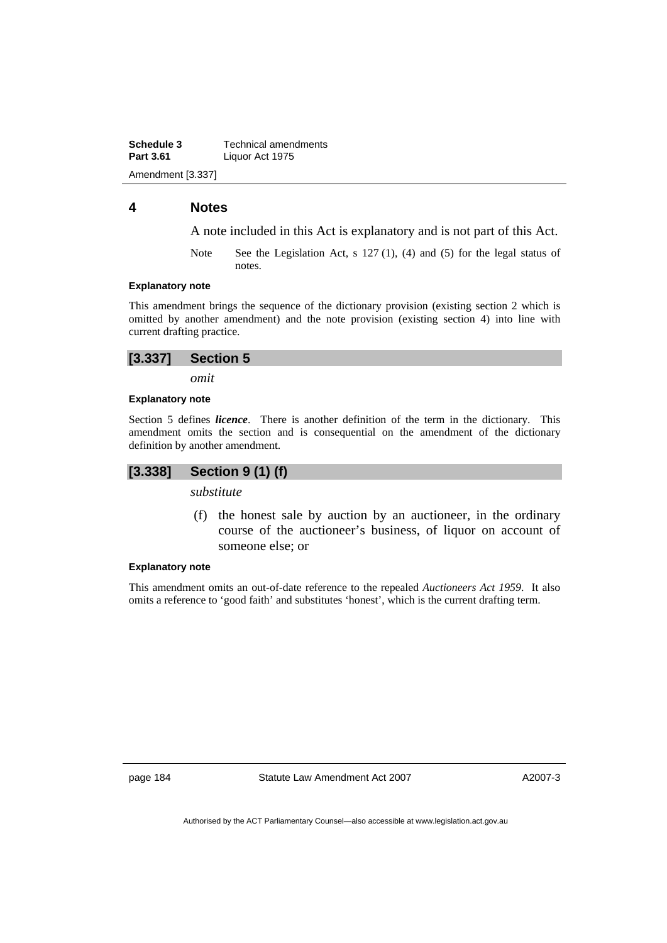**Schedule 3 Technical amendments**<br>**Part 3.61 Liquor Act 1975 Part 3.61** Liquor Act 1975 Amendment [3.337]

# **4 Notes**

A note included in this Act is explanatory and is not part of this Act.

Note See the Legislation Act, s 127 (1), (4) and (5) for the legal status of notes.

#### **Explanatory note**

This amendment brings the sequence of the dictionary provision (existing section 2 which is omitted by another amendment) and the note provision (existing section 4) into line with current drafting practice.

*omit* 

#### **Explanatory note**

Section 5 defines *licence*. There is another definition of the term in the dictionary. This amendment omits the section and is consequential on the amendment of the dictionary definition by another amendment.

# **[3.338] Section 9 (1) (f)**

*substitute* 

 (f) the honest sale by auction by an auctioneer, in the ordinary course of the auctioneer's business, of liquor on account of someone else; or

#### **Explanatory note**

This amendment omits an out-of-date reference to the repealed *Auctioneers Act 1959*. It also omits a reference to 'good faith' and substitutes 'honest', which is the current drafting term.

page 184 Statute Law Amendment Act 2007

A2007-3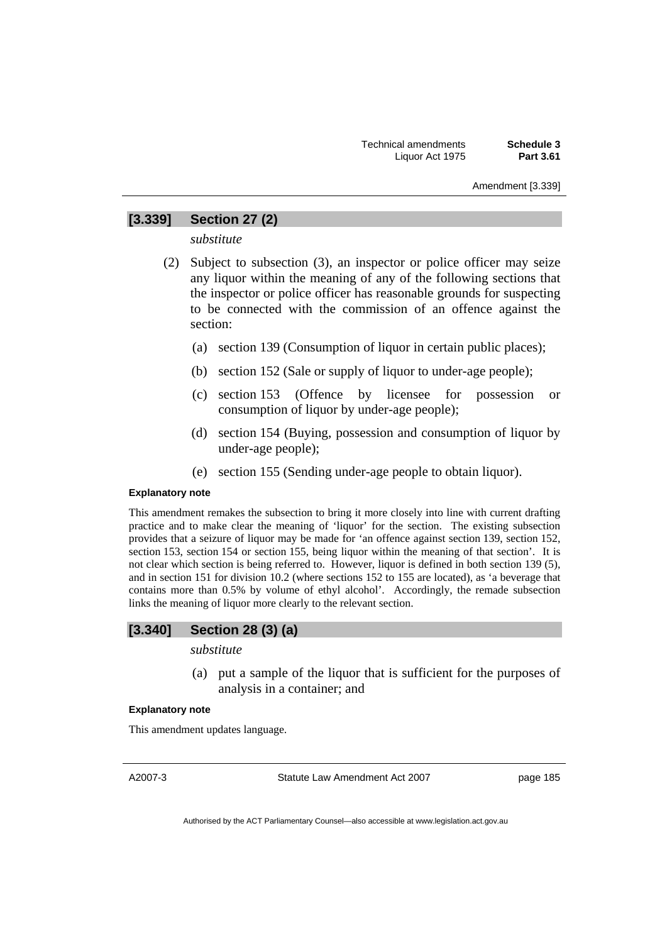#### Amendment [3.339]

# **[3.339] Section 27 (2)**

*substitute* 

- (2) Subject to subsection (3), an inspector or police officer may seize any liquor within the meaning of any of the following sections that the inspector or police officer has reasonable grounds for suspecting to be connected with the commission of an offence against the section:
	- (a) section 139 (Consumption of liquor in certain public places);
	- (b) section 152 (Sale or supply of liquor to under-age people);
	- (c) section 153 (Offence by licensee for possession or consumption of liquor by under-age people);
	- (d) section 154 (Buying, possession and consumption of liquor by under-age people);
	- (e) section 155 (Sending under-age people to obtain liquor).

#### **Explanatory note**

This amendment remakes the subsection to bring it more closely into line with current drafting practice and to make clear the meaning of 'liquor' for the section. The existing subsection provides that a seizure of liquor may be made for 'an offence against section 139, section 152, section 153, section 154 or section 155, being liquor within the meaning of that section'. It is not clear which section is being referred to. However, liquor is defined in both section 139 (5), and in section 151 for division 10.2 (where sections 152 to 155 are located), as 'a beverage that contains more than 0.5% by volume of ethyl alcohol'. Accordingly, the remade subsection links the meaning of liquor more clearly to the relevant section.

### **[3.340] Section 28 (3) (a)**

#### *substitute*

 (a) put a sample of the liquor that is sufficient for the purposes of analysis in a container; and

#### **Explanatory note**

This amendment updates language.

A2007-3

Statute Law Amendment Act 2007

page 185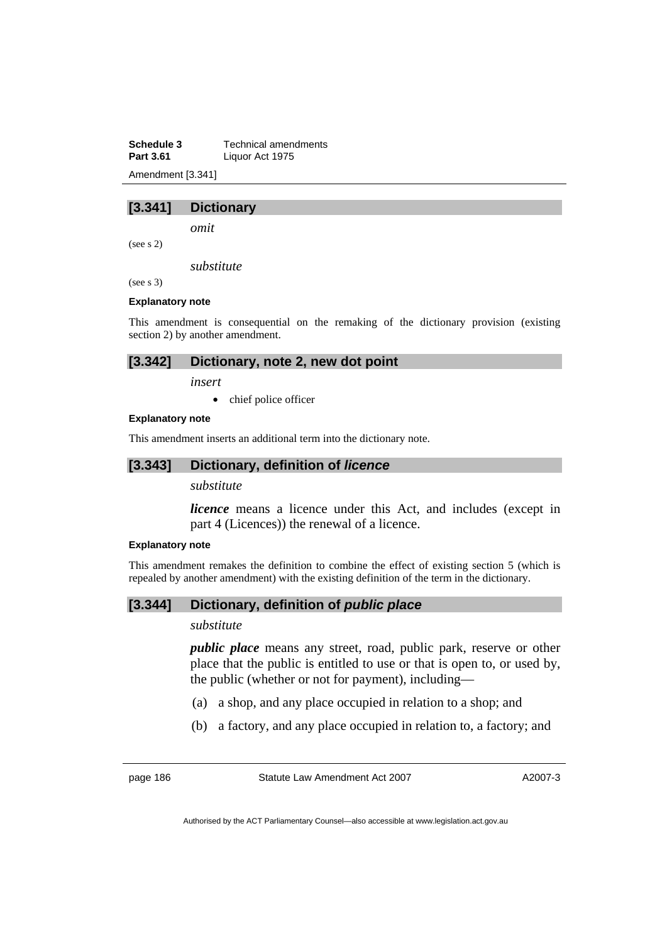**Schedule 3 Technical amendments**<br>**Part 3.61 Liquor Act 1975 Part 3.61** Liquor Act 1975 Amendment [3.341]

# **[3.341] Dictionary**

*omit* 

(see s 2)

*substitute* 

(see s 3)

#### **Explanatory note**

This amendment is consequential on the remaking of the dictionary provision (existing section 2) by another amendment.

### **[3.342] Dictionary, note 2, new dot point**

*insert* 

• chief police officer

#### **Explanatory note**

This amendment inserts an additional term into the dictionary note.

### **[3.343] Dictionary, definition of** *licence*

### *substitute*

*licence* means a licence under this Act, and includes (except in part 4 (Licences)) the renewal of a licence.

#### **Explanatory note**

This amendment remakes the definition to combine the effect of existing section 5 (which is repealed by another amendment) with the existing definition of the term in the dictionary.

# **[3.344] Dictionary, definition of** *public place*

### *substitute*

*public place* means any street, road, public park, reserve or other place that the public is entitled to use or that is open to, or used by, the public (whether or not for payment), including—

- (a) a shop, and any place occupied in relation to a shop; and
- (b) a factory, and any place occupied in relation to, a factory; and

page 186 Statute Law Amendment Act 2007

A2007-3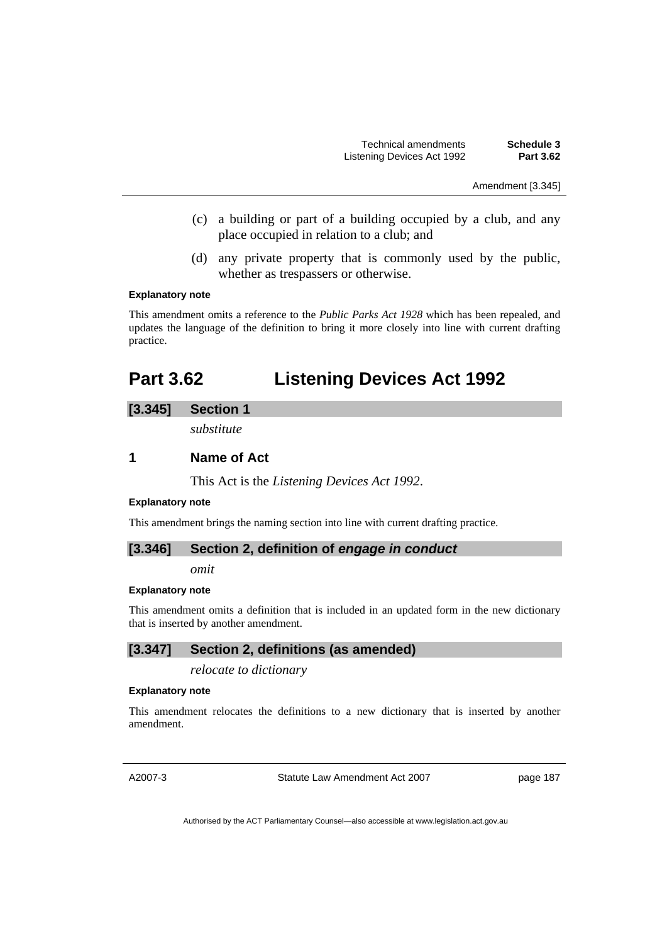Amendment [3.345]

- (c) a building or part of a building occupied by a club, and any place occupied in relation to a club; and
- (d) any private property that is commonly used by the public, whether as trespassers or otherwise.

#### **Explanatory note**

This amendment omits a reference to the *Public Parks Act 1928* which has been repealed, and updates the language of the definition to bring it more closely into line with current drafting practice.

# **Part 3.62 Listening Devices Act 1992**

# **[3.345] Section 1**

*substitute* 

# **1 Name of Act**

This Act is the *Listening Devices Act 1992*.

#### **Explanatory note**

This amendment brings the naming section into line with current drafting practice.

### **[3.346] Section 2, definition of** *engage in conduct*

*omit* 

#### **Explanatory note**

This amendment omits a definition that is included in an updated form in the new dictionary that is inserted by another amendment.

# **[3.347] Section 2, definitions (as amended)**

*relocate to dictionary* 

#### **Explanatory note**

This amendment relocates the definitions to a new dictionary that is inserted by another amendment.

A2007-3

Statute Law Amendment Act 2007

page 187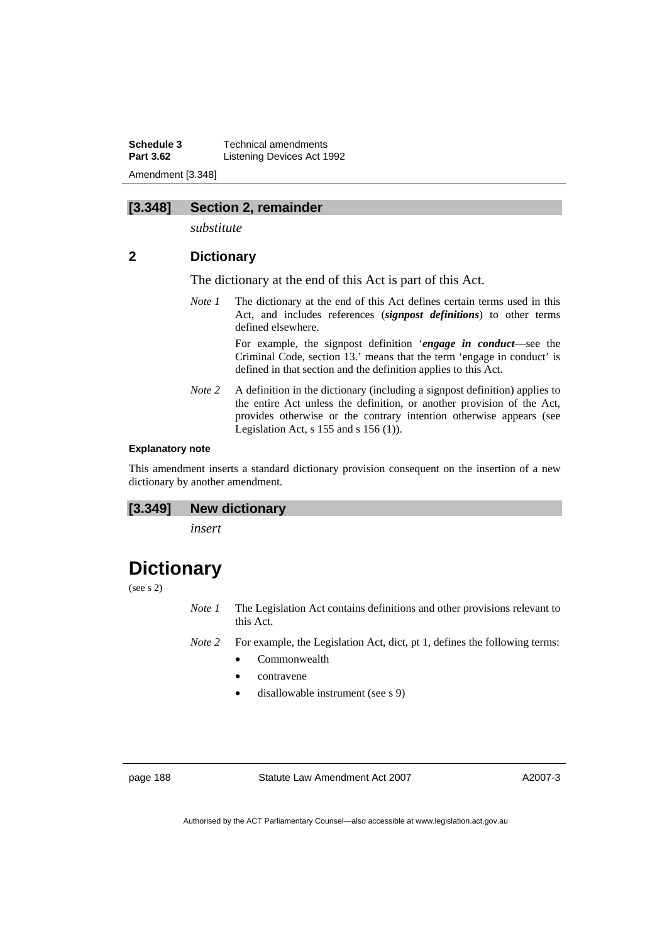**Schedule 3 Technical amendments**<br>**Part 3.62 Listening Devices Act 1 Listening Devices Act 1992** Amendment [3.348]

# **[3.348] Section 2, remainder**

*substitute* 

# **2 Dictionary**

The dictionary at the end of this Act is part of this Act.

*Note 1* The dictionary at the end of this Act defines certain terms used in this Act, and includes references (*signpost definitions*) to other terms defined elsewhere.

> For example, the signpost definition '*engage in conduct*—see the Criminal Code, section 13.' means that the term 'engage in conduct' is defined in that section and the definition applies to this Act.

*Note 2* A definition in the dictionary (including a signpost definition) applies to the entire Act unless the definition, or another provision of the Act, provides otherwise or the contrary intention otherwise appears (see Legislation Act,  $s$  155 and  $s$  156 (1)).

#### **Explanatory note**

This amendment inserts a standard dictionary provision consequent on the insertion of a new dictionary by another amendment.

#### **[3.349] New dictionary**

*insert* 

# **Dictionary**

(see s 2)

*Note 1* The Legislation Act contains definitions and other provisions relevant to this Act.

*Note 2* For example, the Legislation Act, dict, pt 1, defines the following terms:

- Commonwealth
- contravene
- disallowable instrument (see s 9)

page 188 Statute Law Amendment Act 2007

A2007-3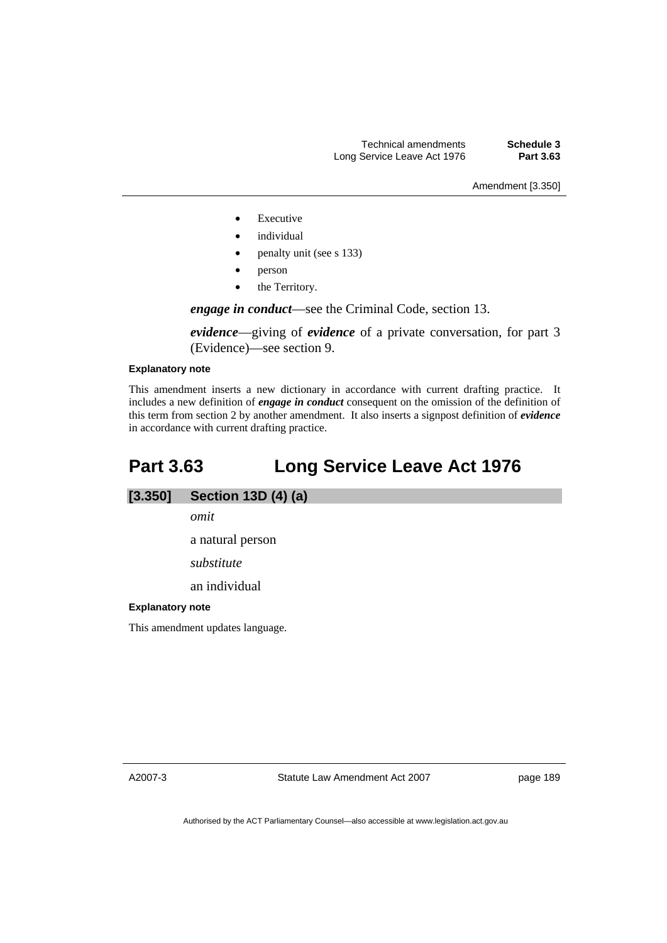Amendment [3.350]

- **Executive**
- *individual*
- penalty unit (see s 133)
- person
- the Territory.

*engage in conduct*—see the Criminal Code, section 13.

*evidence*—giving of *evidence* of a private conversation, for part 3 (Evidence)—see section 9.

#### **Explanatory note**

This amendment inserts a new dictionary in accordance with current drafting practice. It includes a new definition of *engage in conduct* consequent on the omission of the definition of this term from section 2 by another amendment. It also inserts a signpost definition of *evidence* in accordance with current drafting practice.

# **Part 3.63 Long Service Leave Act 1976**

# **[3.350] Section 13D (4) (a)**

*omit*  a natural person *substitute*  an individual

#### **Explanatory note**

This amendment updates language.

A2007-3

Statute Law Amendment Act 2007

page 189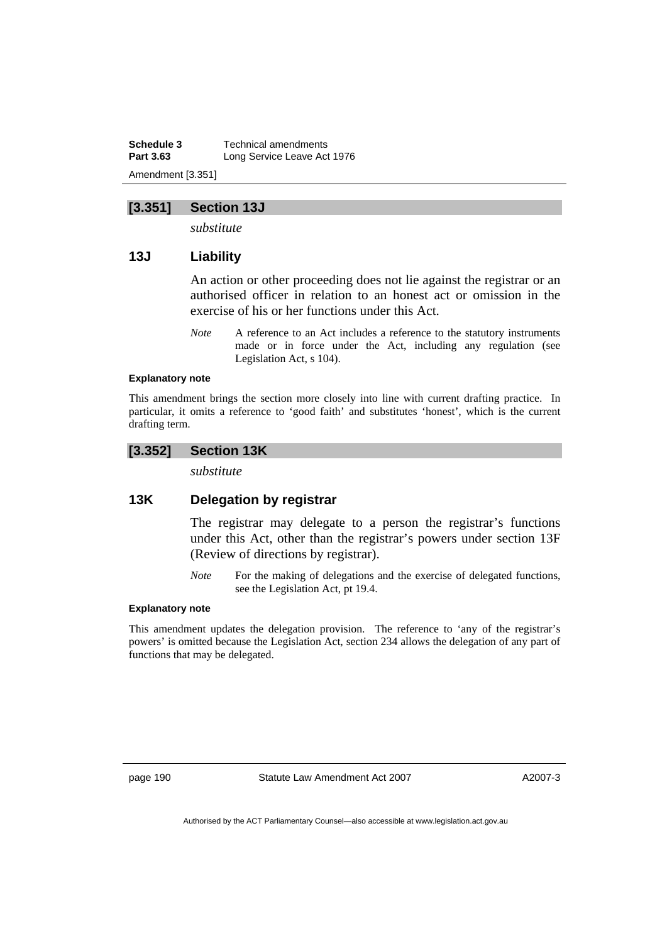**Schedule 3 Technical amendments**<br>**Part 3.63 Long Service Leave Act Long Service Leave Act 1976** Amendment [3.351]

# **[3.351] Section 13J**

*substitute* 

# **13J Liability**

An action or other proceeding does not lie against the registrar or an authorised officer in relation to an honest act or omission in the exercise of his or her functions under this Act.

*Note* A reference to an Act includes a reference to the statutory instruments made or in force under the Act, including any regulation (see Legislation Act, s 104).

#### **Explanatory note**

This amendment brings the section more closely into line with current drafting practice. In particular, it omits a reference to 'good faith' and substitutes 'honest', which is the current drafting term.

# **[3.352] Section 13K**

*substitute* 

# **13K Delegation by registrar**

The registrar may delegate to a person the registrar's functions under this Act, other than the registrar's powers under section 13F (Review of directions by registrar).

*Note* For the making of delegations and the exercise of delegated functions, see the Legislation Act, pt 19.4.

#### **Explanatory note**

This amendment updates the delegation provision. The reference to 'any of the registrar's powers' is omitted because the Legislation Act, section 234 allows the delegation of any part of functions that may be delegated.

page 190 Statute Law Amendment Act 2007

A2007-3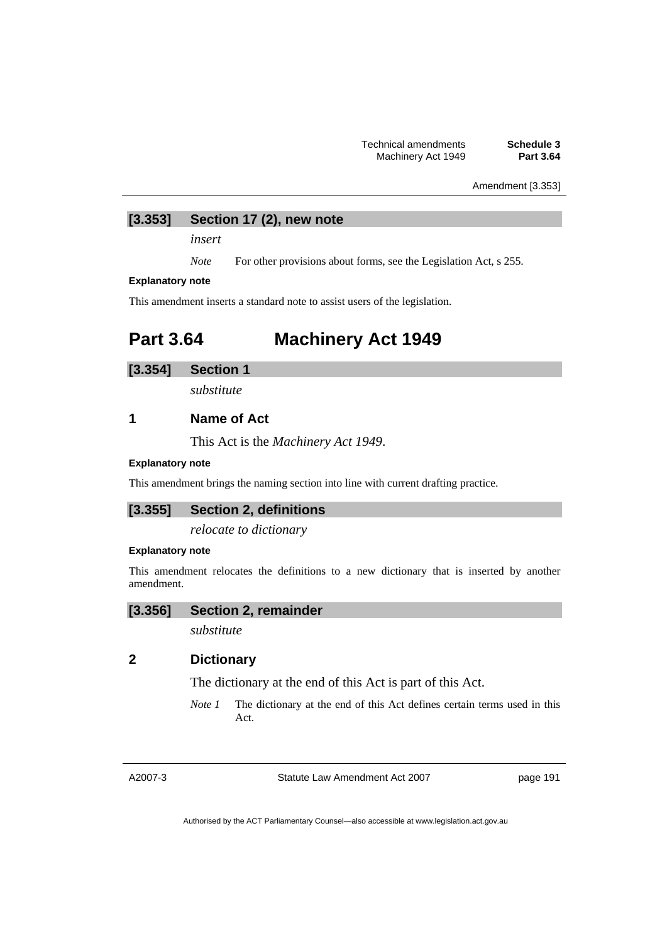Amendment [3.353]

# **[3.353] Section 17 (2), new note**

*insert* 

*Note* For other provisions about forms, see the Legislation Act, s 255.

#### **Explanatory note**

This amendment inserts a standard note to assist users of the legislation.

# **Part 3.64 Machinery Act 1949**

# **[3.354] Section 1**

*substitute* 

# **1 Name of Act**

This Act is the *Machinery Act 1949*.

#### **Explanatory note**

This amendment brings the naming section into line with current drafting practice.

# **[3.355] Section 2, definitions**

*relocate to dictionary* 

#### **Explanatory note**

This amendment relocates the definitions to a new dictionary that is inserted by another amendment.

### **[3.356] Section 2, remainder**

*substitute* 

# **2 Dictionary**

The dictionary at the end of this Act is part of this Act.

*Note 1* The dictionary at the end of this Act defines certain terms used in this Act.

A2007-3

Statute Law Amendment Act 2007

page 191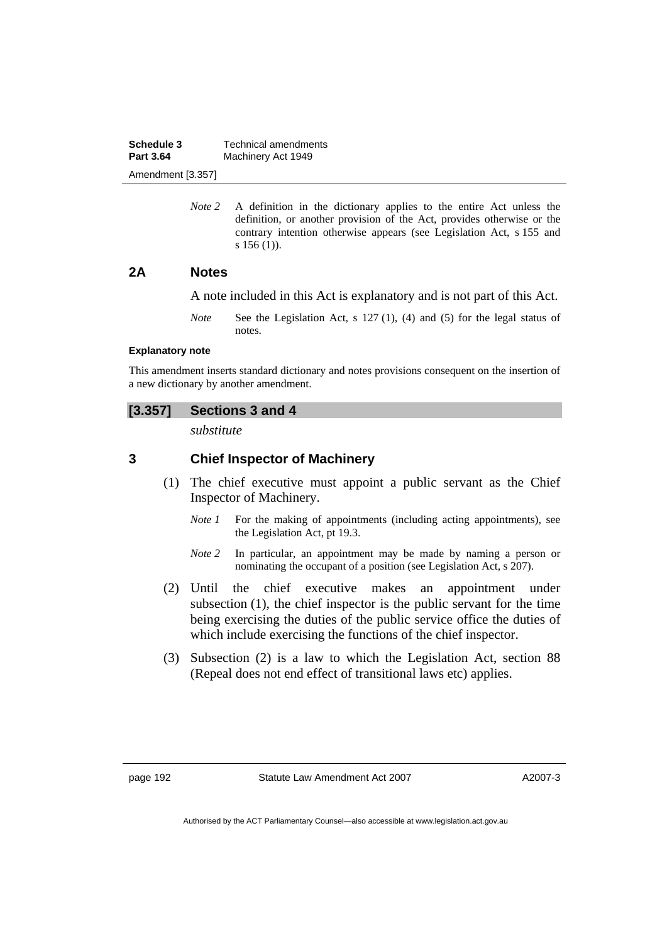| Schedule 3<br><b>Part 3.64</b> | Technical amendments |
|--------------------------------|----------------------|
|                                | Machinery Act 1949   |
| Amendment [3.357]              |                      |

*Note 2* A definition in the dictionary applies to the entire Act unless the definition, or another provision of the Act, provides otherwise or the contrary intention otherwise appears (see Legislation Act, s 155 and s 156 (1)).

### **2A Notes**

A note included in this Act is explanatory and is not part of this Act.

*Note* See the Legislation Act, s 127 (1), (4) and (5) for the legal status of notes.

#### **Explanatory note**

This amendment inserts standard dictionary and notes provisions consequent on the insertion of a new dictionary by another amendment.

# **[3.357] Sections 3 and 4**

*substitute* 

# **3 Chief Inspector of Machinery**

- (1) The chief executive must appoint a public servant as the Chief Inspector of Machinery.
	- *Note 1* For the making of appointments (including acting appointments), see the Legislation Act, pt 19.3.
	- *Note* 2 In particular, an appointment may be made by naming a person or nominating the occupant of a position (see Legislation Act, s 207).
- (2) Until the chief executive makes an appointment under subsection (1), the chief inspector is the public servant for the time being exercising the duties of the public service office the duties of which include exercising the functions of the chief inspector.
- (3) Subsection (2) is a law to which the Legislation Act, section 88 (Repeal does not end effect of transitional laws etc) applies.

A2007-3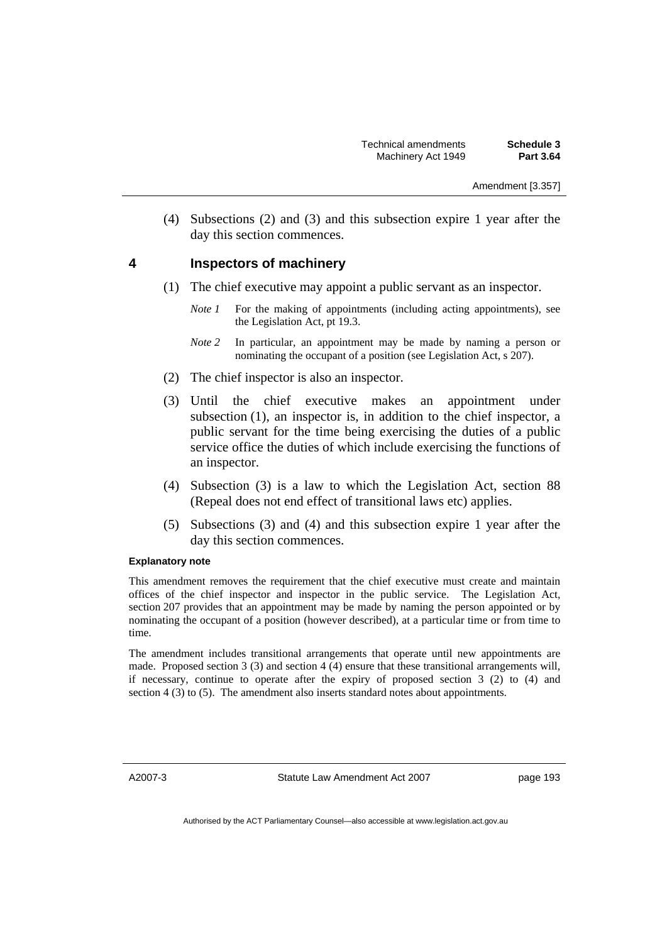(4) Subsections (2) and (3) and this subsection expire 1 year after the day this section commences.

# **4 Inspectors of machinery**

- (1) The chief executive may appoint a public servant as an inspector.
	- *Note 1* For the making of appointments (including acting appointments), see the Legislation Act, pt 19.3.
	- *Note 2* In particular, an appointment may be made by naming a person or nominating the occupant of a position (see Legislation Act, s 207).
- (2) The chief inspector is also an inspector.
- (3) Until the chief executive makes an appointment under subsection (1), an inspector is, in addition to the chief inspector, a public servant for the time being exercising the duties of a public service office the duties of which include exercising the functions of an inspector.
- (4) Subsection (3) is a law to which the Legislation Act, section 88 (Repeal does not end effect of transitional laws etc) applies.
- (5) Subsections (3) and (4) and this subsection expire 1 year after the day this section commences.

#### **Explanatory note**

This amendment removes the requirement that the chief executive must create and maintain offices of the chief inspector and inspector in the public service. The Legislation Act, section 207 provides that an appointment may be made by naming the person appointed or by nominating the occupant of a position (however described), at a particular time or from time to time.

The amendment includes transitional arrangements that operate until new appointments are made. Proposed section 3 (3) and section 4 (4) ensure that these transitional arrangements will, if necessary, continue to operate after the expiry of proposed section 3 (2) to (4) and section 4 (3) to (5). The amendment also inserts standard notes about appointments.

A2007-3

Statute Law Amendment Act 2007

page 193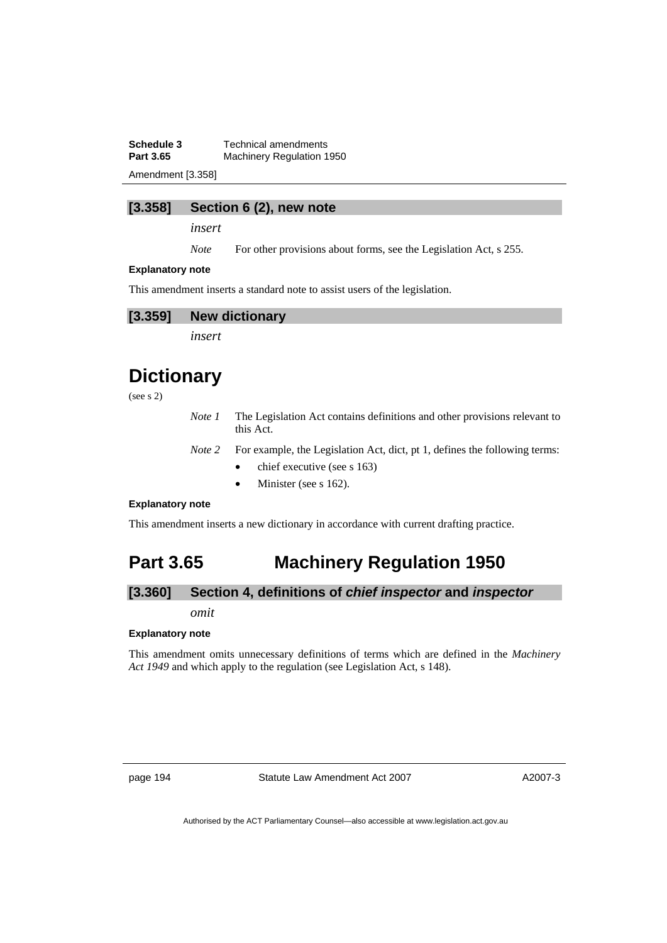**Schedule 3 Technical amendments**<br>**Part 3.65 Machinery Regulation 1 Machinery Regulation 1950** 

Amendment [3.358]

#### **[3.358] Section 6 (2), new note**

*insert* 

*Note* For other provisions about forms, see the Legislation Act, s 255.

#### **Explanatory note**

This amendment inserts a standard note to assist users of the legislation.



*insert* 

# **Dictionary**

(see s 2)

- *Note 1* The Legislation Act contains definitions and other provisions relevant to this Act.
- *Note 2* For example, the Legislation Act, dict, pt 1, defines the following terms:
	- chief executive (see s 163)
	- Minister (see s 162).

#### **Explanatory note**

This amendment inserts a new dictionary in accordance with current drafting practice.

# **Part 3.65 Machinery Regulation 1950**

# **[3.360] Section 4, definitions of** *chief inspector* **and** *inspector*

*omit* 

#### **Explanatory note**

This amendment omits unnecessary definitions of terms which are defined in the *Machinery Act 1949* and which apply to the regulation (see Legislation Act, s 148).

page 194 Statute Law Amendment Act 2007

A2007-3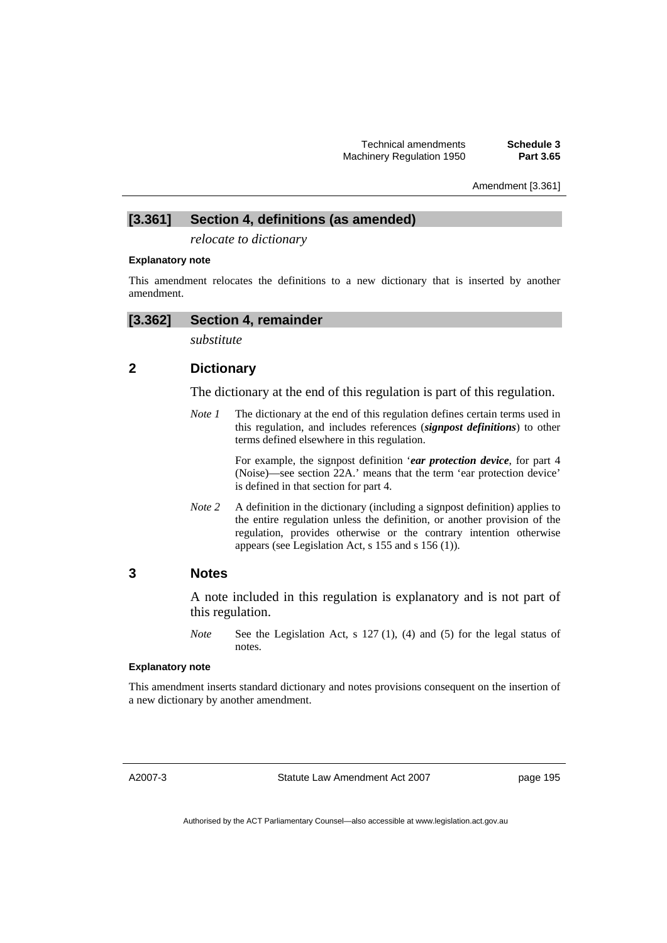Amendment [3.361]

# **[3.361] Section 4, definitions (as amended)**

*relocate to dictionary* 

#### **Explanatory note**

This amendment relocates the definitions to a new dictionary that is inserted by another amendment.

# **[3.362] Section 4, remainder**

*substitute* 

# **2 Dictionary**

The dictionary at the end of this regulation is part of this regulation.

*Note 1* The dictionary at the end of this regulation defines certain terms used in this regulation, and includes references (*signpost definitions*) to other terms defined elsewhere in this regulation.

> For example, the signpost definition '*ear protection device*, for part 4 (Noise)—see section 22A.' means that the term 'ear protection device' is defined in that section for part 4.

*Note 2* A definition in the dictionary (including a signpost definition) applies to the entire regulation unless the definition, or another provision of the regulation, provides otherwise or the contrary intention otherwise appears (see Legislation Act, s 155 and s 156 (1)).

# **3 Notes**

A note included in this regulation is explanatory and is not part of this regulation.

*Note* See the Legislation Act, s 127 (1), (4) and (5) for the legal status of notes.

### **Explanatory note**

This amendment inserts standard dictionary and notes provisions consequent on the insertion of a new dictionary by another amendment.

A2007-3

Statute Law Amendment Act 2007

page 195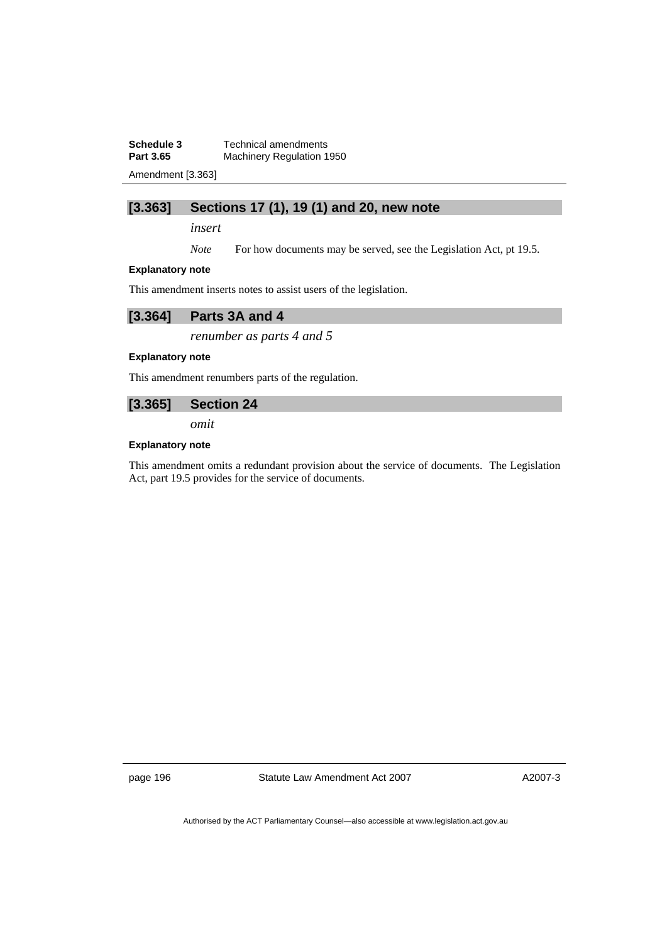**Schedule 3 Technical amendments**<br>**Part 3.65 Machinery Regulation 1 Machinery Regulation 1950** 

Amendment [3.363]

# **[3.363] Sections 17 (1), 19 (1) and 20, new note**

*insert* 

*Note* For how documents may be served, see the Legislation Act, pt 19.5.

#### **Explanatory note**

This amendment inserts notes to assist users of the legislation.

| [3.364] | Parts 3A and 4 |
|---------|----------------|
|---------|----------------|

*renumber as parts 4 and 5* 

#### **Explanatory note**

This amendment renumbers parts of the regulation.

# **[3.365] Section 24**

*omit* 

#### **Explanatory note**

This amendment omits a redundant provision about the service of documents. The Legislation Act, part 19.5 provides for the service of documents.

page 196 Statute Law Amendment Act 2007

A2007-3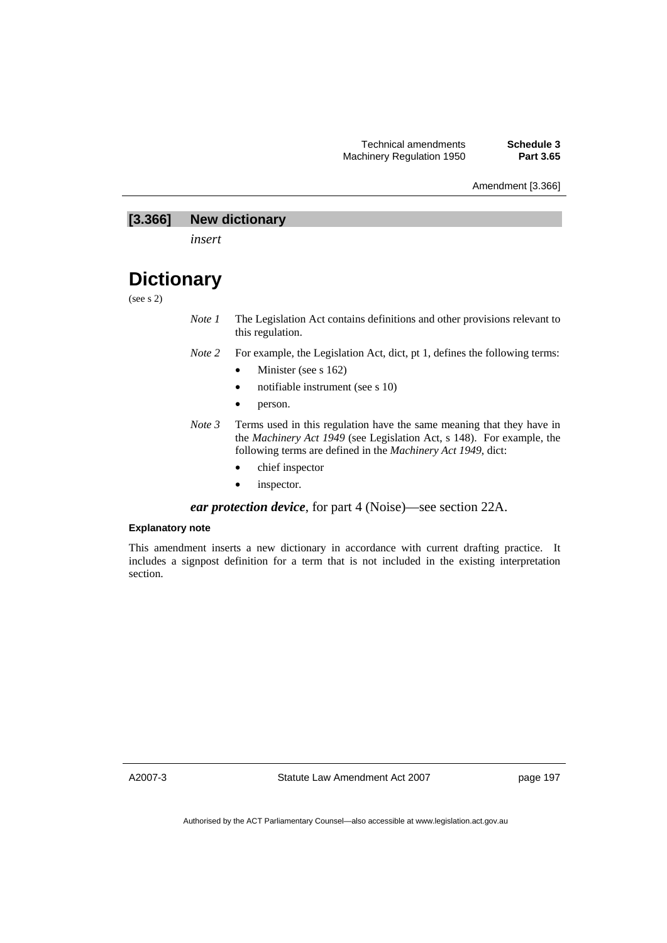#### Amendment [3.366]

# **[3.366] New dictionary**

*insert* 

# **Dictionary**

(see s 2)

- *Note 1* The Legislation Act contains definitions and other provisions relevant to this regulation.
- *Note 2* For example, the Legislation Act, dict, pt 1, defines the following terms:
	- Minister (see s 162)
	- notifiable instrument (see s 10)
	- person.
- *Note 3* Terms used in this regulation have the same meaning that they have in the *Machinery Act 1949* (see Legislation Act, s 148). For example, the following terms are defined in the *Machinery Act 1949*, dict:
	- chief inspector
	- inspector.

*ear protection device*, for part 4 (Noise)—see section 22A.

#### **Explanatory note**

This amendment inserts a new dictionary in accordance with current drafting practice. It includes a signpost definition for a term that is not included in the existing interpretation section.

A2007-3

Statute Law Amendment Act 2007

page 197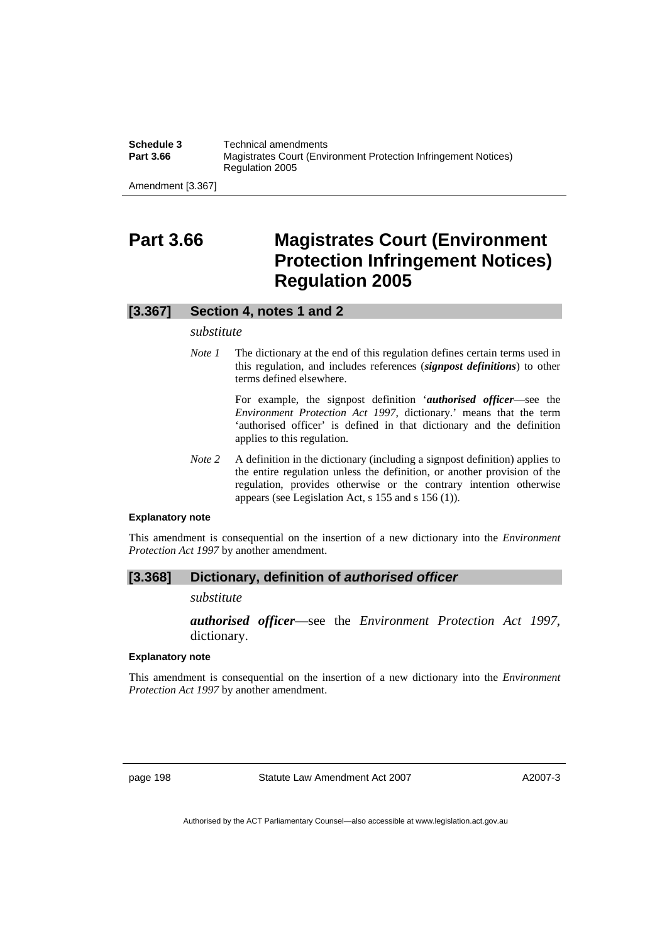**Schedule 3 Technical amendments**<br>**Part 3.66 Magistrates Court (Environgle Magistrates Court (Environment Protection Infringement Notices)** Regulation 2005

Amendment [3.367]

# **Part 3.66 Magistrates Court (Environment Protection Infringement Notices) Regulation 2005**

### **[3.367] Section 4, notes 1 and 2**

#### *substitute*

*Note 1* The dictionary at the end of this regulation defines certain terms used in this regulation, and includes references (*signpost definitions*) to other terms defined elsewhere.

> For example, the signpost definition '*authorised officer*—see the *Environment Protection Act 1997*, dictionary.' means that the term 'authorised officer' is defined in that dictionary and the definition applies to this regulation.

*Note 2* A definition in the dictionary (including a signpost definition) applies to the entire regulation unless the definition, or another provision of the regulation, provides otherwise or the contrary intention otherwise appears (see Legislation Act, s 155 and s 156 (1)).

#### **Explanatory note**

This amendment is consequential on the insertion of a new dictionary into the *Environment Protection Act 1997* by another amendment.

#### **[3.368] Dictionary, definition of** *authorised officer*

#### *substitute*

*authorised officer*—see the *Environment Protection Act 1997*, dictionary.

#### **Explanatory note**

This amendment is consequential on the insertion of a new dictionary into the *Environment Protection Act 1997* by another amendment.

page 198 Statute Law Amendment Act 2007

A2007-3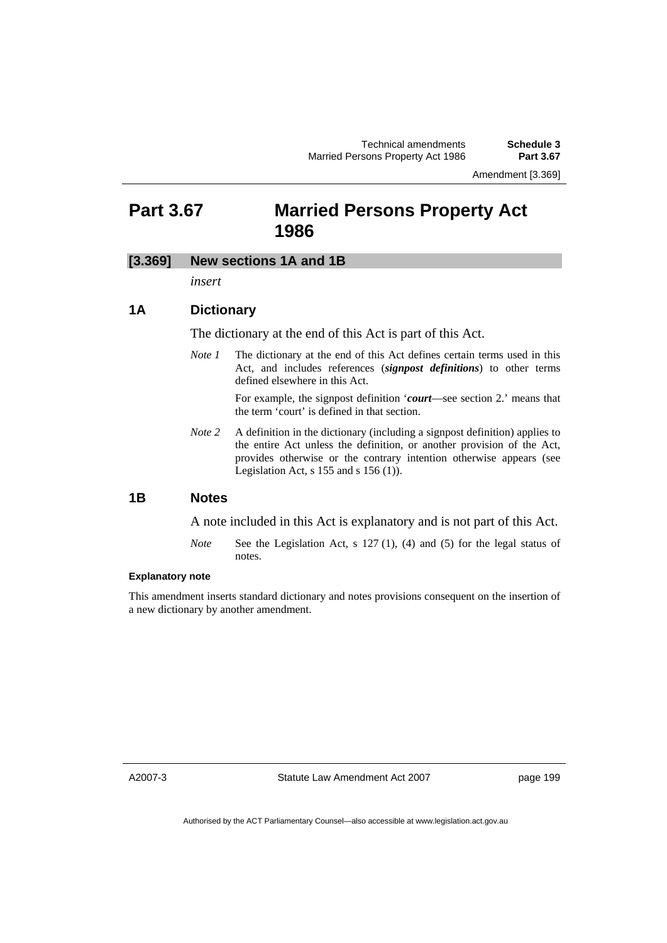Amendment [3.369]

# **Part 3.67 Married Persons Property Act 1986**

# **[3.369] New sections 1A and 1B**

*insert* 

### **1A Dictionary**

The dictionary at the end of this Act is part of this Act.

*Note 1* The dictionary at the end of this Act defines certain terms used in this Act, and includes references (*signpost definitions*) to other terms defined elsewhere in this Act.

> For example, the signpost definition '*court*—see section 2.' means that the term 'court' is defined in that section.

*Note* 2 A definition in the dictionary (including a signpost definition) applies to the entire Act unless the definition, or another provision of the Act, provides otherwise or the contrary intention otherwise appears (see Legislation Act,  $s$  155 and  $s$  156 (1)).

### **1B Notes**

A note included in this Act is explanatory and is not part of this Act.

*Note* See the Legislation Act, s 127 (1), (4) and (5) for the legal status of notes.

#### **Explanatory note**

This amendment inserts standard dictionary and notes provisions consequent on the insertion of a new dictionary by another amendment.

A2007-3

Statute Law Amendment Act 2007

page 199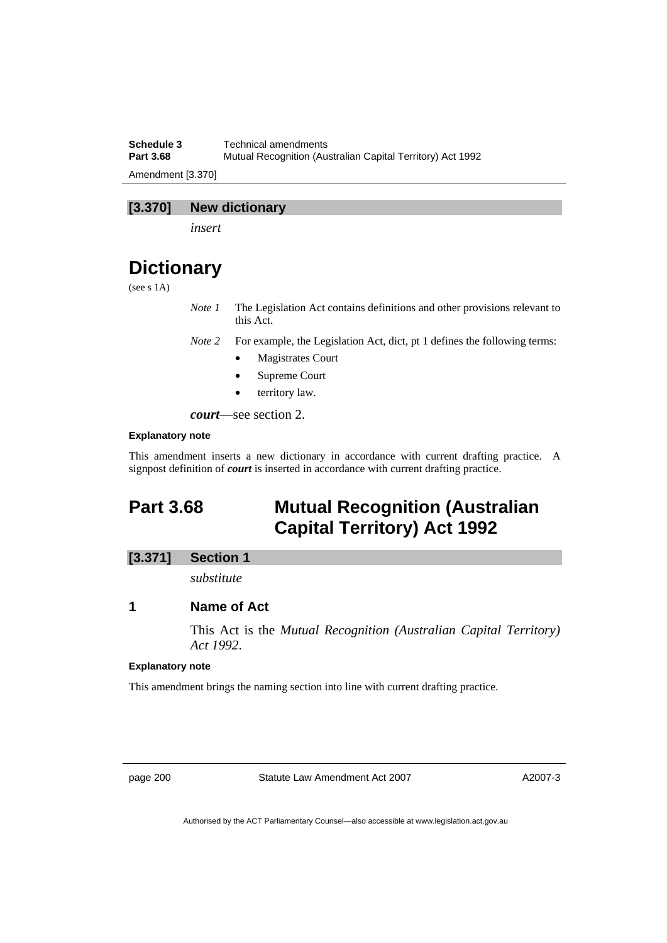**Schedule 3 Technical amendments**<br>**Part 3.68 Mutual Recognition (Australian**) **Part 3.68** Mutual Recognition (Australian Capital Territory) Act 1992 Amendment [3.370]

# **[3.370] New dictionary**

*insert* 

# **Dictionary**

(see s 1A)

*Note 1* The Legislation Act contains definitions and other provisions relevant to this Act.

*Note 2* For example, the Legislation Act, dict, pt 1 defines the following terms:

- Magistrates Court
- Supreme Court
- territory law.

*court*—see section 2.

#### **Explanatory note**

This amendment inserts a new dictionary in accordance with current drafting practice. A signpost definition of *court* is inserted in accordance with current drafting practice.

# **Part 3.68 Mutual Recognition (Australian Capital Territory) Act 1992**

# **[3.371] Section 1**

*substitute* 

# **1 Name of Act**

This Act is the *Mutual Recognition (Australian Capital Territory) Act 1992*.

#### **Explanatory note**

This amendment brings the naming section into line with current drafting practice.

page 200 Statute Law Amendment Act 2007

A2007-3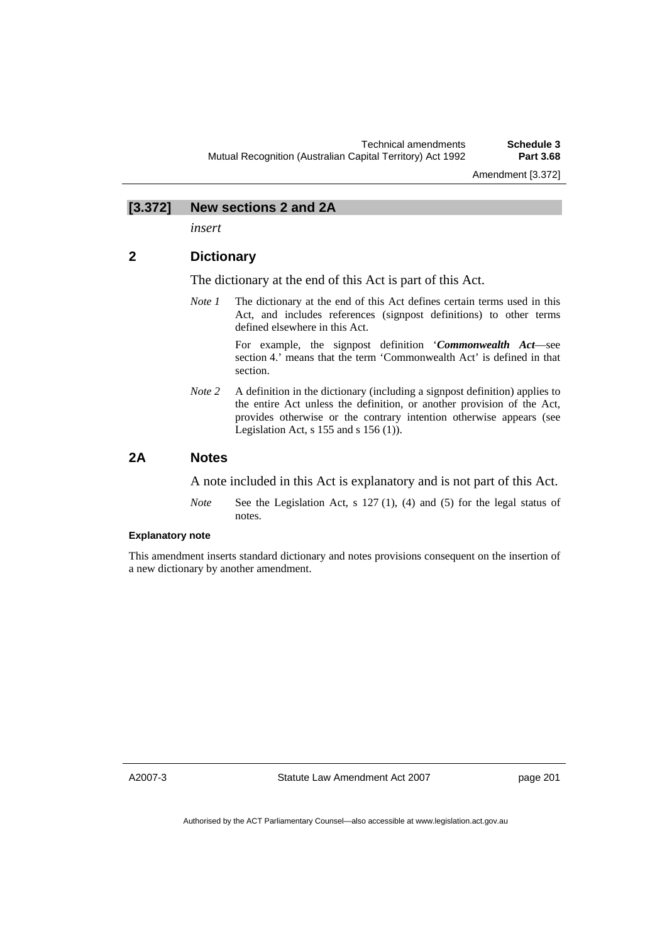#### **[3.372] New sections 2 and 2A**

*insert* 

# **2 Dictionary**

The dictionary at the end of this Act is part of this Act.

*Note 1* The dictionary at the end of this Act defines certain terms used in this Act, and includes references (signpost definitions) to other terms defined elsewhere in this Act.

> For example, the signpost definition '*Commonwealth Act*—see section 4.' means that the term 'Commonwealth Act' is defined in that section.

*Note 2* A definition in the dictionary (including a signpost definition) applies to the entire Act unless the definition, or another provision of the Act, provides otherwise or the contrary intention otherwise appears (see Legislation Act,  $s$  155 and  $s$  156 (1)).

### **2A Notes**

A note included in this Act is explanatory and is not part of this Act.

*Note* See the Legislation Act, s 127 (1), (4) and (5) for the legal status of notes.

#### **Explanatory note**

This amendment inserts standard dictionary and notes provisions consequent on the insertion of a new dictionary by another amendment.

A2007-3

Statute Law Amendment Act 2007

page 201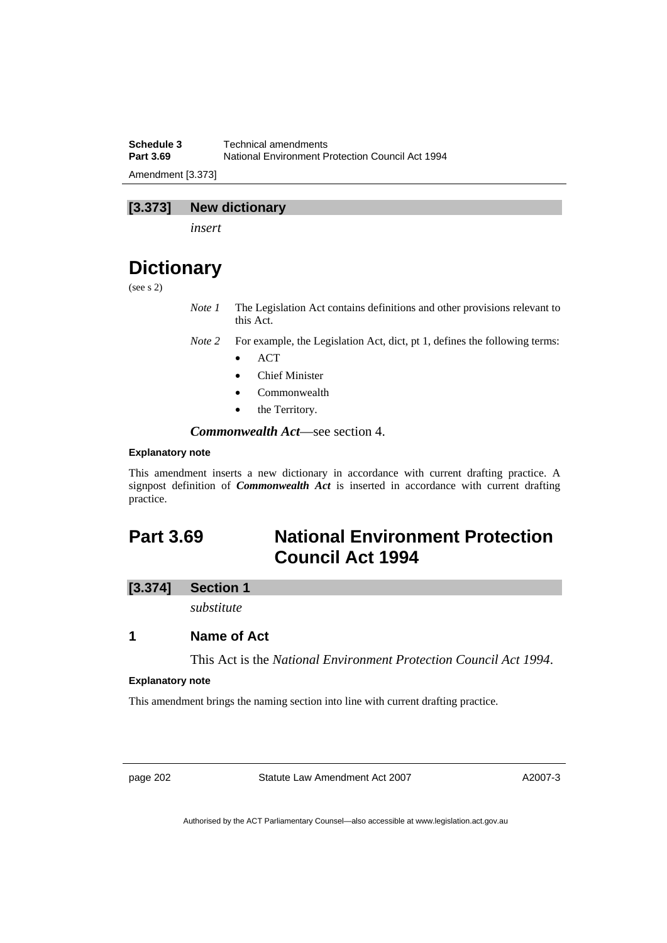**Schedule 3 Technical amendments**<br>**Part 3.69 National Environment P National Environment Protection Council Act 1994** Amendment [3.373]

# **[3.373] New dictionary**

*insert* 

# **Dictionary**

(see s 2)

*Note 1* The Legislation Act contains definitions and other provisions relevant to this Act.

*Note 2* For example, the Legislation Act, dict, pt 1, defines the following terms:

- ACT
- Chief Minister
- Commonwealth
- the Territory.

*Commonwealth Act*—see section 4.

#### **Explanatory note**

This amendment inserts a new dictionary in accordance with current drafting practice. A signpost definition of *Commonwealth Act* is inserted in accordance with current drafting practice.

# **Part 3.69 National Environment Protection Council Act 1994**

### **[3.374] Section 1**

*substitute* 

# **1 Name of Act**

This Act is the *National Environment Protection Council Act 1994*.

#### **Explanatory note**

This amendment brings the naming section into line with current drafting practice.

page 202 Statute Law Amendment Act 2007

A2007-3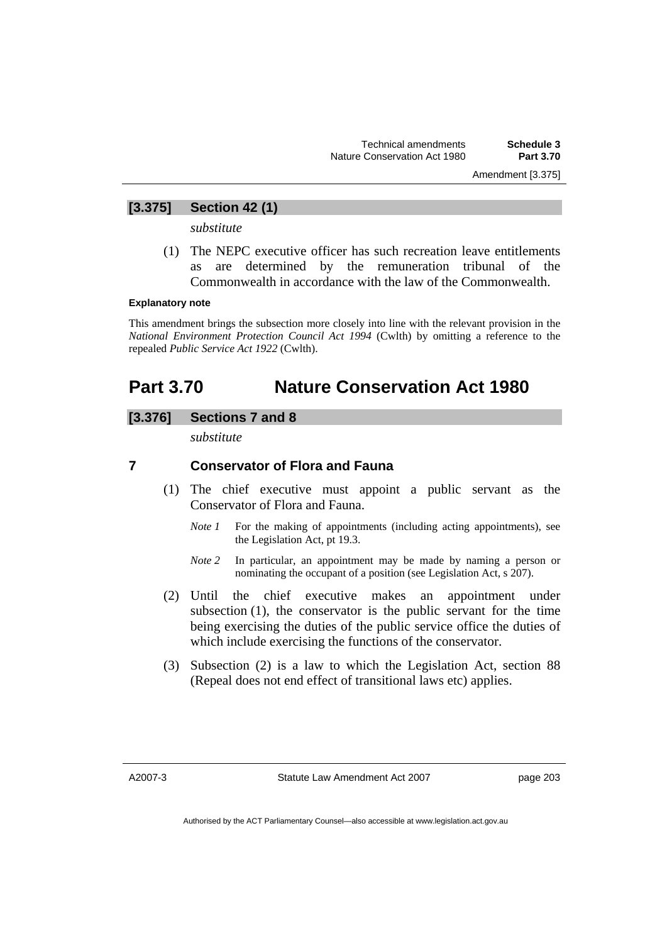Amendment [3.375]

# **[3.375] Section 42 (1)**

*substitute* 

 (1) The NEPC executive officer has such recreation leave entitlements as are determined by the remuneration tribunal of the Commonwealth in accordance with the law of the Commonwealth.

#### **Explanatory note**

This amendment brings the subsection more closely into line with the relevant provision in the *National Environment Protection Council Act 1994* (Cwlth) by omitting a reference to the repealed *Public Service Act 1922* (Cwlth).

# **Part 3.70 Nature Conservation Act 1980**

# **[3.376] Sections 7 and 8**

*substitute* 

# **7 Conservator of Flora and Fauna**

- (1) The chief executive must appoint a public servant as the Conservator of Flora and Fauna.
	- *Note 1* For the making of appointments (including acting appointments), see the Legislation Act, pt 19.3.
	- *Note 2* In particular, an appointment may be made by naming a person or nominating the occupant of a position (see Legislation Act, s 207).
- (2) Until the chief executive makes an appointment under subsection (1), the conservator is the public servant for the time being exercising the duties of the public service office the duties of which include exercising the functions of the conservator.
- (3) Subsection (2) is a law to which the Legislation Act, section 88 (Repeal does not end effect of transitional laws etc) applies.

A2007-3

page 203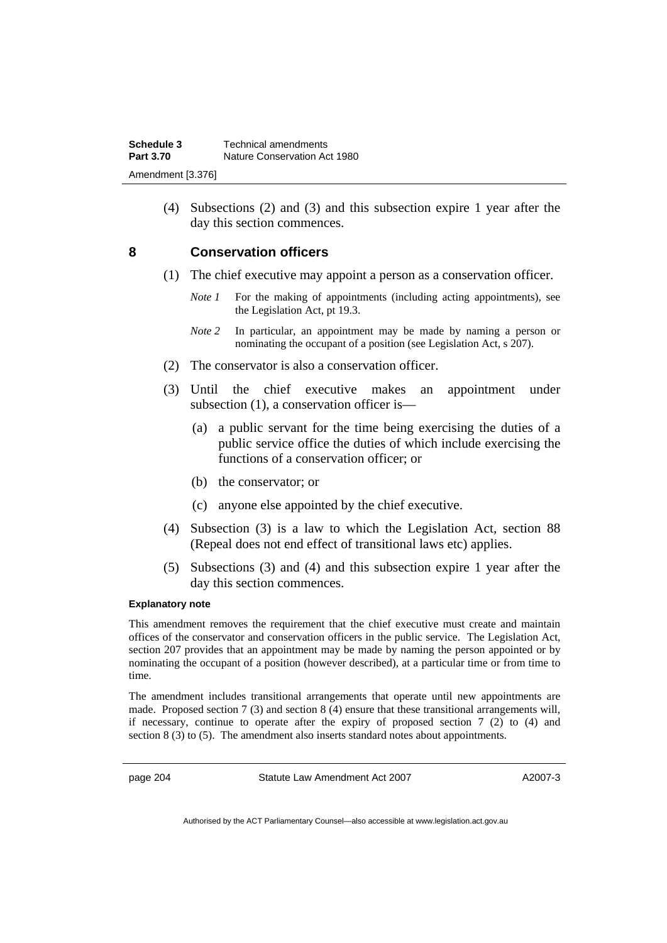(4) Subsections (2) and (3) and this subsection expire 1 year after the day this section commences.

# **8 Conservation officers**

- (1) The chief executive may appoint a person as a conservation officer.
	- *Note 1* For the making of appointments (including acting appointments), see the Legislation Act, pt 19.3.
	- *Note 2* In particular, an appointment may be made by naming a person or nominating the occupant of a position (see Legislation Act, s 207).
- (2) The conservator is also a conservation officer.
- (3) Until the chief executive makes an appointment under subsection (1), a conservation officer is—
	- (a) a public servant for the time being exercising the duties of a public service office the duties of which include exercising the functions of a conservation officer; or
	- (b) the conservator; or
	- (c) anyone else appointed by the chief executive.
- (4) Subsection (3) is a law to which the Legislation Act, section 88 (Repeal does not end effect of transitional laws etc) applies.
- (5) Subsections (3) and (4) and this subsection expire 1 year after the day this section commences.

#### **Explanatory note**

This amendment removes the requirement that the chief executive must create and maintain offices of the conservator and conservation officers in the public service. The Legislation Act, section 207 provides that an appointment may be made by naming the person appointed or by nominating the occupant of a position (however described), at a particular time or from time to time.

The amendment includes transitional arrangements that operate until new appointments are made. Proposed section 7 (3) and section 8 (4) ensure that these transitional arrangements will, if necessary, continue to operate after the expiry of proposed section  $7(2)$  to  $(4)$  and section 8 (3) to (5). The amendment also inserts standard notes about appointments.

page 204 Statute Law Amendment Act 2007

A2007-3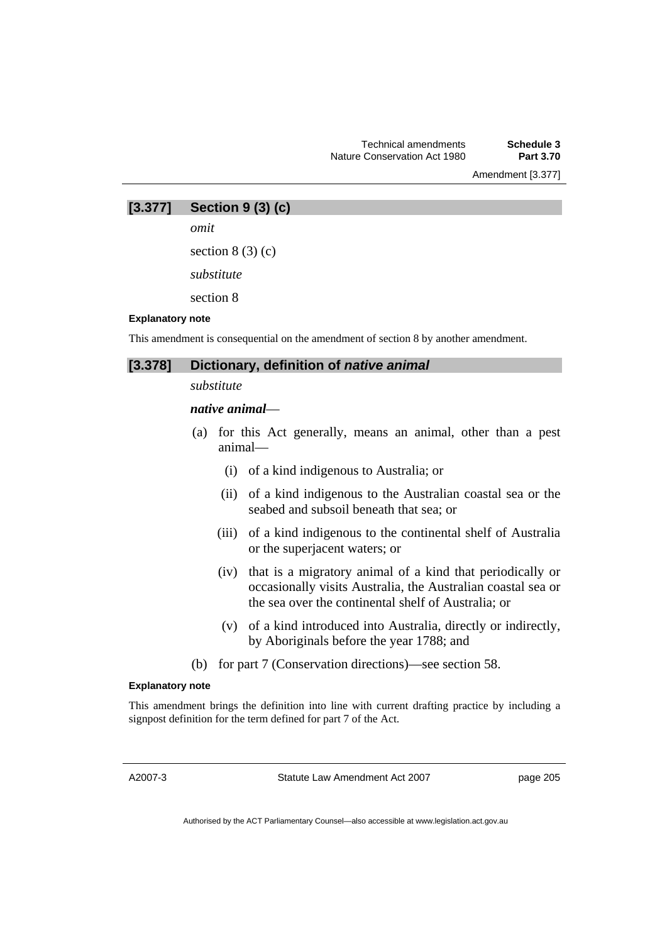Amendment [3.377]

**[3.377] Section 9 (3) (c)** 

*omit* 

section  $8(3)(c)$ 

*substitute* 

section 8

#### **Explanatory note**

This amendment is consequential on the amendment of section 8 by another amendment.

| [3.378] Dictionary, definition of native animal |
|-------------------------------------------------|
|                                                 |

*substitute* 

### *native animal*—

- (a) for this Act generally, means an animal, other than a pest animal—
	- (i) of a kind indigenous to Australia; or
	- (ii) of a kind indigenous to the Australian coastal sea or the seabed and subsoil beneath that sea; or
	- (iii) of a kind indigenous to the continental shelf of Australia or the superjacent waters; or
	- (iv) that is a migratory animal of a kind that periodically or occasionally visits Australia, the Australian coastal sea or the sea over the continental shelf of Australia; or
	- (v) of a kind introduced into Australia, directly or indirectly, by Aboriginals before the year 1788; and
- (b) for part 7 (Conservation directions)—see section 58.

#### **Explanatory note**

This amendment brings the definition into line with current drafting practice by including a signpost definition for the term defined for part 7 of the Act.

A2007-3

Statute Law Amendment Act 2007

page 205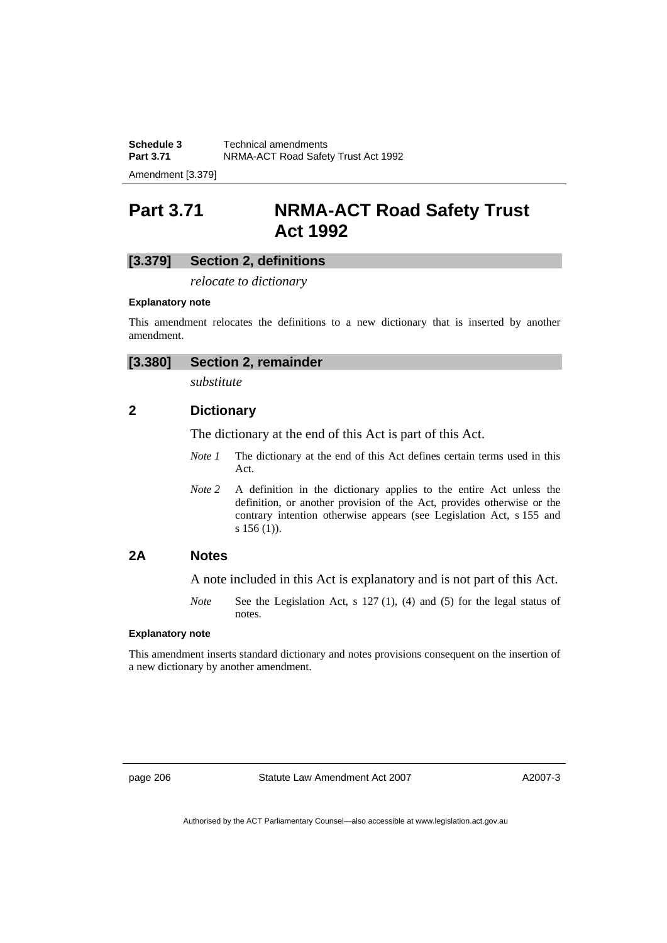**Schedule 3 Technical amendments**<br>**Part 3.71 NRMA-ACT Road Safet NRMA-ACT Road Safety Trust Act 1992** 

Amendment [3.379]

# **Part 3.71 NRMA-ACT Road Safety Trust Act 1992**

# **[3.379] Section 2, definitions**

*relocate to dictionary* 

#### **Explanatory note**

This amendment relocates the definitions to a new dictionary that is inserted by another amendment.

| [3.380] | <b>Section 2, remainder</b> |
|---------|-----------------------------|
|         |                             |

*substitute* 

# **2 Dictionary**

The dictionary at the end of this Act is part of this Act.

- *Note 1* The dictionary at the end of this Act defines certain terms used in this Act.
- *Note* 2 A definition in the dictionary applies to the entire Act unless the definition, or another provision of the Act, provides otherwise or the contrary intention otherwise appears (see Legislation Act, s 155 and s 156 (1)).

### **2A Notes**

A note included in this Act is explanatory and is not part of this Act.

*Note* See the Legislation Act, s 127 (1), (4) and (5) for the legal status of notes.

#### **Explanatory note**

This amendment inserts standard dictionary and notes provisions consequent on the insertion of a new dictionary by another amendment.

page 206 Statute Law Amendment Act 2007

A2007-3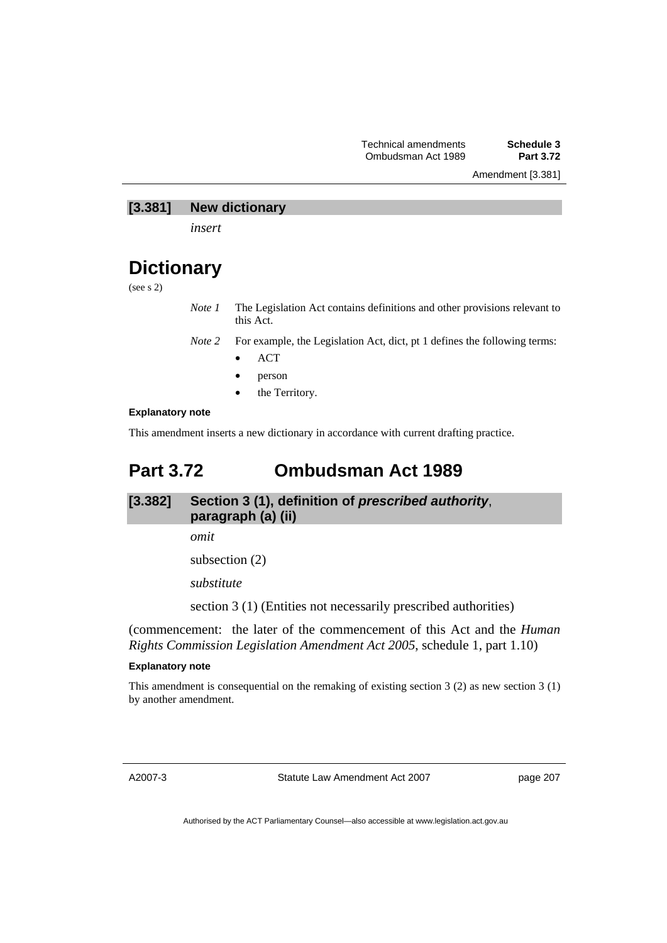Amendment [3.381]

# **[3.381] New dictionary**

*insert* 

# **Dictionary**

(see s 2)

*Note 1* The Legislation Act contains definitions and other provisions relevant to this Act.

*Note 2* For example, the Legislation Act, dict, pt 1 defines the following terms:

- ACT
- person
- the Territory.

### **Explanatory note**

This amendment inserts a new dictionary in accordance with current drafting practice.

# **Part 3.72 Ombudsman Act 1989**

**[3.382] Section 3 (1), definition of** *prescribed authority*, **paragraph (a) (ii)** 

*omit* 

subsection (2)

*substitute* 

section 3 (1) (Entities not necessarily prescribed authorities)

(commencement: the later of the commencement of this Act and the *Human Rights Commission Legislation Amendment Act 2005*, schedule 1, part 1.10)

#### **Explanatory note**

This amendment is consequential on the remaking of existing section  $3(2)$  as new section  $3(1)$ by another amendment.

A2007-3

Statute Law Amendment Act 2007

page 207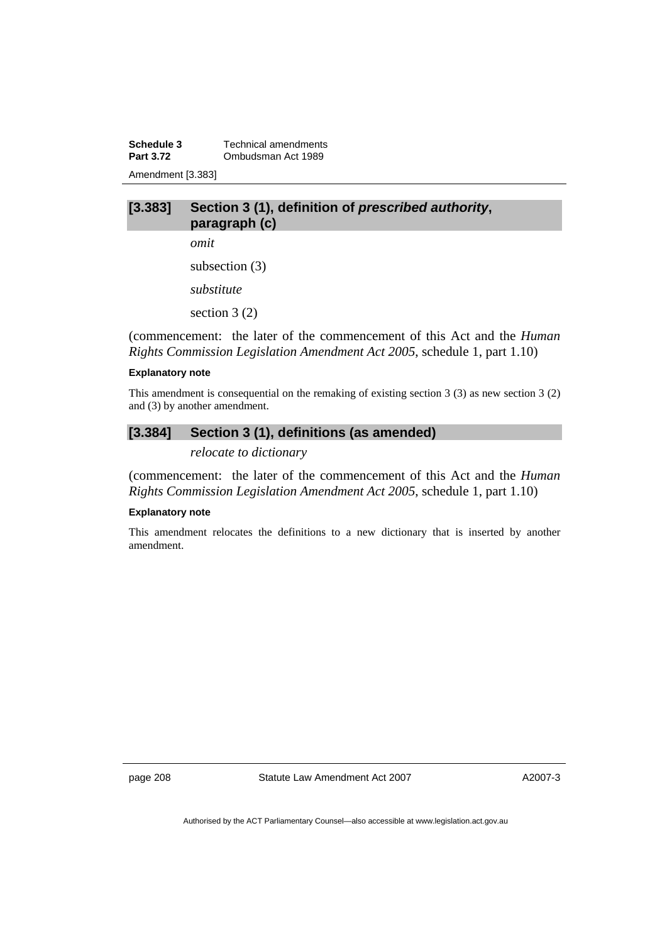**Schedule 3 Technical amendments**<br>**Part 3.72 Combudsman Act 1989 Part 3.72** Ombudsman Act 1989 Amendment [3.383]

# **[3.383] Section 3 (1), definition of** *prescribed authority***, paragraph (c)**

*omit* 

subsection (3)

*substitute* 

section 3 (2)

(commencement: the later of the commencement of this Act and the *Human Rights Commission Legislation Amendment Act 2005*, schedule 1, part 1.10)

#### **Explanatory note**

This amendment is consequential on the remaking of existing section 3 (3) as new section 3 (2) and (3) by another amendment.

# **[3.384] Section 3 (1), definitions (as amended)**

*relocate to dictionary* 

(commencement: the later of the commencement of this Act and the *Human Rights Commission Legislation Amendment Act 2005*, schedule 1, part 1.10)

#### **Explanatory note**

This amendment relocates the definitions to a new dictionary that is inserted by another amendment.

page 208 Statute Law Amendment Act 2007

A2007-3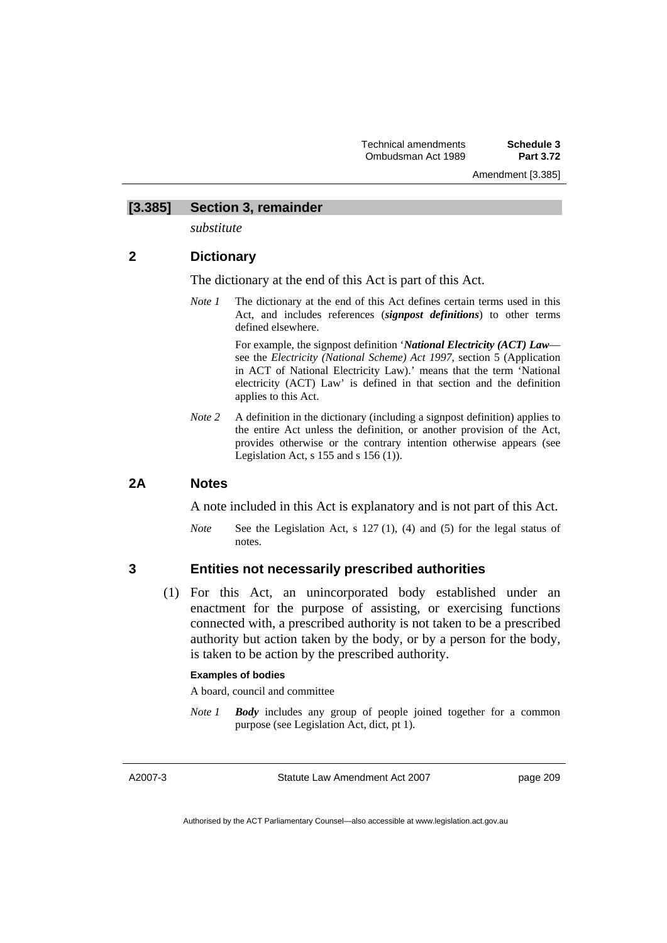# **[3.385] Section 3, remainder**

*substitute* 

# **2 Dictionary**

The dictionary at the end of this Act is part of this Act.

*Note 1* The dictionary at the end of this Act defines certain terms used in this Act, and includes references (*signpost definitions*) to other terms defined elsewhere.

> For example, the signpost definition '*National Electricity (ACT) Law* see the *Electricity (National Scheme) Act 1997*, section 5 (Application in ACT of National Electricity Law).' means that the term 'National electricity (ACT) Law' is defined in that section and the definition applies to this Act.

*Note* 2 A definition in the dictionary (including a signpost definition) applies to the entire Act unless the definition, or another provision of the Act, provides otherwise or the contrary intention otherwise appears (see Legislation Act,  $s$  155 and  $s$  156 (1)).

### **2A Notes**

A note included in this Act is explanatory and is not part of this Act.

*Note* See the Legislation Act, s 127 (1), (4) and (5) for the legal status of notes.

# **3 Entities not necessarily prescribed authorities**

 (1) For this Act, an unincorporated body established under an enactment for the purpose of assisting, or exercising functions connected with, a prescribed authority is not taken to be a prescribed authority but action taken by the body, or by a person for the body, is taken to be action by the prescribed authority.

#### **Examples of bodies**

A board, council and committee

*Note 1 Body* includes any group of people joined together for a common purpose (see Legislation Act, dict, pt 1).

A2007-3

Statute Law Amendment Act 2007

page 209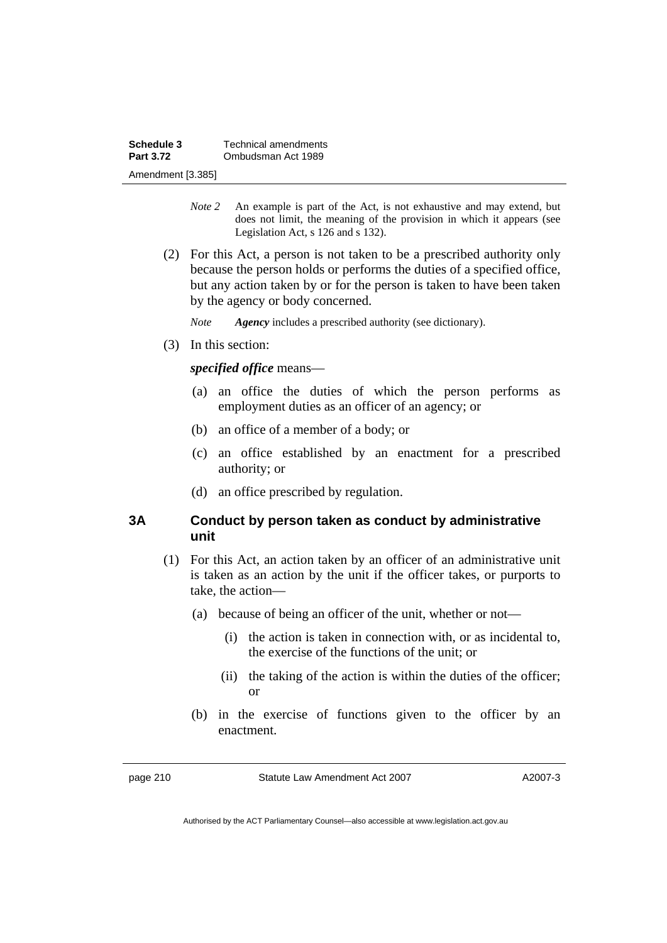- *Note 2* An example is part of the Act, is not exhaustive and may extend, but does not limit, the meaning of the provision in which it appears (see Legislation Act, s 126 and s 132).
- (2) For this Act, a person is not taken to be a prescribed authority only because the person holds or performs the duties of a specified office, but any action taken by or for the person is taken to have been taken by the agency or body concerned.

*Note Agency* includes a prescribed authority (see dictionary).

(3) In this section:

*specified office* means—

- (a) an office the duties of which the person performs as employment duties as an officer of an agency; or
- (b) an office of a member of a body; or
- (c) an office established by an enactment for a prescribed authority; or
- (d) an office prescribed by regulation.

# **3A Conduct by person taken as conduct by administrative unit**

- (1) For this Act, an action taken by an officer of an administrative unit is taken as an action by the unit if the officer takes, or purports to take, the action—
	- (a) because of being an officer of the unit, whether or not—
		- (i) the action is taken in connection with, or as incidental to, the exercise of the functions of the unit; or
		- (ii) the taking of the action is within the duties of the officer; or
	- (b) in the exercise of functions given to the officer by an enactment.

A2007-3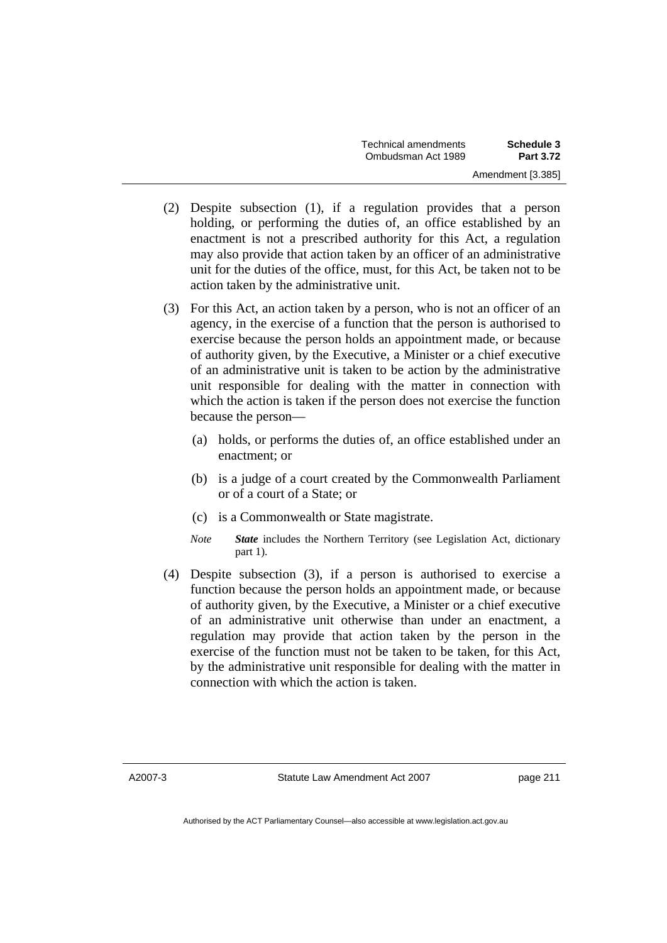- (2) Despite subsection (1), if a regulation provides that a person holding, or performing the duties of, an office established by an enactment is not a prescribed authority for this Act, a regulation may also provide that action taken by an officer of an administrative unit for the duties of the office, must, for this Act, be taken not to be action taken by the administrative unit.
- (3) For this Act, an action taken by a person, who is not an officer of an agency, in the exercise of a function that the person is authorised to exercise because the person holds an appointment made, or because of authority given, by the Executive, a Minister or a chief executive of an administrative unit is taken to be action by the administrative unit responsible for dealing with the matter in connection with which the action is taken if the person does not exercise the function because the person—
	- (a) holds, or performs the duties of, an office established under an enactment; or
	- (b) is a judge of a court created by the Commonwealth Parliament or of a court of a State; or
	- (c) is a Commonwealth or State magistrate.
	- *Note State* includes the Northern Territory (see Legislation Act, dictionary part 1).
- (4) Despite subsection (3), if a person is authorised to exercise a function because the person holds an appointment made, or because of authority given, by the Executive, a Minister or a chief executive of an administrative unit otherwise than under an enactment, a regulation may provide that action taken by the person in the exercise of the function must not be taken to be taken, for this Act, by the administrative unit responsible for dealing with the matter in connection with which the action is taken.

A2007-3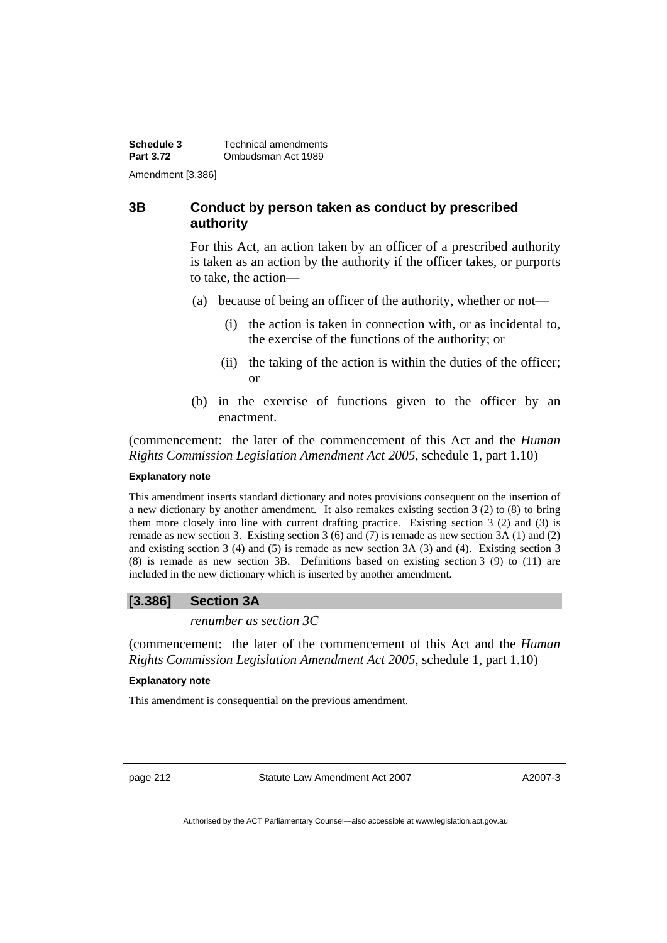**Schedule 3 Technical amendments**<br>**Part 3.72 Combudsman Act 1989 Part 3.72** Ombudsman Act 1989 Amendment [3.386]

### **3B Conduct by person taken as conduct by prescribed authority**

For this Act, an action taken by an officer of a prescribed authority is taken as an action by the authority if the officer takes, or purports to take, the action—

- (a) because of being an officer of the authority, whether or not—
	- (i) the action is taken in connection with, or as incidental to, the exercise of the functions of the authority; or
	- (ii) the taking of the action is within the duties of the officer; or
- (b) in the exercise of functions given to the officer by an enactment.

(commencement: the later of the commencement of this Act and the *Human Rights Commission Legislation Amendment Act 2005*, schedule 1, part 1.10)

#### **Explanatory note**

This amendment inserts standard dictionary and notes provisions consequent on the insertion of a new dictionary by another amendment. It also remakes existing section 3 (2) to (8) to bring them more closely into line with current drafting practice. Existing section 3 (2) and (3) is remade as new section 3. Existing section 3 (6) and (7) is remade as new section 3A (1) and (2) and existing section 3 (4) and (5) is remade as new section 3A (3) and (4). Existing section 3 (8) is remade as new section 3B. Definitions based on existing section 3 (9) to (11) are included in the new dictionary which is inserted by another amendment.

### **[3.386] Section 3A**

### *renumber as section 3C*

(commencement: the later of the commencement of this Act and the *Human Rights Commission Legislation Amendment Act 2005*, schedule 1, part 1.10)

### **Explanatory note**

This amendment is consequential on the previous amendment.

page 212 Statute Law Amendment Act 2007

A2007-3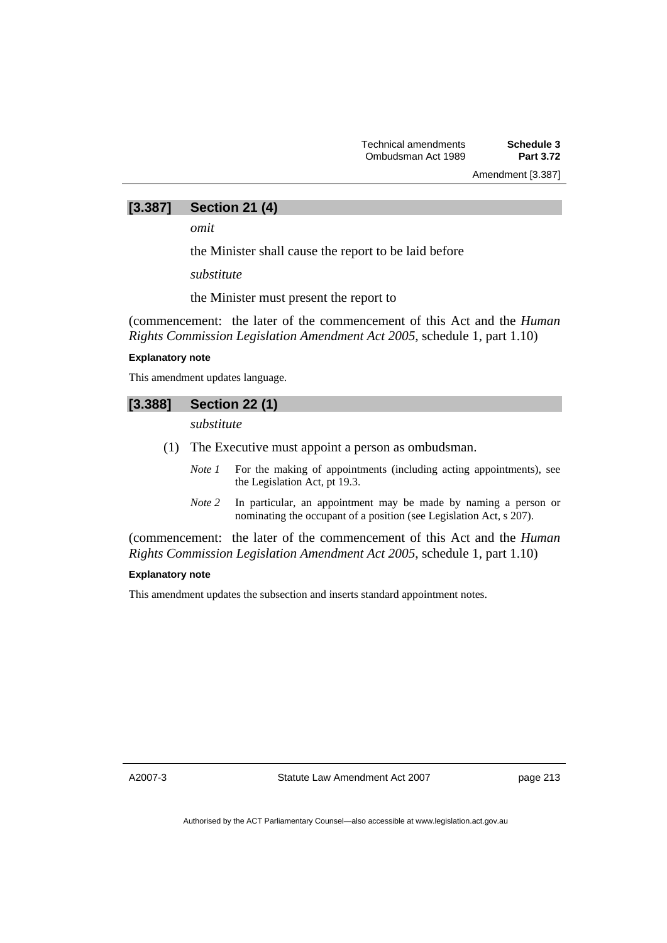Amendment [3.387]

### **[3.387] Section 21 (4)**

*omit* 

the Minister shall cause the report to be laid before

*substitute* 

the Minister must present the report to

(commencement: the later of the commencement of this Act and the *Human Rights Commission Legislation Amendment Act 2005*, schedule 1, part 1.10)

#### **Explanatory note**

This amendment updates language.

### **[3.388] Section 22 (1)**

*substitute* 

- (1) The Executive must appoint a person as ombudsman.
	- *Note 1* For the making of appointments (including acting appointments), see the Legislation Act, pt 19.3.
	- *Note 2* In particular, an appointment may be made by naming a person or nominating the occupant of a position (see Legislation Act, s 207).

(commencement: the later of the commencement of this Act and the *Human Rights Commission Legislation Amendment Act 2005*, schedule 1, part 1.10)

#### **Explanatory note**

This amendment updates the subsection and inserts standard appointment notes.

A2007-3

Statute Law Amendment Act 2007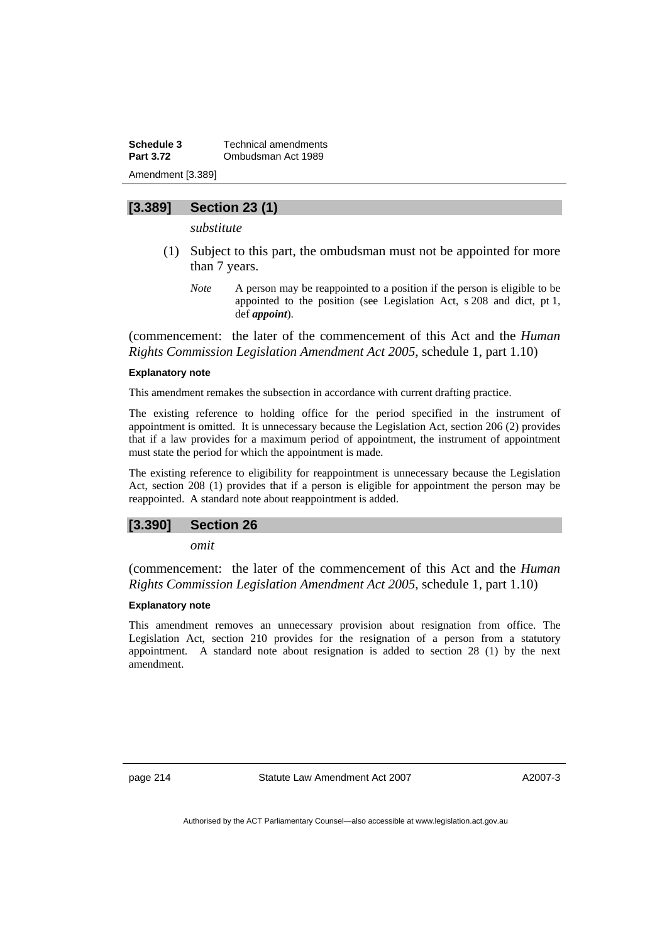**Schedule 3 Technical amendments**<br>**Part 3.72 Combudsman Act 1989 Part 3.72** Ombudsman Act 1989 Amendment [3.389]

### **[3.389] Section 23 (1)**

*substitute* 

- (1) Subject to this part, the ombudsman must not be appointed for more than 7 years.
	- *Note* A person may be reappointed to a position if the person is eligible to be appointed to the position (see Legislation Act, s 208 and dict, pt 1, def *appoint*).

(commencement: the later of the commencement of this Act and the *Human Rights Commission Legislation Amendment Act 2005*, schedule 1, part 1.10)

#### **Explanatory note**

This amendment remakes the subsection in accordance with current drafting practice.

The existing reference to holding office for the period specified in the instrument of appointment is omitted. It is unnecessary because the Legislation Act, section 206 (2) provides that if a law provides for a maximum period of appointment, the instrument of appointment must state the period for which the appointment is made.

The existing reference to eligibility for reappointment is unnecessary because the Legislation Act, section 208 (1) provides that if a person is eligible for appointment the person may be reappointed. A standard note about reappointment is added.

#### **[3.390] Section 26**

*omit* 

(commencement: the later of the commencement of this Act and the *Human Rights Commission Legislation Amendment Act 2005*, schedule 1, part 1.10)

#### **Explanatory note**

This amendment removes an unnecessary provision about resignation from office. The Legislation Act, section 210 provides for the resignation of a person from a statutory appointment. A standard note about resignation is added to section 28 (1) by the next amendment.

page 214 Statute Law Amendment Act 2007

A2007-3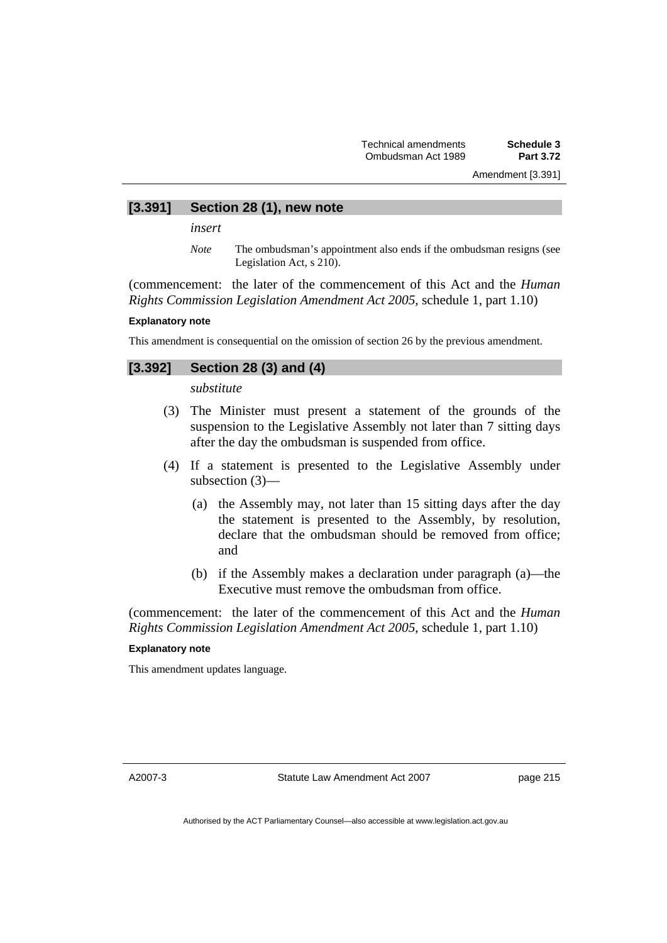Amendment [3.391]

#### **[3.391] Section 28 (1), new note**

*insert* 

*Note* The ombudsman's appointment also ends if the ombudsman resigns (see Legislation Act, s 210).

(commencement: the later of the commencement of this Act and the *Human Rights Commission Legislation Amendment Act 2005*, schedule 1, part 1.10)

#### **Explanatory note**

This amendment is consequential on the omission of section 26 by the previous amendment.

### **[3.392] Section 28 (3) and (4)**

*substitute* 

- (3) The Minister must present a statement of the grounds of the suspension to the Legislative Assembly not later than 7 sitting days after the day the ombudsman is suspended from office.
- (4) If a statement is presented to the Legislative Assembly under subsection (3)—
	- (a) the Assembly may, not later than 15 sitting days after the day the statement is presented to the Assembly, by resolution, declare that the ombudsman should be removed from office; and
	- (b) if the Assembly makes a declaration under paragraph (a)—the Executive must remove the ombudsman from office.

(commencement: the later of the commencement of this Act and the *Human Rights Commission Legislation Amendment Act 2005*, schedule 1, part 1.10)

#### **Explanatory note**

This amendment updates language.

A2007-3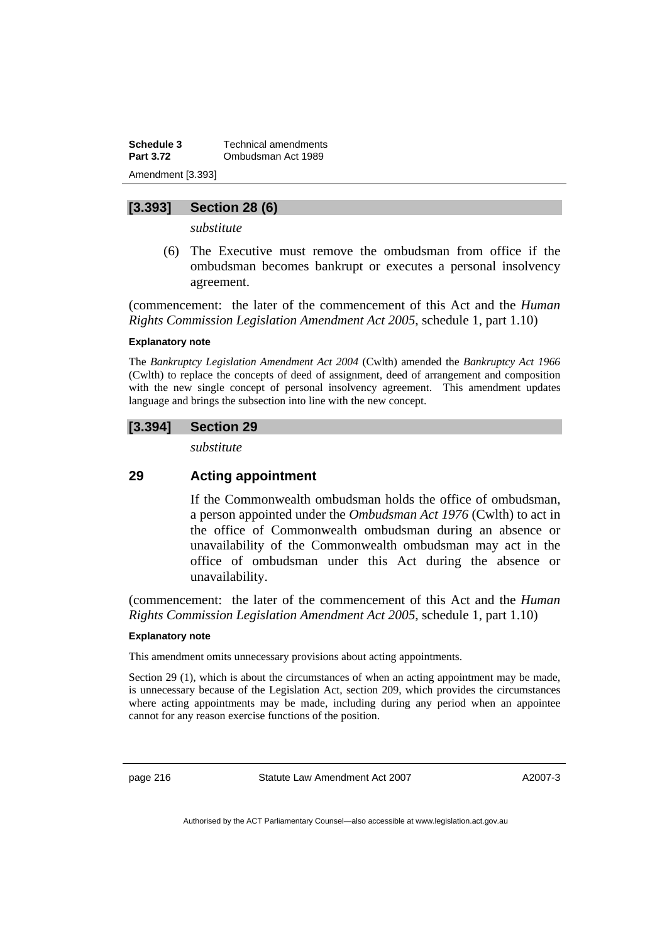**Schedule 3** Technical amendments **Part 3.72 Ombudsman Act 1989** Amendment [3.393]

### **[3.393] Section 28 (6)**

*substitute* 

 (6) The Executive must remove the ombudsman from office if the ombudsman becomes bankrupt or executes a personal insolvency agreement.

(commencement: the later of the commencement of this Act and the *Human Rights Commission Legislation Amendment Act 2005*, schedule 1, part 1.10)

#### **Explanatory note**

The *Bankruptcy Legislation Amendment Act 2004* (Cwlth) amended the *Bankruptcy Act 1966*  (Cwlth) to replace the concepts of deed of assignment, deed of arrangement and composition with the new single concept of personal insolvency agreement. This amendment updates language and brings the subsection into line with the new concept.

#### **[3.394] Section 29**

*substitute* 

### **29 Acting appointment**

If the Commonwealth ombudsman holds the office of ombudsman, a person appointed under the *Ombudsman Act 1976* (Cwlth) to act in the office of Commonwealth ombudsman during an absence or unavailability of the Commonwealth ombudsman may act in the office of ombudsman under this Act during the absence or unavailability.

(commencement: the later of the commencement of this Act and the *Human Rights Commission Legislation Amendment Act 2005*, schedule 1, part 1.10)

#### **Explanatory note**

This amendment omits unnecessary provisions about acting appointments.

Section 29 (1), which is about the circumstances of when an acting appointment may be made, is unnecessary because of the Legislation Act, section 209, which provides the circumstances where acting appointments may be made, including during any period when an appointee cannot for any reason exercise functions of the position.

page 216 Statute Law Amendment Act 2007

A2007-3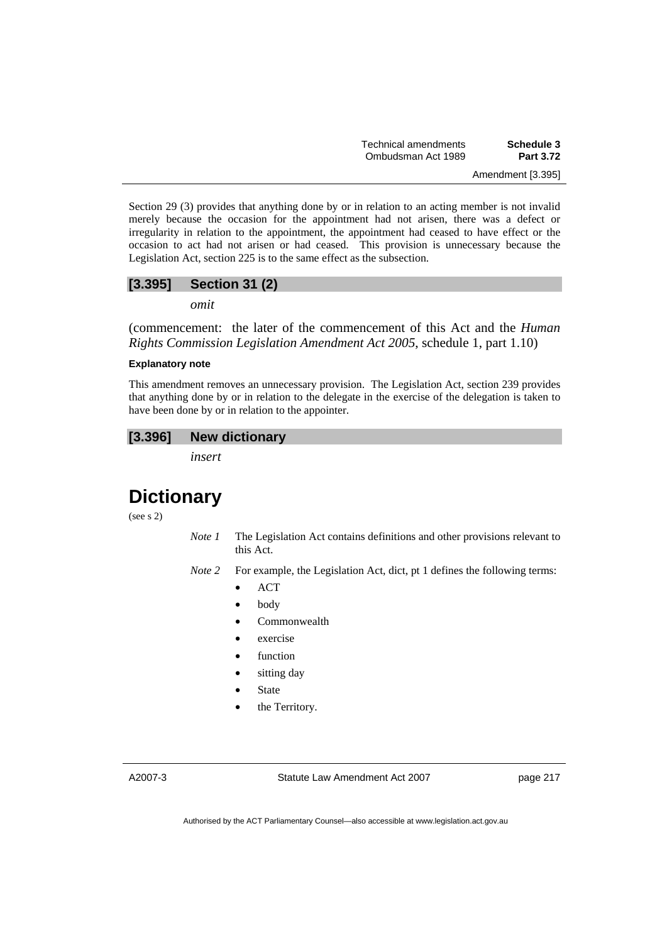Section 29 (3) provides that anything done by or in relation to an acting member is not invalid merely because the occasion for the appointment had not arisen, there was a defect or irregularity in relation to the appointment, the appointment had ceased to have effect or the occasion to act had not arisen or had ceased. This provision is unnecessary because the Legislation Act, section 225 is to the same effect as the subsection.

## **[3.395] Section 31 (2)**

*omit* 

(commencement: the later of the commencement of this Act and the *Human Rights Commission Legislation Amendment Act 2005*, schedule 1, part 1.10)

#### **Explanatory note**

This amendment removes an unnecessary provision. The Legislation Act, section 239 provides that anything done by or in relation to the delegate in the exercise of the delegation is taken to have been done by or in relation to the appointer.

### **[3.396] New dictionary**

*insert* 

# **Dictionary**

(see s 2)

- *Note 1* The Legislation Act contains definitions and other provisions relevant to this Act.
- *Note 2* For example, the Legislation Act, dict, pt 1 defines the following terms:
	- ACT
	- body
	- Commonwealth
	- exercise
	- function
	- sitting day
	- **State**
	- the Territory.

A2007-3

Statute Law Amendment Act 2007

page 217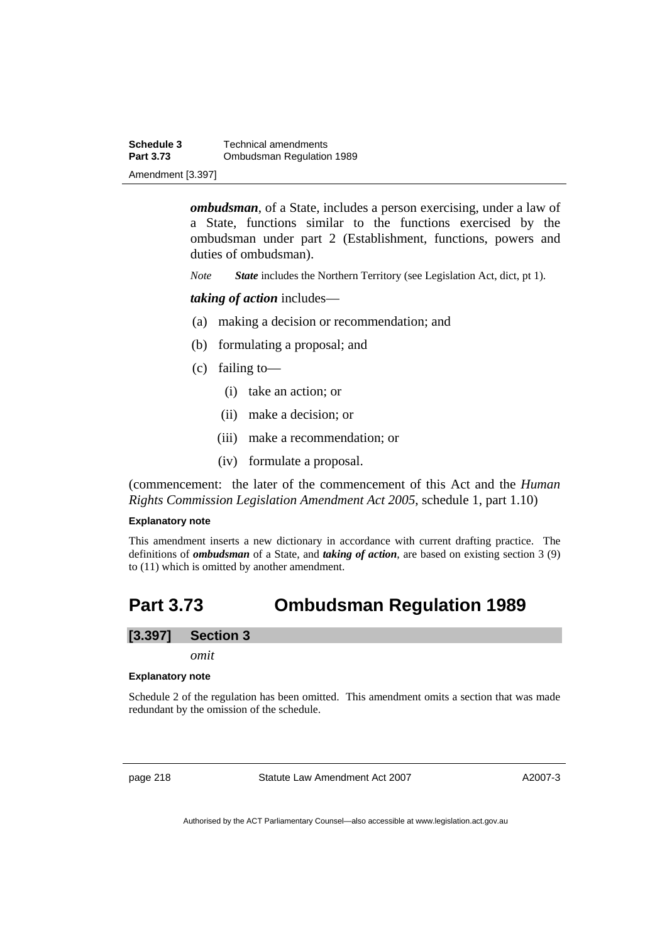**Schedule 3 Technical amendments**<br>**Part 3.73 Combudsman Requlation Ombudsman Regulation 1989** Amendment [3.397]

> *ombudsman*, of a State, includes a person exercising, under a law of a State, functions similar to the functions exercised by the ombudsman under part 2 (Establishment, functions, powers and duties of ombudsman).

*Note State* includes the Northern Territory (see Legislation Act, dict, pt 1).

*taking of action* includes—

- (a) making a decision or recommendation; and
- (b) formulating a proposal; and
- (c) failing to—
	- (i) take an action; or
	- (ii) make a decision; or
	- (iii) make a recommendation; or
	- (iv) formulate a proposal.

(commencement: the later of the commencement of this Act and the *Human Rights Commission Legislation Amendment Act 2005*, schedule 1, part 1.10)

#### **Explanatory note**

This amendment inserts a new dictionary in accordance with current drafting practice. The definitions of *ombudsman* of a State, and *taking of action*, are based on existing section 3 (9) to (11) which is omitted by another amendment.

## **Part 3.73 Ombudsman Regulation 1989**

### **[3.397] Section 3**

*omit* 

#### **Explanatory note**

Schedule 2 of the regulation has been omitted. This amendment omits a section that was made redundant by the omission of the schedule.

page 218 Statute Law Amendment Act 2007

A2007-3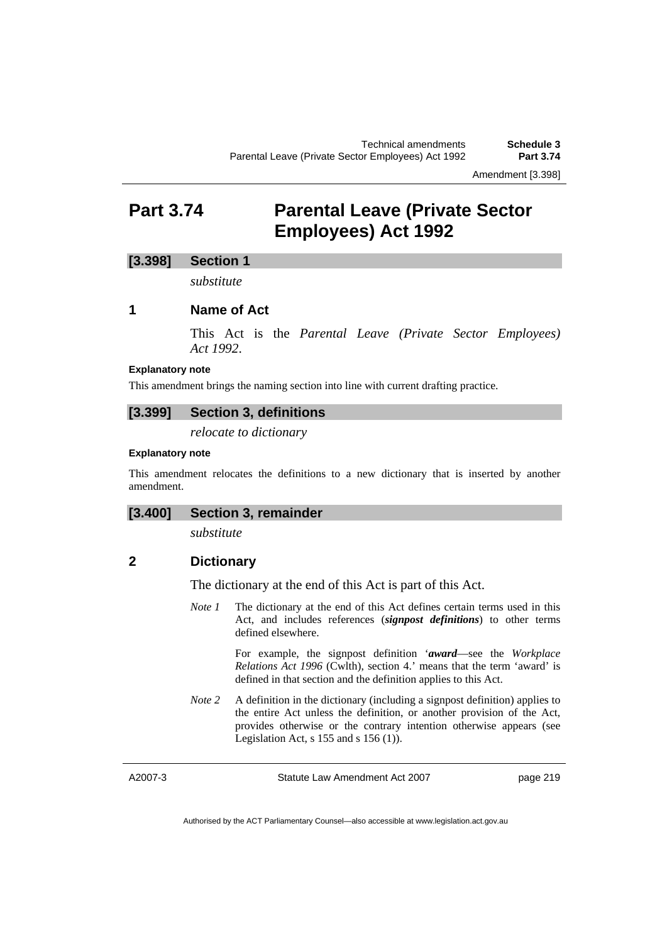## **Part 3.74 Parental Leave (Private Sector Employees) Act 1992**

### **[3.398] Section 1**

*substitute* 

### **1 Name of Act**

This Act is the *Parental Leave (Private Sector Employees) Act 1992*.

#### **Explanatory note**

This amendment brings the naming section into line with current drafting practice.

#### **[3.399] Section 3, definitions**

*relocate to dictionary* 

### **Explanatory note**

This amendment relocates the definitions to a new dictionary that is inserted by another amendment.

### **[3.400] Section 3, remainder**

*substitute* 

### **2 Dictionary**

The dictionary at the end of this Act is part of this Act.

*Note 1* The dictionary at the end of this Act defines certain terms used in this Act, and includes references (*signpost definitions*) to other terms defined elsewhere.

> For example, the signpost definition '*award*—see the *Workplace Relations Act 1996* (Cwlth), section 4.' means that the term 'award' is defined in that section and the definition applies to this Act.

*Note* 2 A definition in the dictionary (including a signpost definition) applies to the entire Act unless the definition, or another provision of the Act, provides otherwise or the contrary intention otherwise appears (see Legislation Act,  $s$  155 and  $s$  156 (1)).

A2007-3

Statute Law Amendment Act 2007

page 219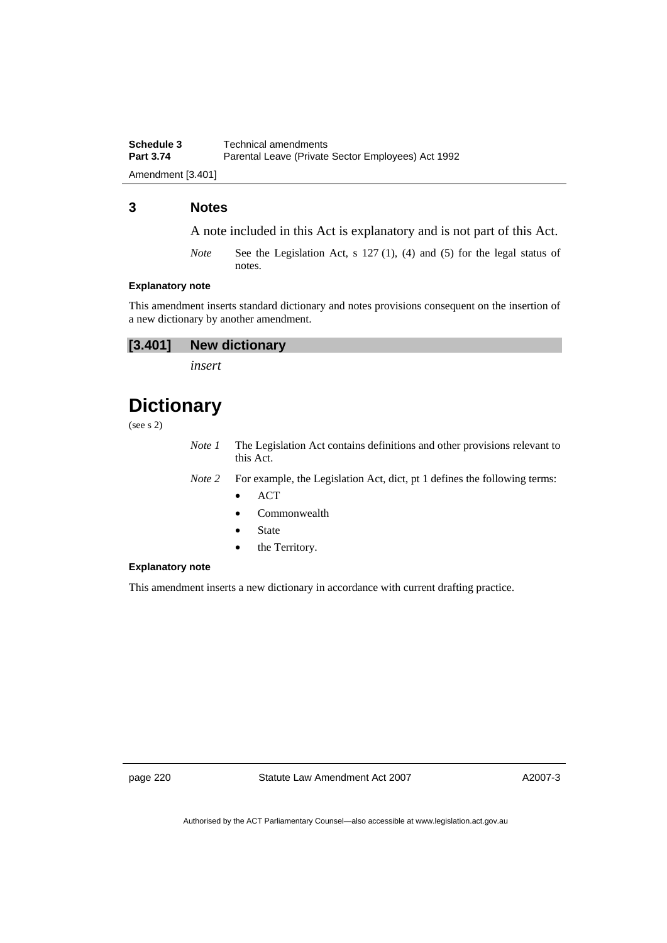**Schedule 3 Technical amendments**<br>**Part 3.74 Parental Leave (Private** Parental Leave (Private Sector Employees) Act 1992

Amendment [3.401]

### **3 Notes**

A note included in this Act is explanatory and is not part of this Act.

*Note* See the Legislation Act, s 127 (1), (4) and (5) for the legal status of notes.

#### **Explanatory note**

This amendment inserts standard dictionary and notes provisions consequent on the insertion of a new dictionary by another amendment.

*insert* 

# **Dictionary**

(see s 2)

*Note 1* The Legislation Act contains definitions and other provisions relevant to this Act.

*Note 2* For example, the Legislation Act, dict, pt 1 defines the following terms:

- ACT
- Commonwealth
- **State**
- the Territory.

#### **Explanatory note**

This amendment inserts a new dictionary in accordance with current drafting practice.

page 220 Statute Law Amendment Act 2007

A2007-3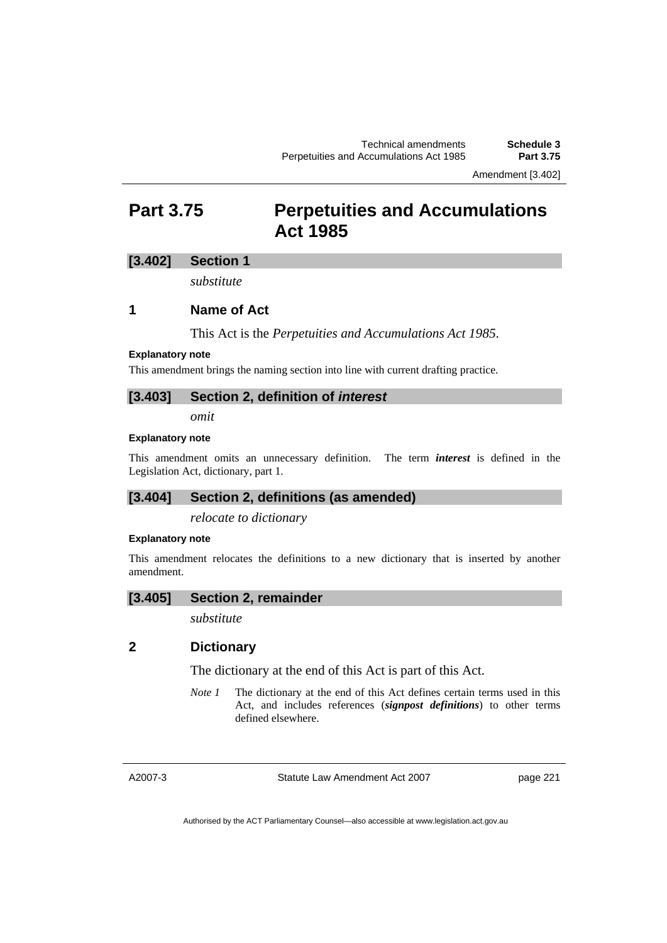Amendment [3.402]

## **Part 3.75 Perpetuities and Accumulations Act 1985**

### **[3.402] Section 1**

*substitute* 

### **1 Name of Act**

This Act is the *Perpetuities and Accumulations Act 1985*.

#### **Explanatory note**

This amendment brings the naming section into line with current drafting practice.

#### **[3.403] Section 2, definition of** *interest*

*omit* 

#### **Explanatory note**

This amendment omits an unnecessary definition. The term *interest* is defined in the Legislation Act, dictionary, part 1.

### **[3.404] Section 2, definitions (as amended)**

*relocate to dictionary* 

#### **Explanatory note**

This amendment relocates the definitions to a new dictionary that is inserted by another amendment.

#### **[3.405] Section 2, remainder**

*substitute* 

### **2 Dictionary**

The dictionary at the end of this Act is part of this Act.

*Note 1* The dictionary at the end of this Act defines certain terms used in this Act, and includes references (*signpost definitions*) to other terms defined elsewhere.

A2007-3

Statute Law Amendment Act 2007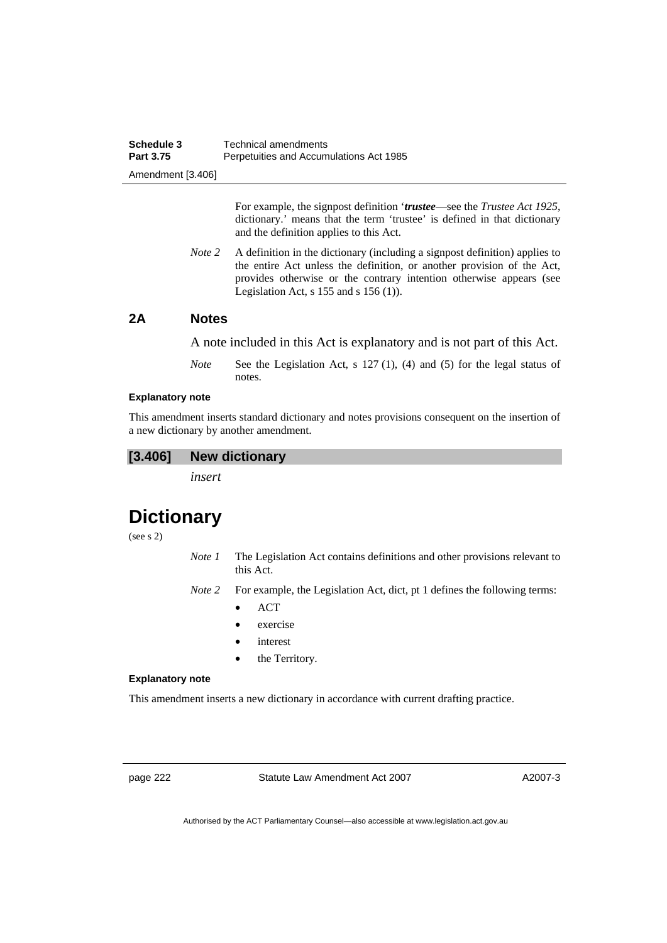| Schedule 3        | Technical amendments                    |
|-------------------|-----------------------------------------|
| Part 3.75         | Perpetuities and Accumulations Act 1985 |
| Amendment [3.406] |                                         |

For example, the signpost definition '*trustee*—see the *Trustee Act 1925*, dictionary.' means that the term 'trustee' is defined in that dictionary and the definition applies to this Act.

*Note 2* A definition in the dictionary (including a signpost definition) applies to the entire Act unless the definition, or another provision of the Act, provides otherwise or the contrary intention otherwise appears (see Legislation Act,  $s$  155 and  $s$  156 (1)).

### **2A Notes**

A note included in this Act is explanatory and is not part of this Act.

*Note* See the Legislation Act, s 127 (1), (4) and (5) for the legal status of notes.

#### **Explanatory note**

This amendment inserts standard dictionary and notes provisions consequent on the insertion of a new dictionary by another amendment.

#### **[3.406] New dictionary**

*insert* 

# **Dictionary**

(see s 2)

- *Note 1* The Legislation Act contains definitions and other provisions relevant to this Act.
- *Note 2* For example, the Legislation Act, dict, pt 1 defines the following terms:
	- ACT
	- exercise
	- interest
	- the Territory.

#### **Explanatory note**

This amendment inserts a new dictionary in accordance with current drafting practice.

page 222 Statute Law Amendment Act 2007

A2007-3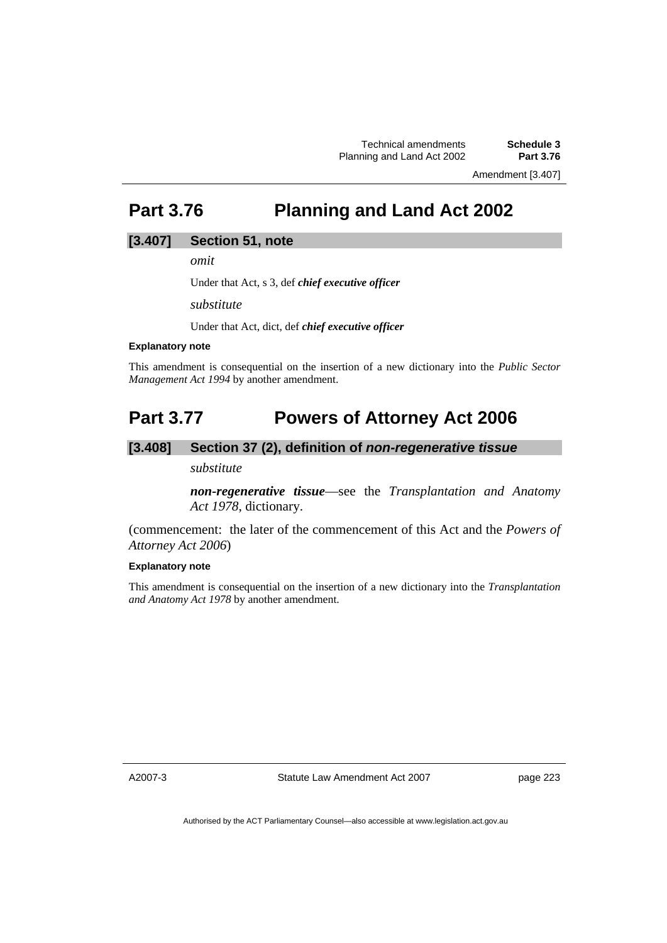Amendment [3.407]

# **Part 3.76 Planning and Land Act 2002**

#### **[3.407] Section 51, note**

*omit* 

Under that Act, s 3, def *chief executive officer*

*substitute* 

Under that Act, dict, def *chief executive officer*

#### **Explanatory note**

This amendment is consequential on the insertion of a new dictionary into the *Public Sector Management Act 1994* by another amendment.

## **Part 3.77 Powers of Attorney Act 2006**

### **[3.408] Section 37 (2), definition of** *non-regenerative tissue*

*substitute* 

*non-regenerative tissue*—see the *Transplantation and Anatomy Act 1978*, dictionary.

(commencement: the later of the commencement of this Act and the *Powers of Attorney Act 2006*)

#### **Explanatory note**

This amendment is consequential on the insertion of a new dictionary into the *Transplantation and Anatomy Act 1978* by another amendment.

A2007-3

Statute Law Amendment Act 2007

page 223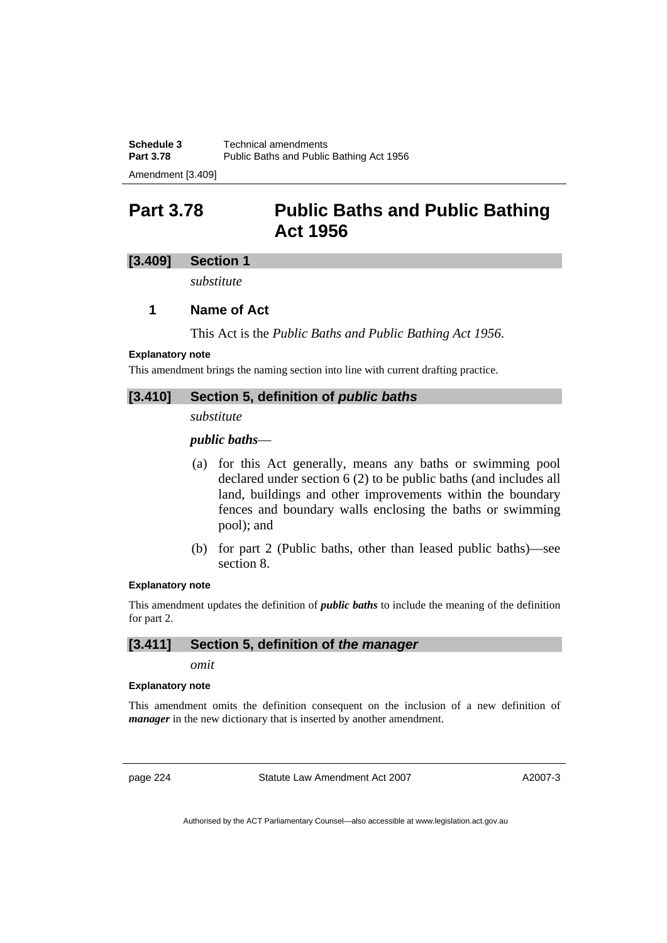Amendment [3.409]

## **Part 3.78 Public Baths and Public Bathing Act 1956**

### **[3.409] Section 1**

*substitute* 

### **1 Name of Act**

This Act is the *Public Baths and Public Bathing Act 1956*.

#### **Explanatory note**

This amendment brings the naming section into line with current drafting practice.

### **[3.410] Section 5, definition of** *public baths*

#### *substitute*

### *public baths*—

- (a) for this Act generally, means any baths or swimming pool declared under section 6 (2) to be public baths (and includes all land, buildings and other improvements within the boundary fences and boundary walls enclosing the baths or swimming pool); and
- (b) for part 2 (Public baths, other than leased public baths)—see section 8.

#### **Explanatory note**

This amendment updates the definition of *public baths* to include the meaning of the definition for part 2.

### **[3.411] Section 5, definition of** *the manager*

*omit* 

### **Explanatory note**

This amendment omits the definition consequent on the inclusion of a new definition of *manager* in the new dictionary that is inserted by another amendment.

page 224 Statute Law Amendment Act 2007

A2007-3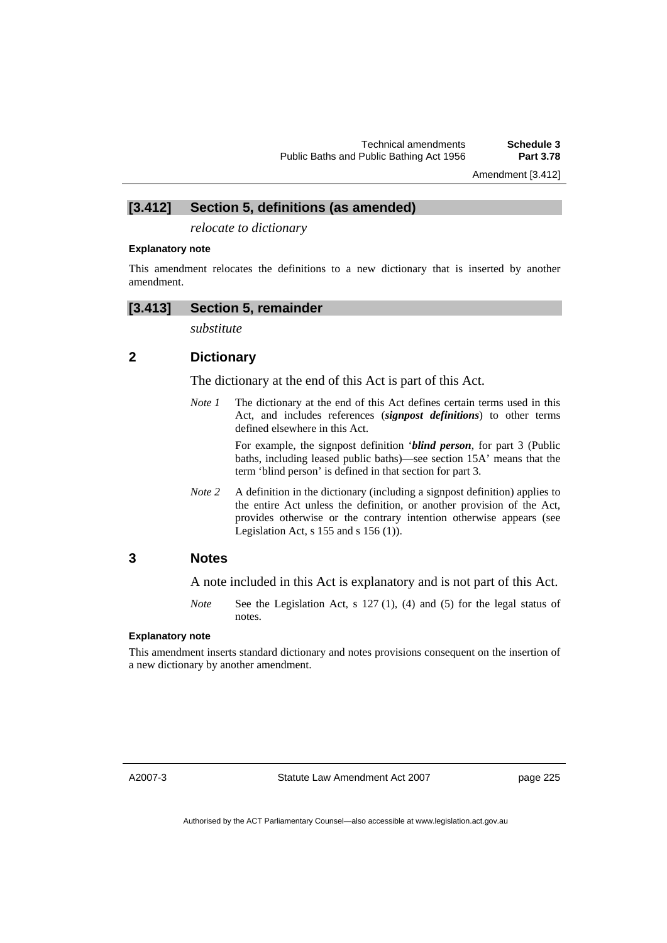Amendment [3.412]

### **[3.412] Section 5, definitions (as amended)**

*relocate to dictionary* 

#### **Explanatory note**

This amendment relocates the definitions to a new dictionary that is inserted by another amendment.

#### **[3.413] Section 5, remainder**

*substitute* 

### **2 Dictionary**

The dictionary at the end of this Act is part of this Act.

*Note 1* The dictionary at the end of this Act defines certain terms used in this Act, and includes references (*signpost definitions*) to other terms defined elsewhere in this Act.

> For example, the signpost definition '*blind person*, for part 3 (Public baths, including leased public baths)—see section 15A' means that the term 'blind person' is defined in that section for part 3.

*Note* 2 A definition in the dictionary (including a signpost definition) applies to the entire Act unless the definition, or another provision of the Act, provides otherwise or the contrary intention otherwise appears (see Legislation Act,  $s$  155 and  $s$  156 (1)).

### **3 Notes**

A note included in this Act is explanatory and is not part of this Act.

*Note* See the Legislation Act, s 127 (1), (4) and (5) for the legal status of notes.

### **Explanatory note**

This amendment inserts standard dictionary and notes provisions consequent on the insertion of a new dictionary by another amendment.

A2007-3

Statute Law Amendment Act 2007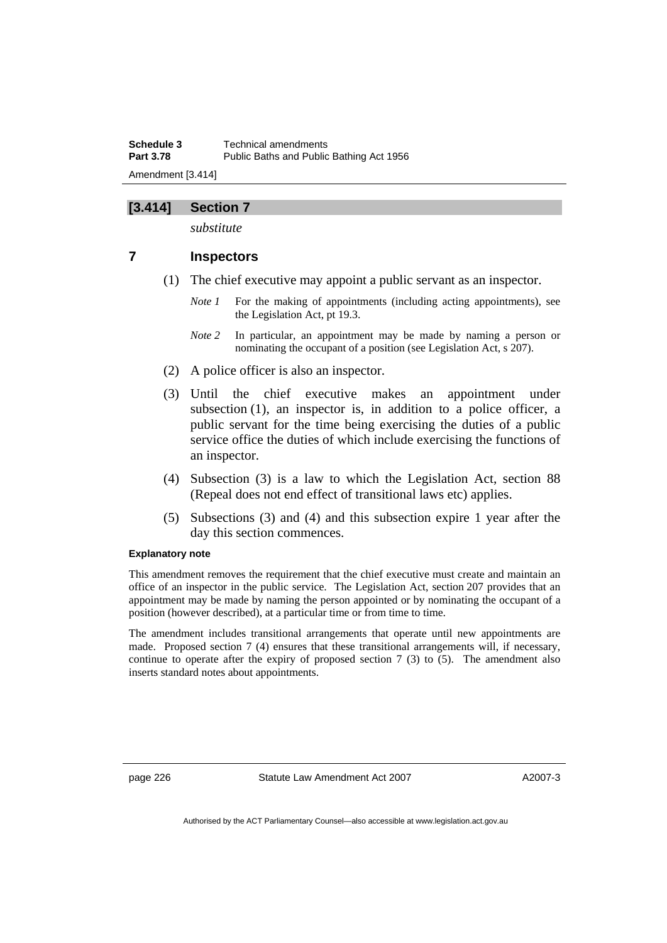### **[3.414] Section 7**

*substitute* 

### **7 Inspectors**

- (1) The chief executive may appoint a public servant as an inspector.
	- *Note 1* For the making of appointments (including acting appointments), see the Legislation Act, pt 19.3.
	- *Note 2* In particular, an appointment may be made by naming a person or nominating the occupant of a position (see Legislation Act, s 207).
- (2) A police officer is also an inspector.
- (3) Until the chief executive makes an appointment under subsection (1), an inspector is, in addition to a police officer, a public servant for the time being exercising the duties of a public service office the duties of which include exercising the functions of an inspector.
- (4) Subsection (3) is a law to which the Legislation Act, section 88 (Repeal does not end effect of transitional laws etc) applies.
- (5) Subsections (3) and (4) and this subsection expire 1 year after the day this section commences.

#### **Explanatory note**

This amendment removes the requirement that the chief executive must create and maintain an office of an inspector in the public service. The Legislation Act, section 207 provides that an appointment may be made by naming the person appointed or by nominating the occupant of a position (however described), at a particular time or from time to time.

The amendment includes transitional arrangements that operate until new appointments are made. Proposed section 7 (4) ensures that these transitional arrangements will, if necessary, continue to operate after the expiry of proposed section  $7(3)$  to  $(5)$ . The amendment also inserts standard notes about appointments.

page 226 Statute Law Amendment Act 2007

A2007-3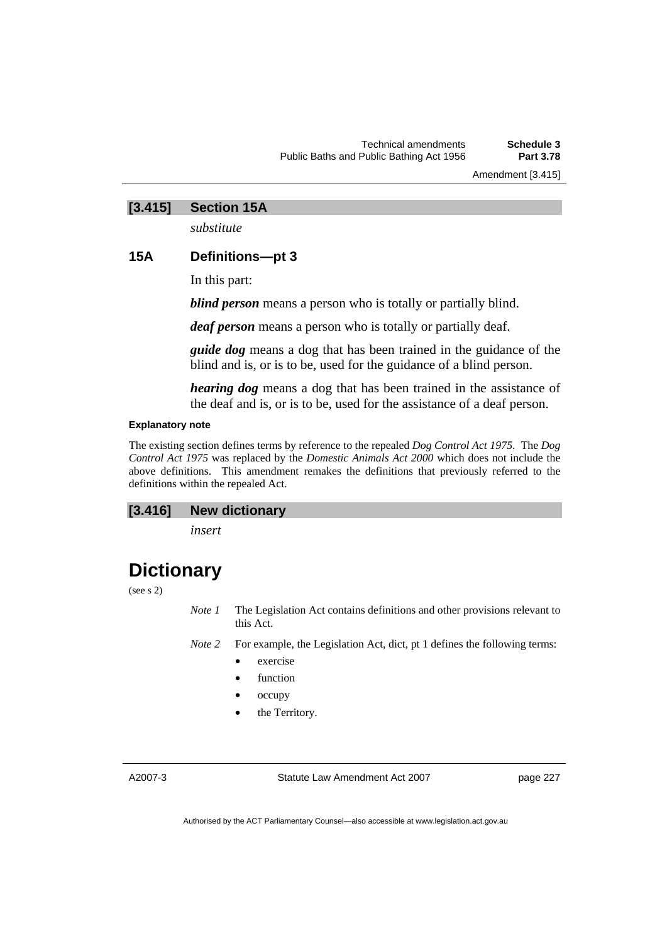Amendment [3.415]

### **[3.415] Section 15A**

*substitute* 

### **15A Definitions—pt 3**

In this part:

*blind person* means a person who is totally or partially blind.

*deaf person* means a person who is totally or partially deaf.

*guide dog* means a dog that has been trained in the guidance of the blind and is, or is to be, used for the guidance of a blind person.

*hearing dog* means a dog that has been trained in the assistance of the deaf and is, or is to be, used for the assistance of a deaf person.

#### **Explanatory note**

The existing section defines terms by reference to the repealed *Dog Control Act 1975*. The *Dog Control Act 1975* was replaced by the *Domestic Animals Act 2000* which does not include the above definitions. This amendment remakes the definitions that previously referred to the definitions within the repealed Act.

## **[3.416] New dictionary**

*insert* 

## **Dictionary**

(see s 2)

*Note 1* The Legislation Act contains definitions and other provisions relevant to this Act.

*Note 2* For example, the Legislation Act, dict, pt 1 defines the following terms:

- exercise
- function
- occupy
- the Territory.

A2007-3

Statute Law Amendment Act 2007

page 227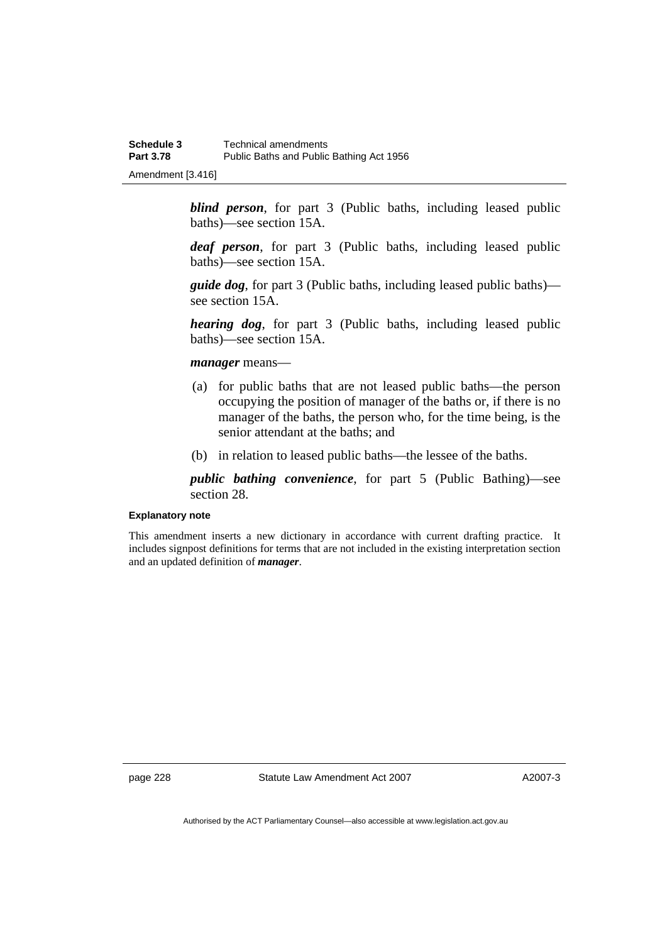Amendment [3.416]

*blind person*, for part 3 (Public baths, including leased public baths)—see section 15A.

*deaf person*, for part 3 (Public baths, including leased public baths)—see section 15A.

*guide dog*, for part 3 (Public baths, including leased public baths) see section 15A.

*hearing dog*, for part 3 (Public baths, including leased public baths)—see section 15A.

#### *manager* means—

- (a) for public baths that are not leased public baths—the person occupying the position of manager of the baths or, if there is no manager of the baths, the person who, for the time being, is the senior attendant at the baths; and
- (b) in relation to leased public baths—the lessee of the baths.

*public bathing convenience*, for part 5 (Public Bathing)—see section 28.

#### **Explanatory note**

This amendment inserts a new dictionary in accordance with current drafting practice. It includes signpost definitions for terms that are not included in the existing interpretation section and an updated definition of *manager*.

page 228 Statute Law Amendment Act 2007

A2007-3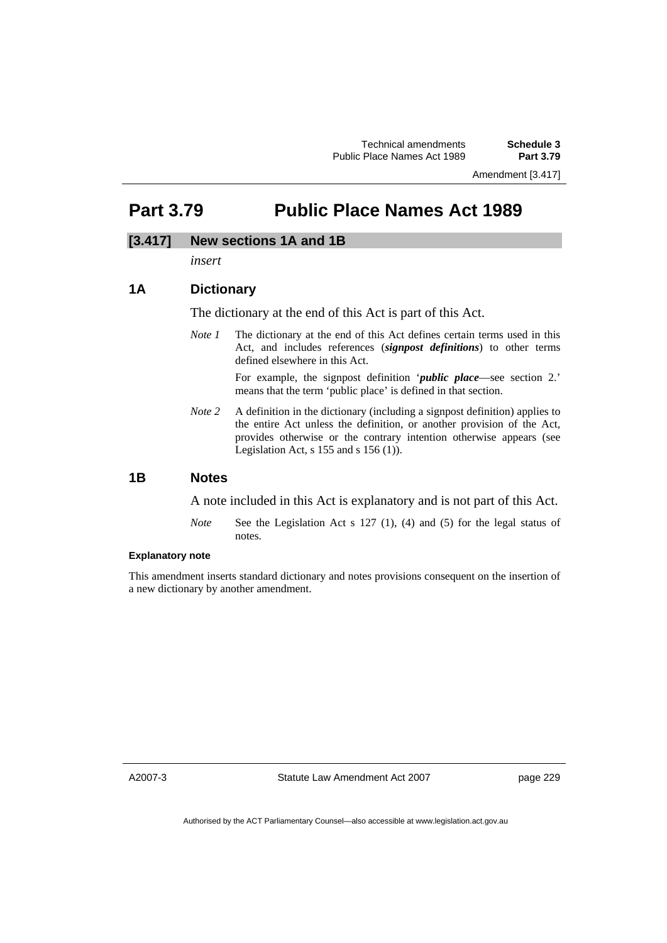Amendment [3.417]

## **Part 3.79 Public Place Names Act 1989**

### **[3.417] New sections 1A and 1B**

*insert* 

### **1A Dictionary**

The dictionary at the end of this Act is part of this Act.

*Note 1* The dictionary at the end of this Act defines certain terms used in this Act, and includes references (*signpost definitions*) to other terms defined elsewhere in this Act.

> For example, the signpost definition '*public place*—see section 2.' means that the term 'public place' is defined in that section.

*Note 2* A definition in the dictionary (including a signpost definition) applies to the entire Act unless the definition, or another provision of the Act, provides otherwise or the contrary intention otherwise appears (see Legislation Act,  $s$  155 and  $s$  156 (1)).

### **1B Notes**

A note included in this Act is explanatory and is not part of this Act.

*Note* See the Legislation Act s 127 (1), (4) and (5) for the legal status of notes.

#### **Explanatory note**

This amendment inserts standard dictionary and notes provisions consequent on the insertion of a new dictionary by another amendment.

A2007-3

Statute Law Amendment Act 2007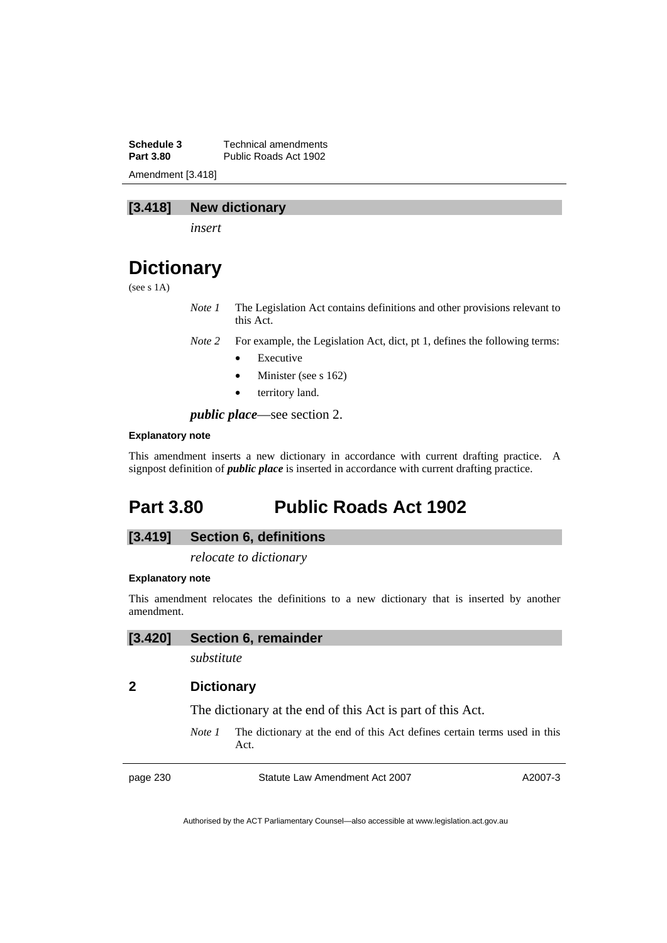**Schedule 3 Technical amendments**<br>**Part 3.80 Public Roads Act 1902** Public Roads Act 1902 Amendment [3.418]

### **[3.418] New dictionary**

*insert* 

## **Dictionary**

(see s 1A)

*Note 1* The Legislation Act contains definitions and other provisions relevant to this Act.

*Note 2* For example, the Legislation Act, dict, pt 1, defines the following terms:

- **Executive**
- Minister (see s 162)
- territory land.

*public place*—see section 2.

#### **Explanatory note**

This amendment inserts a new dictionary in accordance with current drafting practice. A signpost definition of *public place* is inserted in accordance with current drafting practice.

## **Part 3.80 Public Roads Act 1902**

### **[3.419] Section 6, definitions**

*relocate to dictionary* 

#### **Explanatory note**

This amendment relocates the definitions to a new dictionary that is inserted by another amendment.

#### **[3.420] Section 6, remainder**

*substitute* 

### **2 Dictionary**

The dictionary at the end of this Act is part of this Act.

*Note 1* The dictionary at the end of this Act defines certain terms used in this Act.

page 230 Statute Law Amendment Act 2007

A2007-3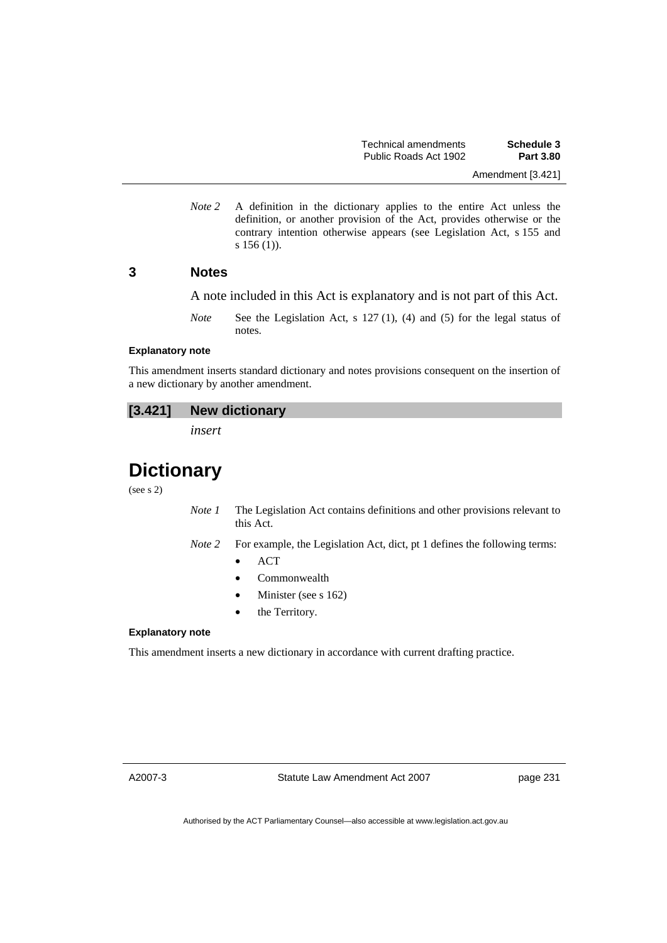*Note 2* A definition in the dictionary applies to the entire Act unless the definition, or another provision of the Act, provides otherwise or the contrary intention otherwise appears (see Legislation Act, s 155 and s 156 (1)).

### **3 Notes**

A note included in this Act is explanatory and is not part of this Act.

*Note* See the Legislation Act, s 127 (1), (4) and (5) for the legal status of notes.

#### **Explanatory note**

This amendment inserts standard dictionary and notes provisions consequent on the insertion of a new dictionary by another amendment.

### **[3.421] New dictionary**

*insert* 

## **Dictionary**

(see s 2)

- *Note 1* The Legislation Act contains definitions and other provisions relevant to this Act.
- *Note 2* For example, the Legislation Act, dict, pt 1 defines the following terms:
	- ACT
	- Commonwealth
	- Minister (see s 162)
	- the Territory.

#### **Explanatory note**

This amendment inserts a new dictionary in accordance with current drafting practice.

A2007-3

Statute Law Amendment Act 2007

page 231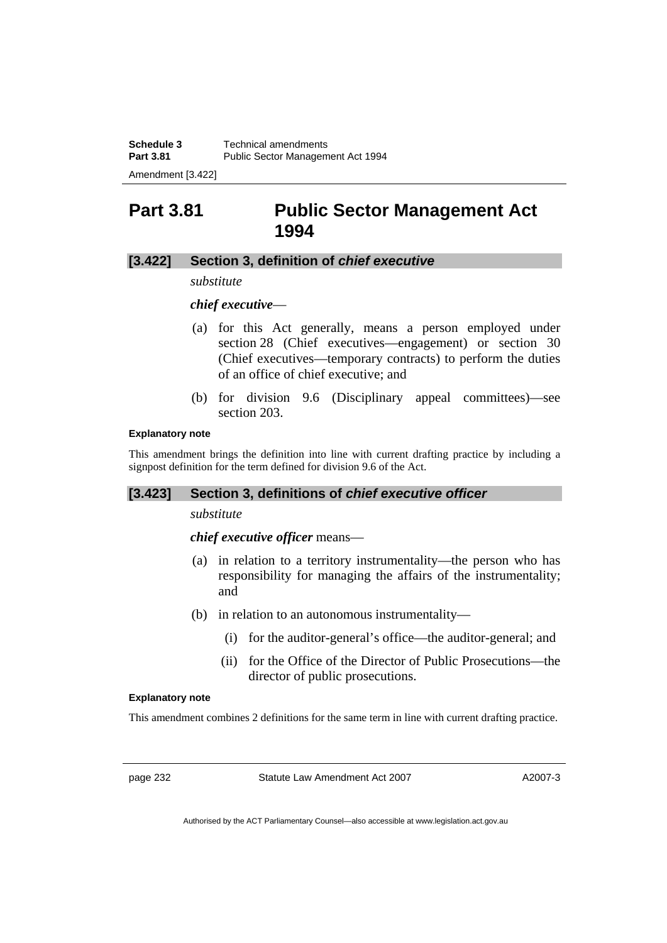Amendment [3.422]

## **Part 3.81 Public Sector Management Act 1994**

### **[3.422] Section 3, definition of** *chief executive*

*substitute* 

### *chief executive*—

- (a) for this Act generally, means a person employed under section 28 (Chief executives—engagement) or section 30 (Chief executives—temporary contracts) to perform the duties of an office of chief executive; and
- (b) for division 9.6 (Disciplinary appeal committees)—see section 203.

#### **Explanatory note**

This amendment brings the definition into line with current drafting practice by including a signpost definition for the term defined for division 9.6 of the Act.

### **[3.423] Section 3, definitions of** *chief executive officer*

### *substitute*

*chief executive officer* means—

- (a) in relation to a territory instrumentality—the person who has responsibility for managing the affairs of the instrumentality; and
- (b) in relation to an autonomous instrumentality—
	- (i) for the auditor-general's office—the auditor-general; and
	- (ii) for the Office of the Director of Public Prosecutions—the director of public prosecutions.

#### **Explanatory note**

This amendment combines 2 definitions for the same term in line with current drafting practice.

page 232 Statute Law Amendment Act 2007

A2007-3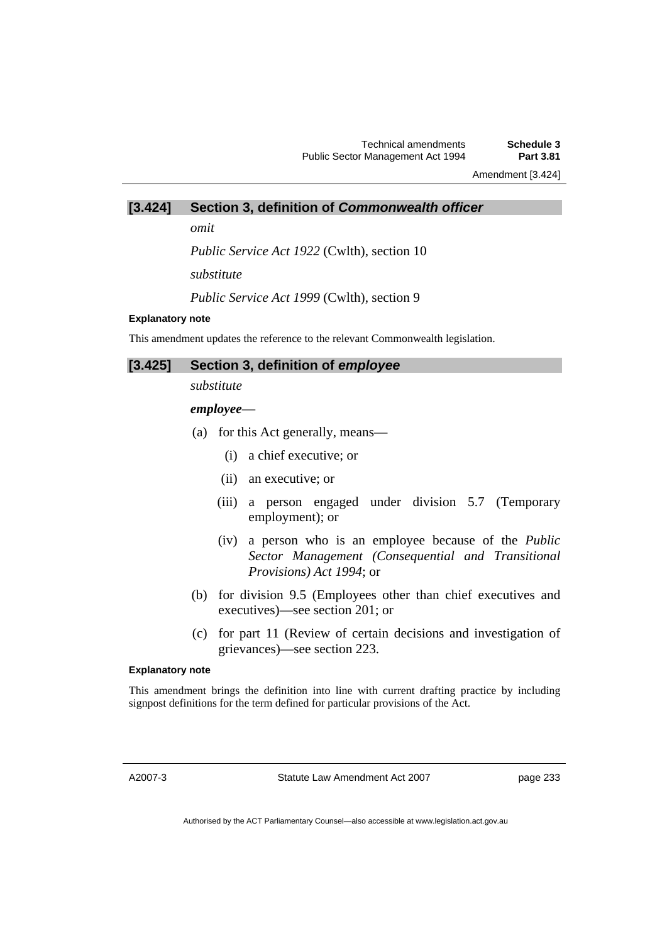Amendment [3.424]

### **[3.424] Section 3, definition of** *Commonwealth officer*

*omit* 

*Public Service Act 1922* (Cwlth), section 10

*substitute* 

*Public Service Act 1999* (Cwlth), section 9

#### **Explanatory note**

This amendment updates the reference to the relevant Commonwealth legislation.

| [3.425] Section 3, definition of employee |
|-------------------------------------------|
|                                           |

*substitute* 

### *employee*—

- (a) for this Act generally, means—
	- (i) a chief executive; or
	- (ii) an executive; or
	- (iii) a person engaged under division 5.7 (Temporary employment); or
	- (iv) a person who is an employee because of the *Public Sector Management (Consequential and Transitional Provisions) Act 1994*; or
- (b) for division 9.5 (Employees other than chief executives and executives)—see section 201; or
- (c) for part 11 (Review of certain decisions and investigation of grievances)—see section 223.

#### **Explanatory note**

This amendment brings the definition into line with current drafting practice by including signpost definitions for the term defined for particular provisions of the Act.

A2007-3

Statute Law Amendment Act 2007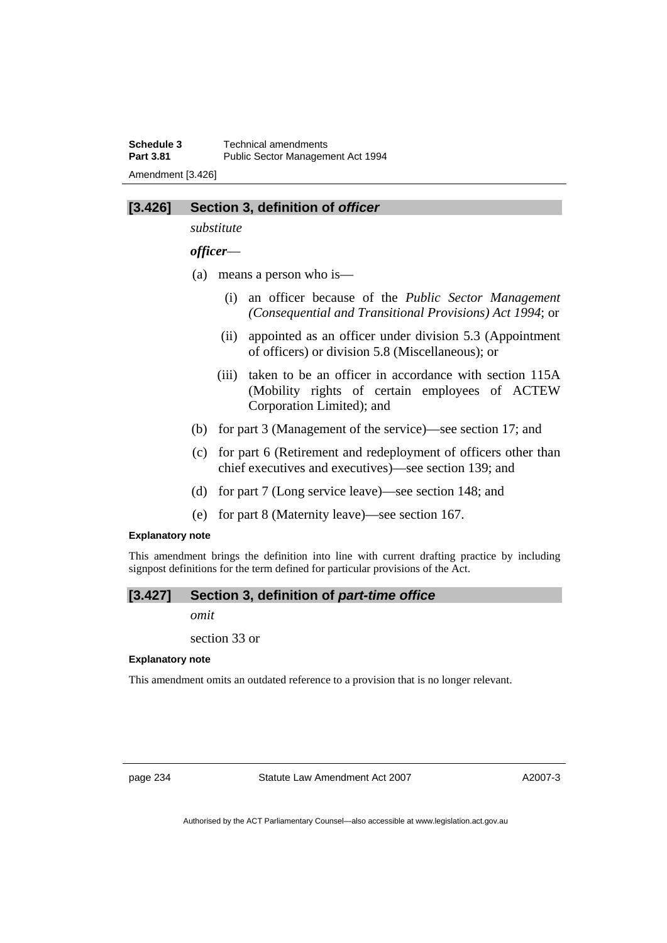**Schedule 3 Technical amendments**<br>**Part 3.81 Public Sector Managem** Public Sector Management Act 1994 Amendment [3.426]

### **[3.426] Section 3, definition of** *officer*

*substitute* 

*officer*—

- (a) means a person who is—
	- (i) an officer because of the *Public Sector Management (Consequential and Transitional Provisions) Act 1994*; or
	- (ii) appointed as an officer under division 5.3 (Appointment of officers) or division 5.8 (Miscellaneous); or
	- (iii) taken to be an officer in accordance with section 115A (Mobility rights of certain employees of ACTEW Corporation Limited); and
- (b) for part 3 (Management of the service)—see section 17; and
- (c) for part 6 (Retirement and redeployment of officers other than chief executives and executives)—see section 139; and
- (d) for part 7 (Long service leave)—see section 148; and
- (e) for part 8 (Maternity leave)—see section 167.

### **Explanatory note**

This amendment brings the definition into line with current drafting practice by including signpost definitions for the term defined for particular provisions of the Act.

### **[3.427] Section 3, definition of** *part-time office*

*omit* 

section 33 or

#### **Explanatory note**

This amendment omits an outdated reference to a provision that is no longer relevant.

page 234 Statute Law Amendment Act 2007

A2007-3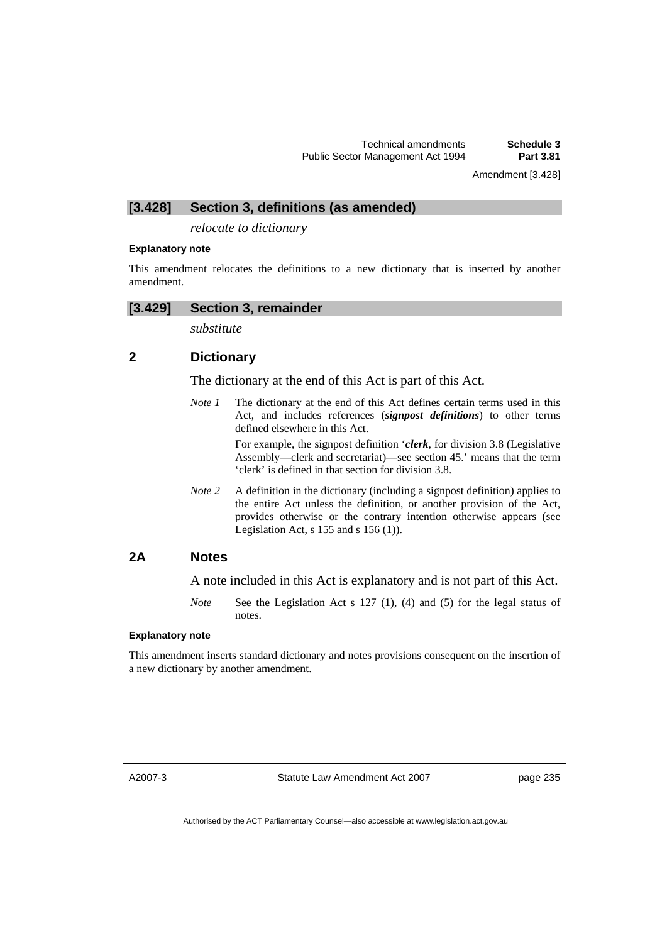Amendment [3.428]

### **[3.428] Section 3, definitions (as amended)**

*relocate to dictionary* 

#### **Explanatory note**

This amendment relocates the definitions to a new dictionary that is inserted by another amendment.

#### **[3.429] Section 3, remainder**

*substitute* 

### **2 Dictionary**

The dictionary at the end of this Act is part of this Act.

*Note 1* The dictionary at the end of this Act defines certain terms used in this Act, and includes references (*signpost definitions*) to other terms defined elsewhere in this Act.

> For example, the signpost definition '*clerk*, for division 3.8 (Legislative Assembly—clerk and secretariat)—see section 45.' means that the term 'clerk' is defined in that section for division 3.8.

*Note* 2 A definition in the dictionary (including a signpost definition) applies to the entire Act unless the definition, or another provision of the Act, provides otherwise or the contrary intention otherwise appears (see Legislation Act,  $s$  155 and  $s$  156 (1)).

### **2A Notes**

A note included in this Act is explanatory and is not part of this Act.

*Note* See the Legislation Act s 127 (1), (4) and (5) for the legal status of notes.

#### **Explanatory note**

This amendment inserts standard dictionary and notes provisions consequent on the insertion of a new dictionary by another amendment.

A2007-3

Statute Law Amendment Act 2007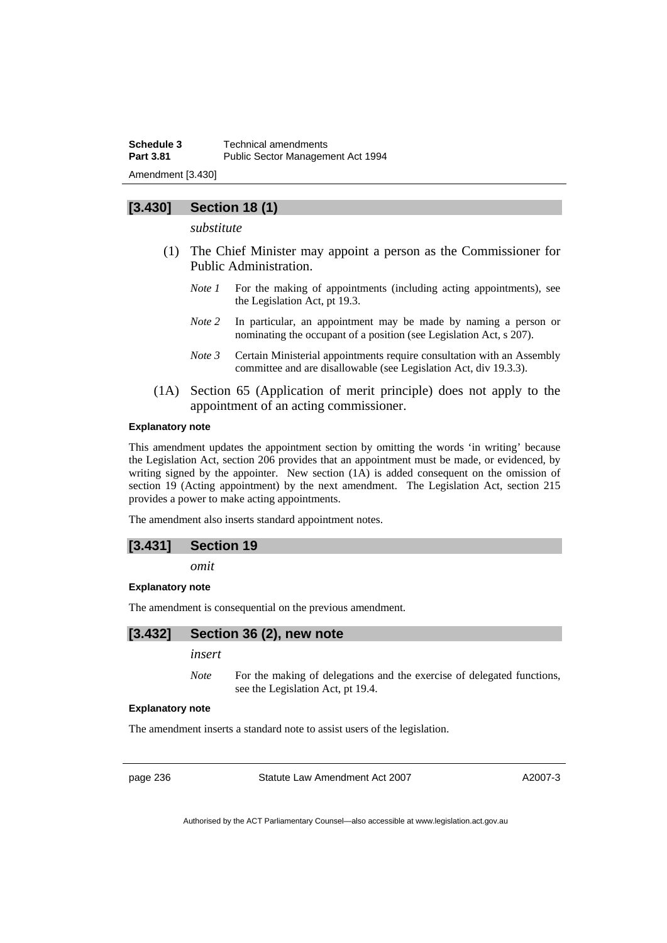**Schedule 3 Technical amendments**<br>**Part 3.81 Public Sector Managem** Public Sector Management Act 1994 Amendment [3.430]

### **[3.430] Section 18 (1)**

*substitute* 

- (1) The Chief Minister may appoint a person as the Commissioner for Public Administration.
	- *Note 1* For the making of appointments (including acting appointments), see the Legislation Act, pt 19.3.
	- *Note 2* In particular, an appointment may be made by naming a person or nominating the occupant of a position (see Legislation Act, s 207).
	- *Note 3* Certain Ministerial appointments require consultation with an Assembly committee and are disallowable (see Legislation Act, div 19.3.3).
- (1A) Section 65 (Application of merit principle) does not apply to the appointment of an acting commissioner.

#### **Explanatory note**

This amendment updates the appointment section by omitting the words 'in writing' because the Legislation Act, section 206 provides that an appointment must be made, or evidenced, by writing signed by the appointer. New section (1A) is added consequent on the omission of section 19 (Acting appointment) by the next amendment. The Legislation Act, section 215 provides a power to make acting appointments.

The amendment also inserts standard appointment notes.

### **[3.431] Section 19**

*omit* 

#### **Explanatory note**

The amendment is consequential on the previous amendment.

### **[3.432] Section 36 (2), new note**

### *insert*

*Note* For the making of delegations and the exercise of delegated functions, see the Legislation Act, pt 19.4.

#### **Explanatory note**

The amendment inserts a standard note to assist users of the legislation.

page 236 Statute Law Amendment Act 2007

A2007-3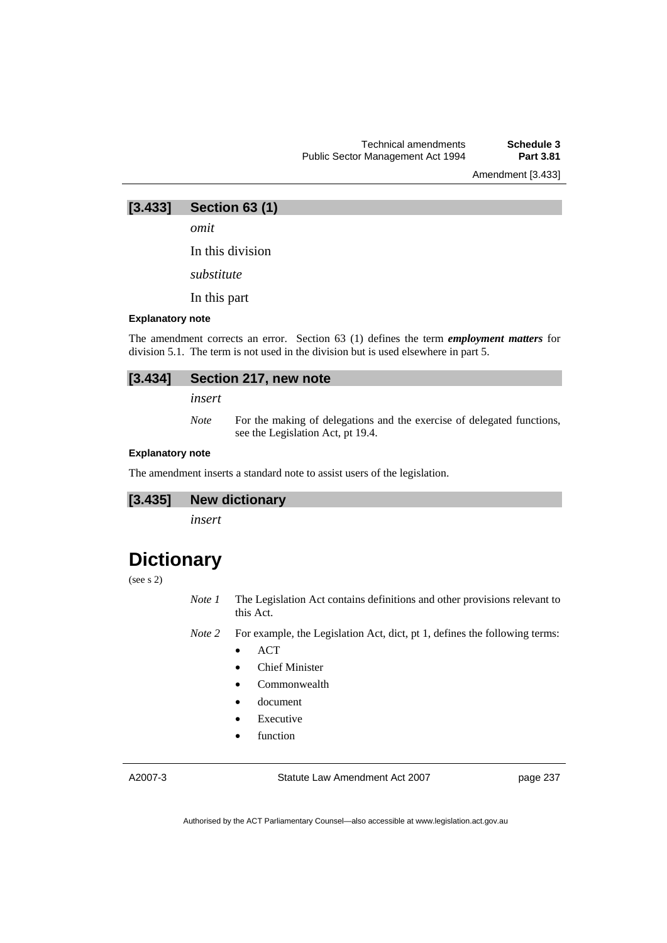Amendment [3.433]

**[3.433] Section 63 (1)** 

*omit* 

In this division

*substitute* 

In this part

#### **Explanatory note**

The amendment corrects an error. Section 63 (1) defines the term *employment matters* for division 5.1. The term is not used in the division but is used elsewhere in part 5.

### **[3.434] Section 217, new note**

*insert* 

*Note* For the making of delegations and the exercise of delegated functions, see the Legislation Act, pt 19.4.

#### **Explanatory note**

The amendment inserts a standard note to assist users of the legislation.

### **[3.435] New dictionary**

*insert* 

## **Dictionary**

#### (see s 2)

*Note 1* The Legislation Act contains definitions and other provisions relevant to this Act.

*Note 2* For example, the Legislation Act, dict, pt 1, defines the following terms:

- ACT
- Chief Minister
- Commonwealth
- document
- **Executive**
- function

A2007-3

Statute Law Amendment Act 2007

page 237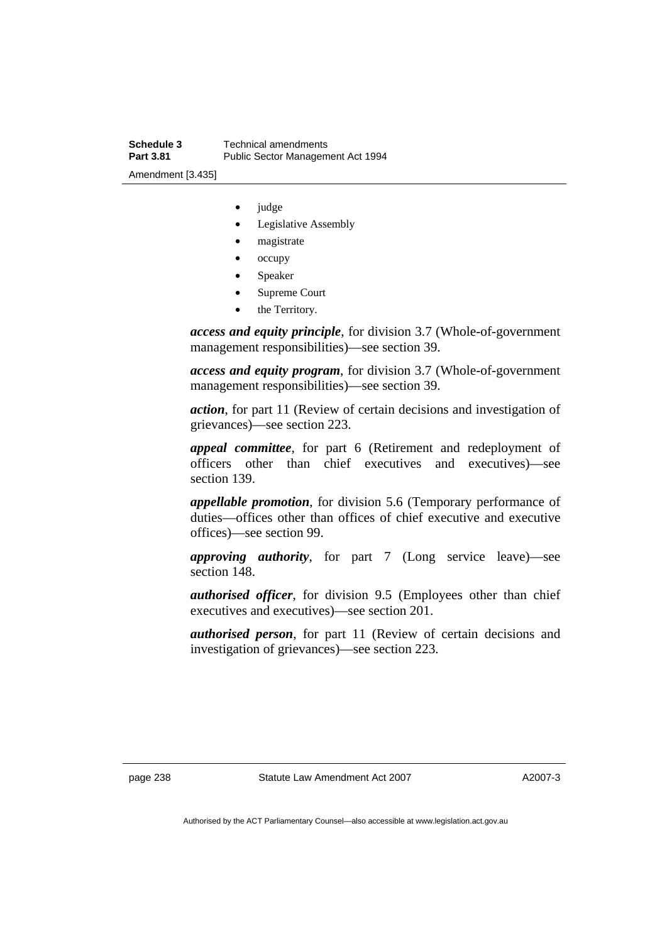- judge
- Legislative Assembly
- magistrate
- occupy
- **Speaker**
- Supreme Court
- the Territory.

*access and equity principle*, for division 3.7 (Whole-of-government management responsibilities)—see section 39.

*access and equity program*, for division 3.7 (Whole-of-government management responsibilities)—see section 39.

*action*, for part 11 (Review of certain decisions and investigation of grievances)—see section 223.

*appeal committee*, for part 6 (Retirement and redeployment of officers other than chief executives and executives)—see section 139.

*appellable promotion*, for division 5.6 (Temporary performance of duties—offices other than offices of chief executive and executive offices)—see section 99.

*approving authority*, for part 7 (Long service leave)—see section 148.

*authorised officer*, for division 9.5 (Employees other than chief executives and executives)—see section 201.

*authorised person*, for part 11 (Review of certain decisions and investigation of grievances)—see section 223.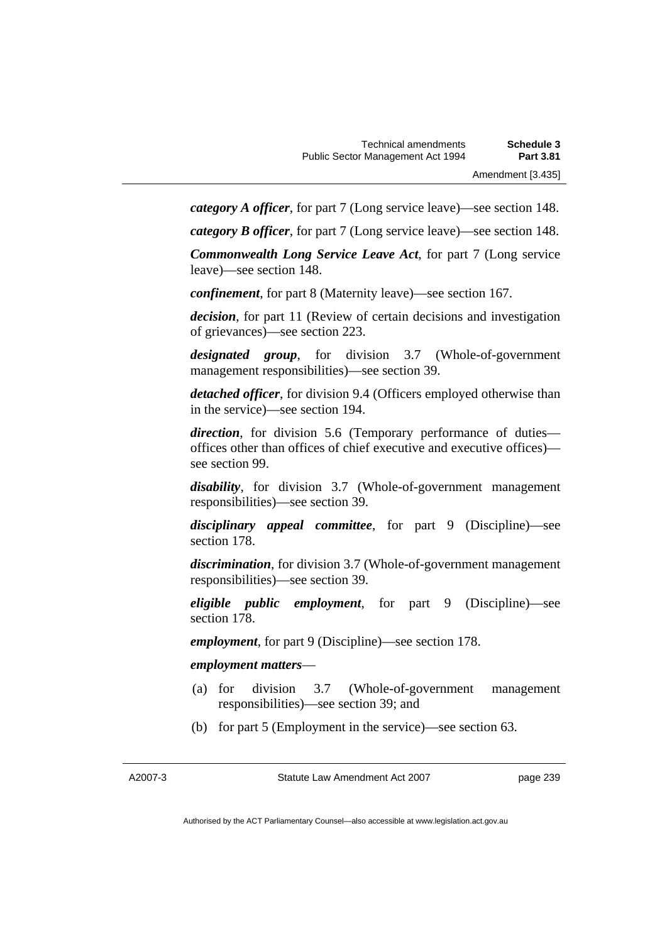*category A officer*, for part 7 (Long service leave)—see section 148.

*category B officer*, for part 7 (Long service leave)—see section 148.

*Commonwealth Long Service Leave Act*, for part 7 (Long service leave)—see section 148.

*confinement*, for part 8 (Maternity leave)—see section 167.

*decision*, for part 11 (Review of certain decisions and investigation of grievances)—see section 223.

*designated group*, for division 3.7 (Whole-of-government management responsibilities)—see section 39.

*detached officer*, for division 9.4 (Officers employed otherwise than in the service)—see section 194.

*direction*, for division 5.6 (Temporary performance of duties offices other than offices of chief executive and executive offices) see section 99.

*disability*, for division 3.7 (Whole-of-government management responsibilities)—see section 39.

*disciplinary appeal committee*, for part 9 (Discipline)—see section 178.

*discrimination*, for division 3.7 (Whole-of-government management responsibilities)—see section 39.

*eligible public employment*, for part 9 (Discipline)—see section 178.

*employment*, for part 9 (Discipline)—see section 178.

#### *employment matters*—

- (a) for division 3.7 (Whole-of-government management responsibilities)—see section 39; and
- (b) for part 5 (Employment in the service)—see section 63.

Statute Law Amendment Act 2007

page 239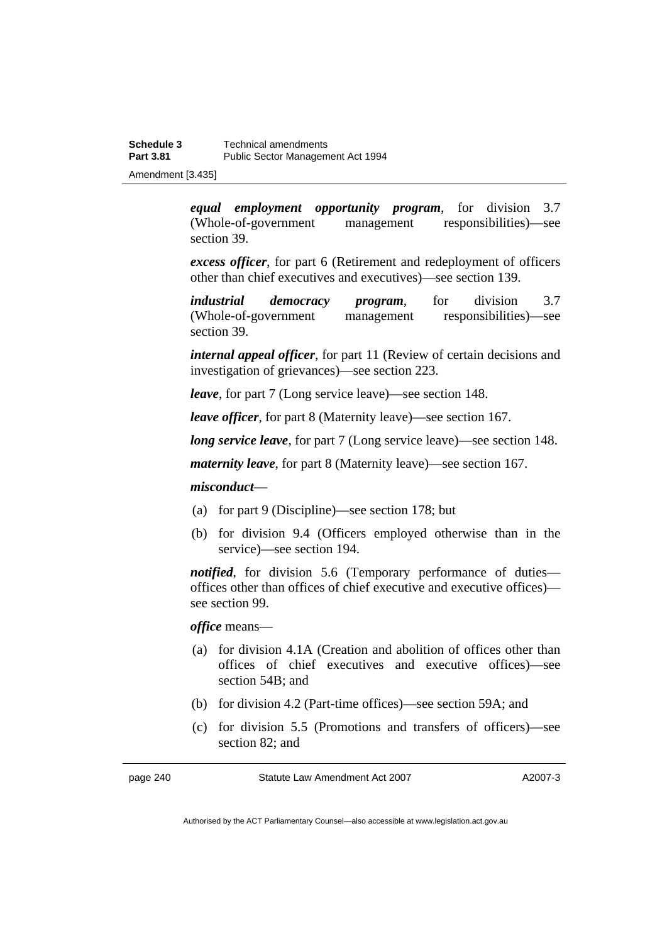Amendment [3.435]

*equal employment opportunity program*, for division 3.7 (Whole-of-government management responsibilities)—see section 39.

*excess officer*, for part 6 (Retirement and redeployment of officers other than chief executives and executives)—see section 139.

*industrial democracy program*, for division 3.7 (Whole-of-government management responsibilities)—see section 39.

*internal appeal officer*, for part 11 (Review of certain decisions and investigation of grievances)—see section 223.

*leave*, for part 7 (Long service leave)—see section 148.

*leave officer*, for part 8 (Maternity leave)—see section 167.

*long service leave*, for part 7 (Long service leave)—see section 148.

*maternity leave*, for part 8 (Maternity leave)—see section 167.

### *misconduct*—

- (a) for part 9 (Discipline)—see section 178; but
- (b) for division 9.4 (Officers employed otherwise than in the service)—see section 194.

*notified*, for division 5.6 (Temporary performance of duties offices other than offices of chief executive and executive offices) see section 99.

*office* means—

- (a) for division 4.1A (Creation and abolition of offices other than offices of chief executives and executive offices)—see section 54B; and
- (b) for division 4.2 (Part-time offices)—see section 59A; and
- (c) for division 5.5 (Promotions and transfers of officers)—see section 82; and

page 240 Statute Law Amendment Act 2007

A2007-3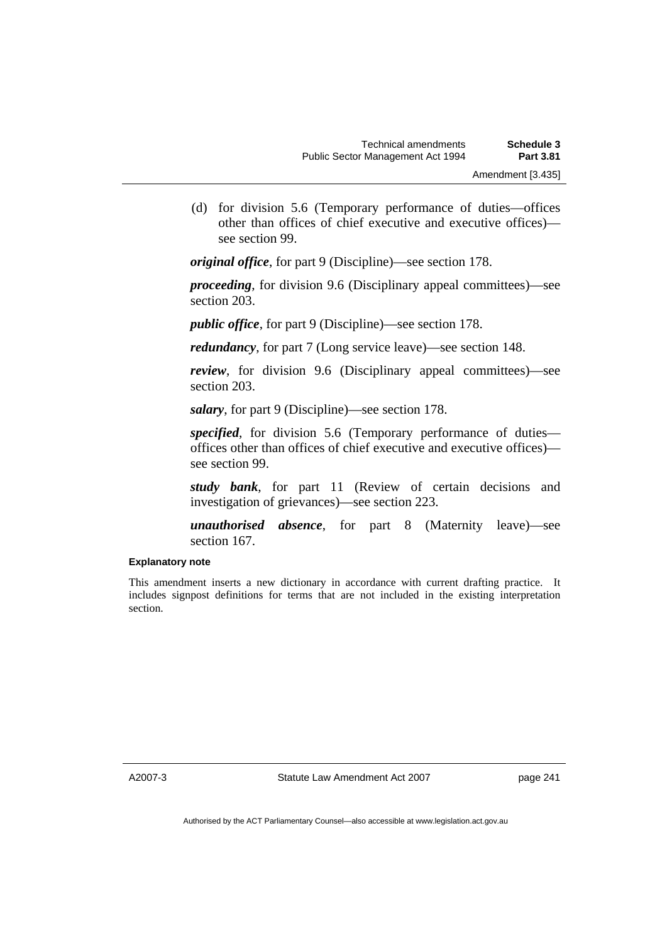(d) for division 5.6 (Temporary performance of duties—offices other than offices of chief executive and executive offices) see section 99.

*original office*, for part 9 (Discipline)—see section 178.

*proceeding*, for division 9.6 (Disciplinary appeal committees)—see section 203.

*public office*, for part 9 (Discipline)—see section 178.

*redundancy*, for part 7 (Long service leave)—see section 148.

*review*, for division 9.6 (Disciplinary appeal committees)—see section 203.

*salary*, for part 9 (Discipline)—see section 178.

*specified*, for division 5.6 (Temporary performance of duties offices other than offices of chief executive and executive offices) see section 99.

*study bank*, for part 11 (Review of certain decisions and investigation of grievances)—see section 223.

*unauthorised absence*, for part 8 (Maternity leave)—see section 167.

#### **Explanatory note**

This amendment inserts a new dictionary in accordance with current drafting practice. It includes signpost definitions for terms that are not included in the existing interpretation section.

A2007-3

Statute Law Amendment Act 2007

page 241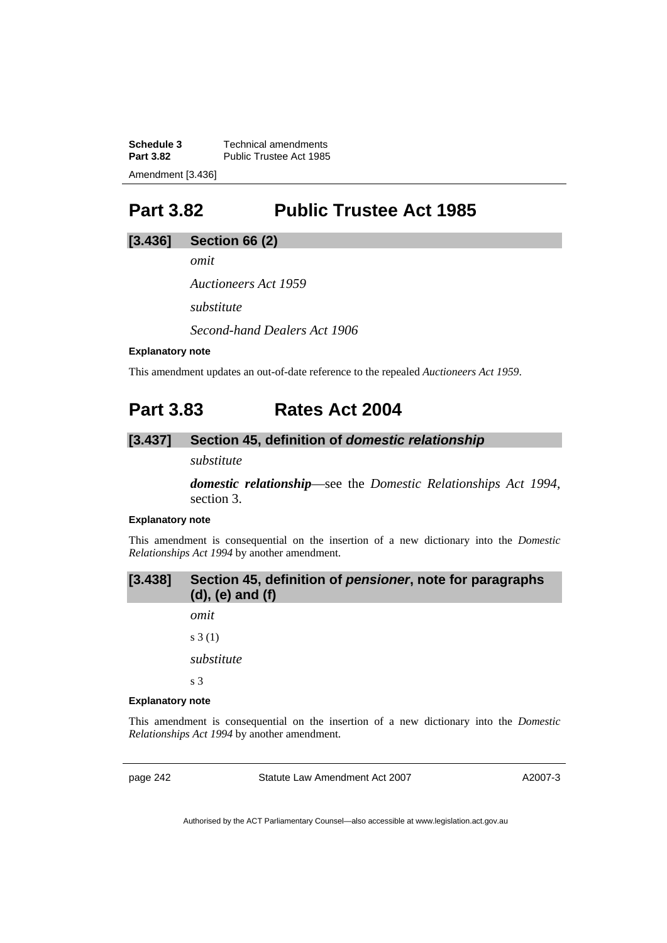**Schedule 3 Technical amendments**<br>**Part 3.82 Public Trustee Act 1985** Public Trustee Act 1985 Amendment [3.436]

## **Part 3.82 Public Trustee Act 1985**

### **[3.436] Section 66 (2)**

*omit* 

*Auctioneers Act 1959* 

*substitute* 

*Second-hand Dealers Act 1906* 

#### **Explanatory note**

This amendment updates an out-of-date reference to the repealed *Auctioneers Act 1959*.

## **Part 3.83 Rates Act 2004**

### **[3.437] Section 45, definition of** *domestic relationship*

### *substitute*

*domestic relationship*—see the *Domestic Relationships Act 1994*, section 3.

#### **Explanatory note**

This amendment is consequential on the insertion of a new dictionary into the *Domestic Relationships Act 1994* by another amendment.

| [3.438] Section 45, definition of pensioner, note for paragraphs |
|------------------------------------------------------------------|
| $(d)$ , $(e)$ and $(f)$                                          |

*omit* 

s 3 (1)

*substitute* 

s 3

#### **Explanatory note**

This amendment is consequential on the insertion of a new dictionary into the *Domestic Relationships Act 1994* by another amendment.

page 242 Statute Law Amendment Act 2007

A2007-3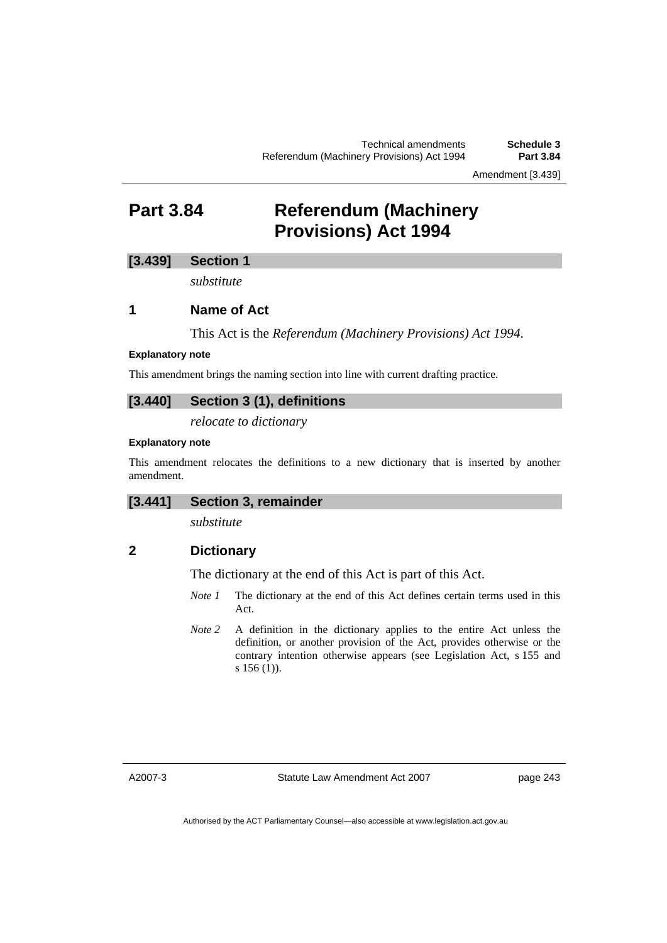## **Part 3.84 Referendum (Machinery Provisions) Act 1994**

### **[3.439] Section 1**

*substitute* 

### **1 Name of Act**

This Act is the *Referendum (Machinery Provisions) Act 1994*.

#### **Explanatory note**

This amendment brings the naming section into line with current drafting practice.

### **[3.440] Section 3 (1), definitions**

*relocate to dictionary* 

### **Explanatory note**

This amendment relocates the definitions to a new dictionary that is inserted by another amendment.

### **[3.441] Section 3, remainder**

*substitute* 

### **2 Dictionary**

The dictionary at the end of this Act is part of this Act.

- *Note 1* The dictionary at the end of this Act defines certain terms used in this Act.
- *Note 2* A definition in the dictionary applies to the entire Act unless the definition, or another provision of the Act, provides otherwise or the contrary intention otherwise appears (see Legislation Act, s 155 and s 156 (1)).

A2007-3

Statute Law Amendment Act 2007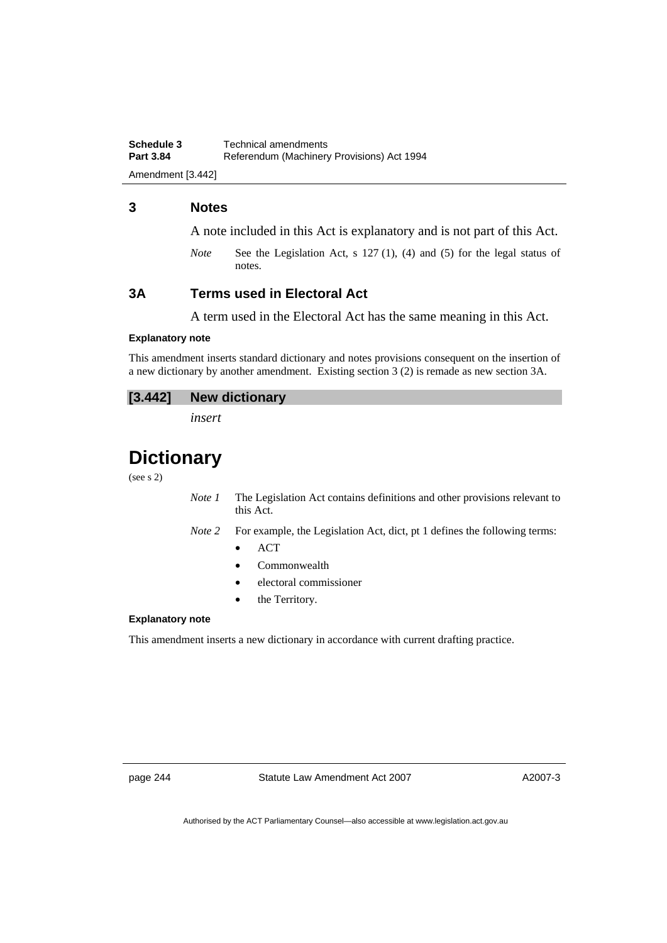Amendment [3.442]

### **3 Notes**

A note included in this Act is explanatory and is not part of this Act.

*Note* See the Legislation Act, s 127 (1), (4) and (5) for the legal status of notes.

### **3A Terms used in Electoral Act**

A term used in the Electoral Act has the same meaning in this Act.

#### **Explanatory note**

This amendment inserts standard dictionary and notes provisions consequent on the insertion of a new dictionary by another amendment. Existing section 3 (2) is remade as new section 3A.

*insert* 

## **Dictionary**

(see s 2)

*Note 1* The Legislation Act contains definitions and other provisions relevant to this Act.

- *Note 2* For example, the Legislation Act, dict, pt 1 defines the following terms:
	- $ACT$
	- Commonwealth
	- electoral commissioner
	- the Territory.

#### **Explanatory note**

This amendment inserts a new dictionary in accordance with current drafting practice.

page 244 Statute Law Amendment Act 2007

A2007-3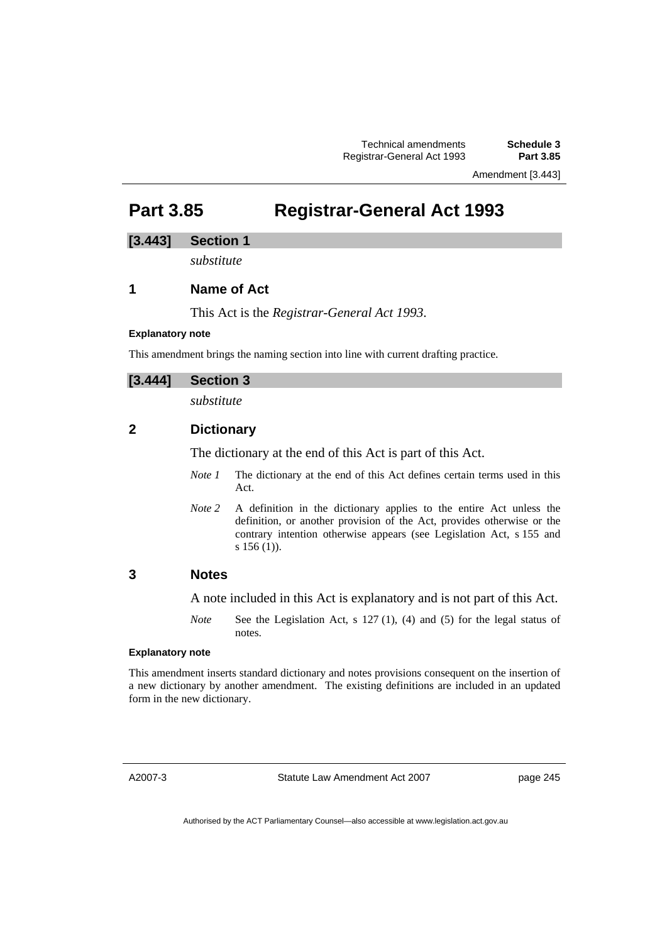Amendment [3.443]

## **Part 3.85 Registrar-General Act 1993**

### **[3.443] Section 1**

*substitute* 

### **1 Name of Act**

This Act is the *Registrar-General Act 1993*.

### **Explanatory note**

This amendment brings the naming section into line with current drafting practice.

### **[3.444] Section 3**

*substitute* 

### **2 Dictionary**

The dictionary at the end of this Act is part of this Act.

- *Note 1* The dictionary at the end of this Act defines certain terms used in this Act.
- *Note 2* A definition in the dictionary applies to the entire Act unless the definition, or another provision of the Act, provides otherwise or the contrary intention otherwise appears (see Legislation Act, s 155 and s 156 (1)).

### **3 Notes**

A note included in this Act is explanatory and is not part of this Act.

*Note* See the Legislation Act, s 127 (1), (4) and (5) for the legal status of notes.

#### **Explanatory note**

This amendment inserts standard dictionary and notes provisions consequent on the insertion of a new dictionary by another amendment. The existing definitions are included in an updated form in the new dictionary.

A2007-3

Statute Law Amendment Act 2007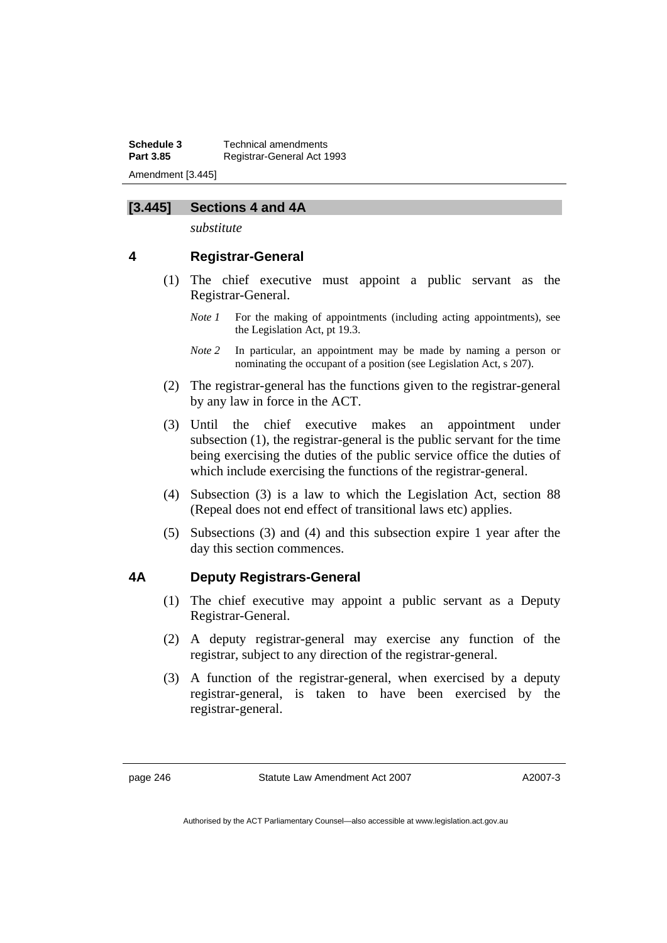**Schedule 3 Technical amendments**<br>**Part 3.85 Registrar-General Act 1 Part 3.85** Registrar-General Act 1993 Amendment [3.445]

### **[3.445] Sections 4 and 4A**

*substitute* 

### **4 Registrar-General**

- (1) The chief executive must appoint a public servant as the Registrar-General.
	- *Note 1* For the making of appointments (including acting appointments), see the Legislation Act, pt 19.3.
	- *Note 2* In particular, an appointment may be made by naming a person or nominating the occupant of a position (see Legislation Act, s 207).
- (2) The registrar-general has the functions given to the registrar-general by any law in force in the ACT.
- (3) Until the chief executive makes an appointment under subsection (1), the registrar-general is the public servant for the time being exercising the duties of the public service office the duties of which include exercising the functions of the registrar-general.
- (4) Subsection (3) is a law to which the Legislation Act, section 88 (Repeal does not end effect of transitional laws etc) applies.
- (5) Subsections (3) and (4) and this subsection expire 1 year after the day this section commences.

### **4A Deputy Registrars-General**

- (1) The chief executive may appoint a public servant as a Deputy Registrar-General.
- (2) A deputy registrar-general may exercise any function of the registrar, subject to any direction of the registrar-general.
- (3) A function of the registrar-general, when exercised by a deputy registrar-general, is taken to have been exercised by the registrar-general.

A2007-3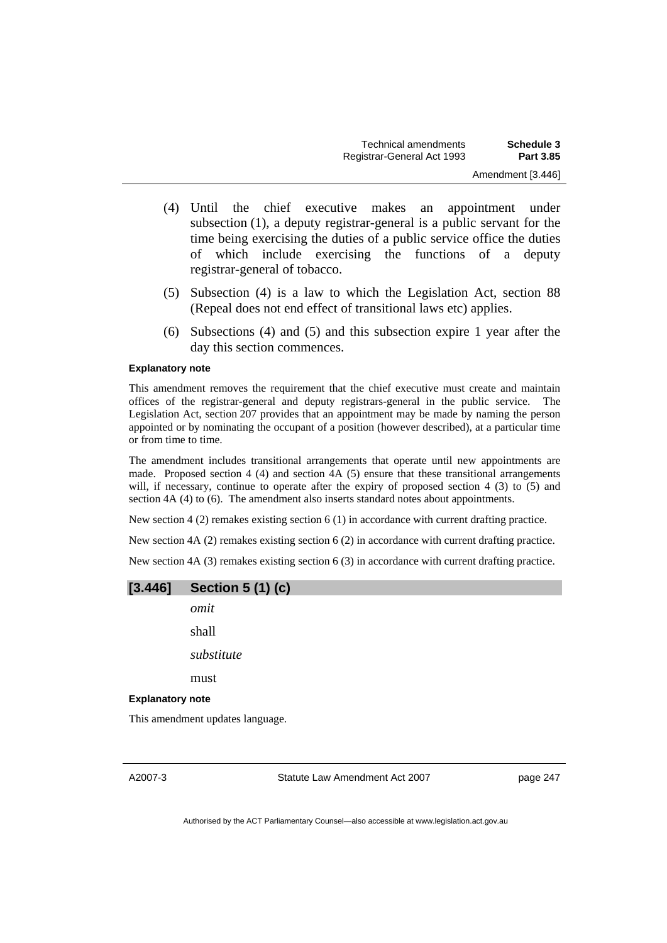- (4) Until the chief executive makes an appointment under subsection (1), a deputy registrar-general is a public servant for the time being exercising the duties of a public service office the duties of which include exercising the functions of a deputy registrar-general of tobacco.
- (5) Subsection (4) is a law to which the Legislation Act, section 88 (Repeal does not end effect of transitional laws etc) applies.
- (6) Subsections (4) and (5) and this subsection expire 1 year after the day this section commences.

#### **Explanatory note**

This amendment removes the requirement that the chief executive must create and maintain offices of the registrar-general and deputy registrars-general in the public service. The Legislation Act, section 207 provides that an appointment may be made by naming the person appointed or by nominating the occupant of a position (however described), at a particular time or from time to time.

The amendment includes transitional arrangements that operate until new appointments are made. Proposed section 4 (4) and section 4A (5) ensure that these transitional arrangements will, if necessary, continue to operate after the expiry of proposed section 4 (3) to (5) and section 4A (4) to (6). The amendment also inserts standard notes about appointments.

New section 4 (2) remakes existing section 6 (1) in accordance with current drafting practice.

New section 4A (2) remakes existing section 6 (2) in accordance with current drafting practice.

New section 4A (3) remakes existing section 6 (3) in accordance with current drafting practice.

| [3.446]                 | <b>Section 5 (1) (c)</b>         |                                |          |
|-------------------------|----------------------------------|--------------------------------|----------|
|                         | omit                             |                                |          |
|                         | shall                            |                                |          |
|                         | substitute                       |                                |          |
|                         | must                             |                                |          |
| <b>Explanatory note</b> |                                  |                                |          |
|                         | This amendment updates language. |                                |          |
|                         |                                  |                                |          |
| A2007-3                 |                                  | Statute Law Amendment Act 2007 | page 247 |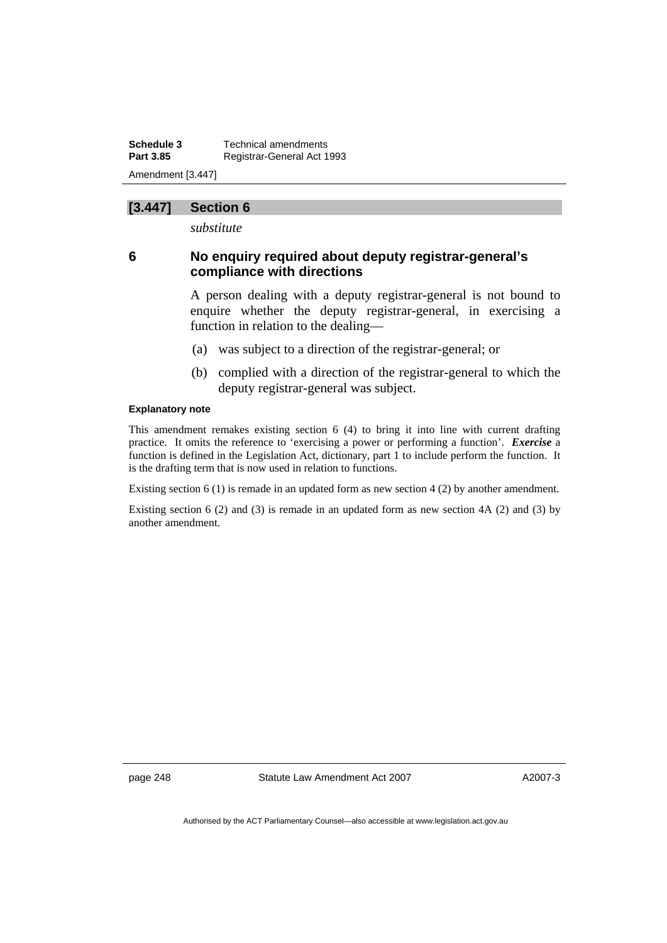**Schedule 3 Technical amendments**<br>**Part 3.85 Registrar-General Act 1 Part 3.85** Registrar-General Act 1993 Amendment [3.447]

## **[3.447] Section 6**

*substitute* 

## **6 No enquiry required about deputy registrar-general's compliance with directions**

A person dealing with a deputy registrar-general is not bound to enquire whether the deputy registrar-general, in exercising a function in relation to the dealing—

- (a) was subject to a direction of the registrar-general; or
- (b) complied with a direction of the registrar-general to which the deputy registrar-general was subject.

#### **Explanatory note**

This amendment remakes existing section 6 (4) to bring it into line with current drafting practice. It omits the reference to 'exercising a power or performing a function'. *Exercise* a function is defined in the Legislation Act, dictionary, part 1 to include perform the function. It is the drafting term that is now used in relation to functions.

Existing section 6 (1) is remade in an updated form as new section 4 (2) by another amendment.

Existing section 6 (2) and (3) is remade in an updated form as new section  $4A$  (2) and (3) by another amendment.

page 248 Statute Law Amendment Act 2007

A2007-3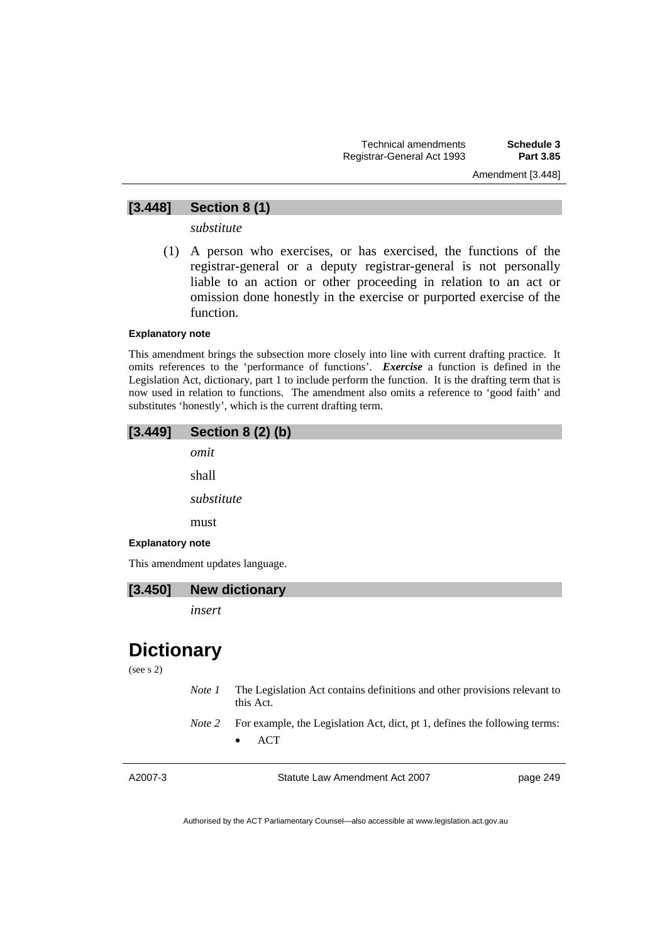## Amendment [3.448]

## **[3.448] Section 8 (1)**

*substitute* 

 (1) A person who exercises, or has exercised, the functions of the registrar-general or a deputy registrar-general is not personally liable to an action or other proceeding in relation to an act or omission done honestly in the exercise or purported exercise of the function.

#### **Explanatory note**

This amendment brings the subsection more closely into line with current drafting practice. It omits references to the 'performance of functions'. *Exercise* a function is defined in the Legislation Act, dictionary, part 1 to include perform the function. It is the drafting term that is now used in relation to functions. The amendment also omits a reference to 'good faith' and substitutes 'honestly', which is the current drafting term.



**[3.450] New dictionary** 

*insert* 

## **Dictionary**

(see s 2)

- *Note 1* The Legislation Act contains definitions and other provisions relevant to this Act.
- *Note 2* For example, the Legislation Act, dict, pt 1, defines the following terms: • ACT

| A2007- |
|--------|
|--------|

Statute Law Amendment Act 2007

page 249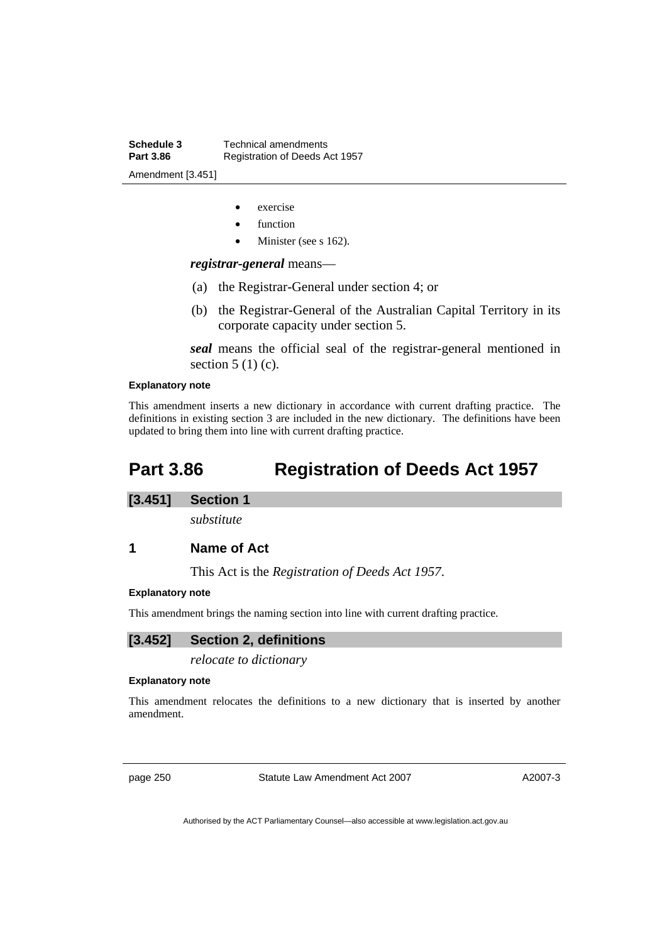- exercise
- function
- Minister (see s 162).

*registrar-general* means—

- (a) the Registrar-General under section 4; or
- (b) the Registrar-General of the Australian Capital Territory in its corporate capacity under section 5.

*seal* means the official seal of the registrar-general mentioned in section  $5(1)(c)$ .

#### **Explanatory note**

This amendment inserts a new dictionary in accordance with current drafting practice. The definitions in existing section 3 are included in the new dictionary. The definitions have been updated to bring them into line with current drafting practice.

## **Part 3.86 Registration of Deeds Act 1957**

#### **[3.451] Section 1**

*substitute* 

**1 Name of Act** 

This Act is the *Registration of Deeds Act 1957*.

#### **Explanatory note**

This amendment brings the naming section into line with current drafting practice.

#### **[3.452] Section 2, definitions**

*relocate to dictionary* 

#### **Explanatory note**

This amendment relocates the definitions to a new dictionary that is inserted by another amendment.

page 250 Statute Law Amendment Act 2007

A2007-3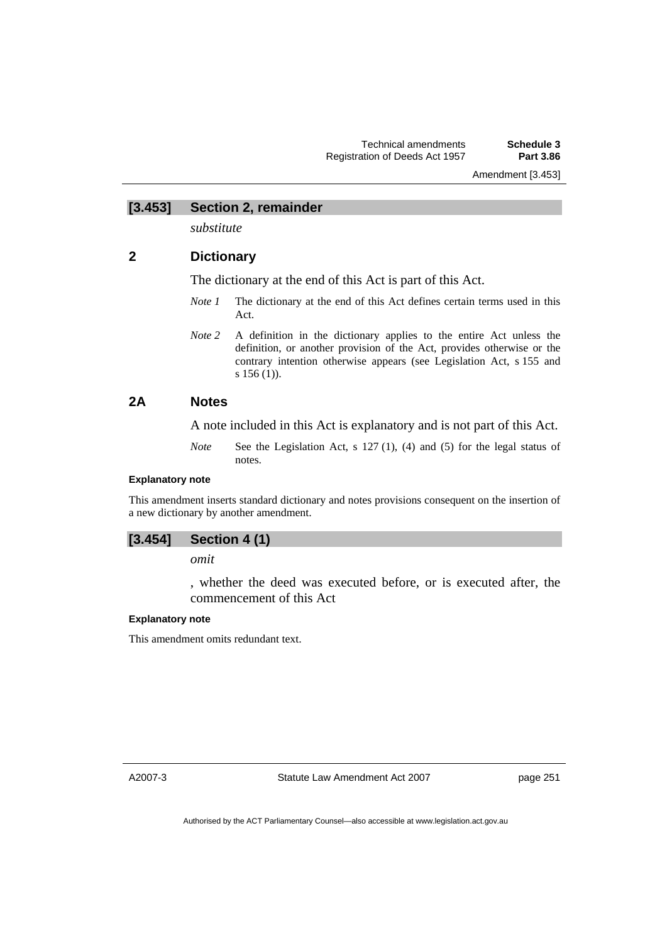Amendment [3.453]

**[3.453] Section 2, remainder** 

*substitute* 

## **2 Dictionary**

The dictionary at the end of this Act is part of this Act.

- *Note 1* The dictionary at the end of this Act defines certain terms used in this Act.
- *Note 2* A definition in the dictionary applies to the entire Act unless the definition, or another provision of the Act, provides otherwise or the contrary intention otherwise appears (see Legislation Act, s 155 and s 156 (1)).

## **2A Notes**

A note included in this Act is explanatory and is not part of this Act.

*Note* See the Legislation Act, s 127 (1), (4) and (5) for the legal status of notes.

#### **Explanatory note**

This amendment inserts standard dictionary and notes provisions consequent on the insertion of a new dictionary by another amendment.

### **[3.454] Section 4 (1)**

*omit* 

, whether the deed was executed before, or is executed after, the commencement of this Act

#### **Explanatory note**

This amendment omits redundant text.

A2007-3

Statute Law Amendment Act 2007

page 251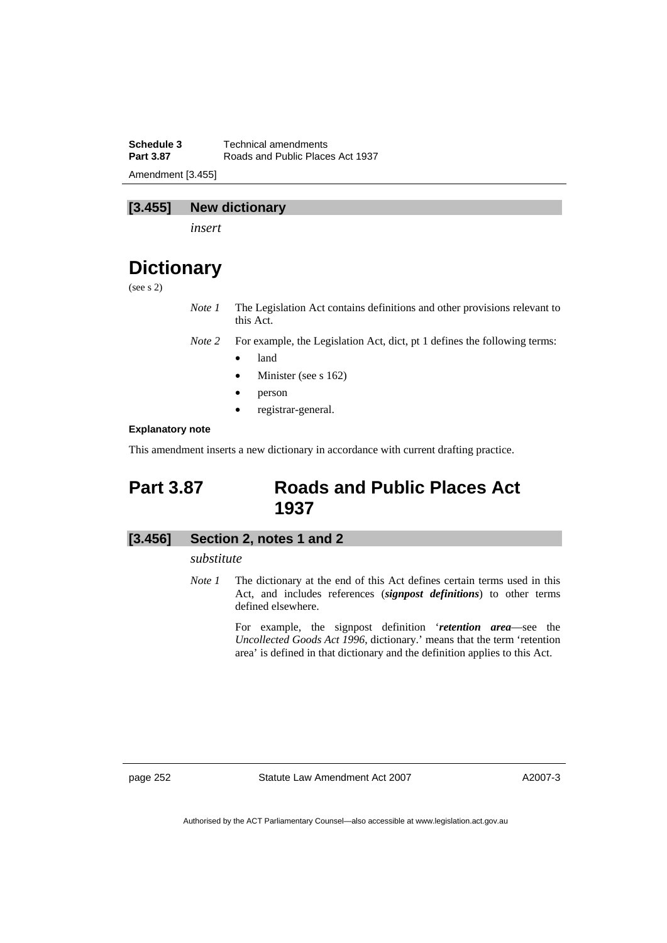**Schedule 3 Technical amendments**<br>**Part 3.87 Roads and Public Place Part 3.87** Roads and Public Places Act 1937 Amendment [3.455]

## **[3.455] New dictionary**

*insert* 

## **Dictionary**

(see s 2)

*Note 1* The Legislation Act contains definitions and other provisions relevant to this Act.

*Note 2* For example, the Legislation Act, dict, pt 1 defines the following terms:

- land
- Minister (see s 162)
- person
- registrar-general.

#### **Explanatory note**

This amendment inserts a new dictionary in accordance with current drafting practice.

## **Part 3.87 Roads and Public Places Act 1937**

### **[3.456] Section 2, notes 1 and 2**

#### *substitute*

*Note 1* The dictionary at the end of this Act defines certain terms used in this Act, and includes references (*signpost definitions*) to other terms defined elsewhere.

> For example, the signpost definition '*retention area*—see the *Uncollected Goods Act 1996*, dictionary.' means that the term 'retention area' is defined in that dictionary and the definition applies to this Act.

page 252 Statute Law Amendment Act 2007

A2007-3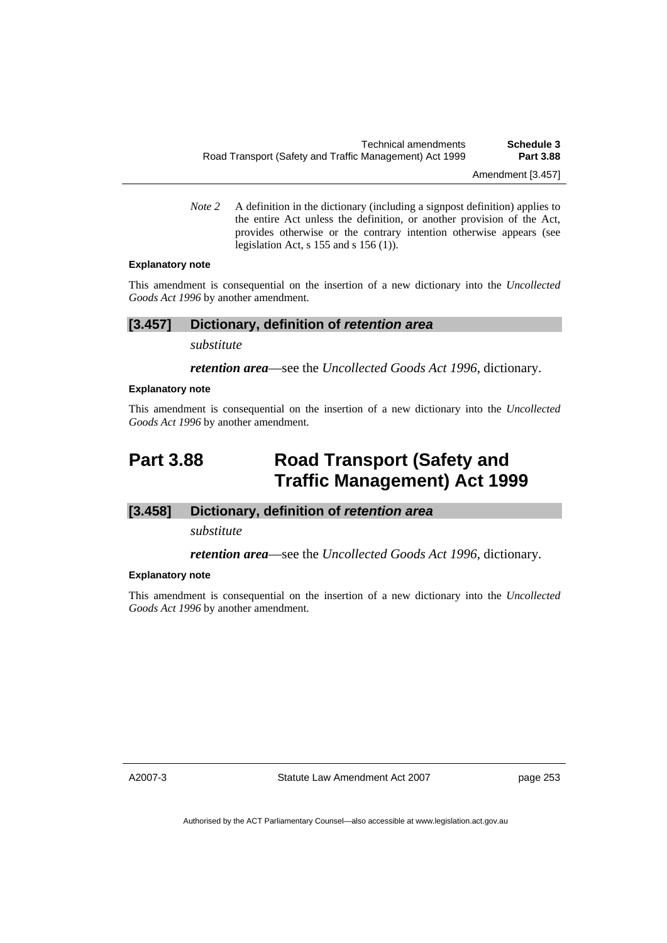*Note* 2 A definition in the dictionary (including a signpost definition) applies to the entire Act unless the definition, or another provision of the Act, provides otherwise or the contrary intention otherwise appears (see legislation Act, s 155 and s 156 (1)).

#### **Explanatory note**

This amendment is consequential on the insertion of a new dictionary into the *Uncollected Goods Act 1996* by another amendment.

### **[3.457] Dictionary, definition of** *retention area*

*substitute* 

*retention area*—see the *Uncollected Goods Act 1996*, dictionary.

#### **Explanatory note**

This amendment is consequential on the insertion of a new dictionary into the *Uncollected Goods Act 1996* by another amendment.

# **Part 3.88 Road Transport (Safety and Traffic Management) Act 1999**

### **[3.458] Dictionary, definition of** *retention area*

*substitute* 

*retention area*—see the *Uncollected Goods Act 1996*, dictionary.

#### **Explanatory note**

This amendment is consequential on the insertion of a new dictionary into the *Uncollected Goods Act 1996* by another amendment.

A2007-3

Statute Law Amendment Act 2007

page 253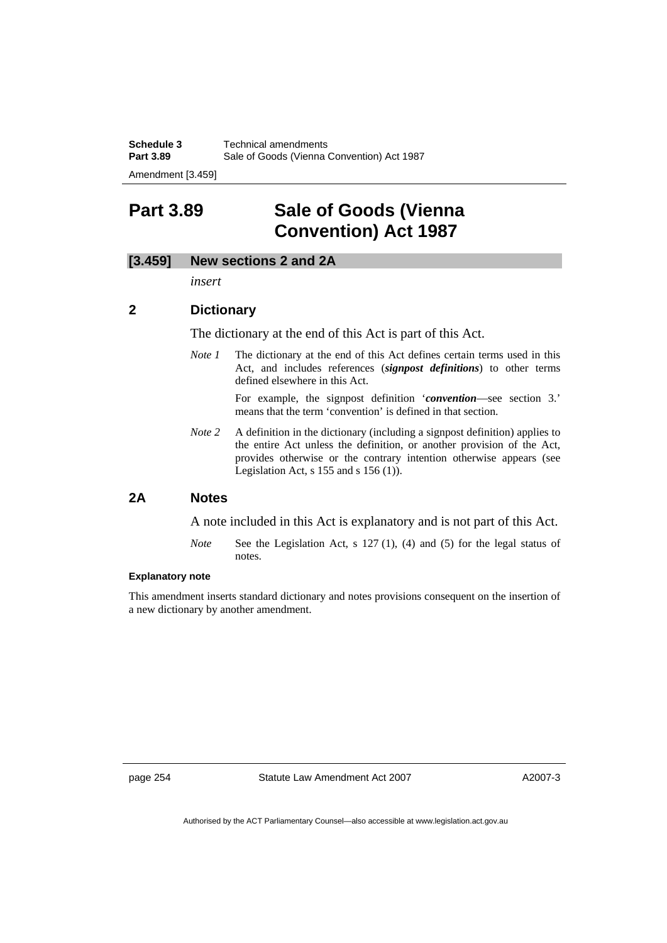**Schedule 3 Technical amendments**<br>**Part 3.89 Sale of Goods (Vienna 0)** Sale of Goods (Vienna Convention) Act 1987

Amendment [3.459]

# **Part 3.89 Sale of Goods (Vienna Convention) Act 1987**

## **[3.459] New sections 2 and 2A**

*insert* 

## **2 Dictionary**

The dictionary at the end of this Act is part of this Act.

*Note 1* The dictionary at the end of this Act defines certain terms used in this Act, and includes references (*signpost definitions*) to other terms defined elsewhere in this Act.

> For example, the signpost definition '*convention*—see section 3.' means that the term 'convention' is defined in that section.

*Note 2* A definition in the dictionary (including a signpost definition) applies to the entire Act unless the definition, or another provision of the Act, provides otherwise or the contrary intention otherwise appears (see Legislation Act,  $s$  155 and  $s$  156 (1)).

## **2A Notes**

A note included in this Act is explanatory and is not part of this Act.

*Note* See the Legislation Act, s 127 (1), (4) and (5) for the legal status of notes.

#### **Explanatory note**

This amendment inserts standard dictionary and notes provisions consequent on the insertion of a new dictionary by another amendment.

page 254 Statute Law Amendment Act 2007

A2007-3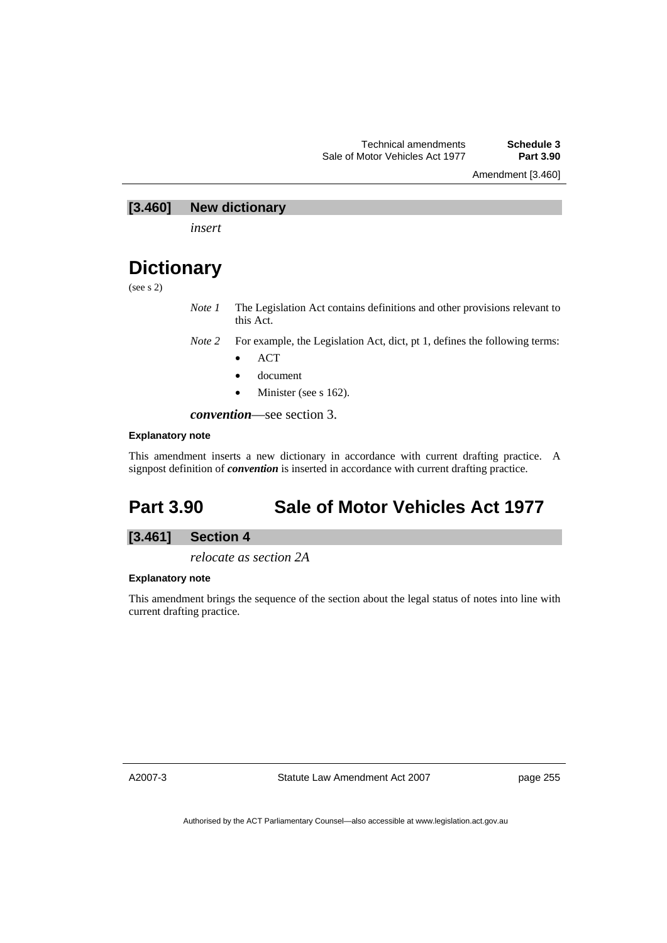Amendment [3.460]

## **[3.460] New dictionary**

*insert* 

## **Dictionary**

(see s 2)

*Note 1* The Legislation Act contains definitions and other provisions relevant to this Act.

*Note 2* For example, the Legislation Act, dict, pt 1, defines the following terms:

- ACT
- document
- Minister (see s 162).

*convention*—see section 3.

#### **Explanatory note**

This amendment inserts a new dictionary in accordance with current drafting practice. A signpost definition of *convention* is inserted in accordance with current drafting practice.

# **Part 3.90 Sale of Motor Vehicles Act 1977**

### **[3.461] Section 4**

*relocate as section 2A* 

#### **Explanatory note**

This amendment brings the sequence of the section about the legal status of notes into line with current drafting practice.

A2007-3

Statute Law Amendment Act 2007

page 255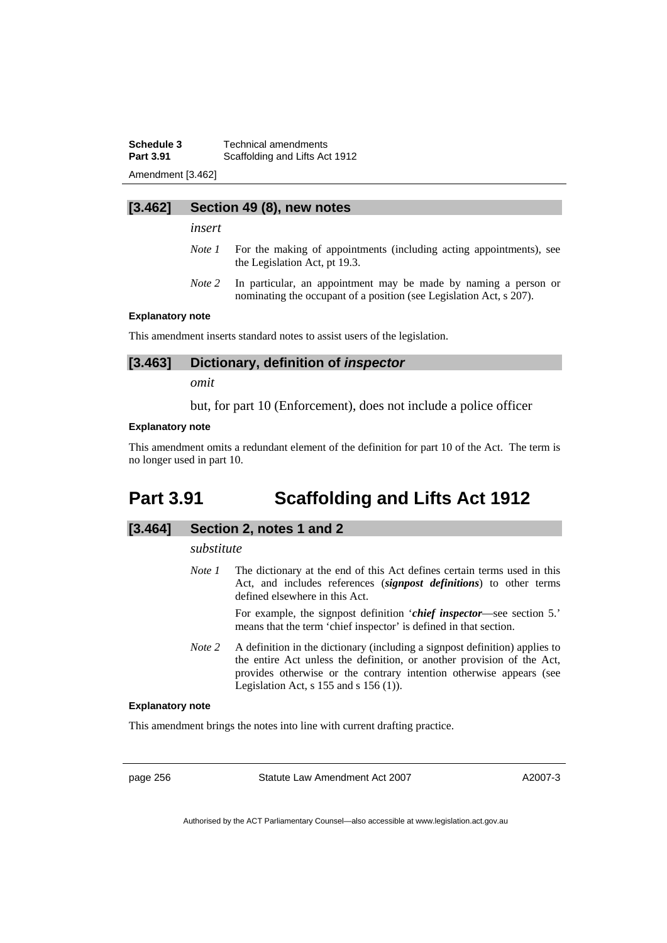**Schedule 3 Technical amendments**<br>**Part 3.91 Scaffolding and Lifts Act Scaffolding and Lifts Act 1912** 

Amendment [3.462]

#### **[3.462] Section 49 (8), new notes**

*insert* 

- *Note 1* For the making of appointments (including acting appointments), see the Legislation Act, pt 19.3.
- *Note 2* In particular, an appointment may be made by naming a person or nominating the occupant of a position (see Legislation Act, s 207).

#### **Explanatory note**

This amendment inserts standard notes to assist users of the legislation.

#### **[3.463] Dictionary, definition of** *inspector*

*omit* 

but, for part 10 (Enforcement), does not include a police officer

#### **Explanatory note**

This amendment omits a redundant element of the definition for part 10 of the Act. The term is no longer used in part 10.

## **Part 3.91 Scaffolding and Lifts Act 1912**

#### **[3.464] Section 2, notes 1 and 2**

#### *substitute*

*Note 1* The dictionary at the end of this Act defines certain terms used in this Act, and includes references (*signpost definitions*) to other terms defined elsewhere in this Act.

> For example, the signpost definition '*chief inspector*—see section 5.' means that the term 'chief inspector' is defined in that section.

*Note* 2 A definition in the dictionary (including a signpost definition) applies to the entire Act unless the definition, or another provision of the Act, provides otherwise or the contrary intention otherwise appears (see Legislation Act,  $s$  155 and  $s$  156 (1)).

#### **Explanatory note**

This amendment brings the notes into line with current drafting practice.

page 256 Statute Law Amendment Act 2007

A2007-3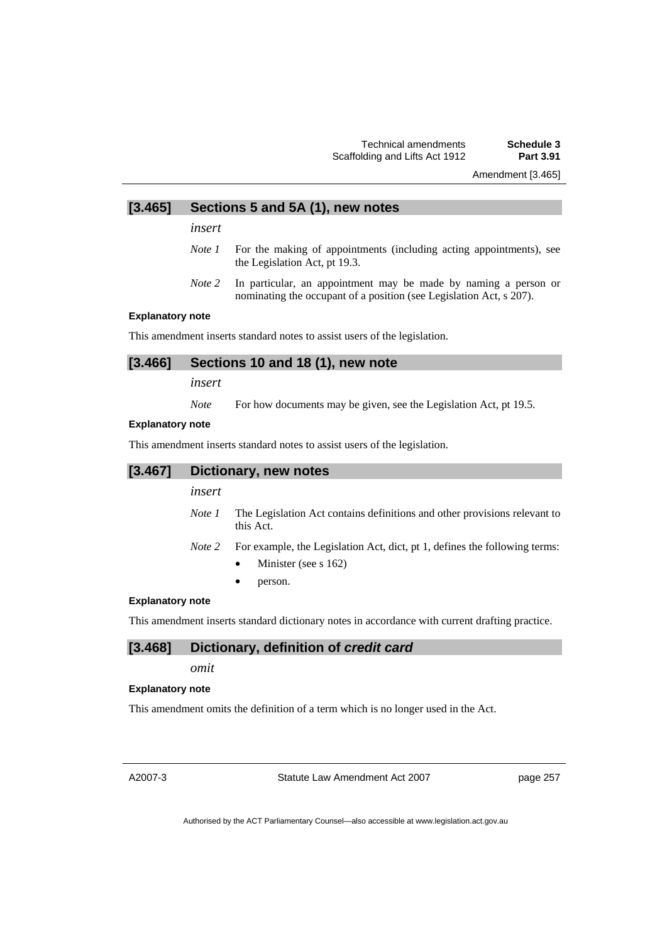### Technical amendments **Schedule 3**  Scaffolding and Lifts Act 1912

Amendment [3.465]

## **[3.465] Sections 5 and 5A (1), new notes**

*insert* 

- *Note 1* For the making of appointments (including acting appointments), see the Legislation Act, pt 19.3.
- *Note 2* In particular, an appointment may be made by naming a person or nominating the occupant of a position (see Legislation Act, s 207).

#### **Explanatory note**

This amendment inserts standard notes to assist users of the legislation.

### **[3.466] Sections 10 and 18 (1), new note**

*insert* 

*Note* For how documents may be given, see the Legislation Act, pt 19.5.

#### **Explanatory note**

This amendment inserts standard notes to assist users of the legislation.

| [3.467] | Dictionary, new notes |                                                                                                       |
|---------|-----------------------|-------------------------------------------------------------------------------------------------------|
|         | insert                |                                                                                                       |
|         | Note 1                | The Legislation Act contains definitions and other provisions relevant to<br>this Act.                |
|         | Note 2                | For example, the Legislation Act, dict, pt 1, defines the following terms:<br>Minister (see s $162$ ) |

person.

#### **Explanatory note**

This amendment inserts standard dictionary notes in accordance with current drafting practice.

#### **[3.468] Dictionary, definition of** *credit card*

*omit* 

#### **Explanatory note**

This amendment omits the definition of a term which is no longer used in the Act.

A2007-3

Statute Law Amendment Act 2007

page 257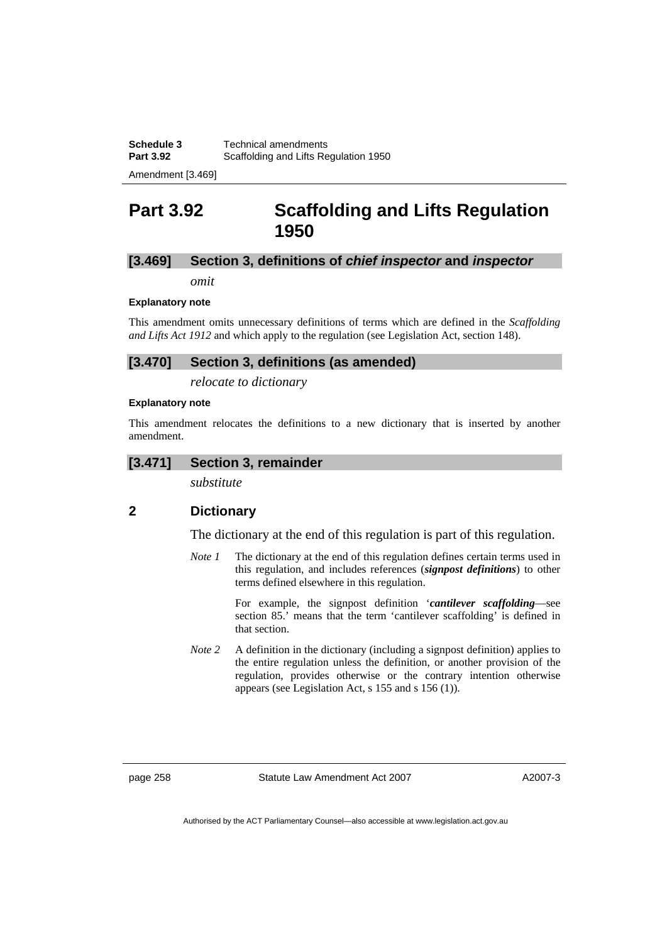Amendment [3.469]

## **Part 3.92 Scaffolding and Lifts Regulation 1950**

## **[3.469] Section 3, definitions of** *chief inspector* **and** *inspector*

*omit* 

#### **Explanatory note**

This amendment omits unnecessary definitions of terms which are defined in the *Scaffolding and Lifts Act 1912* and which apply to the regulation (see Legislation Act, section 148).

## **[3.470] Section 3, definitions (as amended)**

*relocate to dictionary* 

#### **Explanatory note**

This amendment relocates the definitions to a new dictionary that is inserted by another amendment.

#### **[3.471] Section 3, remainder**

*substitute* 

## **2 Dictionary**

The dictionary at the end of this regulation is part of this regulation.

*Note 1* The dictionary at the end of this regulation defines certain terms used in this regulation, and includes references (*signpost definitions*) to other terms defined elsewhere in this regulation.

> For example, the signpost definition '*cantilever scaffolding*—see section 85.' means that the term 'cantilever scaffolding' is defined in that section.

*Note 2* A definition in the dictionary (including a signpost definition) applies to the entire regulation unless the definition, or another provision of the regulation, provides otherwise or the contrary intention otherwise appears (see Legislation Act, s 155 and s 156 (1)).

page 258 Statute Law Amendment Act 2007

A2007-3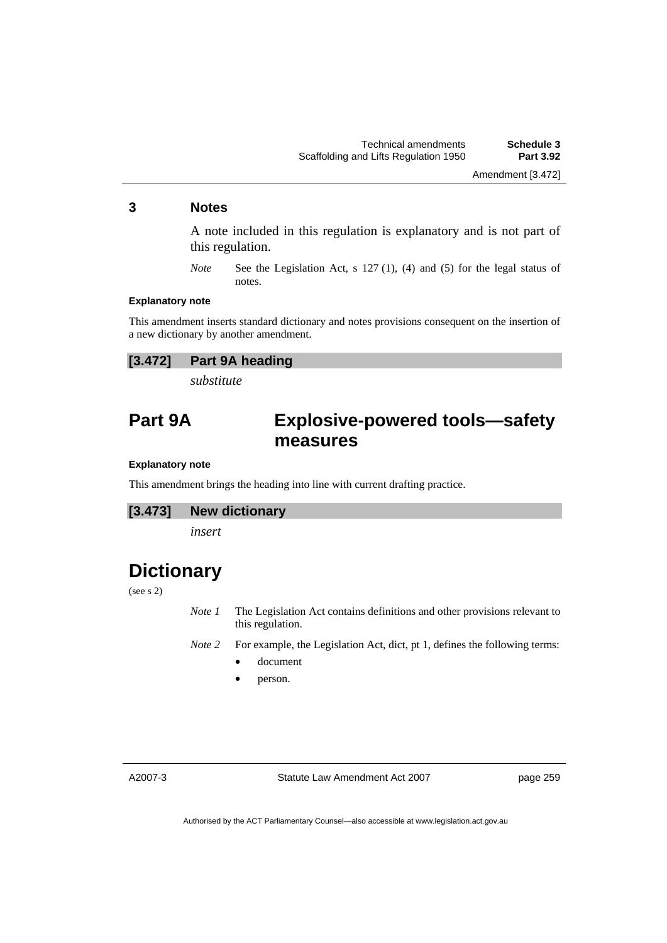## **3 Notes**

A note included in this regulation is explanatory and is not part of this regulation.

*Note* See the Legislation Act, s 127 (1), (4) and (5) for the legal status of notes.

#### **Explanatory note**

This amendment inserts standard dictionary and notes provisions consequent on the insertion of a new dictionary by another amendment.

| [3.472] | <b>Part 9A heading</b> |
|---------|------------------------|
|---------|------------------------|

*substitute* 

## **Part 9A Explosive-powered tools—safety measures**

#### **Explanatory note**

This amendment brings the heading into line with current drafting practice.

#### **[3.473] New dictionary**

*insert* 

# **Dictionary**

(see s 2)

*Note 1* The Legislation Act contains definitions and other provisions relevant to this regulation.

*Note 2* For example, the Legislation Act, dict, pt 1, defines the following terms:

- document
- person.

A2007-3

Statute Law Amendment Act 2007

page 259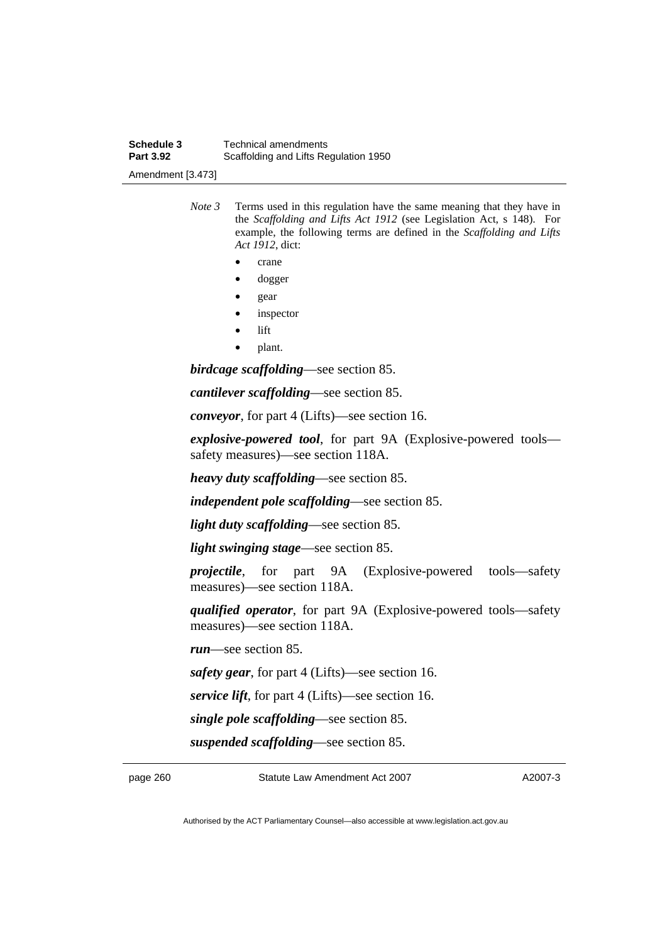*Note 3* Terms used in this regulation have the same meaning that they have in the *Scaffolding and Lifts Act 1912* (see Legislation Act, s 148). For example, the following terms are defined in the *Scaffolding and Lifts Act 1912*, dict:

- crane
- dogger
- gear
- *inspector*
- lift
- plant.

*birdcage scaffolding*—see section 85.

*cantilever scaffolding*—see section 85.

*conveyor*, for part 4 (Lifts)—see section 16.

*explosive-powered tool*, for part 9A (Explosive-powered tools safety measures)—see section 118A.

*heavy duty scaffolding*—see section 85.

*independent pole scaffolding*—see section 85.

*light duty scaffolding*—see section 85.

*light swinging stage*—see section 85.

*projectile*, for part 9A (Explosive-powered tools—safety measures)—see section 118A.

*qualified operator*, for part 9A (Explosive-powered tools—safety measures)—see section 118A.

*run*—see section 85.

*safety gear*, for part 4 (Lifts)—see section 16.

*service lift*, for part 4 (Lifts)—see section 16.

*single pole scaffolding*—see section 85.

*suspended scaffolding*—see section 85.

page 260 Statute Law Amendment Act 2007

A2007-3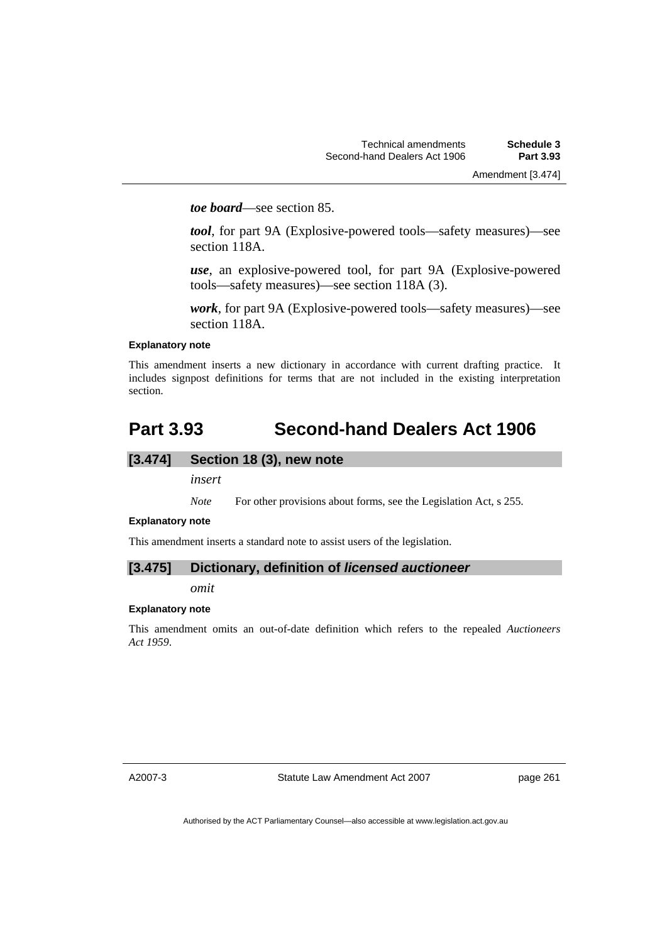*toe board*—see section 85.

*tool*, for part 9A (Explosive-powered tools—safety measures)—see section 118A.

*use*, an explosive-powered tool, for part 9A (Explosive-powered tools—safety measures)—see section 118A (3).

*work*, for part 9A (Explosive-powered tools—safety measures)—see section 118A.

#### **Explanatory note**

This amendment inserts a new dictionary in accordance with current drafting practice. It includes signpost definitions for terms that are not included in the existing interpretation section.

## **Part 3.93 Second-hand Dealers Act 1906**

## **[3.474] Section 18 (3), new note**

*insert* 

*Note* For other provisions about forms, see the Legislation Act, s 255.

#### **Explanatory note**

This amendment inserts a standard note to assist users of the legislation.

## **[3.475] Dictionary, definition of** *licensed auctioneer*

*omit* 

## **Explanatory note**

This amendment omits an out-of-date definition which refers to the repealed *Auctioneers Act 1959*.

A2007-3

Statute Law Amendment Act 2007

page 261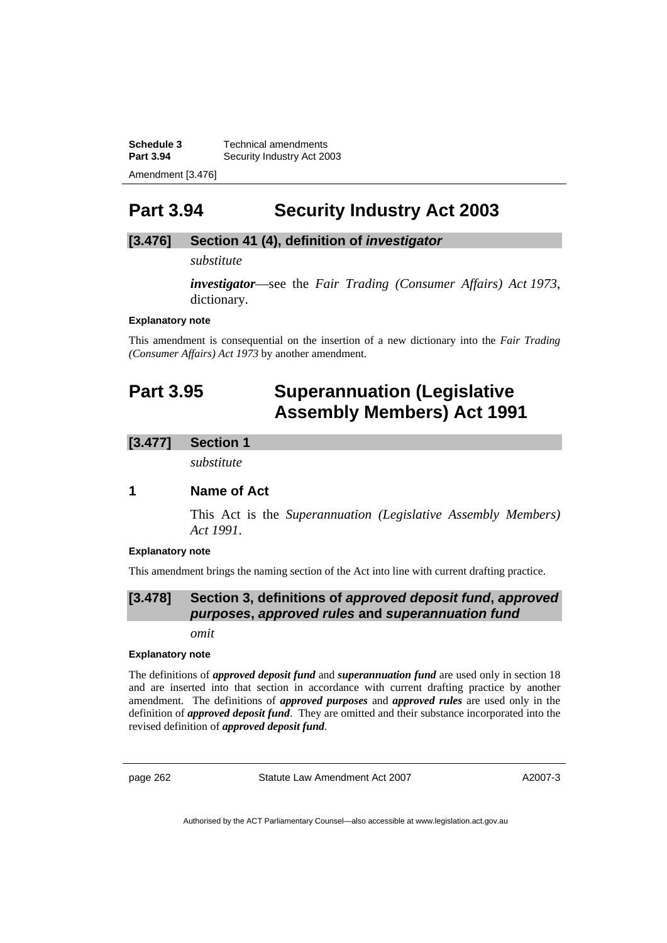**Schedule 3** Technical amendments Part 3.94 **Security Industry Act 2003** Amendment [3.476]

## **Part 3.94 Security Industry Act 2003**

## **[3.476] Section 41 (4), definition of** *investigator*

*substitute* 

*investigator*—see the *Fair Trading (Consumer Affairs) Act 1973*, dictionary.

#### **Explanatory note**

This amendment is consequential on the insertion of a new dictionary into the *Fair Trading (Consumer Affairs) Act 1973* by another amendment.

# **Part 3.95 Superannuation (Legislative Assembly Members) Act 1991**

## **[3.477] Section 1**

*substitute* 

## **1 Name of Act**

This Act is the *Superannuation (Legislative Assembly Members) Act 1991*.

#### **Explanatory note**

This amendment brings the naming section of the Act into line with current drafting practice.

## **[3.478] Section 3, definitions of** *approved deposit fund***,** *approved purposes***,** *approved rules* **and** *superannuation fund*

*omit* 

#### **Explanatory note**

The definitions of *approved deposit fund* and *superannuation fund* are used only in section 18 and are inserted into that section in accordance with current drafting practice by another amendment. The definitions of *approved purposes* and *approved rules* are used only in the definition of *approved deposit fund*. They are omitted and their substance incorporated into the revised definition of *approved deposit fund*.

page 262 Statute Law Amendment Act 2007

A2007-3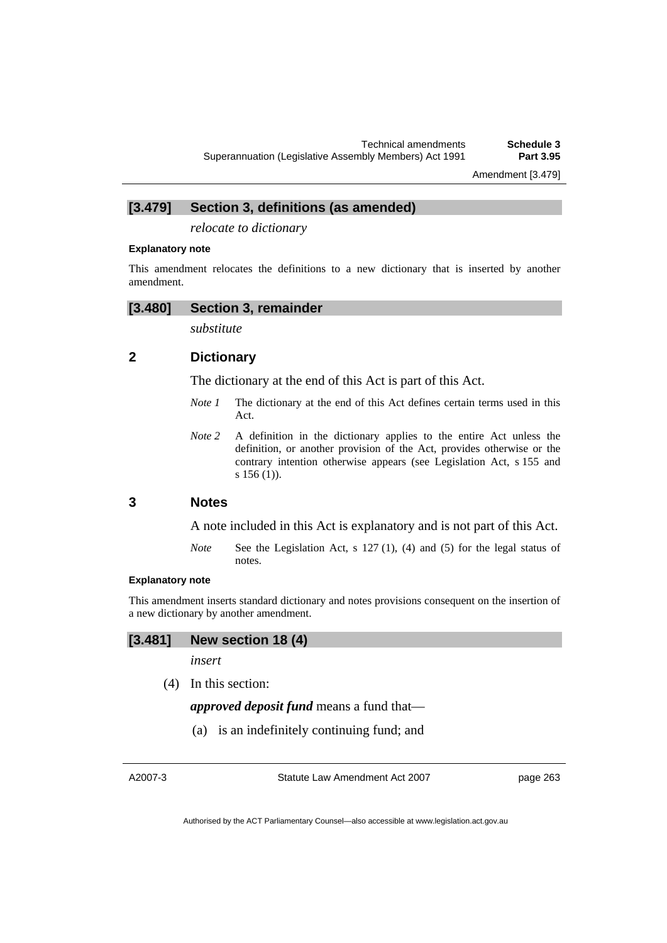Amendment [3.479]

**[3.479] Section 3, definitions (as amended)** 

*relocate to dictionary* 

#### **Explanatory note**

This amendment relocates the definitions to a new dictionary that is inserted by another amendment.

#### **[3.480] Section 3, remainder**

*substitute* 

## **2 Dictionary**

The dictionary at the end of this Act is part of this Act.

- *Note 1* The dictionary at the end of this Act defines certain terms used in this Act.
- *Note* 2 A definition in the dictionary applies to the entire Act unless the definition, or another provision of the Act, provides otherwise or the contrary intention otherwise appears (see Legislation Act, s 155 and s 156 (1)).

## **3 Notes**

A note included in this Act is explanatory and is not part of this Act.

*Note* See the Legislation Act, s 127 (1), (4) and (5) for the legal status of notes.

#### **Explanatory note**

This amendment inserts standard dictionary and notes provisions consequent on the insertion of a new dictionary by another amendment.

## **[3.481] New section 18 (4)**

*insert* 

(4) In this section:

*approved deposit fund* means a fund that—

(a) is an indefinitely continuing fund; and

A2007-3

Statute Law Amendment Act 2007

page 263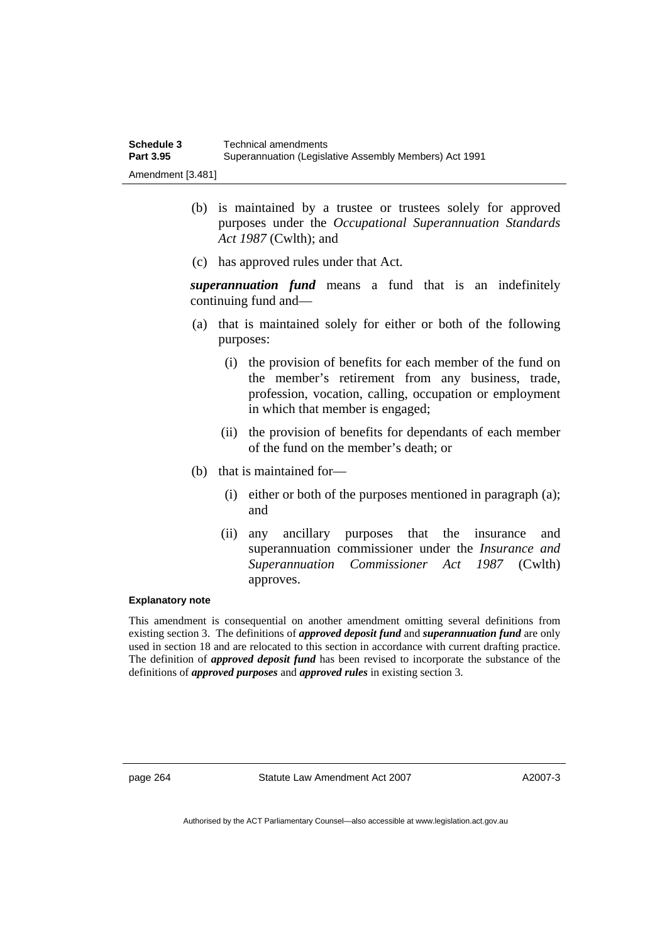- (b) is maintained by a trustee or trustees solely for approved purposes under the *Occupational Superannuation Standards Act 1987* (Cwlth); and
- (c) has approved rules under that Act.

*superannuation fund* means a fund that is an indefinitely continuing fund and—

- (a) that is maintained solely for either or both of the following purposes:
	- (i) the provision of benefits for each member of the fund on the member's retirement from any business, trade, profession, vocation, calling, occupation or employment in which that member is engaged;
	- (ii) the provision of benefits for dependants of each member of the fund on the member's death; or
- (b) that is maintained for—
	- (i) either or both of the purposes mentioned in paragraph (a); and
	- (ii) any ancillary purposes that the insurance and superannuation commissioner under the *Insurance and Superannuation Commissioner Act 1987* (Cwlth) approves.

#### **Explanatory note**

This amendment is consequential on another amendment omitting several definitions from existing section 3. The definitions of *approved deposit fund* and *superannuation fund* are only used in section 18 and are relocated to this section in accordance with current drafting practice. The definition of *approved deposit fund* has been revised to incorporate the substance of the definitions of *approved purposes* and *approved rules* in existing section 3.

page 264 Statute Law Amendment Act 2007

A2007-3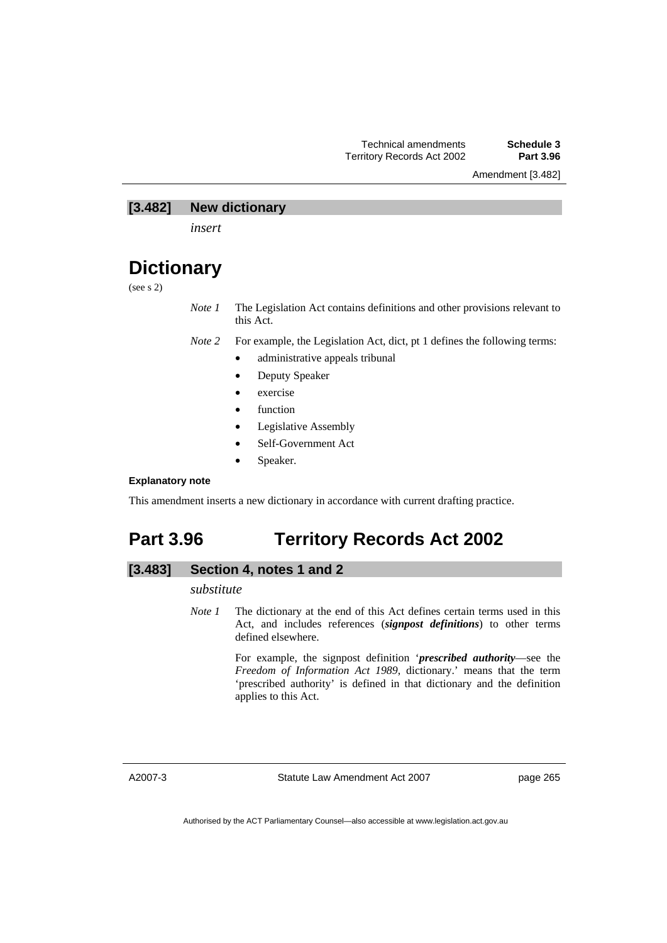Amendment [3.482]

### **[3.482] New dictionary**

*insert* 

## **Dictionary**

(see s 2)

*Note 1* The Legislation Act contains definitions and other provisions relevant to this Act.

*Note 2* For example, the Legislation Act, dict, pt 1 defines the following terms:

- administrative appeals tribunal
- Deputy Speaker
- exercise
- **function**
- Legislative Assembly
- Self-Government Act
- Speaker.

#### **Explanatory note**

This amendment inserts a new dictionary in accordance with current drafting practice.

## **Part 3.96 Territory Records Act 2002**

## **[3.483] Section 4, notes 1 and 2**

## *substitute*

*Note 1* The dictionary at the end of this Act defines certain terms used in this Act, and includes references (*signpost definitions*) to other terms defined elsewhere.

> For example, the signpost definition '*prescribed authority*—see the *Freedom of Information Act 1989*, dictionary.' means that the term 'prescribed authority' is defined in that dictionary and the definition applies to this Act.

A2007-3

Statute Law Amendment Act 2007

page 265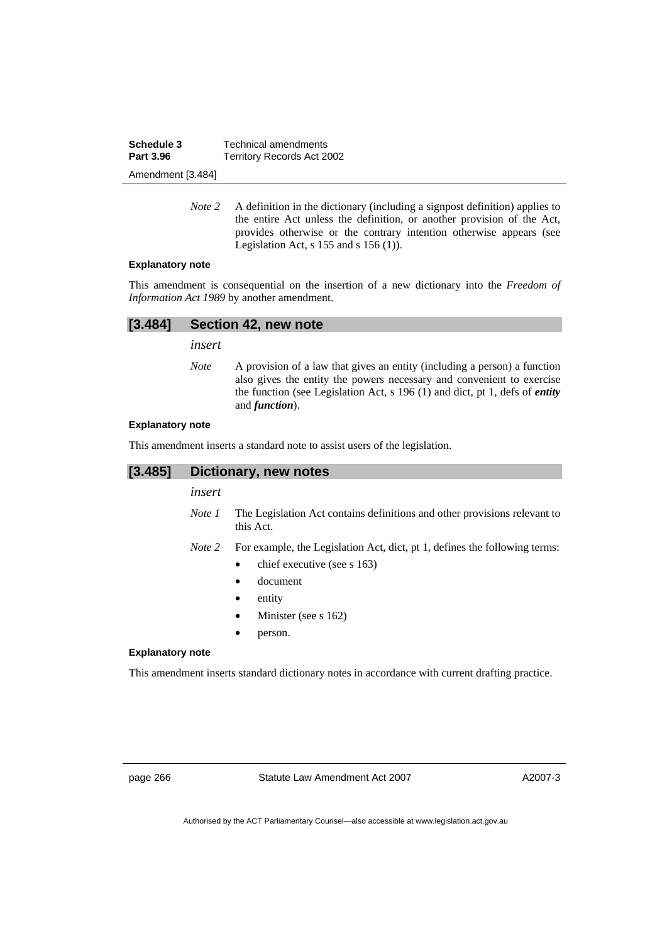| Schedule 3        | Technical amendments       |
|-------------------|----------------------------|
| <b>Part 3.96</b>  | Territory Records Act 2002 |
| Amendment [3.484] |                            |

*Note 2* A definition in the dictionary (including a signpost definition) applies to the entire Act unless the definition, or another provision of the Act, provides otherwise or the contrary intention otherwise appears (see Legislation Act,  $s$  155 and  $s$  156 (1)).

#### **Explanatory note**

This amendment is consequential on the insertion of a new dictionary into the *Freedom of Information Act 1989* by another amendment.

| [3.484] Section 42, new note |  |
|------------------------------|--|
| insert                       |  |

*Note* A provision of a law that gives an entity (including a person) a function also gives the entity the powers necessary and convenient to exercise the function (see Legislation Act, s 196 (1) and dict, pt 1, defs of *entity* and *function*).

#### **Explanatory note**

This amendment inserts a standard note to assist users of the legislation.

| [3.485]                 | Dictionary, new notes |                                                                                                |
|-------------------------|-----------------------|------------------------------------------------------------------------------------------------|
|                         | insert                |                                                                                                |
|                         | Note 1                | The Legislation Act contains definitions and other provisions relevant to<br>this Act.         |
|                         | Note 2                | For example, the Legislation Act, dict, pt 1, defines the following terms:                     |
|                         |                       | chief executive (see s 163)                                                                    |
|                         |                       | document                                                                                       |
|                         |                       | entity                                                                                         |
|                         |                       | Minister (see s 162)                                                                           |
|                         |                       | person.                                                                                        |
| <b>Explanatory note</b> |                       |                                                                                                |
|                         |                       | This amendment inserts standard dictionary notes in accordance with current drafting practice. |

page 266 Statute Law Amendment Act 2007

A2007-3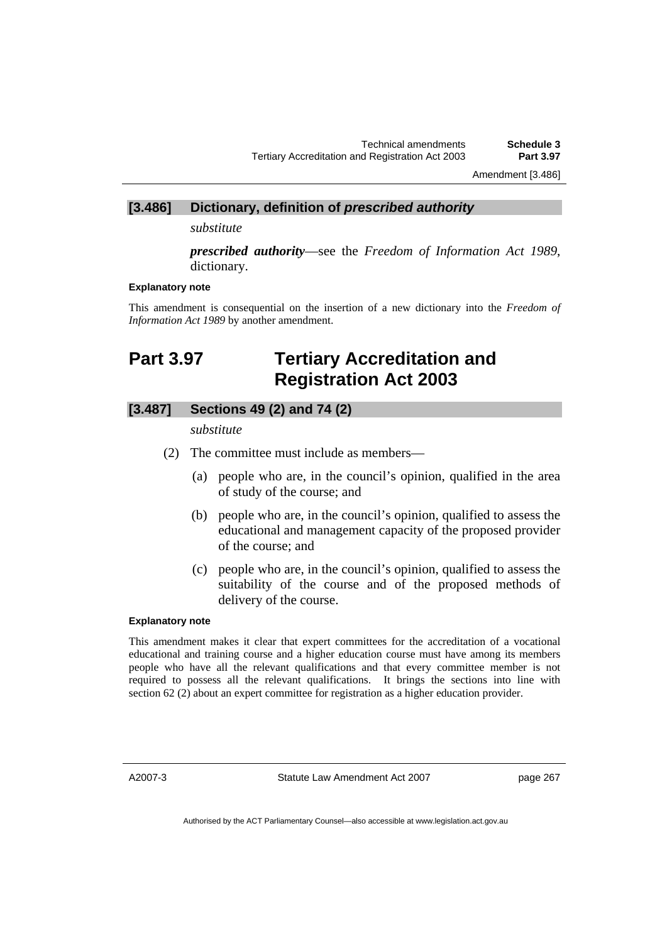Amendment [3.486]

# **[3.486] Dictionary, definition of** *prescribed authority*

*substitute* 

*prescribed authority*—see the *Freedom of Information Act 1989*, dictionary.

#### **Explanatory note**

This amendment is consequential on the insertion of a new dictionary into the *Freedom of Information Act 1989* by another amendment.

## **Part 3.97 Tertiary Accreditation and Registration Act 2003**

## **[3.487] Sections 49 (2) and 74 (2)**

*substitute* 

- (2) The committee must include as members—
	- (a) people who are, in the council's opinion, qualified in the area of study of the course; and
	- (b) people who are, in the council's opinion, qualified to assess the educational and management capacity of the proposed provider of the course; and
	- (c) people who are, in the council's opinion, qualified to assess the suitability of the course and of the proposed methods of delivery of the course.

#### **Explanatory note**

This amendment makes it clear that expert committees for the accreditation of a vocational educational and training course and a higher education course must have among its members people who have all the relevant qualifications and that every committee member is not required to possess all the relevant qualifications. It brings the sections into line with section 62 (2) about an expert committee for registration as a higher education provider.

A2007-3

Statute Law Amendment Act 2007

page 267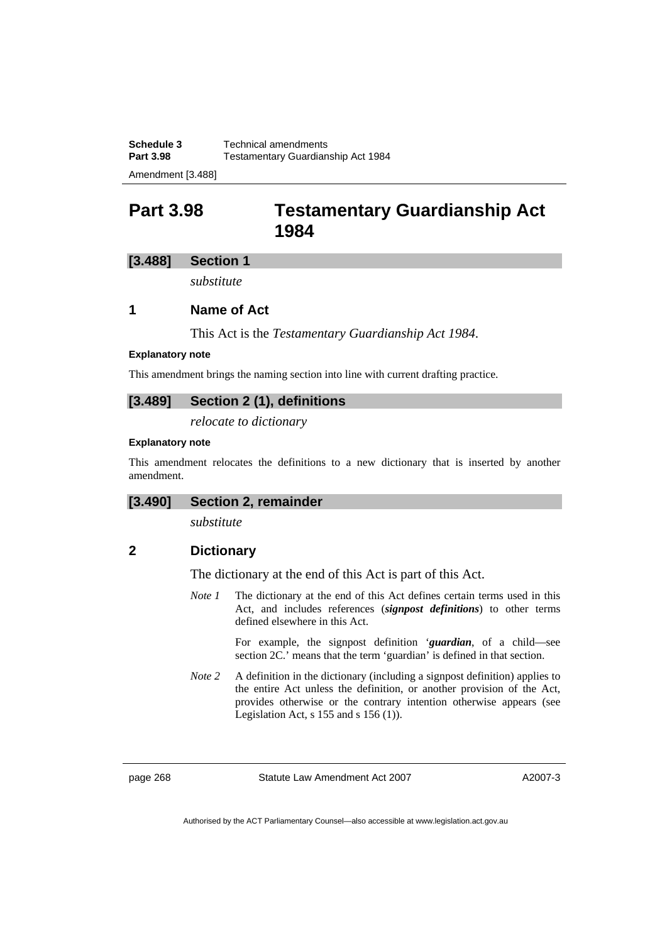Amendment [3.488]

## **Part 3.98 Testamentary Guardianship Act 1984**

## **[3.488] Section 1**

*substitute* 

## **1 Name of Act**

This Act is the *Testamentary Guardianship Act 1984*.

#### **Explanatory note**

This amendment brings the naming section into line with current drafting practice.

## **[3.489] Section 2 (1), definitions**

*relocate to dictionary* 

#### **Explanatory note**

This amendment relocates the definitions to a new dictionary that is inserted by another amendment.

## **[3.490] Section 2, remainder**

*substitute* 

## **2 Dictionary**

The dictionary at the end of this Act is part of this Act.

*Note 1* The dictionary at the end of this Act defines certain terms used in this Act, and includes references (*signpost definitions*) to other terms defined elsewhere in this Act.

> For example, the signpost definition '*guardian*, of a child—see section 2C.' means that the term 'guardian' is defined in that section.

*Note 2* A definition in the dictionary (including a signpost definition) applies to the entire Act unless the definition, or another provision of the Act, provides otherwise or the contrary intention otherwise appears (see Legislation Act, s 155 and s 156 (1)).

page 268 Statute Law Amendment Act 2007

A2007-3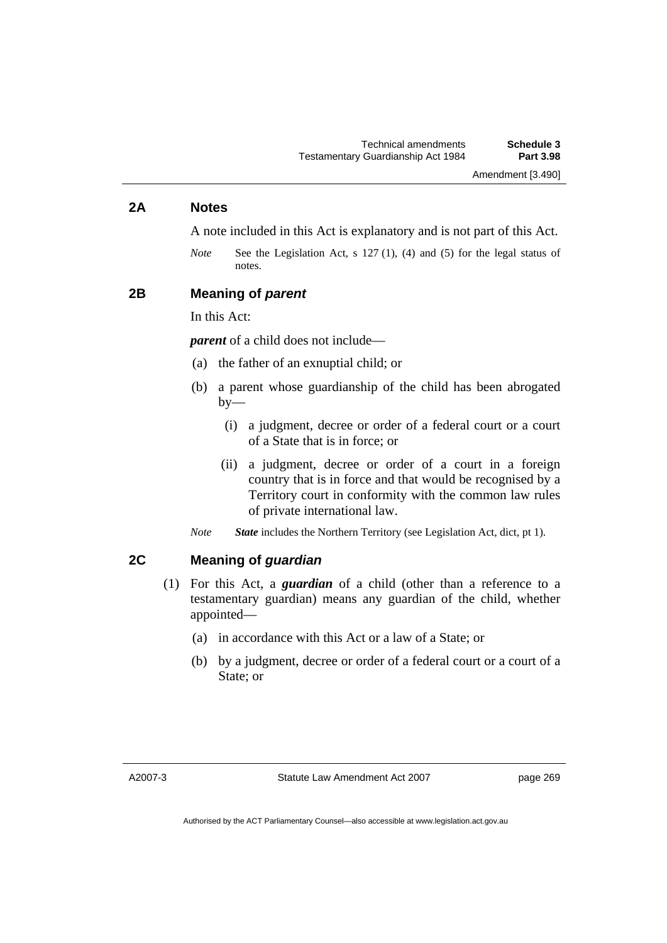## **2A Notes**

A note included in this Act is explanatory and is not part of this Act.

*Note* See the Legislation Act, s 127 (1), (4) and (5) for the legal status of notes.

## **2B Meaning of** *parent*

In this Act:

*parent* of a child does not include—

- (a) the father of an exnuptial child; or
- (b) a parent whose guardianship of the child has been abrogated  $by-$ 
	- (i) a judgment, decree or order of a federal court or a court of a State that is in force; or
	- (ii) a judgment, decree or order of a court in a foreign country that is in force and that would be recognised by a Territory court in conformity with the common law rules of private international law.

*Note State* includes the Northern Territory (see Legislation Act, dict, pt 1).

## **2C Meaning of** *guardian*

- (1) For this Act, a *guardian* of a child (other than a reference to a testamentary guardian) means any guardian of the child, whether appointed—
	- (a) in accordance with this Act or a law of a State; or
	- (b) by a judgment, decree or order of a federal court or a court of a State; or

page 269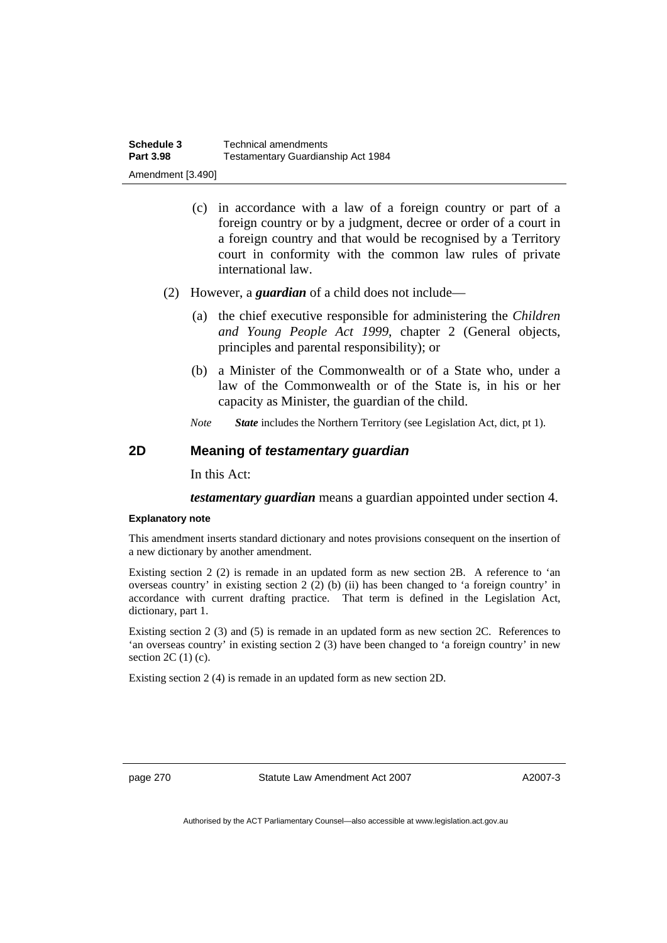- (c) in accordance with a law of a foreign country or part of a foreign country or by a judgment, decree or order of a court in a foreign country and that would be recognised by a Territory court in conformity with the common law rules of private international law.
- (2) However, a *guardian* of a child does not include—
	- (a) the chief executive responsible for administering the *Children and Young People Act 1999*, chapter 2 (General objects, principles and parental responsibility); or
	- (b) a Minister of the Commonwealth or of a State who, under a law of the Commonwealth or of the State is, in his or her capacity as Minister, the guardian of the child.

*Note State* includes the Northern Territory (see Legislation Act, dict, pt 1).

## **2D Meaning of** *testamentary guardian*

In this Act:

*testamentary guardian* means a guardian appointed under section 4.

#### **Explanatory note**

This amendment inserts standard dictionary and notes provisions consequent on the insertion of a new dictionary by another amendment.

Existing section 2 (2) is remade in an updated form as new section 2B. A reference to 'an overseas country' in existing section 2 (2) (b) (ii) has been changed to 'a foreign country' in accordance with current drafting practice. That term is defined in the Legislation Act, dictionary, part 1.

Existing section 2 (3) and (5) is remade in an updated form as new section 2C. References to 'an overseas country' in existing section 2 (3) have been changed to 'a foreign country' in new section  $2C(1)(c)$ .

Existing section 2 (4) is remade in an updated form as new section 2D.

page 270 Statute Law Amendment Act 2007

A2007-3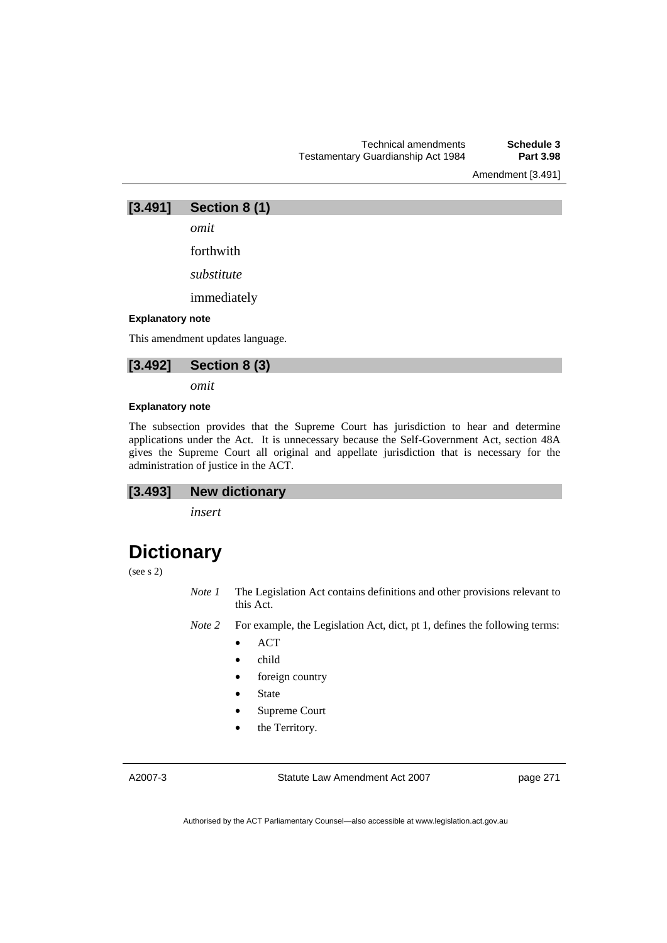Amendment [3.491]



*omit* 

forthwith

*substitute* 

immediately

#### **Explanatory note**

This amendment updates language.



*omit* 

#### **Explanatory note**

The subsection provides that the Supreme Court has jurisdiction to hear and determine applications under the Act. It is unnecessary because the Self-Government Act, section 48A gives the Supreme Court all original and appellate jurisdiction that is necessary for the administration of justice in the ACT.

## **[3.493] New dictionary**

*insert* 

# **Dictionary**

(see s 2)

*Note 1* The Legislation Act contains definitions and other provisions relevant to this Act.

*Note 2* For example, the Legislation Act, dict, pt 1, defines the following terms:

- ACT
- child
- foreign country
- **State**
- Supreme Court
- the Territory.

A2007-3

Statute Law Amendment Act 2007

page 271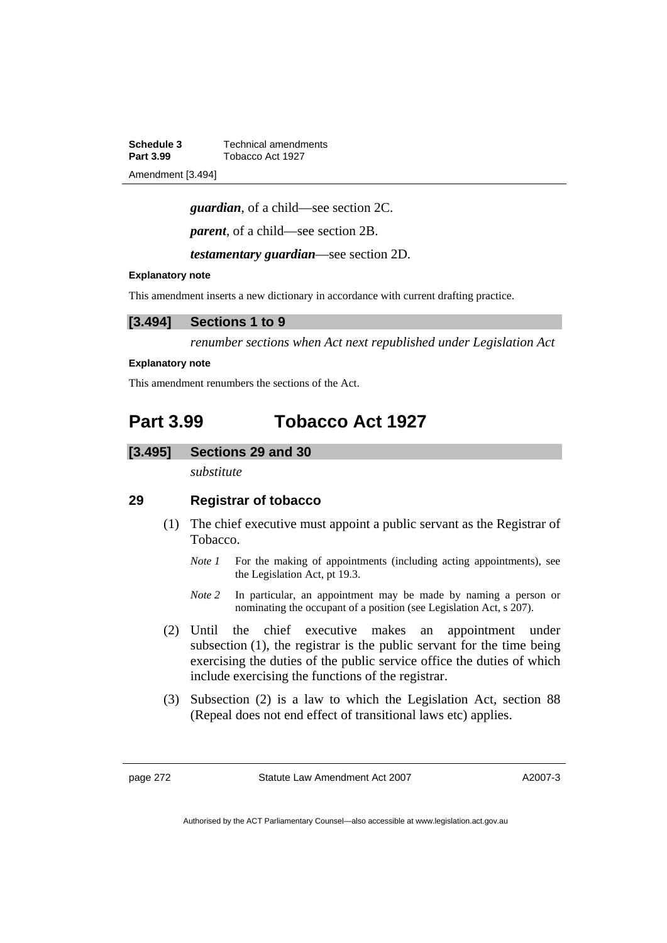**Schedule 3 Technical amendments**<br>**Part 3.99 Tobacco Act 1927 Part 3.99** Tobacco Act 1927 Amendment [3.494]

*guardian*, of a child—see section 2C.

*parent*, of a child—see section 2B.

*testamentary guardian*—see section 2D.

#### **Explanatory note**

This amendment inserts a new dictionary in accordance with current drafting practice.

## **[3.494] Sections 1 to 9**

*renumber sections when Act next republished under Legislation Act* 

#### **Explanatory note**

This amendment renumbers the sections of the Act.

## **Part 3.99 Tobacco Act 1927**

### **[3.495] Sections 29 and 30**

*substitute* 

## **29 Registrar of tobacco**

- (1) The chief executive must appoint a public servant as the Registrar of Tobacco.
	- *Note 1* For the making of appointments (including acting appointments), see the Legislation Act, pt 19.3.
	- *Note 2* In particular, an appointment may be made by naming a person or nominating the occupant of a position (see Legislation Act, s 207).
- (2) Until the chief executive makes an appointment under subsection (1), the registrar is the public servant for the time being exercising the duties of the public service office the duties of which include exercising the functions of the registrar.
- (3) Subsection (2) is a law to which the Legislation Act, section 88 (Repeal does not end effect of transitional laws etc) applies.

page 272 Statute Law Amendment Act 2007

A2007-3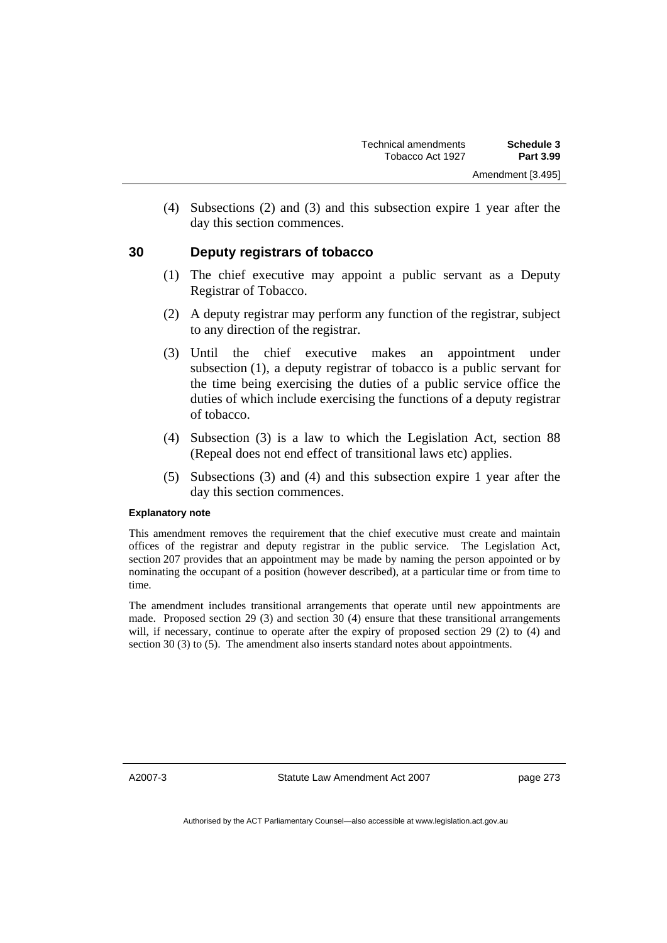(4) Subsections (2) and (3) and this subsection expire 1 year after the day this section commences.

## **30 Deputy registrars of tobacco**

- (1) The chief executive may appoint a public servant as a Deputy Registrar of Tobacco.
- (2) A deputy registrar may perform any function of the registrar, subject to any direction of the registrar.
- (3) Until the chief executive makes an appointment under subsection (1), a deputy registrar of tobacco is a public servant for the time being exercising the duties of a public service office the duties of which include exercising the functions of a deputy registrar of tobacco.
- (4) Subsection (3) is a law to which the Legislation Act, section 88 (Repeal does not end effect of transitional laws etc) applies.
- (5) Subsections (3) and (4) and this subsection expire 1 year after the day this section commences.

#### **Explanatory note**

This amendment removes the requirement that the chief executive must create and maintain offices of the registrar and deputy registrar in the public service. The Legislation Act, section 207 provides that an appointment may be made by naming the person appointed or by nominating the occupant of a position (however described), at a particular time or from time to time.

The amendment includes transitional arrangements that operate until new appointments are made. Proposed section 29 (3) and section 30 (4) ensure that these transitional arrangements will, if necessary, continue to operate after the expiry of proposed section 29 (2) to (4) and section 30 (3) to (5). The amendment also inserts standard notes about appointments.

A2007-3

Statute Law Amendment Act 2007

page 273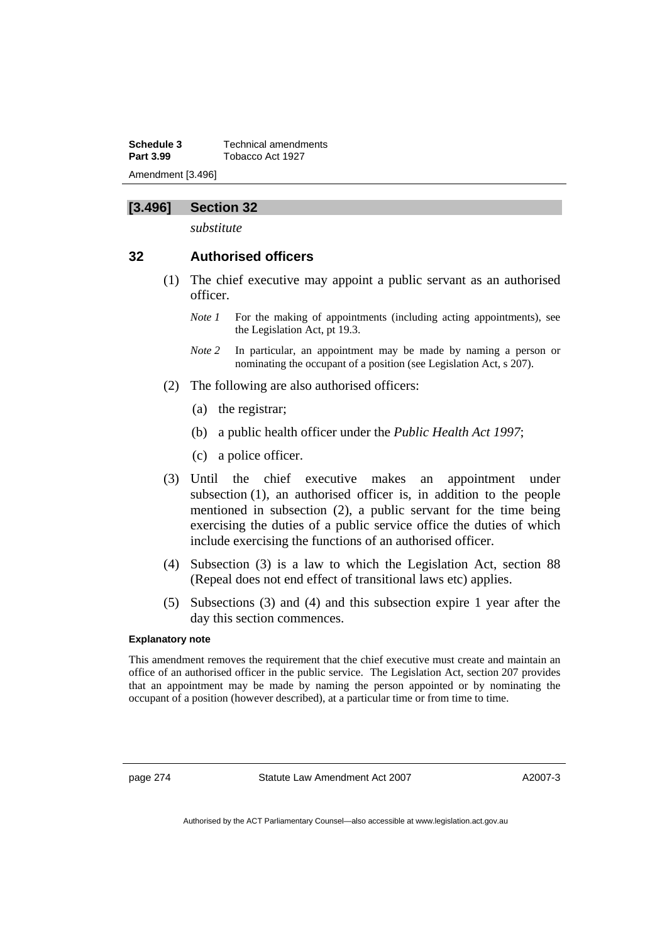**Schedule 3 Technical amendments**<br>**Part 3.99 Tobacco Act 1927 Part 3.99** Tobacco Act 1927 Amendment [3.496]

## **[3.496] Section 32**

*substitute* 

## **32 Authorised officers**

- (1) The chief executive may appoint a public servant as an authorised officer.
	- *Note 1* For the making of appointments (including acting appointments), see the Legislation Act, pt 19.3.
	- *Note 2* In particular, an appointment may be made by naming a person or nominating the occupant of a position (see Legislation Act, s 207).
- (2) The following are also authorised officers:
	- (a) the registrar;
	- (b) a public health officer under the *Public Health Act 1997*;
	- (c) a police officer.
- (3) Until the chief executive makes an appointment under subsection (1), an authorised officer is, in addition to the people mentioned in subsection (2), a public servant for the time being exercising the duties of a public service office the duties of which include exercising the functions of an authorised officer.
- (4) Subsection (3) is a law to which the Legislation Act, section 88 (Repeal does not end effect of transitional laws etc) applies.
- (5) Subsections (3) and (4) and this subsection expire 1 year after the day this section commences.

#### **Explanatory note**

This amendment removes the requirement that the chief executive must create and maintain an office of an authorised officer in the public service. The Legislation Act, section 207 provides that an appointment may be made by naming the person appointed or by nominating the occupant of a position (however described), at a particular time or from time to time.

page 274 Statute Law Amendment Act 2007

A2007-3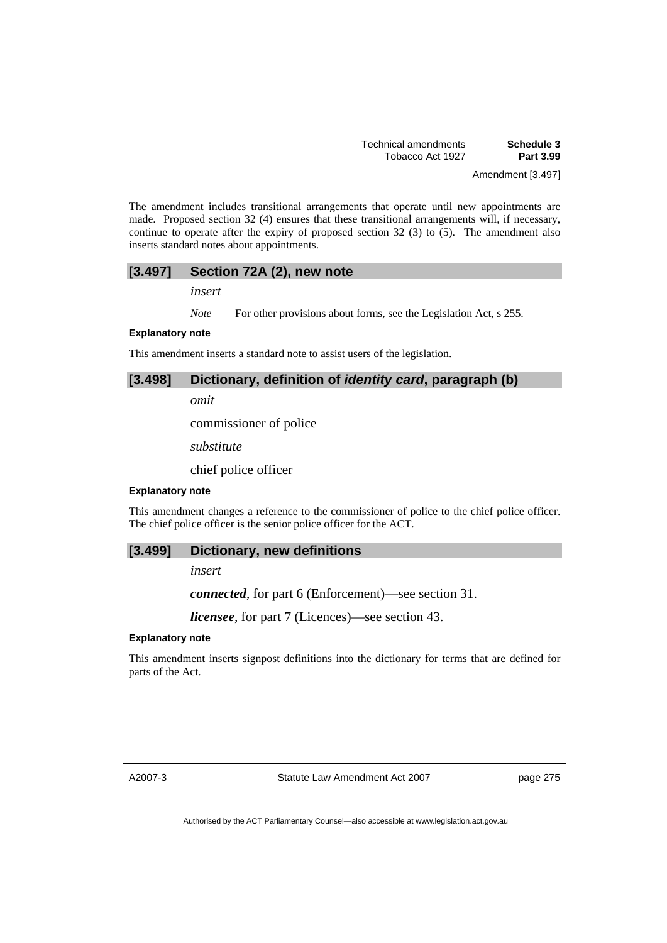Amendment [3.497]

The amendment includes transitional arrangements that operate until new appointments are made. Proposed section 32 (4) ensures that these transitional arrangements will, if necessary, continue to operate after the expiry of proposed section 32 (3) to (5). The amendment also inserts standard notes about appointments.

## **[3.497] Section 72A (2), new note**

*insert* 

*Note* For other provisions about forms, see the Legislation Act, s 255.

#### **Explanatory note**

This amendment inserts a standard note to assist users of the legislation.

## **[3.498] Dictionary, definition of** *identity card***, paragraph (b)**

*omit* 

commissioner of police

*substitute* 

chief police officer

### **Explanatory note**

This amendment changes a reference to the commissioner of police to the chief police officer. The chief police officer is the senior police officer for the ACT.

#### **[3.499] Dictionary, new definitions**

*insert* 

*connected*, for part 6 (Enforcement)—see section 31.

*licensee*, for part 7 (Licences)—see section 43.

#### **Explanatory note**

This amendment inserts signpost definitions into the dictionary for terms that are defined for parts of the Act.

A2007-3

Statute Law Amendment Act 2007

page 275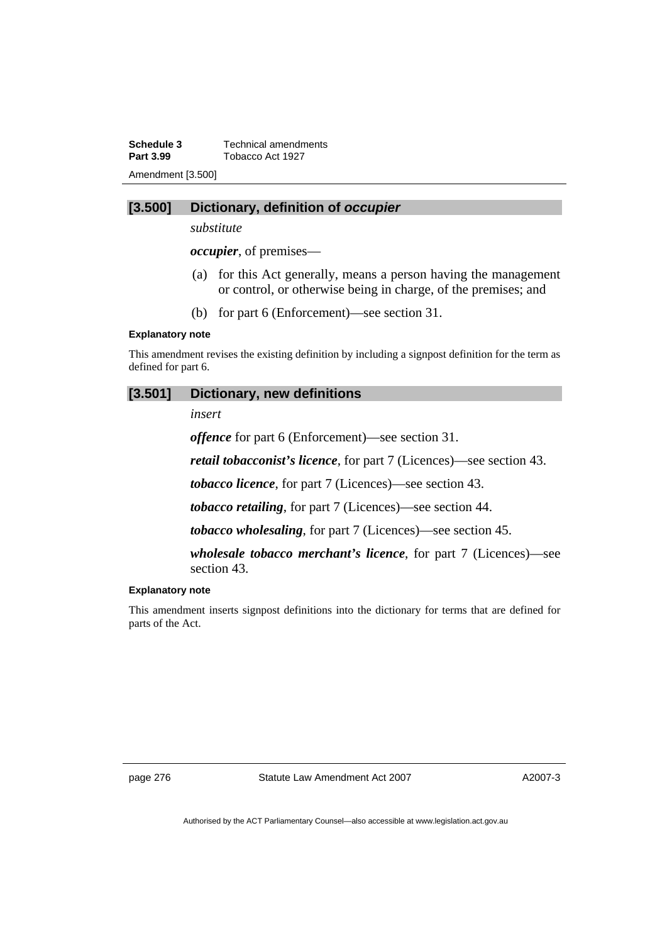**Schedule 3 Technical amendments**<br>**Part 3.99 Tobacco Act 1927 Part 3.99** Tobacco Act 1927 Amendment [3.500]

### **[3.500] Dictionary, definition of** *occupier*

*substitute* 

*occupier*, of premises—

- (a) for this Act generally, means a person having the management or control, or otherwise being in charge, of the premises; and
- (b) for part 6 (Enforcement)—see section 31.

#### **Explanatory note**

This amendment revises the existing definition by including a signpost definition for the term as defined for part 6.

#### **[3.501] Dictionary, new definitions**

*insert* 

*offence* for part 6 (Enforcement)—see section 31.

*retail tobacconist's licence*, for part 7 (Licences)—see section 43.

*tobacco licence*, for part 7 (Licences)—see section 43.

*tobacco retailing*, for part 7 (Licences)—see section 44.

*tobacco wholesaling*, for part 7 (Licences)—see section 45.

*wholesale tobacco merchant's licence*, for part 7 (Licences)—see section 43.

#### **Explanatory note**

This amendment inserts signpost definitions into the dictionary for terms that are defined for parts of the Act.

page 276 Statute Law Amendment Act 2007

A2007-3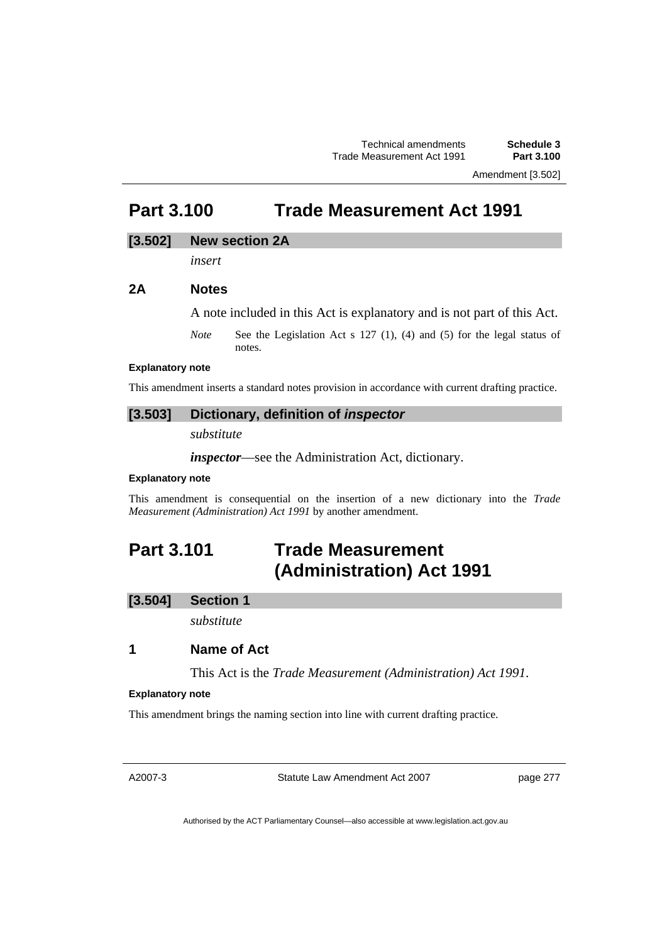Amendment [3.502]

# **Part 3.100 Trade Measurement Act 1991**

## **[3.502] New section 2A**

*insert* 

## **2A Notes**

A note included in this Act is explanatory and is not part of this Act.

*Note* See the Legislation Act s 127 (1), (4) and (5) for the legal status of notes.

#### **Explanatory note**

This amendment inserts a standard notes provision in accordance with current drafting practice.

## **[3.503] Dictionary, definition of** *inspector*

*substitute* 

*inspector*—see the Administration Act, dictionary.

#### **Explanatory note**

This amendment is consequential on the insertion of a new dictionary into the *Trade Measurement (Administration) Act 1991* by another amendment.

# **Part 3.101 Trade Measurement (Administration) Act 1991**

## **[3.504] Section 1**

*substitute* 

## **1 Name of Act**

This Act is the *Trade Measurement (Administration) Act 1991*.

#### **Explanatory note**

This amendment brings the naming section into line with current drafting practice.

A2007-3

Statute Law Amendment Act 2007

page 277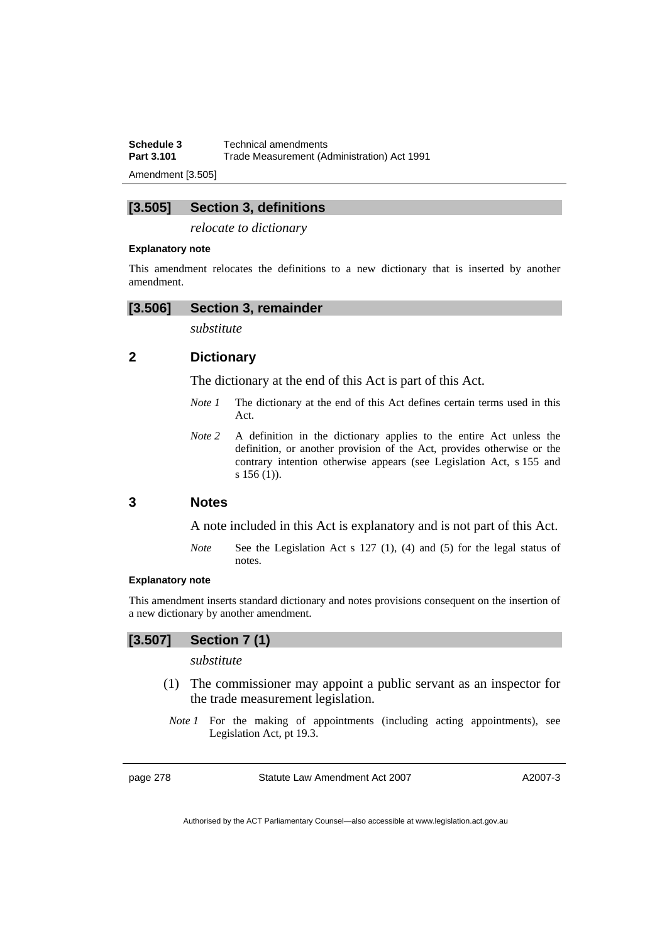**Schedule 3 Technical amendments**<br>**Part 3.101 Trade Measurement (Ad Trade Measurement (Administration) Act 1991** 

Amendment [3.505]

## **[3.505] Section 3, definitions**

*relocate to dictionary* 

#### **Explanatory note**

This amendment relocates the definitions to a new dictionary that is inserted by another amendment.

#### **[3.506] Section 3, remainder**

*substitute* 

## **2 Dictionary**

The dictionary at the end of this Act is part of this Act.

- *Note 1* The dictionary at the end of this Act defines certain terms used in this Act.
- *Note* 2 A definition in the dictionary applies to the entire Act unless the definition, or another provision of the Act, provides otherwise or the contrary intention otherwise appears (see Legislation Act, s 155 and s 156 (1)).

## **3 Notes**

A note included in this Act is explanatory and is not part of this Act.

*Note* See the Legislation Act s 127 (1), (4) and (5) for the legal status of notes.

#### **Explanatory note**

This amendment inserts standard dictionary and notes provisions consequent on the insertion of a new dictionary by another amendment.

## **[3.507] Section 7 (1)**

*substitute* 

- (1) The commissioner may appoint a public servant as an inspector for the trade measurement legislation.
- *Note 1* For the making of appointments (including acting appointments), see Legislation Act, pt 19.3.

page 278 Statute Law Amendment Act 2007

A2007-3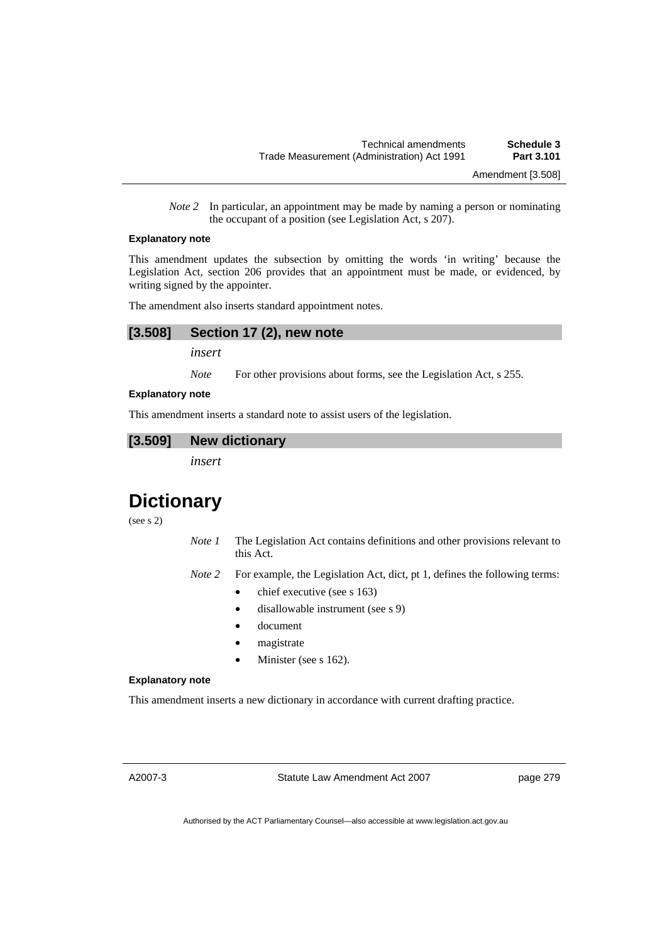*Note 2* In particular, an appointment may be made by naming a person or nominating the occupant of a position (see Legislation Act, s 207).

#### **Explanatory note**

This amendment updates the subsection by omitting the words 'in writing' because the Legislation Act, section 206 provides that an appointment must be made, or evidenced, by writing signed by the appointer.

The amendment also inserts standard appointment notes.

## **[3.508] Section 17 (2), new note**

*insert* 

*Note* For other provisions about forms, see the Legislation Act, s 255.

#### **Explanatory note**

This amendment inserts a standard note to assist users of the legislation.

#### **[3.509] New dictionary**

*insert* 

# **Dictionary**

(see s 2)

- *Note 1* The Legislation Act contains definitions and other provisions relevant to this Act.
- *Note 2* For example, the Legislation Act, dict, pt 1, defines the following terms:
	- chief executive (see s 163)
	- disallowable instrument (see s 9)
	- document
	- magistrate
	- Minister (see s 162).

#### **Explanatory note**

This amendment inserts a new dictionary in accordance with current drafting practice.

A2007-3

Statute Law Amendment Act 2007

page 279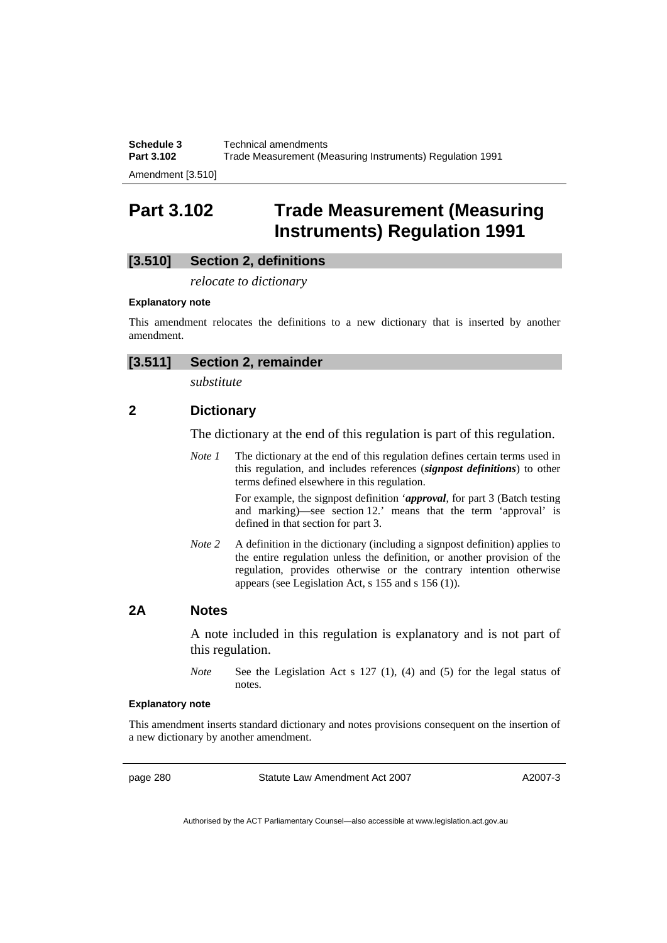**Schedule 3 Technical amendments**<br>**Part 3.102 Trade Measurement (M Part 3.102** Trade Measurement (Measuring Instruments) Regulation 1991

Amendment [3.510]

## **Part 3.102 Trade Measurement (Measuring Instruments) Regulation 1991**

## **[3.510] Section 2, definitions**

*relocate to dictionary* 

#### **Explanatory note**

This amendment relocates the definitions to a new dictionary that is inserted by another amendment.

|--|

*substitute* 

## **2 Dictionary**

The dictionary at the end of this regulation is part of this regulation.

*Note 1* The dictionary at the end of this regulation defines certain terms used in this regulation, and includes references (*signpost definitions*) to other terms defined elsewhere in this regulation.

For example, the signpost definition '*approval*, for part 3 (Batch testing and marking)—see section 12.' means that the term 'approval' is defined in that section for part 3.

*Note 2* A definition in the dictionary (including a signpost definition) applies to the entire regulation unless the definition, or another provision of the regulation, provides otherwise or the contrary intention otherwise appears (see Legislation Act, s 155 and s 156 (1)).

### **2A Notes**

A note included in this regulation is explanatory and is not part of this regulation.

*Note* See the Legislation Act s 127 (1), (4) and (5) for the legal status of notes.

#### **Explanatory note**

This amendment inserts standard dictionary and notes provisions consequent on the insertion of a new dictionary by another amendment.

page 280 Statute Law Amendment Act 2007

A2007-3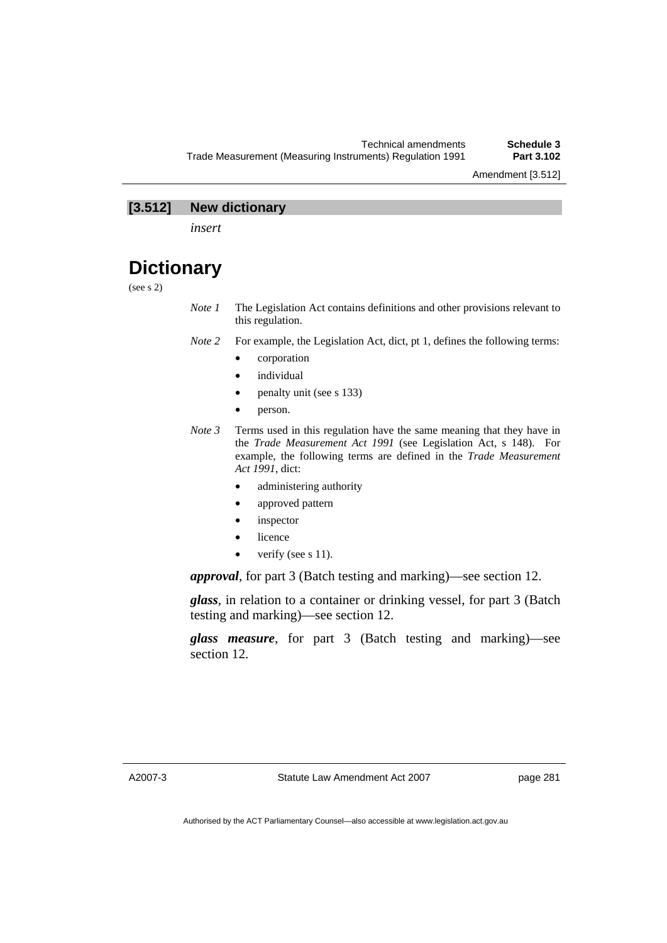## **[3.512] New dictionary**

*insert* 

## **Dictionary**

(see s 2)

- *Note 1* The Legislation Act contains definitions and other provisions relevant to this regulation.
- *Note 2* For example, the Legislation Act, dict, pt 1, defines the following terms:
	- corporation
	- *individual*
	- penalty unit (see s 133)
	- person.
- *Note 3* Terms used in this regulation have the same meaning that they have in the *Trade Measurement Act 1991* (see Legislation Act, s 148). For example, the following terms are defined in the *Trade Measurement Act 1991*, dict:
	- administering authority
	- approved pattern
	- inspector
	- licence
	- verify (see s 11).

*approval*, for part 3 (Batch testing and marking)—see section 12.

*glass*, in relation to a container or drinking vessel, for part 3 (Batch testing and marking)—see section 12.

*glass measure*, for part 3 (Batch testing and marking)—see section 12.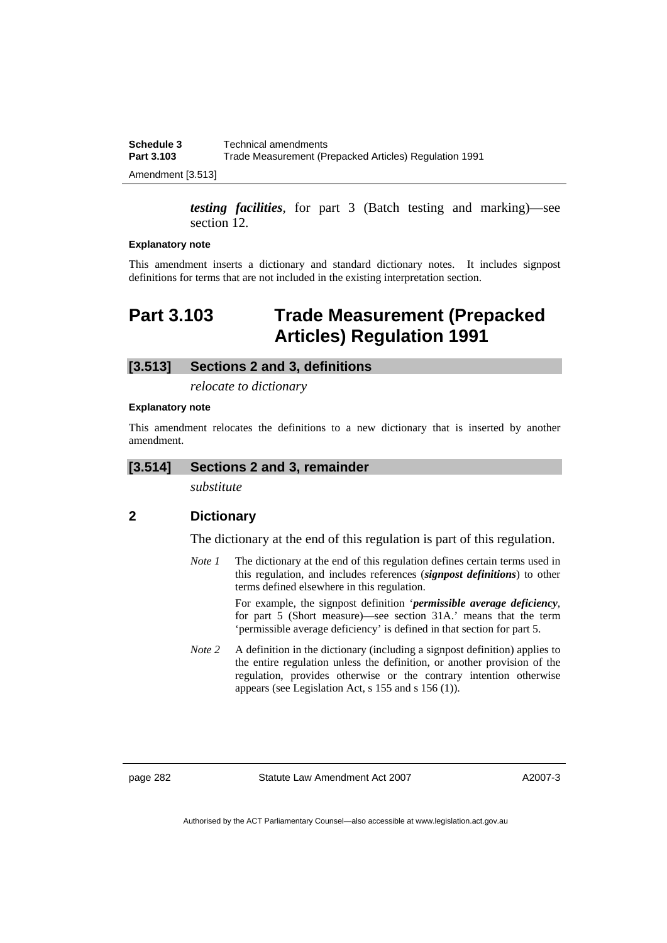| Schedule 3 | Technical amendments                                   |
|------------|--------------------------------------------------------|
| Part 3.103 | Trade Measurement (Prepacked Articles) Regulation 1991 |
|            |                                                        |

Amendment [3.513]

*testing facilities*, for part 3 (Batch testing and marking)—see section 12.

#### **Explanatory note**

This amendment inserts a dictionary and standard dictionary notes. It includes signpost definitions for terms that are not included in the existing interpretation section.

# **Part 3.103 Trade Measurement (Prepacked Articles) Regulation 1991**

## **[3.513] Sections 2 and 3, definitions**

*relocate to dictionary* 

#### **Explanatory note**

This amendment relocates the definitions to a new dictionary that is inserted by another amendment.

#### **[3.514] Sections 2 and 3, remainder**

*substitute* 

## **2 Dictionary**

The dictionary at the end of this regulation is part of this regulation.

*Note 1* The dictionary at the end of this regulation defines certain terms used in this regulation, and includes references (*signpost definitions*) to other terms defined elsewhere in this regulation.

> For example, the signpost definition '*permissible average deficiency*, for part 5 (Short measure)—see section 31A.' means that the term 'permissible average deficiency' is defined in that section for part 5.

*Note 2* A definition in the dictionary (including a signpost definition) applies to the entire regulation unless the definition, or another provision of the regulation, provides otherwise or the contrary intention otherwise appears (see Legislation Act, s 155 and s 156 (1)).

page 282 Statute Law Amendment Act 2007

A2007-3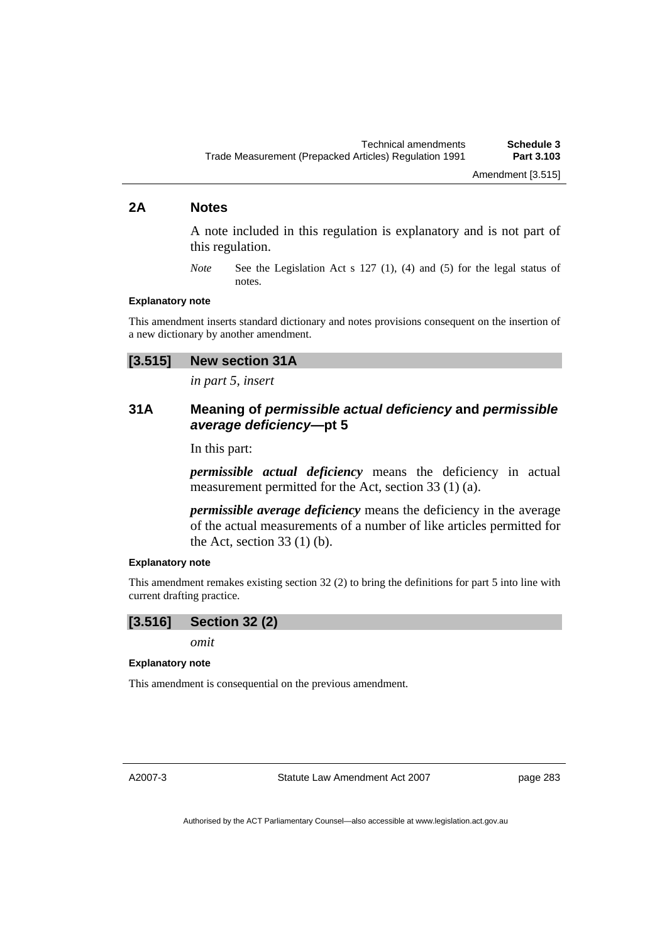## **2A Notes**

A note included in this regulation is explanatory and is not part of this regulation.

*Note* See the Legislation Act s 127 (1), (4) and (5) for the legal status of notes.

### **Explanatory note**

This amendment inserts standard dictionary and notes provisions consequent on the insertion of a new dictionary by another amendment.

# **[3.515] New section 31A**

*in part 5, insert* 

# **31A Meaning of** *permissible actual deficiency* **and** *permissible average deficiency***—pt 5**

In this part:

*permissible actual deficiency* means the deficiency in actual measurement permitted for the Act, section 33 (1) (a).

*permissible average deficiency* means the deficiency in the average of the actual measurements of a number of like articles permitted for the Act, section  $33(1)(b)$ .

#### **Explanatory note**

This amendment remakes existing section 32 (2) to bring the definitions for part 5 into line with current drafting practice.

# **[3.516] Section 32 (2)**

*omit* 

### **Explanatory note**

This amendment is consequential on the previous amendment.

A2007-3

Statute Law Amendment Act 2007

page 283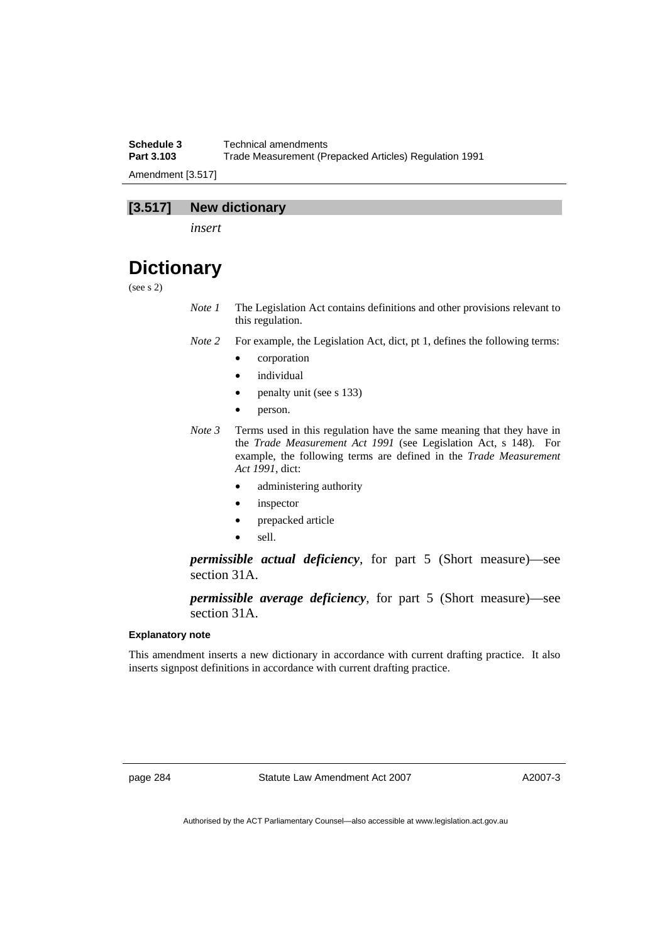**Schedule 3 Technical amendments**<br>**Part 3.103 Trade Measurement (Pro Part 3.103** Trade Measurement (Prepacked Articles) Regulation 1991 Amendment [3.517]

# **[3.517] New dictionary**

*insert* 

# **Dictionary**

(see s 2)

- *Note 1* The Legislation Act contains definitions and other provisions relevant to this regulation.
- *Note 2* For example, the Legislation Act, dict, pt 1, defines the following terms:
	- corporation
	- individual
	- penalty unit (see s 133)
	- person.
- *Note 3* Terms used in this regulation have the same meaning that they have in the *Trade Measurement Act 1991* (see Legislation Act, s 148). For example, the following terms are defined in the *Trade Measurement Act 1991*, dict:
	- administering authority
	- inspector
	- prepacked article
	- sell.

*permissible actual deficiency*, for part 5 (Short measure)—see section 31A.

*permissible average deficiency*, for part 5 (Short measure)—see section 31A.

### **Explanatory note**

This amendment inserts a new dictionary in accordance with current drafting practice. It also inserts signpost definitions in accordance with current drafting practice.

page 284 Statute Law Amendment Act 2007

A2007-3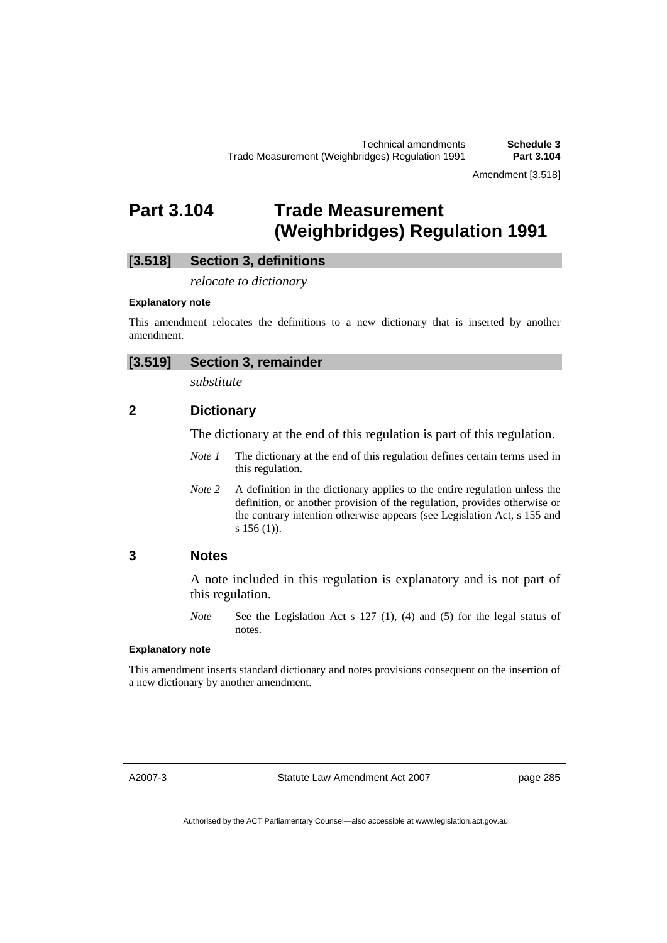Amendment [3.518]

# **Part 3.104 Trade Measurement (Weighbridges) Regulation 1991**

# **[3.518] Section 3, definitions**

*relocate to dictionary* 

### **Explanatory note**

This amendment relocates the definitions to a new dictionary that is inserted by another amendment.

| [3.519] | <b>Section 3, remainder</b> |
|---------|-----------------------------|
|         |                             |

*substitute* 

# **2 Dictionary**

The dictionary at the end of this regulation is part of this regulation.

- *Note 1* The dictionary at the end of this regulation defines certain terms used in this regulation.
- *Note* 2 A definition in the dictionary applies to the entire regulation unless the definition, or another provision of the regulation, provides otherwise or the contrary intention otherwise appears (see Legislation Act, s 155 and s 156 (1)).

## **3 Notes**

A note included in this regulation is explanatory and is not part of this regulation.

*Note* See the Legislation Act s 127 (1), (4) and (5) for the legal status of notes.

### **Explanatory note**

This amendment inserts standard dictionary and notes provisions consequent on the insertion of a new dictionary by another amendment.

A2007-3

Statute Law Amendment Act 2007

page 285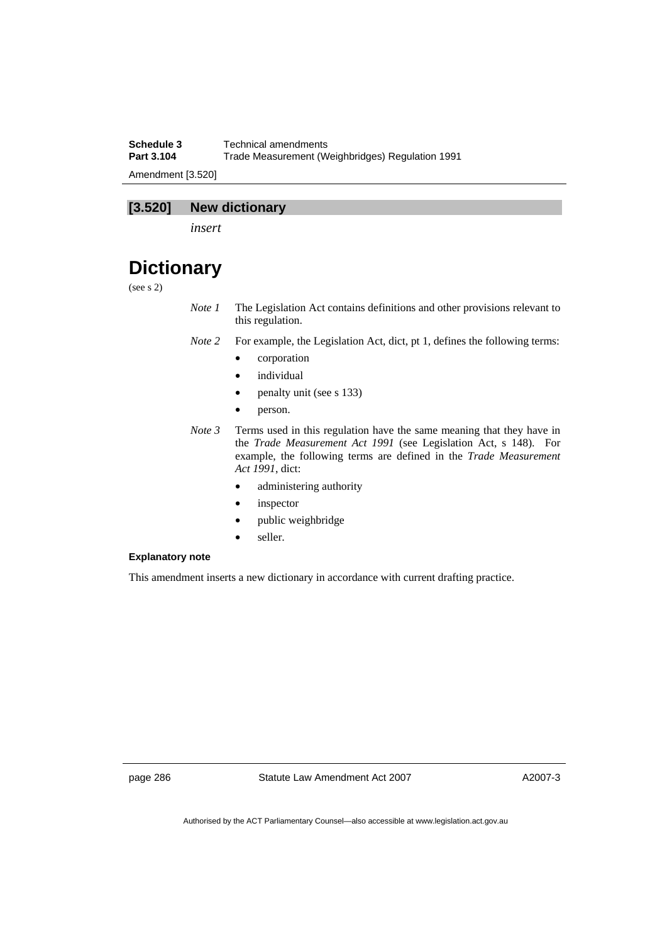**Schedule 3 Technical amendments**<br>**Part 3.104 Trade Measurement (W Part 3.104** Trade Measurement (Weighbridges) Regulation 1991 Amendment [3.520]

# **[3.520] New dictionary**

*insert* 

# **Dictionary**

(see s 2)

- *Note 1* The Legislation Act contains definitions and other provisions relevant to this regulation.
- *Note 2* For example, the Legislation Act, dict, pt 1, defines the following terms:
	- corporation
	- *individual*
	- penalty unit (see s 133)
	- person.
- *Note 3* Terms used in this regulation have the same meaning that they have in the *Trade Measurement Act 1991* (see Legislation Act, s 148). For example, the following terms are defined in the *Trade Measurement Act 1991*, dict:
	- administering authority
	- inspector
	- public weighbridge
	- seller.

### **Explanatory note**

This amendment inserts a new dictionary in accordance with current drafting practice.

page 286 Statute Law Amendment Act 2007

A2007-3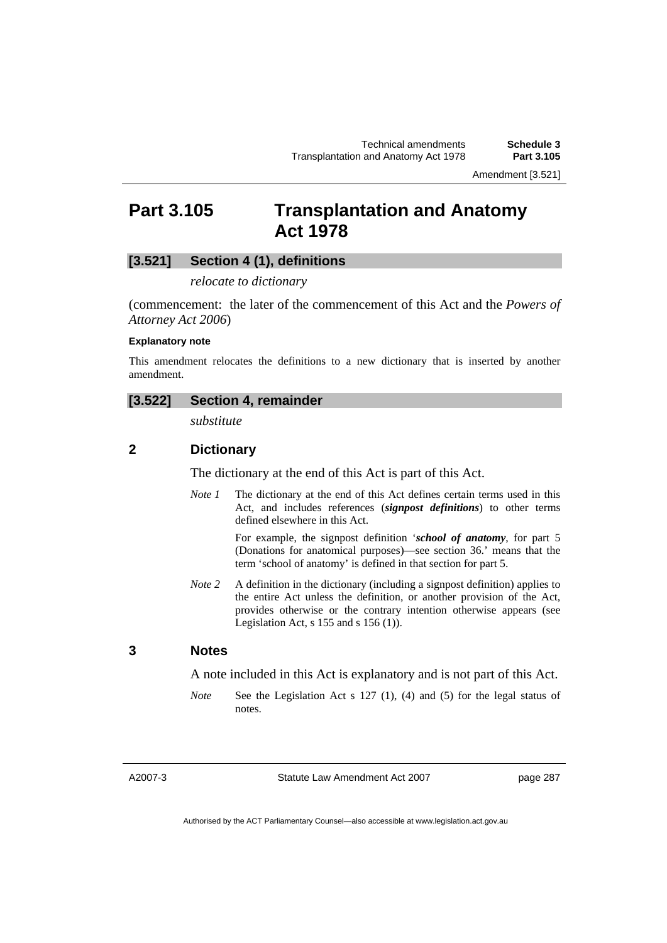# **Part 3.105 Transplantation and Anatomy Act 1978**

# **[3.521] Section 4 (1), definitions**

### *relocate to dictionary*

(commencement: the later of the commencement of this Act and the *Powers of Attorney Act 2006*)

#### **Explanatory note**

This amendment relocates the definitions to a new dictionary that is inserted by another amendment.

### **[3.522] Section 4, remainder**

*substitute* 

# **2 Dictionary**

The dictionary at the end of this Act is part of this Act.

*Note 1* The dictionary at the end of this Act defines certain terms used in this Act, and includes references (*signpost definitions*) to other terms defined elsewhere in this Act.

> For example, the signpost definition '*school of anatomy*, for part 5 (Donations for anatomical purposes)—see section 36.' means that the term 'school of anatomy' is defined in that section for part 5.

*Note* 2 A definition in the dictionary (including a signpost definition) applies to the entire Act unless the definition, or another provision of the Act, provides otherwise or the contrary intention otherwise appears (see Legislation Act,  $s$  155 and  $s$  156 (1)).

## **3 Notes**

A note included in this Act is explanatory and is not part of this Act.

*Note* See the Legislation Act s 127 (1), (4) and (5) for the legal status of notes.

### A2007-3

Statute Law Amendment Act 2007

page 287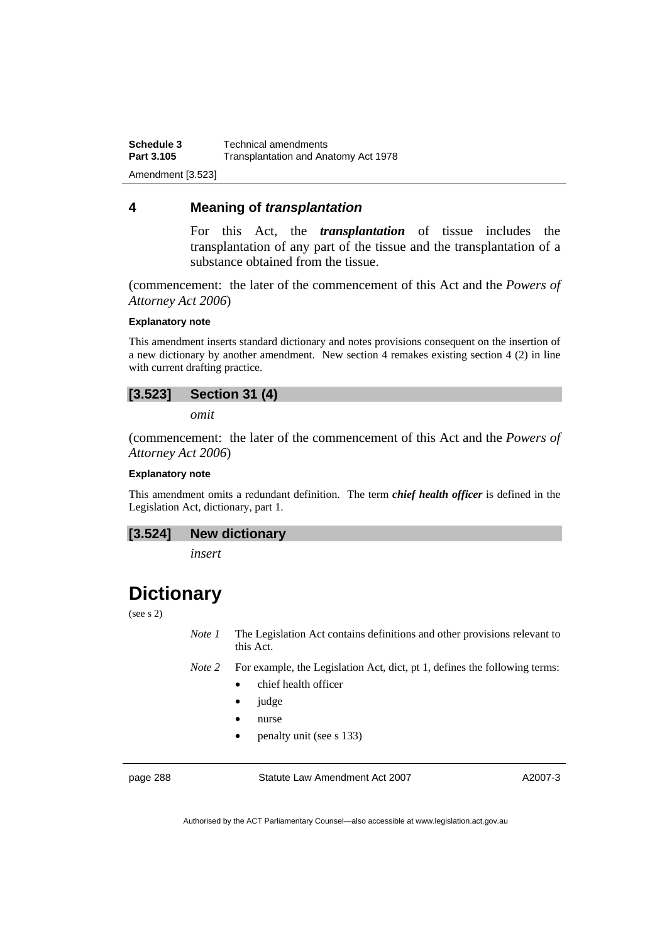**Schedule 3 Technical amendments**<br>**Part 3.105 Transplantation and Ana Part 3.105** Transplantation and Anatomy Act 1978 Amendment [3.523]

# **4 Meaning of** *transplantation*

For this Act, the *transplantation* of tissue includes the transplantation of any part of the tissue and the transplantation of a substance obtained from the tissue.

(commencement: the later of the commencement of this Act and the *Powers of Attorney Act 2006*)

## **Explanatory note**

This amendment inserts standard dictionary and notes provisions consequent on the insertion of a new dictionary by another amendment. New section 4 remakes existing section 4 (2) in line with current drafting practice.

# **[3.523] Section 31 (4)**

*omit* 

(commencement: the later of the commencement of this Act and the *Powers of Attorney Act 2006*)

#### **Explanatory note**

This amendment omits a redundant definition. The term *chief health officer* is defined in the Legislation Act, dictionary, part 1.

### **[3.524] New dictionary**

*insert* 

# **Dictionary**

#### (see s 2)

*Note 1* The Legislation Act contains definitions and other provisions relevant to this Act.

*Note 2* For example, the Legislation Act, dict, pt 1, defines the following terms:

- chief health officer
- judge
- nurse
- penalty unit (see s 133)

page 288 Statute Law Amendment Act 2007

A2007-3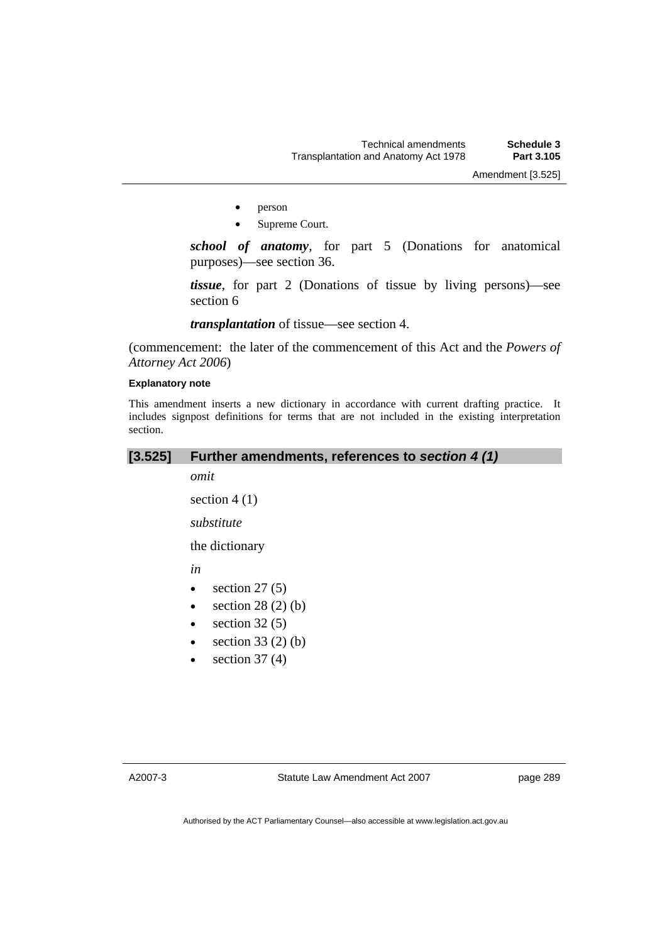- person
- Supreme Court.

*school of anatomy*, for part 5 (Donations for anatomical purposes)—see section 36.

*tissue*, for part 2 (Donations of tissue by living persons)—see section 6

*transplantation* of tissue—see section 4.

(commencement: the later of the commencement of this Act and the *Powers of Attorney Act 2006*)

#### **Explanatory note**

This amendment inserts a new dictionary in accordance with current drafting practice. It includes signpost definitions for terms that are not included in the existing interpretation section.

## **[3.525] Further amendments, references to** *section 4 (1)*

*omit* 

section  $4(1)$ 

*substitute* 

the dictionary

*in* 

- $\bullet$  section 27 (5)
- section  $28(2)(b)$
- section  $32(5)$
- section  $33(2)(b)$
- section  $37(4)$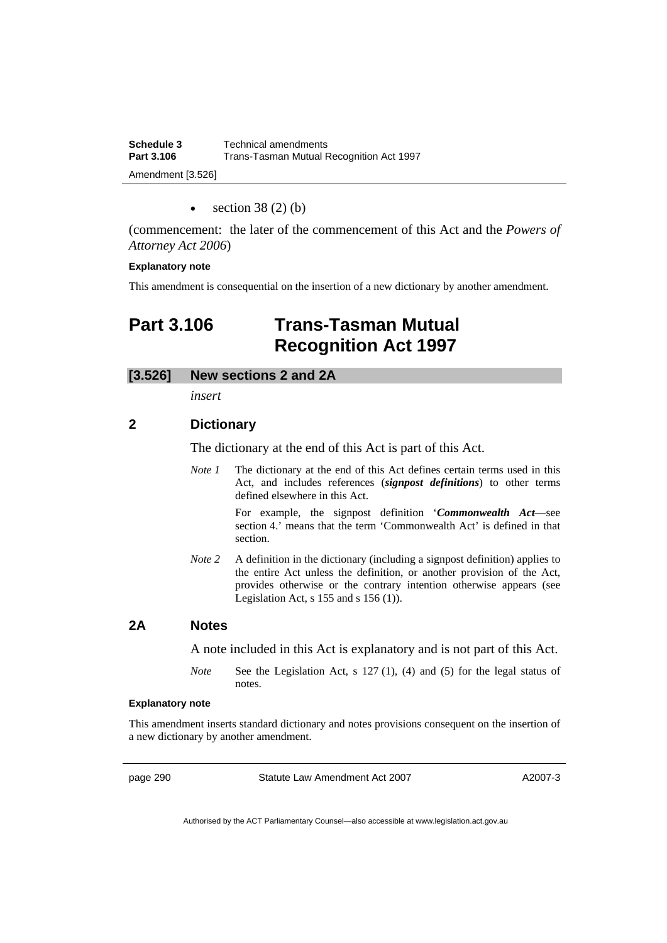| Schedule 3        | Technical amendments                     |  |
|-------------------|------------------------------------------|--|
| Part 3.106        | Trans-Tasman Mutual Recognition Act 1997 |  |
| Amendment [3.526] |                                          |  |

section  $38(2)(b)$ 

(commencement: the later of the commencement of this Act and the *Powers of Attorney Act 2006*)

#### **Explanatory note**

This amendment is consequential on the insertion of a new dictionary by another amendment.

# **Part 3.106 Trans-Tasman Mutual Recognition Act 1997**

## **[3.526] New sections 2 and 2A**

*insert* 

# **2 Dictionary**

The dictionary at the end of this Act is part of this Act.

*Note 1* The dictionary at the end of this Act defines certain terms used in this Act, and includes references (*signpost definitions*) to other terms defined elsewhere in this Act.

> For example, the signpost definition '*Commonwealth Act*—see section 4.' means that the term 'Commonwealth Act' is defined in that section.

*Note 2* A definition in the dictionary (including a signpost definition) applies to the entire Act unless the definition, or another provision of the Act, provides otherwise or the contrary intention otherwise appears (see Legislation Act,  $s$  155 and  $s$  156 (1)).

## **2A Notes**

A note included in this Act is explanatory and is not part of this Act.

*Note* See the Legislation Act, s 127 (1), (4) and (5) for the legal status of notes.

### **Explanatory note**

This amendment inserts standard dictionary and notes provisions consequent on the insertion of a new dictionary by another amendment.

page 290 Statute Law Amendment Act 2007

A2007-3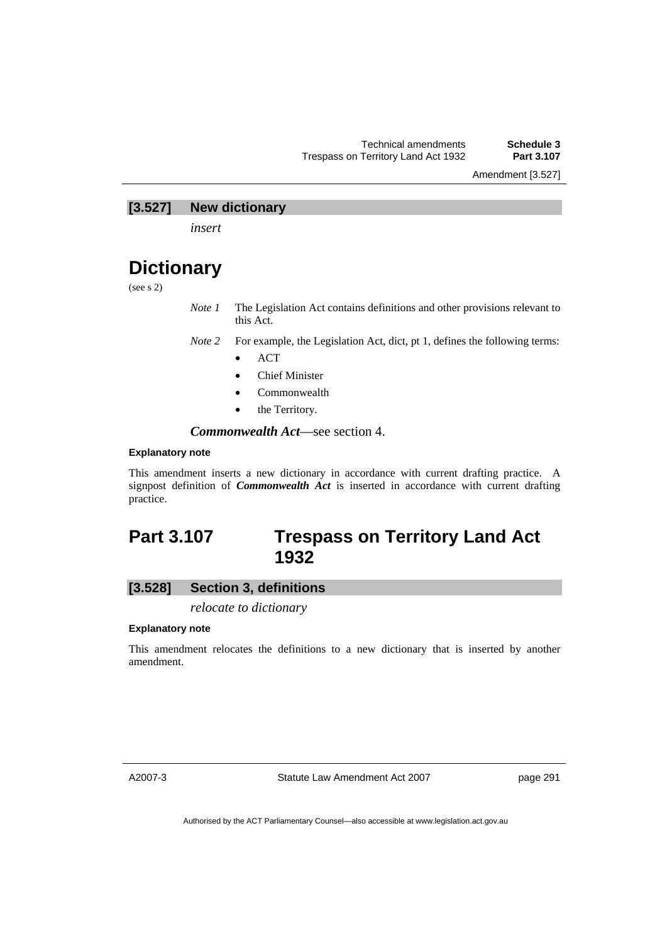Amendment [3.527]

## **[3.527] New dictionary**

*insert* 

# **Dictionary**

(see s 2)

*Note 1* The Legislation Act contains definitions and other provisions relevant to this Act.

*Note 2* For example, the Legislation Act, dict, pt 1, defines the following terms:

- ACT
- Chief Minister
- Commonwealth
- the Territory.

*Commonwealth Act*—see section 4.

### **Explanatory note**

This amendment inserts a new dictionary in accordance with current drafting practice. A signpost definition of *Commonwealth Act* is inserted in accordance with current drafting practice.

# **Part 3.107 Trespass on Territory Land Act 1932**

# **[3.528] Section 3, definitions**

*relocate to dictionary* 

#### **Explanatory note**

This amendment relocates the definitions to a new dictionary that is inserted by another amendment.

A2007-3

Statute Law Amendment Act 2007

page 291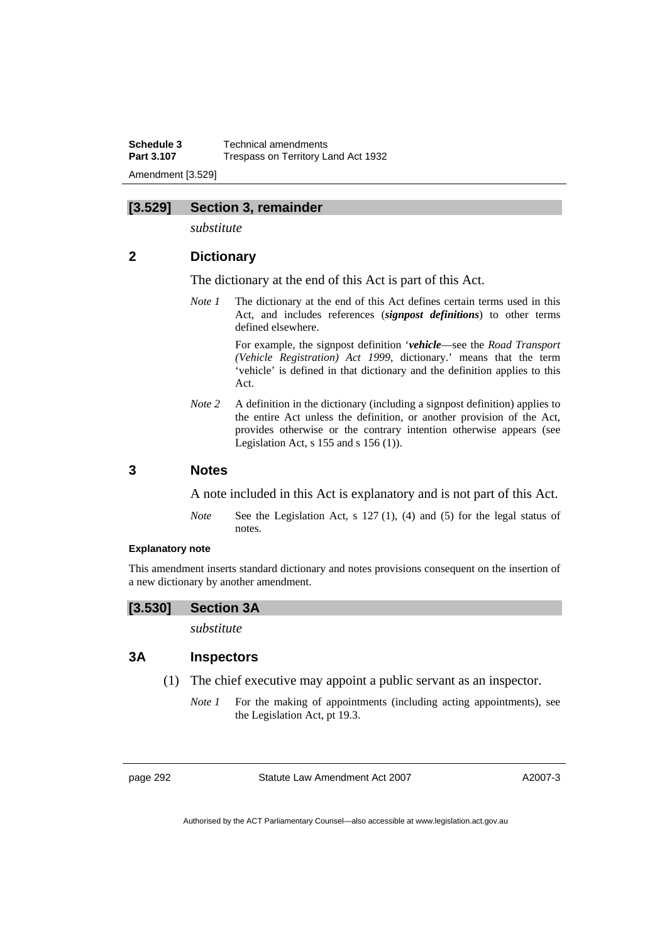**Schedule 3 Technical amendments**<br>**Part 3.107 Trespass on Territory Langle Trespass on Territory Land Act 1932** Amendment [3.529]

## **[3.529] Section 3, remainder**

*substitute* 

# **2 Dictionary**

The dictionary at the end of this Act is part of this Act.

*Note 1* The dictionary at the end of this Act defines certain terms used in this Act, and includes references (*signpost definitions*) to other terms defined elsewhere.

> For example, the signpost definition '*vehicle*—see the *Road Transport (Vehicle Registration) Act 1999*, dictionary.' means that the term 'vehicle' is defined in that dictionary and the definition applies to this Act.

*Note 2* A definition in the dictionary (including a signpost definition) applies to the entire Act unless the definition, or another provision of the Act, provides otherwise or the contrary intention otherwise appears (see Legislation Act,  $s$  155 and  $s$  156 (1)).

### **3 Notes**

A note included in this Act is explanatory and is not part of this Act.

*Note* See the Legislation Act, s 127 (1), (4) and (5) for the legal status of notes.

### **Explanatory note**

This amendment inserts standard dictionary and notes provisions consequent on the insertion of a new dictionary by another amendment.



*substitute* 

### **3A Inspectors**

- (1) The chief executive may appoint a public servant as an inspector.
	- *Note 1* For the making of appointments (including acting appointments), see the Legislation Act, pt 19.3.

page 292 Statute Law Amendment Act 2007

A2007-3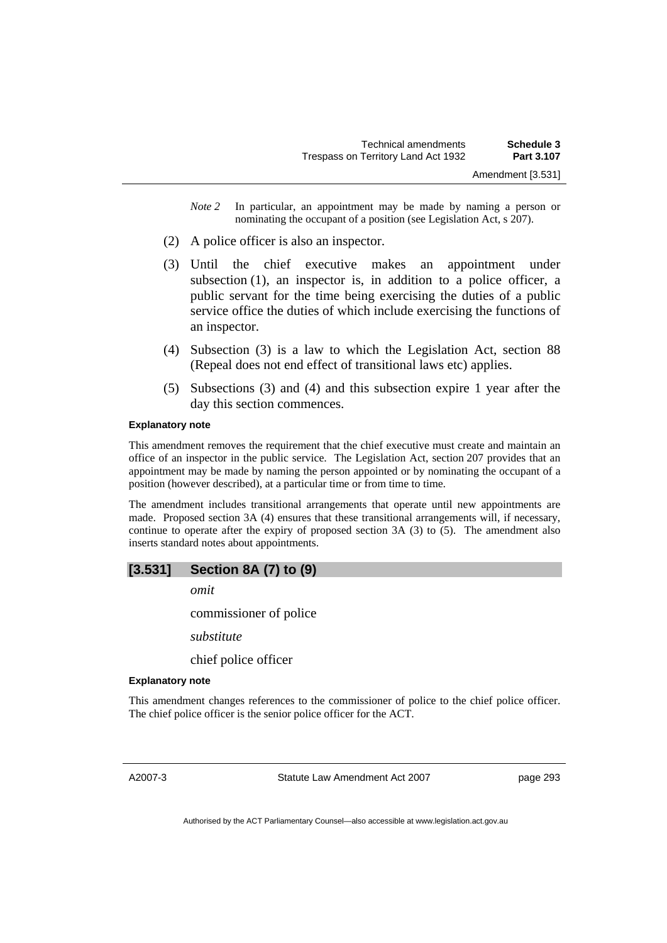*Note 2* In particular, an appointment may be made by naming a person or nominating the occupant of a position (see Legislation Act, s 207).

- (2) A police officer is also an inspector.
- (3) Until the chief executive makes an appointment under subsection (1), an inspector is, in addition to a police officer, a public servant for the time being exercising the duties of a public service office the duties of which include exercising the functions of an inspector.
- (4) Subsection (3) is a law to which the Legislation Act, section 88 (Repeal does not end effect of transitional laws etc) applies.
- (5) Subsections (3) and (4) and this subsection expire 1 year after the day this section commences.

### **Explanatory note**

This amendment removes the requirement that the chief executive must create and maintain an office of an inspector in the public service. The Legislation Act, section 207 provides that an appointment may be made by naming the person appointed or by nominating the occupant of a position (however described), at a particular time or from time to time.

The amendment includes transitional arrangements that operate until new appointments are made. Proposed section 3A (4) ensures that these transitional arrangements will, if necessary, continue to operate after the expiry of proposed section 3A (3) to (5). The amendment also inserts standard notes about appointments.

# **[3.531] Section 8A (7) to (9)**

*omit* 

commissioner of police

*substitute* 

chief police officer

#### **Explanatory note**

This amendment changes references to the commissioner of police to the chief police officer. The chief police officer is the senior police officer for the ACT.

A2007-3

Statute Law Amendment Act 2007

page 293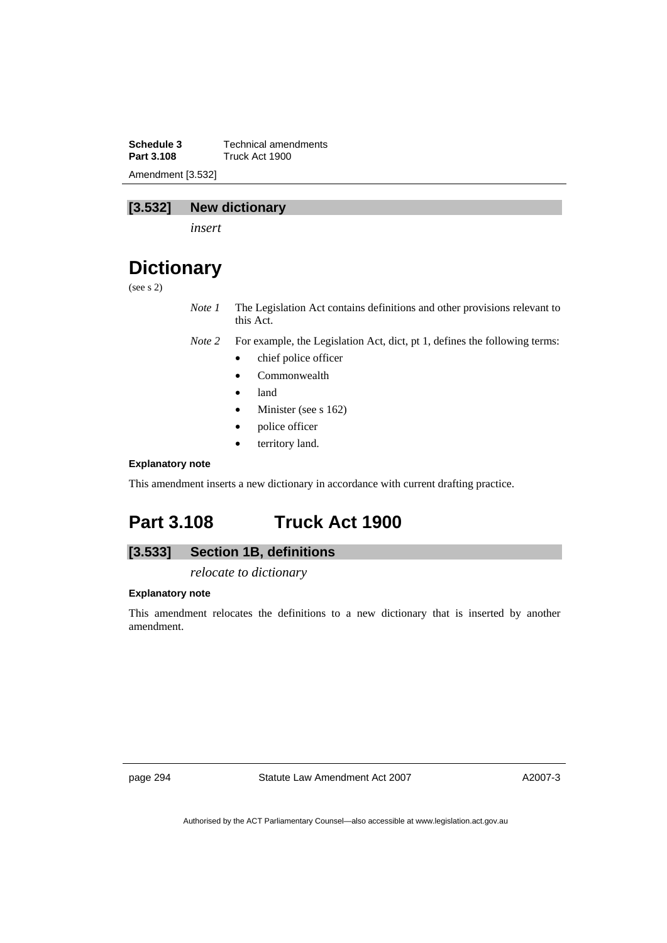**Schedule 3 Technical amendments**<br>**Part 3.108 Truck Act 1900 Part 3.108** Truck Act 1900 Amendment [3.532]

# **[3.532] New dictionary**

*insert* 

# **Dictionary**

(see s 2)

*Note 1* The Legislation Act contains definitions and other provisions relevant to this Act.

*Note 2* For example, the Legislation Act, dict, pt 1, defines the following terms:

- chief police officer
- Commonwealth
- land
- Minister (see s 162)
- police officer
- territory land.

### **Explanatory note**

This amendment inserts a new dictionary in accordance with current drafting practice.

# **Part 3.108 Truck Act 1900**

# **[3.533] Section 1B, definitions**

*relocate to dictionary* 

### **Explanatory note**

This amendment relocates the definitions to a new dictionary that is inserted by another amendment.

page 294 Statute Law Amendment Act 2007

A2007-3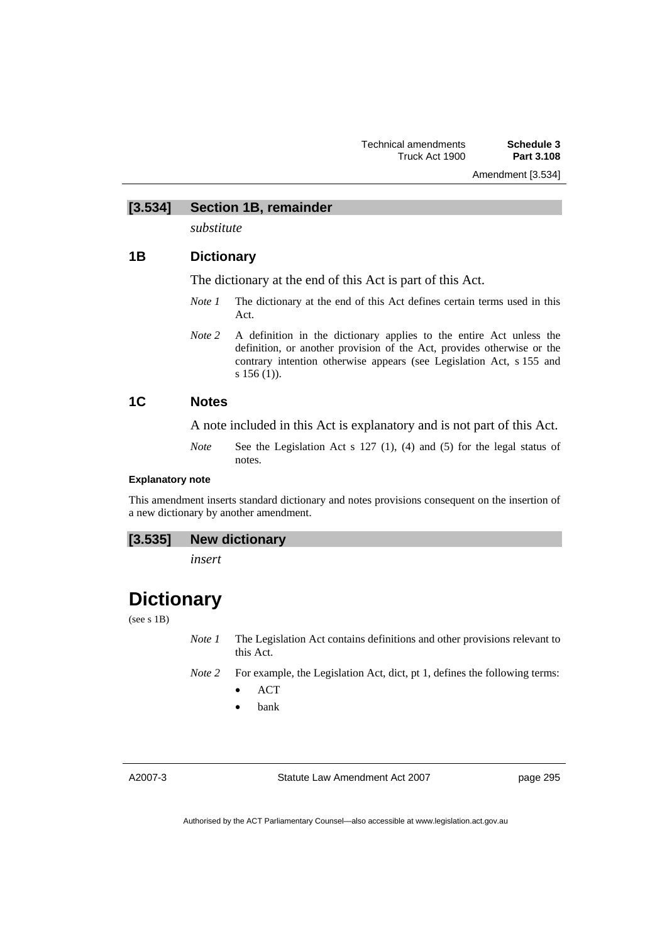### **[3.534] Section 1B, remainder**

*substitute* 

# **1B Dictionary**

The dictionary at the end of this Act is part of this Act.

- *Note 1* The dictionary at the end of this Act defines certain terms used in this Act.
- *Note 2* A definition in the dictionary applies to the entire Act unless the definition, or another provision of the Act, provides otherwise or the contrary intention otherwise appears (see Legislation Act, s 155 and s 156 (1)).

# **1C Notes**

A note included in this Act is explanatory and is not part of this Act.

*Note* See the Legislation Act s 127 (1), (4) and (5) for the legal status of notes.

### **Explanatory note**

This amendment inserts standard dictionary and notes provisions consequent on the insertion of a new dictionary by another amendment.

## **[3.535] New dictionary**

*insert* 

# **Dictionary**

### (see s 1B)

*Note 1* The Legislation Act contains definitions and other provisions relevant to this Act.

- *Note 2* For example, the Legislation Act, dict, pt 1, defines the following terms:
	- ACT
	- bank

A2007-3

Statute Law Amendment Act 2007

page 295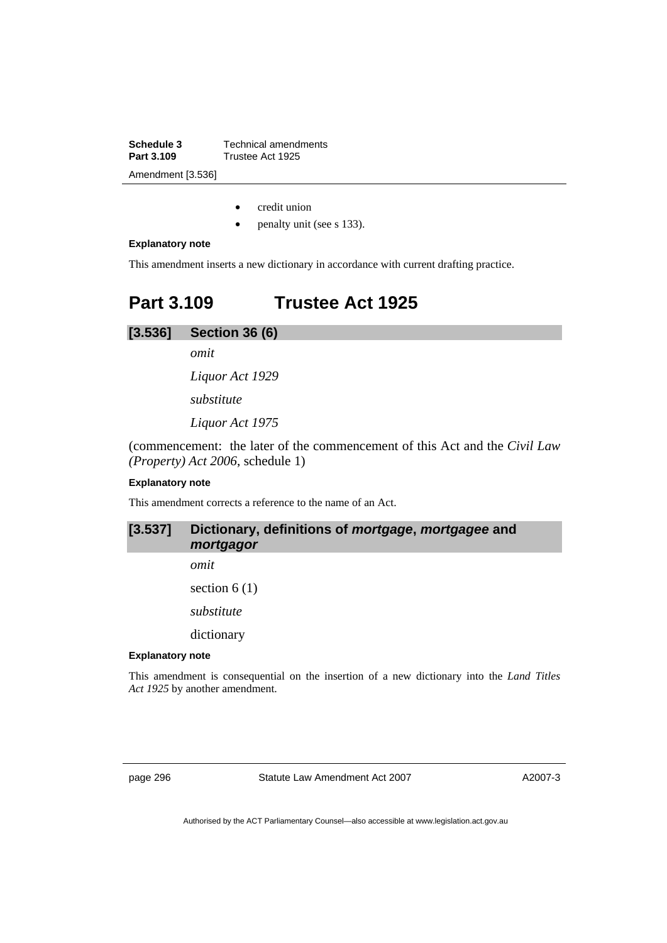**Schedule 3 Technical amendments**<br>**Part 3.109 Trustee Act 1925 Part 3.109** Trustee Act 1925 Amendment [3.536]

- credit union
- penalty unit (see s 133).

#### **Explanatory note**

This amendment inserts a new dictionary in accordance with current drafting practice.

# **Part 3.109 Trustee Act 1925**

**[3.536] Section 36 (6)** 

*omit* 

*Liquor Act 1929* 

*substitute* 

*Liquor Act 1975* 

(commencement: the later of the commencement of this Act and the *Civil Law (Property) Act 2006*, schedule 1)

### **Explanatory note**

This amendment corrects a reference to the name of an Act.

# **[3.537] Dictionary, definitions of** *mortgage***,** *mortgagee* **and**  *mortgagor*

*omit* 

section  $6(1)$ 

*substitute* 

dictionary

# **Explanatory note**

This amendment is consequential on the insertion of a new dictionary into the *Land Titles Act 1925* by another amendment.

page 296 Statute Law Amendment Act 2007

A2007-3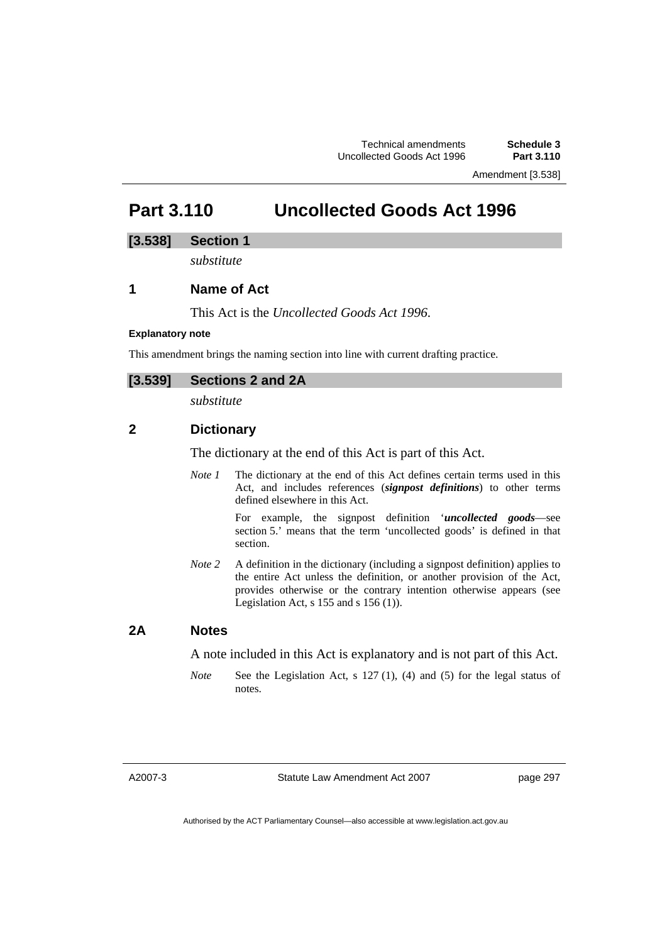Amendment [3.538]

# **Part 3.110 Uncollected Goods Act 1996**

### **[3.538] Section 1**

*substitute* 

# **1 Name of Act**

This Act is the *Uncollected Goods Act 1996*.

### **Explanatory note**

This amendment brings the naming section into line with current drafting practice.

# **[3.539] Sections 2 and 2A**

*substitute* 

# **2 Dictionary**

The dictionary at the end of this Act is part of this Act.

*Note 1* The dictionary at the end of this Act defines certain terms used in this Act, and includes references (*signpost definitions*) to other terms defined elsewhere in this Act.

> For example, the signpost definition '*uncollected goods*—see section 5.' means that the term 'uncollected goods' is defined in that section.

*Note* 2 A definition in the dictionary (including a signpost definition) applies to the entire Act unless the definition, or another provision of the Act, provides otherwise or the contrary intention otherwise appears (see Legislation Act, s  $155$  and s  $156$  (1)).

## **2A Notes**

A note included in this Act is explanatory and is not part of this Act.

*Note* See the Legislation Act, s 127 (1), (4) and (5) for the legal status of notes.

A2007-3

Statute Law Amendment Act 2007

page 297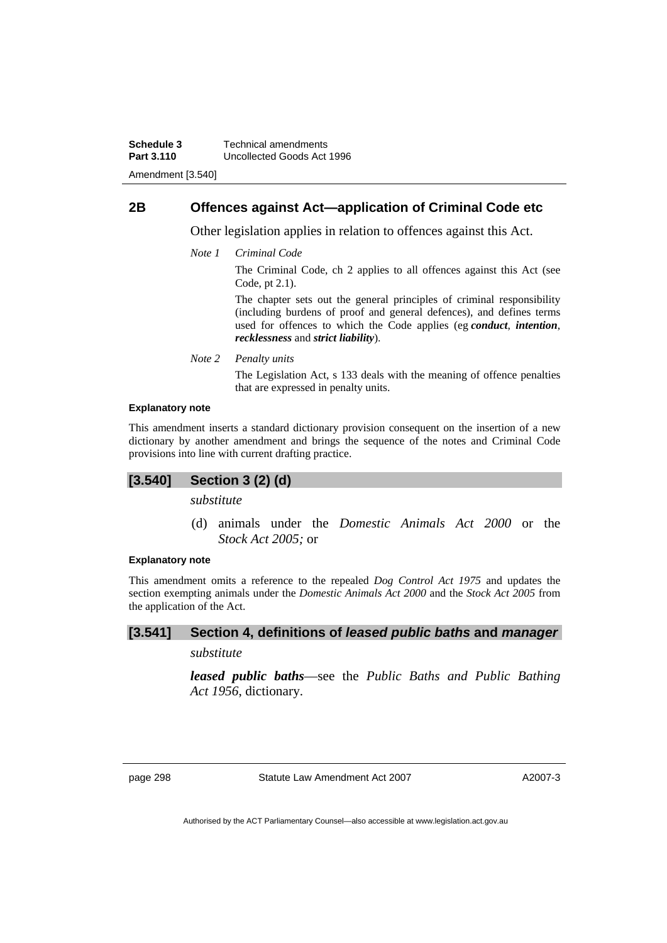# **2B Offences against Act—application of Criminal Code etc**

Other legislation applies in relation to offences against this Act.

*Note 1 Criminal Code*

The Criminal Code, ch 2 applies to all offences against this Act (see Code, pt 2.1).

The chapter sets out the general principles of criminal responsibility (including burdens of proof and general defences), and defines terms used for offences to which the Code applies (eg *conduct*, *intention*, *recklessness* and *strict liability*).

*Note 2 Penalty units* 

The Legislation Act, s 133 deals with the meaning of offence penalties that are expressed in penalty units.

#### **Explanatory note**

This amendment inserts a standard dictionary provision consequent on the insertion of a new dictionary by another amendment and brings the sequence of the notes and Criminal Code provisions into line with current drafting practice.

### **[3.540] Section 3 (2) (d)**

*substitute* 

 (d) animals under the *Domestic Animals Act 2000* or the *Stock Act 2005;* or

### **Explanatory note**

This amendment omits a reference to the repealed *Dog Control Act 1975* and updates the section exempting animals under the *Domestic Animals Act 2000* and the *Stock Act 2005* from the application of the Act.

# **[3.541] Section 4, definitions of** *leased public baths* **and** *manager*

# *substitute*

*leased public baths*—see the *Public Baths and Public Bathing Act 1956*, dictionary.

page 298 Statute Law Amendment Act 2007

A2007-3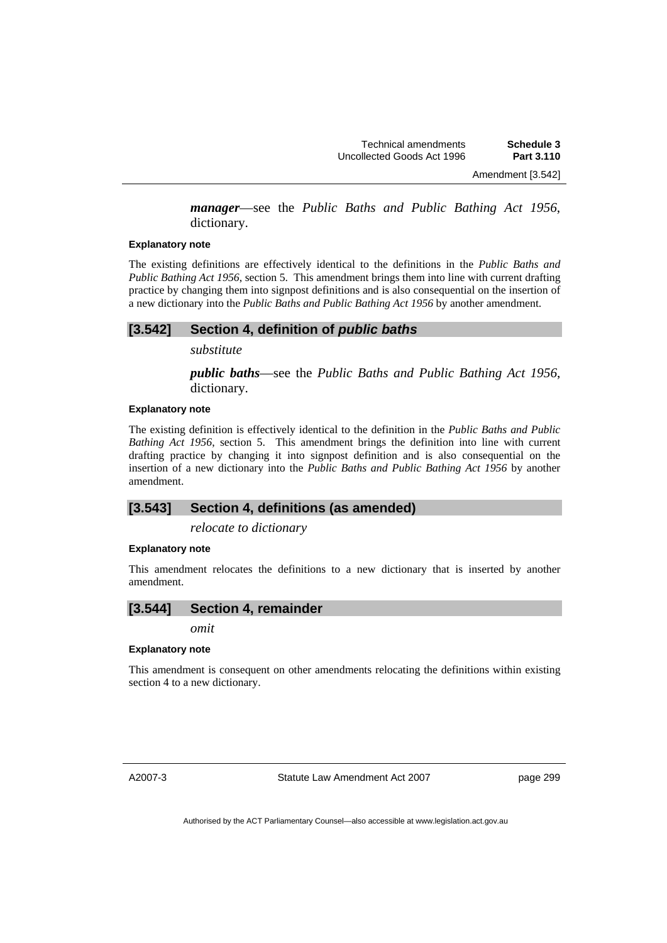Amendment [3.542]

*manager*—see the *Public Baths and Public Bathing Act 1956*, dictionary.

#### **Explanatory note**

The existing definitions are effectively identical to the definitions in the *Public Baths and Public Bathing Act 1956*, section 5. This amendment brings them into line with current drafting practice by changing them into signpost definitions and is also consequential on the insertion of a new dictionary into the *Public Baths and Public Bathing Act 1956* by another amendment.

### **[3.542] Section 4, definition of** *public baths*

*substitute* 

*public baths*—see the *Public Baths and Public Bathing Act 1956*, dictionary.

### **Explanatory note**

The existing definition is effectively identical to the definition in the *Public Baths and Public Bathing Act 1956*, section 5. This amendment brings the definition into line with current drafting practice by changing it into signpost definition and is also consequential on the insertion of a new dictionary into the *Public Baths and Public Bathing Act 1956* by another amendment.

### **[3.543] Section 4, definitions (as amended)**

*relocate to dictionary* 

#### **Explanatory note**

This amendment relocates the definitions to a new dictionary that is inserted by another amendment.

### **[3.544] Section 4, remainder**

*omit* 

#### **Explanatory note**

This amendment is consequent on other amendments relocating the definitions within existing section 4 to a new dictionary.

A2007-3

Statute Law Amendment Act 2007

page 299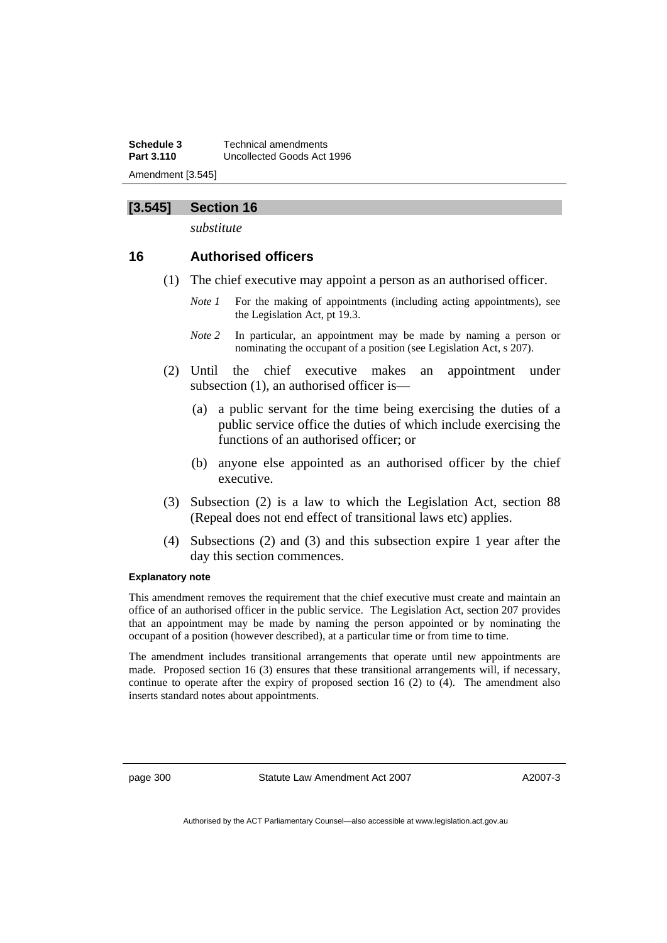**Schedule 3** Technical amendments **Part 3.110** Uncollected Goods Act 1996 Amendment [3.545]

## **[3.545] Section 16**

*substitute* 

# **16 Authorised officers**

- (1) The chief executive may appoint a person as an authorised officer.
	- *Note 1* For the making of appointments (including acting appointments), see the Legislation Act, pt 19.3.
	- *Note 2* In particular, an appointment may be made by naming a person or nominating the occupant of a position (see Legislation Act, s 207).
- (2) Until the chief executive makes an appointment under subsection (1), an authorised officer is—
	- (a) a public servant for the time being exercising the duties of a public service office the duties of which include exercising the functions of an authorised officer; or
	- (b) anyone else appointed as an authorised officer by the chief executive.
- (3) Subsection (2) is a law to which the Legislation Act, section 88 (Repeal does not end effect of transitional laws etc) applies.
- (4) Subsections (2) and (3) and this subsection expire 1 year after the day this section commences.

#### **Explanatory note**

This amendment removes the requirement that the chief executive must create and maintain an office of an authorised officer in the public service. The Legislation Act, section 207 provides that an appointment may be made by naming the person appointed or by nominating the occupant of a position (however described), at a particular time or from time to time.

The amendment includes transitional arrangements that operate until new appointments are made. Proposed section 16 (3) ensures that these transitional arrangements will, if necessary, continue to operate after the expiry of proposed section 16 (2) to (4). The amendment also inserts standard notes about appointments.

page 300 Statute Law Amendment Act 2007

A2007-3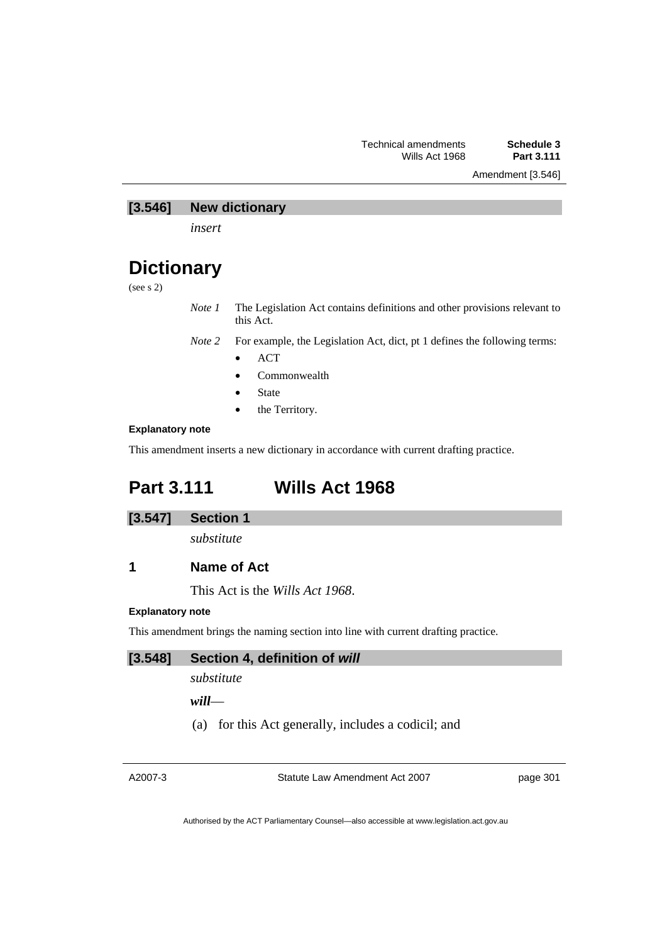Amendment [3.546]

## **[3.546] New dictionary**

*insert* 

# **Dictionary**

(see s 2)

*Note 1* The Legislation Act contains definitions and other provisions relevant to this Act.

*Note 2* For example, the Legislation Act, dict, pt 1 defines the following terms:

- ACT
- Commonwealth
- **State**
- the Territory.

### **Explanatory note**

This amendment inserts a new dictionary in accordance with current drafting practice.

# **Part 3.111 Wills Act 1968**

### **[3.547] Section 1**

*substitute* 

# **1 Name of Act**

This Act is the *Wills Act 1968*.

### **Explanatory note**

This amendment brings the naming section into line with current drafting practice.

## **[3.548] Section 4, definition of** *will*

*substitute* 

*will*—

(a) for this Act generally, includes a codicil; and

A2007-3

Statute Law Amendment Act 2007

page 301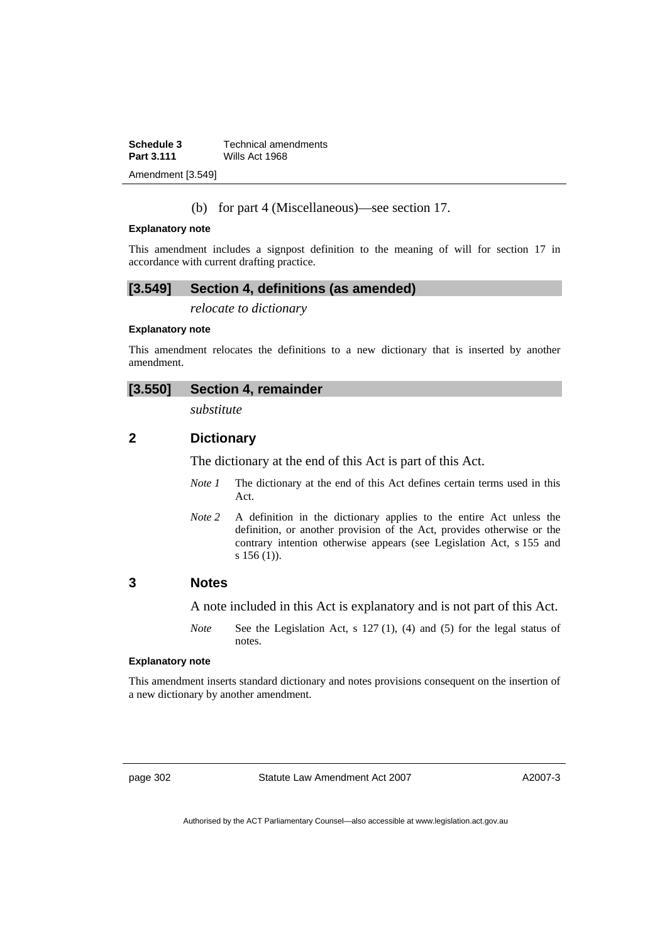| <b>Schedule 3</b> | <b>Technical amendments</b> |
|-------------------|-----------------------------|
| <b>Part 3.111</b> | Wills Act 1968              |
|                   |                             |

Amendment [3.549]

## (b) for part 4 (Miscellaneous)—see section 17.

#### **Explanatory note**

This amendment includes a signpost definition to the meaning of will for section 17 in accordance with current drafting practice.

## **[3.549] Section 4, definitions (as amended)**

*relocate to dictionary* 

### **Explanatory note**

This amendment relocates the definitions to a new dictionary that is inserted by another amendment.

# **[3.550] Section 4, remainder**

*substitute* 

# **2 Dictionary**

The dictionary at the end of this Act is part of this Act.

- *Note 1* The dictionary at the end of this Act defines certain terms used in this Act.
- *Note 2* A definition in the dictionary applies to the entire Act unless the definition, or another provision of the Act, provides otherwise or the contrary intention otherwise appears (see Legislation Act, s 155 and s 156 (1)).

## **3 Notes**

A note included in this Act is explanatory and is not part of this Act.

*Note* See the Legislation Act, s 127 (1), (4) and (5) for the legal status of notes.

#### **Explanatory note**

This amendment inserts standard dictionary and notes provisions consequent on the insertion of a new dictionary by another amendment.

page 302 Statute Law Amendment Act 2007

A2007-3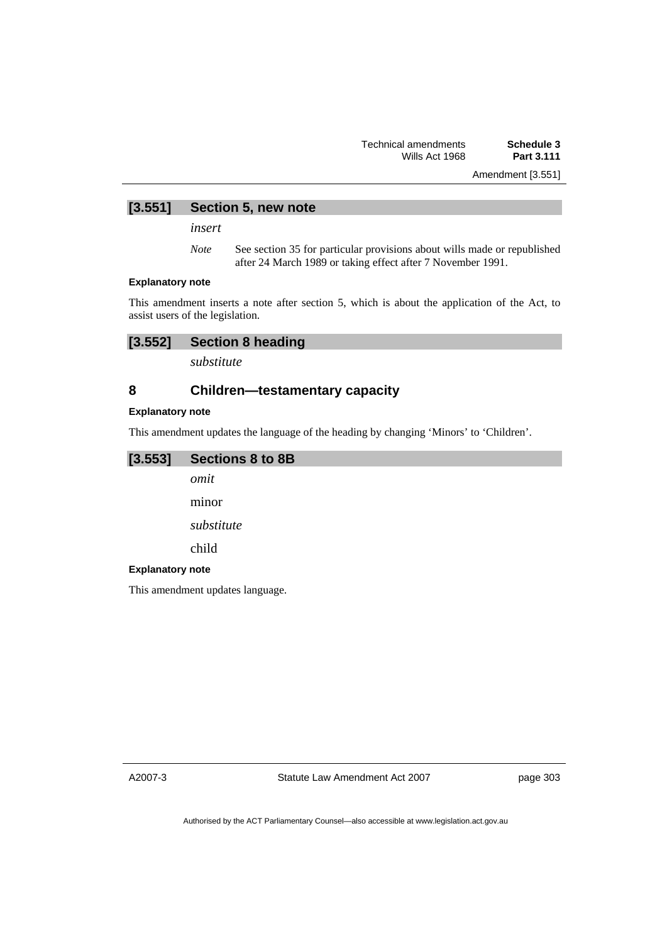Amendment [3.551]

# **[3.551] Section 5, new note**

*insert* 

*Note* See section 35 for particular provisions about wills made or republished after 24 March 1989 or taking effect after 7 November 1991.

#### **Explanatory note**

This amendment inserts a note after section 5, which is about the application of the Act, to assist users of the legislation.

# **[3.552] Section 8 heading**

*substitute* 

# **8 Children—testamentary capacity**

### **Explanatory note**

This amendment updates the language of the heading by changing 'Minors' to 'Children'.

## **[3.553] Sections 8 to 8B**

*omit* 

minor

*substitute* 

child

### **Explanatory note**

This amendment updates language.

A2007-3

Statute Law Amendment Act 2007

page 303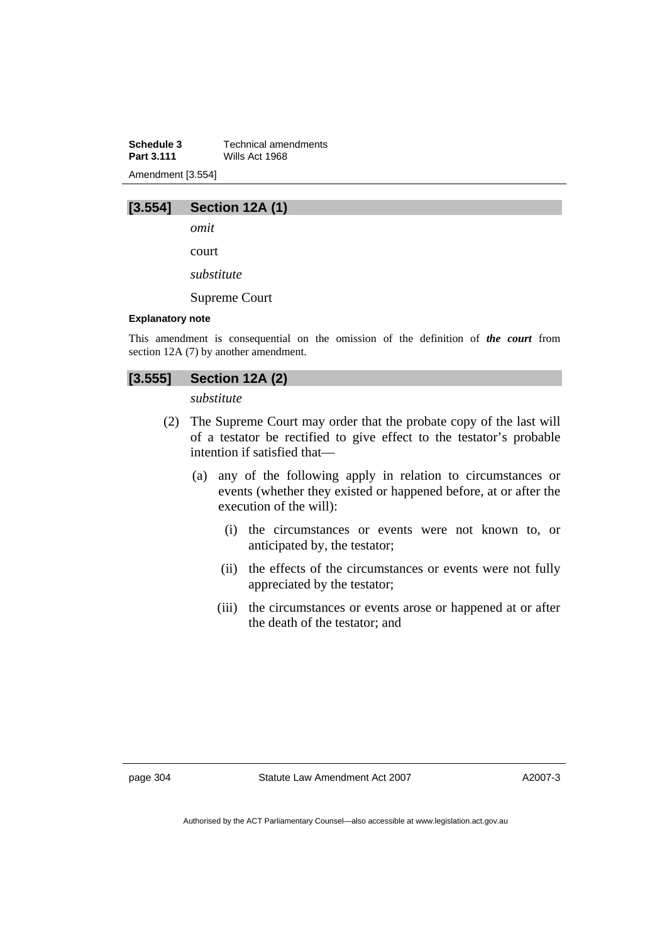**Schedule 3 Technical amendments**<br>**Part 3.111** *Wills Act 1968* **Part 3.111** Wills Act 1968 Amendment [3.554]



*omit* 

court

*substitute* 

Supreme Court

#### **Explanatory note**

This amendment is consequential on the omission of the definition of *the court* from section 12A (7) by another amendment.

# **[3.555] Section 12A (2)**

*substitute* 

- (2) The Supreme Court may order that the probate copy of the last will of a testator be rectified to give effect to the testator's probable intention if satisfied that—
	- (a) any of the following apply in relation to circumstances or events (whether they existed or happened before, at or after the execution of the will):
		- (i) the circumstances or events were not known to, or anticipated by, the testator;
		- (ii) the effects of the circumstances or events were not fully appreciated by the testator;
		- (iii) the circumstances or events arose or happened at or after the death of the testator; and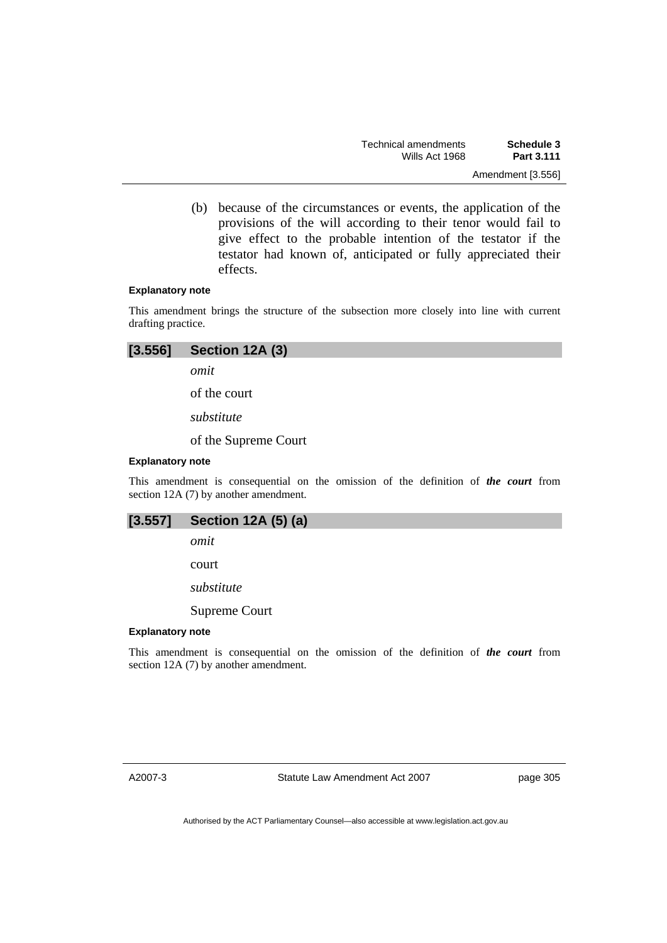(b) because of the circumstances or events, the application of the provisions of the will according to their tenor would fail to give effect to the probable intention of the testator if the testator had known of, anticipated or fully appreciated their effects.

#### **Explanatory note**

This amendment brings the structure of the subsection more closely into line with current drafting practice.

| [3.556] | Section 12A (3)      |
|---------|----------------------|
|         | omit                 |
|         | of the court         |
|         | substitute           |
|         | of the Supreme Court |

#### **Explanatory note**

This amendment is consequential on the omission of the definition of *the court* from section 12A (7) by another amendment.

| [3.557] | Section 12A (5) (a) |  |  |  |
|---------|---------------------|--|--|--|
|---------|---------------------|--|--|--|

*omit* 

court

*substitute* 

Supreme Court

### **Explanatory note**

This amendment is consequential on the omission of the definition of *the court* from section 12A (7) by another amendment.

Statute Law Amendment Act 2007

page 305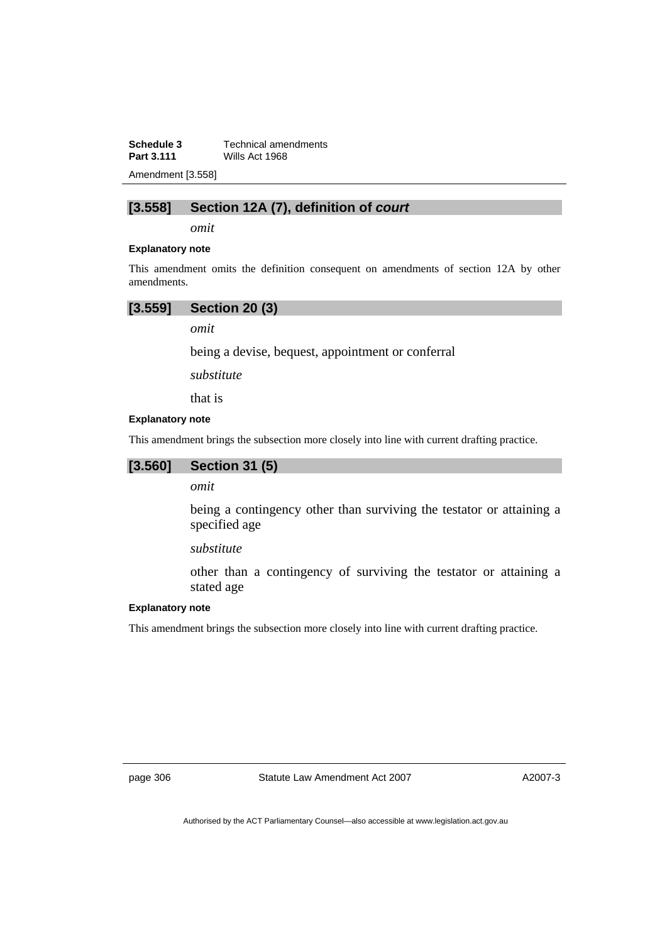**Schedule 3 Technical amendments**<br>**Part 3.111 Wills Act 1968 Part 3.111** Wills Act 1968

Amendment [3.558]

# **[3.558] Section 12A (7), definition of** *court*

*omit* 

#### **Explanatory note**

This amendment omits the definition consequent on amendments of section 12A by other amendments.

# **[3.559] Section 20 (3)**

*omit* 

being a devise, bequest, appointment or conferral

*substitute* 

that is

### **Explanatory note**

This amendment brings the subsection more closely into line with current drafting practice.

### **[3.560] Section 31 (5)**

*omit* 

being a contingency other than surviving the testator or attaining a specified age

*substitute* 

other than a contingency of surviving the testator or attaining a stated age

### **Explanatory note**

This amendment brings the subsection more closely into line with current drafting practice.

page 306 Statute Law Amendment Act 2007

A2007-3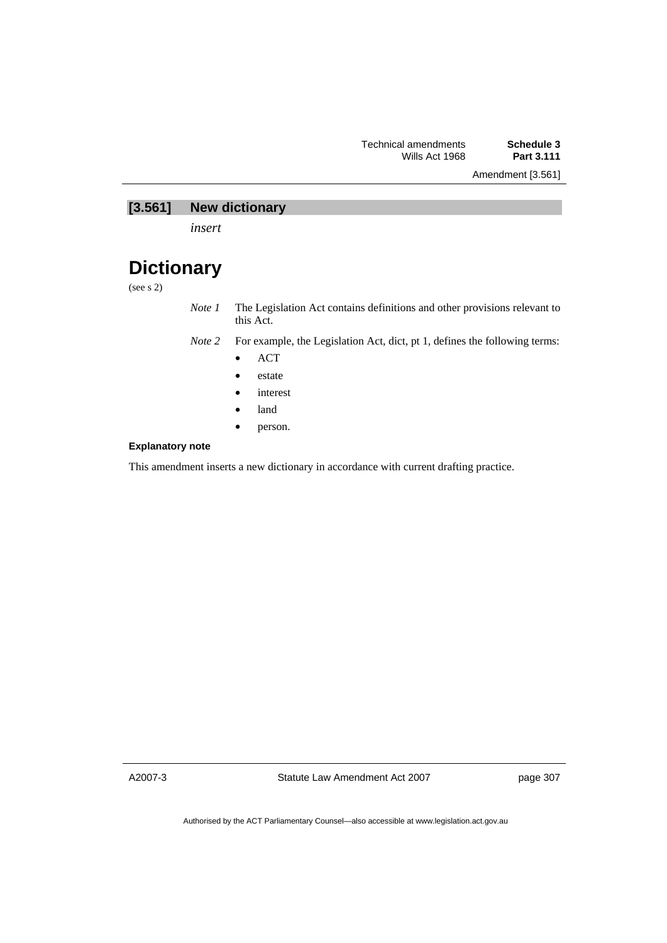Amendment [3.561]

# **[3.561] New dictionary**

*insert* 

# **Dictionary**

(see s 2)

*Note 1* The Legislation Act contains definitions and other provisions relevant to this Act.

*Note 2* For example, the Legislation Act, dict, pt 1, defines the following terms:

- ACT
- estate
- interest
- land
- person.

### **Explanatory note**

This amendment inserts a new dictionary in accordance with current drafting practice.

A2007-3

Statute Law Amendment Act 2007

page 307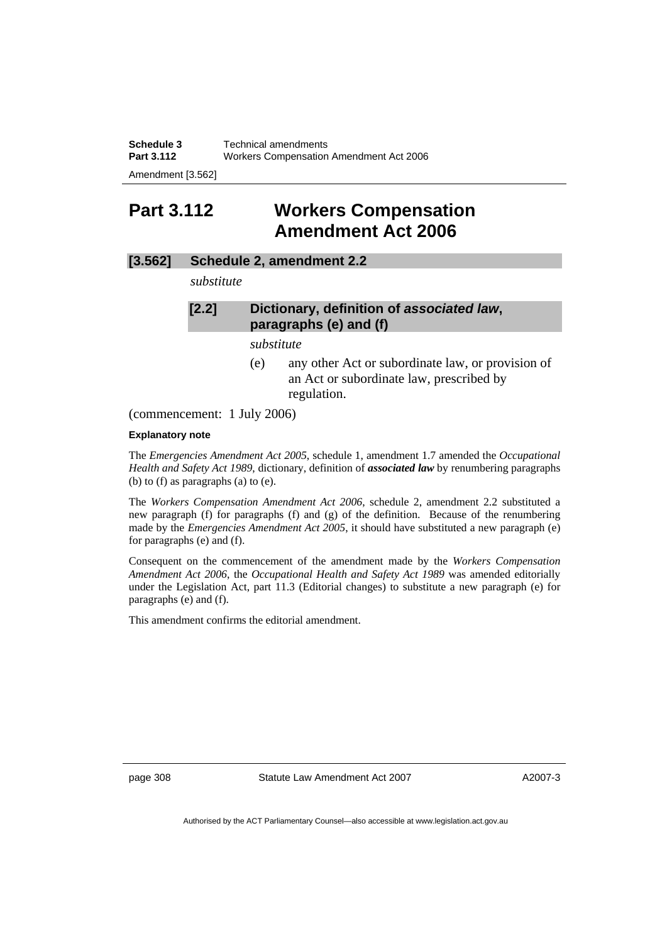**Schedule 3** Technical amendments **Part 3.112** Workers Compensation Amendment Act 2006

Amendment [3.562]

# **Part 3.112 Workers Compensation Amendment Act 2006**

# **[3.562] Schedule 2, amendment 2.2**

*substitute* 

# **[2.2] Dictionary, definition of** *associated law***, paragraphs (e) and (f)**

*substitute* 

(e) any other Act or subordinate law, or provision of an Act or subordinate law, prescribed by regulation.

(commencement: 1 July 2006)

### **Explanatory note**

The *Emergencies Amendment Act 2005*, schedule 1, amendment 1.7 amended the *Occupational Health and Safety Act 1989*, dictionary, definition of *associated law* by renumbering paragraphs (b) to (f) as paragraphs (a) to (e).

The *Workers Compensation Amendment Act 2006*, schedule 2, amendment 2.2 substituted a new paragraph (f) for paragraphs (f) and (g) of the definition. Because of the renumbering made by the *Emergencies Amendment Act 2005*, it should have substituted a new paragraph (e) for paragraphs (e) and (f).

Consequent on the commencement of the amendment made by the *Workers Compensation Amendment Act 2006*, the *Occupational Health and Safety Act 1989* was amended editorially under the Legislation Act, part 11.3 (Editorial changes) to substitute a new paragraph (e) for paragraphs (e) and (f).

This amendment confirms the editorial amendment.

page 308 Statute Law Amendment Act 2007

A2007-3